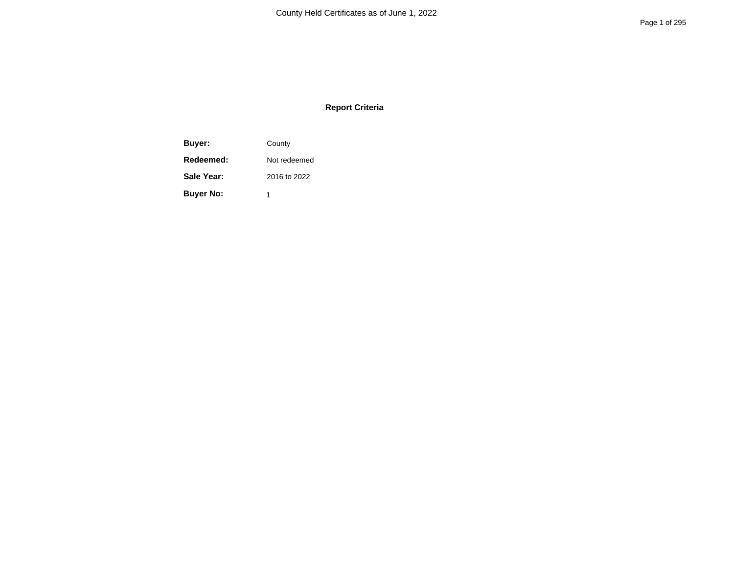## **Report Criteria**

**Buyer:** County **Redeemed:** Not redeemed **Sale Year:** 2016 to 2022 **Buyer No:** 1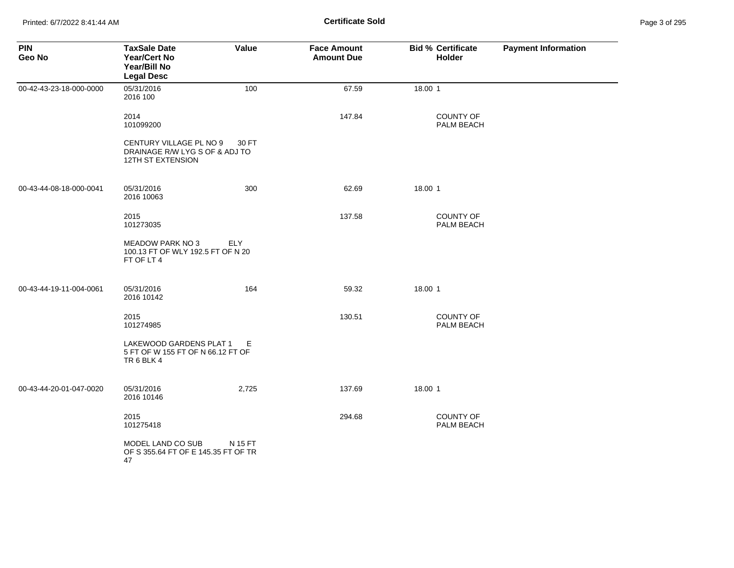| Page 3 of 295 |  |  |  |
|---------------|--|--|--|
|---------------|--|--|--|

| <b>PIN</b><br>Geo No    | <b>TaxSale Date</b><br>Year/Cert No<br>Year/Bill No<br><b>Legal Desc</b>              | Value      | <b>Face Amount</b><br><b>Amount Due</b> | <b>Bid % Certificate</b><br><b>Holder</b> | <b>Payment Information</b> |
|-------------------------|---------------------------------------------------------------------------------------|------------|-----------------------------------------|-------------------------------------------|----------------------------|
| 00-42-43-23-18-000-0000 | 05/31/2016<br>2016 100                                                                | 100        | 67.59                                   | 18.00 1                                   |                            |
|                         | 2014<br>101099200                                                                     |            | 147.84                                  | <b>COUNTY OF</b><br>PALM BEACH            |                            |
|                         | CENTURY VILLAGE PL NO 9<br>DRAINAGE R/W LYG S OF & ADJ TO<br><b>12TH ST EXTENSION</b> | 30 FT      |                                         |                                           |                            |
| 00-43-44-08-18-000-0041 | 05/31/2016<br>2016 10063                                                              | 300        | 62.69                                   | 18.00 1                                   |                            |
|                         | 2015<br>101273035                                                                     |            | 137.58                                  | <b>COUNTY OF</b><br>PALM BEACH            |                            |
|                         | <b>MEADOW PARK NO 3</b><br>100.13 FT OF WLY 192.5 FT OF N 20<br>FT OF LT 4            | <b>ELY</b> |                                         |                                           |                            |
| 00-43-44-19-11-004-0061 | 05/31/2016<br>2016 10142                                                              | 164        | 59.32                                   | 18.00 1                                   |                            |
|                         | 2015<br>101274985                                                                     |            | 130.51                                  | COUNTY OF<br>PALM BEACH                   |                            |
|                         | LAKEWOOD GARDENS PLAT 1<br>5 FT OF W 155 FT OF N 66.12 FT OF<br>TR6BLK4               | E          |                                         |                                           |                            |
| 00-43-44-20-01-047-0020 | 05/31/2016<br>2016 10146                                                              | 2,725      | 137.69                                  | 18.00 1                                   |                            |
|                         | 2015<br>101275418                                                                     |            | 294.68                                  | COUNTY OF<br>PALM BEACH                   |                            |
|                         | MODEL LAND CO SUB<br>OF S 355.64 FT OF E 145.35 FT OF TR<br>47                        | N 15 FT    |                                         |                                           |                            |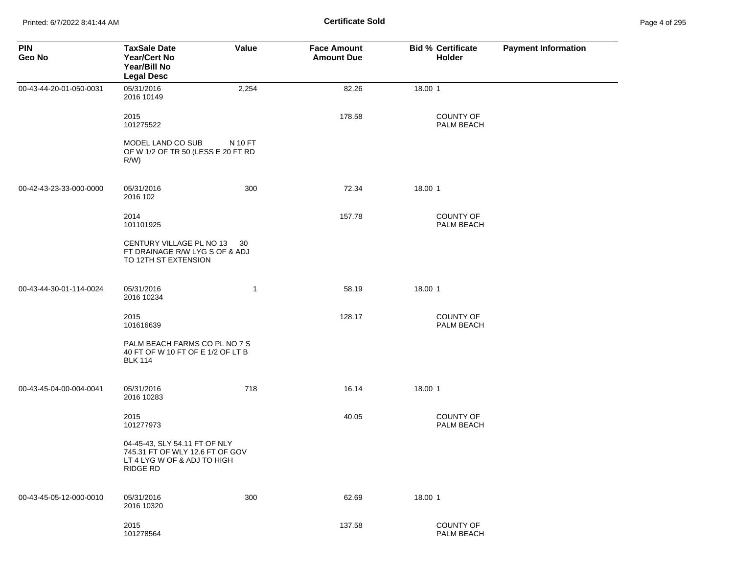| Page 4 of 295 |  |  |  |
|---------------|--|--|--|
|---------------|--|--|--|

| <b>PIN</b><br>Geo No    | <b>TaxSale Date</b><br><b>Year/Cert No</b><br>Year/Bill No<br><b>Legal Desc</b>                             | Value   | <b>Face Amount</b><br><b>Amount Due</b> | <b>Bid % Certificate</b><br>Holder | <b>Payment Information</b> |
|-------------------------|-------------------------------------------------------------------------------------------------------------|---------|-----------------------------------------|------------------------------------|----------------------------|
| 00-43-44-20-01-050-0031 | 05/31/2016<br>2016 10149                                                                                    | 2,254   | 82.26                                   | 18.00 1                            |                            |
|                         | 2015<br>101275522                                                                                           |         | 178.58                                  | COUNTY OF<br>PALM BEACH            |                            |
|                         | MODEL LAND CO SUB<br>OF W 1/2 OF TR 50 (LESS E 20 FT RD<br>R/W)                                             | N 10 FT |                                         |                                    |                            |
| 00-42-43-23-33-000-0000 | 05/31/2016<br>2016 102                                                                                      | 300     | 72.34                                   | 18.00 1                            |                            |
|                         | 2014<br>101101925                                                                                           |         | 157.78                                  | COUNTY OF<br>PALM BEACH            |                            |
|                         | CENTURY VILLAGE PL NO 13<br>FT DRAINAGE R/W LYG S OF & ADJ<br>TO 12TH ST EXTENSION                          | 30      |                                         |                                    |                            |
| 00-43-44-30-01-114-0024 | 05/31/2016<br>2016 10234                                                                                    | 1       | 58.19                                   | 18.00 1                            |                            |
|                         | 2015<br>101616639                                                                                           |         | 128.17                                  | <b>COUNTY OF</b><br>PALM BEACH     |                            |
|                         | PALM BEACH FARMS CO PL NO 7 S<br>40 FT OF W 10 FT OF E 1/2 OF LT B<br><b>BLK 114</b>                        |         |                                         |                                    |                            |
| 00-43-45-04-00-004-0041 | 05/31/2016<br>2016 10283                                                                                    | 718     | 16.14                                   | 18.00 1                            |                            |
|                         | 2015<br>101277973                                                                                           |         | 40.05                                   | <b>COUNTY OF</b><br>PALM BEACH     |                            |
|                         | 04-45-43, SLY 54.11 FT OF NLY<br>745.31 FT OF WLY 12.6 FT OF GOV<br>LT 4 LYG W OF & ADJ TO HIGH<br>RIDGE RD |         |                                         |                                    |                            |
| 00-43-45-05-12-000-0010 | 05/31/2016<br>2016 10320                                                                                    | 300     | 62.69                                   | 18.00 1                            |                            |
|                         | 2015<br>101278564                                                                                           |         | 137.58                                  | <b>COUNTY OF</b><br>PALM BEACH     |                            |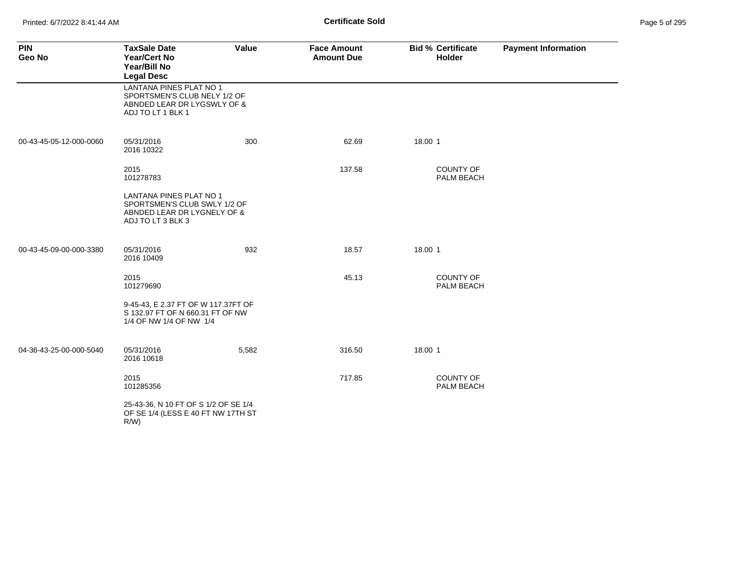Printed: 6/7/2022 8:41:44 AM **Certificate Sold** 

| <b>PIN</b><br>Geo No    | <b>TaxSale Date</b><br><b>Year/Cert No</b><br>Year/Bill No<br><b>Legal Desc</b>                                    | Value | <b>Face Amount</b><br><b>Amount Due</b> | <b>Bid % Certificate</b><br>Holder | <b>Payment Information</b> |
|-------------------------|--------------------------------------------------------------------------------------------------------------------|-------|-----------------------------------------|------------------------------------|----------------------------|
|                         | <b>LANTANA PINES PLAT NO 1</b><br>SPORTSMEN'S CLUB NELY 1/2 OF<br>ABNDED LEAR DR LYGSWLY OF &<br>ADJ TO LT 1 BLK 1 |       |                                         |                                    |                            |
| 00-43-45-05-12-000-0060 | 05/31/2016<br>2016 10322                                                                                           | 300   | 62.69                                   | 18.00 1                            |                            |
|                         | 2015<br>101278783                                                                                                  |       | 137.58                                  | <b>COUNTY OF</b><br>PALM BEACH     |                            |
|                         | LANTANA PINES PLAT NO 1<br>SPORTSMEN'S CLUB SWLY 1/2 OF<br>ABNDED LEAR DR LYGNELY OF &<br>ADJ TO LT 3 BLK 3        |       |                                         |                                    |                            |
| 00-43-45-09-00-000-3380 | 05/31/2016<br>2016 10409                                                                                           | 932   | 18.57                                   | 18.00 1                            |                            |
|                         | 2015<br>101279690                                                                                                  |       | 45.13                                   | <b>COUNTY OF</b><br>PALM BEACH     |                            |
|                         | 9-45-43, E 2.37 FT OF W 117.37FT OF<br>S 132.97 FT OF N 660.31 FT OF NW<br>1/4 OF NW 1/4 OF NW 1/4                 |       |                                         |                                    |                            |
| 04-36-43-25-00-000-5040 | 05/31/2016<br>2016 10618                                                                                           | 5,582 | 316.50                                  | 18.00 1                            |                            |
|                         | 2015<br>101285356                                                                                                  |       | 717.85                                  | COUNTY OF<br>PALM BEACH            |                            |
|                         | 25-43-36, N 10 FT OF S 1/2 OF SE 1/4<br>OF SE 1/4 (LESS E 40 FT NW 17TH ST<br>$R/W$ )                              |       |                                         |                                    |                            |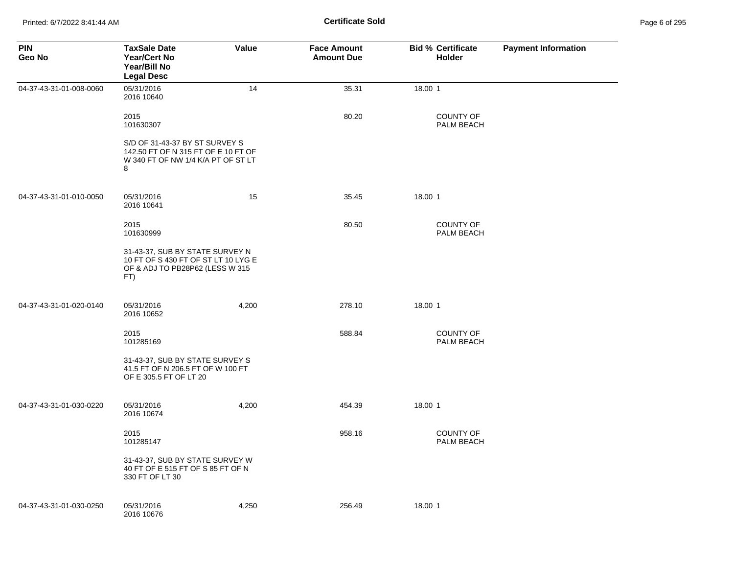| Page 6 of 295 |  |  |  |
|---------------|--|--|--|
|---------------|--|--|--|

| <b>PIN</b><br>Geo No    | <b>TaxSale Date</b><br><b>Year/Cert No</b><br>Year/Bill No<br><b>Legal Desc</b>                                  | Value | <b>Face Amount</b><br><b>Amount Due</b> | <b>Bid % Certificate</b><br><b>Holder</b> | <b>Payment Information</b> |
|-------------------------|------------------------------------------------------------------------------------------------------------------|-------|-----------------------------------------|-------------------------------------------|----------------------------|
| 04-37-43-31-01-008-0060 | 05/31/2016<br>2016 10640                                                                                         | 14    | 35.31                                   | 18.00 1                                   |                            |
|                         | 2015<br>101630307                                                                                                |       | 80.20                                   | <b>COUNTY OF</b><br>PALM BEACH            |                            |
|                         | S/D OF 31-43-37 BY ST SURVEY S<br>142.50 FT OF N 315 FT OF E 10 FT OF<br>W 340 FT OF NW 1/4 K/A PT OF ST LT<br>8 |       |                                         |                                           |                            |
| 04-37-43-31-01-010-0050 | 05/31/2016<br>2016 10641                                                                                         | 15    | 35.45                                   | 18.00 1                                   |                            |
|                         | 2015<br>101630999                                                                                                |       | 80.50                                   | <b>COUNTY OF</b><br>PALM BEACH            |                            |
|                         | 31-43-37, SUB BY STATE SURVEY N<br>10 FT OF S 430 FT OF ST LT 10 LYG E<br>OF & ADJ TO PB28P62 (LESS W 315<br>FT) |       |                                         |                                           |                            |
| 04-37-43-31-01-020-0140 | 05/31/2016<br>2016 10652                                                                                         | 4,200 | 278.10                                  | 18.00 1                                   |                            |
|                         | 2015<br>101285169                                                                                                |       | 588.84                                  | <b>COUNTY OF</b><br>PALM BEACH            |                            |
|                         | 31-43-37, SUB BY STATE SURVEY S<br>41.5 FT OF N 206.5 FT OF W 100 FT<br>OF E 305.5 FT OF LT 20                   |       |                                         |                                           |                            |
| 04-37-43-31-01-030-0220 | 05/31/2016<br>2016 10674                                                                                         | 4,200 | 454.39                                  | 18.00 1                                   |                            |
|                         | 2015<br>101285147                                                                                                |       | 958.16                                  | <b>COUNTY OF</b><br>PALM BEACH            |                            |
|                         | 31-43-37, SUB BY STATE SURVEY W<br>40 FT OF E 515 FT OF S 85 FT OF N<br>330 FT OF LT 30                          |       |                                         |                                           |                            |
| 04-37-43-31-01-030-0250 | 05/31/2016<br>2016 10676                                                                                         | 4,250 | 256.49                                  | 18.00 1                                   |                            |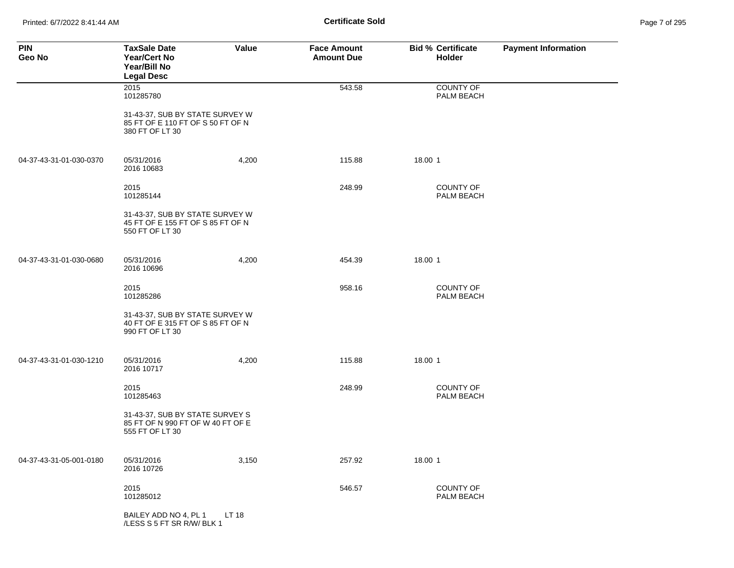Printed: 6/7/2022 8:41:44 AM **Page 7 of 2018** Page 7 of 2018 **Certificate Sold** 

| Page 7 of 295 |  |  |  |
|---------------|--|--|--|
|---------------|--|--|--|

| <b>PIN</b><br>Geo No    | <b>TaxSale Date</b><br>Year/Cert No<br>Year/Bill No<br><b>Legal Desc</b>                | Value | <b>Face Amount</b><br><b>Amount Due</b> | <b>Bid % Certificate</b><br>Holder | <b>Payment Information</b> |
|-------------------------|-----------------------------------------------------------------------------------------|-------|-----------------------------------------|------------------------------------|----------------------------|
|                         | 2015<br>101285780                                                                       |       | 543.58                                  | <b>COUNTY OF</b><br>PALM BEACH     |                            |
|                         | 31-43-37, SUB BY STATE SURVEY W<br>85 FT OF E 110 FT OF S 50 FT OF N<br>380 FT OF LT 30 |       |                                         |                                    |                            |
| 04-37-43-31-01-030-0370 | 05/31/2016<br>2016 10683                                                                | 4,200 | 115.88                                  | 18.00 1                            |                            |
|                         | 2015<br>101285144                                                                       |       | 248.99                                  | COUNTY OF<br>PALM BEACH            |                            |
|                         | 31-43-37, SUB BY STATE SURVEY W<br>45 FT OF E 155 FT OF S 85 FT OF N<br>550 FT OF LT 30 |       |                                         |                                    |                            |
| 04-37-43-31-01-030-0680 | 05/31/2016<br>2016 10696                                                                | 4,200 | 454.39                                  | 18.00 1                            |                            |
|                         | 2015<br>101285286                                                                       |       | 958.16                                  | <b>COUNTY OF</b><br>PALM BEACH     |                            |
|                         | 31-43-37, SUB BY STATE SURVEY W<br>40 FT OF E 315 FT OF S 85 FT OF N<br>990 FT OF LT 30 |       |                                         |                                    |                            |
| 04-37-43-31-01-030-1210 | 05/31/2016<br>2016 10717                                                                | 4,200 | 115.88                                  | 18.00 1                            |                            |
|                         | 2015<br>101285463                                                                       |       | 248.99                                  | <b>COUNTY OF</b><br>PALM BEACH     |                            |
|                         | 31-43-37, SUB BY STATE SURVEY S<br>85 FT OF N 990 FT OF W 40 FT OF E<br>555 FT OF LT 30 |       |                                         |                                    |                            |
| 04-37-43-31-05-001-0180 | 05/31/2016<br>2016 10726                                                                | 3,150 | 257.92                                  | 18.00 1                            |                            |
|                         | 2015<br>101285012                                                                       |       | 546.57                                  | COUNTY OF<br>PALM BEACH            |                            |
|                         | BAILEY ADD NO 4, PL 1<br>/LESS S 5 FT SR R/W/ BLK 1                                     | LT 18 |                                         |                                    |                            |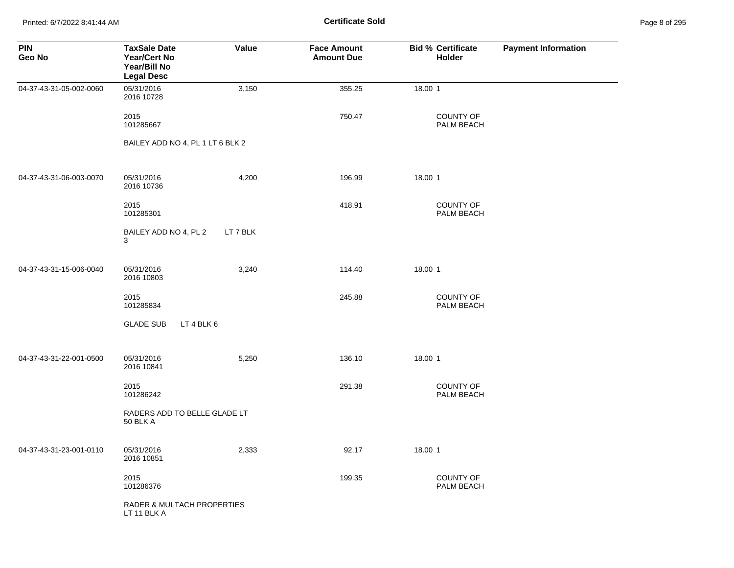Printed: 6/7/2022 8:41:44 AM **Certificate Sold** Page 8 of 295

| <b>PIN</b><br>Geo No    | <b>TaxSale Date</b><br><b>Year/Cert No</b><br>Year/Bill No<br><b>Legal Desc</b> | Value    | <b>Face Amount</b><br><b>Amount Due</b> | <b>Bid % Certificate</b><br>Holder | <b>Payment Information</b> |
|-------------------------|---------------------------------------------------------------------------------|----------|-----------------------------------------|------------------------------------|----------------------------|
| 04-37-43-31-05-002-0060 | 05/31/2016<br>2016 10728                                                        | 3,150    | 355.25                                  | 18.00 1                            |                            |
|                         | 2015<br>101285667                                                               |          | 750.47                                  | COUNTY OF<br>PALM BEACH            |                            |
|                         | BAILEY ADD NO 4, PL 1 LT 6 BLK 2                                                |          |                                         |                                    |                            |
| 04-37-43-31-06-003-0070 | 05/31/2016<br>2016 10736                                                        | 4,200    | 196.99                                  | 18.00 1                            |                            |
|                         | 2015<br>101285301                                                               |          | 418.91                                  | <b>COUNTY OF</b><br>PALM BEACH     |                            |
|                         | BAILEY ADD NO 4, PL 2<br>3                                                      | LT 7 BLK |                                         |                                    |                            |
| 04-37-43-31-15-006-0040 | 05/31/2016<br>2016 10803                                                        | 3,240    | 114.40                                  | 18.00 1                            |                            |
|                         | 2015<br>101285834                                                               |          | 245.88                                  | COUNTY OF<br>PALM BEACH            |                            |
|                         | <b>GLADE SUB</b><br>LT 4 BLK 6                                                  |          |                                         |                                    |                            |
| 04-37-43-31-22-001-0500 | 05/31/2016<br>2016 10841                                                        | 5,250    | 136.10                                  | 18.00 1                            |                            |
|                         | 2015<br>101286242                                                               |          | 291.38                                  | COUNTY OF<br>PALM BEACH            |                            |
|                         | RADERS ADD TO BELLE GLADE LT<br><b>50 BLK A</b>                                 |          |                                         |                                    |                            |
| 04-37-43-31-23-001-0110 | 05/31/2016<br>2016 10851                                                        | 2,333    | 92.17                                   | 18.00 1                            |                            |
|                         | 2015<br>101286376                                                               |          | 199.35                                  | COUNTY OF<br>PALM BEACH            |                            |
|                         | <b>RADER &amp; MULTACH PROPERTIES</b><br>LT 11 BLK A                            |          |                                         |                                    |                            |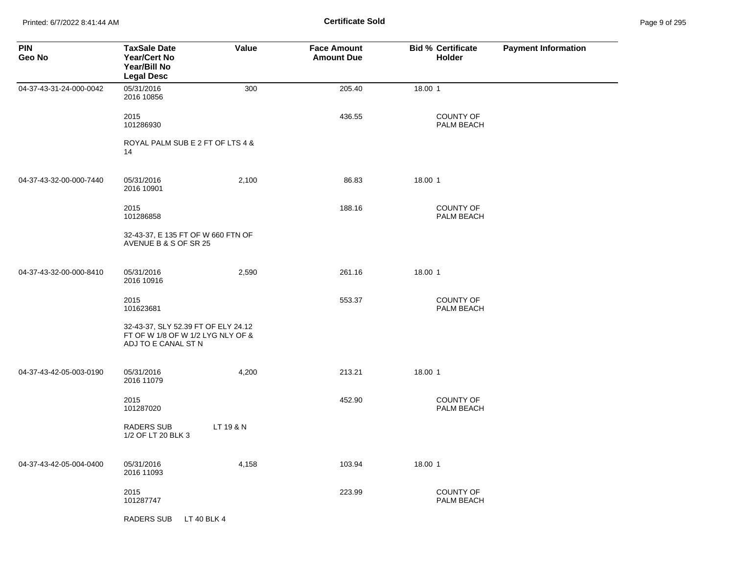Printed: 6/7/2022 8:41:44 AM **Page 9 of 2018** Page 9 of 2014 **Certificate Sold** Page 9 of 205 of 205 of 205 of 205 of 205 of 205 of 205 of 205 of 205 of 205 of 205 of 205 of 205 of 205 of 205 of 205 of 205 of 205 of 205 of

| Page 9 of 295 |  |  |
|---------------|--|--|
|               |  |  |

| <b>PIN</b><br>Geo No    | <b>TaxSale Date</b><br><b>Year/Cert No</b><br>Year/Bill No<br><b>Legal Desc</b>                 | Value     | <b>Face Amount</b><br><b>Amount Due</b> | <b>Bid % Certificate</b><br><b>Holder</b> | <b>Payment Information</b> |
|-------------------------|-------------------------------------------------------------------------------------------------|-----------|-----------------------------------------|-------------------------------------------|----------------------------|
| 04-37-43-31-24-000-0042 | 05/31/2016<br>2016 10856                                                                        | 300       | 205.40                                  | 18.00 1                                   |                            |
|                         | 2015<br>101286930                                                                               |           | 436.55                                  | <b>COUNTY OF</b><br>PALM BEACH            |                            |
|                         | ROYAL PALM SUB E 2 FT OF LTS 4 &<br>14                                                          |           |                                         |                                           |                            |
| 04-37-43-32-00-000-7440 | 05/31/2016<br>2016 10901                                                                        | 2,100     | 86.83                                   | 18.00 1                                   |                            |
|                         | 2015<br>101286858                                                                               |           | 188.16                                  | <b>COUNTY OF</b><br>PALM BEACH            |                            |
|                         | 32-43-37, E 135 FT OF W 660 FTN OF<br>AVENUE B & S OF SR 25                                     |           |                                         |                                           |                            |
| 04-37-43-32-00-000-8410 | 05/31/2016<br>2016 10916                                                                        | 2,590     | 261.16                                  | 18.00 1                                   |                            |
|                         | 2015<br>101623681                                                                               |           | 553.37                                  | <b>COUNTY OF</b><br>PALM BEACH            |                            |
|                         | 32-43-37, SLY 52.39 FT OF ELY 24.12<br>FT OF W 1/8 OF W 1/2 LYG NLY OF &<br>ADJ TO E CANAL ST N |           |                                         |                                           |                            |
| 04-37-43-42-05-003-0190 | 05/31/2016<br>2016 11079                                                                        | 4,200     | 213.21                                  | 18.00 1                                   |                            |
|                         | 2015<br>101287020                                                                               |           | 452.90                                  | <b>COUNTY OF</b><br>PALM BEACH            |                            |
|                         | <b>RADERS SUB</b><br>1/2 OF LT 20 BLK 3                                                         | LT 19 & N |                                         |                                           |                            |
| 04-37-43-42-05-004-0400 | 05/31/2016<br>2016 11093                                                                        | 4,158     | 103.94                                  | 18.00 1                                   |                            |
|                         | 2015<br>101287747                                                                               |           | 223.99                                  | <b>COUNTY OF</b><br>PALM BEACH            |                            |
|                         | <b>RADERS SUB</b><br>LT 40 BLK 4                                                                |           |                                         |                                           |                            |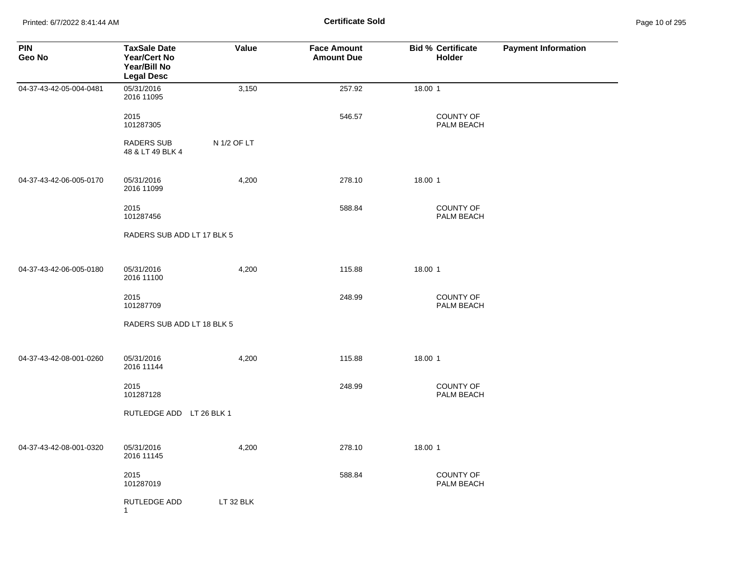Printed: 6/7/2022 8:41:44 AM **Certificate Sold** Page 10 of 295

| <b>PIN</b><br>Geo No    | <b>TaxSale Date</b><br><b>Year/Cert No</b><br>Year/Bill No<br><b>Legal Desc</b> | Value       | <b>Face Amount</b><br><b>Amount Due</b> | <b>Bid % Certificate</b><br>Holder | <b>Payment Information</b> |
|-------------------------|---------------------------------------------------------------------------------|-------------|-----------------------------------------|------------------------------------|----------------------------|
| 04-37-43-42-05-004-0481 | 05/31/2016<br>2016 11095                                                        | 3,150       | 257.92                                  | 18.00 1                            |                            |
|                         | 2015<br>101287305                                                               |             | 546.57                                  | <b>COUNTY OF</b><br>PALM BEACH     |                            |
|                         | <b>RADERS SUB</b><br>48 & LT 49 BLK 4                                           | N 1/2 OF LT |                                         |                                    |                            |
| 04-37-43-42-06-005-0170 | 05/31/2016<br>2016 11099                                                        | 4,200       | 278.10                                  | 18.00 1                            |                            |
|                         | 2015<br>101287456                                                               |             | 588.84                                  | COUNTY OF<br>PALM BEACH            |                            |
|                         | RADERS SUB ADD LT 17 BLK 5                                                      |             |                                         |                                    |                            |
| 04-37-43-42-06-005-0180 | 05/31/2016<br>2016 11100                                                        | 4,200       | 115.88                                  | 18.00 1                            |                            |
|                         | 2015<br>101287709                                                               |             | 248.99                                  | COUNTY OF<br>PALM BEACH            |                            |
|                         | RADERS SUB ADD LT 18 BLK 5                                                      |             |                                         |                                    |                            |
| 04-37-43-42-08-001-0260 | 05/31/2016<br>2016 11144                                                        | 4,200       | 115.88                                  | 18.00 1                            |                            |
|                         | 2015<br>101287128                                                               |             | 248.99                                  | <b>COUNTY OF</b><br>PALM BEACH     |                            |
|                         | RUTLEDGE ADD LT 26 BLK 1                                                        |             |                                         |                                    |                            |
| 04-37-43-42-08-001-0320 | 05/31/2016<br>2016 11145                                                        | 4,200       | 278.10                                  | 18.00 1                            |                            |
|                         | 2015<br>101287019                                                               |             | 588.84                                  | COUNTY OF<br>PALM BEACH            |                            |
|                         | RUTLEDGE ADD<br>$\mathbf{1}$                                                    | LT 32 BLK   |                                         |                                    |                            |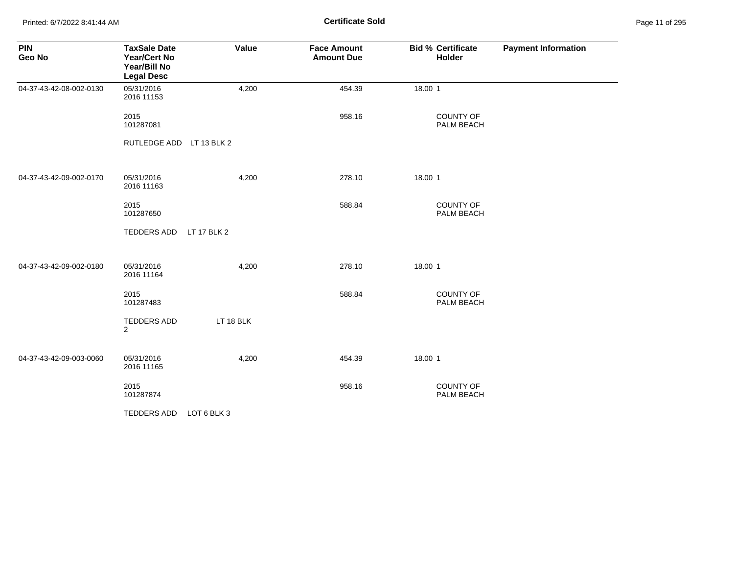Printed: 6/7/2022 8:41:44 AM **Page 11 of 2018** Page 11 of 2018 **Certificate Sold** 

| Page 11 of 295 |  |  |  |
|----------------|--|--|--|
|----------------|--|--|--|

| <b>PIN</b><br>Geo No    | <b>TaxSale Date</b><br>Year/Cert No<br>Year/Bill No<br><b>Legal Desc</b> | Value       | <b>Face Amount</b><br><b>Amount Due</b> | <b>Bid % Certificate</b><br><b>Holder</b> | <b>Payment Information</b> |
|-------------------------|--------------------------------------------------------------------------|-------------|-----------------------------------------|-------------------------------------------|----------------------------|
| 04-37-43-42-08-002-0130 | 05/31/2016<br>2016 11153                                                 | 4,200       | 454.39                                  | 18.00 1                                   |                            |
|                         | 2015<br>101287081                                                        |             | 958.16                                  | <b>COUNTY OF</b><br>PALM BEACH            |                            |
|                         | RUTLEDGE ADD LT 13 BLK 2                                                 |             |                                         |                                           |                            |
| 04-37-43-42-09-002-0170 | 05/31/2016<br>2016 11163                                                 | 4,200       | 278.10                                  | 18.00 1                                   |                            |
|                         | 2015<br>101287650                                                        |             | 588.84                                  | COUNTY OF<br>PALM BEACH                   |                            |
|                         | TEDDERS ADD                                                              | LT 17 BLK 2 |                                         |                                           |                            |
| 04-37-43-42-09-002-0180 | 05/31/2016<br>2016 11164                                                 | 4,200       | 278.10                                  | 18.00 1                                   |                            |
|                         | 2015<br>101287483                                                        |             | 588.84                                  | COUNTY OF<br>PALM BEACH                   |                            |
|                         | TEDDERS ADD<br>2                                                         | LT 18 BLK   |                                         |                                           |                            |
| 04-37-43-42-09-003-0060 | 05/31/2016<br>2016 11165                                                 | 4,200       | 454.39                                  | 18.00 1                                   |                            |
|                         | 2015<br>101287874                                                        |             | 958.16                                  | <b>COUNTY OF</b><br>PALM BEACH            |                            |
|                         | TEDDERS ADD                                                              | LOT 6 BLK 3 |                                         |                                           |                            |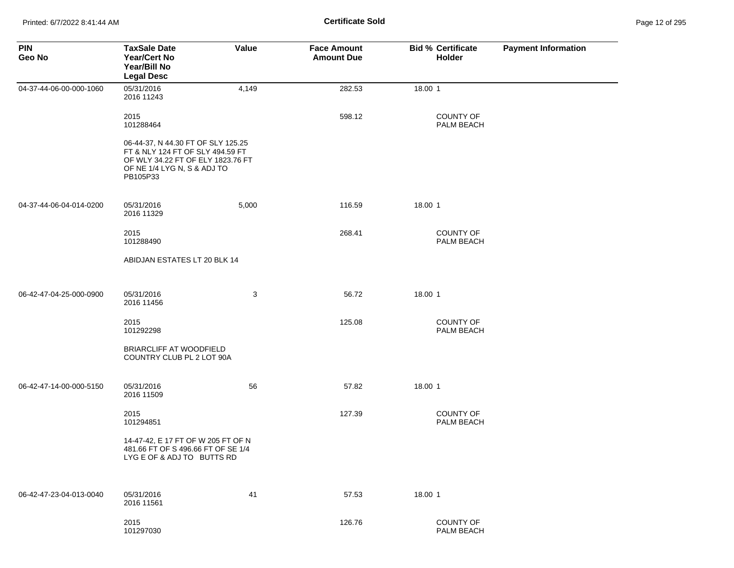| <b>PIN</b><br>Geo No    | <b>TaxSale Date</b><br>Year/Cert No<br>Year/Bill No<br><b>Legal Desc</b>                                                                               | Value | <b>Face Amount</b><br><b>Amount Due</b> | <b>Bid % Certificate</b><br>Holder | <b>Payment Information</b> |
|-------------------------|--------------------------------------------------------------------------------------------------------------------------------------------------------|-------|-----------------------------------------|------------------------------------|----------------------------|
| 04-37-44-06-00-000-1060 | 05/31/2016<br>2016 11243                                                                                                                               | 4,149 | 282.53                                  | 18.00 1                            |                            |
|                         | 2015<br>101288464                                                                                                                                      |       | 598.12                                  | <b>COUNTY OF</b><br>PALM BEACH     |                            |
|                         | 06-44-37, N 44.30 FT OF SLY 125.25<br>FT & NLY 124 FT OF SLY 494.59 FT<br>OF WLY 34.22 FT OF ELY 1823.76 FT<br>OF NE 1/4 LYG N, S & ADJ TO<br>PB105P33 |       |                                         |                                    |                            |
| 04-37-44-06-04-014-0200 | 05/31/2016<br>2016 11329                                                                                                                               | 5,000 | 116.59                                  | 18.00 1                            |                            |
|                         | 2015<br>101288490                                                                                                                                      |       | 268.41                                  | <b>COUNTY OF</b><br>PALM BEACH     |                            |
|                         | ABIDJAN ESTATES LT 20 BLK 14                                                                                                                           |       |                                         |                                    |                            |
| 06-42-47-04-25-000-0900 | 05/31/2016<br>2016 11456                                                                                                                               | 3     | 56.72                                   | 18.00 1                            |                            |
|                         | 2015<br>101292298                                                                                                                                      |       | 125.08                                  | COUNTY OF<br>PALM BEACH            |                            |
|                         | BRIARCLIFF AT WOODFIELD<br>COUNTRY CLUB PL 2 LOT 90A                                                                                                   |       |                                         |                                    |                            |
| 06-42-47-14-00-000-5150 | 05/31/2016<br>2016 11509                                                                                                                               | 56    | 57.82                                   | 18.00 1                            |                            |
|                         | 2015<br>101294851                                                                                                                                      |       | 127.39                                  | <b>COUNTY OF</b><br>PALM BEACH     |                            |
|                         | 14-47-42, E 17 FT OF W 205 FT OF N<br>481.66 FT OF S 496.66 FT OF SE 1/4<br>LYG E OF & ADJ TO BUTTS RD                                                 |       |                                         |                                    |                            |
| 06-42-47-23-04-013-0040 | 05/31/2016<br>2016 11561                                                                                                                               | 41    | 57.53                                   | 18.00 1                            |                            |
|                         | 2015<br>101297030                                                                                                                                      |       | 126.76                                  | COUNTY OF<br>PALM BEACH            |                            |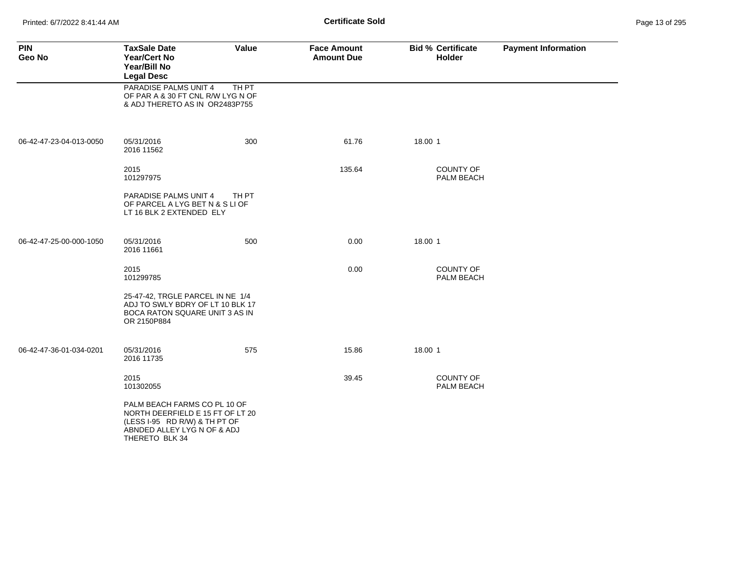Printed: 6/7/2022 8:41:44 AM **Certificate Sold** Page 13 of 295

| <b>PIN</b><br>Geo No    | <b>TaxSale Date</b><br><b>Year/Cert No</b><br>Year/Bill No<br><b>Legal Desc</b>                                                                    | Value | <b>Face Amount</b><br><b>Amount Due</b> |         | <b>Bid % Certificate</b><br><b>Holder</b> | <b>Payment Information</b> |
|-------------------------|----------------------------------------------------------------------------------------------------------------------------------------------------|-------|-----------------------------------------|---------|-------------------------------------------|----------------------------|
|                         | PARADISE PALMS UNIT 4<br>OF PAR A & 30 FT CNL R/W LYG N OF<br>& ADJ THERETO AS IN OR2483P755                                                       | TH PT |                                         |         |                                           |                            |
| 06-42-47-23-04-013-0050 | 05/31/2016<br>2016 11562                                                                                                                           | 300   | 61.76                                   | 18.00 1 |                                           |                            |
|                         | 2015<br>101297975                                                                                                                                  |       | 135.64                                  |         | <b>COUNTY OF</b><br>PALM BEACH            |                            |
|                         | PARADISE PALMS UNIT 4<br>OF PARCEL A LYG BET N & S LI OF<br>LT 16 BLK 2 EXTENDED ELY                                                               | TH PT |                                         |         |                                           |                            |
| 06-42-47-25-00-000-1050 | 05/31/2016<br>2016 11661                                                                                                                           | 500   | 0.00                                    | 18.00 1 |                                           |                            |
|                         | 2015<br>101299785                                                                                                                                  |       | 0.00                                    |         | <b>COUNTY OF</b><br>PALM BEACH            |                            |
|                         | 25-47-42, TRGLE PARCEL IN NE 1/4<br>ADJ TO SWLY BDRY OF LT 10 BLK 17<br>BOCA RATON SQUARE UNIT 3 AS IN<br>OR 2150P884                              |       |                                         |         |                                           |                            |
| 06-42-47-36-01-034-0201 | 05/31/2016<br>2016 11735                                                                                                                           | 575   | 15.86                                   | 18.00 1 |                                           |                            |
|                         | 2015<br>101302055                                                                                                                                  |       | 39.45                                   |         | <b>COUNTY OF</b><br>PALM BEACH            |                            |
|                         | PALM BEACH FARMS CO PL 10 OF<br>NORTH DEERFIELD E 15 FT OF LT 20<br>(LESS I-95 RD R/W) & TH PT OF<br>ABNDED ALLEY LYG N OF & ADJ<br>THERETO BLK 34 |       |                                         |         |                                           |                            |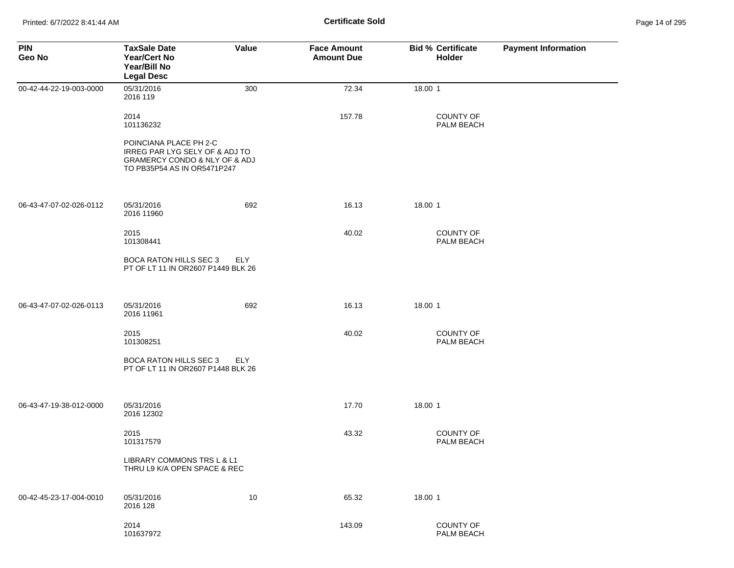| <b>PIN</b><br>Geo No    | <b>TaxSale Date</b><br><b>Year/Cert No</b><br>Year/Bill No<br><b>Legal Desc</b>                                          | <b>Value</b> | <b>Face Amount</b><br><b>Amount Due</b> | <b>Bid % Certificate</b><br>Holder | <b>Payment Information</b> |
|-------------------------|--------------------------------------------------------------------------------------------------------------------------|--------------|-----------------------------------------|------------------------------------|----------------------------|
| 00-42-44-22-19-003-0000 | 05/31/2016<br>2016 119                                                                                                   | 300          | 72.34                                   | 18.00 1                            |                            |
|                         | 2014<br>101136232                                                                                                        |              | 157.78                                  | <b>COUNTY OF</b><br>PALM BEACH     |                            |
|                         | POINCIANA PLACE PH 2-C<br>IRREG PAR LYG SELY OF & ADJ TO<br>GRAMERCY CONDO & NLY OF & ADJ<br>TO PB35P54 AS IN OR5471P247 |              |                                         |                                    |                            |
| 06-43-47-07-02-026-0112 | 05/31/2016<br>2016 11960                                                                                                 | 692          | 16.13                                   | 18.00 1                            |                            |
|                         | 2015<br>101308441                                                                                                        |              | 40.02                                   | <b>COUNTY OF</b><br>PALM BEACH     |                            |
|                         | <b>BOCA RATON HILLS SEC 3</b><br>PT OF LT 11 IN OR2607 P1449 BLK 26                                                      | ELY          |                                         |                                    |                            |
| 06-43-47-07-02-026-0113 | 05/31/2016<br>2016 11961                                                                                                 | 692          | 16.13                                   | 18.00 1                            |                            |
|                         | 2015<br>101308251                                                                                                        |              | 40.02                                   | <b>COUNTY OF</b><br>PALM BEACH     |                            |
|                         | BOCA RATON HILLS SEC 3<br>PT OF LT 11 IN OR2607 P1448 BLK 26                                                             | ELY          |                                         |                                    |                            |
| 06-43-47-19-38-012-0000 | 05/31/2016<br>2016 12302                                                                                                 |              | 17.70                                   | 18.00 1                            |                            |
|                         | 2015<br>101317579                                                                                                        |              | 43.32                                   | COUNTY OF<br>PALM BEACH            |                            |
|                         | LIBRARY COMMONS TRS L & L1<br>THRU L9 K/A OPEN SPACE & REC                                                               |              |                                         |                                    |                            |
| 00-42-45-23-17-004-0010 | 05/31/2016<br>2016 128                                                                                                   | 10           | 65.32                                   | 18.00 1                            |                            |
|                         | 2014<br>101637972                                                                                                        |              | 143.09                                  | COUNTY OF<br>PALM BEACH            |                            |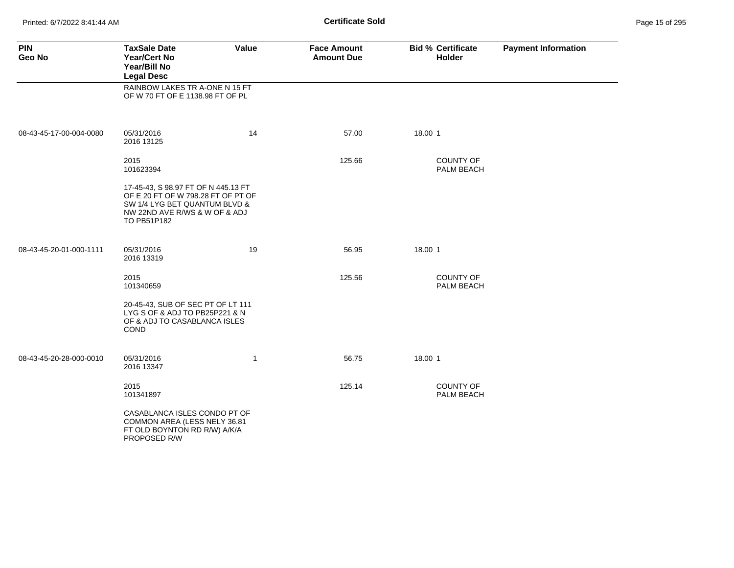Printed: 6/7/2022 8:41:44 AM **Page 15 of 2008** Page 15 of 2014 **Certificate Sold** 

| Page 15 of 295 |  |  |  |
|----------------|--|--|--|
|----------------|--|--|--|

| <b>PIN</b><br>Geo No    | <b>TaxSale Date</b><br><b>Year/Cert No</b><br>Year/Bill No<br><b>Legal Desc</b>                                                                            | Value        | <b>Face Amount</b><br><b>Amount Due</b> | <b>Bid % Certificate</b><br><b>Holder</b> | <b>Payment Information</b> |
|-------------------------|------------------------------------------------------------------------------------------------------------------------------------------------------------|--------------|-----------------------------------------|-------------------------------------------|----------------------------|
|                         | RAINBOW LAKES TR A-ONE N 15 FT<br>OF W 70 FT OF E 1138.98 FT OF PL                                                                                         |              |                                         |                                           |                            |
| 08-43-45-17-00-004-0080 | 05/31/2016<br>2016 13125                                                                                                                                   | 14           | 57.00                                   | 18.00 1                                   |                            |
|                         | 2015<br>101623394                                                                                                                                          |              | 125.66                                  | <b>COUNTY OF</b><br>PALM BEACH            |                            |
|                         | 17-45-43, S 98.97 FT OF N 445.13 FT<br>OF E 20 FT OF W 798.28 FT OF PT OF<br>SW 1/4 LYG BET QUANTUM BLVD &<br>NW 22ND AVE R/WS & W OF & ADJ<br>TO PB51P182 |              |                                         |                                           |                            |
| 08-43-45-20-01-000-1111 | 05/31/2016<br>2016 13319                                                                                                                                   | 19           | 56.95                                   | 18.00 1                                   |                            |
|                         | 2015<br>101340659                                                                                                                                          |              | 125.56                                  | <b>COUNTY OF</b><br>PALM BEACH            |                            |
|                         | 20-45-43, SUB OF SEC PT OF LT 111<br>LYG S OF & ADJ TO PB25P221 & N<br>OF & ADJ TO CASABLANCA ISLES<br><b>COND</b>                                         |              |                                         |                                           |                            |
| 08-43-45-20-28-000-0010 | 05/31/2016<br>2016 13347                                                                                                                                   | $\mathbf{1}$ | 56.75                                   | 18.00 1                                   |                            |
|                         | 2015<br>101341897                                                                                                                                          |              | 125.14                                  | <b>COUNTY OF</b><br><b>PALM BEACH</b>     |                            |
|                         | CASABLANCA ISLES CONDO PT OF<br>COMMON AREA (LESS NELY 36.81<br>FT OLD BOYNTON RD R/W) A/K/A<br>PROPOSED R/W                                               |              |                                         |                                           |                            |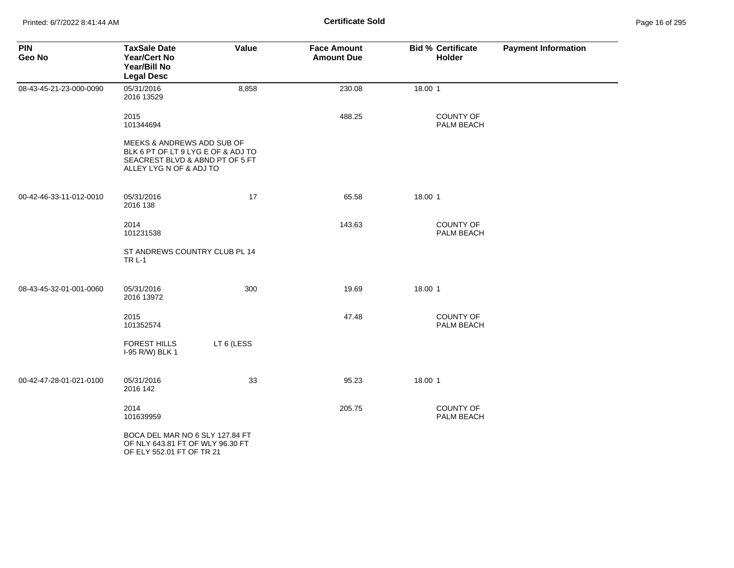| <b>PIN</b><br>Geo No    | <b>TaxSale Date</b><br>Year/Cert No<br>Year/Bill No<br><b>Legal Desc</b>                                                       | Value      | <b>Face Amount</b><br><b>Amount Due</b> | <b>Bid % Certificate</b><br><b>Holder</b> | <b>Payment Information</b> |
|-------------------------|--------------------------------------------------------------------------------------------------------------------------------|------------|-----------------------------------------|-------------------------------------------|----------------------------|
| 08-43-45-21-23-000-0090 | 05/31/2016<br>2016 13529                                                                                                       | 8,858      | 230.08                                  | 18.00 1                                   |                            |
|                         | 2015<br>101344694                                                                                                              |            | 488.25                                  | <b>COUNTY OF</b><br>PALM BEACH            |                            |
|                         | MEEKS & ANDREWS ADD SUB OF<br>BLK 6 PT OF LT 9 LYG E OF & ADJ TO<br>SEACREST BLVD & ABND PT OF 5 FT<br>ALLEY LYG N OF & ADJ TO |            |                                         |                                           |                            |
| 00-42-46-33-11-012-0010 | 05/31/2016<br>2016 138                                                                                                         | 17         | 65.58                                   | 18.00 1                                   |                            |
|                         | 2014<br>101231538                                                                                                              |            | 143.63                                  | <b>COUNTY OF</b><br>PALM BEACH            |                            |
|                         | ST ANDREWS COUNTRY CLUB PL 14<br><b>TRL-1</b>                                                                                  |            |                                         |                                           |                            |
| 08-43-45-32-01-001-0060 | 05/31/2016<br>2016 13972                                                                                                       | 300        | 19.69                                   | 18.00 1                                   |                            |
|                         | 2015<br>101352574                                                                                                              |            | 47.48                                   | <b>COUNTY OF</b><br>PALM BEACH            |                            |
|                         | <b>FOREST HILLS</b><br>I-95 R/W) BLK 1                                                                                         | LT 6 (LESS |                                         |                                           |                            |
| 00-42-47-28-01-021-0100 | 05/31/2016<br>2016 142                                                                                                         | 33         | 95.23                                   | 18.00 1                                   |                            |
|                         | 2014<br>101639959                                                                                                              |            | 205.75                                  | COUNTY OF<br>PALM BEACH                   |                            |
|                         | BOCA DEL MAR NO 6 SLY 127.84 FT<br>OF NLY 643.81 FT OF WLY 96.30 FT<br>OF ELY 552.01 FT OF TR 21                               |            |                                         |                                           |                            |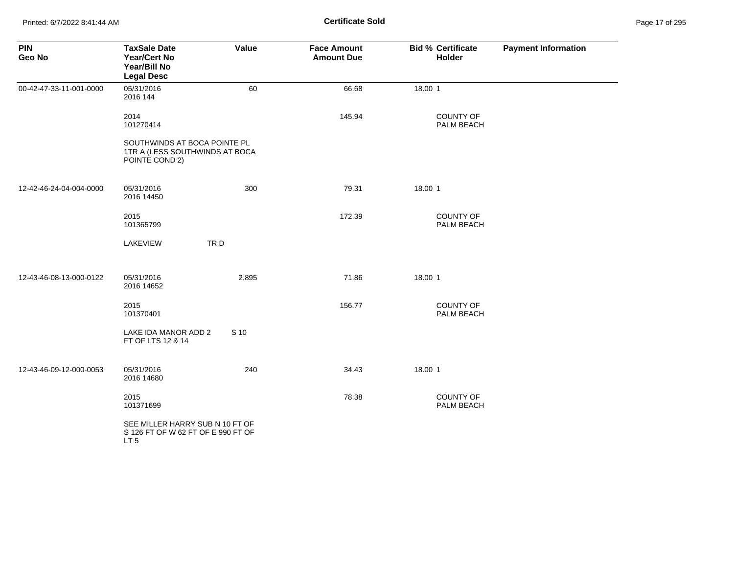| <b>PIN</b><br>Geo No    | <b>TaxSale Date</b><br><b>Year/Cert No</b><br>Year/Bill No<br><b>Legal Desc</b>          | Value | <b>Face Amount</b><br><b>Amount Due</b> | <b>Bid % Certificate</b><br>Holder | <b>Payment Information</b> |
|-------------------------|------------------------------------------------------------------------------------------|-------|-----------------------------------------|------------------------------------|----------------------------|
| 00-42-47-33-11-001-0000 | 05/31/2016<br>2016 144                                                                   | 60    | 66.68                                   | 18.00 1                            |                            |
|                         | 2014<br>101270414                                                                        |       | 145.94                                  | <b>COUNTY OF</b><br>PALM BEACH     |                            |
|                         | SOUTHWINDS AT BOCA POINTE PL<br>1TR A (LESS SOUTHWINDS AT BOCA<br>POINTE COND 2)         |       |                                         |                                    |                            |
| 12-42-46-24-04-004-0000 | 05/31/2016<br>2016 14450                                                                 | 300   | 79.31                                   | 18.00 1                            |                            |
|                         | 2015<br>101365799                                                                        |       | 172.39                                  | COUNTY OF<br>PALM BEACH            |                            |
|                         | TRD<br>LAKEVIEW                                                                          |       |                                         |                                    |                            |
| 12-43-46-08-13-000-0122 | 05/31/2016<br>2016 14652                                                                 | 2,895 | 71.86                                   | 18.00 1                            |                            |
|                         | 2015<br>101370401                                                                        |       | 156.77                                  | COUNTY OF<br>PALM BEACH            |                            |
|                         | LAKE IDA MANOR ADD 2<br>FT OF LTS 12 & 14                                                | S 10  |                                         |                                    |                            |
| 12-43-46-09-12-000-0053 | 05/31/2016<br>2016 14680                                                                 | 240   | 34.43                                   | 18.00 1                            |                            |
|                         | 2015<br>101371699                                                                        |       | 78.38                                   | <b>COUNTY OF</b><br>PALM BEACH     |                            |
|                         | SEE MILLER HARRY SUB N 10 FT OF<br>S 126 FT OF W 62 FT OF E 990 FT OF<br>LT <sub>5</sub> |       |                                         |                                    |                            |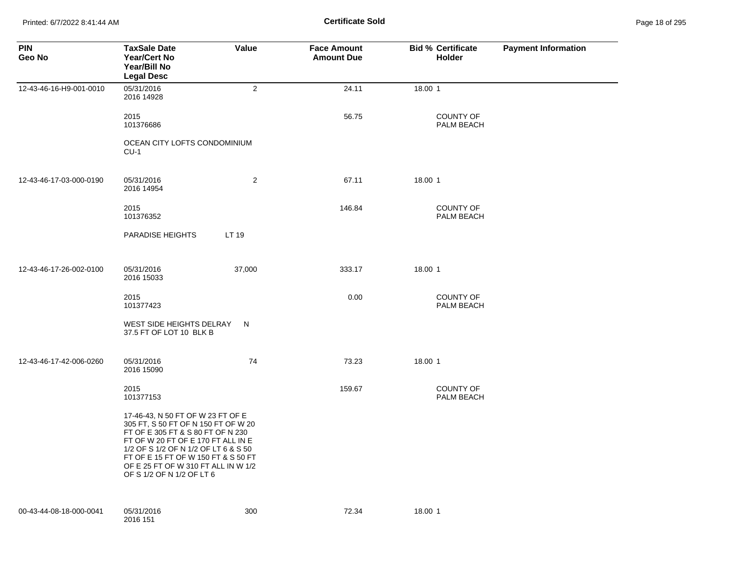Printed: 6/7/2022 8:41:44 AM **Page 18 of 2018** Page 18 of 2018 **Certificate Sold** 

| Page 18 of 295 |  |  |  |
|----------------|--|--|--|
|----------------|--|--|--|

| <b>PIN</b><br>Geo No    | <b>TaxSale Date</b><br><b>Year/Cert No</b><br>Year/Bill No<br><b>Legal Desc</b>                                                                                                                                                                                                                        | Value          | <b>Face Amount</b><br><b>Amount Due</b> | <b>Bid % Certificate</b><br><b>Holder</b> | <b>Payment Information</b> |
|-------------------------|--------------------------------------------------------------------------------------------------------------------------------------------------------------------------------------------------------------------------------------------------------------------------------------------------------|----------------|-----------------------------------------|-------------------------------------------|----------------------------|
| 12-43-46-16-H9-001-0010 | 05/31/2016<br>2016 14928                                                                                                                                                                                                                                                                               | $\overline{2}$ | 24.11                                   | 18.00 1                                   |                            |
|                         | 2015<br>101376686                                                                                                                                                                                                                                                                                      |                | 56.75                                   | <b>COUNTY OF</b><br>PALM BEACH            |                            |
|                         | OCEAN CITY LOFTS CONDOMINIUM<br>$CU-1$                                                                                                                                                                                                                                                                 |                |                                         |                                           |                            |
| 12-43-46-17-03-000-0190 | 05/31/2016<br>2016 14954                                                                                                                                                                                                                                                                               | 2              | 67.11                                   | 18.00 1                                   |                            |
|                         | 2015<br>101376352                                                                                                                                                                                                                                                                                      |                | 146.84                                  | <b>COUNTY OF</b><br>PALM BEACH            |                            |
|                         | <b>PARADISE HEIGHTS</b>                                                                                                                                                                                                                                                                                | LT 19          |                                         |                                           |                            |
| 12-43-46-17-26-002-0100 | 05/31/2016<br>2016 15033                                                                                                                                                                                                                                                                               | 37,000         | 333.17                                  | 18.00 1                                   |                            |
|                         | 2015<br>101377423                                                                                                                                                                                                                                                                                      |                | 0.00                                    | <b>COUNTY OF</b><br>PALM BEACH            |                            |
|                         | WEST SIDE HEIGHTS DELRAY<br>37.5 FT OF LOT 10 BLK B                                                                                                                                                                                                                                                    | N              |                                         |                                           |                            |
| 12-43-46-17-42-006-0260 | 05/31/2016<br>2016 15090                                                                                                                                                                                                                                                                               | 74             | 73.23                                   | 18.00 1                                   |                            |
|                         | 2015<br>101377153                                                                                                                                                                                                                                                                                      |                | 159.67                                  | <b>COUNTY OF</b><br>PALM BEACH            |                            |
|                         | 17-46-43, N 50 FT OF W 23 FT OF E<br>305 FT, S 50 FT OF N 150 FT OF W 20<br>FT OF E 305 FT & S 80 FT OF N 230<br>FT OF W 20 FT OF E 170 FT ALL IN E<br>1/2 OF S 1/2 OF N 1/2 OF LT 6 & S 50<br>FT OF E 15 FT OF W 150 FT & S 50 FT<br>OF E 25 FT OF W 310 FT ALL IN W 1/2<br>OF S 1/2 OF N 1/2 OF LT 6 |                |                                         |                                           |                            |
| 00-43-44-08-18-000-0041 | 05/31/2016<br>2016 151                                                                                                                                                                                                                                                                                 | 300            | 72.34                                   | 18.00 1                                   |                            |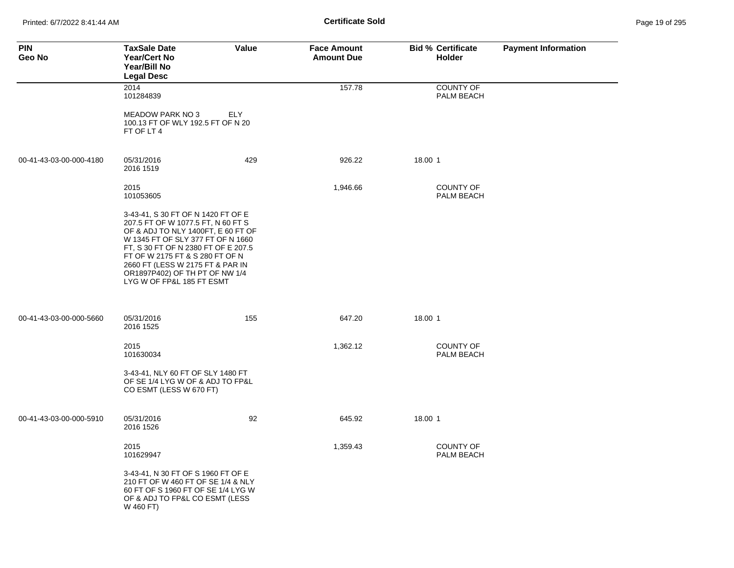Printed: 6/7/2022 8:41:44 AM **Certificate Sold** Page 19 of 295

| <b>PIN</b><br>Geo No    | <b>TaxSale Date</b><br><b>Year/Cert No</b><br>Year/Bill No<br><b>Legal Desc</b>                                                                                                                                                                                                                                                  | Value | <b>Face Amount</b><br><b>Amount Due</b> | <b>Bid % Certificate</b><br><b>Holder</b> | <b>Payment Information</b> |
|-------------------------|----------------------------------------------------------------------------------------------------------------------------------------------------------------------------------------------------------------------------------------------------------------------------------------------------------------------------------|-------|-----------------------------------------|-------------------------------------------|----------------------------|
|                         | 2014<br>101284839                                                                                                                                                                                                                                                                                                                |       | 157.78                                  | <b>COUNTY OF</b><br>PALM BEACH            |                            |
|                         | <b>MEADOW PARK NO 3</b><br>100.13 FT OF WLY 192.5 FT OF N 20<br>FT OF LT 4                                                                                                                                                                                                                                                       | ELY   |                                         |                                           |                            |
| 00-41-43-03-00-000-4180 | 05/31/2016<br>2016 1519                                                                                                                                                                                                                                                                                                          | 429   | 926.22                                  | 18.00 1                                   |                            |
|                         | 2015<br>101053605                                                                                                                                                                                                                                                                                                                |       | 1,946.66                                | <b>COUNTY OF</b><br>PALM BEACH            |                            |
|                         | 3-43-41, S 30 FT OF N 1420 FT OF E<br>207.5 FT OF W 1077.5 FT, N 60 FT S<br>OF & ADJ TO NLY 1400FT, E 60 FT OF<br>W 1345 FT OF SLY 377 FT OF N 1660<br>FT, S 30 FT OF N 2380 FT OF E 207.5<br>FT OF W 2175 FT & S 280 FT OF N<br>2660 FT (LESS W 2175 FT & PAR IN<br>OR1897P402) OF TH PT OF NW 1/4<br>LYG W OF FP&L 185 FT ESMT |       |                                         |                                           |                            |
| 00-41-43-03-00-000-5660 | 05/31/2016<br>2016 1525                                                                                                                                                                                                                                                                                                          | 155   | 647.20                                  | 18.00 1                                   |                            |
|                         | 2015<br>101630034                                                                                                                                                                                                                                                                                                                |       | 1,362.12                                | <b>COUNTY OF</b><br>PALM BEACH            |                            |
|                         | 3-43-41, NLY 60 FT OF SLY 1480 FT<br>OF SE 1/4 LYG W OF & ADJ TO FP&L<br>CO ESMT (LESS W 670 FT)                                                                                                                                                                                                                                 |       |                                         |                                           |                            |
| 00-41-43-03-00-000-5910 | 05/31/2016<br>2016 1526                                                                                                                                                                                                                                                                                                          | 92    | 645.92                                  | 18.00 1                                   |                            |
|                         | 2015<br>101629947                                                                                                                                                                                                                                                                                                                |       | 1,359.43                                | <b>COUNTY OF</b><br>PALM BEACH            |                            |
|                         | 3-43-41, N 30 FT OF S 1960 FT OF E<br>210 FT OF W 460 FT OF SE 1/4 & NLY<br>60 FT OF S 1960 FT OF SE 1/4 LYG W<br>OF & ADJ TO FP&L CO ESMT (LESS<br>W 460 FT)                                                                                                                                                                    |       |                                         |                                           |                            |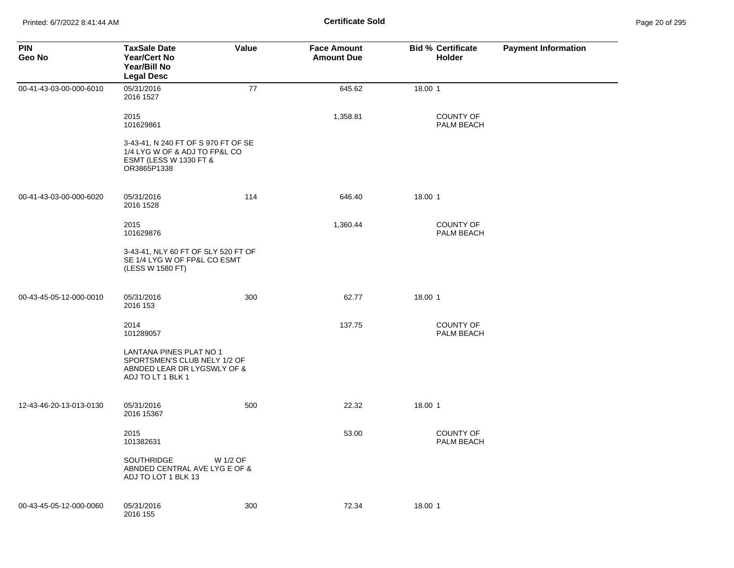| <b>PIN</b><br>Geo No    | <b>TaxSale Date</b><br><b>Year/Cert No</b><br>Year/Bill No<br><b>Legal Desc</b>                               | Value    | <b>Face Amount</b><br><b>Amount Due</b> | <b>Bid % Certificate</b><br><b>Holder</b> | <b>Payment Information</b> |
|-------------------------|---------------------------------------------------------------------------------------------------------------|----------|-----------------------------------------|-------------------------------------------|----------------------------|
| 00-41-43-03-00-000-6010 | 05/31/2016<br>2016 1527                                                                                       | 77       | 645.62                                  | 18.00 1                                   |                            |
|                         | 2015<br>101629861                                                                                             |          | 1,358.81                                | <b>COUNTY OF</b><br>PALM BEACH            |                            |
|                         | 3-43-41, N 240 FT OF S 970 FT OF SE<br>1/4 LYG W OF & ADJ TO FP&L CO<br>ESMT (LESS W 1330 FT &<br>OR3865P1338 |          |                                         |                                           |                            |
| 00-41-43-03-00-000-6020 | 05/31/2016<br>2016 1528                                                                                       | 114      | 646.40                                  | 18.00 1                                   |                            |
|                         | 2015<br>101629876                                                                                             |          | 1,360.44                                | <b>COUNTY OF</b><br>PALM BEACH            |                            |
|                         | 3-43-41, NLY 60 FT OF SLY 520 FT OF<br>SE 1/4 LYG W OF FP&L CO ESMT<br>(LESS W 1580 FT)                       |          |                                         |                                           |                            |
| 00-43-45-05-12-000-0010 | 05/31/2016<br>2016 153                                                                                        | 300      | 62.77                                   | 18.00 1                                   |                            |
|                         | 2014<br>101289057                                                                                             |          | 137.75                                  | <b>COUNTY OF</b><br>PALM BEACH            |                            |
|                         | LANTANA PINES PLAT NO 1<br>SPORTSMEN'S CLUB NELY 1/2 OF<br>ABNDED LEAR DR LYGSWLY OF &<br>ADJ TO LT 1 BLK 1   |          |                                         |                                           |                            |
| 12-43-46-20-13-013-0130 | 05/31/2016<br>2016 15367                                                                                      | 500      | 22.32                                   | 18.00 1                                   |                            |
|                         | 2015<br>101382631                                                                                             |          | 53.00                                   | <b>COUNTY OF</b><br>PALM BEACH            |                            |
|                         | <b>SOUTHRIDGE</b><br>ABNDED CENTRAL AVE LYG E OF &<br>ADJ TO LOT 1 BLK 13                                     | W 1/2 OF |                                         |                                           |                            |
| 00-43-45-05-12-000-0060 | 05/31/2016<br>2016 155                                                                                        | 300      | 72.34                                   | 18.00 1                                   |                            |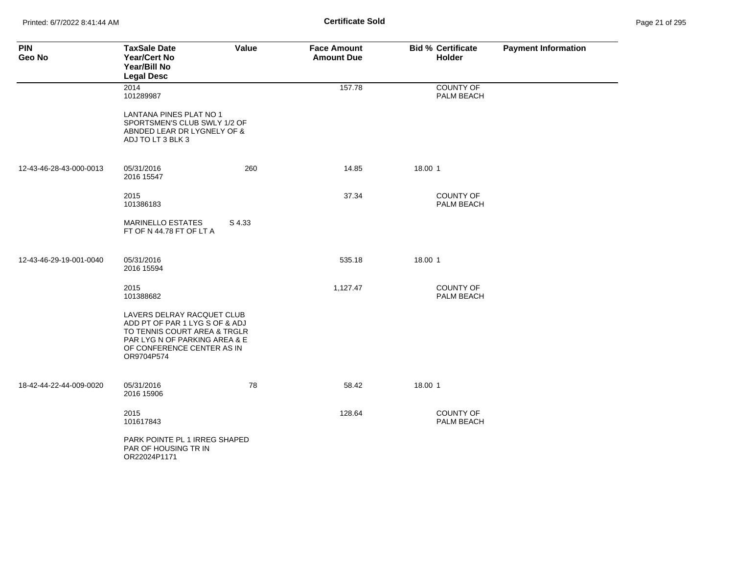Printed: 6/7/2022 8:41:44 AM **Certificate Sold** Page 21 of 295

| <b>PIN</b><br>Geo No    | <b>TaxSale Date</b><br><b>Year/Cert No</b><br>Year/Bill No<br><b>Legal Desc</b>                                                                                           | Value  | <b>Face Amount</b><br><b>Amount Due</b> | <b>Bid % Certificate</b><br>Holder | <b>Payment Information</b> |
|-------------------------|---------------------------------------------------------------------------------------------------------------------------------------------------------------------------|--------|-----------------------------------------|------------------------------------|----------------------------|
|                         | 2014<br>101289987<br>LANTANA PINES PLAT NO 1                                                                                                                              |        | 157.78                                  | <b>COUNTY OF</b><br>PALM BEACH     |                            |
|                         | SPORTSMEN'S CLUB SWLY 1/2 OF<br>ABNDED LEAR DR LYGNELY OF &<br>ADJ TO LT 3 BLK 3                                                                                          |        |                                         |                                    |                            |
| 12-43-46-28-43-000-0013 | 05/31/2016<br>2016 15547                                                                                                                                                  | 260    | 14.85                                   | 18.00 1                            |                            |
|                         | 2015<br>101386183                                                                                                                                                         |        | 37.34                                   | <b>COUNTY OF</b><br>PALM BEACH     |                            |
|                         | <b>MARINELLO ESTATES</b><br>FT OF N 44.78 FT OF LT A                                                                                                                      | S 4.33 |                                         |                                    |                            |
| 12-43-46-29-19-001-0040 | 05/31/2016<br>2016 15594                                                                                                                                                  |        | 535.18                                  | 18.00 1                            |                            |
|                         | 2015<br>101388682                                                                                                                                                         |        | 1,127.47                                | <b>COUNTY OF</b><br>PALM BEACH     |                            |
|                         | LAVERS DELRAY RACQUET CLUB<br>ADD PT OF PAR 1 LYG S OF & ADJ<br>TO TENNIS COURT AREA & TRGLR<br>PAR LYG N OF PARKING AREA & E<br>OF CONFERENCE CENTER AS IN<br>OR9704P574 |        |                                         |                                    |                            |
| 18-42-44-22-44-009-0020 | 05/31/2016<br>2016 15906                                                                                                                                                  | 78     | 58.42                                   | 18.00 1                            |                            |
|                         | 2015<br>101617843                                                                                                                                                         |        | 128.64                                  | <b>COUNTY OF</b><br>PALM BEACH     |                            |
|                         | PARK POINTE PL 1 IRREG SHAPED<br>PAR OF HOUSING TR IN<br>OR22024P1171                                                                                                     |        |                                         |                                    |                            |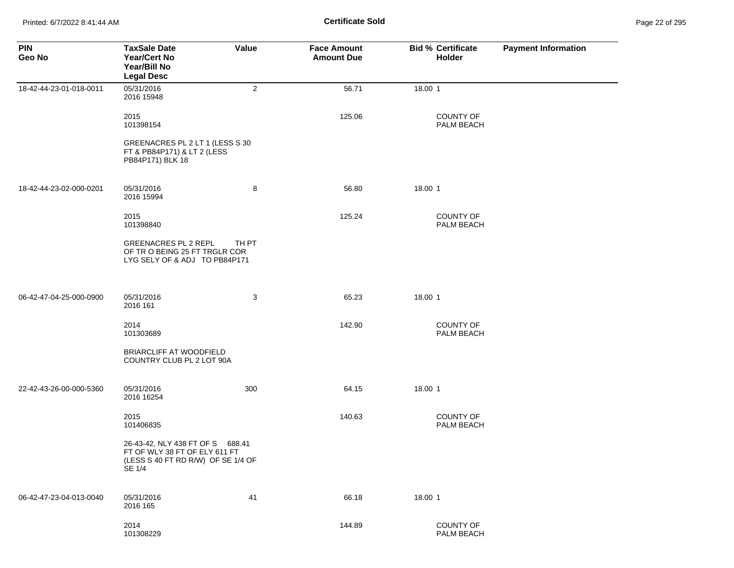Printed: 6/7/2022 8:41:44 AM **Page 22 of 2018** Page 22 of 2018 **Certificate Sold** 

| Page 22 of 295 |  |  |  |
|----------------|--|--|--|
|----------------|--|--|--|

| <b>PIN</b><br>Geo No    | <b>TaxSale Date</b><br><b>Year/Cert No</b><br>Year/Bill No<br><b>Legal Desc</b>                                   | Value          | <b>Face Amount</b><br><b>Amount Due</b> | <b>Bid % Certificate</b><br>Holder | <b>Payment Information</b> |
|-------------------------|-------------------------------------------------------------------------------------------------------------------|----------------|-----------------------------------------|------------------------------------|----------------------------|
| 18-42-44-23-01-018-0011 | 05/31/2016<br>2016 15948                                                                                          | $\overline{c}$ | 56.71                                   | 18.00 1                            |                            |
|                         | 2015<br>101398154                                                                                                 |                | 125.06                                  | COUNTY OF<br>PALM BEACH            |                            |
|                         | GREENACRES PL 2 LT 1 (LESS S 30<br>FT & PB84P171) & LT 2 (LESS<br>PB84P171) BLK 18                                |                |                                         |                                    |                            |
| 18-42-44-23-02-000-0201 | 05/31/2016<br>2016 15994                                                                                          | 8              | 56.80                                   | 18.00 1                            |                            |
|                         | 2015<br>101398840                                                                                                 |                | 125.24                                  | COUNTY OF<br>PALM BEACH            |                            |
|                         | <b>GREENACRES PL 2 REPL</b><br>OF TR O BEING 25 FT TRGLR COR<br>LYG SELY OF & ADJ TO PB84P171                     | TH PT          |                                         |                                    |                            |
| 06-42-47-04-25-000-0900 | 05/31/2016<br>2016 161                                                                                            | 3              | 65.23                                   | 18.00 1                            |                            |
|                         | 2014<br>101303689                                                                                                 |                | 142.90                                  | COUNTY OF<br>PALM BEACH            |                            |
|                         | <b>BRIARCLIFF AT WOODFIELD</b><br>COUNTRY CLUB PL 2 LOT 90A                                                       |                |                                         |                                    |                            |
| 22-42-43-26-00-000-5360 | 05/31/2016<br>2016 16254                                                                                          | 300            | 64.15                                   | 18.00 1                            |                            |
|                         | 2015<br>101406835                                                                                                 |                | 140.63                                  | COUNTY OF<br>PALM BEACH            |                            |
|                         | 26-43-42, NLY 438 FT OF S 688.41<br>FT OF WLY 38 FT OF ELY 611 FT<br>(LESS S 40 FT RD R/W) OF SE 1/4 OF<br>SE 1/4 |                |                                         |                                    |                            |
| 06-42-47-23-04-013-0040 | 05/31/2016<br>2016 165                                                                                            | 41             | 66.18                                   | 18.00 1                            |                            |
|                         | 2014<br>101308229                                                                                                 |                | 144.89                                  | COUNTY OF<br>PALM BEACH            |                            |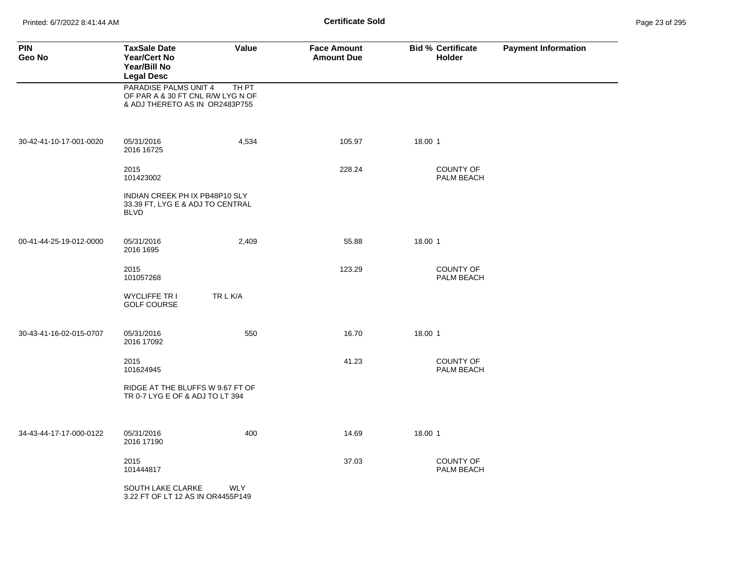Printed: 6/7/2022 8:41:44 AM **Certificate Sold** Page 23 of 295

| <b>PIN</b><br>Geo No    | <b>TaxSale Date</b><br><b>Year/Cert No</b><br><b>Year/Bill No</b><br><b>Legal Desc</b>       | Value      | <b>Face Amount</b><br><b>Amount Due</b> | <b>Bid % Certificate</b><br><b>Holder</b> | <b>Payment Information</b> |
|-------------------------|----------------------------------------------------------------------------------------------|------------|-----------------------------------------|-------------------------------------------|----------------------------|
|                         | PARADISE PALMS UNIT 4<br>OF PAR A & 30 FT CNL R/W LYG N OF<br>& ADJ THERETO AS IN OR2483P755 | TH PT      |                                         |                                           |                            |
| 30-42-41-10-17-001-0020 | 05/31/2016<br>2016 16725                                                                     | 4,534      | 105.97                                  | 18.00 1                                   |                            |
|                         | 2015<br>101423002                                                                            |            | 228.24                                  | <b>COUNTY OF</b><br>PALM BEACH            |                            |
|                         | INDIAN CREEK PH IX PB48P10 SLY<br>33.39 FT, LYG E & ADJ TO CENTRAL<br><b>BLVD</b>            |            |                                         |                                           |                            |
| 00-41-44-25-19-012-0000 | 05/31/2016<br>2016 1695                                                                      | 2,409      | 55.88                                   | 18.00 1                                   |                            |
|                         | 2015<br>101057268                                                                            |            | 123.29                                  | <b>COUNTY OF</b><br>PALM BEACH            |                            |
|                         | <b>WYCLIFFE TR I</b><br><b>GOLF COURSE</b>                                                   | TR L K/A   |                                         |                                           |                            |
| 30-43-41-16-02-015-0707 | 05/31/2016<br>2016 17092                                                                     | 550        | 16.70                                   | 18.00 1                                   |                            |
|                         | 2015<br>101624945                                                                            |            | 41.23                                   | <b>COUNTY OF</b><br>PALM BEACH            |                            |
|                         | RIDGE AT THE BLUFFS W 9.67 FT OF<br>TR 0-7 LYG E OF & ADJ TO LT 394                          |            |                                         |                                           |                            |
| 34-43-44-17-17-000-0122 | 05/31/2016<br>2016 17190                                                                     | 400        | 14.69                                   | 18.00 1                                   |                            |
|                         | 2015<br>101444817                                                                            |            | 37.03                                   | <b>COUNTY OF</b><br>PALM BEACH            |                            |
|                         | SOUTH LAKE CLARKE<br>3.22 FT OF LT 12 AS IN OR4455P149                                       | <b>WLY</b> |                                         |                                           |                            |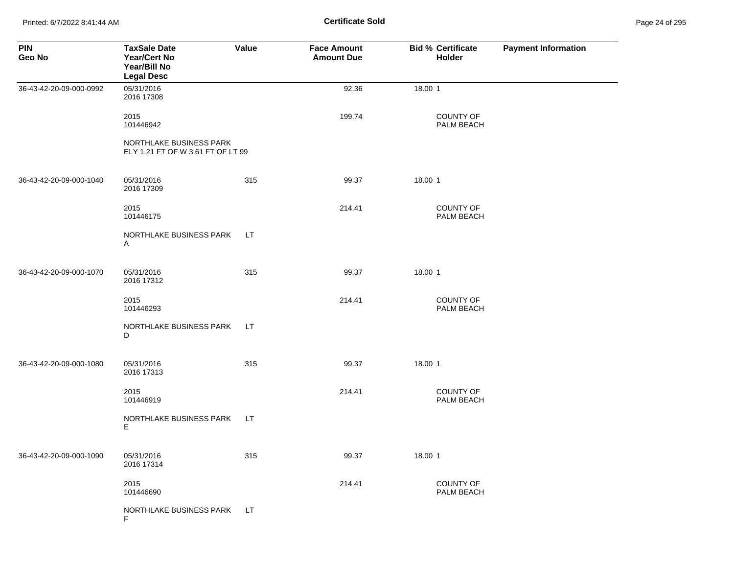Printed: 6/7/2022 8:41:44 AM **Certificate Sold** Page 24 of 295

| <b>PIN</b><br>Geo No    | <b>TaxSale Date</b><br><b>Year/Cert No</b><br>Year/Bill No<br><b>Legal Desc</b> | <b>Value</b> | <b>Face Amount</b><br><b>Amount Due</b> | <b>Bid % Certificate</b><br>Holder | <b>Payment Information</b> |
|-------------------------|---------------------------------------------------------------------------------|--------------|-----------------------------------------|------------------------------------|----------------------------|
| 36-43-42-20-09-000-0992 | 05/31/2016<br>2016 17308                                                        |              | 92.36                                   | 18.00 1                            |                            |
|                         | 2015<br>101446942                                                               |              | 199.74                                  | COUNTY OF<br>PALM BEACH            |                            |
|                         | NORTHLAKE BUSINESS PARK<br>ELY 1.21 FT OF W 3.61 FT OF LT 99                    |              |                                         |                                    |                            |
| 36-43-42-20-09-000-1040 | 05/31/2016<br>2016 17309                                                        | 315          | 99.37                                   | 18.00 1                            |                            |
|                         | 2015<br>101446175                                                               |              | 214.41                                  | <b>COUNTY OF</b><br>PALM BEACH     |                            |
|                         | NORTHLAKE BUSINESS PARK<br>A                                                    | LT.          |                                         |                                    |                            |
| 36-43-42-20-09-000-1070 | 05/31/2016<br>2016 17312                                                        | 315          | 99.37                                   | 18.00 1                            |                            |
|                         | 2015<br>101446293                                                               |              | 214.41                                  | COUNTY OF<br>PALM BEACH            |                            |
|                         | NORTHLAKE BUSINESS PARK<br>D                                                    | LT.          |                                         |                                    |                            |
| 36-43-42-20-09-000-1080 | 05/31/2016<br>2016 17313                                                        | 315          | 99.37                                   | 18.00 1                            |                            |
|                         | 2015<br>101446919                                                               |              | 214.41                                  | COUNTY OF<br>PALM BEACH            |                            |
|                         | NORTHLAKE BUSINESS PARK<br>E.                                                   | LT.          |                                         |                                    |                            |
| 36-43-42-20-09-000-1090 | 05/31/2016<br>2016 17314                                                        | 315          | 99.37                                   | 18.00 1                            |                            |
|                         | 2015<br>101446690                                                               |              | 214.41                                  | COUNTY OF<br>PALM BEACH            |                            |
|                         | NORTHLAKE BUSINESS PARK<br>F                                                    | LT.          |                                         |                                    |                            |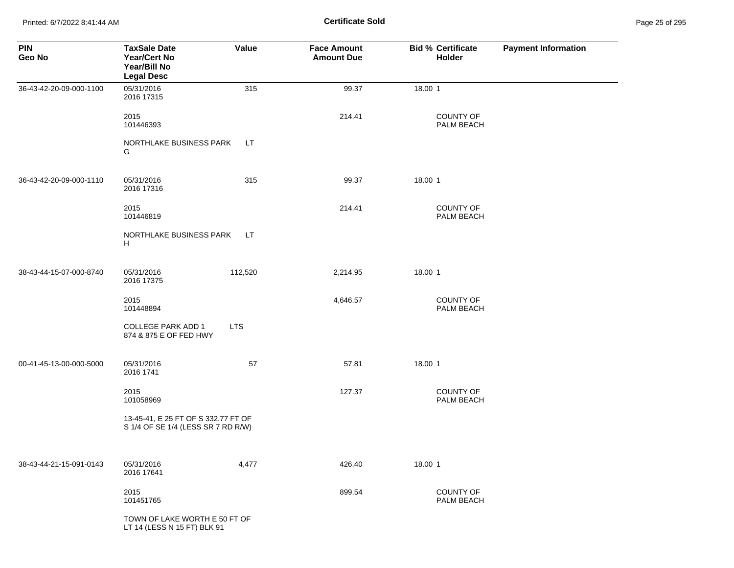Printed: 6/7/2022 8:41:44 AM **Page 25 of 25 of 25 of 25 of 25 of 25 of 25 of 25 of 25 of 25 of 25 of 25 of 25 of 25 of 25 of 25 of 25 of 25 of 25 of 25 of 25 of 25 of 25 of 25 of 25 of 25 of 25 of 25 of 25 of 25 of 25 of 2** 

| <b>PIN</b><br>Geo No    | <b>TaxSale Date</b><br>Year/Cert No<br>Year/Bill No<br><b>Legal Desc</b>  | Value      | <b>Face Amount</b><br><b>Amount Due</b> | <b>Bid % Certificate</b><br>Holder | <b>Payment Information</b> |
|-------------------------|---------------------------------------------------------------------------|------------|-----------------------------------------|------------------------------------|----------------------------|
| 36-43-42-20-09-000-1100 | 05/31/2016<br>2016 17315                                                  | 315        | 99.37                                   | 18.00 1                            |                            |
|                         | 2015<br>101446393                                                         |            | 214.41                                  | COUNTY OF<br>PALM BEACH            |                            |
|                         | NORTHLAKE BUSINESS PARK<br>G                                              | LT         |                                         |                                    |                            |
| 36-43-42-20-09-000-1110 | 05/31/2016<br>2016 17316                                                  | 315        | 99.37                                   | 18.00 1                            |                            |
|                         | 2015<br>101446819                                                         |            | 214.41                                  | COUNTY OF<br>PALM BEACH            |                            |
|                         | NORTHLAKE BUSINESS PARK<br>H                                              | LT.        |                                         |                                    |                            |
| 38-43-44-15-07-000-8740 | 05/31/2016<br>2016 17375                                                  | 112,520    | 2,214.95                                | 18.00 1                            |                            |
|                         | 2015<br>101448894                                                         |            | 4,646.57                                | COUNTY OF<br>PALM BEACH            |                            |
|                         | COLLEGE PARK ADD 1<br>874 & 875 E OF FED HWY                              | <b>LTS</b> |                                         |                                    |                            |
| 00-41-45-13-00-000-5000 | 05/31/2016<br>2016 1741                                                   | 57         | 57.81                                   | 18.00 1                            |                            |
|                         | 2015<br>101058969                                                         |            | 127.37                                  | COUNTY OF<br>PALM BEACH            |                            |
|                         | 13-45-41, E 25 FT OF S 332.77 FT OF<br>S 1/4 OF SE 1/4 (LESS SR 7 RD R/W) |            |                                         |                                    |                            |
| 38-43-44-21-15-091-0143 | 05/31/2016<br>2016 17641                                                  | 4,477      | 426.40                                  | 18.00 1                            |                            |
|                         | 2015<br>101451765                                                         |            | 899.54                                  | COUNTY OF<br>PALM BEACH            |                            |
|                         | TOWN OF LAKE WORTH E 50 FT OF<br>LT 14 (LESS N 15 FT) BLK 91              |            |                                         |                                    |                            |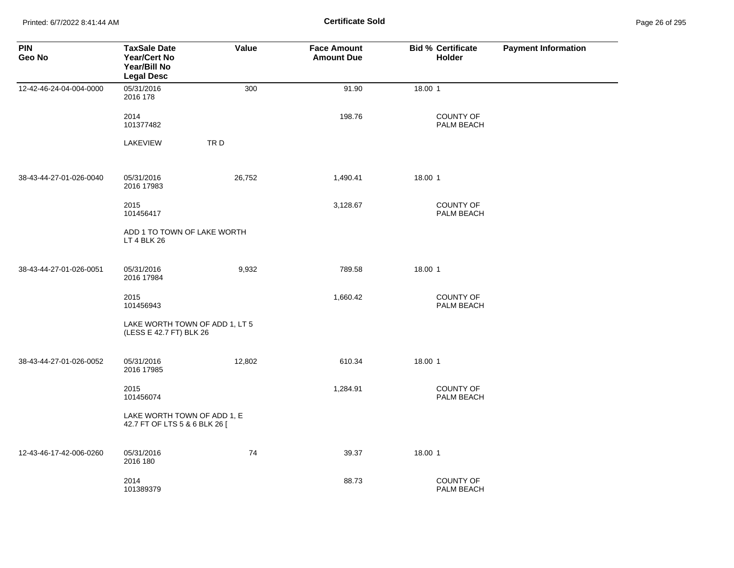Printed: 6/7/2022 8:41:44 AM **Page 26:41:44 AM** Page 26:41:44 AM

| Page 26 of 295 |  |  |  |
|----------------|--|--|--|
|----------------|--|--|--|

| <b>PIN</b><br>Geo No    | <b>TaxSale Date</b><br><b>Year/Cert No</b><br>Year/Bill No<br><b>Legal Desc</b> | Value  | <b>Face Amount</b><br><b>Amount Due</b> | <b>Bid % Certificate</b><br>Holder | <b>Payment Information</b> |
|-------------------------|---------------------------------------------------------------------------------|--------|-----------------------------------------|------------------------------------|----------------------------|
| 12-42-46-24-04-004-0000 | 05/31/2016<br>2016 178                                                          | 300    | 91.90                                   | 18.00 1                            |                            |
|                         | 2014<br>101377482                                                               |        | 198.76                                  | <b>COUNTY OF</b><br>PALM BEACH     |                            |
|                         | LAKEVIEW                                                                        | TRD    |                                         |                                    |                            |
| 38-43-44-27-01-026-0040 | 05/31/2016<br>2016 17983                                                        | 26,752 | 1,490.41                                | 18.00 1                            |                            |
|                         | 2015<br>101456417                                                               |        | 3,128.67                                | <b>COUNTY OF</b><br>PALM BEACH     |                            |
|                         | ADD 1 TO TOWN OF LAKE WORTH<br>LT 4 BLK 26                                      |        |                                         |                                    |                            |
| 38-43-44-27-01-026-0051 | 05/31/2016<br>2016 17984                                                        | 9,932  | 789.58                                  | 18.00 1                            |                            |
|                         | 2015<br>101456943                                                               |        | 1,660.42                                | <b>COUNTY OF</b><br>PALM BEACH     |                            |
|                         | LAKE WORTH TOWN OF ADD 1, LT 5<br>(LESS E 42.7 FT) BLK 26                       |        |                                         |                                    |                            |
| 38-43-44-27-01-026-0052 | 05/31/2016<br>2016 17985                                                        | 12,802 | 610.34                                  | 18.00 1                            |                            |
|                         | 2015<br>101456074                                                               |        | 1,284.91                                | <b>COUNTY OF</b><br>PALM BEACH     |                            |
|                         | LAKE WORTH TOWN OF ADD 1, E<br>42.7 FT OF LTS 5 & 6 BLK 26 [                    |        |                                         |                                    |                            |
| 12-43-46-17-42-006-0260 | 05/31/2016<br>2016 180                                                          | 74     | 39.37                                   | 18.00 1                            |                            |
|                         | 2014<br>101389379                                                               |        | 88.73                                   | <b>COUNTY OF</b><br>PALM BEACH     |                            |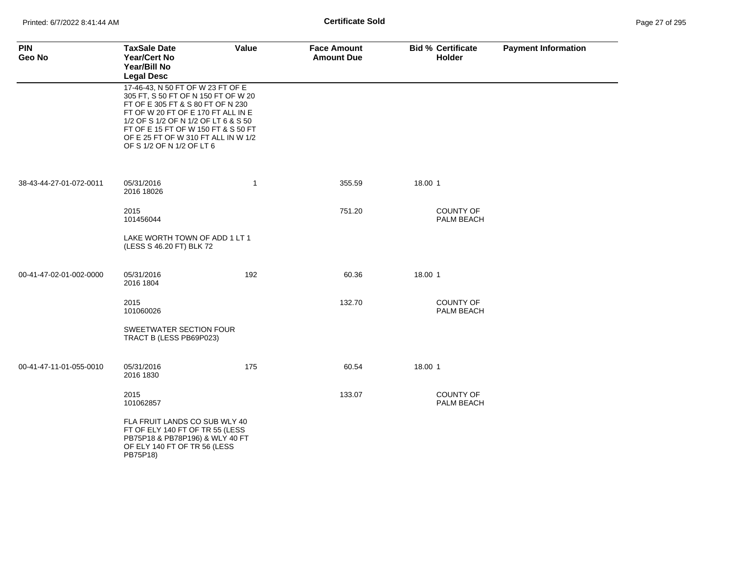| <b>PIN</b><br>Geo No    | <b>TaxSale Date</b><br><b>Year/Cert No</b><br>Year/Bill No<br><b>Legal Desc</b>                                                                                                                                                                                                                        | Value        | <b>Face Amount</b><br><b>Amount Due</b> | <b>Bid % Certificate</b><br><b>Holder</b> | <b>Payment Information</b> |
|-------------------------|--------------------------------------------------------------------------------------------------------------------------------------------------------------------------------------------------------------------------------------------------------------------------------------------------------|--------------|-----------------------------------------|-------------------------------------------|----------------------------|
|                         | 17-46-43, N 50 FT OF W 23 FT OF E<br>305 FT, S 50 FT OF N 150 FT OF W 20<br>FT OF E 305 FT & S 80 FT OF N 230<br>FT OF W 20 FT OF E 170 FT ALL IN E<br>1/2 OF S 1/2 OF N 1/2 OF LT 6 & S 50<br>FT OF E 15 FT OF W 150 FT & S 50 FT<br>OF E 25 FT OF W 310 FT ALL IN W 1/2<br>OF S 1/2 OF N 1/2 OF LT 6 |              |                                         |                                           |                            |
| 38-43-44-27-01-072-0011 | 05/31/2016<br>2016 18026                                                                                                                                                                                                                                                                               | $\mathbf{1}$ | 355.59                                  | 18.00 1                                   |                            |
|                         | 2015<br>101456044                                                                                                                                                                                                                                                                                      |              | 751.20                                  | <b>COUNTY OF</b><br>PALM BEACH            |                            |
|                         | LAKE WORTH TOWN OF ADD 1 LT 1<br>(LESS S 46.20 FT) BLK 72                                                                                                                                                                                                                                              |              |                                         |                                           |                            |
| 00-41-47-02-01-002-0000 | 05/31/2016<br>2016 1804                                                                                                                                                                                                                                                                                | 192          | 60.36                                   | 18.00 1                                   |                            |
|                         | 2015<br>101060026                                                                                                                                                                                                                                                                                      |              | 132.70                                  | <b>COUNTY OF</b><br>PALM BEACH            |                            |
|                         | SWEETWATER SECTION FOUR<br>TRACT B (LESS PB69P023)                                                                                                                                                                                                                                                     |              |                                         |                                           |                            |
| 00-41-47-11-01-055-0010 | 05/31/2016<br>2016 1830                                                                                                                                                                                                                                                                                | 175          | 60.54                                   | 18.00 1                                   |                            |
|                         | 2015<br>101062857                                                                                                                                                                                                                                                                                      |              | 133.07                                  | <b>COUNTY OF</b><br>PALM BEACH            |                            |
|                         | FLA FRUIT LANDS CO SUB WLY 40<br>FT OF ELY 140 FT OF TR 55 (LESS<br>PB75P18 & PB78P196) & WLY 40 FT<br>OF ELY 140 FT OF TR 56 (LESS<br>PB75P18)                                                                                                                                                        |              |                                         |                                           |                            |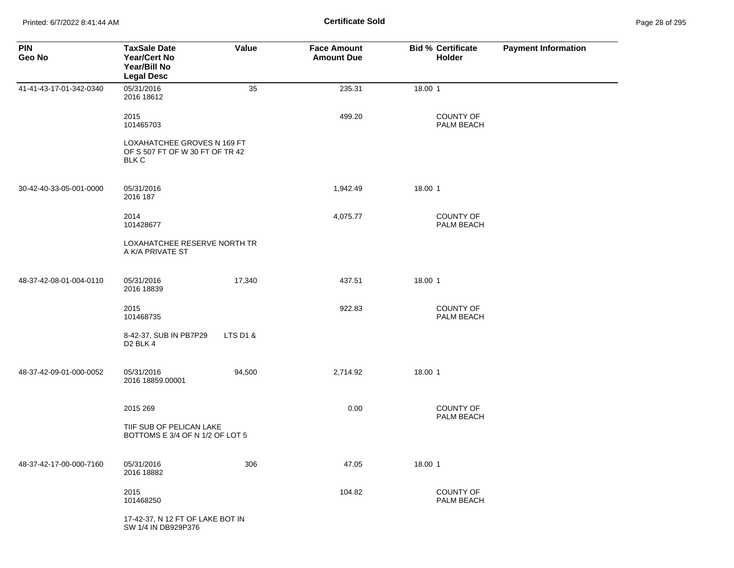Printed: 6/7/2022 8:41:44 AM **Certificate Sold** Page 28 of 295

| <b>PIN</b><br>Geo No    | <b>TaxSale Date</b><br>Year/Cert No<br>Year/Bill No<br><b>Legal Desc</b> | <b>Value</b> | <b>Face Amount</b><br><b>Amount Due</b> | <b>Bid % Certificate</b><br>Holder | <b>Payment Information</b> |
|-------------------------|--------------------------------------------------------------------------|--------------|-----------------------------------------|------------------------------------|----------------------------|
| 41-41-43-17-01-342-0340 | 05/31/2016<br>2016 18612                                                 | 35           | 235.31                                  | 18.00 1                            |                            |
|                         | 2015<br>101465703                                                        |              | 499.20                                  | <b>COUNTY OF</b><br>PALM BEACH     |                            |
|                         | LOXAHATCHEE GROVES N 169 FT<br>OF S 507 FT OF W 30 FT OF TR 42<br>BLK C  |              |                                         |                                    |                            |
| 30-42-40-33-05-001-0000 | 05/31/2016<br>2016 187                                                   |              | 1,942.49                                | 18.00 1                            |                            |
|                         | 2014<br>101428677                                                        |              | 4,075.77                                | <b>COUNTY OF</b><br>PALM BEACH     |                            |
|                         | LOXAHATCHEE RESERVE NORTH TR<br>A K/A PRIVATE ST                         |              |                                         |                                    |                            |
| 48-37-42-08-01-004-0110 | 05/31/2016<br>2016 18839                                                 | 17,340       | 437.51                                  | 18.00 1                            |                            |
|                         | 2015<br>101468735                                                        |              | 922.83                                  | COUNTY OF<br>PALM BEACH            |                            |
|                         | 8-42-37, SUB IN PB7P29<br>D <sub>2</sub> BLK 4                           | LTS D1 &     |                                         |                                    |                            |
| 48-37-42-09-01-000-0052 | 05/31/2016<br>2016 18859.00001                                           | 94,500       | 2,714.92                                | 18.00 1                            |                            |
|                         | 2015 269                                                                 |              | 0.00                                    | COUNTY OF<br>PALM BEACH            |                            |
|                         | TIIF SUB OF PELICAN LAKE<br>BOTTOMS E 3/4 OF N 1/2 OF LOT 5              |              |                                         |                                    |                            |
| 48-37-42-17-00-000-7160 | 05/31/2016<br>2016 18882                                                 | 306          | 47.05                                   | 18.00 1                            |                            |
|                         | 2015<br>101468250                                                        |              | 104.82                                  | COUNTY OF<br>PALM BEACH            |                            |
|                         | 17-42-37, N 12 FT OF LAKE BOT IN<br>SW 1/4 IN DB929P376                  |              |                                         |                                    |                            |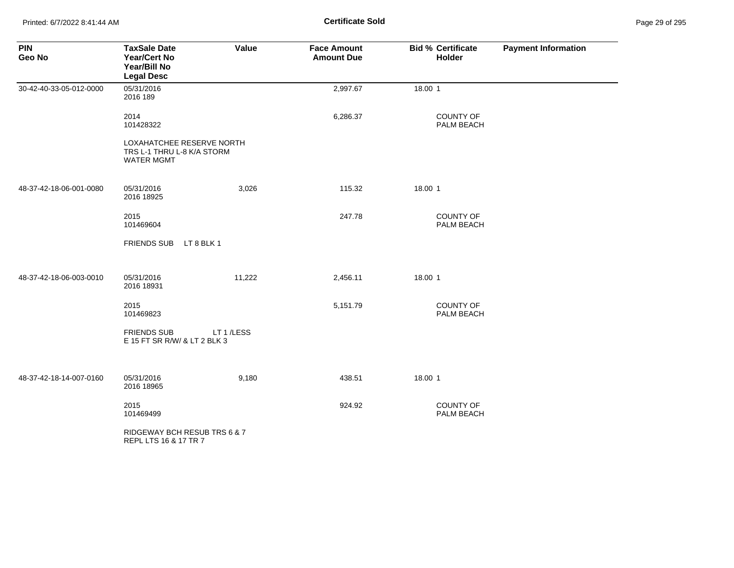Printed: 6/7/2022 8:41:44 AM **Certificate Sold** Page 29 of 295

| <b>PIN</b><br>Geo No    | <b>TaxSale Date</b><br><b>Year/Cert No</b><br>Year/Bill No<br><b>Legal Desc</b> | Value     | <b>Face Amount</b><br><b>Amount Due</b> | <b>Bid % Certificate</b><br>Holder | <b>Payment Information</b> |
|-------------------------|---------------------------------------------------------------------------------|-----------|-----------------------------------------|------------------------------------|----------------------------|
| 30-42-40-33-05-012-0000 | 05/31/2016<br>2016 189                                                          |           | 2,997.67                                | 18.00 1                            |                            |
|                         | 2014<br>101428322                                                               |           | 6,286.37                                | COUNTY OF<br>PALM BEACH            |                            |
|                         | LOXAHATCHEE RESERVE NORTH<br>TRS L-1 THRU L-8 K/A STORM<br><b>WATER MGMT</b>    |           |                                         |                                    |                            |
| 48-37-42-18-06-001-0080 | 05/31/2016<br>2016 18925                                                        | 3,026     | 115.32                                  | 18.00 1                            |                            |
|                         | 2015<br>101469604                                                               |           | 247.78                                  | COUNTY OF<br>PALM BEACH            |                            |
|                         | <b>FRIENDS SUB</b><br>LT 8 BLK 1                                                |           |                                         |                                    |                            |
| 48-37-42-18-06-003-0010 | 05/31/2016<br>2016 18931                                                        | 11,222    | 2,456.11                                | 18.00 1                            |                            |
|                         | 2015<br>101469823                                                               |           | 5,151.79                                | COUNTY OF<br>PALM BEACH            |                            |
|                         | <b>FRIENDS SUB</b><br>E 15 FT SR R/W/ & LT 2 BLK 3                              | LT 1/LESS |                                         |                                    |                            |
| 48-37-42-18-14-007-0160 | 05/31/2016<br>2016 18965                                                        | 9,180     | 438.51                                  | 18.00 1                            |                            |
|                         | 2015<br>101469499                                                               |           | 924.92                                  | <b>COUNTY OF</b><br>PALM BEACH     |                            |
|                         | RIDGEWAY BCH RESUB TRS 6 & 7<br>REPL LTS 16 & 17 TR 7                           |           |                                         |                                    |                            |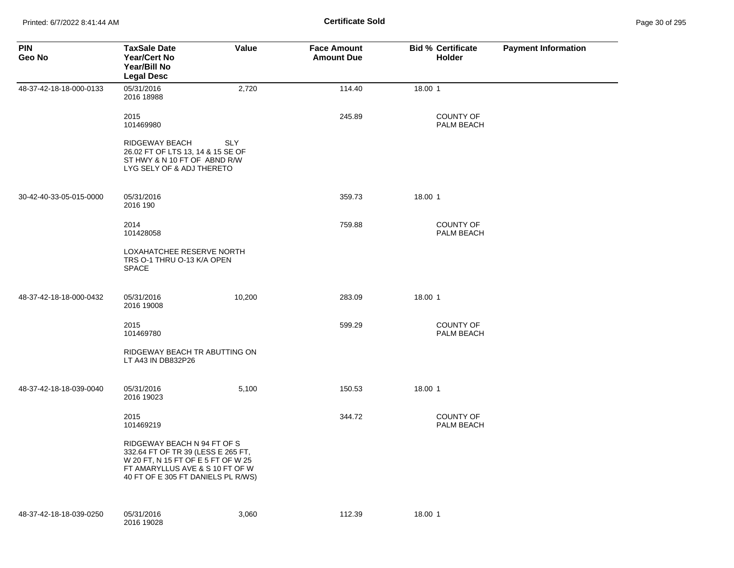| <b>PIN</b><br>Geo No    | <b>TaxSale Date</b><br><b>Year/Cert No</b><br>Year/Bill No<br><b>Legal Desc</b>                                                                                                  | Value      | <b>Face Amount</b><br><b>Amount Due</b> | <b>Bid % Certificate</b><br>Holder | <b>Payment Information</b> |
|-------------------------|----------------------------------------------------------------------------------------------------------------------------------------------------------------------------------|------------|-----------------------------------------|------------------------------------|----------------------------|
| 48-37-42-18-18-000-0133 | 05/31/2016<br>2016 18988                                                                                                                                                         | 2,720      | 114.40                                  | 18.00 1                            |                            |
|                         | 2015<br>101469980                                                                                                                                                                |            | 245.89                                  | <b>COUNTY OF</b><br>PALM BEACH     |                            |
|                         | RIDGEWAY BEACH<br>26.02 FT OF LTS 13, 14 & 15 SE OF<br>ST HWY & N 10 FT OF ABND R/W<br>LYG SELY OF & ADJ THERETO                                                                 | <b>SLY</b> |                                         |                                    |                            |
| 30-42-40-33-05-015-0000 | 05/31/2016<br>2016 190                                                                                                                                                           |            | 359.73                                  | 18.00 1                            |                            |
|                         | 2014<br>101428058                                                                                                                                                                |            | 759.88                                  | COUNTY OF<br>PALM BEACH            |                            |
|                         | LOXAHATCHEE RESERVE NORTH<br>TRS O-1 THRU O-13 K/A OPEN<br><b>SPACE</b>                                                                                                          |            |                                         |                                    |                            |
| 48-37-42-18-18-000-0432 | 05/31/2016<br>2016 19008                                                                                                                                                         | 10,200     | 283.09                                  | 18.00 1                            |                            |
|                         | 2015<br>101469780                                                                                                                                                                |            | 599.29                                  | COUNTY OF<br>PALM BEACH            |                            |
|                         | RIDGEWAY BEACH TR ABUTTING ON<br>LT A43 IN DB832P26                                                                                                                              |            |                                         |                                    |                            |
| 48-37-42-18-18-039-0040 | 05/31/2016<br>2016 19023                                                                                                                                                         | 5,100      | 150.53                                  | 18.00 1                            |                            |
|                         | 2015<br>101469219                                                                                                                                                                |            | 344.72                                  | <b>COUNTY OF</b><br>PALM BEACH     |                            |
|                         | RIDGEWAY BEACH N 94 FT OF S<br>332.64 FT OF TR 39 (LESS E 265 FT,<br>W 20 FT, N 15 FT OF E 5 FT OF W 25<br>FT AMARYLLUS AVE & S 10 FT OF W<br>40 FT OF E 305 FT DANIELS PL R/WS) |            |                                         |                                    |                            |
| 48-37-42-18-18-039-0250 | 05/31/2016<br>2016 19028                                                                                                                                                         | 3,060      | 112.39                                  | 18.00 1                            |                            |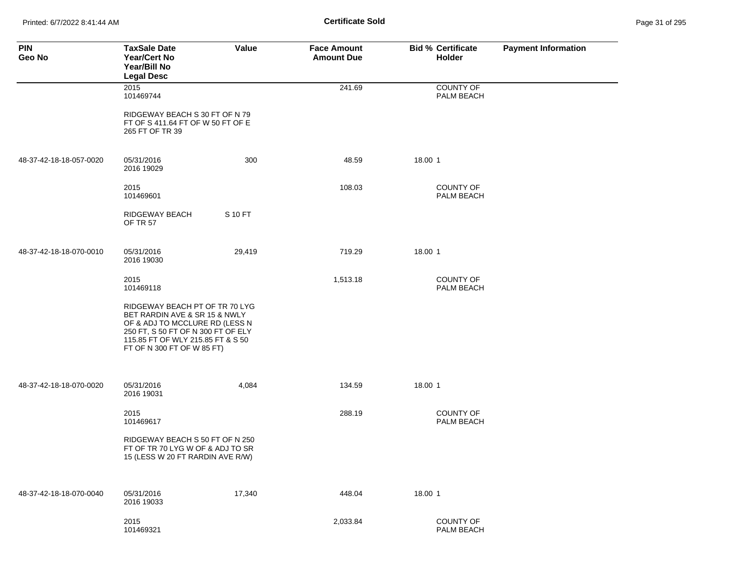Printed: 6/7/2022 8:41:44 AM **Certificate Sold** Page 31 of 295

| <b>PIN</b><br>Geo No    | <b>TaxSale Date</b><br><b>Year/Cert No</b><br>Year/Bill No<br><b>Legal Desc</b>                                                                                                                            | Value   | <b>Face Amount</b><br><b>Amount Due</b> | <b>Bid % Certificate</b><br>Holder | <b>Payment Information</b> |
|-------------------------|------------------------------------------------------------------------------------------------------------------------------------------------------------------------------------------------------------|---------|-----------------------------------------|------------------------------------|----------------------------|
|                         | 2015<br>101469744                                                                                                                                                                                          |         | 241.69                                  | <b>COUNTY OF</b><br>PALM BEACH     |                            |
|                         | RIDGEWAY BEACH S 30 FT OF N 79<br>FT OF S 411.64 FT OF W 50 FT OF E<br>265 FT OF TR 39                                                                                                                     |         |                                         |                                    |                            |
| 48-37-42-18-18-057-0020 | 05/31/2016<br>2016 19029                                                                                                                                                                                   | 300     | 48.59                                   | 18.00 1                            |                            |
|                         | 2015<br>101469601                                                                                                                                                                                          |         | 108.03                                  | <b>COUNTY OF</b><br>PALM BEACH     |                            |
|                         | RIDGEWAY BEACH<br><b>OF TR 57</b>                                                                                                                                                                          | S 10 FT |                                         |                                    |                            |
| 48-37-42-18-18-070-0010 | 05/31/2016<br>2016 19030                                                                                                                                                                                   | 29,419  | 719.29                                  | 18.00 1                            |                            |
|                         | 2015<br>101469118                                                                                                                                                                                          |         | 1,513.18                                | <b>COUNTY OF</b><br>PALM BEACH     |                            |
|                         | RIDGEWAY BEACH PT OF TR 70 LYG<br>BET RARDIN AVE & SR 15 & NWLY<br>OF & ADJ TO MCCLURE RD (LESS N<br>250 FT, S 50 FT OF N 300 FT OF ELY<br>115.85 FT OF WLY 215.85 FT & S 50<br>FT OF N 300 FT OF W 85 FT) |         |                                         |                                    |                            |
| 48-37-42-18-18-070-0020 | 05/31/2016<br>2016 19031                                                                                                                                                                                   | 4,084   | 134.59                                  | 18.00 1                            |                            |
|                         | 2015<br>101469617                                                                                                                                                                                          |         | 288.19                                  | <b>COUNTY OF</b><br>PALM BEACH     |                            |
|                         | RIDGEWAY BEACH S 50 FT OF N 250<br>FT OF TR 70 LYG W OF & ADJ TO SR<br>15 (LESS W 20 FT RARDIN AVE R/W)                                                                                                    |         |                                         |                                    |                            |
| 48-37-42-18-18-070-0040 | 05/31/2016<br>2016 19033                                                                                                                                                                                   | 17,340  | 448.04                                  | 18.00 1                            |                            |
|                         | 2015<br>101469321                                                                                                                                                                                          |         | 2,033.84                                | <b>COUNTY OF</b><br>PALM BEACH     |                            |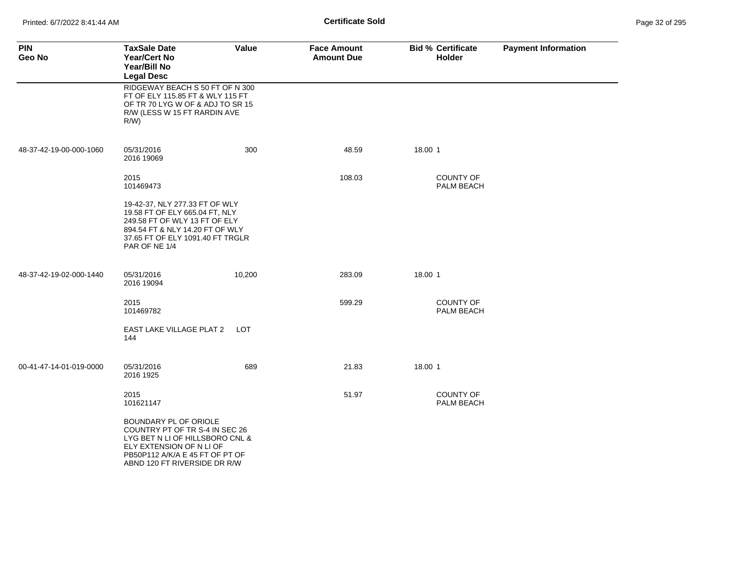| <b>PIN</b><br>Geo No    | <b>TaxSale Date</b><br>Year/Cert No<br>Year/Bill No<br><b>Legal Desc</b>                                                                                                                  | Value      | <b>Face Amount</b><br><b>Amount Due</b> | <b>Bid % Certificate</b><br><b>Holder</b> | <b>Payment Information</b> |
|-------------------------|-------------------------------------------------------------------------------------------------------------------------------------------------------------------------------------------|------------|-----------------------------------------|-------------------------------------------|----------------------------|
|                         | RIDGEWAY BEACH S 50 FT OF N 300<br>FT OF ELY 115.85 FT & WLY 115 FT<br>OF TR 70 LYG W OF & ADJ TO SR 15<br>R/W (LESS W 15 FT RARDIN AVE<br>R/W                                            |            |                                         |                                           |                            |
| 48-37-42-19-00-000-1060 | 05/31/2016<br>2016 19069                                                                                                                                                                  | 300        | 48.59                                   | 18.00 1                                   |                            |
|                         | 2015<br>101469473                                                                                                                                                                         |            | 108.03                                  | <b>COUNTY OF</b><br>PALM BEACH            |                            |
|                         | 19-42-37, NLY 277.33 FT OF WLY<br>19.58 FT OF ELY 665.04 FT, NLY<br>249.58 FT OF WLY 13 FT OF ELY<br>894.54 FT & NLY 14.20 FT OF WLY<br>37.65 FT OF ELY 1091.40 FT TRGLR<br>PAR OF NE 1/4 |            |                                         |                                           |                            |
| 48-37-42-19-02-000-1440 | 05/31/2016<br>2016 19094                                                                                                                                                                  | 10,200     | 283.09                                  | 18.00 1                                   |                            |
|                         | 2015<br>101469782                                                                                                                                                                         |            | 599.29                                  | <b>COUNTY OF</b><br>PALM BEACH            |                            |
|                         | EAST LAKE VILLAGE PLAT 2<br>144                                                                                                                                                           | <b>LOT</b> |                                         |                                           |                            |
| 00-41-47-14-01-019-0000 | 05/31/2016<br>2016 1925                                                                                                                                                                   | 689        | 21.83                                   | 18.00 1                                   |                            |
|                         | 2015<br>101621147                                                                                                                                                                         |            | 51.97                                   | <b>COUNTY OF</b><br>PALM BEACH            |                            |
|                         | BOUNDARY PL OF ORIOLE<br>COUNTRY PT OF TR S-4 IN SEC 26<br>LYG BET N LI OF HILLSBORO CNL &<br>ELY EXTENSION OF N LI OF<br>PB50P112 A/K/A E 45 FT OF PT OF<br>ABND 120 FT RIVERSIDE DR R/W |            |                                         |                                           |                            |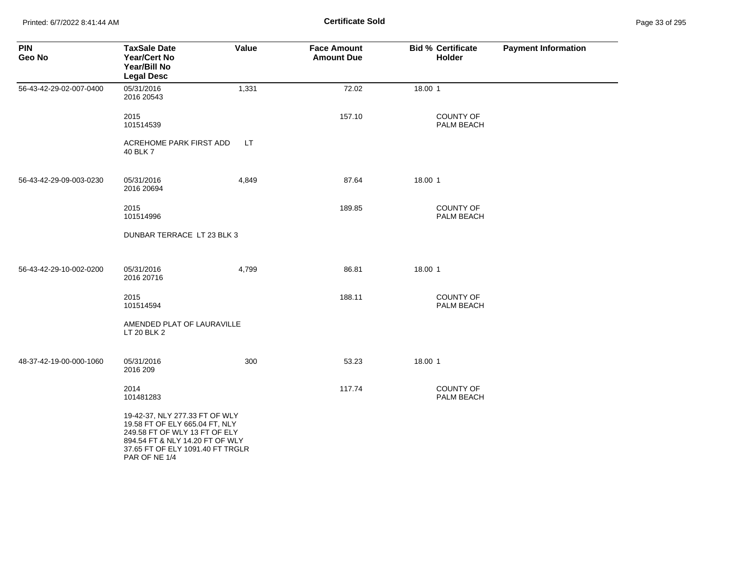Printed: 6/7/2022 8:41:44 AM **Page 33 of 2018 Certificate Sold Certificate Sold** 

| Page 33 of 295 |  |  |  |
|----------------|--|--|--|
|----------------|--|--|--|

| <b>PIN</b><br>Geo No    | <b>TaxSale Date</b><br>Year/Cert No<br>Year/Bill No<br><b>Legal Desc</b>                                                                                                                  | Value | <b>Face Amount</b><br><b>Amount Due</b> | <b>Bid % Certificate</b><br>Holder | <b>Payment Information</b> |
|-------------------------|-------------------------------------------------------------------------------------------------------------------------------------------------------------------------------------------|-------|-----------------------------------------|------------------------------------|----------------------------|
| 56-43-42-29-02-007-0400 | 05/31/2016<br>2016 20543                                                                                                                                                                  | 1,331 | 72.02                                   | 18.00 1                            |                            |
|                         | 2015<br>101514539                                                                                                                                                                         |       | 157.10                                  | <b>COUNTY OF</b><br>PALM BEACH     |                            |
|                         | ACREHOME PARK FIRST ADD<br>40 BLK 7                                                                                                                                                       | LT.   |                                         |                                    |                            |
| 56-43-42-29-09-003-0230 | 05/31/2016<br>2016 20694                                                                                                                                                                  | 4,849 | 87.64                                   | 18.00 1                            |                            |
|                         | 2015<br>101514996                                                                                                                                                                         |       | 189.85                                  | <b>COUNTY OF</b><br>PALM BEACH     |                            |
|                         | DUNBAR TERRACE LT 23 BLK 3                                                                                                                                                                |       |                                         |                                    |                            |
| 56-43-42-29-10-002-0200 | 05/31/2016<br>2016 20716                                                                                                                                                                  | 4,799 | 86.81                                   | 18.00 1                            |                            |
|                         | 2015<br>101514594                                                                                                                                                                         |       | 188.11                                  | COUNTY OF<br>PALM BEACH            |                            |
|                         | AMENDED PLAT OF LAURAVILLE<br>LT 20 BLK 2                                                                                                                                                 |       |                                         |                                    |                            |
| 48-37-42-19-00-000-1060 | 05/31/2016<br>2016 209                                                                                                                                                                    | 300   | 53.23                                   | 18.00 1                            |                            |
|                         | 2014<br>101481283                                                                                                                                                                         |       | 117.74                                  | COUNTY OF<br>PALM BEACH            |                            |
|                         | 19-42-37, NLY 277.33 FT OF WLY<br>19.58 FT OF ELY 665.04 FT, NLY<br>249.58 FT OF WLY 13 FT OF ELY<br>894.54 FT & NLY 14.20 FT OF WLY<br>37.65 FT OF ELY 1091.40 FT TRGLR<br>PAR OF NE 1/4 |       |                                         |                                    |                            |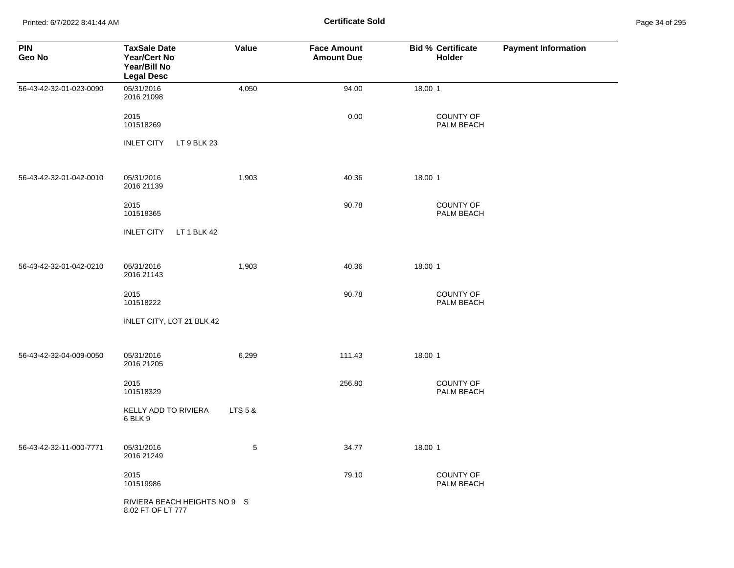Printed: 6/7/2022 8:41:44 AM **Certificate Sold** Page 34 of 295

| <b>PIN</b><br>Geo No    | <b>TaxSale Date</b><br><b>Year/Cert No</b><br>Year/Bill No<br><b>Legal Desc</b> | Value   | <b>Face Amount</b><br><b>Amount Due</b> | <b>Bid % Certificate</b><br>Holder | <b>Payment Information</b> |
|-------------------------|---------------------------------------------------------------------------------|---------|-----------------------------------------|------------------------------------|----------------------------|
| 56-43-42-32-01-023-0090 | 05/31/2016<br>2016 21098                                                        | 4,050   | 94.00                                   | 18.00 1                            |                            |
|                         | 2015<br>101518269                                                               |         | 0.00                                    | <b>COUNTY OF</b><br>PALM BEACH     |                            |
|                         | <b>INLET CITY</b><br>LT 9 BLK 23                                                |         |                                         |                                    |                            |
| 56-43-42-32-01-042-0010 | 05/31/2016<br>2016 21139                                                        | 1,903   | 40.36                                   | 18.00 1                            |                            |
|                         | 2015<br>101518365                                                               |         | 90.78                                   | <b>COUNTY OF</b><br>PALM BEACH     |                            |
|                         | <b>INLET CITY</b><br>LT 1 BLK 42                                                |         |                                         |                                    |                            |
| 56-43-42-32-01-042-0210 | 05/31/2016<br>2016 21143                                                        | 1,903   | 40.36                                   | 18.00 1                            |                            |
|                         | 2015<br>101518222                                                               |         | 90.78                                   | <b>COUNTY OF</b><br>PALM BEACH     |                            |
|                         | INLET CITY, LOT 21 BLK 42                                                       |         |                                         |                                    |                            |
| 56-43-42-32-04-009-0050 | 05/31/2016<br>2016 21205                                                        | 6,299   | 111.43                                  | 18.00 1                            |                            |
|                         | 2015<br>101518329                                                               |         | 256.80                                  | <b>COUNTY OF</b><br>PALM BEACH     |                            |
|                         | KELLY ADD TO RIVIERA<br>6 BLK 9                                                 | LTS 5 & |                                         |                                    |                            |
| 56-43-42-32-11-000-7771 | 05/31/2016<br>2016 21249                                                        | 5       | 34.77                                   | 18.00 1                            |                            |
|                         | 2015<br>101519986                                                               |         | 79.10                                   | <b>COUNTY OF</b><br>PALM BEACH     |                            |
|                         | RIVIERA BEACH HEIGHTS NO 9 S<br>8.02 FT OF LT 777                               |         |                                         |                                    |                            |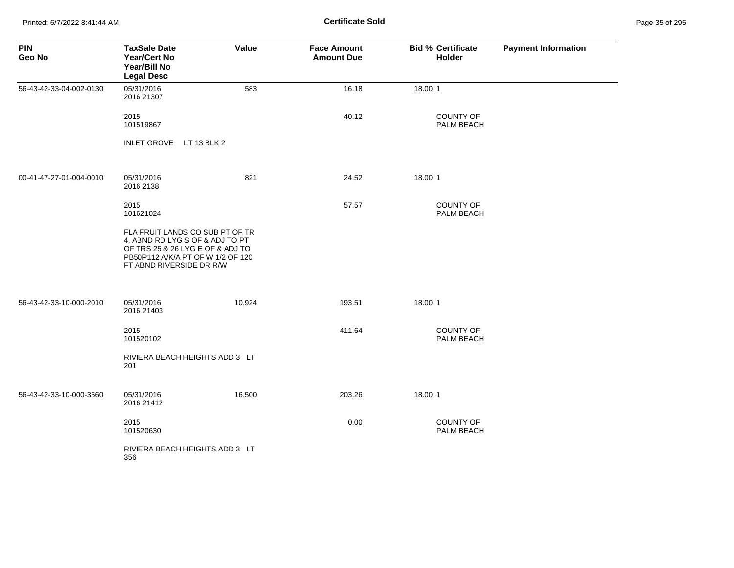Printed: 6/7/2022 8:41:44 AM **Page 35 of 2018 Certificate Sold Certificate Sold** 

| <b>PIN</b><br>Geo No    | <b>TaxSale Date</b><br><b>Year/Cert No</b><br>Year/Bill No<br><b>Legal Desc</b>                                                                                         | <b>Value</b> | <b>Face Amount</b><br><b>Amount Due</b> | <b>Bid % Certificate</b><br><b>Holder</b> | <b>Payment Information</b> |
|-------------------------|-------------------------------------------------------------------------------------------------------------------------------------------------------------------------|--------------|-----------------------------------------|-------------------------------------------|----------------------------|
| 56-43-42-33-04-002-0130 | 05/31/2016<br>2016 21307                                                                                                                                                | 583          | 16.18                                   | 18.00 1                                   |                            |
|                         | 2015<br>101519867                                                                                                                                                       |              | 40.12                                   | <b>COUNTY OF</b><br>PALM BEACH            |                            |
|                         | INLET GROVE LT 13 BLK 2                                                                                                                                                 |              |                                         |                                           |                            |
| 00-41-47-27-01-004-0010 | 05/31/2016<br>2016 2138                                                                                                                                                 | 821          | 24.52                                   | 18.00 1                                   |                            |
|                         | 2015<br>101621024                                                                                                                                                       |              | 57.57                                   | <b>COUNTY OF</b><br>PALM BEACH            |                            |
|                         | FLA FRUIT LANDS CO SUB PT OF TR<br>4, ABND RD LYG S OF & ADJ TO PT<br>OF TRS 25 & 26 LYG E OF & ADJ TO<br>PB50P112 A/K/A PT OF W 1/2 OF 120<br>FT ABND RIVERSIDE DR R/W |              |                                         |                                           |                            |
| 56-43-42-33-10-000-2010 | 05/31/2016<br>2016 21403                                                                                                                                                | 10,924       | 193.51                                  | 18.00 1                                   |                            |
|                         | 2015<br>101520102                                                                                                                                                       |              | 411.64                                  | <b>COUNTY OF</b><br>PALM BEACH            |                            |
|                         | RIVIERA BEACH HEIGHTS ADD 3 LT<br>201                                                                                                                                   |              |                                         |                                           |                            |
| 56-43-42-33-10-000-3560 | 05/31/2016<br>2016 21412                                                                                                                                                | 16,500       | 203.26                                  | 18.00 1                                   |                            |
|                         | 2015<br>101520630                                                                                                                                                       |              | 0.00                                    | <b>COUNTY OF</b><br>PALM BEACH            |                            |
|                         | RIVIERA BEACH HEIGHTS ADD 3 LT<br>356                                                                                                                                   |              |                                         |                                           |                            |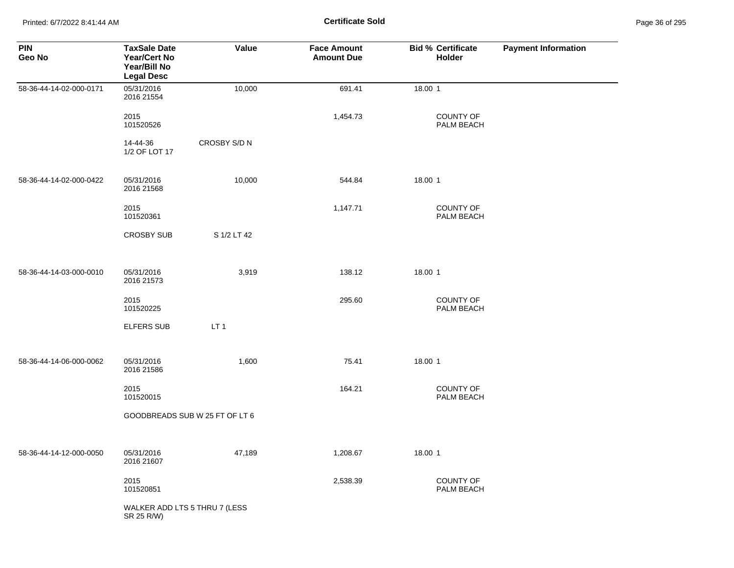Printed: 6/7/2022 8:41:44 AM **Page 36 of 2018 Certificate Sold Certificate Sold** 

| Page 36 of 295 |  |  |  |
|----------------|--|--|--|
|----------------|--|--|--|

| <b>PIN</b><br>Geo No    | <b>TaxSale Date</b><br><b>Year/Cert No</b><br>Year/Bill No<br><b>Legal Desc</b> | Value                         | <b>Face Amount</b><br><b>Amount Due</b> | <b>Bid % Certificate</b><br><b>Holder</b> | <b>Payment Information</b> |
|-------------------------|---------------------------------------------------------------------------------|-------------------------------|-----------------------------------------|-------------------------------------------|----------------------------|
| 58-36-44-14-02-000-0171 | 05/31/2016<br>2016 21554                                                        | 10,000                        | 691.41                                  | 18.00 1                                   |                            |
|                         | 2015<br>101520526                                                               |                               | 1,454.73                                | <b>COUNTY OF</b><br>PALM BEACH            |                            |
|                         | 14-44-36<br>1/2 OF LOT 17                                                       | CROSBY S/D N                  |                                         |                                           |                            |
| 58-36-44-14-02-000-0422 | 05/31/2016<br>2016 21568                                                        | 10,000                        | 544.84                                  | 18.00 1                                   |                            |
|                         | 2015<br>101520361                                                               |                               | 1,147.71                                | <b>COUNTY OF</b><br>PALM BEACH            |                            |
|                         | <b>CROSBY SUB</b>                                                               | S 1/2 LT 42                   |                                         |                                           |                            |
| 58-36-44-14-03-000-0010 | 05/31/2016<br>2016 21573                                                        | 3,919                         | 138.12                                  | 18.00 1                                   |                            |
|                         | 2015<br>101520225                                                               |                               | 295.60                                  | COUNTY OF<br>PALM BEACH                   |                            |
|                         | <b>ELFERS SUB</b>                                                               | LT <sub>1</sub>               |                                         |                                           |                            |
| 58-36-44-14-06-000-0062 | 05/31/2016<br>2016 21586                                                        | 1,600<br>75.41<br>18.00 1     |                                         |                                           |                            |
|                         | 2015<br>101520015                                                               |                               | 164.21                                  | <b>COUNTY OF</b><br>PALM BEACH            |                            |
|                         | GOODBREADS SUB W 25 FT OF LT 6                                                  |                               |                                         |                                           |                            |
| 58-36-44-14-12-000-0050 | 05/31/2016<br>2016 21607                                                        | 47,189                        | 1,208.67                                | 18.00 1                                   |                            |
|                         | 2015<br>101520851                                                               |                               | 2,538.39                                | COUNTY OF<br>PALM BEACH                   |                            |
|                         | SR 25 R/W)                                                                      | WALKER ADD LTS 5 THRU 7 (LESS |                                         |                                           |                            |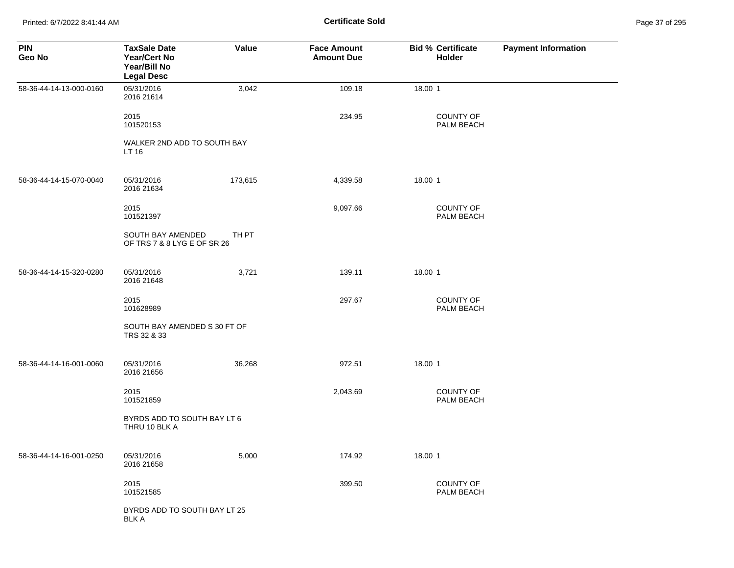Printed: 6/7/2022 8:41:44 AM **Page 37 of 2018 Certificate Sold Certificate Sold** 

| Page 37 of 295 |  |  |  |
|----------------|--|--|--|
|----------------|--|--|--|

| <b>PIN</b><br>Geo No    | <b>TaxSale Date</b><br><b>Year/Cert No</b><br>Year/Bill No<br><b>Legal Desc</b> | Value   | <b>Face Amount</b><br><b>Amount Due</b> | <b>Bid % Certificate</b><br>Holder | <b>Payment Information</b> |
|-------------------------|---------------------------------------------------------------------------------|---------|-----------------------------------------|------------------------------------|----------------------------|
| 58-36-44-14-13-000-0160 | 05/31/2016<br>2016 21614                                                        | 3,042   | 109.18                                  | 18.00 1                            |                            |
|                         | 2015<br>101520153                                                               |         | 234.95                                  | <b>COUNTY OF</b><br>PALM BEACH     |                            |
|                         | WALKER 2ND ADD TO SOUTH BAY<br>LT 16                                            |         |                                         |                                    |                            |
| 58-36-44-14-15-070-0040 | 05/31/2016<br>2016 21634                                                        | 173,615 | 4,339.58                                | 18.00 1                            |                            |
|                         | 2015<br>101521397                                                               |         | 9,097.66                                | <b>COUNTY OF</b><br>PALM BEACH     |                            |
|                         | SOUTH BAY AMENDED<br>OF TRS 7 & 8 LYG E OF SR 26                                | TH PT   |                                         |                                    |                            |
| 58-36-44-14-15-320-0280 | 05/31/2016<br>2016 21648                                                        | 3,721   | 139.11                                  | 18.00 1                            |                            |
|                         | 2015<br>101628989                                                               |         | 297.67                                  | <b>COUNTY OF</b><br>PALM BEACH     |                            |
|                         | SOUTH BAY AMENDED S 30 FT OF<br>TRS 32 & 33                                     |         |                                         |                                    |                            |
| 58-36-44-14-16-001-0060 | 05/31/2016<br>2016 21656                                                        | 36,268  | 972.51                                  | 18.00 1                            |                            |
|                         | 2015<br>101521859                                                               |         | 2,043.69                                | COUNTY OF<br>PALM BEACH            |                            |
|                         | BYRDS ADD TO SOUTH BAY LT 6<br>THRU 10 BLK A                                    |         |                                         |                                    |                            |
| 58-36-44-14-16-001-0250 | 05/31/2016<br>2016 21658                                                        | 5,000   | 174.92                                  | 18.00 1                            |                            |
|                         | 2015<br>101521585                                                               |         | 399.50                                  | <b>COUNTY OF</b><br>PALM BEACH     |                            |
|                         | BYRDS ADD TO SOUTH BAY LT 25<br><b>BLK A</b>                                    |         |                                         |                                    |                            |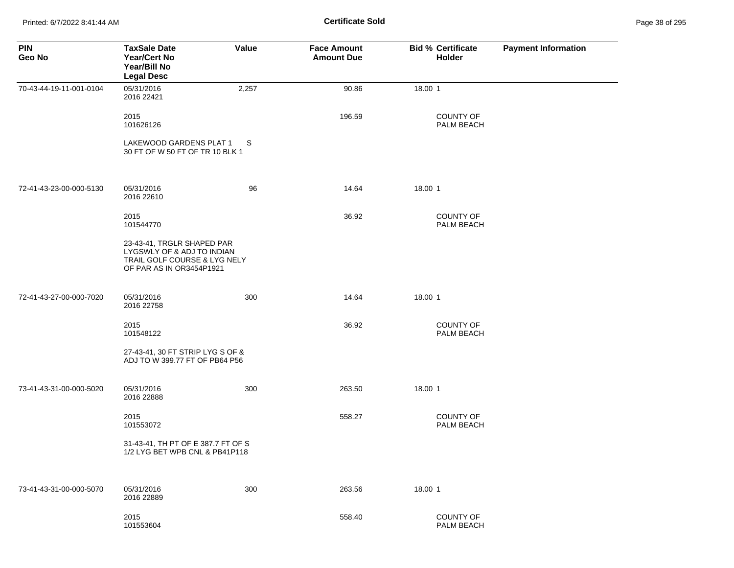| <b>PIN</b><br>Geo No    | <b>TaxSale Date</b><br><b>Year/Cert No</b><br>Year/Bill No<br><b>Legal Desc</b>                                      | Value | <b>Face Amount</b><br><b>Amount Due</b> | <b>Bid % Certificate</b><br>Holder | <b>Payment Information</b> |
|-------------------------|----------------------------------------------------------------------------------------------------------------------|-------|-----------------------------------------|------------------------------------|----------------------------|
| 70-43-44-19-11-001-0104 | 05/31/2016<br>2016 22421                                                                                             | 2,257 | 90.86                                   | 18.00 1                            |                            |
|                         | 2015<br>101626126                                                                                                    |       | 196.59                                  | <b>COUNTY OF</b><br>PALM BEACH     |                            |
|                         | LAKEWOOD GARDENS PLAT 1<br>30 FT OF W 50 FT OF TR 10 BLK 1                                                           | S.    |                                         |                                    |                            |
| 72-41-43-23-00-000-5130 | 05/31/2016<br>2016 22610                                                                                             | 96    | 14.64                                   | 18.00 1                            |                            |
|                         | 2015<br>101544770                                                                                                    |       | 36.92                                   | <b>COUNTY OF</b><br>PALM BEACH     |                            |
|                         | 23-43-41, TRGLR SHAPED PAR<br>LYGSWLY OF & ADJ TO INDIAN<br>TRAIL GOLF COURSE & LYG NELY<br>OF PAR AS IN OR3454P1921 |       |                                         |                                    |                            |
| 72-41-43-27-00-000-7020 | 05/31/2016<br>2016 22758                                                                                             | 300   | 14.64                                   | 18.00 1                            |                            |
|                         | 2015<br>101548122                                                                                                    |       | 36.92                                   | <b>COUNTY OF</b><br>PALM BEACH     |                            |
|                         | 27-43-41, 30 FT STRIP LYG S OF &<br>ADJ TO W 399.77 FT OF PB64 P56                                                   |       |                                         |                                    |                            |
| 73-41-43-31-00-000-5020 | 05/31/2016<br>2016 22888                                                                                             | 300   | 263.50                                  | 18.00 1                            |                            |
|                         | 2015<br>101553072                                                                                                    |       | 558.27                                  | <b>COUNTY OF</b><br>PALM BEACH     |                            |
|                         | 31-43-41, TH PT OF E 387.7 FT OF S<br>1/2 LYG BET WPB CNL & PB41P118                                                 |       |                                         |                                    |                            |
| 73-41-43-31-00-000-5070 | 05/31/2016<br>2016 22889                                                                                             | 300   | 263.56                                  | 18.00 1                            |                            |
|                         | 2015<br>101553604                                                                                                    |       | 558.40                                  | COUNTY OF<br>PALM BEACH            |                            |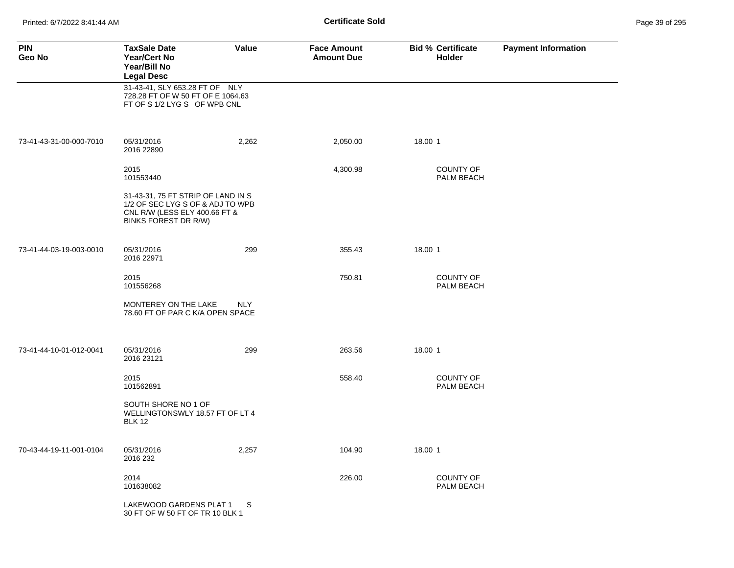Printed: 6/7/2022 8:41:44 AM **Certificate Sold** Page 39 of 295

| <b>PIN</b><br>Geo No    | <b>TaxSale Date</b><br><b>Year/Cert No</b><br>Year/Bill No<br><b>Legal Desc</b>                                                 | Value      | <b>Face Amount</b><br><b>Amount Due</b> | <b>Bid % Certificate</b><br><b>Holder</b> | <b>Payment Information</b> |
|-------------------------|---------------------------------------------------------------------------------------------------------------------------------|------------|-----------------------------------------|-------------------------------------------|----------------------------|
|                         | 31-43-41, SLY 653.28 FT OF NLY<br>728.28 FT OF W 50 FT OF E 1064.63<br>FT OF S 1/2 LYG S OF WPB CNL                             |            |                                         |                                           |                            |
| 73-41-43-31-00-000-7010 | 05/31/2016<br>2016 22890                                                                                                        | 2,262      | 2,050.00                                | 18.00 1                                   |                            |
|                         | 2015<br>101553440                                                                                                               |            | 4,300.98                                | <b>COUNTY OF</b><br>PALM BEACH            |                            |
|                         | 31-43-31, 75 FT STRIP OF LAND IN S<br>1/2 OF SEC LYG S OF & ADJ TO WPB<br>CNL R/W (LESS ELY 400.66 FT &<br>BINKS FOREST DR R/W) |            |                                         |                                           |                            |
| 73-41-44-03-19-003-0010 | 05/31/2016<br>2016 22971                                                                                                        | 299        | 355.43                                  | 18.00 1                                   |                            |
|                         | 2015<br>101556268                                                                                                               |            | 750.81                                  | <b>COUNTY OF</b><br>PALM BEACH            |                            |
|                         | MONTEREY ON THE LAKE<br>78.60 FT OF PAR C K/A OPEN SPACE                                                                        | <b>NLY</b> |                                         |                                           |                            |
| 73-41-44-10-01-012-0041 | 05/31/2016<br>2016 23121                                                                                                        | 299        | 263.56                                  | 18.00 1                                   |                            |
|                         | 2015<br>101562891                                                                                                               |            | 558.40                                  | COUNTY OF<br>PALM BEACH                   |                            |
|                         | SOUTH SHORE NO 1 OF<br>WELLINGTONSWLY 18.57 FT OF LT 4<br><b>BLK 12</b>                                                         |            |                                         |                                           |                            |
| 70-43-44-19-11-001-0104 | 05/31/2016<br>2016 232                                                                                                          | 2,257      | 104.90                                  | 18.00 1                                   |                            |
|                         | 2014<br>101638082                                                                                                               |            | 226.00                                  | COUNTY OF<br>PALM BEACH                   |                            |
|                         | LAKEWOOD GARDENS PLAT 1<br>30 FT OF W 50 FT OF TR 10 BLK 1                                                                      | S          |                                         |                                           |                            |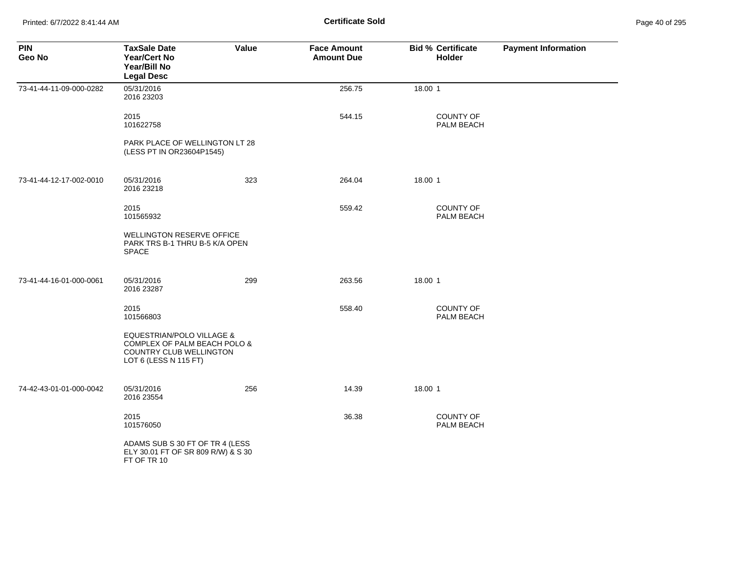Printed: 6/7/2022 8:41:44 AM **Certificate Sold** Page 40 of 295

| <b>PIN</b><br>Geo No    | <b>TaxSale Date</b><br>Year/Cert No<br>Year/Bill No<br><b>Legal Desc</b>                                                 | Value | <b>Face Amount</b><br><b>Amount Due</b> | <b>Bid % Certificate</b><br>Holder    | <b>Payment Information</b> |
|-------------------------|--------------------------------------------------------------------------------------------------------------------------|-------|-----------------------------------------|---------------------------------------|----------------------------|
| 73-41-44-11-09-000-0282 | 05/31/2016<br>2016 23203                                                                                                 |       | 256.75                                  | 18.00 1                               |                            |
|                         | 2015<br>101622758                                                                                                        |       | 544.15                                  | COUNTY OF<br>PALM BEACH               |                            |
|                         | PARK PLACE OF WELLINGTON LT 28<br>(LESS PT IN OR23604P1545)                                                              |       |                                         |                                       |                            |
| 73-41-44-12-17-002-0010 | 05/31/2016<br>2016 23218                                                                                                 | 323   | 264.04                                  | 18.00 1                               |                            |
|                         | 2015<br>101565932                                                                                                        |       | 559.42                                  | <b>COUNTY OF</b><br>PALM BEACH        |                            |
|                         | <b>WELLINGTON RESERVE OFFICE</b><br>PARK TRS B-1 THRU B-5 K/A OPEN<br><b>SPACE</b>                                       |       |                                         |                                       |                            |
| 73-41-44-16-01-000-0061 | 05/31/2016<br>2016 23287                                                                                                 | 299   | 263.56                                  | 18.00 1                               |                            |
|                         | 2015<br>101566803                                                                                                        |       | 558.40                                  | <b>COUNTY OF</b><br>PALM BEACH        |                            |
|                         | <b>EQUESTRIAN/POLO VILLAGE &amp;</b><br>COMPLEX OF PALM BEACH POLO &<br>COUNTRY CLUB WELLINGTON<br>LOT 6 (LESS N 115 FT) |       |                                         |                                       |                            |
| 74-42-43-01-01-000-0042 | 05/31/2016<br>2016 23554                                                                                                 | 256   | 14.39                                   | 18.00 1                               |                            |
|                         | 2015<br>101576050                                                                                                        |       | 36.38                                   | <b>COUNTY OF</b><br><b>PALM BEACH</b> |                            |
|                         | ADAMS SUB S 30 FT OF TR 4 (LESS<br>ELY 30.01 FT OF SR 809 R/W) & S 30<br>FT OF TR 10                                     |       |                                         |                                       |                            |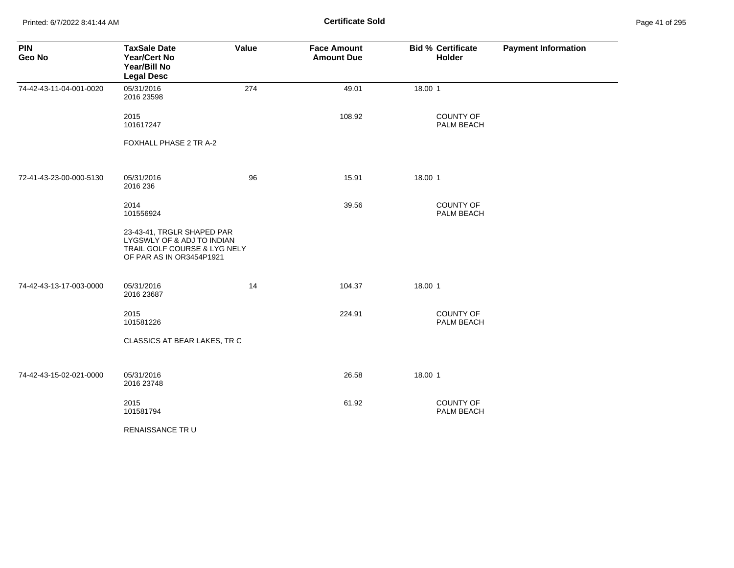Printed: 6/7/2022 8:41:44 AM **Page 41:44 AM** Page 41:44 AM **Certificate Sold** 

| Page 41 of 295 |  |  |  |
|----------------|--|--|--|
|----------------|--|--|--|

| <b>PIN</b><br>Geo No    | <b>TaxSale Date</b><br><b>Year/Cert No</b><br>Year/Bill No<br><b>Legal Desc</b>                                      | Value | <b>Face Amount</b><br><b>Amount Due</b> | <b>Bid % Certificate</b><br>Holder | <b>Payment Information</b> |
|-------------------------|----------------------------------------------------------------------------------------------------------------------|-------|-----------------------------------------|------------------------------------|----------------------------|
| 74-42-43-11-04-001-0020 | 05/31/2016<br>2016 23598                                                                                             | 274   | 49.01                                   | 18.00 1                            |                            |
|                         | 2015<br>101617247                                                                                                    |       | 108.92                                  | COUNTY OF<br>PALM BEACH            |                            |
|                         | FOXHALL PHASE 2 TR A-2                                                                                               |       |                                         |                                    |                            |
| 72-41-43-23-00-000-5130 | 05/31/2016<br>2016 236                                                                                               | 96    | 15.91                                   | 18.00 1                            |                            |
|                         | 2014<br>101556924                                                                                                    |       | 39.56                                   | COUNTY OF<br>PALM BEACH            |                            |
|                         | 23-43-41, TRGLR SHAPED PAR<br>LYGSWLY OF & ADJ TO INDIAN<br>TRAIL GOLF COURSE & LYG NELY<br>OF PAR AS IN OR3454P1921 |       |                                         |                                    |                            |
| 74-42-43-13-17-003-0000 | 05/31/2016<br>2016 23687                                                                                             | 14    | 104.37                                  | 18.00 1                            |                            |
|                         | 2015<br>101581226                                                                                                    |       | 224.91                                  | <b>COUNTY OF</b><br>PALM BEACH     |                            |
|                         | CLASSICS AT BEAR LAKES, TR C                                                                                         |       |                                         |                                    |                            |
| 74-42-43-15-02-021-0000 | 05/31/2016<br>2016 23748                                                                                             |       | 26.58                                   | 18.00 1                            |                            |
|                         | 2015<br>101581794                                                                                                    |       | 61.92                                   | <b>COUNTY OF</b><br>PALM BEACH     |                            |
|                         | RENAISSANCE TRU                                                                                                      |       |                                         |                                    |                            |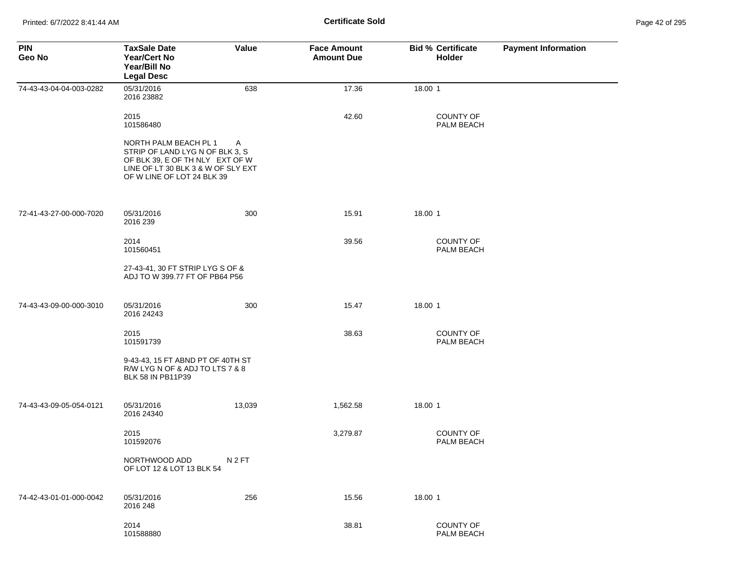| <b>PIN</b><br>Geo No    | <b>TaxSale Date</b><br><b>Year/Cert No</b><br>Year/Bill No<br><b>Legal Desc</b>                                                                                 | Value            | <b>Face Amount</b><br><b>Amount Due</b> | <b>Bid % Certificate</b><br><b>Holder</b> | <b>Payment Information</b> |
|-------------------------|-----------------------------------------------------------------------------------------------------------------------------------------------------------------|------------------|-----------------------------------------|-------------------------------------------|----------------------------|
| 74-43-43-04-04-003-0282 | 05/31/2016<br>2016 23882                                                                                                                                        | 638              | 17.36                                   | 18.00 1                                   |                            |
|                         | 2015<br>101586480                                                                                                                                               |                  | 42.60                                   | <b>COUNTY OF</b><br>PALM BEACH            |                            |
|                         | NORTH PALM BEACH PL 1<br>STRIP OF LAND LYG N OF BLK 3, S<br>OF BLK 39, E OF TH NLY EXT OF W<br>LINE OF LT 30 BLK 3 & W OF SLY EXT<br>OF W LINE OF LOT 24 BLK 39 | A                |                                         |                                           |                            |
| 72-41-43-27-00-000-7020 | 05/31/2016<br>2016 239                                                                                                                                          | 300              | 15.91                                   | 18.00 1                                   |                            |
|                         | 2014<br>101560451                                                                                                                                               |                  | 39.56                                   | <b>COUNTY OF</b><br>PALM BEACH            |                            |
|                         | 27-43-41, 30 FT STRIP LYG S OF &<br>ADJ TO W 399.77 FT OF PB64 P56                                                                                              |                  |                                         |                                           |                            |
| 74-43-43-09-00-000-3010 | 05/31/2016<br>2016 24243                                                                                                                                        | 300              | 15.47                                   | 18.00 1                                   |                            |
|                         | 2015<br>101591739                                                                                                                                               |                  | 38.63                                   | <b>COUNTY OF</b><br>PALM BEACH            |                            |
|                         | 9-43-43, 15 FT ABND PT OF 40TH ST<br>R/W LYG N OF & ADJ TO LTS 7 & 8<br>BLK 58 IN PB11P39                                                                       |                  |                                         |                                           |                            |
| 74-43-43-09-05-054-0121 | 05/31/2016<br>2016 24340                                                                                                                                        | 13,039           | 1,562.58                                | 18.00 1                                   |                            |
|                         | 2015<br>101592076                                                                                                                                               |                  | 3,279.87                                | <b>COUNTY OF</b><br>PALM BEACH            |                            |
|                         | NORTHWOOD ADD<br>OF LOT 12 & LOT 13 BLK 54                                                                                                                      | N <sub>2FT</sub> |                                         |                                           |                            |
| 74-42-43-01-01-000-0042 | 05/31/2016<br>2016 248                                                                                                                                          | 256              | 15.56                                   | 18.00 1                                   |                            |
|                         | 2014<br>101588880                                                                                                                                               |                  | 38.81                                   | <b>COUNTY OF</b><br>PALM BEACH            |                            |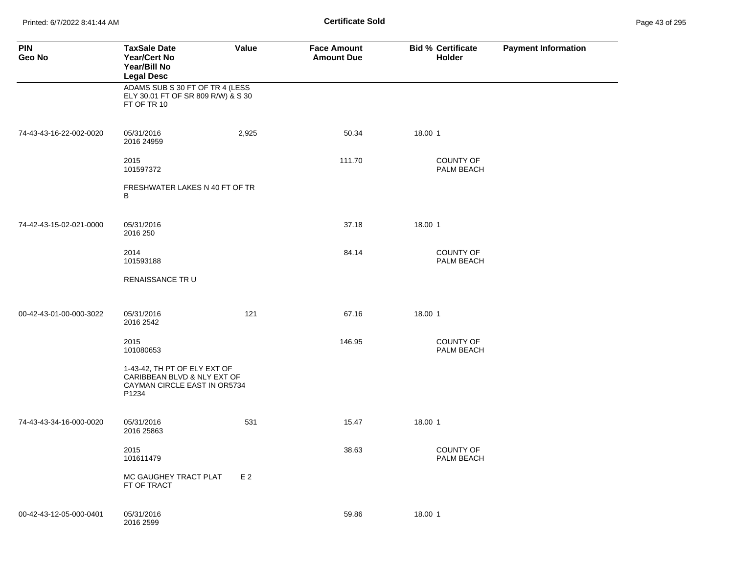Printed: 6/7/2022 8:41:44 AM **Page 43 of 2018 Certificate Sold Certificate Sold** 

| Page 43 of 295 |  |  |  |
|----------------|--|--|--|
|----------------|--|--|--|

| <b>PIN</b><br>Geo No    | <b>TaxSale Date</b><br><b>Year/Cert No</b><br>Year/Bill No<br><b>Legal Desc</b>                      | Value          | <b>Face Amount</b><br><b>Amount Due</b> | <b>Bid % Certificate</b><br>Holder | <b>Payment Information</b> |
|-------------------------|------------------------------------------------------------------------------------------------------|----------------|-----------------------------------------|------------------------------------|----------------------------|
|                         | ADAMS SUB S 30 FT OF TR 4 (LESS<br>ELY 30.01 FT OF SR 809 R/W) & S 30<br>FT OF TR 10                 |                |                                         |                                    |                            |
| 74-43-43-16-22-002-0020 | 05/31/2016<br>2016 24959                                                                             | 2,925          | 50.34                                   | 18.00 1                            |                            |
|                         | 2015<br>101597372                                                                                    |                | 111.70                                  | <b>COUNTY OF</b><br>PALM BEACH     |                            |
|                         | FRESHWATER LAKES N 40 FT OF TR<br>В                                                                  |                |                                         |                                    |                            |
| 74-42-43-15-02-021-0000 | 05/31/2016<br>2016 250                                                                               |                | 37.18                                   | 18.00 1                            |                            |
|                         | 2014<br>101593188                                                                                    |                | 84.14                                   | <b>COUNTY OF</b><br>PALM BEACH     |                            |
|                         | RENAISSANCE TR U                                                                                     |                |                                         |                                    |                            |
| 00-42-43-01-00-000-3022 | 05/31/2016<br>2016 2542                                                                              | 121            | 67.16                                   | 18.00 1                            |                            |
|                         | 2015<br>101080653                                                                                    |                | 146.95                                  | <b>COUNTY OF</b><br>PALM BEACH     |                            |
|                         | 1-43-42, TH PT OF ELY EXT OF<br>CARIBBEAN BLVD & NLY EXT OF<br>CAYMAN CIRCLE EAST IN OR5734<br>P1234 |                |                                         |                                    |                            |
| 74-43-43-34-16-000-0020 | 05/31/2016<br>2016 25863                                                                             | 531            | 15.47                                   | 18.00 1                            |                            |
|                         | 2015<br>101611479                                                                                    |                | 38.63                                   | <b>COUNTY OF</b><br>PALM BEACH     |                            |
|                         | MC GAUGHEY TRACT PLAT<br>FT OF TRACT                                                                 | E <sub>2</sub> |                                         |                                    |                            |
| 00-42-43-12-05-000-0401 | 05/31/2016<br>2016 2599                                                                              |                | 59.86                                   | 18.00 1                            |                            |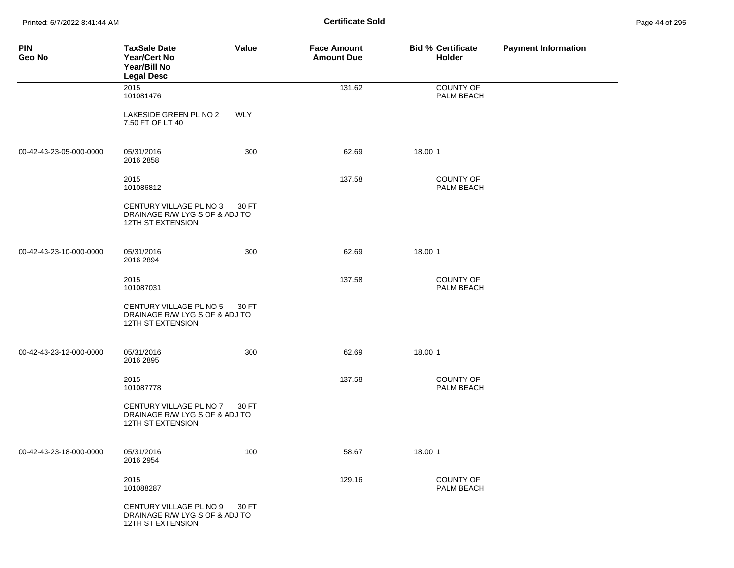Printed: 6/7/2022 8:41:44 AM **Certificate Sold** Page 44 of 295

| <b>PIN</b><br>Geo No    | <b>TaxSale Date</b><br>Year/Cert No<br>Year/Bill No<br><b>Legal Desc</b>       | Value      | <b>Face Amount</b><br><b>Amount Due</b> | <b>Bid % Certificate</b><br>Holder | <b>Payment Information</b> |
|-------------------------|--------------------------------------------------------------------------------|------------|-----------------------------------------|------------------------------------|----------------------------|
|                         | 2015<br>101081476                                                              |            | 131.62                                  | <b>COUNTY OF</b><br>PALM BEACH     |                            |
|                         | LAKESIDE GREEN PL NO 2<br>7.50 FT OF LT 40                                     | <b>WLY</b> |                                         |                                    |                            |
| 00-42-43-23-05-000-0000 | 05/31/2016<br>2016 2858                                                        | 300        | 62.69                                   | 18.00 1                            |                            |
|                         | 2015<br>101086812                                                              |            | 137.58                                  | COUNTY OF<br>PALM BEACH            |                            |
|                         | CENTURY VILLAGE PL NO 3<br>DRAINAGE R/W LYG S OF & ADJ TO<br>12TH ST EXTENSION | 30 FT      |                                         |                                    |                            |
| 00-42-43-23-10-000-0000 | 05/31/2016<br>2016 2894                                                        | 300        | 62.69                                   | 18.00 1                            |                            |
|                         | 2015<br>101087031                                                              |            | 137.58                                  | <b>COUNTY OF</b><br>PALM BEACH     |                            |
|                         | CENTURY VILLAGE PL NO 5<br>DRAINAGE R/W LYG S OF & ADJ TO<br>12TH ST EXTENSION | 30 FT      |                                         |                                    |                            |
| 00-42-43-23-12-000-0000 | 05/31/2016<br>2016 2895                                                        | 300        | 62.69                                   | 18.00 1                            |                            |
|                         | 2015<br>101087778                                                              |            | 137.58                                  | <b>COUNTY OF</b><br>PALM BEACH     |                            |
|                         | CENTURY VILLAGE PL NO 7<br>DRAINAGE R/W LYG S OF & ADJ TO<br>12TH ST EXTENSION | 30 FT      |                                         |                                    |                            |
| 00-42-43-23-18-000-0000 | 05/31/2016<br>2016 2954                                                        | 100        | 58.67                                   | 18.00 1                            |                            |
|                         | 2015<br>101088287                                                              |            | 129.16                                  | <b>COUNTY OF</b><br>PALM BEACH     |                            |
|                         | CENTURY VILLAGE PL NO 9<br>DRAINAGE R/W LYG S OF & ADJ TO<br>12TH ST EXTENSION | 30 FT      |                                         |                                    |                            |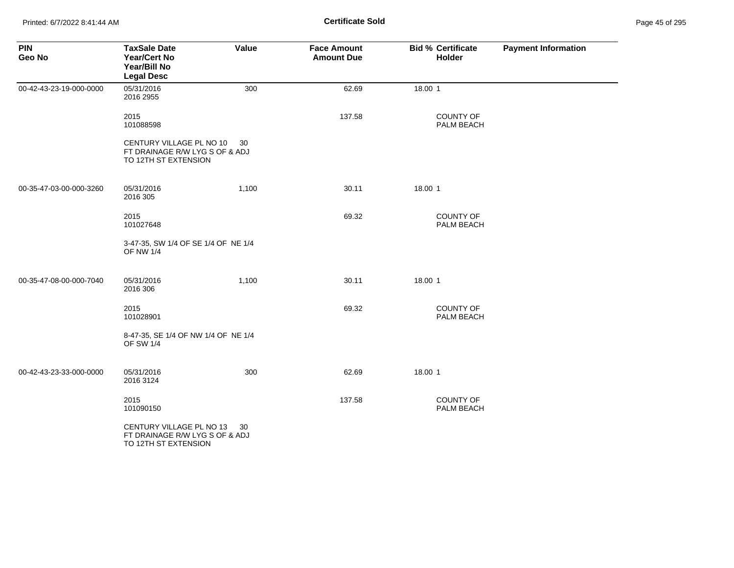| <b>PIN</b><br>Geo No    | <b>TaxSale Date</b><br><b>Year/Cert No</b><br>Year/Bill No<br><b>Legal Desc</b>    | Value | <b>Face Amount</b><br><b>Amount Due</b> | <b>Bid % Certificate</b><br>Holder | <b>Payment Information</b> |
|-------------------------|------------------------------------------------------------------------------------|-------|-----------------------------------------|------------------------------------|----------------------------|
| 00-42-43-23-19-000-0000 | 05/31/2016<br>2016 2955                                                            | 300   | 62.69                                   | 18.00 1                            |                            |
|                         | 2015<br>101088598                                                                  |       | 137.58                                  | <b>COUNTY OF</b><br>PALM BEACH     |                            |
|                         | CENTURY VILLAGE PL NO 10<br>FT DRAINAGE R/W LYG S OF & ADJ<br>TO 12TH ST EXTENSION | 30    |                                         |                                    |                            |
| 00-35-47-03-00-000-3260 | 05/31/2016<br>2016 305                                                             | 1,100 | 30.11                                   | 18.00 1                            |                            |
|                         | 2015<br>101027648                                                                  |       | 69.32                                   | COUNTY OF<br>PALM BEACH            |                            |
|                         | 3-47-35, SW 1/4 OF SE 1/4 OF NE 1/4<br><b>OF NW 1/4</b>                            |       |                                         |                                    |                            |
| 00-35-47-08-00-000-7040 | 05/31/2016<br>2016 306                                                             | 1,100 | 30.11                                   | 18.00 1                            |                            |
|                         | 2015<br>101028901                                                                  |       | 69.32                                   | <b>COUNTY OF</b><br>PALM BEACH     |                            |
|                         | 8-47-35, SE 1/4 OF NW 1/4 OF NE 1/4<br><b>OF SW 1/4</b>                            |       |                                         |                                    |                            |
| 00-42-43-23-33-000-0000 | 05/31/2016<br>2016 3124                                                            | 300   | 62.69                                   | 18.00 1                            |                            |
|                         | 2015<br>101090150                                                                  |       | 137.58                                  | <b>COUNTY OF</b><br>PALM BEACH     |                            |
|                         | CENTURY VILLAGE PL NO 13<br>FT DRAINAGE R/W LYG S OF & ADJ<br>TO 12TH ST EXTENSION | 30    |                                         |                                    |                            |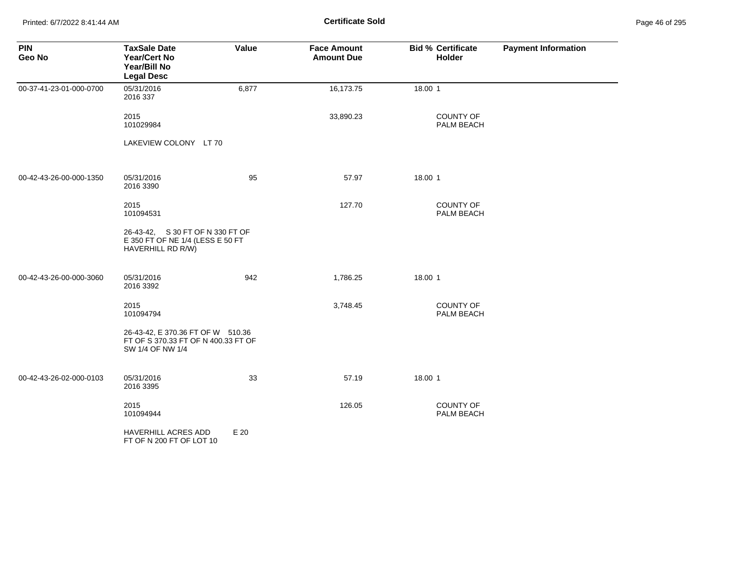Printed: 6/7/2022 8:41:44 AM **Page 46 of 2018** Page 46 of 2018 **Certificate Sold** 

| Page 46 of 295 |  |  |  |
|----------------|--|--|--|
|----------------|--|--|--|

| <b>PIN</b><br>Geo No    | <b>TaxSale Date</b><br><b>Year/Cert No</b><br>Year/Bill No<br><b>Legal Desc</b>              | Value | <b>Face Amount</b><br><b>Amount Due</b> | <b>Bid % Certificate</b><br>Holder | <b>Payment Information</b> |
|-------------------------|----------------------------------------------------------------------------------------------|-------|-----------------------------------------|------------------------------------|----------------------------|
| 00-37-41-23-01-000-0700 | 05/31/2016<br>2016 337                                                                       | 6,877 | 16,173.75                               | 18.00 1                            |                            |
|                         | 2015<br>101029984                                                                            |       | 33,890.23                               | <b>COUNTY OF</b><br>PALM BEACH     |                            |
|                         | LAKEVIEW COLONY LT 70                                                                        |       |                                         |                                    |                            |
| 00-42-43-26-00-000-1350 | 05/31/2016<br>2016 3390                                                                      | 95    | 57.97                                   | 18.00 1                            |                            |
|                         | 2015<br>101094531                                                                            |       | 127.70                                  | <b>COUNTY OF</b><br>PALM BEACH     |                            |
|                         | 26-43-42, S 30 FT OF N 330 FT OF<br>E 350 FT OF NE 1/4 (LESS E 50 FT<br>HAVERHILL RD R/W)    |       |                                         |                                    |                            |
| 00-42-43-26-00-000-3060 | 05/31/2016<br>2016 3392                                                                      | 942   | 1,786.25                                | 18.00 1                            |                            |
|                         | 2015<br>101094794                                                                            |       | 3,748.45                                | <b>COUNTY OF</b><br>PALM BEACH     |                            |
|                         | 26-43-42, E 370.36 FT OF W 510.36<br>FT OF S 370.33 FT OF N 400.33 FT OF<br>SW 1/4 OF NW 1/4 |       |                                         |                                    |                            |
| 00-42-43-26-02-000-0103 | 05/31/2016<br>2016 3395                                                                      | 33    | 57.19                                   | 18.00 1                            |                            |
|                         | 2015<br>101094944                                                                            |       | 126.05                                  | <b>COUNTY OF</b><br>PALM BEACH     |                            |
|                         | HAVERHILL ACRES ADD<br>FT OF N 200 FT OF LOT 10                                              | E 20  |                                         |                                    |                            |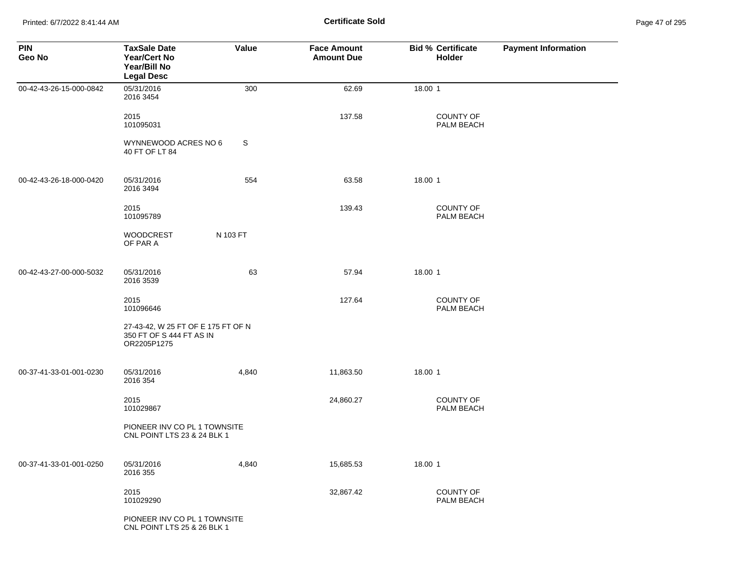Printed: 6/7/2022 8:41:44 AM **Page 47 of 2018** Page 41:44 AM **Certificate Sold** 

| Page 47 of 295 |  |  |
|----------------|--|--|
|----------------|--|--|

| <b>PIN</b><br>Geo No    | <b>TaxSale Date</b><br><b>Year/Cert No</b><br>Year/Bill No<br><b>Legal Desc</b> | Value    | <b>Face Amount</b><br><b>Amount Due</b> | <b>Bid % Certificate</b><br>Holder | <b>Payment Information</b> |
|-------------------------|---------------------------------------------------------------------------------|----------|-----------------------------------------|------------------------------------|----------------------------|
| 00-42-43-26-15-000-0842 | 05/31/2016<br>2016 3454                                                         | 300      | 62.69                                   | 18.00 1                            |                            |
|                         | 2015<br>101095031                                                               |          | 137.58                                  | COUNTY OF<br>PALM BEACH            |                            |
|                         | WYNNEWOOD ACRES NO 6<br>40 FT OF LT 84                                          | S        |                                         |                                    |                            |
| 00-42-43-26-18-000-0420 | 05/31/2016<br>2016 3494                                                         | 554      | 63.58                                   | 18.00 1                            |                            |
|                         | 2015<br>101095789                                                               |          | 139.43                                  | <b>COUNTY OF</b><br>PALM BEACH     |                            |
|                         | <b>WOODCREST</b><br>OF PAR A                                                    | N 103 FT |                                         |                                    |                            |
| 00-42-43-27-00-000-5032 | 05/31/2016<br>2016 3539                                                         | 63       | 57.94                                   | 18.00 1                            |                            |
|                         | 2015<br>101096646                                                               |          | 127.64                                  | <b>COUNTY OF</b><br>PALM BEACH     |                            |
|                         | 27-43-42, W 25 FT OF E 175 FT OF N<br>350 FT OF S 444 FT AS IN<br>OR2205P1275   |          |                                         |                                    |                            |
| 00-37-41-33-01-001-0230 | 05/31/2016<br>2016 354                                                          | 4,840    | 11,863.50                               | 18.00 1                            |                            |
|                         | 2015<br>101029867                                                               |          | 24,860.27                               | COUNTY OF<br>PALM BEACH            |                            |
|                         | PIONEER INV CO PL 1 TOWNSITE<br>CNL POINT LTS 23 & 24 BLK 1                     |          |                                         |                                    |                            |
| 00-37-41-33-01-001-0250 | 05/31/2016<br>2016 355                                                          | 4,840    | 15,685.53                               | 18.00 1                            |                            |
|                         | 2015<br>101029290                                                               |          | 32,867.42                               | COUNTY OF<br>PALM BEACH            |                            |
|                         | PIONEER INV CO PL 1 TOWNSITE<br>CNL POINT LTS 25 & 26 BLK 1                     |          |                                         |                                    |                            |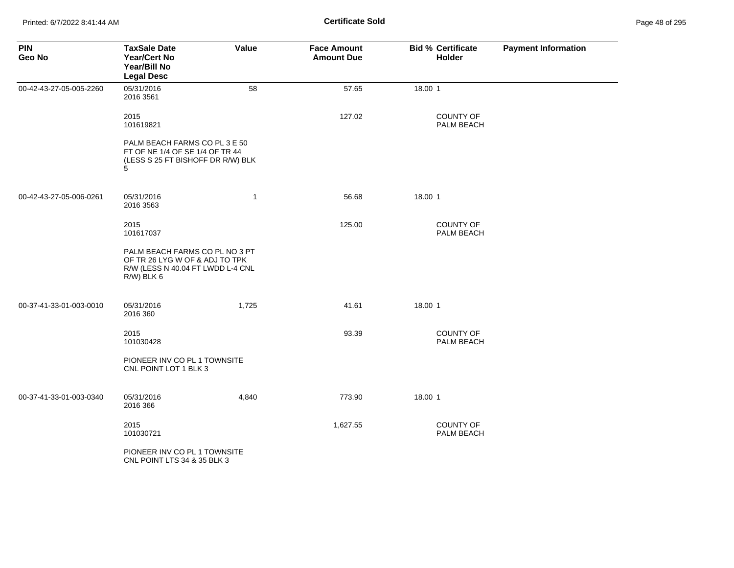| <b>PIN</b><br>Geo No    | <b>TaxSale Date</b><br><b>Year/Cert No</b><br>Year/Bill No<br><b>Legal Desc</b>                                        | Value        | <b>Face Amount</b><br><b>Amount Due</b> | <b>Bid % Certificate</b><br>Holder | <b>Payment Information</b> |
|-------------------------|------------------------------------------------------------------------------------------------------------------------|--------------|-----------------------------------------|------------------------------------|----------------------------|
| 00-42-43-27-05-005-2260 | 05/31/2016<br>2016 3561                                                                                                | 58           | 57.65                                   | 18.00 1                            |                            |
|                         | 2015<br>101619821                                                                                                      |              | 127.02                                  | COUNTY OF<br>PALM BEACH            |                            |
|                         | PALM BEACH FARMS CO PL 3 E 50<br>FT OF NE 1/4 OF SE 1/4 OF TR 44<br>(LESS S 25 FT BISHOFF DR R/W) BLK<br>5             |              |                                         |                                    |                            |
| 00-42-43-27-05-006-0261 | 05/31/2016<br>2016 3563                                                                                                | $\mathbf{1}$ | 56.68                                   | 18.00 1                            |                            |
|                         | 2015<br>101617037                                                                                                      |              | 125.00                                  | <b>COUNTY OF</b><br>PALM BEACH     |                            |
|                         | PALM BEACH FARMS CO PL NO 3 PT<br>OF TR 26 LYG W OF & ADJ TO TPK<br>R/W (LESS N 40.04 FT LWDD L-4 CNL<br>$R/W$ ) BLK 6 |              |                                         |                                    |                            |
| 00-37-41-33-01-003-0010 | 05/31/2016<br>2016 360                                                                                                 | 1,725        | 41.61                                   | 18.00 1                            |                            |
|                         | 2015<br>101030428                                                                                                      |              | 93.39                                   | COUNTY OF<br>PALM BEACH            |                            |
|                         | PIONEER INV CO PL 1 TOWNSITE<br>CNL POINT LOT 1 BLK 3                                                                  |              |                                         |                                    |                            |
| 00-37-41-33-01-003-0340 | 05/31/2016<br>2016 366                                                                                                 | 4,840        | 773.90                                  | 18.00 1                            |                            |
|                         | 2015<br>101030721                                                                                                      |              | 1,627.55                                | <b>COUNTY OF</b><br>PALM BEACH     |                            |
|                         | PIONEER INV CO PL 1 TOWNSITE<br>CNL POINT LTS 34 & 35 BLK 3                                                            |              |                                         |                                    |                            |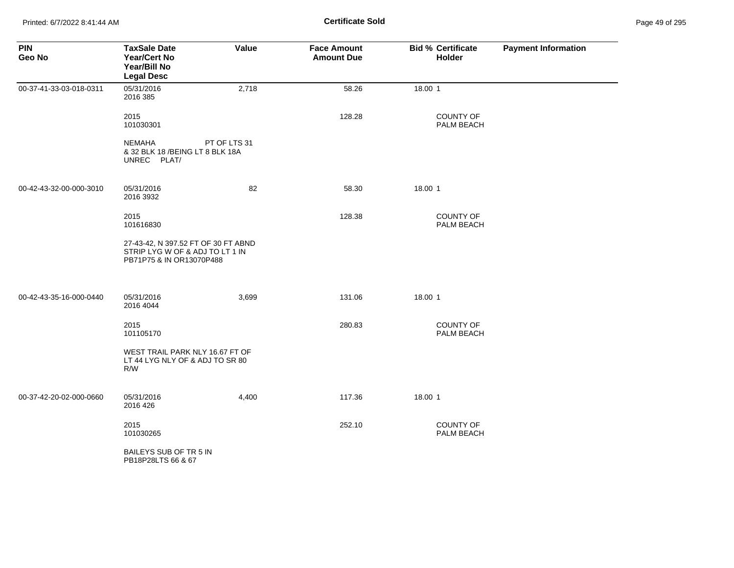Printed: 6/7/2022 8:41:44 AM **Certificate Sold** Page 49 of 295

| <b>PIN</b><br>Geo No    | <b>TaxSale Date</b><br>Year/Cert No<br>Year/Bill No<br><b>Legal Desc</b>                           | Value        | <b>Face Amount</b><br><b>Amount Due</b> | <b>Bid % Certificate</b><br>Holder | <b>Payment Information</b> |
|-------------------------|----------------------------------------------------------------------------------------------------|--------------|-----------------------------------------|------------------------------------|----------------------------|
| 00-37-41-33-03-018-0311 | 05/31/2016<br>2016 385                                                                             | 2,718        | 58.26                                   | 18.00 1                            |                            |
|                         | 2015<br>101030301                                                                                  |              | 128.28                                  | <b>COUNTY OF</b><br>PALM BEACH     |                            |
|                         | NEMAHA<br>& 32 BLK 18 / BEING LT 8 BLK 18A<br>UNREC PLAT/                                          | PT OF LTS 31 |                                         |                                    |                            |
| 00-42-43-32-00-000-3010 | 05/31/2016<br>2016 3932                                                                            | 82           | 58.30                                   | 18.00 1                            |                            |
|                         | 2015<br>101616830                                                                                  |              | 128.38                                  | COUNTY OF<br>PALM BEACH            |                            |
|                         | 27-43-42, N 397.52 FT OF 30 FT ABND<br>STRIP LYG W OF & ADJ TO LT 1 IN<br>PB71P75 & IN OR13070P488 |              |                                         |                                    |                            |
| 00-42-43-35-16-000-0440 | 05/31/2016<br>2016 4044                                                                            | 3,699        | 131.06                                  | 18.00 1                            |                            |
|                         | 2015<br>101105170                                                                                  |              | 280.83                                  | <b>COUNTY OF</b><br>PALM BEACH     |                            |
|                         | WEST TRAIL PARK NLY 16.67 FT OF<br>LT 44 LYG NLY OF & ADJ TO SR 80<br>R/W                          |              |                                         |                                    |                            |
| 00-37-42-20-02-000-0660 | 05/31/2016<br>2016 426                                                                             | 4,400        | 117.36                                  | 18.00 1                            |                            |
|                         | 2015<br>101030265                                                                                  |              | 252.10                                  | <b>COUNTY OF</b><br>PALM BEACH     |                            |
|                         | BAILEYS SUB OF TR 5 IN<br>PB18P28LTS 66 & 67                                                       |              |                                         |                                    |                            |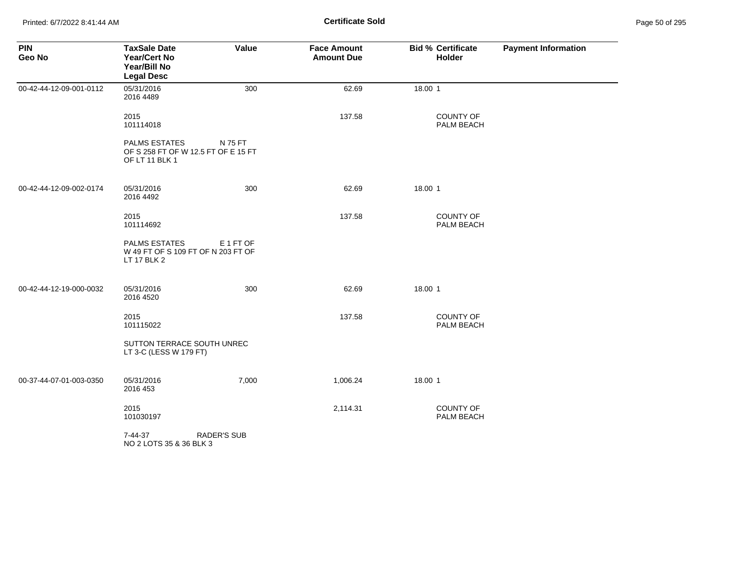Printed: 6/7/2022 8:41:44 AM **Page 50 of 2018 Certificate Sold Certificate Sold** 

| <b>PIN</b><br>Geo No    | <b>TaxSale Date</b><br><b>Year/Cert No</b><br>Year/Bill No<br><b>Legal Desc</b> | Value              | <b>Face Amount</b><br><b>Amount Due</b> | <b>Bid % Certificate</b><br>Holder | <b>Payment Information</b> |
|-------------------------|---------------------------------------------------------------------------------|--------------------|-----------------------------------------|------------------------------------|----------------------------|
| 00-42-44-12-09-001-0112 | 05/31/2016<br>2016 4489                                                         | 300                | 62.69                                   | 18.00 1                            |                            |
|                         | 2015<br>101114018                                                               |                    | 137.58                                  | <b>COUNTY OF</b><br>PALM BEACH     |                            |
|                         | <b>PALMS ESTATES</b><br>OF S 258 FT OF W 12.5 FT OF E 15 FT<br>OF LT 11 BLK 1   | N 75 FT            |                                         |                                    |                            |
| 00-42-44-12-09-002-0174 | 05/31/2016<br>2016 4492                                                         | 300                | 62.69                                   | 18.00 1                            |                            |
|                         | 2015<br>101114692                                                               |                    | 137.58                                  | <b>COUNTY OF</b><br>PALM BEACH     |                            |
|                         | <b>PALMS ESTATES</b><br>W 49 FT OF S 109 FT OF N 203 FT OF<br>LT 17 BLK 2       | E 1 FT OF          |                                         |                                    |                            |
| 00-42-44-12-19-000-0032 | 05/31/2016<br>2016 4520                                                         | 300                | 62.69                                   | 18.00 1                            |                            |
|                         | 2015<br>101115022                                                               |                    | 137.58                                  | COUNTY OF<br>PALM BEACH            |                            |
|                         | SUTTON TERRACE SOUTH UNREC<br>LT 3-C (LESS W 179 FT)                            |                    |                                         |                                    |                            |
| 00-37-44-07-01-003-0350 | 05/31/2016<br>2016 453                                                          | 7,000              | 1,006.24                                | 18.00 1                            |                            |
|                         | 2015<br>101030197                                                               |                    | 2,114.31                                | COUNTY OF<br>PALM BEACH            |                            |
|                         | 7-44-37<br>NO 2 LOTS 35 & 36 BLK 3                                              | <b>RADER'S SUB</b> |                                         |                                    |                            |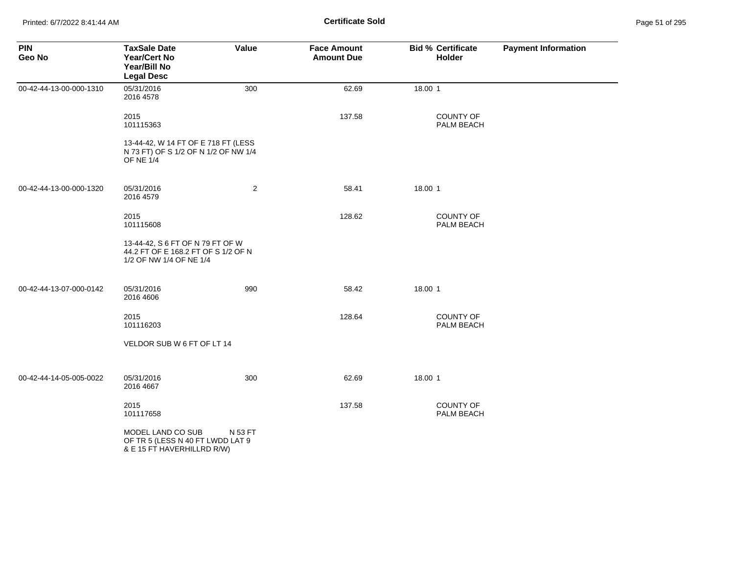| <b>PIN</b><br>Geo No    | <b>TaxSale Date</b><br><b>Year/Cert No</b><br>Year/Bill No<br><b>Legal Desc</b>                    | Value          | <b>Face Amount</b><br><b>Amount Due</b> | <b>Bid % Certificate</b><br>Holder | <b>Payment Information</b> |
|-------------------------|----------------------------------------------------------------------------------------------------|----------------|-----------------------------------------|------------------------------------|----------------------------|
| 00-42-44-13-00-000-1310 | 05/31/2016<br>2016 4578                                                                            | 300            | 62.69                                   | 18.00 1                            |                            |
|                         | 2015<br>101115363                                                                                  |                | 137.58                                  | <b>COUNTY OF</b><br>PALM BEACH     |                            |
|                         | 13-44-42, W 14 FT OF E 718 FT (LESS<br>N 73 FT) OF S 1/2 OF N 1/2 OF NW 1/4<br><b>OF NE 1/4</b>    |                |                                         |                                    |                            |
| 00-42-44-13-00-000-1320 | 05/31/2016<br>2016 4579                                                                            | $\overline{2}$ | 58.41                                   | 18.00 1                            |                            |
|                         | 2015<br>101115608                                                                                  |                | 128.62                                  | <b>COUNTY OF</b><br>PALM BEACH     |                            |
|                         | 13-44-42, S 6 FT OF N 79 FT OF W<br>44.2 FT OF E 168.2 FT OF S 1/2 OF N<br>1/2 OF NW 1/4 OF NE 1/4 |                |                                         |                                    |                            |
| 00-42-44-13-07-000-0142 | 05/31/2016<br>2016 4606                                                                            | 990            | 58.42                                   | 18.00 1                            |                            |
|                         | 2015<br>101116203                                                                                  |                | 128.64                                  | <b>COUNTY OF</b><br>PALM BEACH     |                            |
|                         | VELDOR SUB W 6 FT OF LT 14                                                                         |                |                                         |                                    |                            |
| 00-42-44-14-05-005-0022 | 05/31/2016<br>2016 4667                                                                            | 300            | 62.69                                   | 18.00 1                            |                            |
|                         | 2015<br>101117658                                                                                  |                | 137.58                                  | <b>COUNTY OF</b><br>PALM BEACH     |                            |
|                         | MODEL LAND CO SUB<br>OF TR 5 (LESS N 40 FT LWDD LAT 9<br>& E 15 FT HAVERHILLRD R/W)                | N 53 FT        |                                         |                                    |                            |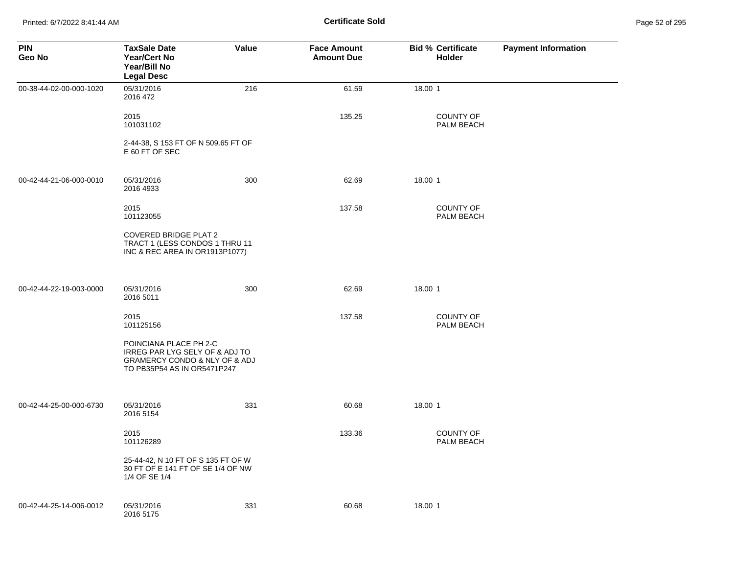Printed: 6/7/2022 8:41:44 AM **Page 52 of 2018 Certificate Sold Certificate Sold** 

| Page 52 of 295 |  |  |  |
|----------------|--|--|--|
|----------------|--|--|--|

| <b>PIN</b><br>Geo No    | <b>TaxSale Date</b><br><b>Year/Cert No</b><br>Year/Bill No<br><b>Legal Desc</b>                                                         | <b>Value</b> | <b>Face Amount</b><br><b>Amount Due</b> | <b>Bid % Certificate</b><br><b>Holder</b> | <b>Payment Information</b> |
|-------------------------|-----------------------------------------------------------------------------------------------------------------------------------------|--------------|-----------------------------------------|-------------------------------------------|----------------------------|
| 00-38-44-02-00-000-1020 | 05/31/2016<br>2016 472                                                                                                                  | 216          | 61.59                                   | 18.00 1                                   |                            |
|                         | 2015<br>101031102                                                                                                                       |              | 135.25                                  | <b>COUNTY OF</b><br>PALM BEACH            |                            |
|                         | 2-44-38, S 153 FT OF N 509.65 FT OF<br>E 60 FT OF SEC                                                                                   |              |                                         |                                           |                            |
| 00-42-44-21-06-000-0010 | 05/31/2016<br>2016 4933                                                                                                                 | 300          | 62.69                                   | 18.00 1                                   |                            |
|                         | 2015<br>101123055                                                                                                                       |              | 137.58                                  | <b>COUNTY OF</b><br>PALM BEACH            |                            |
|                         | <b>COVERED BRIDGE PLAT 2</b><br>TRACT 1 (LESS CONDOS 1 THRU 11<br>INC & REC AREA IN OR1913P1077)                                        |              |                                         |                                           |                            |
| 00-42-44-22-19-003-0000 | 05/31/2016<br>2016 5011                                                                                                                 | 300          | 62.69                                   | 18.00 1                                   |                            |
|                         | 2015<br>101125156                                                                                                                       |              | 137.58                                  | <b>COUNTY OF</b><br>PALM BEACH            |                            |
|                         | POINCIANA PLACE PH 2-C<br>IRREG PAR LYG SELY OF & ADJ TO<br><b>GRAMERCY CONDO &amp; NLY OF &amp; ADJ</b><br>TO PB35P54 AS IN OR5471P247 |              |                                         |                                           |                            |
| 00-42-44-25-00-000-6730 | 05/31/2016<br>2016 5154                                                                                                                 | 331          | 60.68                                   | 18.00 1                                   |                            |
|                         | 2015<br>101126289                                                                                                                       |              | 133.36                                  | <b>COUNTY OF</b><br>PALM BEACH            |                            |
|                         | 25-44-42, N 10 FT OF S 135 FT OF W<br>30 FT OF E 141 FT OF SE 1/4 OF NW<br>1/4 OF SE 1/4                                                |              |                                         |                                           |                            |
| 00-42-44-25-14-006-0012 | 05/31/2016<br>2016 5175                                                                                                                 | 331          | 60.68                                   | 18.00 1                                   |                            |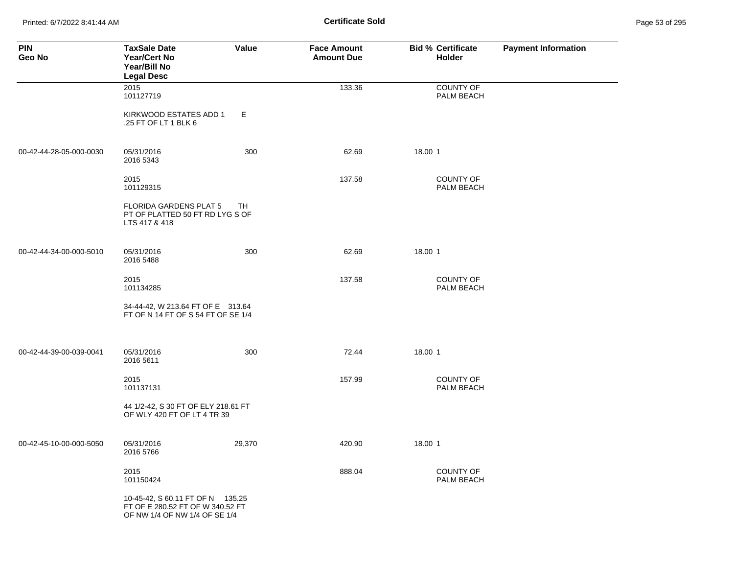Printed: 6/7/2022 8:41:44 AM **Certificate Sold** Page 53 of 295

| <b>PIN</b><br>Geo No    | <b>TaxSale Date</b><br><b>Year/Cert No</b><br>Year/Bill No<br><b>Legal Desc</b>                       | Value     | <b>Face Amount</b><br><b>Amount Due</b> | <b>Bid % Certificate</b><br>Holder | <b>Payment Information</b> |
|-------------------------|-------------------------------------------------------------------------------------------------------|-----------|-----------------------------------------|------------------------------------|----------------------------|
|                         | 2015<br>101127719                                                                                     |           | 133.36                                  | <b>COUNTY OF</b><br>PALM BEACH     |                            |
|                         | KIRKWOOD ESTATES ADD 1<br>.25 FT OF LT 1 BLK 6                                                        | Е         |                                         |                                    |                            |
| 00-42-44-28-05-000-0030 | 05/31/2016<br>2016 5343                                                                               | 300       | 62.69                                   | 18.00 1                            |                            |
|                         | 2015<br>101129315                                                                                     |           | 137.58                                  | <b>COUNTY OF</b><br>PALM BEACH     |                            |
|                         | <b>FLORIDA GARDENS PLAT 5</b><br>PT OF PLATTED 50 FT RD LYG S OF<br>LTS 417 & 418                     | <b>TH</b> |                                         |                                    |                            |
| 00-42-44-34-00-000-5010 | 05/31/2016<br>2016 5488                                                                               | 300       | 62.69                                   | 18.00 1                            |                            |
|                         | 2015<br>101134285                                                                                     |           | 137.58                                  | <b>COUNTY OF</b><br>PALM BEACH     |                            |
|                         | 34-44-42, W 213.64 FT OF E 313.64<br>FT OF N 14 FT OF S 54 FT OF SE 1/4                               |           |                                         |                                    |                            |
| 00-42-44-39-00-039-0041 | 05/31/2016<br>2016 5611                                                                               | 300       | 72.44                                   | 18.00 1                            |                            |
|                         | 2015<br>101137131                                                                                     |           | 157.99                                  | <b>COUNTY OF</b><br>PALM BEACH     |                            |
|                         | 44 1/2-42, S 30 FT OF ELY 218.61 FT<br>OF WLY 420 FT OF LT 4 TR 39                                    |           |                                         |                                    |                            |
| 00-42-45-10-00-000-5050 | 05/31/2016<br>2016 5766                                                                               | 29,370    | 420.90                                  | 18.00 1                            |                            |
|                         | 2015<br>101150424                                                                                     |           | 888.04                                  | <b>COUNTY OF</b><br>PALM BEACH     |                            |
|                         | 10-45-42, S 60.11 FT OF N 135.25<br>FT OF E 280.52 FT OF W 340.52 FT<br>OF NW 1/4 OF NW 1/4 OF SE 1/4 |           |                                         |                                    |                            |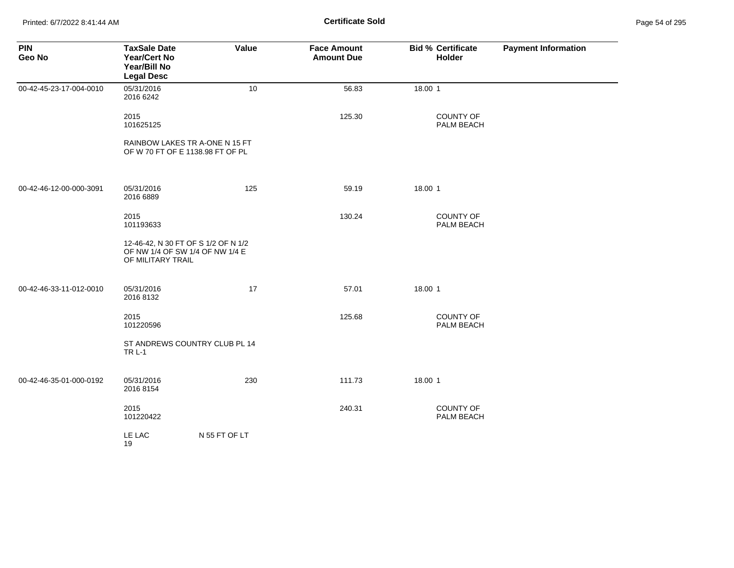Printed: 6/7/2022 8:41:44 AM **Certificate Sold** Page 54 of 295

| <b>PIN</b><br>Geo No    | <b>TaxSale Date</b><br><b>Year/Cert No</b><br>Year/Bill No<br><b>Legal Desc</b> | Value                                                                  | <b>Face Amount</b><br><b>Amount Due</b> | <b>Bid % Certificate</b><br><b>Holder</b> | <b>Payment Information</b> |
|-------------------------|---------------------------------------------------------------------------------|------------------------------------------------------------------------|-----------------------------------------|-------------------------------------------|----------------------------|
| 00-42-45-23-17-004-0010 | 05/31/2016<br>2016 6242                                                         | 10                                                                     | 56.83                                   | 18.00 1                                   |                            |
|                         | 2015<br>101625125                                                               |                                                                        | 125.30                                  | <b>COUNTY OF</b><br>PALM BEACH            |                            |
|                         |                                                                                 | RAINBOW LAKES TR A-ONE N 15 FT<br>OF W 70 FT OF E 1138.98 FT OF PL     |                                         |                                           |                            |
| 00-42-46-12-00-000-3091 | 05/31/2016<br>2016 6889                                                         | 125                                                                    | 59.19                                   | 18.00 1                                   |                            |
|                         | 2015<br>101193633                                                               |                                                                        | 130.24                                  | COUNTY OF<br>PALM BEACH                   |                            |
|                         | OF MILITARY TRAIL                                                               | 12-46-42, N 30 FT OF S 1/2 OF N 1/2<br>OF NW 1/4 OF SW 1/4 OF NW 1/4 E |                                         |                                           |                            |
| 00-42-46-33-11-012-0010 | 05/31/2016<br>2016 8132                                                         | 17                                                                     | 57.01                                   | 18.00 1                                   |                            |
|                         | 2015<br>101220596                                                               |                                                                        | 125.68                                  | COUNTY OF<br>PALM BEACH                   |                            |
|                         | <b>TR L-1</b>                                                                   | ST ANDREWS COUNTRY CLUB PL 14                                          |                                         |                                           |                            |
| 00-42-46-35-01-000-0192 | 05/31/2016<br>2016 8154                                                         | 230                                                                    | 111.73                                  | 18.00 1                                   |                            |
|                         | 2015<br>101220422                                                               |                                                                        | 240.31                                  | <b>COUNTY OF</b><br>PALM BEACH            |                            |
|                         | LE LAC<br>19                                                                    | N 55 FT OF LT                                                          |                                         |                                           |                            |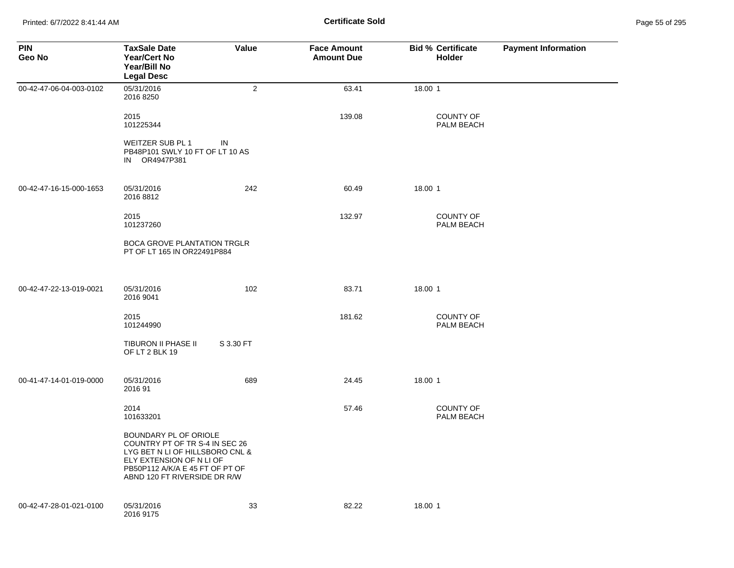Printed: 6/7/2022 8:41:44 AM **Page 19:41:44 AM** Page 55 of 2014 **Certificate Sold** 

| Page 55 of 295 |  |  |  |
|----------------|--|--|--|
|----------------|--|--|--|

| <b>PIN</b><br>Geo No    | <b>TaxSale Date</b><br>Year/Cert No<br>Year/Bill No<br><b>Legal Desc</b>                                                                                                                  | Value          | <b>Face Amount</b><br><b>Amount Due</b> | <b>Bid % Certificate</b><br><b>Holder</b> | <b>Payment Information</b> |
|-------------------------|-------------------------------------------------------------------------------------------------------------------------------------------------------------------------------------------|----------------|-----------------------------------------|-------------------------------------------|----------------------------|
| 00-42-47-06-04-003-0102 | 05/31/2016<br>2016 8250                                                                                                                                                                   | $\overline{2}$ | 63.41                                   | 18.00 1                                   |                            |
|                         | 2015<br>101225344                                                                                                                                                                         |                | 139.08                                  | <b>COUNTY OF</b><br>PALM BEACH            |                            |
|                         | WEITZER SUB PL 1<br>PB48P101 SWLY 10 FT OF LT 10 AS<br>IN OR4947P381                                                                                                                      | IN             |                                         |                                           |                            |
| 00-42-47-16-15-000-1653 | 05/31/2016<br>2016 8812                                                                                                                                                                   | 242            | 60.49                                   | 18.00 1                                   |                            |
|                         | 2015<br>101237260                                                                                                                                                                         |                | 132.97                                  | <b>COUNTY OF</b><br>PALM BEACH            |                            |
|                         | <b>BOCA GROVE PLANTATION TRGLR</b><br>PT OF LT 165 IN OR22491P884                                                                                                                         |                |                                         |                                           |                            |
| 00-42-47-22-13-019-0021 | 05/31/2016<br>2016 9041                                                                                                                                                                   | 102            | 83.71                                   | 18.00 1                                   |                            |
|                         | 2015<br>101244990                                                                                                                                                                         |                | 181.62                                  | <b>COUNTY OF</b><br>PALM BEACH            |                            |
|                         | TIBURON II PHASE II<br>OF LT 2 BLK 19                                                                                                                                                     | S 3.30 FT      |                                         |                                           |                            |
| 00-41-47-14-01-019-0000 | 05/31/2016<br>201691                                                                                                                                                                      | 689            | 24.45                                   | 18.00 1                                   |                            |
|                         | 2014<br>101633201                                                                                                                                                                         |                | 57.46                                   | <b>COUNTY OF</b><br>PALM BEACH            |                            |
|                         | BOUNDARY PL OF ORIOLE<br>COUNTRY PT OF TR S-4 IN SEC 26<br>LYG BET N LI OF HILLSBORO CNL &<br>ELY EXTENSION OF N LI OF<br>PB50P112 A/K/A E 45 FT OF PT OF<br>ABND 120 FT RIVERSIDE DR R/W |                |                                         |                                           |                            |
| 00-42-47-28-01-021-0100 | 05/31/2016<br>2016 9175                                                                                                                                                                   | 33             | 82.22                                   | 18.00 1                                   |                            |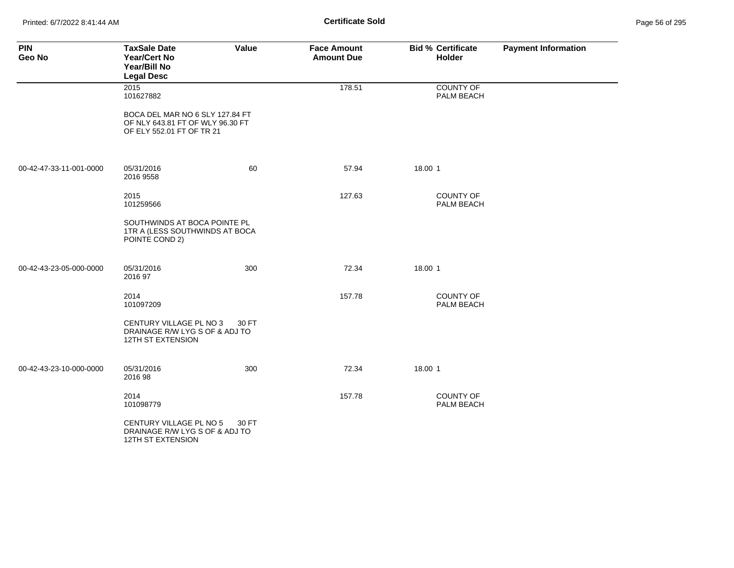Printed: 6/7/2022 8:41:44 AM **Certificate Sold** Page 56 of 295

| <b>PIN</b><br>Geo No    | <b>TaxSale Date</b><br><b>Year/Cert No</b><br>Year/Bill No<br><b>Legal Desc</b>                  | Value | <b>Face Amount</b><br><b>Amount Due</b> | <b>Bid % Certificate</b><br><b>Holder</b> | <b>Payment Information</b> |
|-------------------------|--------------------------------------------------------------------------------------------------|-------|-----------------------------------------|-------------------------------------------|----------------------------|
|                         | 2015<br>101627882                                                                                |       | 178.51                                  | COUNTY OF<br>PALM BEACH                   |                            |
|                         | BOCA DEL MAR NO 6 SLY 127.84 FT<br>OF NLY 643.81 FT OF WLY 96.30 FT<br>OF ELY 552.01 FT OF TR 21 |       |                                         |                                           |                            |
| 00-42-47-33-11-001-0000 | 05/31/2016<br>2016 9558                                                                          | 60    | 57.94                                   | 18.00 1                                   |                            |
|                         | 2015<br>101259566                                                                                |       | 127.63                                  | COUNTY OF<br>PALM BEACH                   |                            |
|                         | SOUTHWINDS AT BOCA POINTE PL<br>1TR A (LESS SOUTHWINDS AT BOCA<br>POINTE COND 2)                 |       |                                         |                                           |                            |
| 00-42-43-23-05-000-0000 | 05/31/2016<br>2016 97                                                                            | 300   | 72.34                                   | 18.00 1                                   |                            |
|                         | 2014<br>101097209                                                                                |       | 157.78                                  | <b>COUNTY OF</b><br>PALM BEACH            |                            |
|                         | CENTURY VILLAGE PL NO 3<br>DRAINAGE R/W LYG S OF & ADJ TO<br><b>12TH ST EXTENSION</b>            | 30 FT |                                         |                                           |                            |
| 00-42-43-23-10-000-0000 | 05/31/2016<br>2016 98                                                                            | 300   | 72.34                                   | 18.00 1                                   |                            |
|                         | 2014<br>101098779                                                                                |       | 157.78                                  | <b>COUNTY OF</b><br>PALM BEACH            |                            |
|                         | CENTURY VILLAGE PL NO 5<br>DRAINAGE R/W LYG S OF & ADJ TO<br>12TH ST EXTENSION                   | 30 FT |                                         |                                           |                            |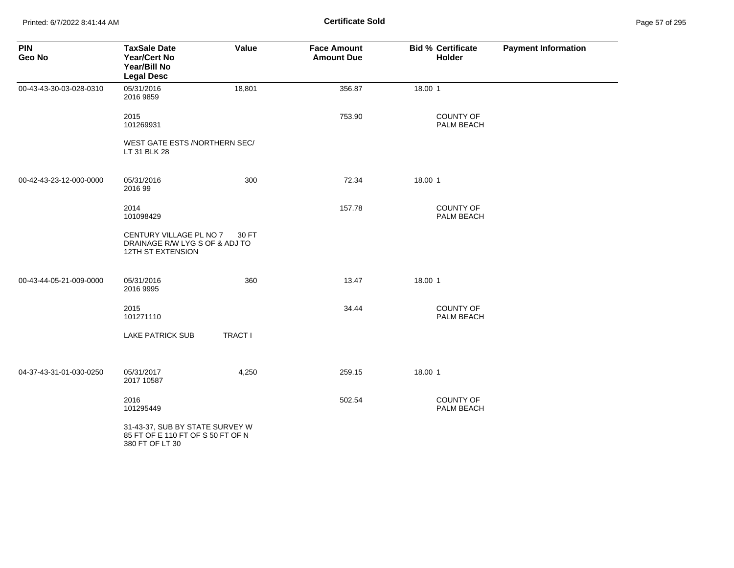Printed: 6/7/2022 8:41:44 AM **Page 57 of 2018 Certificate Sold Certificate Sold** 

| Page 57 of 295 |  |  |  |
|----------------|--|--|--|
|----------------|--|--|--|

| <b>PIN</b><br>Geo No    | <b>TaxSale Date</b><br><b>Year/Cert No</b><br>Year/Bill No<br><b>Legal Desc</b>         | Value          | <b>Face Amount</b><br><b>Amount Due</b> | <b>Bid % Certificate</b><br>Holder | <b>Payment Information</b> |
|-------------------------|-----------------------------------------------------------------------------------------|----------------|-----------------------------------------|------------------------------------|----------------------------|
| 00-43-43-30-03-028-0310 | 05/31/2016<br>2016 9859                                                                 | 18,801         | 356.87                                  | 18.00 1                            |                            |
|                         | 2015<br>101269931                                                                       |                | 753.90                                  | <b>COUNTY OF</b><br>PALM BEACH     |                            |
|                         | WEST GATE ESTS /NORTHERN SEC/<br>LT 31 BLK 28                                           |                |                                         |                                    |                            |
| 00-42-43-23-12-000-0000 | 05/31/2016<br>2016 99                                                                   | 300            | 72.34                                   | 18.00 1                            |                            |
|                         | 2014<br>101098429                                                                       |                | 157.78                                  | COUNTY OF<br>PALM BEACH            |                            |
|                         | CENTURY VILLAGE PL NO 7<br>DRAINAGE R/W LYG S OF & ADJ TO<br>12TH ST EXTENSION          | 30 FT          |                                         |                                    |                            |
| 00-43-44-05-21-009-0000 | 05/31/2016<br>2016 9995                                                                 | 360            | 13.47                                   | 18.00 1                            |                            |
|                         | 2015<br>101271110                                                                       |                | 34.44                                   | COUNTY OF<br>PALM BEACH            |                            |
|                         | <b>LAKE PATRICK SUB</b>                                                                 | <b>TRACT I</b> |                                         |                                    |                            |
| 04-37-43-31-01-030-0250 | 05/31/2017<br>2017 10587                                                                | 4,250          | 259.15                                  | 18.00 1                            |                            |
|                         | 2016<br>101295449                                                                       |                | 502.54                                  | COUNTY OF<br>PALM BEACH            |                            |
|                         | 31-43-37, SUB BY STATE SURVEY W<br>85 FT OF E 110 FT OF S 50 FT OF N<br>380 FT OF LT 30 |                |                                         |                                    |                            |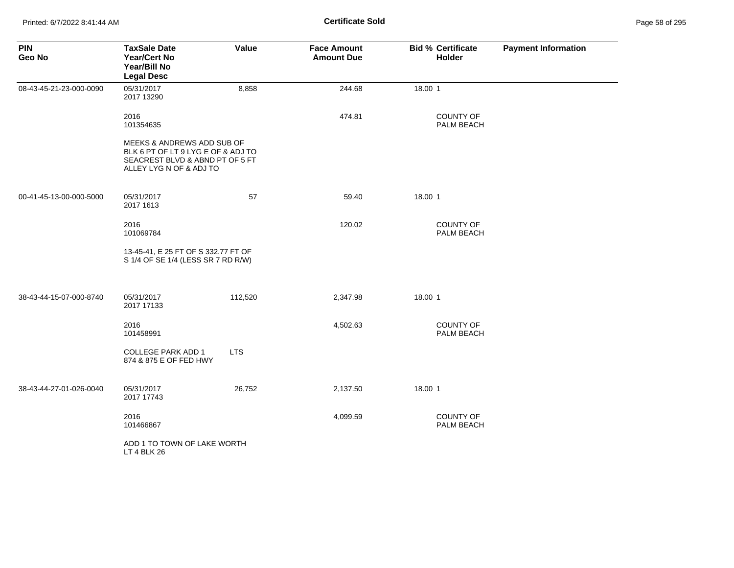| <b>PIN</b><br>Geo No    | <b>TaxSale Date</b><br><b>Year/Cert No</b><br>Year/Bill No<br><b>Legal Desc</b>                                                | Value      | <b>Face Amount</b><br><b>Amount Due</b> | <b>Bid % Certificate</b><br>Holder | <b>Payment Information</b> |
|-------------------------|--------------------------------------------------------------------------------------------------------------------------------|------------|-----------------------------------------|------------------------------------|----------------------------|
| 08-43-45-21-23-000-0090 | 05/31/2017<br>2017 13290                                                                                                       | 8,858      | 244.68                                  | 18.00 1                            |                            |
|                         | 2016<br>101354635                                                                                                              |            | 474.81                                  | <b>COUNTY OF</b><br>PALM BEACH     |                            |
|                         | MEEKS & ANDREWS ADD SUB OF<br>BLK 6 PT OF LT 9 LYG E OF & ADJ TO<br>SEACREST BLVD & ABND PT OF 5 FT<br>ALLEY LYG N OF & ADJ TO |            |                                         |                                    |                            |
| 00-41-45-13-00-000-5000 | 05/31/2017<br>2017 1613                                                                                                        | 57         | 59.40                                   | 18.00 1                            |                            |
|                         | 2016<br>101069784                                                                                                              |            | 120.02                                  | <b>COUNTY OF</b><br>PALM BEACH     |                            |
|                         | 13-45-41, E 25 FT OF S 332.77 FT OF<br>S 1/4 OF SE 1/4 (LESS SR 7 RD R/W)                                                      |            |                                         |                                    |                            |
| 38-43-44-15-07-000-8740 | 05/31/2017<br>2017 17133                                                                                                       | 112,520    | 2,347.98                                | 18.00 1                            |                            |
|                         | 2016<br>101458991                                                                                                              |            | 4,502.63                                | COUNTY OF<br>PALM BEACH            |                            |
|                         | <b>COLLEGE PARK ADD 1</b><br>874 & 875 E OF FED HWY                                                                            | <b>LTS</b> |                                         |                                    |                            |
| 38-43-44-27-01-026-0040 | 05/31/2017<br>2017 17743                                                                                                       | 26,752     | 2,137.50                                | 18.00 1                            |                            |
|                         | 2016<br>101466867                                                                                                              |            | 4,099.59                                | <b>COUNTY OF</b><br>PALM BEACH     |                            |
|                         | ADD 1 TO TOWN OF LAKE WORTH<br>LT 4 BLK 26                                                                                     |            |                                         |                                    |                            |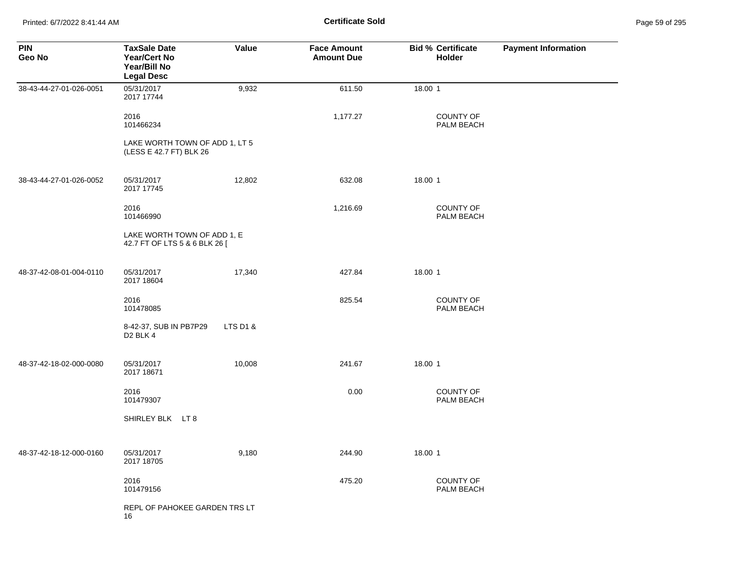Printed: 6/7/2022 8:41:44 AM **Certificate Sold** Page 59 of 295

| <b>PIN</b><br>Geo No    | <b>TaxSale Date</b><br><b>Year/Cert No</b><br>Year/Bill No<br><b>Legal Desc</b> | Value    | <b>Face Amount</b><br><b>Amount Due</b> | <b>Bid % Certificate</b><br>Holder | <b>Payment Information</b> |
|-------------------------|---------------------------------------------------------------------------------|----------|-----------------------------------------|------------------------------------|----------------------------|
| 38-43-44-27-01-026-0051 | 05/31/2017<br>2017 17744                                                        | 9,932    | 611.50                                  | 18.00 1                            |                            |
|                         | 2016<br>101466234                                                               |          | 1,177.27                                | <b>COUNTY OF</b><br>PALM BEACH     |                            |
|                         | LAKE WORTH TOWN OF ADD 1, LT 5<br>(LESS E 42.7 FT) BLK 26                       |          |                                         |                                    |                            |
| 38-43-44-27-01-026-0052 | 05/31/2017<br>2017 17745                                                        | 12,802   | 632.08                                  | 18.00 1                            |                            |
|                         | 2016<br>101466990                                                               |          | 1,216.69                                | <b>COUNTY OF</b><br>PALM BEACH     |                            |
|                         | LAKE WORTH TOWN OF ADD 1, E<br>42.7 FT OF LTS 5 & 6 BLK 26 [                    |          |                                         |                                    |                            |
| 48-37-42-08-01-004-0110 | 05/31/2017<br>2017 18604                                                        | 17,340   | 427.84                                  | 18.00 1                            |                            |
|                         | 2016<br>101478085                                                               |          | 825.54                                  | COUNTY OF<br>PALM BEACH            |                            |
|                         | 8-42-37, SUB IN PB7P29<br>D <sub>2</sub> BLK 4                                  | LTS D1 & |                                         |                                    |                            |
| 48-37-42-18-02-000-0080 | 05/31/2017<br>2017 18671                                                        | 10,008   | 241.67                                  | 18.00 1                            |                            |
|                         | 2016<br>101479307                                                               |          | 0.00                                    | <b>COUNTY OF</b><br>PALM BEACH     |                            |
|                         | SHIRLEY BLK LT 8                                                                |          |                                         |                                    |                            |
| 48-37-42-18-12-000-0160 | 05/31/2017<br>2017 18705                                                        | 9,180    | 244.90                                  | 18.00 1                            |                            |
|                         | 2016<br>101479156                                                               |          | 475.20                                  | <b>COUNTY OF</b><br>PALM BEACH     |                            |
|                         | REPL OF PAHOKEE GARDEN TRS LT<br>16                                             |          |                                         |                                    |                            |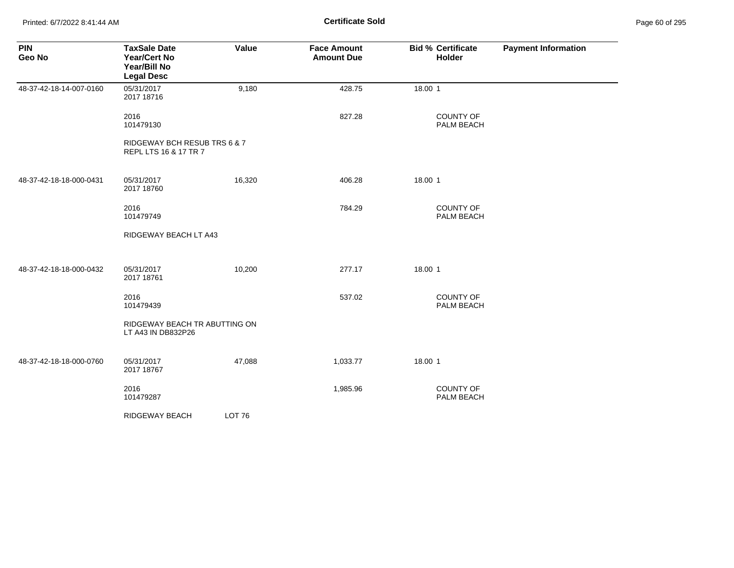Printed: 6/7/2022 8:41:44 AM **Page 12.1 Certificate Sold Certificate Sold** 

| Page 60 of 295 |  |  |  |
|----------------|--|--|--|
|----------------|--|--|--|

| <b>PIN</b><br>Geo No    | <b>TaxSale Date</b><br>Year/Cert No<br>Year/Bill No<br><b>Legal Desc</b> | Value             | <b>Face Amount</b><br><b>Amount Due</b> | <b>Bid % Certificate</b><br>Holder | <b>Payment Information</b> |
|-------------------------|--------------------------------------------------------------------------|-------------------|-----------------------------------------|------------------------------------|----------------------------|
| 48-37-42-18-14-007-0160 | 05/31/2017<br>2017 18716                                                 | 9,180             | 428.75                                  | 18.00 1                            |                            |
|                         | 2016<br>101479130                                                        |                   | 827.28                                  | <b>COUNTY OF</b><br>PALM BEACH     |                            |
|                         | RIDGEWAY BCH RESUB TRS 6 & 7<br>REPL LTS 16 & 17 TR 7                    |                   |                                         |                                    |                            |
| 48-37-42-18-18-000-0431 | 05/31/2017<br>2017 18760                                                 | 16,320            | 406.28                                  | 18.00 1                            |                            |
|                         | 2016<br>101479749                                                        |                   | 784.29                                  | COUNTY OF<br>PALM BEACH            |                            |
|                         | RIDGEWAY BEACH LT A43                                                    |                   |                                         |                                    |                            |
| 48-37-42-18-18-000-0432 | 05/31/2017<br>2017 18761                                                 | 10,200            | 277.17                                  | 18.00 1                            |                            |
|                         | 2016<br>101479439                                                        |                   | 537.02                                  | <b>COUNTY OF</b><br>PALM BEACH     |                            |
|                         | RIDGEWAY BEACH TR ABUTTING ON<br>LT A43 IN DB832P26                      |                   |                                         |                                    |                            |
| 48-37-42-18-18-000-0760 | 05/31/2017<br>2017 18767                                                 | 47,088            | 1,033.77                                | 18.00 1                            |                            |
|                         | 2016<br>101479287                                                        |                   | 1,985.96                                | COUNTY OF<br>PALM BEACH            |                            |
|                         | RIDGEWAY BEACH                                                           | LOT <sub>76</sub> |                                         |                                    |                            |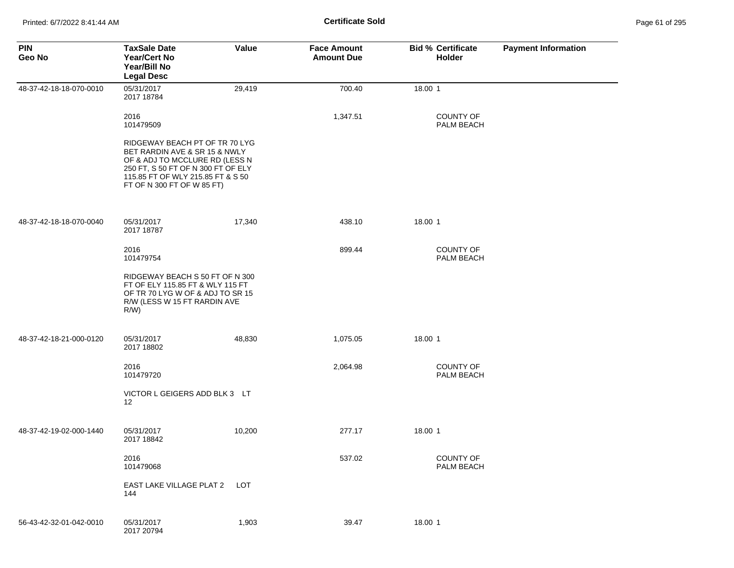| <b>PIN</b><br>Geo No    | <b>TaxSale Date</b><br><b>Year/Cert No</b><br>Year/Bill No<br><b>Legal Desc</b>                                                                                                                            | Value  | <b>Face Amount</b><br><b>Amount Due</b> | <b>Bid % Certificate</b><br><b>Holder</b> | <b>Payment Information</b> |
|-------------------------|------------------------------------------------------------------------------------------------------------------------------------------------------------------------------------------------------------|--------|-----------------------------------------|-------------------------------------------|----------------------------|
| 48-37-42-18-18-070-0010 | 05/31/2017<br>2017 18784                                                                                                                                                                                   | 29,419 | 700.40                                  | 18.00 1                                   |                            |
|                         | 2016<br>101479509                                                                                                                                                                                          |        | 1,347.51                                | <b>COUNTY OF</b><br>PALM BEACH            |                            |
|                         | RIDGEWAY BEACH PT OF TR 70 LYG<br>BET RARDIN AVE & SR 15 & NWLY<br>OF & ADJ TO MCCLURE RD (LESS N<br>250 FT, S 50 FT OF N 300 FT OF ELY<br>115.85 FT OF WLY 215.85 FT & S 50<br>FT OF N 300 FT OF W 85 FT) |        |                                         |                                           |                            |
| 48-37-42-18-18-070-0040 | 05/31/2017<br>2017 18787                                                                                                                                                                                   | 17,340 | 438.10                                  | 18.00 1                                   |                            |
|                         | 2016<br>101479754                                                                                                                                                                                          |        | 899.44                                  | <b>COUNTY OF</b><br>PALM BEACH            |                            |
|                         | RIDGEWAY BEACH S 50 FT OF N 300<br>FT OF ELY 115.85 FT & WLY 115 FT<br>OF TR 70 LYG W OF & ADJ TO SR 15<br>R/W (LESS W 15 FT RARDIN AVE<br>$R/W$ )                                                         |        |                                         |                                           |                            |
| 48-37-42-18-21-000-0120 | 05/31/2017<br>2017 18802                                                                                                                                                                                   | 48,830 | 1,075.05                                | 18.00 1                                   |                            |
|                         | 2016<br>101479720                                                                                                                                                                                          |        | 2,064.98                                | <b>COUNTY OF</b><br>PALM BEACH            |                            |
|                         | VICTOR L GEIGERS ADD BLK 3 LT<br>12                                                                                                                                                                        |        |                                         |                                           |                            |
| 48-37-42-19-02-000-1440 | 05/31/2017<br>2017 18842                                                                                                                                                                                   | 10,200 | 277.17                                  | 18.00 1                                   |                            |
|                         | 2016<br>101479068                                                                                                                                                                                          |        | 537.02                                  | COUNTY OF<br>PALM BEACH                   |                            |
|                         | EAST LAKE VILLAGE PLAT 2<br>144                                                                                                                                                                            | LOT    |                                         |                                           |                            |
| 56-43-42-32-01-042-0010 | 05/31/2017<br>2017 20794                                                                                                                                                                                   | 1,903  | 39.47                                   | 18.00 1                                   |                            |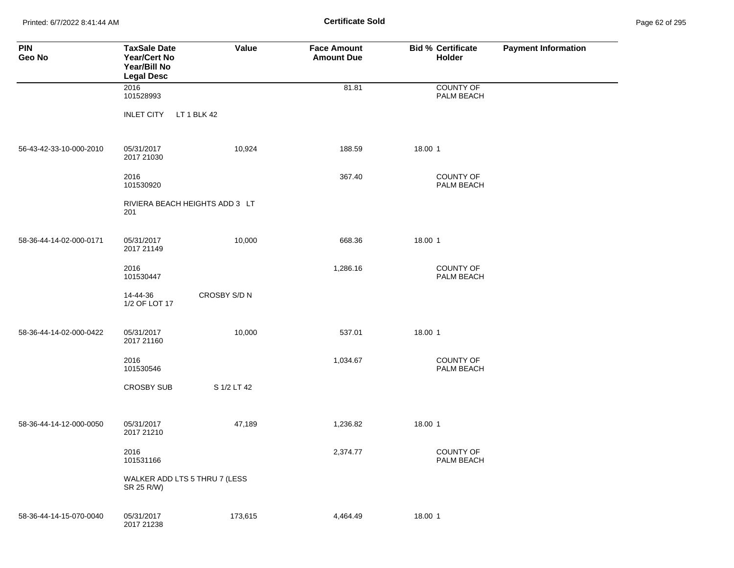Printed: 6/7/2022 8:41:44 AM **Page 62 of 2018** Page 61 **Certificate Sold Certificate Sold** 

| Page 62 of 295 |  |  |  |
|----------------|--|--|--|
|----------------|--|--|--|

| <b>PIN</b><br>Geo No    | <b>TaxSale Date</b><br>Year/Cert No<br>Year/Bill No<br><b>Legal Desc</b> | Value        | <b>Face Amount</b><br><b>Amount Due</b> | <b>Bid % Certificate</b><br>Holder | <b>Payment Information</b> |
|-------------------------|--------------------------------------------------------------------------|--------------|-----------------------------------------|------------------------------------|----------------------------|
|                         | 2016<br>101528993                                                        |              | 81.81                                   | <b>COUNTY OF</b><br>PALM BEACH     |                            |
|                         | <b>INLET CITY</b><br>LT 1 BLK 42                                         |              |                                         |                                    |                            |
| 56-43-42-33-10-000-2010 | 05/31/2017<br>2017 21030                                                 | 10,924       | 188.59                                  | 18.00 1                            |                            |
|                         | 2016<br>101530920                                                        |              | 367.40                                  | COUNTY OF<br>PALM BEACH            |                            |
|                         | RIVIERA BEACH HEIGHTS ADD 3 LT<br>201                                    |              |                                         |                                    |                            |
| 58-36-44-14-02-000-0171 | 05/31/2017<br>2017 21149                                                 | 10,000       | 668.36                                  | 18.00 1                            |                            |
|                         | 2016<br>101530447                                                        |              | 1,286.16                                | COUNTY OF<br>PALM BEACH            |                            |
|                         | 14-44-36<br>1/2 OF LOT 17                                                | CROSBY S/D N |                                         |                                    |                            |
| 58-36-44-14-02-000-0422 | 05/31/2017<br>2017 21160                                                 | 10,000       | 537.01                                  | 18.00 1                            |                            |
|                         | 2016<br>101530546                                                        |              | 1,034.67                                | COUNTY OF<br>PALM BEACH            |                            |
|                         | <b>CROSBY SUB</b>                                                        | S 1/2 LT 42  |                                         |                                    |                            |
| 58-36-44-14-12-000-0050 | 05/31/2017<br>2017 21210                                                 | 47,189       | 1,236.82                                | 18.00 1                            |                            |
|                         | 2016<br>101531166                                                        |              | 2,374.77                                | <b>COUNTY OF</b><br>PALM BEACH     |                            |
|                         | WALKER ADD LTS 5 THRU 7 (LESS<br>SR 25 R/W)                              |              |                                         |                                    |                            |
| 58-36-44-14-15-070-0040 | 05/31/2017<br>2017 21238                                                 | 173,615      | 4,464.49                                | 18.00 1                            |                            |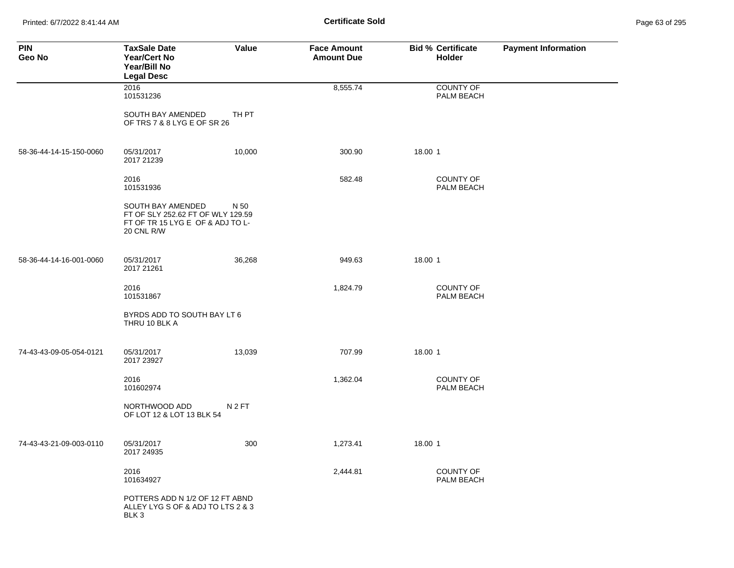Printed: 6/7/2022 8:41:44 AM **Certificate Sold** Page 63 of 295

| <b>PIN</b><br>Geo No    | <b>TaxSale Date</b><br><b>Year/Cert No</b><br>Year/Bill No<br><b>Legal Desc</b>                          | Value            | <b>Face Amount</b><br><b>Amount Due</b> | <b>Bid % Certificate</b><br>Holder | <b>Payment Information</b> |
|-------------------------|----------------------------------------------------------------------------------------------------------|------------------|-----------------------------------------|------------------------------------|----------------------------|
|                         | 2016<br>101531236                                                                                        |                  | 8,555.74                                | COUNTY OF<br>PALM BEACH            |                            |
|                         | SOUTH BAY AMENDED<br>OF TRS 7 & 8 LYG E OF SR 26                                                         | TH PT            |                                         |                                    |                            |
| 58-36-44-14-15-150-0060 | 05/31/2017<br>2017 21239                                                                                 | 10,000           | 300.90                                  | 18.00 1                            |                            |
|                         | 2016<br>101531936                                                                                        |                  | 582.48                                  | <b>COUNTY OF</b><br>PALM BEACH     |                            |
|                         | SOUTH BAY AMENDED<br>FT OF SLY 252.62 FT OF WLY 129.59<br>FT OF TR 15 LYG E OF & ADJ TO L-<br>20 CNL R/W | N 50             |                                         |                                    |                            |
| 58-36-44-14-16-001-0060 | 05/31/2017<br>2017 21261                                                                                 | 36,268           | 949.63                                  | 18.00 1                            |                            |
|                         | 2016<br>101531867                                                                                        |                  | 1,824.79                                | COUNTY OF<br>PALM BEACH            |                            |
|                         | BYRDS ADD TO SOUTH BAY LT 6<br>THRU 10 BLK A                                                             |                  |                                         |                                    |                            |
| 74-43-43-09-05-054-0121 | 05/31/2017<br>2017 23927                                                                                 | 13,039           | 707.99                                  | 18.00 1                            |                            |
|                         | 2016<br>101602974                                                                                        |                  | 1,362.04                                | <b>COUNTY OF</b><br>PALM BEACH     |                            |
|                         | NORTHWOOD ADD<br>OF LOT 12 & LOT 13 BLK 54                                                               | N <sub>2FT</sub> |                                         |                                    |                            |
| 74-43-43-21-09-003-0110 | 05/31/2017<br>2017 24935                                                                                 | 300              | 1,273.41                                | 18.00 1                            |                            |
|                         | 2016<br>101634927                                                                                        |                  | 2,444.81                                | <b>COUNTY OF</b><br>PALM BEACH     |                            |
|                         | POTTERS ADD N 1/2 OF 12 FT ABND<br>ALLEY LYG S OF & ADJ TO LTS 2 & 3<br>BLK <sub>3</sub>                 |                  |                                         |                                    |                            |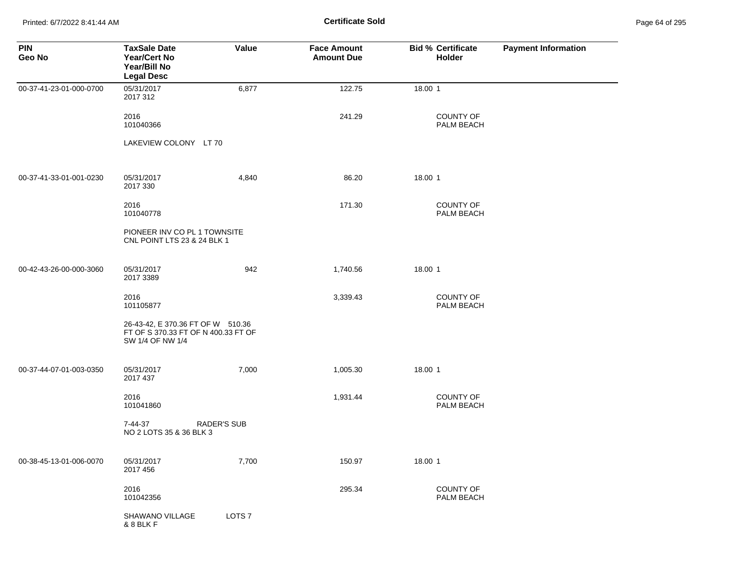Printed: 6/7/2022 8:41:44 AM **Certificate Sold** Page 64 of 295

| <b>PIN</b><br>Geo No    | <b>TaxSale Date</b><br><b>Year/Cert No</b><br>Year/Bill No<br><b>Legal Desc</b>              | Value              | <b>Face Amount</b><br><b>Amount Due</b> | <b>Bid % Certificate</b><br>Holder | <b>Payment Information</b> |
|-------------------------|----------------------------------------------------------------------------------------------|--------------------|-----------------------------------------|------------------------------------|----------------------------|
| 00-37-41-23-01-000-0700 | 05/31/2017<br>2017 312                                                                       | 6,877              | 122.75                                  | 18.00 1                            |                            |
|                         | 2016<br>101040366                                                                            |                    | 241.29                                  | <b>COUNTY OF</b><br>PALM BEACH     |                            |
|                         | LAKEVIEW COLONY LT 70                                                                        |                    |                                         |                                    |                            |
| 00-37-41-33-01-001-0230 | 05/31/2017<br>2017 330                                                                       | 4,840              | 86.20                                   | 18.00 1                            |                            |
|                         | 2016<br>101040778                                                                            |                    | 171.30                                  | <b>COUNTY OF</b><br>PALM BEACH     |                            |
|                         | PIONEER INV CO PL 1 TOWNSITE<br>CNL POINT LTS 23 & 24 BLK 1                                  |                    |                                         |                                    |                            |
| 00-42-43-26-00-000-3060 | 05/31/2017<br>2017 3389                                                                      | 942                | 1,740.56                                | 18.00 1                            |                            |
|                         | 2016<br>101105877                                                                            |                    | 3,339.43                                | <b>COUNTY OF</b><br>PALM BEACH     |                            |
|                         | 26-43-42, E 370.36 FT OF W 510.36<br>FT OF S 370.33 FT OF N 400.33 FT OF<br>SW 1/4 OF NW 1/4 |                    |                                         |                                    |                            |
| 00-37-44-07-01-003-0350 | 05/31/2017<br>2017 437                                                                       | 7,000              | 1,005.30                                | 18.00 1                            |                            |
|                         | 2016<br>101041860                                                                            |                    | 1,931.44                                | <b>COUNTY OF</b><br>PALM BEACH     |                            |
|                         | 7-44-37<br>NO 2 LOTS 35 & 36 BLK 3                                                           | <b>RADER'S SUB</b> |                                         |                                    |                            |
| 00-38-45-13-01-006-0070 | 05/31/2017<br>2017 456                                                                       | 7,700              | 150.97                                  | 18.00 1                            |                            |
|                         | 2016<br>101042356                                                                            |                    | 295.34                                  | <b>COUNTY OF</b><br>PALM BEACH     |                            |
|                         | SHAWANO VILLAGE<br>& 8 BLK F                                                                 | LOTS <sub>7</sub>  |                                         |                                    |                            |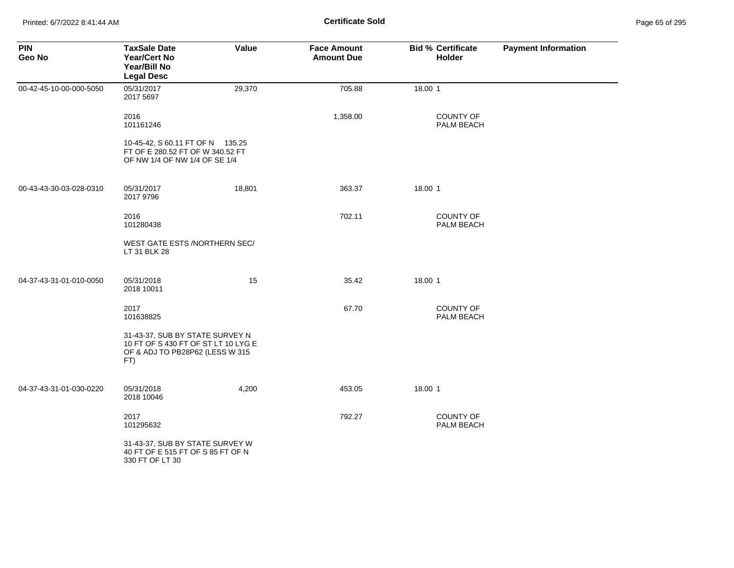| <b>PIN</b><br>Geo No    | <b>TaxSale Date</b><br><b>Year/Cert No</b><br>Year/Bill No<br><b>Legal Desc</b>                                  | Value  | <b>Face Amount</b><br><b>Amount Due</b> | <b>Bid % Certificate</b><br>Holder | <b>Payment Information</b> |
|-------------------------|------------------------------------------------------------------------------------------------------------------|--------|-----------------------------------------|------------------------------------|----------------------------|
| 00-42-45-10-00-000-5050 | 05/31/2017<br>2017 5697                                                                                          | 29,370 | 705.88                                  | 18.00 1                            |                            |
|                         | 2016<br>101161246                                                                                                |        | 1,358.00                                | <b>COUNTY OF</b><br>PALM BEACH     |                            |
|                         | 10-45-42, S 60.11 FT OF N 135.25<br>FT OF E 280.52 FT OF W 340.52 FT<br>OF NW 1/4 OF NW 1/4 OF SE 1/4            |        |                                         |                                    |                            |
| 00-43-43-30-03-028-0310 | 05/31/2017<br>2017 9796                                                                                          | 18,801 | 363.37                                  | 18.00 1                            |                            |
|                         | 2016<br>101280438                                                                                                |        | 702.11                                  | <b>COUNTY OF</b><br>PALM BEACH     |                            |
|                         | WEST GATE ESTS /NORTHERN SEC/<br>LT 31 BLK 28                                                                    |        |                                         |                                    |                            |
| 04-37-43-31-01-010-0050 | 05/31/2018<br>2018 10011                                                                                         | 15     | 35.42                                   | 18.00 1                            |                            |
|                         | 2017<br>101638825                                                                                                |        | 67.70                                   | <b>COUNTY OF</b><br>PALM BEACH     |                            |
|                         | 31-43-37, SUB BY STATE SURVEY N<br>10 FT OF S 430 FT OF ST LT 10 LYG E<br>OF & ADJ TO PB28P62 (LESS W 315<br>FT) |        |                                         |                                    |                            |
| 04-37-43-31-01-030-0220 | 05/31/2018<br>2018 10046                                                                                         | 4,200  | 453.05                                  | 18.00 1                            |                            |
|                         | 2017<br>101295632                                                                                                |        | 792.27                                  | COUNTY OF<br>PALM BEACH            |                            |
|                         | 31-43-37, SUB BY STATE SURVEY W<br>40 FT OF E 515 FT OF S 85 FT OF N<br>330 FT OF LT 30                          |        |                                         |                                    |                            |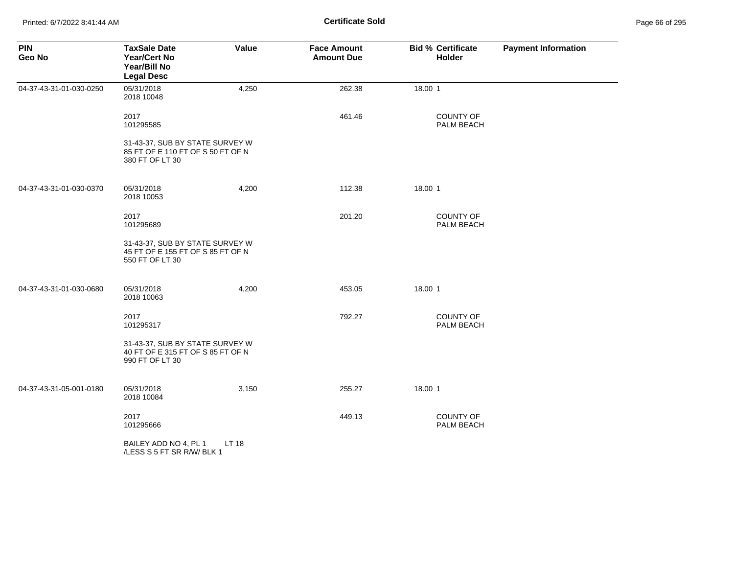| <b>PIN</b><br>Geo No    | <b>TaxSale Date</b><br><b>Year/Cert No</b><br>Year/Bill No<br><b>Legal Desc</b>         | Value | <b>Face Amount</b><br><b>Amount Due</b> | <b>Bid % Certificate</b><br><b>Holder</b> | <b>Payment Information</b> |
|-------------------------|-----------------------------------------------------------------------------------------|-------|-----------------------------------------|-------------------------------------------|----------------------------|
| 04-37-43-31-01-030-0250 | 05/31/2018<br>2018 10048                                                                | 4,250 | 262.38                                  | 18.00 1                                   |                            |
|                         | 2017<br>101295585                                                                       |       | 461.46                                  | <b>COUNTY OF</b><br>PALM BEACH            |                            |
|                         | 31-43-37, SUB BY STATE SURVEY W<br>85 FT OF E 110 FT OF S 50 FT OF N<br>380 FT OF LT 30 |       |                                         |                                           |                            |
| 04-37-43-31-01-030-0370 | 05/31/2018<br>2018 10053                                                                | 4,200 | 112.38                                  | 18.00 1                                   |                            |
|                         | 2017<br>101295689                                                                       |       | 201.20                                  | <b>COUNTY OF</b><br>PALM BEACH            |                            |
|                         | 31-43-37, SUB BY STATE SURVEY W<br>45 FT OF E 155 FT OF S 85 FT OF N<br>550 FT OF LT 30 |       |                                         |                                           |                            |
| 04-37-43-31-01-030-0680 | 05/31/2018<br>2018 10063                                                                | 4,200 | 453.05                                  | 18.00 1                                   |                            |
|                         | 2017<br>101295317                                                                       |       | 792.27                                  | COUNTY OF<br>PALM BEACH                   |                            |
|                         | 31-43-37, SUB BY STATE SURVEY W<br>40 FT OF E 315 FT OF S 85 FT OF N<br>990 FT OF LT 30 |       |                                         |                                           |                            |
| 04-37-43-31-05-001-0180 | 05/31/2018<br>2018 10084                                                                | 3,150 | 255.27                                  | 18.00 1                                   |                            |
|                         | 2017<br>101295666                                                                       |       | 449.13                                  | <b>COUNTY OF</b><br>PALM BEACH            |                            |
|                         | BAILEY ADD NO 4, PL 1<br>/LESS S 5 FT SR R/W/ BLK 1                                     | LT 18 |                                         |                                           |                            |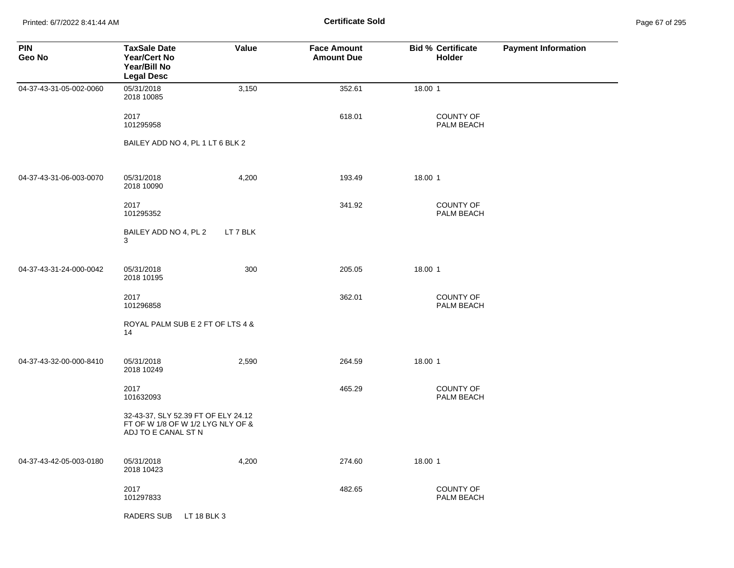Printed: 6/7/2022 8:41:44 AM **Certificate Sold** Page 67 of 295

| <b>PIN</b><br>Geo No    | <b>TaxSale Date</b><br><b>Year/Cert No</b><br>Year/Bill No<br><b>Legal Desc</b>                 | Value    | <b>Face Amount</b><br><b>Amount Due</b> | <b>Bid % Certificate</b><br>Holder | <b>Payment Information</b> |
|-------------------------|-------------------------------------------------------------------------------------------------|----------|-----------------------------------------|------------------------------------|----------------------------|
| 04-37-43-31-05-002-0060 | 05/31/2018<br>2018 10085                                                                        | 3,150    | 352.61                                  | 18.00 1                            |                            |
|                         | 2017<br>101295958                                                                               |          | 618.01                                  | COUNTY OF<br>PALM BEACH            |                            |
|                         | BAILEY ADD NO 4, PL 1 LT 6 BLK 2                                                                |          |                                         |                                    |                            |
| 04-37-43-31-06-003-0070 | 05/31/2018<br>2018 10090                                                                        | 4,200    | 193.49                                  | 18.00 1                            |                            |
|                         | 2017<br>101295352                                                                               |          | 341.92                                  | <b>COUNTY OF</b><br>PALM BEACH     |                            |
|                         | BAILEY ADD NO 4, PL 2<br>3                                                                      | LT 7 BLK |                                         |                                    |                            |
| 04-37-43-31-24-000-0042 | 05/31/2018<br>2018 10195                                                                        | 300      | 205.05                                  | 18.00 1                            |                            |
|                         | 2017<br>101296858                                                                               |          | 362.01                                  | <b>COUNTY OF</b><br>PALM BEACH     |                            |
|                         | ROYAL PALM SUB E 2 FT OF LTS 4 &<br>14                                                          |          |                                         |                                    |                            |
| 04-37-43-32-00-000-8410 | 05/31/2018<br>2018 10249                                                                        | 2,590    | 264.59                                  | 18.00 1                            |                            |
|                         | 2017<br>101632093                                                                               |          | 465.29                                  | <b>COUNTY OF</b><br>PALM BEACH     |                            |
|                         | 32-43-37, SLY 52.39 FT OF ELY 24.12<br>FT OF W 1/8 OF W 1/2 LYG NLY OF &<br>ADJ TO E CANAL ST N |          |                                         |                                    |                            |
| 04-37-43-42-05-003-0180 | 05/31/2018<br>2018 10423                                                                        | 4,200    | 274.60                                  | 18.00 1                            |                            |
|                         | 2017<br>101297833                                                                               |          | 482.65                                  | <b>COUNTY OF</b><br>PALM BEACH     |                            |
|                         | RADERS SUB<br>LT 18 BLK 3                                                                       |          |                                         |                                    |                            |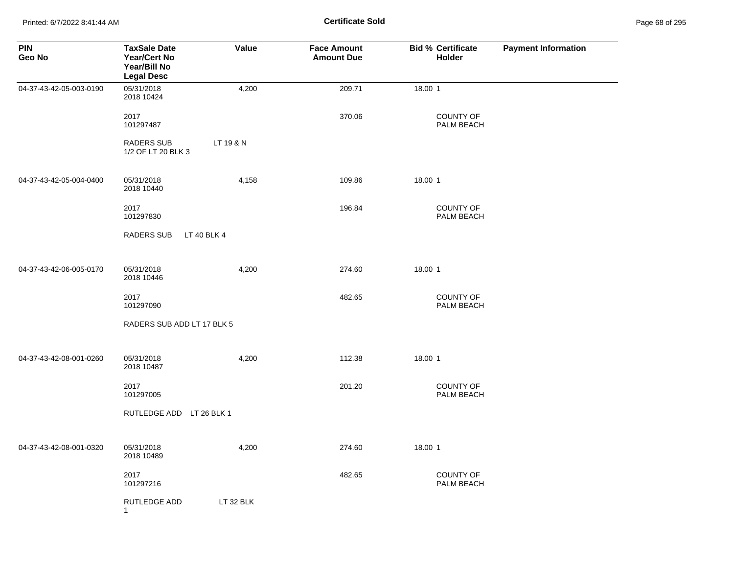Printed: 6/7/2022 8:41:44 AM **Certificate Sold** Page 68 of 295

| <b>PIN</b><br>Geo No    | <b>TaxSale Date</b><br><b>Year/Cert No</b><br>Year/Bill No<br><b>Legal Desc</b> | Value       | <b>Face Amount</b><br><b>Amount Due</b> | <b>Bid % Certificate</b><br><b>Holder</b> | <b>Payment Information</b> |
|-------------------------|---------------------------------------------------------------------------------|-------------|-----------------------------------------|-------------------------------------------|----------------------------|
| 04-37-43-42-05-003-0190 | 05/31/2018<br>2018 10424                                                        | 4,200       | 209.71                                  | 18.00 1                                   |                            |
|                         | 2017<br>101297487                                                               |             | 370.06                                  | <b>COUNTY OF</b><br>PALM BEACH            |                            |
|                         | <b>RADERS SUB</b><br>1/2 OF LT 20 BLK 3                                         | LT 19 & N   |                                         |                                           |                            |
| 04-37-43-42-05-004-0400 | 05/31/2018<br>2018 10440                                                        | 4,158       | 109.86                                  | 18.00 1                                   |                            |
|                         | 2017<br>101297830                                                               |             | 196.84                                  | COUNTY OF<br>PALM BEACH                   |                            |
|                         | RADERS SUB                                                                      | LT 40 BLK 4 |                                         |                                           |                            |
| 04-37-43-42-06-005-0170 | 05/31/2018<br>2018 10446                                                        | 4,200       | 274.60                                  | 18.00 1                                   |                            |
|                         | 2017<br>101297090                                                               |             | 482.65                                  | <b>COUNTY OF</b><br>PALM BEACH            |                            |
|                         | RADERS SUB ADD LT 17 BLK 5                                                      |             |                                         |                                           |                            |
| 04-37-43-42-08-001-0260 | 05/31/2018<br>2018 10487                                                        | 4,200       | 112.38                                  | 18.00 1                                   |                            |
|                         | 2017<br>101297005                                                               |             | 201.20                                  | <b>COUNTY OF</b><br>PALM BEACH            |                            |
|                         | RUTLEDGE ADD LT 26 BLK 1                                                        |             |                                         |                                           |                            |
| 04-37-43-42-08-001-0320 | 05/31/2018<br>2018 10489                                                        | 4,200       | 274.60                                  | 18.00 1                                   |                            |
|                         | 2017<br>101297216                                                               |             | 482.65                                  | <b>COUNTY OF</b><br>PALM BEACH            |                            |
|                         | <b>RUTLEDGE ADD</b><br>$\overline{1}$                                           | LT 32 BLK   |                                         |                                           |                            |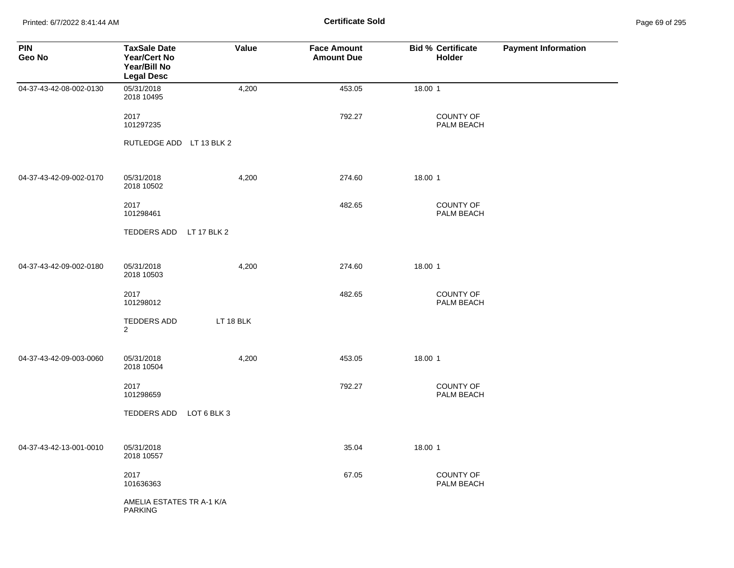Printed: 6/7/2022 8:41:44 AM **Certificate Sold** Page 69 of 295

| <b>PIN</b><br>Geo No    | <b>TaxSale Date</b><br>Year/Cert No<br>Year/Bill No<br><b>Legal Desc</b> | Value     | <b>Face Amount</b><br><b>Amount Due</b> | <b>Bid % Certificate</b><br><b>Holder</b> | <b>Payment Information</b> |
|-------------------------|--------------------------------------------------------------------------|-----------|-----------------------------------------|-------------------------------------------|----------------------------|
| 04-37-43-42-08-002-0130 | 05/31/2018<br>2018 10495                                                 | 4,200     | 453.05                                  | 18.00 1                                   |                            |
|                         | 2017<br>101297235                                                        |           | 792.27                                  | COUNTY OF<br>PALM BEACH                   |                            |
|                         | RUTLEDGE ADD LT 13 BLK 2                                                 |           |                                         |                                           |                            |
| 04-37-43-42-09-002-0170 | 05/31/2018<br>2018 10502                                                 | 4,200     | 274.60                                  | 18.00 1                                   |                            |
|                         | 2017<br>101298461                                                        |           | 482.65                                  | COUNTY OF<br>PALM BEACH                   |                            |
|                         | TEDDERS ADD LT 17 BLK 2                                                  |           |                                         |                                           |                            |
| 04-37-43-42-09-002-0180 | 05/31/2018<br>2018 10503                                                 | 4,200     | 274.60                                  | 18.00 1                                   |                            |
|                         | 2017<br>101298012                                                        |           | 482.65                                  | <b>COUNTY OF</b><br>PALM BEACH            |                            |
|                         | TEDDERS ADD<br>$\overline{2}$                                            | LT 18 BLK |                                         |                                           |                            |
| 04-37-43-42-09-003-0060 | 05/31/2018<br>2018 10504                                                 | 4,200     | 453.05                                  | 18.00 1                                   |                            |
|                         | 2017<br>101298659                                                        |           | 792.27                                  | <b>COUNTY OF</b><br>PALM BEACH            |                            |
|                         | TEDDERS ADD LOT 6 BLK 3                                                  |           |                                         |                                           |                            |
| 04-37-43-42-13-001-0010 | 05/31/2018<br>2018 10557                                                 |           | 35.04                                   | 18.00 1                                   |                            |
|                         | 2017<br>101636363                                                        |           | 67.05                                   | COUNTY OF<br>PALM BEACH                   |                            |
|                         | AMELIA ESTATES TR A-1 K/A<br><b>PARKING</b>                              |           |                                         |                                           |                            |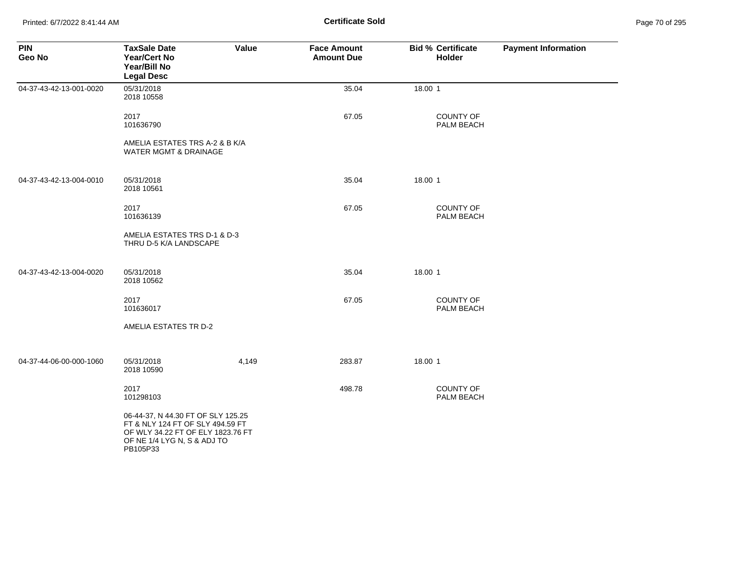Printed: 6/7/2022 8:41:44 AM **Page 71 of 2018 Certificate Sold Certificate Sold** 

| Page 70 of 295 |  |  |  |
|----------------|--|--|--|
|----------------|--|--|--|

| <b>PIN</b><br>Geo No    | <b>TaxSale Date</b><br><b>Year/Cert No</b><br>Year/Bill No<br><b>Legal Desc</b>                                                                        | Value | <b>Face Amount</b><br><b>Amount Due</b> | <b>Bid % Certificate</b><br><b>Holder</b> | <b>Payment Information</b> |
|-------------------------|--------------------------------------------------------------------------------------------------------------------------------------------------------|-------|-----------------------------------------|-------------------------------------------|----------------------------|
| 04-37-43-42-13-001-0020 | 05/31/2018<br>2018 10558                                                                                                                               |       | 35.04                                   | 18.00 1                                   |                            |
|                         | 2017<br>101636790                                                                                                                                      |       | 67.05                                   | <b>COUNTY OF</b><br>PALM BEACH            |                            |
|                         | AMELIA ESTATES TRS A-2 & B K/A<br><b>WATER MGMT &amp; DRAINAGE</b>                                                                                     |       |                                         |                                           |                            |
| 04-37-43-42-13-004-0010 | 05/31/2018<br>2018 10561                                                                                                                               |       | 35.04                                   | 18.00 1                                   |                            |
|                         | 2017<br>101636139                                                                                                                                      |       | 67.05                                   | <b>COUNTY OF</b><br>PALM BEACH            |                            |
|                         | AMELIA ESTATES TRS D-1 & D-3<br>THRU D-5 K/A LANDSCAPE                                                                                                 |       |                                         |                                           |                            |
| 04-37-43-42-13-004-0020 | 05/31/2018<br>2018 10562                                                                                                                               |       | 35.04                                   | 18.00 1                                   |                            |
|                         | 2017<br>101636017                                                                                                                                      |       | 67.05                                   | <b>COUNTY OF</b><br>PALM BEACH            |                            |
|                         | AMELIA ESTATES TR D-2                                                                                                                                  |       |                                         |                                           |                            |
| 04-37-44-06-00-000-1060 | 05/31/2018<br>2018 10590                                                                                                                               | 4,149 | 283.87                                  | 18.00 1                                   |                            |
|                         | 2017<br>101298103                                                                                                                                      |       | 498.78                                  | COUNTY OF<br>PALM BEACH                   |                            |
|                         | 06-44-37, N 44.30 FT OF SLY 125.25<br>FT & NLY 124 FT OF SLY 494.59 FT<br>OF WLY 34.22 FT OF ELY 1823.76 FT<br>OF NE 1/4 LYG N, S & ADJ TO<br>PB105P33 |       |                                         |                                           |                            |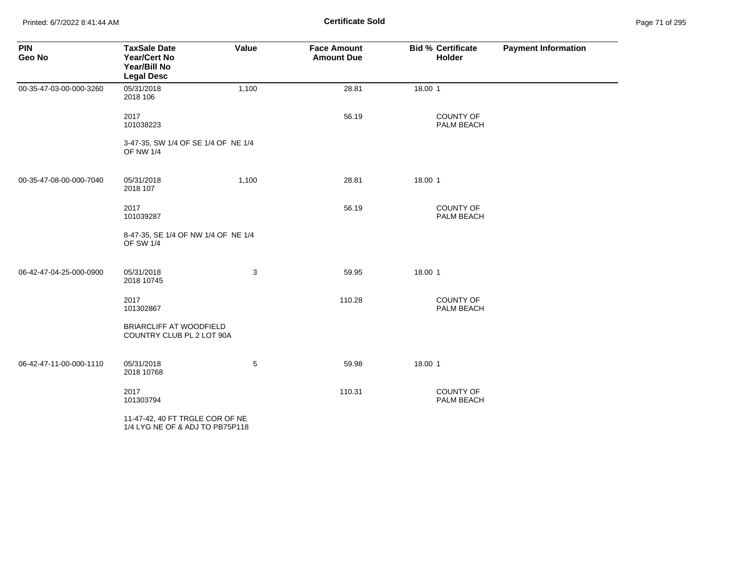Printed: 6/7/2022 8:41:44 AM **Page 71 of 2018** Page 71 of 2018 **Certificate Sold** 

| Page 71 of 295 |  |  |  |
|----------------|--|--|--|
|----------------|--|--|--|

| <b>PIN</b><br>Geo No    | <b>TaxSale Date</b><br><b>Year/Cert No</b><br>Year/Bill No<br><b>Legal Desc</b> | Value | <b>Face Amount</b><br><b>Amount Due</b> | <b>Bid % Certificate</b><br><b>Holder</b> | <b>Payment Information</b> |
|-------------------------|---------------------------------------------------------------------------------|-------|-----------------------------------------|-------------------------------------------|----------------------------|
| 00-35-47-03-00-000-3260 | 05/31/2018<br>2018 106                                                          | 1,100 | 28.81                                   | 18.00 1                                   |                            |
|                         | 2017<br>101038223                                                               |       | 56.19                                   | <b>COUNTY OF</b><br>PALM BEACH            |                            |
|                         | 3-47-35, SW 1/4 OF SE 1/4 OF NE 1/4<br><b>OF NW 1/4</b>                         |       |                                         |                                           |                            |
| 00-35-47-08-00-000-7040 | 05/31/2018<br>2018 107                                                          | 1,100 | 28.81                                   | 18.00 1                                   |                            |
|                         | 2017<br>101039287                                                               |       | 56.19                                   | <b>COUNTY OF</b><br>PALM BEACH            |                            |
|                         | 8-47-35, SE 1/4 OF NW 1/4 OF NE 1/4<br><b>OF SW 1/4</b>                         |       |                                         |                                           |                            |
| 06-42-47-04-25-000-0900 | 05/31/2018<br>2018 10745                                                        | 3     | 59.95                                   | 18.00 1                                   |                            |
|                         | 2017<br>101302867                                                               |       | 110.28                                  | COUNTY OF<br>PALM BEACH                   |                            |
|                         | <b>BRIARCLIFF AT WOODFIELD</b><br>COUNTRY CLUB PL 2 LOT 90A                     |       |                                         |                                           |                            |
| 06-42-47-11-00-000-1110 | 05/31/2018<br>2018 10768                                                        | 5     | 59.98                                   | 18.00 1                                   |                            |
|                         | 2017<br>101303794                                                               |       | 110.31                                  | <b>COUNTY OF</b><br>PALM BEACH            |                            |
|                         | 11-47-42, 40 FT TRGLE COR OF NE<br>1/4 LYG NE OF & ADJ TO PB75P118              |       |                                         |                                           |                            |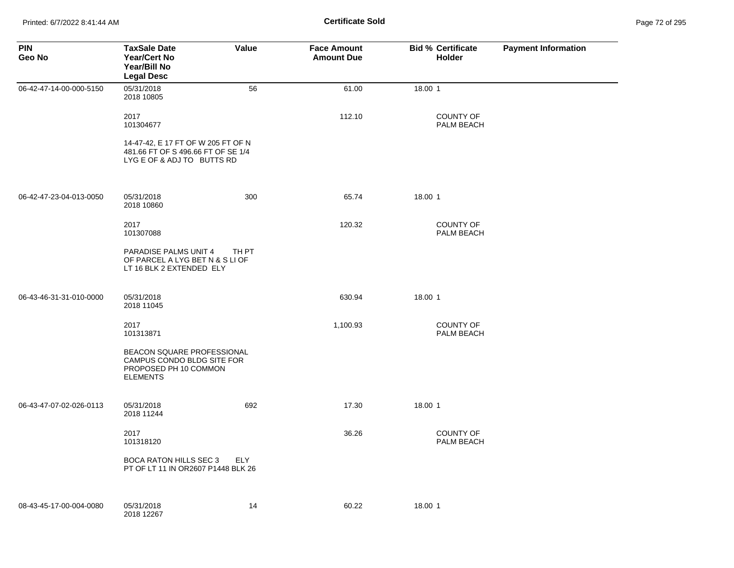| <b>PIN</b><br>Geo No    | <b>TaxSale Date</b><br><b>Year/Cert No</b><br>Year/Bill No<br><b>Legal Desc</b>                        | Value      | <b>Face Amount</b><br><b>Amount Due</b> | <b>Bid % Certificate</b><br><b>Holder</b> | <b>Payment Information</b> |
|-------------------------|--------------------------------------------------------------------------------------------------------|------------|-----------------------------------------|-------------------------------------------|----------------------------|
| 06-42-47-14-00-000-5150 | 05/31/2018<br>2018 10805                                                                               | 56         | 61.00                                   | 18.00 1                                   |                            |
|                         | 2017<br>101304677                                                                                      |            | 112.10                                  | <b>COUNTY OF</b><br>PALM BEACH            |                            |
|                         | 14-47-42, E 17 FT OF W 205 FT OF N<br>481.66 FT OF S 496.66 FT OF SE 1/4<br>LYG E OF & ADJ TO BUTTS RD |            |                                         |                                           |                            |
| 06-42-47-23-04-013-0050 | 05/31/2018<br>2018 10860                                                                               | 300        | 65.74                                   | 18.00 1                                   |                            |
|                         | 2017<br>101307088                                                                                      |            | 120.32                                  | <b>COUNTY OF</b><br><b>PALM BEACH</b>     |                            |
|                         | <b>PARADISE PALMS UNIT 4</b><br>OF PARCEL A LYG BET N & S LI OF<br>LT 16 BLK 2 EXTENDED ELY            | TH PT      |                                         |                                           |                            |
| 06-43-46-31-31-010-0000 | 05/31/2018<br>2018 11045                                                                               |            | 630.94                                  | 18.00 1                                   |                            |
|                         | 2017<br>101313871                                                                                      |            | 1,100.93                                | <b>COUNTY OF</b><br>PALM BEACH            |                            |
|                         | BEACON SQUARE PROFESSIONAL<br>CAMPUS CONDO BLDG SITE FOR<br>PROPOSED PH 10 COMMON<br><b>ELEMENTS</b>   |            |                                         |                                           |                            |
| 06-43-47-07-02-026-0113 | 05/31/2018<br>2018 11244                                                                               | 692        | 17.30                                   | 18.00 1                                   |                            |
|                         | 2017<br>101318120                                                                                      |            | 36.26                                   | <b>COUNTY OF</b><br>PALM BEACH            |                            |
|                         | <b>BOCA RATON HILLS SEC 3</b><br>PT OF LT 11 IN OR2607 P1448 BLK 26                                    | <b>ELY</b> |                                         |                                           |                            |
| 08-43-45-17-00-004-0080 | 05/31/2018<br>2018 12267                                                                               | 14         | 60.22                                   | 18.00 1                                   |                            |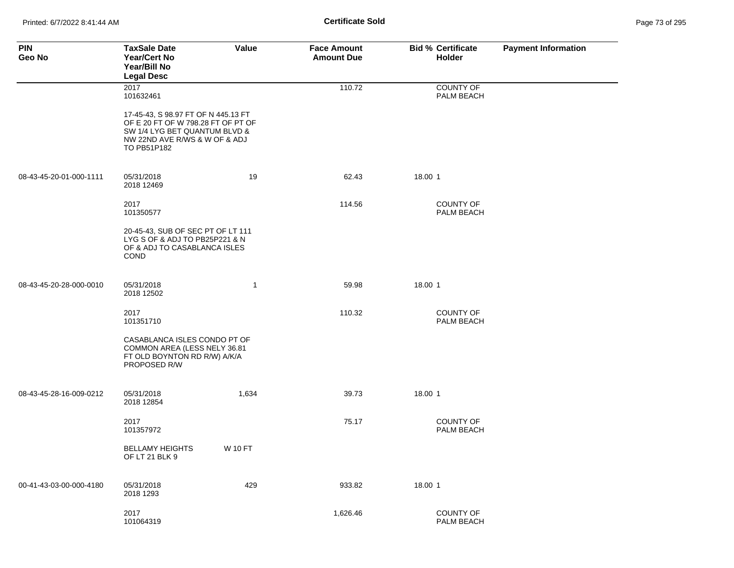| <b>PIN</b><br>Geo No    | <b>TaxSale Date</b><br>Year/Cert No<br>Year/Bill No<br><b>Legal Desc</b>                                                                                   | Value          | <b>Face Amount</b><br><b>Amount Due</b> | <b>Bid % Certificate</b><br><b>Holder</b> | <b>Payment Information</b> |
|-------------------------|------------------------------------------------------------------------------------------------------------------------------------------------------------|----------------|-----------------------------------------|-------------------------------------------|----------------------------|
|                         | 2017<br>101632461                                                                                                                                          |                | 110.72                                  | <b>COUNTY OF</b><br>PALM BEACH            |                            |
|                         | 17-45-43, S 98.97 FT OF N 445.13 FT<br>OF E 20 FT OF W 798.28 FT OF PT OF<br>SW 1/4 LYG BET QUANTUM BLVD &<br>NW 22ND AVE R/WS & W OF & ADJ<br>TO PB51P182 |                |                                         |                                           |                            |
| 08-43-45-20-01-000-1111 | 05/31/2018<br>2018 12469                                                                                                                                   | 19             | 62.43                                   | 18.00 1                                   |                            |
|                         | 2017<br>101350577                                                                                                                                          |                | 114.56                                  | <b>COUNTY OF</b><br>PALM BEACH            |                            |
|                         | 20-45-43, SUB OF SEC PT OF LT 111<br>LYG S OF & ADJ TO PB25P221 & N<br>OF & ADJ TO CASABLANCA ISLES<br><b>COND</b>                                         |                |                                         |                                           |                            |
| 08-43-45-20-28-000-0010 | 05/31/2018<br>2018 12502                                                                                                                                   | 1              | 59.98                                   | 18.00 1                                   |                            |
|                         | 2017<br>101351710                                                                                                                                          |                | 110.32                                  | <b>COUNTY OF</b><br>PALM BEACH            |                            |
|                         | CASABLANCA ISLES CONDO PT OF<br>COMMON AREA (LESS NELY 36.81<br>FT OLD BOYNTON RD R/W) A/K/A<br>PROPOSED R/W                                               |                |                                         |                                           |                            |
| 08-43-45-28-16-009-0212 | 05/31/2018<br>2018 12854                                                                                                                                   | 1,634          | 39.73                                   | 18.00 1                                   |                            |
|                         | 2017<br>101357972                                                                                                                                          |                | 75.17                                   | COUNTY OF<br>PALM BEACH                   |                            |
|                         | <b>BELLAMY HEIGHTS</b><br>OF LT 21 BLK 9                                                                                                                   | <b>W 10 FT</b> |                                         |                                           |                            |
| 00-41-43-03-00-000-4180 | 05/31/2018<br>2018 1293                                                                                                                                    | 429            | 933.82                                  | 18.00 1                                   |                            |
|                         | 2017<br>101064319                                                                                                                                          |                | 1,626.46                                | COUNTY OF<br>PALM BEACH                   |                            |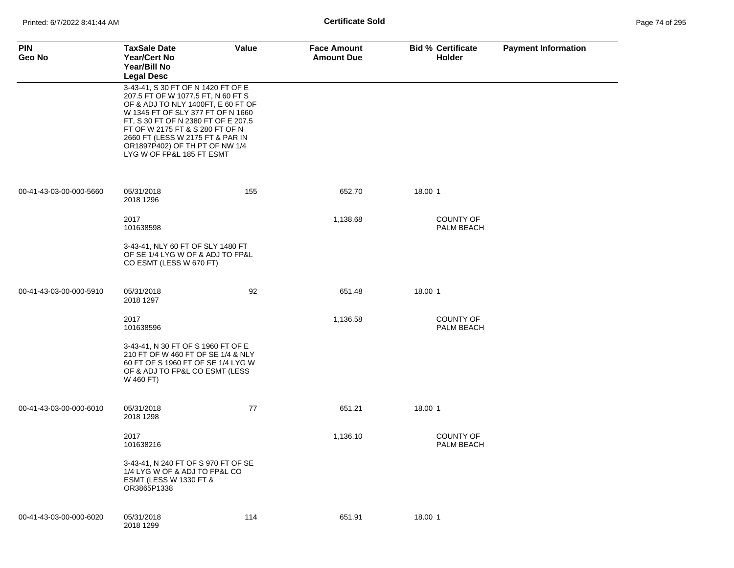| <b>PIN</b><br>Geo No    | <b>TaxSale Date</b><br><b>Year/Cert No</b><br>Year/Bill No<br><b>Legal Desc</b>                                                                                                                                                                                                                                                  | Value | <b>Face Amount</b><br><b>Amount Due</b> | <b>Bid % Certificate</b><br><b>Holder</b> | <b>Payment Information</b> |
|-------------------------|----------------------------------------------------------------------------------------------------------------------------------------------------------------------------------------------------------------------------------------------------------------------------------------------------------------------------------|-------|-----------------------------------------|-------------------------------------------|----------------------------|
|                         | 3-43-41, S 30 FT OF N 1420 FT OF E<br>207.5 FT OF W 1077.5 FT, N 60 FT S<br>OF & ADJ TO NLY 1400FT, E 60 FT OF<br>W 1345 FT OF SLY 377 FT OF N 1660<br>FT, S 30 FT OF N 2380 FT OF E 207.5<br>FT OF W 2175 FT & S 280 FT OF N<br>2660 FT (LESS W 2175 FT & PAR IN<br>OR1897P402) OF TH PT OF NW 1/4<br>LYG W OF FP&L 185 FT ESMT |       |                                         |                                           |                            |
| 00-41-43-03-00-000-5660 | 05/31/2018<br>2018 1296                                                                                                                                                                                                                                                                                                          | 155   | 652.70                                  | 18.00 1                                   |                            |
|                         | 2017<br>101638598                                                                                                                                                                                                                                                                                                                |       | 1,138.68                                | <b>COUNTY OF</b><br>PALM BEACH            |                            |
|                         | 3-43-41, NLY 60 FT OF SLY 1480 FT<br>OF SE 1/4 LYG W OF & ADJ TO FP&L<br>CO ESMT (LESS W 670 FT)                                                                                                                                                                                                                                 |       |                                         |                                           |                            |
| 00-41-43-03-00-000-5910 | 05/31/2018<br>2018 1297                                                                                                                                                                                                                                                                                                          | 92    | 651.48                                  | 18.00 1                                   |                            |
|                         | 2017<br>101638596                                                                                                                                                                                                                                                                                                                |       | 1,136.58                                | <b>COUNTY OF</b><br>PALM BEACH            |                            |
|                         | 3-43-41, N 30 FT OF S 1960 FT OF E<br>210 FT OF W 460 FT OF SE 1/4 & NLY<br>60 FT OF S 1960 FT OF SE 1/4 LYG W<br>OF & ADJ TO FP&L CO ESMT (LESS<br>W 460 FT)                                                                                                                                                                    |       |                                         |                                           |                            |
| 00-41-43-03-00-000-6010 | 05/31/2018<br>2018 1298                                                                                                                                                                                                                                                                                                          | 77    | 651.21                                  | 18.00 1                                   |                            |
|                         | 2017<br>101638216                                                                                                                                                                                                                                                                                                                |       | 1,136.10                                | <b>COUNTY OF</b><br>PALM BEACH            |                            |
|                         | 3-43-41, N 240 FT OF S 970 FT OF SE<br>1/4 LYG W OF & ADJ TO FP&L CO<br><b>ESMT (LESS W 1330 FT &amp;</b><br>OR3865P1338                                                                                                                                                                                                         |       |                                         |                                           |                            |
| 00-41-43-03-00-000-6020 | 05/31/2018<br>2018 1299                                                                                                                                                                                                                                                                                                          | 114   | 651.91                                  | 18.00 1                                   |                            |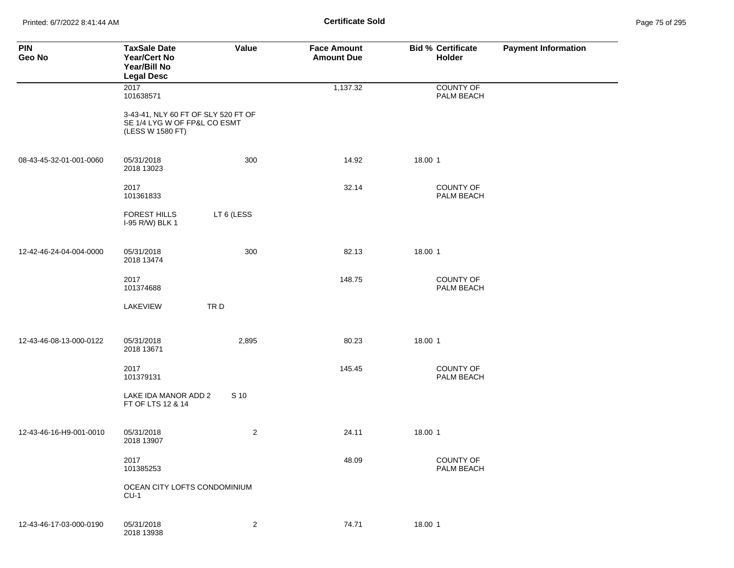Printed: 6/7/2022 8:41:44 AM **Certificate Sold** Page 75 of 295

| <b>PIN</b><br>Geo No    | <b>TaxSale Date</b><br>Year/Cert No<br>Year/Bill No<br><b>Legal Desc</b>                | Value          | <b>Face Amount</b><br><b>Amount Due</b> | <b>Bid % Certificate</b><br>Holder | <b>Payment Information</b> |
|-------------------------|-----------------------------------------------------------------------------------------|----------------|-----------------------------------------|------------------------------------|----------------------------|
|                         | 2017<br>101638571                                                                       |                | 1,137.32                                | <b>COUNTY OF</b><br>PALM BEACH     |                            |
|                         | 3-43-41, NLY 60 FT OF SLY 520 FT OF<br>SE 1/4 LYG W OF FP&L CO ESMT<br>(LESS W 1580 FT) |                |                                         |                                    |                            |
| 08-43-45-32-01-001-0060 | 05/31/2018<br>2018 13023                                                                | 300            | 14.92                                   | 18.00 1                            |                            |
|                         | 2017<br>101361833                                                                       |                | 32.14                                   | COUNTY OF<br>PALM BEACH            |                            |
|                         | <b>FOREST HILLS</b><br>I-95 R/W) BLK 1                                                  | LT 6 (LESS     |                                         |                                    |                            |
| 12-42-46-24-04-004-0000 | 05/31/2018<br>2018 13474                                                                | 300            | 82.13                                   | 18.00 1                            |                            |
|                         | 2017<br>101374688                                                                       |                | 148.75                                  | COUNTY OF<br>PALM BEACH            |                            |
|                         | LAKEVIEW                                                                                | TRD            |                                         |                                    |                            |
| 12-43-46-08-13-000-0122 | 05/31/2018<br>2018 13671                                                                | 2,895          | 80.23                                   | 18.00 1                            |                            |
|                         | 2017<br>101379131                                                                       |                | 145.45                                  | COUNTY OF<br>PALM BEACH            |                            |
|                         | LAKE IDA MANOR ADD 2<br>FT OF LTS 12 & 14                                               | S 10           |                                         |                                    |                            |
| 12-43-46-16-H9-001-0010 | 05/31/2018<br>2018 13907                                                                | $\sqrt{2}$     | 24.11                                   | 18.00 1                            |                            |
|                         | 2017<br>101385253                                                                       |                | 48.09                                   | COUNTY OF<br>PALM BEACH            |                            |
|                         | OCEAN CITY LOFTS CONDOMINIUM<br>$CU-1$                                                  |                |                                         |                                    |                            |
| 12-43-46-17-03-000-0190 | 05/31/2018<br>2018 13938                                                                | $\overline{2}$ | 74.71                                   | 18.00 1                            |                            |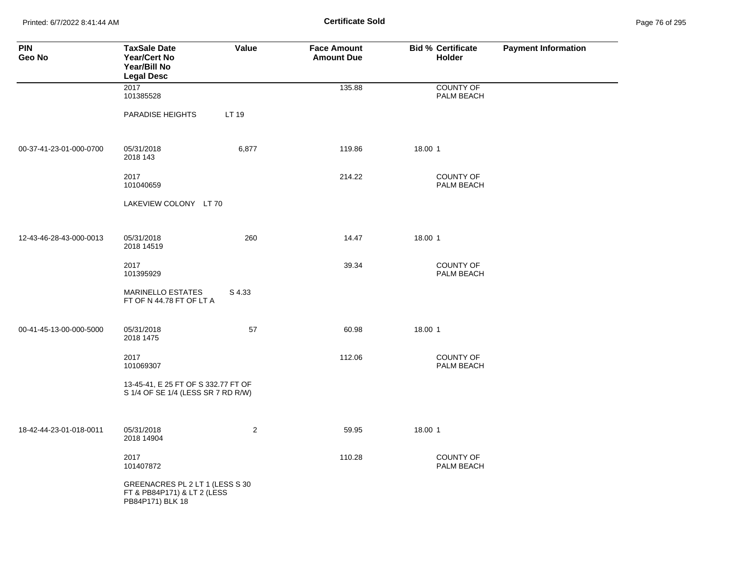Printed: 6/7/2022 8:41:44 AM **Page 76 of 2018** Page 76 of 2018 **Certificate Sold** 

| Page 76 of 295 |  |  |  |
|----------------|--|--|--|
|----------------|--|--|--|

| <b>PIN</b><br>Geo No    | <b>TaxSale Date</b><br><b>Year/Cert No</b><br>Year/Bill No<br><b>Legal Desc</b>    | Value          | <b>Face Amount</b><br><b>Amount Due</b> | <b>Bid % Certificate</b><br><b>Holder</b> | <b>Payment Information</b> |
|-------------------------|------------------------------------------------------------------------------------|----------------|-----------------------------------------|-------------------------------------------|----------------------------|
|                         | 2017<br>101385528                                                                  |                | 135.88                                  | <b>COUNTY OF</b><br>PALM BEACH            |                            |
|                         | PARADISE HEIGHTS                                                                   | LT 19          |                                         |                                           |                            |
| 00-37-41-23-01-000-0700 | 05/31/2018<br>2018 143                                                             | 6,877          | 119.86                                  | 18.00 1                                   |                            |
|                         | 2017<br>101040659                                                                  |                | 214.22                                  | <b>COUNTY OF</b><br>PALM BEACH            |                            |
|                         | LAKEVIEW COLONY LT 70                                                              |                |                                         |                                           |                            |
| 12-43-46-28-43-000-0013 | 05/31/2018<br>2018 14519                                                           | 260            | 14.47                                   | 18.00 1                                   |                            |
|                         | 2017<br>101395929                                                                  |                | 39.34                                   | <b>COUNTY OF</b><br>PALM BEACH            |                            |
|                         | <b>MARINELLO ESTATES</b><br>FT OF N 44.78 FT OF LT A                               | S 4.33         |                                         |                                           |                            |
| 00-41-45-13-00-000-5000 | 05/31/2018<br>2018 1475                                                            | 57             | 60.98                                   | 18.00 1                                   |                            |
|                         | 2017<br>101069307                                                                  |                | 112.06                                  | <b>COUNTY OF</b><br>PALM BEACH            |                            |
|                         | 13-45-41, E 25 FT OF S 332.77 FT OF<br>S 1/4 OF SE 1/4 (LESS SR 7 RD R/W)          |                |                                         |                                           |                            |
| 18-42-44-23-01-018-0011 | 05/31/2018<br>2018 14904                                                           | $\overline{2}$ | 59.95                                   | 18.00 1                                   |                            |
|                         | 2017<br>101407872                                                                  |                | 110.28                                  | <b>COUNTY OF</b><br>PALM BEACH            |                            |
|                         | GREENACRES PL 2 LT 1 (LESS S 30<br>FT & PB84P171) & LT 2 (LESS<br>PB84P171) BLK 18 |                |                                         |                                           |                            |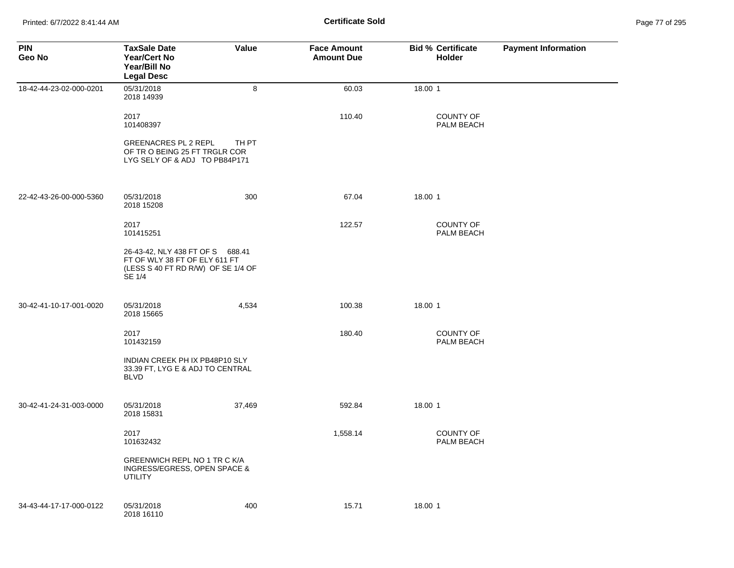| <b>PIN</b><br>Geo No    | <b>TaxSale Date</b><br><b>Year/Cert No</b><br>Year/Bill No<br><b>Legal Desc</b>                                   | Value  | <b>Face Amount</b><br><b>Amount Due</b> | <b>Bid % Certificate</b><br><b>Holder</b> | <b>Payment Information</b> |
|-------------------------|-------------------------------------------------------------------------------------------------------------------|--------|-----------------------------------------|-------------------------------------------|----------------------------|
| 18-42-44-23-02-000-0201 | 05/31/2018<br>2018 14939                                                                                          | 8      | 60.03                                   | 18.00 1                                   |                            |
|                         | 2017<br>101408397                                                                                                 |        | 110.40                                  | <b>COUNTY OF</b><br>PALM BEACH            |                            |
|                         | <b>GREENACRES PL 2 REPL</b><br>OF TRO BEING 25 FT TRGLR COR<br>LYG SELY OF & ADJ TO PB84P171                      | TH PT  |                                         |                                           |                            |
| 22-42-43-26-00-000-5360 | 05/31/2018<br>2018 15208                                                                                          | 300    | 67.04                                   | 18.00 1                                   |                            |
|                         | 2017<br>101415251                                                                                                 |        | 122.57                                  | <b>COUNTY OF</b><br>PALM BEACH            |                            |
|                         | 26-43-42, NLY 438 FT OF S 688.41<br>FT OF WLY 38 FT OF ELY 611 FT<br>(LESS S 40 FT RD R/W) OF SE 1/4 OF<br>SE 1/4 |        |                                         |                                           |                            |
| 30-42-41-10-17-001-0020 | 05/31/2018<br>2018 15665                                                                                          | 4,534  | 100.38                                  | 18.00 1                                   |                            |
|                         | 2017<br>101432159                                                                                                 |        | 180.40                                  | <b>COUNTY OF</b><br>PALM BEACH            |                            |
|                         | INDIAN CREEK PH IX PB48P10 SLY<br>33.39 FT, LYG E & ADJ TO CENTRAL<br><b>BLVD</b>                                 |        |                                         |                                           |                            |
| 30-42-41-24-31-003-0000 | 05/31/2018<br>2018 15831                                                                                          | 37,469 | 592.84                                  | 18.00 1                                   |                            |
|                         | 2017<br>101632432                                                                                                 |        | 1,558.14                                | <b>COUNTY OF</b><br>PALM BEACH            |                            |
|                         | GREENWICH REPL NO 1 TR C K/A<br>INGRESS/EGRESS, OPEN SPACE &<br><b>UTILITY</b>                                    |        |                                         |                                           |                            |
| 34-43-44-17-17-000-0122 | 05/31/2018<br>2018 16110                                                                                          | 400    | 15.71                                   | 18.00 1                                   |                            |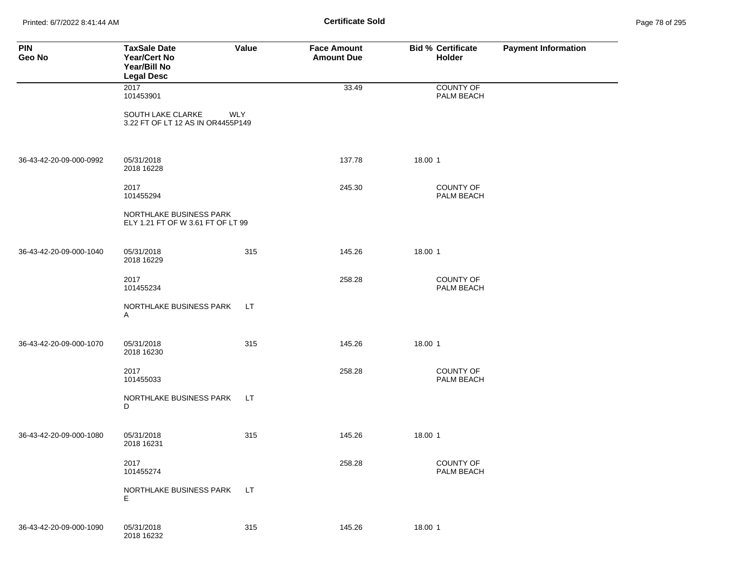Printed: 6/7/2022 8:41:44 AM **Page 78 of 2018 Certificate Sold Certificate Sold** 

| Page 78 of 295 |  |
|----------------|--|
|----------------|--|

| <b>PIN</b><br>Geo No    | <b>TaxSale Date</b><br>Year/Cert No<br>Year/Bill No<br><b>Legal Desc</b> | Value      | <b>Face Amount</b><br><b>Amount Due</b> | <b>Bid % Certificate</b><br>Holder | <b>Payment Information</b> |
|-------------------------|--------------------------------------------------------------------------|------------|-----------------------------------------|------------------------------------|----------------------------|
|                         | $\overline{2017}$<br>101453901                                           |            | 33.49                                   | <b>COUNTY OF</b><br>PALM BEACH     |                            |
|                         | SOUTH LAKE CLARKE<br>3.22 FT OF LT 12 AS IN OR4455P149                   | <b>WLY</b> |                                         |                                    |                            |
| 36-43-42-20-09-000-0992 | 05/31/2018<br>2018 16228                                                 |            | 137.78                                  | 18.00 1                            |                            |
|                         | 2017<br>101455294                                                        |            | 245.30                                  | <b>COUNTY OF</b><br>PALM BEACH     |                            |
|                         | NORTHLAKE BUSINESS PARK<br>ELY 1.21 FT OF W 3.61 FT OF LT 99             |            |                                         |                                    |                            |
| 36-43-42-20-09-000-1040 | 05/31/2018<br>2018 16229                                                 | 315        | 145.26                                  | 18.00 1                            |                            |
|                         | 2017<br>101455234                                                        |            | 258.28                                  | <b>COUNTY OF</b><br>PALM BEACH     |                            |
|                         | NORTHLAKE BUSINESS PARK<br>A                                             | LT.        |                                         |                                    |                            |
| 36-43-42-20-09-000-1070 | 05/31/2018<br>2018 16230                                                 | 315        | 145.26                                  | 18.00 1                            |                            |
|                         | 2017<br>101455033                                                        |            | 258.28                                  | <b>COUNTY OF</b><br>PALM BEACH     |                            |
|                         | NORTHLAKE BUSINESS PARK<br>D                                             | LT.        |                                         |                                    |                            |
| 36-43-42-20-09-000-1080 | 05/31/2018<br>2018 16231                                                 | 315        | 145.26                                  | 18.00 1                            |                            |
|                         | 2017<br>101455274                                                        |            | 258.28                                  | COUNTY OF<br>PALM BEACH            |                            |
|                         | NORTHLAKE BUSINESS PARK<br>Е                                             | LT.        |                                         |                                    |                            |
| 36-43-42-20-09-000-1090 | 05/31/2018<br>2018 16232                                                 | 315        | 145.26                                  | 18.00 1                            |                            |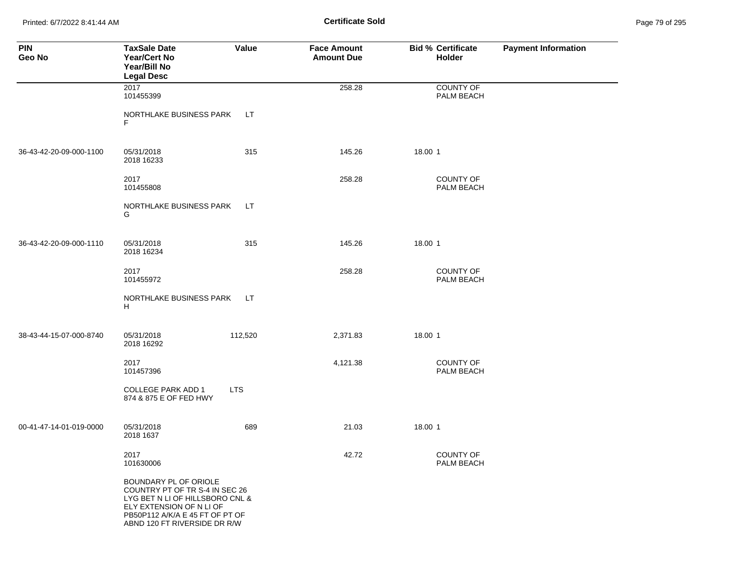Printed: 6/7/2022 8:41:44 AM **Certificate Sold** Page 79 of 295

| <b>PIN</b><br>Geo No    | <b>TaxSale Date</b><br><b>Year/Cert No</b><br>Year/Bill No<br><b>Legal Desc</b>                                                                                                           | Value      | <b>Face Amount</b><br><b>Amount Due</b> | <b>Bid % Certificate</b><br>Holder | <b>Payment Information</b> |
|-------------------------|-------------------------------------------------------------------------------------------------------------------------------------------------------------------------------------------|------------|-----------------------------------------|------------------------------------|----------------------------|
|                         | 2017<br>101455399                                                                                                                                                                         |            | 258.28                                  | <b>COUNTY OF</b><br>PALM BEACH     |                            |
|                         | NORTHLAKE BUSINESS PARK<br>F                                                                                                                                                              | LT.        |                                         |                                    |                            |
| 36-43-42-20-09-000-1100 | 05/31/2018<br>2018 16233                                                                                                                                                                  | 315        | 145.26                                  | 18.00 1                            |                            |
|                         | 2017<br>101455808                                                                                                                                                                         |            | 258.28                                  | COUNTY OF<br>PALM BEACH            |                            |
|                         | NORTHLAKE BUSINESS PARK<br>G                                                                                                                                                              | LT.        |                                         |                                    |                            |
| 36-43-42-20-09-000-1110 | 05/31/2018<br>2018 16234                                                                                                                                                                  | 315        | 145.26                                  | 18.00 1                            |                            |
|                         | 2017<br>101455972                                                                                                                                                                         |            | 258.28                                  | <b>COUNTY OF</b><br>PALM BEACH     |                            |
|                         | NORTHLAKE BUSINESS PARK<br>H                                                                                                                                                              | LT.        |                                         |                                    |                            |
| 38-43-44-15-07-000-8740 | 05/31/2018<br>2018 16292                                                                                                                                                                  | 112,520    | 2,371.83                                | 18.00 1                            |                            |
|                         | 2017<br>101457396                                                                                                                                                                         |            | 4,121.38                                | <b>COUNTY OF</b><br>PALM BEACH     |                            |
|                         | <b>COLLEGE PARK ADD 1</b><br>874 & 875 E OF FED HWY                                                                                                                                       | <b>LTS</b> |                                         |                                    |                            |
| 00-41-47-14-01-019-0000 | 05/31/2018<br>2018 1637                                                                                                                                                                   | 689        | 21.03                                   | 18.00 1                            |                            |
|                         | 2017<br>101630006                                                                                                                                                                         |            | 42.72                                   | COUNTY OF<br>PALM BEACH            |                            |
|                         | BOUNDARY PL OF ORIOLE<br>COUNTRY PT OF TR S-4 IN SEC 26<br>LYG BET N LI OF HILLSBORO CNL &<br>ELY EXTENSION OF N LI OF<br>PB50P112 A/K/A E 45 FT OF PT OF<br>ABND 120 FT RIVERSIDE DR R/W |            |                                         |                                    |                            |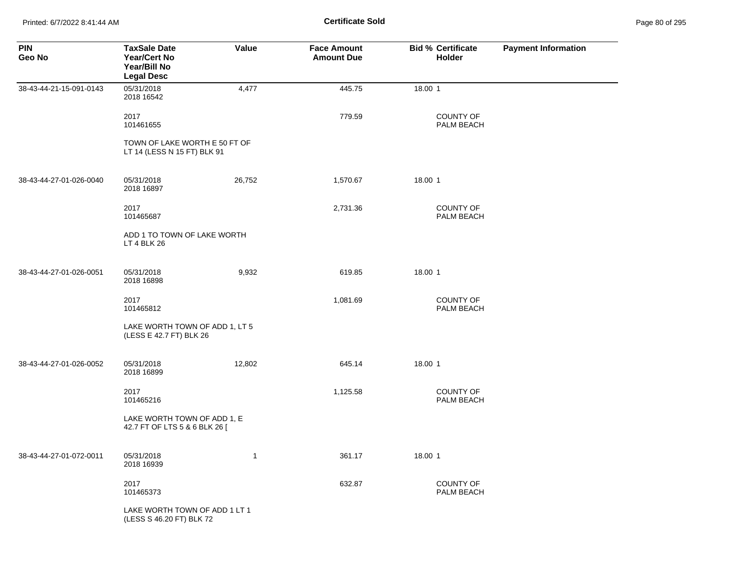Printed: 6/7/2022 8:41:44 AM **Certificate Sold** Page 80 of 295

| <b>PIN</b><br>Geo No    | <b>TaxSale Date</b><br><b>Year/Cert No</b><br>Year/Bill No<br><b>Legal Desc</b> | Value        | <b>Face Amount</b><br><b>Amount Due</b> | <b>Bid % Certificate</b><br><b>Holder</b> | <b>Payment Information</b> |
|-------------------------|---------------------------------------------------------------------------------|--------------|-----------------------------------------|-------------------------------------------|----------------------------|
| 38-43-44-21-15-091-0143 | 05/31/2018<br>2018 16542                                                        | 4,477        | 445.75                                  | 18.00 1                                   |                            |
|                         | 2017<br>101461655                                                               |              | 779.59                                  | <b>COUNTY OF</b><br>PALM BEACH            |                            |
|                         | TOWN OF LAKE WORTH E 50 FT OF<br>LT 14 (LESS N 15 FT) BLK 91                    |              |                                         |                                           |                            |
| 38-43-44-27-01-026-0040 | 05/31/2018<br>2018 16897                                                        | 26,752       | 1,570.67                                | 18.00 1                                   |                            |
|                         | 2017<br>101465687                                                               |              | 2,731.36                                | <b>COUNTY OF</b><br>PALM BEACH            |                            |
|                         | ADD 1 TO TOWN OF LAKE WORTH<br>LT 4 BLK 26                                      |              |                                         |                                           |                            |
| 38-43-44-27-01-026-0051 | 05/31/2018<br>2018 16898                                                        | 9,932        | 619.85                                  | 18.00 1                                   |                            |
|                         | 2017<br>101465812                                                               |              | 1,081.69                                | <b>COUNTY OF</b><br>PALM BEACH            |                            |
|                         | LAKE WORTH TOWN OF ADD 1, LT 5<br>(LESS E 42.7 FT) BLK 26                       |              |                                         |                                           |                            |
| 38-43-44-27-01-026-0052 | 05/31/2018<br>2018 16899                                                        | 12,802       | 645.14                                  | 18.00 1                                   |                            |
|                         | 2017<br>101465216                                                               |              | 1,125.58                                | COUNTY OF<br>PALM BEACH                   |                            |
|                         | LAKE WORTH TOWN OF ADD 1, E<br>42.7 FT OF LTS 5 & 6 BLK 26 [                    |              |                                         |                                           |                            |
| 38-43-44-27-01-072-0011 | 05/31/2018<br>2018 16939                                                        | $\mathbf{1}$ | 361.17                                  | 18.00 1                                   |                            |
|                         | 2017<br>101465373                                                               |              | 632.87                                  | <b>COUNTY OF</b><br>PALM BEACH            |                            |
|                         | LAKE WORTH TOWN OF ADD 1 LT 1<br>(LESS S 46.20 FT) BLK 72                       |              |                                         |                                           |                            |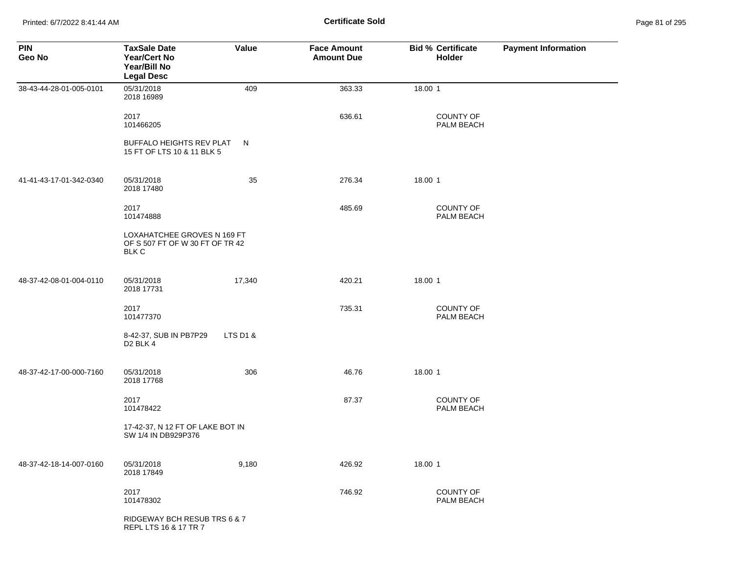Printed: 6/7/2022 8:41:44 AM **Certificate Sold** Page 81 of 295

| <b>PIN</b><br>Geo No    | <b>TaxSale Date</b><br><b>Year/Cert No</b><br>Year/Bill No<br><b>Legal Desc</b> | Value    | <b>Face Amount</b><br><b>Amount Due</b> | <b>Bid % Certificate</b><br>Holder | <b>Payment Information</b> |
|-------------------------|---------------------------------------------------------------------------------|----------|-----------------------------------------|------------------------------------|----------------------------|
| 38-43-44-28-01-005-0101 | 05/31/2018<br>2018 16989                                                        | 409      | 363.33                                  | 18.00 1                            |                            |
|                         | 2017<br>101466205                                                               |          | 636.61                                  | COUNTY OF<br>PALM BEACH            |                            |
|                         | BUFFALO HEIGHTS REV PLAT<br>15 FT OF LTS 10 & 11 BLK 5                          | N        |                                         |                                    |                            |
| 41-41-43-17-01-342-0340 | 05/31/2018<br>2018 17480                                                        | 35       | 276.34                                  | 18.00 1                            |                            |
|                         | 2017<br>101474888                                                               |          | 485.69                                  | COUNTY OF<br>PALM BEACH            |                            |
|                         | LOXAHATCHEE GROVES N 169 FT<br>OF S 507 FT OF W 30 FT OF TR 42<br><b>BLK C</b>  |          |                                         |                                    |                            |
| 48-37-42-08-01-004-0110 | 05/31/2018<br>2018 17731                                                        | 17,340   | 420.21                                  | 18.00 1                            |                            |
|                         | 2017<br>101477370                                                               |          | 735.31                                  | COUNTY OF<br>PALM BEACH            |                            |
|                         | 8-42-37, SUB IN PB7P29<br>D <sub>2</sub> BLK 4                                  | LTS D1 & |                                         |                                    |                            |
| 48-37-42-17-00-000-7160 | 05/31/2018<br>2018 17768                                                        | 306      | 46.76                                   | 18.00 1                            |                            |
|                         | 2017<br>101478422                                                               |          | 87.37                                   | COUNTY OF<br>PALM BEACH            |                            |
|                         | 17-42-37, N 12 FT OF LAKE BOT IN<br>SW 1/4 IN DB929P376                         |          |                                         |                                    |                            |
| 48-37-42-18-14-007-0160 | 05/31/2018<br>2018 17849                                                        | 9,180    | 426.92                                  | 18.00 1                            |                            |
|                         | 2017<br>101478302                                                               |          | 746.92                                  | COUNTY OF<br>PALM BEACH            |                            |
|                         | RIDGEWAY BCH RESUB TRS 6 & 7<br>REPL LTS 16 & 17 TR 7                           |          |                                         |                                    |                            |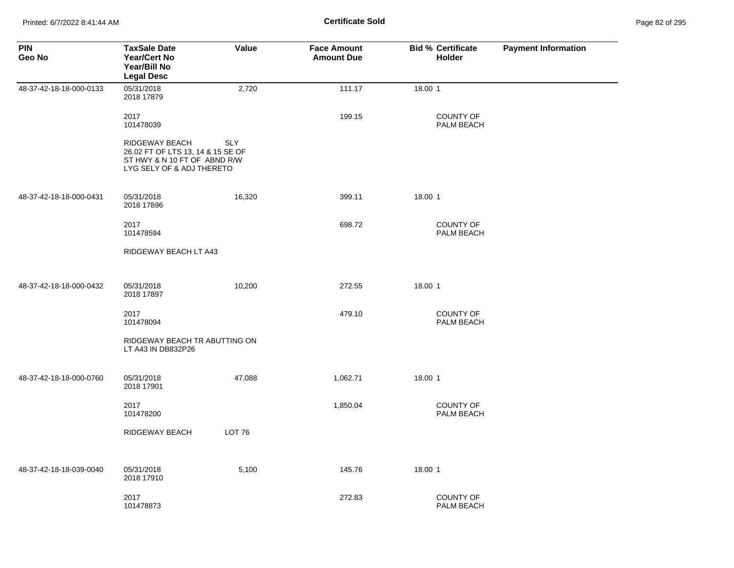| Page 82 of 295 |  |  |  |
|----------------|--|--|--|
|----------------|--|--|--|

| <b>PIN</b><br>Geo No    | <b>TaxSale Date</b><br>Year/Cert No<br>Year/Bill No<br><b>Legal Desc</b>                                         | Value         | <b>Face Amount</b><br><b>Amount Due</b> | <b>Bid % Certificate</b><br>Holder | <b>Payment Information</b> |
|-------------------------|------------------------------------------------------------------------------------------------------------------|---------------|-----------------------------------------|------------------------------------|----------------------------|
| 48-37-42-18-18-000-0133 | 05/31/2018<br>2018 17879                                                                                         | 2,720         | 111.17                                  | 18.00 1                            |                            |
|                         | 2017<br>101478039                                                                                                |               | 199.15                                  | <b>COUNTY OF</b><br>PALM BEACH     |                            |
|                         | RIDGEWAY BEACH<br>26.02 FT OF LTS 13, 14 & 15 SE OF<br>ST HWY & N 10 FT OF ABND R/W<br>LYG SELY OF & ADJ THERETO | <b>SLY</b>    |                                         |                                    |                            |
| 48-37-42-18-18-000-0431 | 05/31/2018<br>2018 17896                                                                                         | 16,320        | 399.11                                  | 18.00 1                            |                            |
|                         | 2017<br>101478594                                                                                                |               | 698.72                                  | <b>COUNTY OF</b><br>PALM BEACH     |                            |
|                         | RIDGEWAY BEACH LT A43                                                                                            |               |                                         |                                    |                            |
| 48-37-42-18-18-000-0432 | 05/31/2018<br>2018 17897                                                                                         | 10,200        | 272.55                                  | 18.00 1                            |                            |
|                         | 2017<br>101478094                                                                                                |               | 479.10                                  | <b>COUNTY OF</b><br>PALM BEACH     |                            |
|                         | RIDGEWAY BEACH TR ABUTTING ON<br>LT A43 IN DB832P26                                                              |               |                                         |                                    |                            |
| 48-37-42-18-18-000-0760 | 05/31/2018<br>2018 17901                                                                                         | 47,088        | 1,062.71                                | 18.00 1                            |                            |
|                         | 2017<br>101478200                                                                                                |               | 1,850.04                                | <b>COUNTY OF</b><br>PALM BEACH     |                            |
|                         | RIDGEWAY BEACH                                                                                                   | <b>LOT 76</b> |                                         |                                    |                            |
| 48-37-42-18-18-039-0040 | 05/31/2018<br>2018 17910                                                                                         | 5,100         | 145.76                                  | 18.00 1                            |                            |
|                         | 2017<br>101478873                                                                                                |               | 272.83                                  | <b>COUNTY OF</b><br>PALM BEACH     |                            |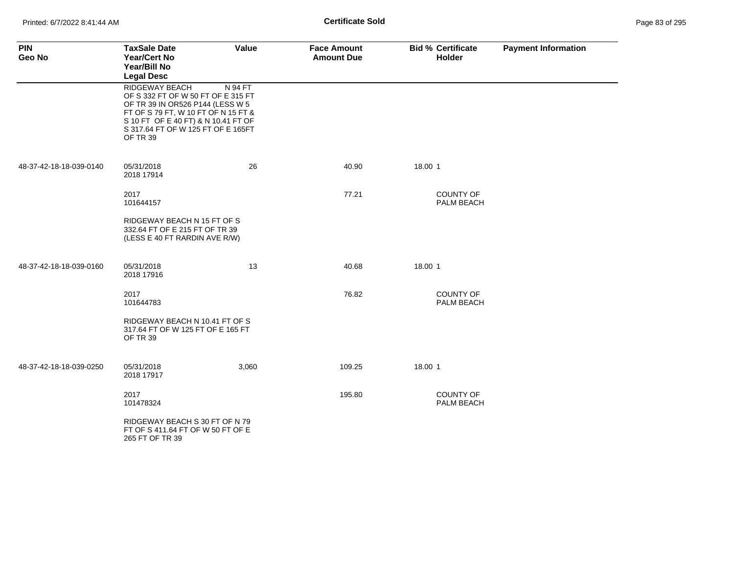| <b>PIN</b><br>Geo No    | <b>TaxSale Date</b><br><b>Year/Cert No</b><br>Year/Bill No<br><b>Legal Desc</b>                                                                                                                                          | Value   | <b>Face Amount</b><br><b>Amount Due</b> | <b>Bid % Certificate</b><br><b>Holder</b> | <b>Payment Information</b> |
|-------------------------|--------------------------------------------------------------------------------------------------------------------------------------------------------------------------------------------------------------------------|---------|-----------------------------------------|-------------------------------------------|----------------------------|
|                         | RIDGEWAY BEACH<br>OF S 332 FT OF W 50 FT OF E 315 FT<br>OF TR 39 IN OR526 P144 (LESS W 5<br>FT OF S 79 FT, W 10 FT OF N 15 FT &<br>S 10 FT OF E 40 FT) & N 10.41 FT OF<br>S 317.64 FT OF W 125 FT OF E 165FT<br>OF TR 39 | N 94 FT |                                         |                                           |                            |
| 48-37-42-18-18-039-0140 | 05/31/2018<br>2018 17914                                                                                                                                                                                                 | 26      | 40.90                                   | 18.00 1                                   |                            |
|                         | 2017<br>101644157                                                                                                                                                                                                        |         | 77.21                                   | <b>COUNTY OF</b><br>PALM BEACH            |                            |
|                         | RIDGEWAY BEACH N 15 FT OF S<br>332.64 FT OF E 215 FT OF TR 39<br>(LESS E 40 FT RARDIN AVE R/W)                                                                                                                           |         |                                         |                                           |                            |
| 48-37-42-18-18-039-0160 | 05/31/2018<br>2018 17916                                                                                                                                                                                                 | 13      | 40.68                                   | 18.00 1                                   |                            |
|                         | 2017<br>101644783                                                                                                                                                                                                        |         | 76.82                                   | <b>COUNTY OF</b><br>PALM BEACH            |                            |
|                         | RIDGEWAY BEACH N 10.41 FT OF S<br>317.64 FT OF W 125 FT OF E 165 FT<br>OF TR 39                                                                                                                                          |         |                                         |                                           |                            |
| 48-37-42-18-18-039-0250 | 05/31/2018<br>2018 17917                                                                                                                                                                                                 | 3,060   | 109.25                                  | 18.00 1                                   |                            |
|                         | 2017<br>101478324                                                                                                                                                                                                        |         | 195.80                                  | <b>COUNTY OF</b><br>PALM BEACH            |                            |
|                         | RIDGEWAY BEACH S 30 FT OF N 79<br>FT OF S 411.64 FT OF W 50 FT OF E<br>265 FT OF TR 39                                                                                                                                   |         |                                         |                                           |                            |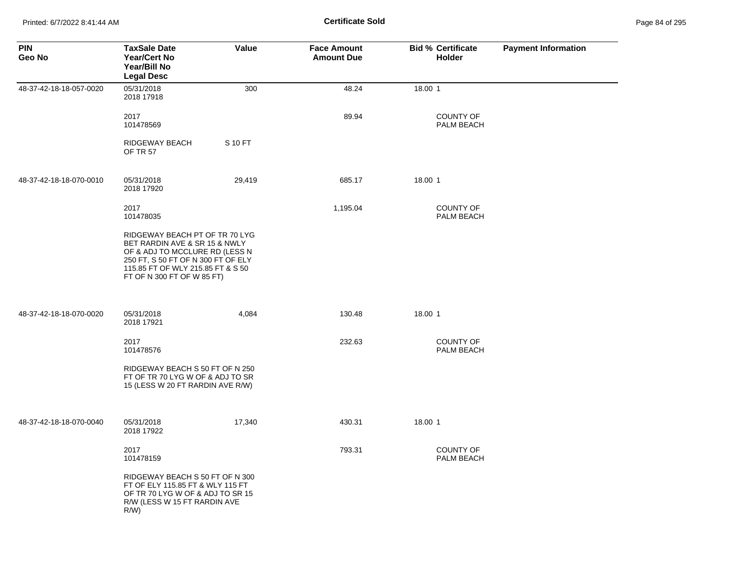Printed: 6/7/2022 8:41:44 AM **Certificate Sold** Page 84 of 295

| <b>PIN</b><br>Geo No    | <b>TaxSale Date</b><br><b>Year/Cert No</b><br>Year/Bill No<br><b>Legal Desc</b>                                                                                                                            | Value   | <b>Face Amount</b><br><b>Amount Due</b> | <b>Bid % Certificate</b><br>Holder | <b>Payment Information</b> |
|-------------------------|------------------------------------------------------------------------------------------------------------------------------------------------------------------------------------------------------------|---------|-----------------------------------------|------------------------------------|----------------------------|
| 48-37-42-18-18-057-0020 | 05/31/2018<br>2018 17918                                                                                                                                                                                   | 300     | 48.24                                   | 18.00 1                            |                            |
|                         | 2017<br>101478569                                                                                                                                                                                          |         | 89.94                                   | <b>COUNTY OF</b><br>PALM BEACH     |                            |
|                         | RIDGEWAY BEACH<br><b>OF TR 57</b>                                                                                                                                                                          | S 10 FT |                                         |                                    |                            |
| 48-37-42-18-18-070-0010 | 05/31/2018<br>2018 17920                                                                                                                                                                                   | 29,419  | 685.17                                  | 18.00 1                            |                            |
|                         | 2017<br>101478035                                                                                                                                                                                          |         | 1,195.04                                | <b>COUNTY OF</b><br>PALM BEACH     |                            |
|                         | RIDGEWAY BEACH PT OF TR 70 LYG<br>BET RARDIN AVE & SR 15 & NWLY<br>OF & ADJ TO MCCLURE RD (LESS N<br>250 FT, S 50 FT OF N 300 FT OF ELY<br>115.85 FT OF WLY 215.85 FT & S 50<br>FT OF N 300 FT OF W 85 FT) |         |                                         |                                    |                            |
| 48-37-42-18-18-070-0020 | 05/31/2018<br>2018 17921                                                                                                                                                                                   | 4,084   | 130.48                                  | 18.00 1                            |                            |
|                         | 2017<br>101478576                                                                                                                                                                                          |         | 232.63                                  | COUNTY OF<br>PALM BEACH            |                            |
|                         | RIDGEWAY BEACH S 50 FT OF N 250<br>FT OF TR 70 LYG W OF & ADJ TO SR<br>15 (LESS W 20 FT RARDIN AVE R/W)                                                                                                    |         |                                         |                                    |                            |
| 48-37-42-18-18-070-0040 | 05/31/2018<br>2018 17922                                                                                                                                                                                   | 17,340  | 430.31                                  | 18.00 1                            |                            |
|                         | 2017<br>101478159                                                                                                                                                                                          |         | 793.31                                  | <b>COUNTY OF</b><br>PALM BEACH     |                            |
|                         | RIDGEWAY BEACH S 50 FT OF N 300<br>FT OF ELY 115.85 FT & WLY 115 FT<br>OF TR 70 LYG W OF & ADJ TO SR 15<br>R/W (LESS W 15 FT RARDIN AVE<br>$R/W$ )                                                         |         |                                         |                                    |                            |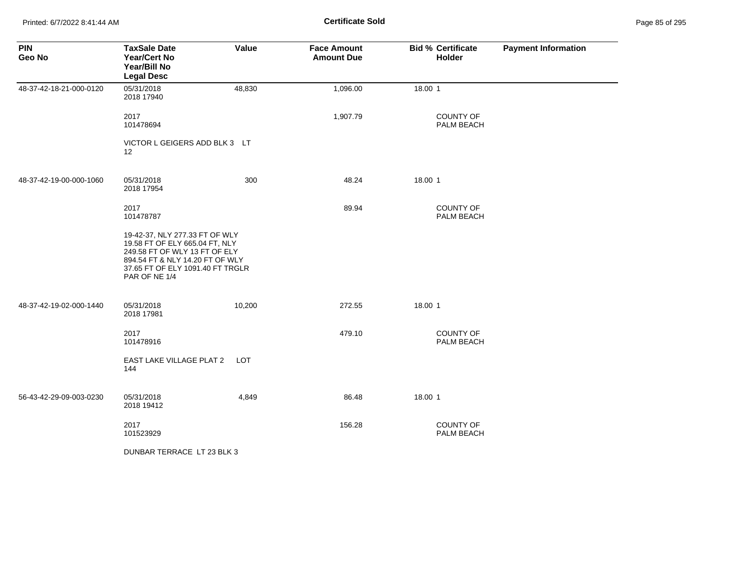Printed: 6/7/2022 8:41:44 AM **Page 85 of 2018 Certificate Sold Certificate Sold** 

| Page 85 of 295 |  |  |  |
|----------------|--|--|--|
|----------------|--|--|--|

| <b>PIN</b><br>Geo No    | <b>TaxSale Date</b><br><b>Year/Cert No</b><br>Year/Bill No<br><b>Legal Desc</b>                                                                                                           | Value  | <b>Face Amount</b><br><b>Amount Due</b> | <b>Bid % Certificate</b><br>Holder | <b>Payment Information</b> |
|-------------------------|-------------------------------------------------------------------------------------------------------------------------------------------------------------------------------------------|--------|-----------------------------------------|------------------------------------|----------------------------|
| 48-37-42-18-21-000-0120 | 05/31/2018<br>2018 17940                                                                                                                                                                  | 48,830 | 1,096.00                                | 18.00 1                            |                            |
|                         | 2017<br>101478694                                                                                                                                                                         |        | 1,907.79                                | <b>COUNTY OF</b><br>PALM BEACH     |                            |
|                         | VICTOR L GEIGERS ADD BLK 3 LT<br>$12 \overline{ }$                                                                                                                                        |        |                                         |                                    |                            |
| 48-37-42-19-00-000-1060 | 05/31/2018<br>2018 17954                                                                                                                                                                  | 300    | 48.24                                   | 18.00 1                            |                            |
|                         | 2017<br>101478787                                                                                                                                                                         |        | 89.94                                   | <b>COUNTY OF</b><br>PALM BEACH     |                            |
|                         | 19-42-37, NLY 277.33 FT OF WLY<br>19.58 FT OF ELY 665.04 FT, NLY<br>249.58 FT OF WLY 13 FT OF ELY<br>894.54 FT & NLY 14.20 FT OF WLY<br>37.65 FT OF ELY 1091.40 FT TRGLR<br>PAR OF NE 1/4 |        |                                         |                                    |                            |
| 48-37-42-19-02-000-1440 | 05/31/2018<br>2018 17981                                                                                                                                                                  | 10,200 | 272.55                                  | 18.00 1                            |                            |
|                         | 2017<br>101478916                                                                                                                                                                         |        | 479.10                                  | <b>COUNTY OF</b><br>PALM BEACH     |                            |
|                         | EAST LAKE VILLAGE PLAT 2<br>144                                                                                                                                                           | LOT    |                                         |                                    |                            |
| 56-43-42-29-09-003-0230 | 05/31/2018<br>2018 19412                                                                                                                                                                  | 4,849  | 86.48                                   | 18.00 1                            |                            |
|                         | 2017<br>101523929                                                                                                                                                                         |        | 156.28                                  | COUNTY OF<br>PALM BEACH            |                            |
|                         | DUNBAR TERRACE LT 23 BLK 3                                                                                                                                                                |        |                                         |                                    |                            |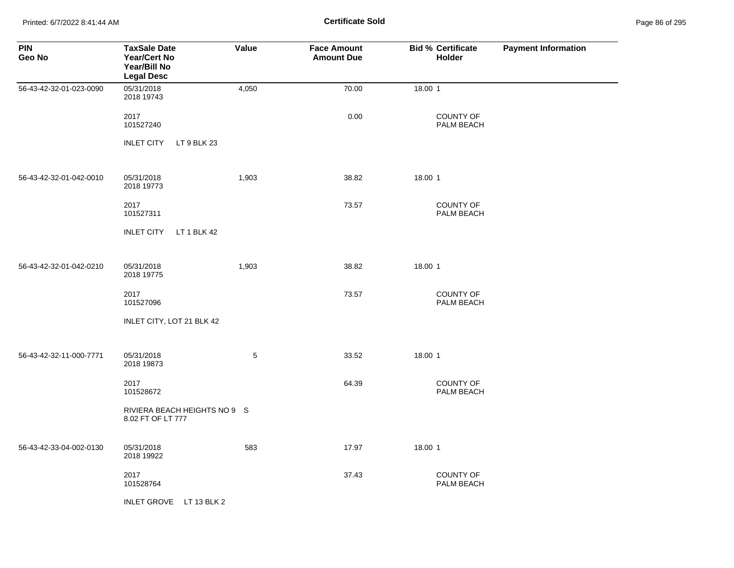Printed: 6/7/2022 8:41:44 AM **Certificate Sold** Page 86 of 295

| <b>PIN</b><br>Geo No    | <b>TaxSale Date</b><br><b>Year/Cert No</b><br>Year/Bill No<br><b>Legal Desc</b> | Value | <b>Face Amount</b><br><b>Amount Due</b> | <b>Bid % Certificate</b><br>Holder | <b>Payment Information</b> |
|-------------------------|---------------------------------------------------------------------------------|-------|-----------------------------------------|------------------------------------|----------------------------|
| 56-43-42-32-01-023-0090 | 05/31/2018<br>2018 19743                                                        | 4,050 | 70.00                                   | 18.00 1                            |                            |
|                         | 2017<br>101527240                                                               |       | 0.00                                    | <b>COUNTY OF</b><br>PALM BEACH     |                            |
|                         | <b>INLET CITY</b><br>LT 9 BLK 23                                                |       |                                         |                                    |                            |
| 56-43-42-32-01-042-0010 | 05/31/2018<br>2018 19773                                                        | 1,903 | 38.82                                   | 18.00 1                            |                            |
|                         | 2017<br>101527311                                                               |       | 73.57                                   | COUNTY OF<br>PALM BEACH            |                            |
|                         | LT 1 BLK 42<br><b>INLET CITY</b>                                                |       |                                         |                                    |                            |
| 56-43-42-32-01-042-0210 | 05/31/2018<br>2018 19775                                                        | 1,903 | 38.82                                   | 18.00 1                            |                            |
|                         | 2017<br>101527096                                                               |       | 73.57                                   | <b>COUNTY OF</b><br>PALM BEACH     |                            |
|                         | INLET CITY, LOT 21 BLK 42                                                       |       |                                         |                                    |                            |
| 56-43-42-32-11-000-7771 | 05/31/2018<br>2018 19873                                                        | 5     | 33.52                                   | 18.00 1                            |                            |
|                         | 2017<br>101528672                                                               |       | 64.39                                   | <b>COUNTY OF</b><br>PALM BEACH     |                            |
|                         | RIVIERA BEACH HEIGHTS NO 9 S<br>8.02 FT OF LT 777                               |       |                                         |                                    |                            |
| 56-43-42-33-04-002-0130 | 05/31/2018<br>2018 19922                                                        | 583   | 17.97                                   | 18.00 1                            |                            |
|                         | 2017<br>101528764                                                               |       | 37.43                                   | COUNTY OF<br>PALM BEACH            |                            |
|                         | INLET GROVE LT 13 BLK 2                                                         |       |                                         |                                    |                            |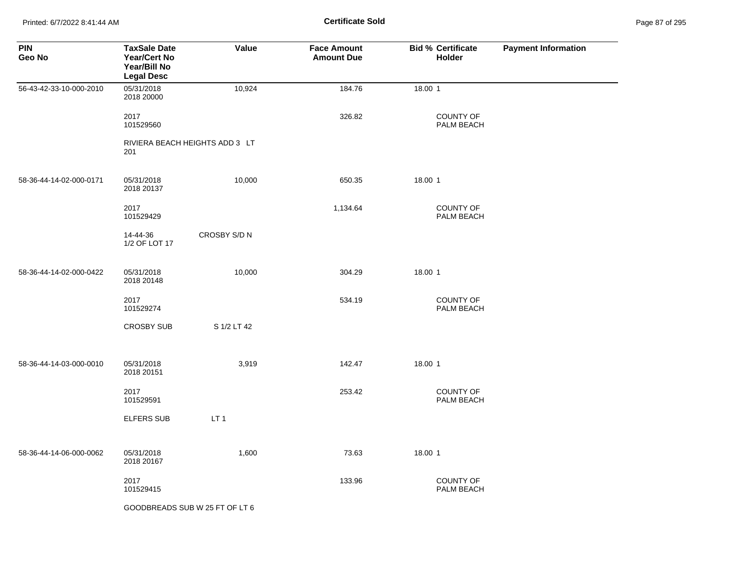Printed: 6/7/2022 8:41:44 AM **Page 87 of 2018** Page 87 of 2018 **Certificate Sold** 

| Page 87 of 295 |  |  |  |
|----------------|--|--|--|
|----------------|--|--|--|

| <b>PIN</b><br>Geo No    | <b>TaxSale Date</b><br><b>Year/Cert No</b><br>Year/Bill No<br><b>Legal Desc</b> | Value                          | <b>Face Amount</b><br><b>Amount Due</b> | <b>Bid % Certificate</b><br>Holder | <b>Payment Information</b> |
|-------------------------|---------------------------------------------------------------------------------|--------------------------------|-----------------------------------------|------------------------------------|----------------------------|
| 56-43-42-33-10-000-2010 | 05/31/2018<br>2018 20000                                                        | 10,924                         | 184.76                                  | 18.00 1                            |                            |
|                         | 2017<br>101529560                                                               |                                | 326.82                                  | <b>COUNTY OF</b><br>PALM BEACH     |                            |
|                         | 201                                                                             | RIVIERA BEACH HEIGHTS ADD 3 LT |                                         |                                    |                            |
| 58-36-44-14-02-000-0171 | 05/31/2018<br>2018 20137                                                        | 10,000                         | 650.35                                  | 18.00 1                            |                            |
|                         | 2017<br>101529429                                                               |                                | 1,134.64                                | COUNTY OF<br>PALM BEACH            |                            |
|                         | 14-44-36<br>1/2 OF LOT 17                                                       | CROSBY S/D N                   |                                         |                                    |                            |
| 58-36-44-14-02-000-0422 | 05/31/2018<br>2018 20148                                                        | 10,000                         | 304.29                                  | 18.00 1                            |                            |
|                         | 2017<br>101529274                                                               |                                | 534.19                                  | <b>COUNTY OF</b><br>PALM BEACH     |                            |
|                         | <b>CROSBY SUB</b>                                                               | S 1/2 LT 42                    |                                         |                                    |                            |
| 58-36-44-14-03-000-0010 | 05/31/2018<br>2018 20151                                                        | 3,919                          | 142.47                                  | 18.00 1                            |                            |
|                         | 2017<br>101529591                                                               |                                | 253.42                                  | <b>COUNTY OF</b><br>PALM BEACH     |                            |
|                         | <b>ELFERS SUB</b>                                                               | LT <sub>1</sub>                |                                         |                                    |                            |
| 58-36-44-14-06-000-0062 | 05/31/2018<br>2018 20167                                                        | 1,600                          | 73.63                                   | 18.00 1                            |                            |
|                         | 2017<br>101529415                                                               |                                | 133.96                                  | <b>COUNTY OF</b><br>PALM BEACH     |                            |
|                         |                                                                                 | GOODBREADS SUB W 25 FT OF LT 6 |                                         |                                    |                            |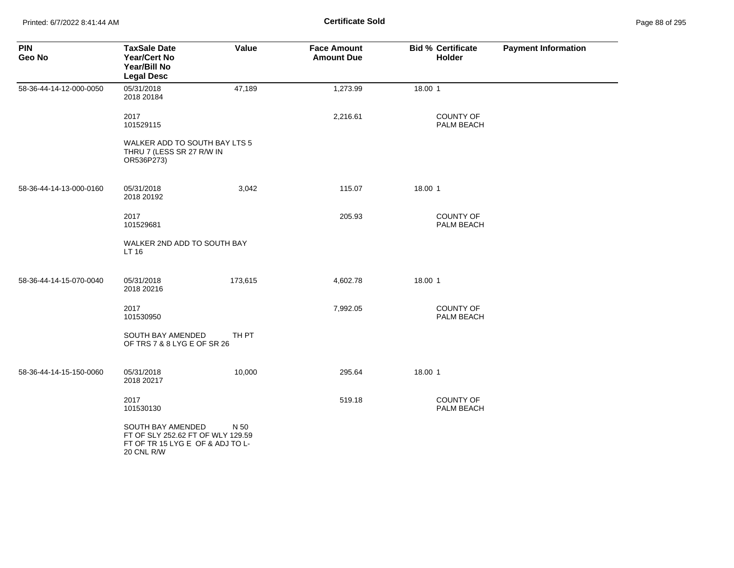| <b>PIN</b><br>Geo No    | <b>TaxSale Date</b><br><b>Year/Cert No</b><br>Year/Bill No<br><b>Legal Desc</b>                          | Value   | <b>Face Amount</b><br><b>Amount Due</b> |         | <b>Bid % Certificate</b><br><b>Holder</b> | <b>Payment Information</b> |
|-------------------------|----------------------------------------------------------------------------------------------------------|---------|-----------------------------------------|---------|-------------------------------------------|----------------------------|
| 58-36-44-14-12-000-0050 | 05/31/2018<br>2018 20184                                                                                 | 47,189  | 1,273.99                                | 18.00 1 |                                           |                            |
|                         | 2017<br>101529115                                                                                        |         | 2,216.61                                |         | <b>COUNTY OF</b><br>PALM BEACH            |                            |
|                         | WALKER ADD TO SOUTH BAY LTS 5<br>THRU 7 (LESS SR 27 R/W IN<br>OR536P273)                                 |         |                                         |         |                                           |                            |
| 58-36-44-14-13-000-0160 | 05/31/2018<br>2018 20192                                                                                 | 3,042   | 115.07                                  | 18.00 1 |                                           |                            |
|                         | 2017<br>101529681                                                                                        |         | 205.93                                  |         | <b>COUNTY OF</b><br>PALM BEACH            |                            |
|                         | WALKER 2ND ADD TO SOUTH BAY<br>LT 16                                                                     |         |                                         |         |                                           |                            |
| 58-36-44-14-15-070-0040 | 05/31/2018<br>2018 20216                                                                                 | 173,615 | 4,602.78                                | 18.00 1 |                                           |                            |
|                         | 2017<br>101530950                                                                                        |         | 7,992.05                                |         | <b>COUNTY OF</b><br>PALM BEACH            |                            |
|                         | SOUTH BAY AMENDED<br>OF TRS 7 & 8 LYG E OF SR 26                                                         | TH PT   |                                         |         |                                           |                            |
| 58-36-44-14-15-150-0060 | 05/31/2018<br>2018 20217                                                                                 | 10,000  | 295.64                                  | 18.00 1 |                                           |                            |
|                         | 2017<br>101530130                                                                                        |         | 519.18                                  |         | <b>COUNTY OF</b><br>PALM BEACH            |                            |
|                         | SOUTH BAY AMENDED<br>FT OF SLY 252.62 FT OF WLY 129.59<br>FT OF TR 15 LYG E OF & ADJ TO L-<br>20 CNL R/W | N 50    |                                         |         |                                           |                            |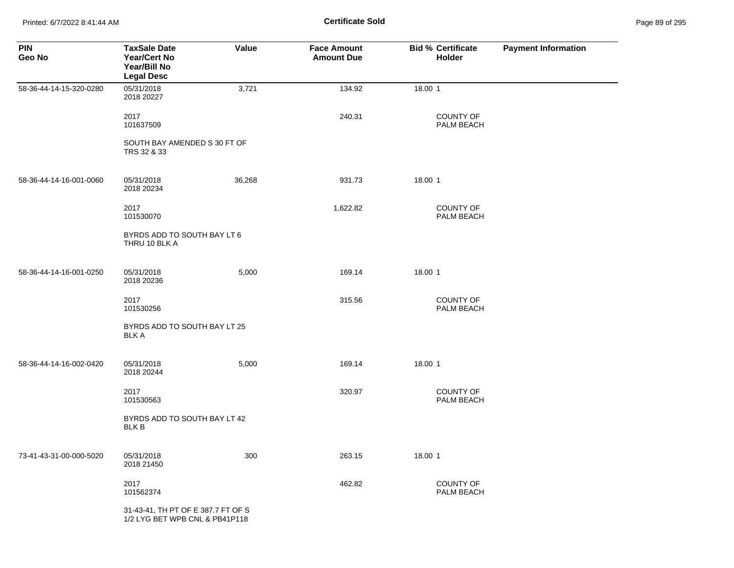Printed: 6/7/2022 8:41:44 AM **Certificate Sold** Page 89 of 295

| <b>PIN</b><br>Geo No    | <b>TaxSale Date</b><br>Year/Cert No<br>Year/Bill No<br><b>Legal Desc</b> | Value  | <b>Face Amount</b><br><b>Amount Due</b> | <b>Bid % Certificate</b><br>Holder | <b>Payment Information</b> |
|-------------------------|--------------------------------------------------------------------------|--------|-----------------------------------------|------------------------------------|----------------------------|
| 58-36-44-14-15-320-0280 | 05/31/2018<br>2018 20227                                                 | 3,721  | 134.92                                  | 18.00 1                            |                            |
|                         | 2017<br>101637509                                                        |        | 240.31                                  | <b>COUNTY OF</b><br>PALM BEACH     |                            |
|                         | SOUTH BAY AMENDED S 30 FT OF<br>TRS 32 & 33                              |        |                                         |                                    |                            |
| 58-36-44-14-16-001-0060 | 05/31/2018<br>2018 20234                                                 | 36,268 | 931.73                                  | 18.00 1                            |                            |
|                         | 2017<br>101530070                                                        |        | 1,622.82                                | <b>COUNTY OF</b><br>PALM BEACH     |                            |
|                         | BYRDS ADD TO SOUTH BAY LT 6<br>THRU 10 BLK A                             |        |                                         |                                    |                            |
| 58-36-44-14-16-001-0250 | 05/31/2018<br>2018 20236                                                 | 5,000  | 169.14                                  | 18.00 1                            |                            |
|                         | 2017<br>101530256                                                        |        | 315.56                                  | COUNTY OF<br>PALM BEACH            |                            |
|                         | BYRDS ADD TO SOUTH BAY LT 25<br><b>BLK A</b>                             |        |                                         |                                    |                            |
| 58-36-44-14-16-002-0420 | 05/31/2018<br>2018 20244                                                 | 5,000  | 169.14                                  | 18.00 1                            |                            |
|                         | 2017<br>101530563                                                        |        | 320.97                                  | <b>COUNTY OF</b><br>PALM BEACH     |                            |
|                         | BYRDS ADD TO SOUTH BAY LT 42<br><b>BLK B</b>                             |        |                                         |                                    |                            |
| 73-41-43-31-00-000-5020 | 05/31/2018<br>2018 21450                                                 | 300    | 263.15                                  | 18.00 1                            |                            |
|                         | 2017<br>101562374                                                        |        | 462.82                                  | COUNTY OF<br>PALM BEACH            |                            |
|                         | 31-43-41, TH PT OF E 387.7 FT OF S<br>1/2 LYG BET WPB CNL & PB41P118     |        |                                         |                                    |                            |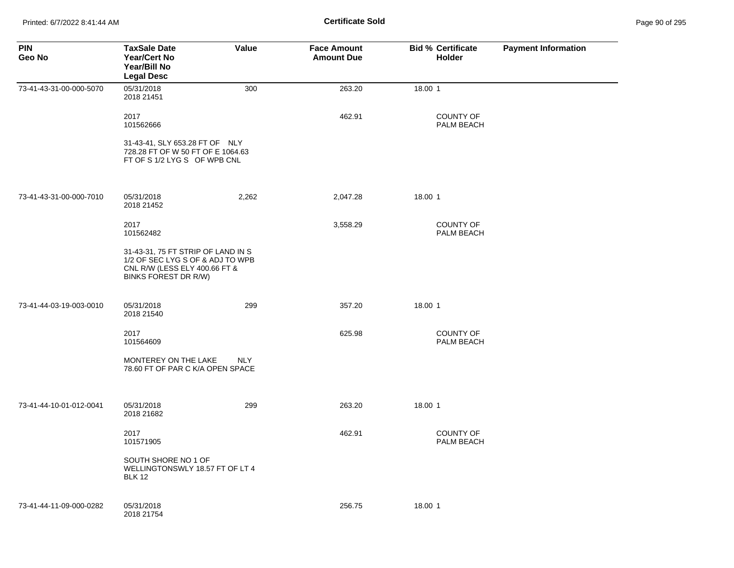| <b>PIN</b><br>Geo No    | <b>TaxSale Date</b><br><b>Year/Cert No</b><br>Year/Bill No<br><b>Legal Desc</b>                                                 | <b>Value</b> | <b>Face Amount</b><br><b>Amount Due</b> | <b>Bid % Certificate</b><br><b>Holder</b> | <b>Payment Information</b> |
|-------------------------|---------------------------------------------------------------------------------------------------------------------------------|--------------|-----------------------------------------|-------------------------------------------|----------------------------|
| 73-41-43-31-00-000-5070 | 05/31/2018<br>2018 21451                                                                                                        | 300          | 263.20                                  | 18.00 1                                   |                            |
|                         | 2017<br>101562666                                                                                                               |              | 462.91                                  | <b>COUNTY OF</b><br>PALM BEACH            |                            |
|                         | 31-43-41, SLY 653.28 FT OF NLY<br>728.28 FT OF W 50 FT OF E 1064.63<br>FT OF S 1/2 LYG S OF WPB CNL                             |              |                                         |                                           |                            |
| 73-41-43-31-00-000-7010 | 05/31/2018<br>2018 21452                                                                                                        | 2,262        | 2,047.28                                | 18.00 1                                   |                            |
|                         | 2017<br>101562482                                                                                                               |              | 3,558.29                                | <b>COUNTY OF</b><br>PALM BEACH            |                            |
|                         | 31-43-31, 75 FT STRIP OF LAND IN S<br>1/2 OF SEC LYG S OF & ADJ TO WPB<br>CNL R/W (LESS ELY 400.66 FT &<br>BINKS FOREST DR R/W) |              |                                         |                                           |                            |
| 73-41-44-03-19-003-0010 | 05/31/2018<br>2018 21540                                                                                                        | 299          | 357.20                                  | 18.00 1                                   |                            |
|                         | 2017<br>101564609                                                                                                               |              | 625.98                                  | <b>COUNTY OF</b><br>PALM BEACH            |                            |
|                         | MONTEREY ON THE LAKE<br>78.60 FT OF PAR C K/A OPEN SPACE                                                                        | <b>NLY</b>   |                                         |                                           |                            |
| 73-41-44-10-01-012-0041 | 05/31/2018<br>2018 21682                                                                                                        | 299          | 263.20                                  | 18.00 1                                   |                            |
|                         | 2017<br>101571905                                                                                                               |              | 462.91                                  | <b>COUNTY OF</b><br>PALM BEACH            |                            |
|                         | SOUTH SHORE NO 1 OF<br>WELLINGTONSWLY 18.57 FT OF LT 4<br><b>BLK 12</b>                                                         |              |                                         |                                           |                            |
| 73-41-44-11-09-000-0282 | 05/31/2018<br>2018 21754                                                                                                        |              | 256.75                                  | 18.00 1                                   |                            |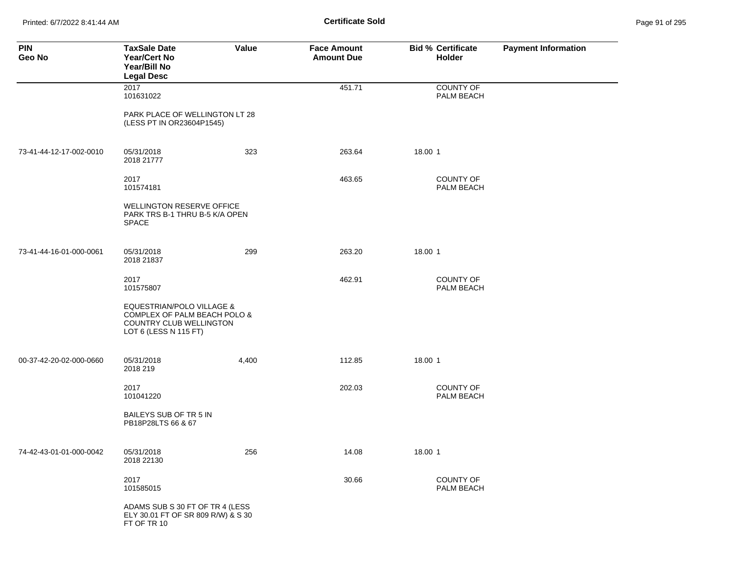Printed: 6/7/2022 8:41:44 AM **Certificate Sold** Page 91 of 295

| <b>PIN</b><br>Geo No    | <b>TaxSale Date</b><br><b>Year/Cert No</b><br>Year/Bill No<br><b>Legal Desc</b>                                          | Value | <b>Face Amount</b><br><b>Amount Due</b> | <b>Bid % Certificate</b><br>Holder | <b>Payment Information</b> |
|-------------------------|--------------------------------------------------------------------------------------------------------------------------|-------|-----------------------------------------|------------------------------------|----------------------------|
|                         | 2017<br>101631022                                                                                                        |       | 451.71                                  | <b>COUNTY OF</b><br>PALM BEACH     |                            |
|                         | PARK PLACE OF WELLINGTON LT 28<br>(LESS PT IN OR23604P1545)                                                              |       |                                         |                                    |                            |
| 73-41-44-12-17-002-0010 | 05/31/2018<br>2018 21777                                                                                                 | 323   | 263.64                                  | 18.00 1                            |                            |
|                         | 2017<br>101574181                                                                                                        |       | 463.65                                  | COUNTY OF<br>PALM BEACH            |                            |
|                         | <b>WELLINGTON RESERVE OFFICE</b><br>PARK TRS B-1 THRU B-5 K/A OPEN<br><b>SPACE</b>                                       |       |                                         |                                    |                            |
| 73-41-44-16-01-000-0061 | 05/31/2018<br>2018 21837                                                                                                 | 299   | 263.20                                  | 18.00 1                            |                            |
|                         | 2017<br>101575807                                                                                                        |       | 462.91                                  | <b>COUNTY OF</b><br>PALM BEACH     |                            |
|                         | <b>EQUESTRIAN/POLO VILLAGE &amp;</b><br>COMPLEX OF PALM BEACH POLO &<br>COUNTRY CLUB WELLINGTON<br>LOT 6 (LESS N 115 FT) |       |                                         |                                    |                            |
| 00-37-42-20-02-000-0660 | 05/31/2018<br>2018 219                                                                                                   | 4,400 | 112.85                                  | 18.00 1                            |                            |
|                         | 2017<br>101041220                                                                                                        |       | 202.03                                  | <b>COUNTY OF</b><br>PALM BEACH     |                            |
|                         | BAILEYS SUB OF TR 5 IN<br>PB18P28LTS 66 & 67                                                                             |       |                                         |                                    |                            |
| 74-42-43-01-01-000-0042 | 05/31/2018<br>2018 22130                                                                                                 | 256   | 14.08                                   | 18.00 1                            |                            |
|                         | 2017<br>101585015                                                                                                        |       | 30.66                                   | COUNTY OF<br>PALM BEACH            |                            |
|                         | ADAMS SUB S 30 FT OF TR 4 (LESS<br>ELY 30.01 FT OF SR 809 R/W) & S 30<br>FT OF TR 10                                     |       |                                         |                                    |                            |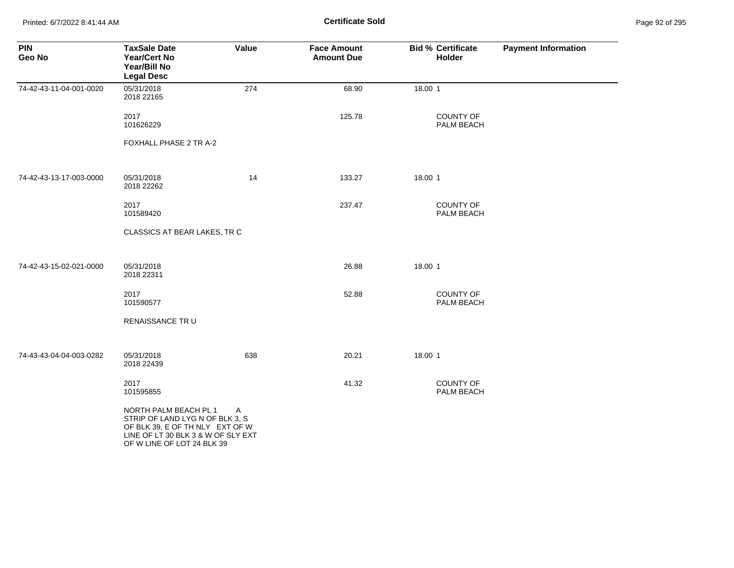Printed: 6/7/2022 8:41:44 AM **Page 92 of 2018** Page 92 of 2018 **Certificate Sold** 

| Page 92 of 295 |  |  |  |
|----------------|--|--|--|
|----------------|--|--|--|

| <b>PIN</b><br>Geo No    | <b>TaxSale Date</b><br><b>Year/Cert No</b><br>Year/Bill No<br><b>Legal Desc</b>                                                                                 | Value | <b>Face Amount</b><br><b>Amount Due</b> | <b>Bid % Certificate</b><br>Holder | <b>Payment Information</b> |
|-------------------------|-----------------------------------------------------------------------------------------------------------------------------------------------------------------|-------|-----------------------------------------|------------------------------------|----------------------------|
| 74-42-43-11-04-001-0020 | 05/31/2018<br>2018 22165                                                                                                                                        | 274   | 68.90                                   | 18.00 1                            |                            |
|                         | 2017<br>101626229                                                                                                                                               |       | 125.78                                  | <b>COUNTY OF</b><br>PALM BEACH     |                            |
|                         | FOXHALL PHASE 2 TR A-2                                                                                                                                          |       |                                         |                                    |                            |
| 74-42-43-13-17-003-0000 | 05/31/2018<br>2018 22262                                                                                                                                        | 14    | 133.27                                  | 18.00 1                            |                            |
|                         | 2017<br>101589420                                                                                                                                               |       | 237.47                                  | COUNTY OF<br>PALM BEACH            |                            |
|                         | CLASSICS AT BEAR LAKES, TR C                                                                                                                                    |       |                                         |                                    |                            |
| 74-42-43-15-02-021-0000 | 05/31/2018<br>2018 22311                                                                                                                                        |       | 26.88                                   | 18.00 1                            |                            |
|                         | 2017<br>101590577                                                                                                                                               |       | 52.88                                   | <b>COUNTY OF</b><br>PALM BEACH     |                            |
|                         | RENAISSANCE TR U                                                                                                                                                |       |                                         |                                    |                            |
| 74-43-43-04-04-003-0282 | 05/31/2018<br>2018 22439                                                                                                                                        | 638   | 20.21                                   | 18.00 1                            |                            |
|                         | 2017<br>101595855                                                                                                                                               |       | 41.32                                   | COUNTY OF<br>PALM BEACH            |                            |
|                         | NORTH PALM BEACH PL 1<br>STRIP OF LAND LYG N OF BLK 3, S<br>OF BLK 39, E OF TH NLY EXT OF W<br>LINE OF LT 30 BLK 3 & W OF SLY EXT<br>OF W LINE OF LOT 24 BLK 39 | A     |                                         |                                    |                            |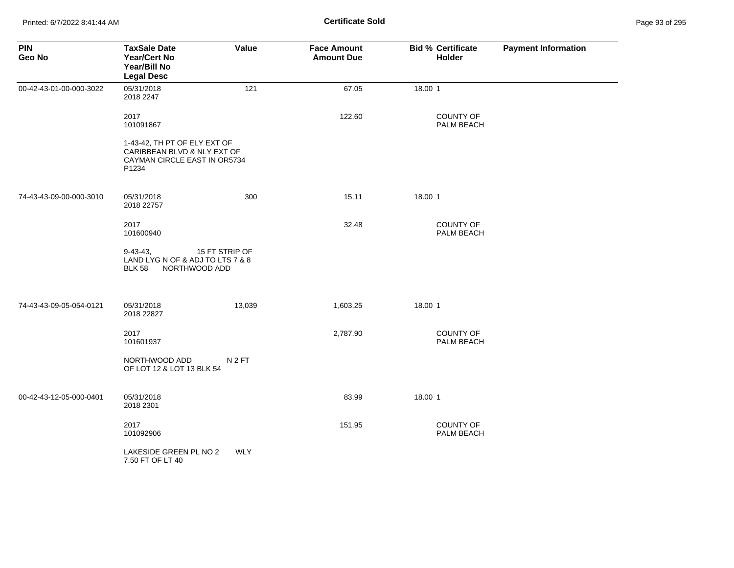| <b>PIN</b><br>Geo No    | <b>TaxSale Date</b><br><b>Year/Cert No</b><br>Year/Bill No<br><b>Legal Desc</b>                      | Value            | <b>Face Amount</b><br><b>Amount Due</b> | <b>Bid % Certificate</b><br>Holder | <b>Payment Information</b> |
|-------------------------|------------------------------------------------------------------------------------------------------|------------------|-----------------------------------------|------------------------------------|----------------------------|
| 00-42-43-01-00-000-3022 | 05/31/2018<br>2018 2247                                                                              | 121              | 67.05                                   | 18.00 1                            |                            |
|                         | 2017<br>101091867                                                                                    |                  | 122.60                                  | <b>COUNTY OF</b><br>PALM BEACH     |                            |
|                         | 1-43-42, TH PT OF ELY EXT OF<br>CARIBBEAN BLVD & NLY EXT OF<br>CAYMAN CIRCLE EAST IN OR5734<br>P1234 |                  |                                         |                                    |                            |
| 74-43-43-09-00-000-3010 | 05/31/2018<br>2018 22757                                                                             | 300              | 15.11                                   | 18.00 1                            |                            |
|                         | 2017<br>101600940                                                                                    |                  | 32.48                                   | <b>COUNTY OF</b><br>PALM BEACH     |                            |
|                         | $9-43-43.$<br>LAND LYG N OF & ADJ TO LTS 7 & 8<br>NORTHWOOD ADD<br><b>BLK 58</b>                     | 15 FT STRIP OF   |                                         |                                    |                            |
| 74-43-43-09-05-054-0121 | 05/31/2018<br>2018 22827                                                                             | 13,039           | 1,603.25                                | 18.00 1                            |                            |
|                         | 2017<br>101601937                                                                                    |                  | 2,787.90                                | COUNTY OF<br>PALM BEACH            |                            |
|                         | NORTHWOOD ADD<br>OF LOT 12 & LOT 13 BLK 54                                                           | N <sub>2FT</sub> |                                         |                                    |                            |
| 00-42-43-12-05-000-0401 | 05/31/2018<br>2018 2301                                                                              |                  | 83.99                                   | 18.00 1                            |                            |
|                         | 2017<br>101092906                                                                                    |                  | 151.95                                  | <b>COUNTY OF</b><br>PALM BEACH     |                            |
|                         | LAKESIDE GREEN PL NO 2<br>7.50 FT OF LT 40                                                           | <b>WLY</b>       |                                         |                                    |                            |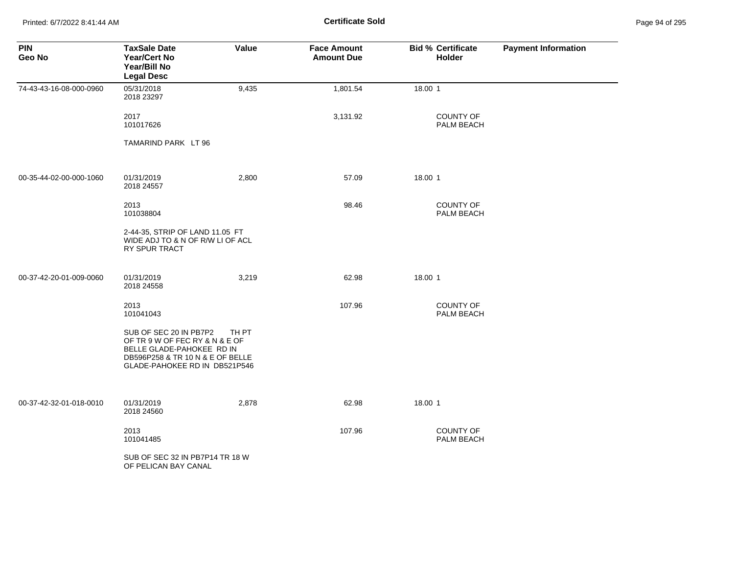Printed: 6/7/2022 8:41:44 AM **Certificate Sold** Page 94 of 295

| <b>PIN</b><br>Geo No    | <b>TaxSale Date</b><br><b>Year/Cert No</b><br>Year/Bill No<br><b>Legal Desc</b>                                                                            | Value | <b>Face Amount</b><br><b>Amount Due</b> | <b>Bid % Certificate</b><br>Holder | <b>Payment Information</b> |
|-------------------------|------------------------------------------------------------------------------------------------------------------------------------------------------------|-------|-----------------------------------------|------------------------------------|----------------------------|
| 74-43-43-16-08-000-0960 | 05/31/2018<br>2018 23297                                                                                                                                   | 9,435 | 1,801.54                                | 18.00 1                            |                            |
|                         | 2017<br>101017626                                                                                                                                          |       | 3,131.92                                | COUNTY OF<br>PALM BEACH            |                            |
|                         | TAMARIND PARK LT 96                                                                                                                                        |       |                                         |                                    |                            |
| 00-35-44-02-00-000-1060 | 01/31/2019<br>2018 24557                                                                                                                                   | 2,800 | 57.09                                   | 18.00 1                            |                            |
|                         | 2013<br>101038804                                                                                                                                          |       | 98.46                                   | COUNTY OF<br>PALM BEACH            |                            |
|                         | 2-44-35, STRIP OF LAND 11.05 FT<br>WIDE ADJ TO & N OF R/W LI OF ACL<br>RY SPUR TRACT                                                                       |       |                                         |                                    |                            |
| 00-37-42-20-01-009-0060 | 01/31/2019<br>2018 24558                                                                                                                                   | 3,219 | 62.98                                   | 18.00 1                            |                            |
|                         | 2013<br>101041043                                                                                                                                          |       | 107.96                                  | COUNTY OF<br>PALM BEACH            |                            |
|                         | SUB OF SEC 20 IN PB7P2<br>OF TR 9 W OF FEC RY & N & E OF<br>BELLE GLADE-PAHOKEE RD IN<br>DB596P258 & TR 10 N & E OF BELLE<br>GLADE-PAHOKEE RD IN DB521P546 | TH PT |                                         |                                    |                            |
| 00-37-42-32-01-018-0010 | 01/31/2019<br>2018 24560                                                                                                                                   | 2,878 | 62.98                                   | 18.00 1                            |                            |
|                         | 2013<br>101041485                                                                                                                                          |       | 107.96                                  | <b>COUNTY OF</b><br>PALM BEACH     |                            |
|                         | SUB OF SEC 32 IN PB7P14 TR 18 W<br>OF PELICAN BAY CANAL                                                                                                    |       |                                         |                                    |                            |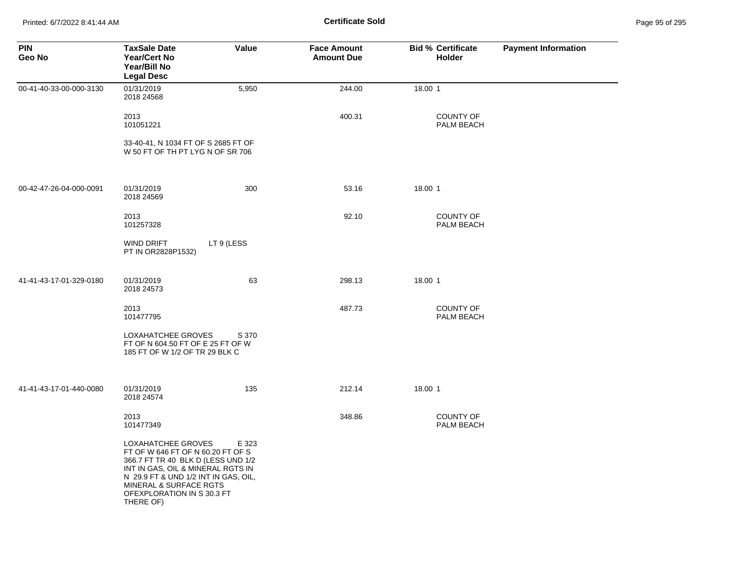Printed: 6/7/2022 8:41:44 AM **Page 95 of 2018 Certificate Sold Certificate Sold** 

| Page 95 of 295 |  |
|----------------|--|
|----------------|--|

| <b>PIN</b><br>Geo No    | <b>TaxSale Date</b><br><b>Year/Cert No</b><br>Year/Bill No<br><b>Legal Desc</b>                                                                                                                                                                            | Value      | <b>Face Amount</b><br><b>Amount Due</b> | <b>Bid % Certificate</b><br>Holder | <b>Payment Information</b> |
|-------------------------|------------------------------------------------------------------------------------------------------------------------------------------------------------------------------------------------------------------------------------------------------------|------------|-----------------------------------------|------------------------------------|----------------------------|
| 00-41-40-33-00-000-3130 | 01/31/2019<br>2018 24568                                                                                                                                                                                                                                   | 5,950      | 244.00                                  | 18.00 1                            |                            |
|                         | 2013<br>101051221                                                                                                                                                                                                                                          |            | 400.31                                  | <b>COUNTY OF</b><br>PALM BEACH     |                            |
|                         | 33-40-41, N 1034 FT OF S 2685 FT OF<br>W 50 FT OF TH PT LYG N OF SR 706                                                                                                                                                                                    |            |                                         |                                    |                            |
| 00-42-47-26-04-000-0091 | 01/31/2019<br>2018 24569                                                                                                                                                                                                                                   | 300        | 53.16                                   | 18.00 1                            |                            |
|                         | 2013<br>101257328                                                                                                                                                                                                                                          |            | 92.10                                   | COUNTY OF<br>PALM BEACH            |                            |
|                         | WIND DRIFT<br>PT IN OR2828P1532)                                                                                                                                                                                                                           | LT 9 (LESS |                                         |                                    |                            |
| 41-41-43-17-01-329-0180 | 01/31/2019<br>2018 24573                                                                                                                                                                                                                                   | 63         | 298.13                                  | 18.00 1                            |                            |
|                         | 2013<br>101477795                                                                                                                                                                                                                                          |            | 487.73                                  | <b>COUNTY OF</b><br>PALM BEACH     |                            |
|                         | LOXAHATCHEE GROVES<br>FT OF N 604.50 FT OF E 25 FT OF W<br>185 FT OF W 1/2 OF TR 29 BLK C                                                                                                                                                                  | S 370      |                                         |                                    |                            |
| 41-41-43-17-01-440-0080 | 01/31/2019<br>2018 24574                                                                                                                                                                                                                                   | 135        | 212.14                                  | 18.00 1                            |                            |
|                         | 2013<br>101477349                                                                                                                                                                                                                                          |            | 348.86                                  | <b>COUNTY OF</b><br>PALM BEACH     |                            |
|                         | LOXAHATCHEE GROVES<br>FT OF W 646 FT OF N 60.20 FT OF S<br>366.7 FT TR 40 BLK D (LESS UND 1/2<br>INT IN GAS, OIL & MINERAL RGTS IN<br>N 29.9 FT & UND 1/2 INT IN GAS, OIL,<br><b>MINERAL &amp; SURFACE RGTS</b><br>OFEXPLORATION IN S 30.3 FT<br>THERE OF) | E 323      |                                         |                                    |                            |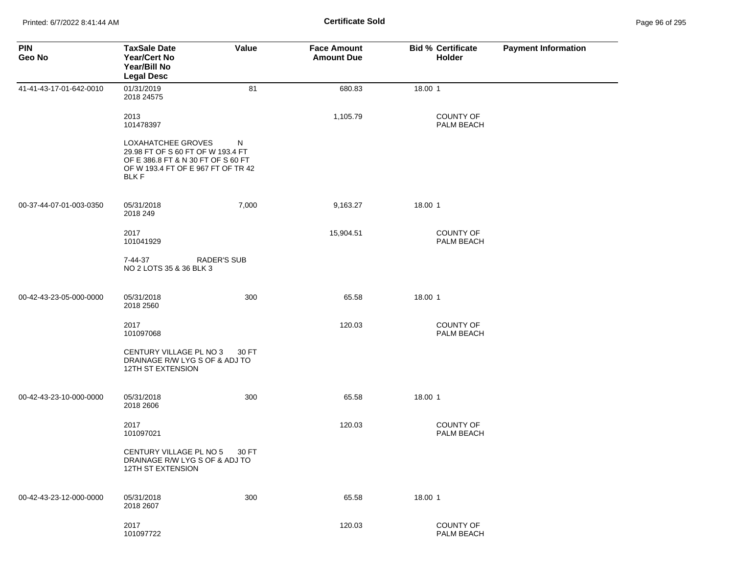| <b>PIN</b><br>Geo No    | <b>TaxSale Date</b><br>Year/Cert No<br>Year/Bill No<br><b>Legal Desc</b>                                                                           | Value | <b>Face Amount</b><br><b>Amount Due</b> | <b>Bid % Certificate</b><br>Holder    | <b>Payment Information</b> |
|-------------------------|----------------------------------------------------------------------------------------------------------------------------------------------------|-------|-----------------------------------------|---------------------------------------|----------------------------|
| 41-41-43-17-01-642-0010 | 01/31/2019<br>2018 24575                                                                                                                           | 81    | 680.83                                  | 18.00 1                               |                            |
|                         | 2013<br>101478397                                                                                                                                  |       | 1,105.79                                | <b>COUNTY OF</b><br>PALM BEACH        |                            |
|                         | LOXAHATCHEE GROVES<br>29.98 FT OF S 60 FT OF W 193.4 FT<br>OF E 386.8 FT & N 30 FT OF S 60 FT<br>OF W 193.4 FT OF E 967 FT OF TR 42<br><b>BLKF</b> | N     |                                         |                                       |                            |
| 00-37-44-07-01-003-0350 | 05/31/2018<br>2018 249                                                                                                                             | 7,000 | 9,163.27                                | 18.00 1                               |                            |
|                         | 2017<br>101041929                                                                                                                                  |       | 15,904.51                               | <b>COUNTY OF</b><br><b>PALM BEACH</b> |                            |
|                         | <b>RADER'S SUB</b><br>7-44-37<br>NO 2 LOTS 35 & 36 BLK 3                                                                                           |       |                                         |                                       |                            |
| 00-42-43-23-05-000-0000 | 05/31/2018<br>2018 2560                                                                                                                            | 300   | 65.58                                   | 18.00 1                               |                            |
|                         | 2017<br>101097068                                                                                                                                  |       | 120.03                                  | <b>COUNTY OF</b><br>PALM BEACH        |                            |
|                         | CENTURY VILLAGE PL NO 3<br>DRAINAGE R/W LYG S OF & ADJ TO<br>12TH ST EXTENSION                                                                     | 30 FT |                                         |                                       |                            |
| 00-42-43-23-10-000-0000 | 05/31/2018<br>2018 2606                                                                                                                            | 300   | 65.58                                   | 18.00 1                               |                            |
|                         | 2017<br>101097021                                                                                                                                  |       | 120.03                                  | COUNTY OF<br>PALM BEACH               |                            |
|                         | CENTURY VILLAGE PL NO 5<br>DRAINAGE R/W LYG S OF & ADJ TO<br>12TH ST EXTENSION                                                                     | 30 FT |                                         |                                       |                            |
| 00-42-43-23-12-000-0000 | 05/31/2018<br>2018 2607                                                                                                                            | 300   | 65.58                                   | 18.00 1                               |                            |
|                         | 2017<br>101097722                                                                                                                                  |       | 120.03                                  | <b>COUNTY OF</b><br>PALM BEACH        |                            |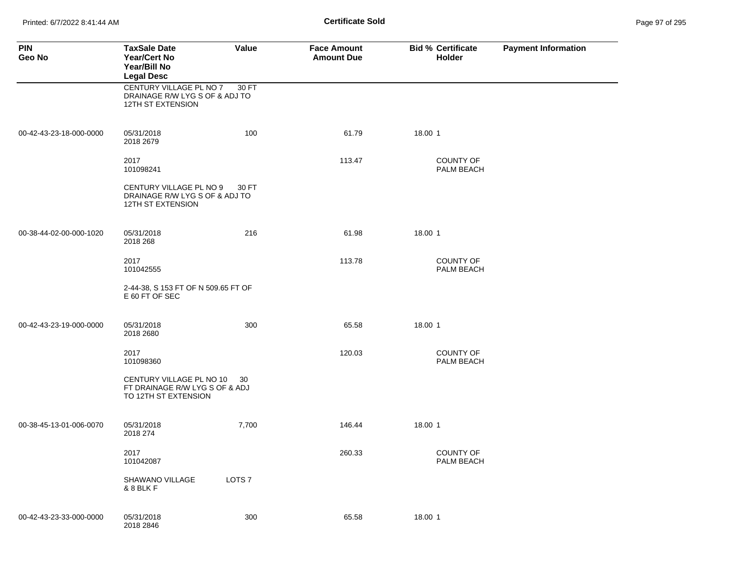Printed: 6/7/2022 8:41:44 AM **Page 97 of 2018** Page 97 of 2018 **Certificate Sold** 

| Page 97 of 295 |  |  |  |
|----------------|--|--|--|
|----------------|--|--|--|

| <b>PIN</b><br>Geo No    | <b>TaxSale Date</b><br>Year/Cert No<br>Year/Bill No<br><b>Legal Desc</b>           | <b>Value</b>      | <b>Face Amount</b><br><b>Amount Due</b> | <b>Bid % Certificate</b><br>Holder | <b>Payment Information</b> |
|-------------------------|------------------------------------------------------------------------------------|-------------------|-----------------------------------------|------------------------------------|----------------------------|
|                         | CENTURY VILLAGE PL NO 7<br>DRAINAGE R/W LYG S OF & ADJ TO<br>12TH ST EXTENSION     | 30 FT             |                                         |                                    |                            |
| 00-42-43-23-18-000-0000 | 05/31/2018<br>2018 2679                                                            | 100               | 61.79                                   | 18.00 1                            |                            |
|                         | 2017<br>101098241                                                                  |                   | 113.47                                  | <b>COUNTY OF</b><br>PALM BEACH     |                            |
|                         | CENTURY VILLAGE PL NO 9<br>DRAINAGE R/W LYG S OF & ADJ TO<br>12TH ST EXTENSION     | 30 FT             |                                         |                                    |                            |
| 00-38-44-02-00-000-1020 | 05/31/2018<br>2018 268                                                             | 216               | 61.98                                   | 18.00 1                            |                            |
|                         | 2017<br>101042555                                                                  |                   | 113.78                                  | <b>COUNTY OF</b><br>PALM BEACH     |                            |
|                         | 2-44-38, S 153 FT OF N 509.65 FT OF<br>E 60 FT OF SEC                              |                   |                                         |                                    |                            |
| 00-42-43-23-19-000-0000 | 05/31/2018<br>2018 2680                                                            | 300               | 65.58                                   | 18.00 1                            |                            |
|                         | 2017<br>101098360                                                                  |                   | 120.03                                  | <b>COUNTY OF</b><br>PALM BEACH     |                            |
|                         | CENTURY VILLAGE PL NO 10<br>FT DRAINAGE R/W LYG S OF & ADJ<br>TO 12TH ST EXTENSION | 30                |                                         |                                    |                            |
| 00-38-45-13-01-006-0070 | 05/31/2018<br>2018 274                                                             | 7,700             | 146.44                                  | 18.00 1                            |                            |
|                         | 2017<br>101042087                                                                  |                   | 260.33                                  | COUNTY OF<br>PALM BEACH            |                            |
|                         | SHAWANO VILLAGE<br>& 8 BLK F                                                       | LOTS <sub>7</sub> |                                         |                                    |                            |
| 00-42-43-23-33-000-0000 | 05/31/2018<br>2018 2846                                                            | 300               | 65.58                                   | 18.00 1                            |                            |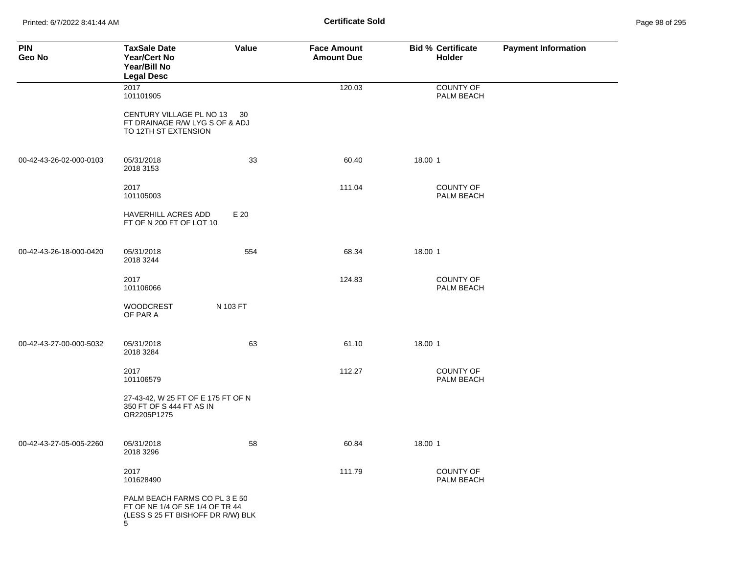Printed: 6/7/2022 8:41:44 AM **Certificate Sold** Page 98 of 295

| <b>PIN</b><br>Geo No    | <b>TaxSale Date</b><br><b>Year/Cert No</b><br>Year/Bill No<br><b>Legal Desc</b>                            | Value    | <b>Face Amount</b><br><b>Amount Due</b> | <b>Bid % Certificate</b><br>Holder | <b>Payment Information</b> |
|-------------------------|------------------------------------------------------------------------------------------------------------|----------|-----------------------------------------|------------------------------------|----------------------------|
|                         | 2017<br>101101905                                                                                          |          | 120.03                                  | <b>COUNTY OF</b><br>PALM BEACH     |                            |
|                         | CENTURY VILLAGE PL NO 13<br>FT DRAINAGE R/W LYG S OF & ADJ<br>TO 12TH ST EXTENSION                         | -30      |                                         |                                    |                            |
| 00-42-43-26-02-000-0103 | 05/31/2018<br>2018 3153                                                                                    | 33       | 60.40                                   | 18.00 1                            |                            |
|                         | 2017<br>101105003                                                                                          |          | 111.04                                  | <b>COUNTY OF</b><br>PALM BEACH     |                            |
|                         | <b>HAVERHILL ACRES ADD</b><br>FT OF N 200 FT OF LOT 10                                                     | E 20     |                                         |                                    |                            |
| 00-42-43-26-18-000-0420 | 05/31/2018<br>2018 3244                                                                                    | 554      | 68.34                                   | 18.00 1                            |                            |
|                         | 2017<br>101106066                                                                                          |          | 124.83                                  | <b>COUNTY OF</b><br>PALM BEACH     |                            |
|                         | <b>WOODCREST</b><br>OF PAR A                                                                               | N 103 FT |                                         |                                    |                            |
| 00-42-43-27-00-000-5032 | 05/31/2018<br>2018 3284                                                                                    | 63       | 61.10                                   | 18.00 1                            |                            |
|                         | 2017<br>101106579                                                                                          |          | 112.27                                  | <b>COUNTY OF</b><br>PALM BEACH     |                            |
|                         | 27-43-42, W 25 FT OF E 175 FT OF N<br>350 FT OF S 444 FT AS IN<br>OR2205P1275                              |          |                                         |                                    |                            |
| 00-42-43-27-05-005-2260 | 05/31/2018<br>2018 3296                                                                                    | 58       | 60.84                                   | 18.00 1                            |                            |
|                         | 2017<br>101628490                                                                                          |          | 111.79                                  | COUNTY OF<br>PALM BEACH            |                            |
|                         | PALM BEACH FARMS CO PL 3 E 50<br>FT OF NE 1/4 OF SE 1/4 OF TR 44<br>(LESS S 25 FT BISHOFF DR R/W) BLK<br>5 |          |                                         |                                    |                            |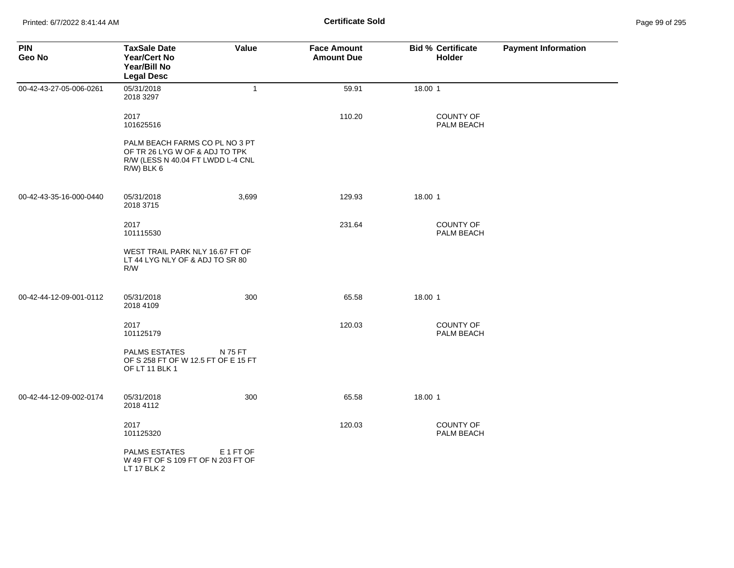| <b>PIN</b><br>Geo No    | <b>TaxSale Date</b><br><b>Year/Cert No</b><br>Year/Bill No<br><b>Legal Desc</b>                                        | Value        | <b>Face Amount</b><br><b>Amount Due</b> | <b>Bid % Certificate</b><br><b>Holder</b> | <b>Payment Information</b> |
|-------------------------|------------------------------------------------------------------------------------------------------------------------|--------------|-----------------------------------------|-------------------------------------------|----------------------------|
| 00-42-43-27-05-006-0261 | 05/31/2018<br>2018 3297                                                                                                | $\mathbf{1}$ | 59.91                                   | 18.00 1                                   |                            |
|                         | 2017<br>101625516                                                                                                      |              | 110.20                                  | COUNTY OF<br>PALM BEACH                   |                            |
|                         | PALM BEACH FARMS CO PL NO 3 PT<br>OF TR 26 LYG W OF & ADJ TO TPK<br>R/W (LESS N 40.04 FT LWDD L-4 CNL<br>$R/W$ ) BLK 6 |              |                                         |                                           |                            |
| 00-42-43-35-16-000-0440 | 05/31/2018<br>2018 3715                                                                                                | 3,699        | 129.93                                  | 18.00 1                                   |                            |
|                         | 2017<br>101115530                                                                                                      |              | 231.64                                  | COUNTY OF<br>PALM BEACH                   |                            |
|                         | WEST TRAIL PARK NLY 16.67 FT OF<br>LT 44 LYG NLY OF & ADJ TO SR 80<br>R/W                                              |              |                                         |                                           |                            |
| 00-42-44-12-09-001-0112 | 05/31/2018<br>2018 4109                                                                                                | 300          | 65.58                                   | 18.00 1                                   |                            |
|                         | 2017<br>101125179                                                                                                      |              | 120.03                                  | COUNTY OF<br>PALM BEACH                   |                            |
|                         | <b>PALMS ESTATES</b><br>OF S 258 FT OF W 12.5 FT OF E 15 FT<br>OF LT 11 BLK 1                                          | N 75 FT      |                                         |                                           |                            |
| 00-42-44-12-09-002-0174 | 05/31/2018<br>2018 4112                                                                                                | 300          | 65.58                                   | 18.00 1                                   |                            |
|                         | 2017<br>101125320                                                                                                      |              | 120.03                                  | COUNTY OF<br>PALM BEACH                   |                            |
|                         | <b>PALMS ESTATES</b><br>W 49 FT OF S 109 FT OF N 203 FT OF<br>LT 17 BLK 2                                              | E 1 FT OF    |                                         |                                           |                            |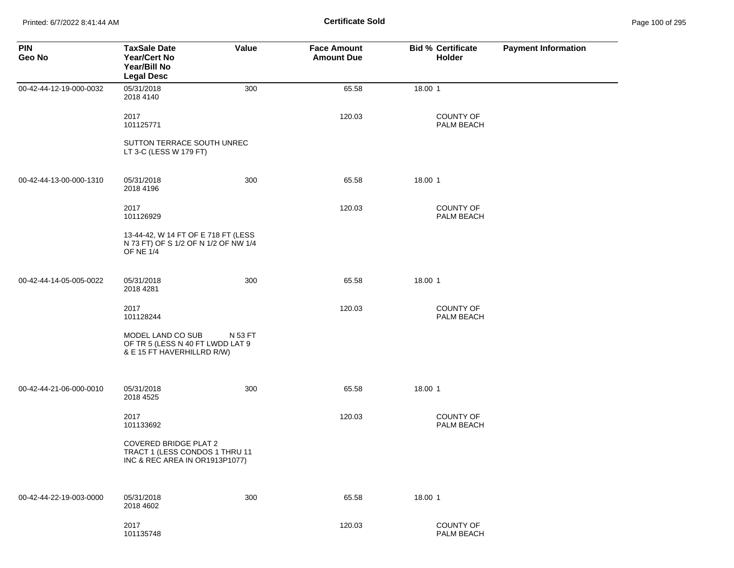Printed: 6/7/2022 8:41:44 AM **Certificate Sold** Page 100 of 295

| <b>PIN</b><br>Geo No    | <b>TaxSale Date</b><br><b>Year/Cert No</b><br>Year/Bill No<br><b>Legal Desc</b>                  | Value   | <b>Face Amount</b><br><b>Amount Due</b> | <b>Bid % Certificate</b><br>Holder | <b>Payment Information</b> |
|-------------------------|--------------------------------------------------------------------------------------------------|---------|-----------------------------------------|------------------------------------|----------------------------|
| 00-42-44-12-19-000-0032 | 05/31/2018<br>2018 4140                                                                          | 300     | 65.58                                   | 18.00 1                            |                            |
|                         | 2017<br>101125771                                                                                |         | 120.03                                  | <b>COUNTY OF</b><br>PALM BEACH     |                            |
|                         | SUTTON TERRACE SOUTH UNREC<br>LT 3-C (LESS W 179 FT)                                             |         |                                         |                                    |                            |
| 00-42-44-13-00-000-1310 | 05/31/2018<br>2018 4196                                                                          | 300     | 65.58                                   | 18.00 1                            |                            |
|                         | 2017<br>101126929                                                                                |         | 120.03                                  | COUNTY OF<br>PALM BEACH            |                            |
|                         | 13-44-42, W 14 FT OF E 718 FT (LESS<br>N 73 FT) OF S 1/2 OF N 1/2 OF NW 1/4<br><b>OF NE 1/4</b>  |         |                                         |                                    |                            |
| 00-42-44-14-05-005-0022 | 05/31/2018<br>2018 4281                                                                          | 300     | 65.58                                   | 18.00 1                            |                            |
|                         | 2017<br>101128244                                                                                |         | 120.03                                  | COUNTY OF<br>PALM BEACH            |                            |
|                         | MODEL LAND CO SUB<br>OF TR 5 (LESS N 40 FT LWDD LAT 9<br>& E 15 FT HAVERHILLRD R/W)              | N 53 FT |                                         |                                    |                            |
| 00-42-44-21-06-000-0010 | 05/31/2018<br>2018 4525                                                                          | 300     | 65.58                                   | 18.00 1                            |                            |
|                         | 2017<br>101133692                                                                                |         | 120.03                                  | COUNTY OF<br>PALM BEACH            |                            |
|                         | <b>COVERED BRIDGE PLAT 2</b><br>TRACT 1 (LESS CONDOS 1 THRU 11<br>INC & REC AREA IN OR1913P1077) |         |                                         |                                    |                            |
| 00-42-44-22-19-003-0000 | 05/31/2018<br>2018 4602                                                                          | 300     | 65.58                                   | 18.00 1                            |                            |
|                         | 2017<br>101135748                                                                                |         | 120.03                                  | COUNTY OF<br>PALM BEACH            |                            |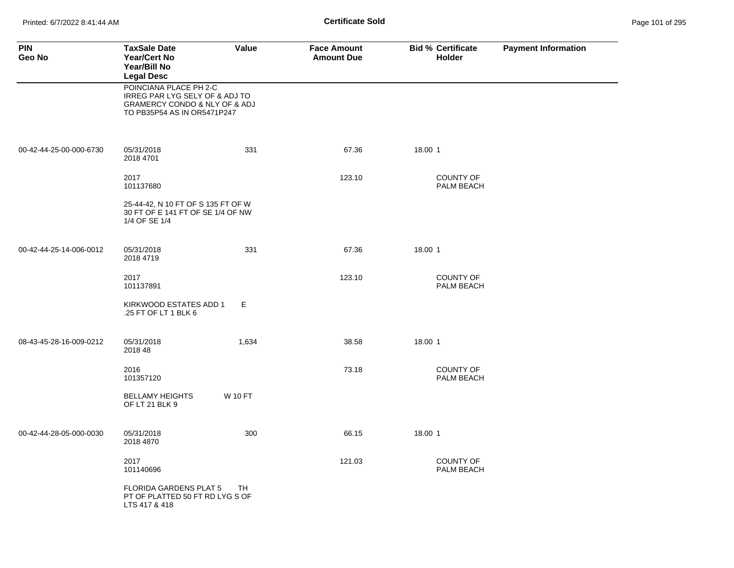| <b>PIN</b><br>Geo No    | <b>TaxSale Date</b><br><b>Year/Cert No</b><br>Year/Bill No<br><b>Legal Desc</b>                                          | Value          | <b>Face Amount</b><br><b>Amount Due</b> | <b>Bid % Certificate</b><br><b>Holder</b> | <b>Payment Information</b> |
|-------------------------|--------------------------------------------------------------------------------------------------------------------------|----------------|-----------------------------------------|-------------------------------------------|----------------------------|
|                         | POINCIANA PLACE PH 2-C<br>IRREG PAR LYG SELY OF & ADJ TO<br>GRAMERCY CONDO & NLY OF & ADJ<br>TO PB35P54 AS IN OR5471P247 |                |                                         |                                           |                            |
| 00-42-44-25-00-000-6730 | 05/31/2018<br>2018 4701                                                                                                  | 331            | 67.36                                   | 18.00 1                                   |                            |
|                         | 2017<br>101137680                                                                                                        |                | 123.10                                  | <b>COUNTY OF</b><br>PALM BEACH            |                            |
|                         | 25-44-42, N 10 FT OF S 135 FT OF W<br>30 FT OF E 141 FT OF SE 1/4 OF NW<br>1/4 OF SE 1/4                                 |                |                                         |                                           |                            |
| 00-42-44-25-14-006-0012 | 05/31/2018<br>2018 4719                                                                                                  | 331            | 67.36                                   | 18.00 1                                   |                            |
|                         | 2017<br>101137891                                                                                                        |                | 123.10                                  | <b>COUNTY OF</b><br>PALM BEACH            |                            |
|                         | KIRKWOOD ESTATES ADD 1<br>.25 FT OF LT 1 BLK 6                                                                           | E              |                                         |                                           |                            |
| 08-43-45-28-16-009-0212 | 05/31/2018<br>2018 48                                                                                                    | 1,634          | 38.58                                   | 18.00 1                                   |                            |
|                         | 2016<br>101357120                                                                                                        |                | 73.18                                   | <b>COUNTY OF</b><br>PALM BEACH            |                            |
|                         | <b>BELLAMY HEIGHTS</b><br>OF LT 21 BLK 9                                                                                 | <b>W 10 FT</b> |                                         |                                           |                            |
| 00-42-44-28-05-000-0030 | 05/31/2018<br>2018 4870                                                                                                  | 300            | 66.15                                   | 18.00 1                                   |                            |
|                         | 2017<br>101140696                                                                                                        |                | 121.03                                  | <b>COUNTY OF</b><br>PALM BEACH            |                            |
|                         | <b>FLORIDA GARDENS PLAT 5</b><br>PT OF PLATTED 50 FT RD LYG S OF<br>LTS 417 & 418                                        | TH             |                                         |                                           |                            |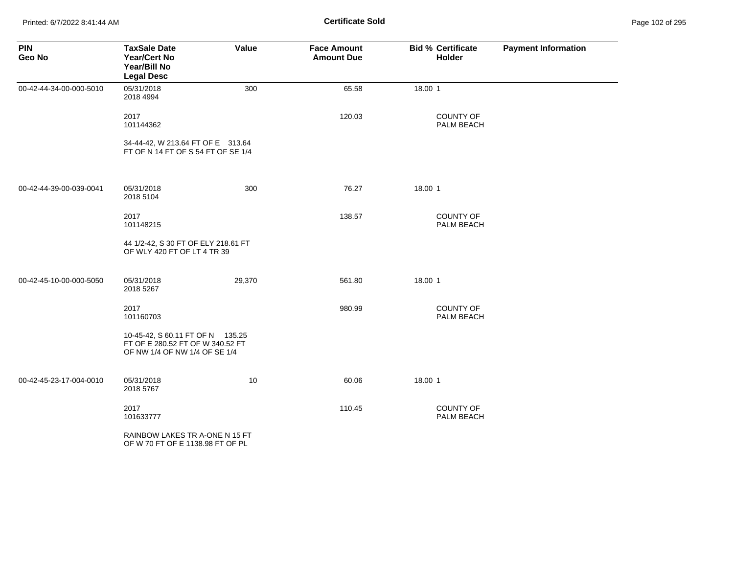Printed: 6/7/2022 8:41:44 AM **Certificate Sold** Page 102 of 295

| <b>PIN</b><br>Geo No    | <b>TaxSale Date</b><br><b>Year/Cert No</b><br>Year/Bill No<br><b>Legal Desc</b>                       | Value  | <b>Face Amount</b><br><b>Amount Due</b> | <b>Bid % Certificate</b><br>Holder | <b>Payment Information</b> |
|-------------------------|-------------------------------------------------------------------------------------------------------|--------|-----------------------------------------|------------------------------------|----------------------------|
| 00-42-44-34-00-000-5010 | 05/31/2018<br>2018 4994                                                                               | 300    | 65.58                                   | 18.00 1                            |                            |
|                         | 2017<br>101144362                                                                                     |        | 120.03                                  | <b>COUNTY OF</b><br>PALM BEACH     |                            |
|                         | 34-44-42, W 213.64 FT OF E 313.64<br>FT OF N 14 FT OF S 54 FT OF SE 1/4                               |        |                                         |                                    |                            |
| 00-42-44-39-00-039-0041 | 05/31/2018<br>2018 5104                                                                               | 300    | 76.27                                   | 18.00 1                            |                            |
|                         | 2017<br>101148215                                                                                     |        | 138.57                                  | <b>COUNTY OF</b><br>PALM BEACH     |                            |
|                         | 44 1/2-42, S 30 FT OF ELY 218.61 FT<br>OF WLY 420 FT OF LT 4 TR 39                                    |        |                                         |                                    |                            |
| 00-42-45-10-00-000-5050 | 05/31/2018<br>2018 5267                                                                               | 29,370 | 561.80                                  | 18.00 1                            |                            |
|                         | 2017<br>101160703                                                                                     |        | 980.99                                  | COUNTY OF<br>PALM BEACH            |                            |
|                         | 10-45-42, S 60.11 FT OF N 135.25<br>FT OF E 280.52 FT OF W 340.52 FT<br>OF NW 1/4 OF NW 1/4 OF SE 1/4 |        |                                         |                                    |                            |
| 00-42-45-23-17-004-0010 | 05/31/2018<br>2018 5767                                                                               | 10     | 60.06                                   | 18.00 1                            |                            |
|                         | 2017<br>101633777                                                                                     |        | 110.45                                  | <b>COUNTY OF</b><br>PALM BEACH     |                            |
|                         | RAINBOW LAKES TR A-ONE N 15 FT<br>OF W 70 FT OF E 1138.98 FT OF PL                                    |        |                                         |                                    |                            |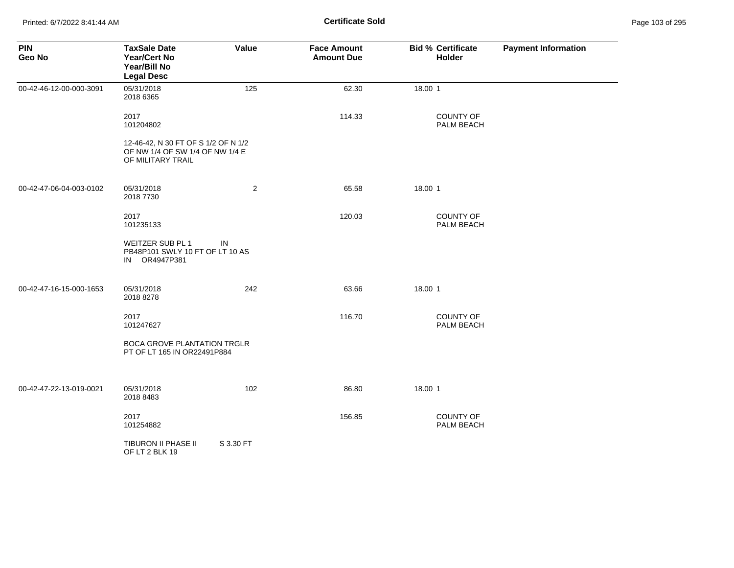| <b>PIN</b><br>Geo No    | <b>TaxSale Date</b><br><b>Year/Cert No</b><br>Year/Bill No<br><b>Legal Desc</b>             | Value          | <b>Face Amount</b><br><b>Amount Due</b> | <b>Bid % Certificate</b><br>Holder | <b>Payment Information</b> |
|-------------------------|---------------------------------------------------------------------------------------------|----------------|-----------------------------------------|------------------------------------|----------------------------|
| 00-42-46-12-00-000-3091 | 05/31/2018<br>2018 6365                                                                     | 125            | 62.30                                   | 18.00 1                            |                            |
|                         | 2017<br>101204802                                                                           |                | 114.33                                  | COUNTY OF<br>PALM BEACH            |                            |
|                         | 12-46-42, N 30 FT OF S 1/2 OF N 1/2<br>OF NW 1/4 OF SW 1/4 OF NW 1/4 E<br>OF MILITARY TRAIL |                |                                         |                                    |                            |
| 00-42-47-06-04-003-0102 | 05/31/2018<br>2018 7730                                                                     | $\overline{2}$ | 65.58                                   | 18.00 1                            |                            |
|                         | 2017<br>101235133                                                                           |                | 120.03                                  | <b>COUNTY OF</b><br>PALM BEACH     |                            |
|                         | WEITZER SUB PL 1<br>PB48P101 SWLY 10 FT OF LT 10 AS<br>IN OR4947P381                        | IN             |                                         |                                    |                            |
| 00-42-47-16-15-000-1653 | 05/31/2018<br>2018 8278                                                                     | 242            | 63.66                                   | 18.00 1                            |                            |
|                         | 2017<br>101247627                                                                           |                | 116.70                                  | COUNTY OF<br>PALM BEACH            |                            |
|                         | <b>BOCA GROVE PLANTATION TRGLR</b><br>PT OF LT 165 IN OR22491P884                           |                |                                         |                                    |                            |
| 00-42-47-22-13-019-0021 | 05/31/2018<br>2018 8483                                                                     | 102            | 86.80                                   | 18.00 1                            |                            |
|                         | 2017<br>101254882                                                                           |                | 156.85                                  | COUNTY OF<br>PALM BEACH            |                            |
|                         | TIBURON II PHASE II<br>OF LT 2 BLK 19                                                       | S 3.30 FT      |                                         |                                    |                            |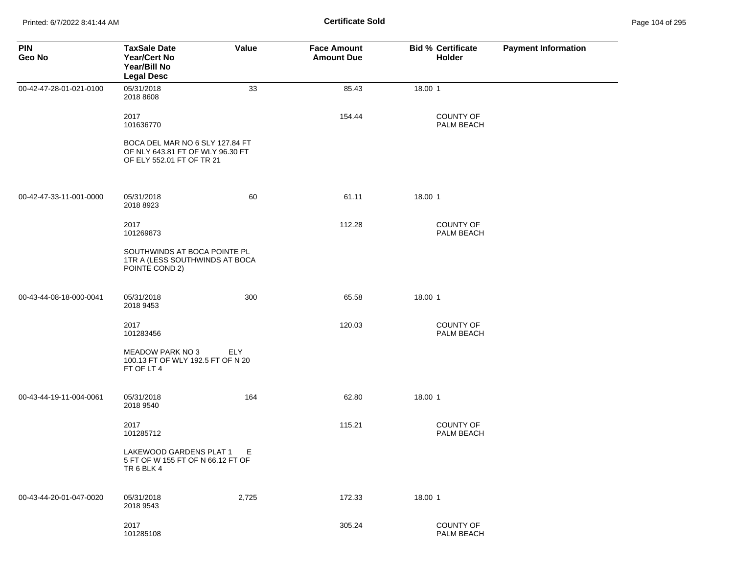| <b>PIN</b><br>Geo No    | <b>TaxSale Date</b><br>Year/Cert No<br>Year/Bill No<br><b>Legal Desc</b>                         | Value      | <b>Face Amount</b><br><b>Amount Due</b> | <b>Bid % Certificate</b><br>Holder | <b>Payment Information</b> |
|-------------------------|--------------------------------------------------------------------------------------------------|------------|-----------------------------------------|------------------------------------|----------------------------|
| 00-42-47-28-01-021-0100 | 05/31/2018<br>2018 8608                                                                          | 33         | 85.43                                   | 18.00 1                            |                            |
|                         | 2017<br>101636770                                                                                |            | 154.44                                  | <b>COUNTY OF</b><br>PALM BEACH     |                            |
|                         | BOCA DEL MAR NO 6 SLY 127.84 FT<br>OF NLY 643.81 FT OF WLY 96.30 FT<br>OF ELY 552.01 FT OF TR 21 |            |                                         |                                    |                            |
| 00-42-47-33-11-001-0000 | 05/31/2018<br>2018 8923                                                                          | 60         | 61.11                                   | 18.00 1                            |                            |
|                         | 2017<br>101269873                                                                                |            | 112.28                                  | <b>COUNTY OF</b><br>PALM BEACH     |                            |
|                         | SOUTHWINDS AT BOCA POINTE PL<br>1TR A (LESS SOUTHWINDS AT BOCA<br>POINTE COND 2)                 |            |                                         |                                    |                            |
| 00-43-44-08-18-000-0041 | 05/31/2018<br>2018 9453                                                                          | 300        | 65.58                                   | 18.00 1                            |                            |
|                         | 2017<br>101283456                                                                                |            | 120.03                                  | <b>COUNTY OF</b><br>PALM BEACH     |                            |
|                         | MEADOW PARK NO 3<br>100.13 FT OF WLY 192.5 FT OF N 20<br>FT OF LT 4                              | <b>ELY</b> |                                         |                                    |                            |
| 00-43-44-19-11-004-0061 | 05/31/2018<br>2018 9540                                                                          | 164        | 62.80                                   | 18.00 1                            |                            |
|                         | 2017<br>101285712                                                                                |            | 115.21                                  | <b>COUNTY OF</b><br>PALM BEACH     |                            |
|                         | LAKEWOOD GARDENS PLAT 1<br>5 FT OF W 155 FT OF N 66.12 FT OF<br>TR 6 BLK 4                       | E.         |                                         |                                    |                            |
| 00-43-44-20-01-047-0020 | 05/31/2018<br>2018 9543                                                                          | 2,725      | 172.33                                  | 18.00 1                            |                            |
|                         | 2017<br>101285108                                                                                |            | 305.24                                  | COUNTY OF<br>PALM BEACH            |                            |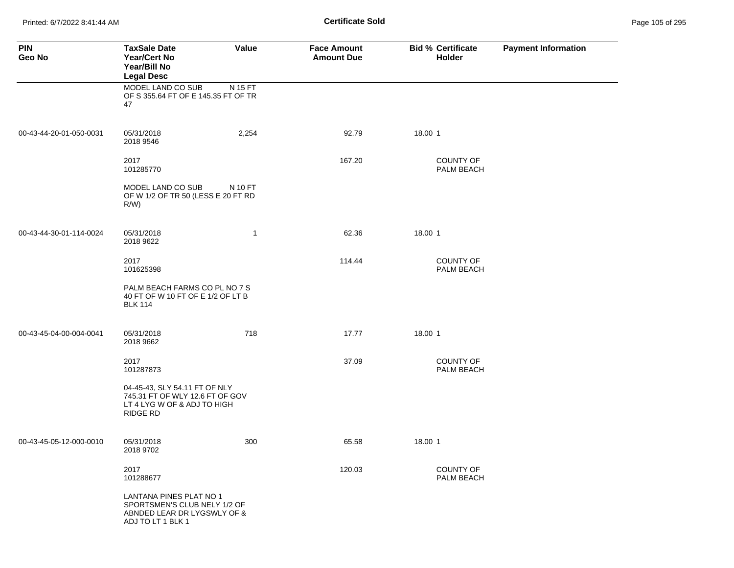Printed: 6/7/2022 8:41:44 AM **Certificate Sold** Page 105 of 295

| <b>PIN</b><br>Geo No    | <b>TaxSale Date</b><br><b>Year/Cert No</b><br>Year/Bill No<br><b>Legal Desc</b>                             | Value        | <b>Face Amount</b><br><b>Amount Due</b> | <b>Bid % Certificate</b><br>Holder | <b>Payment Information</b> |
|-------------------------|-------------------------------------------------------------------------------------------------------------|--------------|-----------------------------------------|------------------------------------|----------------------------|
|                         | MODEL LAND CO SUB<br>OF S 355.64 FT OF E 145.35 FT OF TR<br>47                                              | N 15 FT      |                                         |                                    |                            |
| 00-43-44-20-01-050-0031 | 05/31/2018<br>2018 9546                                                                                     | 2,254        | 92.79                                   | 18.00 1                            |                            |
|                         | 2017<br>101285770                                                                                           |              | 167.20                                  | <b>COUNTY OF</b><br>PALM BEACH     |                            |
|                         | MODEL LAND CO SUB<br>OF W 1/2 OF TR 50 (LESS E 20 FT RD<br>R/W                                              | N 10 FT      |                                         |                                    |                            |
| 00-43-44-30-01-114-0024 | 05/31/2018<br>2018 9622                                                                                     | $\mathbf{1}$ | 62.36                                   | 18.00 1                            |                            |
|                         | 2017<br>101625398                                                                                           |              | 114.44                                  | <b>COUNTY OF</b><br>PALM BEACH     |                            |
|                         | PALM BEACH FARMS CO PL NO 7 S<br>40 FT OF W 10 FT OF E 1/2 OF LT B<br><b>BLK 114</b>                        |              |                                         |                                    |                            |
| 00-43-45-04-00-004-0041 | 05/31/2018<br>2018 9662                                                                                     | 718          | 17.77                                   | 18.00 1                            |                            |
|                         | 2017<br>101287873                                                                                           |              | 37.09                                   | <b>COUNTY OF</b><br>PALM BEACH     |                            |
|                         | 04-45-43, SLY 54.11 FT OF NLY<br>745.31 FT OF WLY 12.6 FT OF GOV<br>LT 4 LYG W OF & ADJ TO HIGH<br>RIDGE RD |              |                                         |                                    |                            |
| 00-43-45-05-12-000-0010 | 05/31/2018<br>2018 9702                                                                                     | 300          | 65.58                                   | 18.00 1                            |                            |
|                         | 2017<br>101288677                                                                                           |              | 120.03                                  | <b>COUNTY OF</b><br>PALM BEACH     |                            |
|                         | LANTANA PINES PLAT NO 1<br>SPORTSMEN'S CLUB NELY 1/2 OF<br>ABNDED LEAR DR LYGSWLY OF &<br>ADJ TO LT 1 BLK 1 |              |                                         |                                    |                            |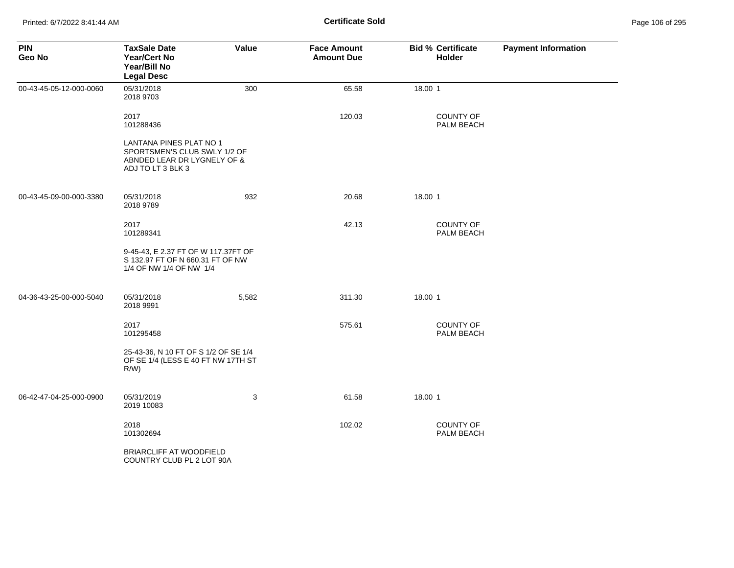| <b>PIN</b><br>Geo No    | <b>TaxSale Date</b><br><b>Year/Cert No</b><br>Year/Bill No<br><b>Legal Desc</b>                             | Value | <b>Face Amount</b><br><b>Amount Due</b> | <b>Bid % Certificate</b><br>Holder | <b>Payment Information</b> |
|-------------------------|-------------------------------------------------------------------------------------------------------------|-------|-----------------------------------------|------------------------------------|----------------------------|
| 00-43-45-05-12-000-0060 | 05/31/2018<br>2018 9703                                                                                     | 300   | 65.58                                   | 18.00 1                            |                            |
|                         | 2017<br>101288436                                                                                           |       | 120.03                                  | <b>COUNTY OF</b><br>PALM BEACH     |                            |
|                         | LANTANA PINES PLAT NO 1<br>SPORTSMEN'S CLUB SWLY 1/2 OF<br>ABNDED LEAR DR LYGNELY OF &<br>ADJ TO LT 3 BLK 3 |       |                                         |                                    |                            |
| 00-43-45-09-00-000-3380 | 05/31/2018<br>2018 9789                                                                                     | 932   | 20.68                                   | 18.00 1                            |                            |
|                         | 2017<br>101289341                                                                                           |       | 42.13                                   | COUNTY OF<br>PALM BEACH            |                            |
|                         | 9-45-43, E 2.37 FT OF W 117.37FT OF<br>S 132.97 FT OF N 660.31 FT OF NW<br>1/4 OF NW 1/4 OF NW 1/4          |       |                                         |                                    |                            |
| 04-36-43-25-00-000-5040 | 05/31/2018<br>2018 9991                                                                                     | 5,582 | 311.30                                  | 18.00 1                            |                            |
|                         | 2017<br>101295458                                                                                           |       | 575.61                                  | <b>COUNTY OF</b><br>PALM BEACH     |                            |
|                         | 25-43-36, N 10 FT OF S 1/2 OF SE 1/4<br>OF SE 1/4 (LESS E 40 FT NW 17TH ST<br>$R/W$ )                       |       |                                         |                                    |                            |
| 06-42-47-04-25-000-0900 | 05/31/2019<br>2019 10083                                                                                    | 3     | 61.58                                   | 18.00 1                            |                            |
|                         | 2018<br>101302694                                                                                           |       | 102.02                                  | <b>COUNTY OF</b><br>PALM BEACH     |                            |
|                         | BRIARCLIFF AT WOODFIELD<br>COUNTRY CLUB PL 2 LOT 90A                                                        |       |                                         |                                    |                            |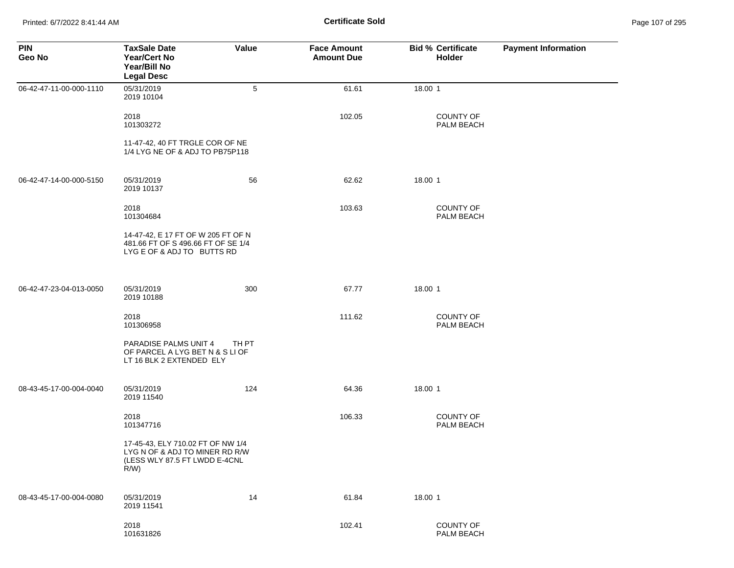Printed: 6/7/2022 8:41:44 AM **Certificate Sold** Page 107 of 295

| <b>PIN</b><br>Geo No    | <b>TaxSale Date</b><br><b>Year/Cert No</b><br>Year/Bill No<br><b>Legal Desc</b>                                 | Value | <b>Face Amount</b><br><b>Amount Due</b> | <b>Bid % Certificate</b><br>Holder | <b>Payment Information</b> |
|-------------------------|-----------------------------------------------------------------------------------------------------------------|-------|-----------------------------------------|------------------------------------|----------------------------|
| 06-42-47-11-00-000-1110 | 05/31/2019<br>2019 10104                                                                                        | 5     | 61.61                                   | 18.00 1                            |                            |
|                         | 2018<br>101303272                                                                                               |       | 102.05                                  | <b>COUNTY OF</b><br>PALM BEACH     |                            |
|                         | 11-47-42, 40 FT TRGLE COR OF NE<br>1/4 LYG NE OF & ADJ TO PB75P118                                              |       |                                         |                                    |                            |
| 06-42-47-14-00-000-5150 | 05/31/2019<br>2019 10137                                                                                        | 56    | 62.62                                   | 18.00 1                            |                            |
|                         | 2018<br>101304684                                                                                               |       | 103.63                                  | COUNTY OF<br>PALM BEACH            |                            |
|                         | 14-47-42, E 17 FT OF W 205 FT OF N<br>481.66 FT OF S 496.66 FT OF SE 1/4<br>LYG E OF & ADJ TO BUTTS RD          |       |                                         |                                    |                            |
| 06-42-47-23-04-013-0050 | 05/31/2019<br>2019 10188                                                                                        | 300   | 67.77                                   | 18.00 1                            |                            |
|                         | 2018<br>101306958                                                                                               |       | 111.62                                  | <b>COUNTY OF</b><br>PALM BEACH     |                            |
|                         | PARADISE PALMS UNIT 4<br>OF PARCEL A LYG BET N & S LI OF<br>LT 16 BLK 2 EXTENDED ELY                            | TH PT |                                         |                                    |                            |
| 08-43-45-17-00-004-0040 | 05/31/2019<br>2019 11540                                                                                        | 124   | 64.36                                   | 18.00 1                            |                            |
|                         | 2018<br>101347716                                                                                               |       | 106.33                                  | COUNTY OF<br>PALM BEACH            |                            |
|                         | 17-45-43, ELY 710.02 FT OF NW 1/4<br>LYG N OF & ADJ TO MINER RD R/W<br>(LESS WLY 87.5 FT LWDD E-4CNL<br>$R/W$ ) |       |                                         |                                    |                            |
| 08-43-45-17-00-004-0080 | 05/31/2019<br>2019 11541                                                                                        | 14    | 61.84                                   | 18.00 1                            |                            |
|                         | 2018<br>101631826                                                                                               |       | 102.41                                  | COUNTY OF<br>PALM BEACH            |                            |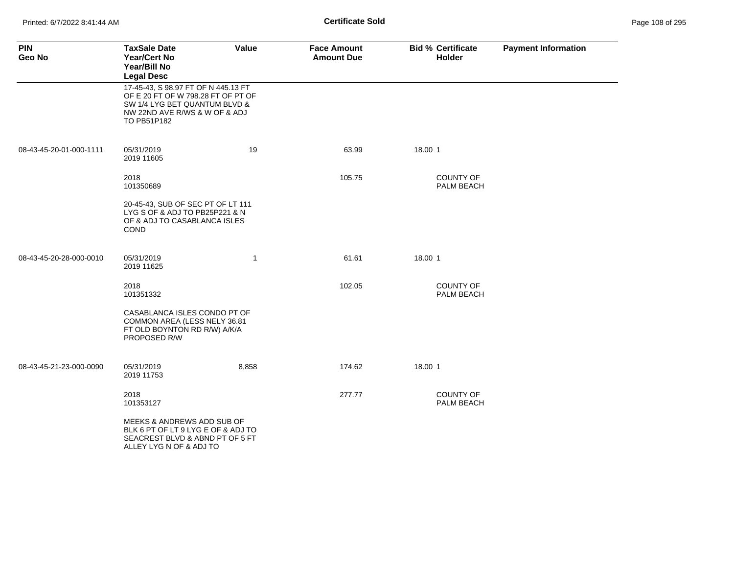| <b>PIN</b><br>Geo No    | <b>TaxSale Date</b><br><b>Year/Cert No</b><br>Year/Bill No<br><b>Legal Desc</b>                                                                            | Value        | <b>Face Amount</b><br><b>Amount Due</b> | <b>Bid % Certificate</b><br><b>Holder</b> | <b>Payment Information</b> |
|-------------------------|------------------------------------------------------------------------------------------------------------------------------------------------------------|--------------|-----------------------------------------|-------------------------------------------|----------------------------|
|                         | 17-45-43, S 98.97 FT OF N 445.13 FT<br>OF E 20 FT OF W 798.28 FT OF PT OF<br>SW 1/4 LYG BET QUANTUM BLVD &<br>NW 22ND AVE R/WS & W OF & ADJ<br>TO PB51P182 |              |                                         |                                           |                            |
| 08-43-45-20-01-000-1111 | 05/31/2019<br>2019 11605                                                                                                                                   | 19           | 63.99                                   | 18.00 1                                   |                            |
|                         | 2018<br>101350689                                                                                                                                          |              | 105.75                                  | <b>COUNTY OF</b><br>PALM BEACH            |                            |
|                         | 20-45-43, SUB OF SEC PT OF LT 111<br>LYG S OF & ADJ TO PB25P221 & N<br>OF & ADJ TO CASABLANCA ISLES<br>COND                                                |              |                                         |                                           |                            |
| 08-43-45-20-28-000-0010 | 05/31/2019<br>2019 11625                                                                                                                                   | $\mathbf{1}$ | 61.61                                   | 18.00 1                                   |                            |
|                         | 2018<br>101351332                                                                                                                                          |              | 102.05                                  | <b>COUNTY OF</b><br>PALM BEACH            |                            |
|                         | CASABLANCA ISLES CONDO PT OF<br>COMMON AREA (LESS NELY 36.81<br>FT OLD BOYNTON RD R/W) A/K/A<br>PROPOSED R/W                                               |              |                                         |                                           |                            |
| 08-43-45-21-23-000-0090 | 05/31/2019<br>2019 11753                                                                                                                                   | 8,858        | 174.62                                  | 18.00 1                                   |                            |
|                         | 2018<br>101353127                                                                                                                                          |              | 277.77                                  | <b>COUNTY OF</b><br>PALM BEACH            |                            |
|                         | MEEKS & ANDREWS ADD SUB OF<br>BLK 6 PT OF LT 9 LYG E OF & ADJ TO<br>SEACREST BLVD & ABND PT OF 5 FT<br>ALLEY LYG N OF & ADJ TO                             |              |                                         |                                           |                            |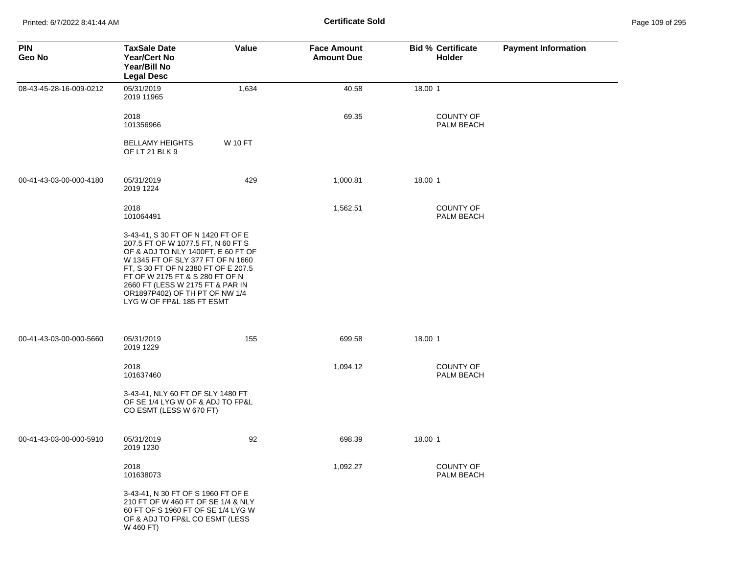Printed: 6/7/2022 8:41:44 AM **Certificate Sold** Page 109 of 295

| <b>PIN</b><br>Geo No    | <b>TaxSale Date</b><br><b>Year/Cert No</b><br>Year/Bill No<br><b>Legal Desc</b>                                                                                                                                                                                                                                                  | Value          | <b>Face Amount</b><br><b>Amount Due</b> | <b>Bid % Certificate</b><br>Holder | <b>Payment Information</b> |
|-------------------------|----------------------------------------------------------------------------------------------------------------------------------------------------------------------------------------------------------------------------------------------------------------------------------------------------------------------------------|----------------|-----------------------------------------|------------------------------------|----------------------------|
| 08-43-45-28-16-009-0212 | 05/31/2019<br>2019 11965                                                                                                                                                                                                                                                                                                         | 1,634          | 40.58                                   | 18.00 1                            |                            |
|                         | 2018<br>101356966                                                                                                                                                                                                                                                                                                                |                | 69.35                                   | <b>COUNTY OF</b><br>PALM BEACH     |                            |
|                         | <b>BELLAMY HEIGHTS</b><br>OF LT 21 BLK 9                                                                                                                                                                                                                                                                                         | <b>W 10 FT</b> |                                         |                                    |                            |
| 00-41-43-03-00-000-4180 | 05/31/2019<br>2019 1224                                                                                                                                                                                                                                                                                                          | 429            | 1,000.81                                | 18.00 1                            |                            |
|                         | 2018<br>101064491                                                                                                                                                                                                                                                                                                                |                | 1,562.51                                | <b>COUNTY OF</b><br>PALM BEACH     |                            |
|                         | 3-43-41, S 30 FT OF N 1420 FT OF E<br>207.5 FT OF W 1077.5 FT, N 60 FT S<br>OF & ADJ TO NLY 1400FT, E 60 FT OF<br>W 1345 FT OF SLY 377 FT OF N 1660<br>FT, S 30 FT OF N 2380 FT OF E 207.5<br>FT OF W 2175 FT & S 280 FT OF N<br>2660 FT (LESS W 2175 FT & PAR IN<br>OR1897P402) OF TH PT OF NW 1/4<br>LYG W OF FP&L 185 FT ESMT |                |                                         |                                    |                            |
| 00-41-43-03-00-000-5660 | 05/31/2019<br>2019 1229                                                                                                                                                                                                                                                                                                          | 155            | 699.58                                  | 18.00 1                            |                            |
|                         | 2018<br>101637460                                                                                                                                                                                                                                                                                                                |                | 1,094.12                                | <b>COUNTY OF</b><br>PALM BEACH     |                            |
|                         | 3-43-41, NLY 60 FT OF SLY 1480 FT<br>OF SE 1/4 LYG W OF & ADJ TO FP&L<br>CO ESMT (LESS W 670 FT)                                                                                                                                                                                                                                 |                |                                         |                                    |                            |
| 00-41-43-03-00-000-5910 | 05/31/2019<br>2019 1230                                                                                                                                                                                                                                                                                                          | 92             | 698.39                                  | 18.00 1                            |                            |
|                         | 2018<br>101638073                                                                                                                                                                                                                                                                                                                |                | 1,092.27                                | <b>COUNTY OF</b><br>PALM BEACH     |                            |
|                         | 3-43-41, N 30 FT OF S 1960 FT OF E<br>210 FT OF W 460 FT OF SE 1/4 & NLY<br>60 FT OF S 1960 FT OF SE 1/4 LYG W<br>OF & ADJ TO FP&L CO ESMT (LESS<br>W 460 FT)                                                                                                                                                                    |                |                                         |                                    |                            |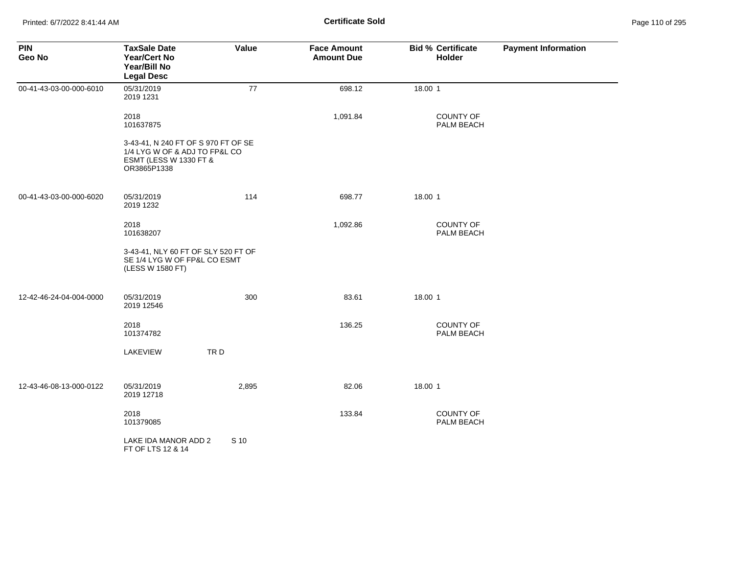| <b>PIN</b><br>Geo No    | <b>TaxSale Date</b><br><b>Year/Cert No</b><br>Year/Bill No<br><b>Legal Desc</b>                                          | Value | <b>Face Amount</b><br><b>Amount Due</b> | <b>Bid % Certificate</b><br>Holder | <b>Payment Information</b> |
|-------------------------|--------------------------------------------------------------------------------------------------------------------------|-------|-----------------------------------------|------------------------------------|----------------------------|
| 00-41-43-03-00-000-6010 | 05/31/2019<br>2019 1231                                                                                                  | 77    | 698.12                                  | 18.00 1                            |                            |
|                         | 2018<br>101637875                                                                                                        |       | 1,091.84                                | <b>COUNTY OF</b><br>PALM BEACH     |                            |
|                         | 3-43-41, N 240 FT OF S 970 FT OF SE<br>1/4 LYG W OF & ADJ TO FP&L CO<br><b>ESMT (LESS W 1330 FT &amp;</b><br>OR3865P1338 |       |                                         |                                    |                            |
| 00-41-43-03-00-000-6020 | 05/31/2019<br>2019 1232                                                                                                  | 114   | 698.77                                  | 18.00 1                            |                            |
|                         | 2018<br>101638207                                                                                                        |       | 1,092.86                                | <b>COUNTY OF</b><br>PALM BEACH     |                            |
|                         | 3-43-41, NLY 60 FT OF SLY 520 FT OF<br>SE 1/4 LYG W OF FP&L CO ESMT<br>(LESS W 1580 FT)                                  |       |                                         |                                    |                            |
| 12-42-46-24-04-004-0000 | 05/31/2019<br>2019 12546                                                                                                 | 300   | 83.61                                   | 18.00 1                            |                            |
|                         | 2018<br>101374782                                                                                                        |       | 136.25                                  | <b>COUNTY OF</b><br>PALM BEACH     |                            |
|                         | LAKEVIEW                                                                                                                 | TRD   |                                         |                                    |                            |
| 12-43-46-08-13-000-0122 | 05/31/2019<br>2019 12718                                                                                                 | 2,895 | 82.06                                   | 18.00 1                            |                            |
|                         | 2018<br>101379085                                                                                                        |       | 133.84                                  | <b>COUNTY OF</b><br>PALM BEACH     |                            |
|                         | LAKE IDA MANOR ADD 2<br>FT OF LTS 12 & 14                                                                                | S 10  |                                         |                                    |                            |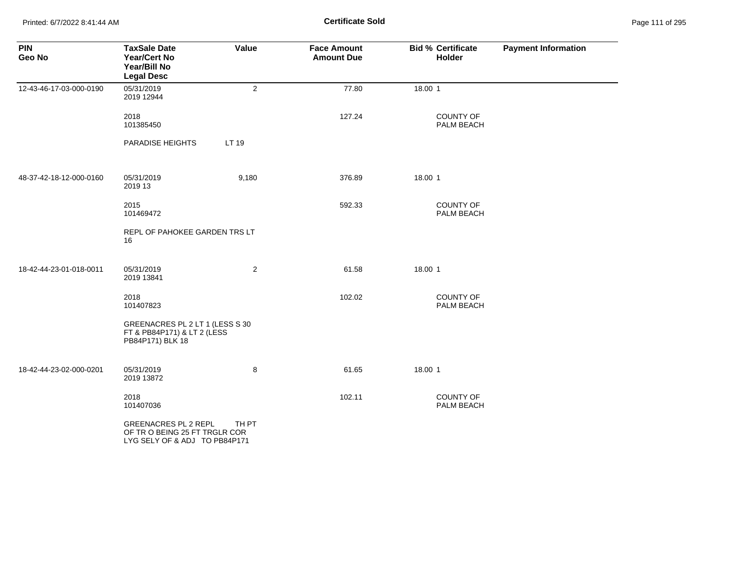Printed: 6/7/2022 8:41:44 AM **Page 111 of 295 Certificate Sold Certificate Sold** 

| <b>PIN</b><br>Geo No    | <b>TaxSale Date</b><br><b>Year/Cert No</b><br>Year/Bill No<br><b>Legal Desc</b>              | Value          | <b>Face Amount</b><br><b>Amount Due</b> | <b>Bid % Certificate</b><br>Holder | <b>Payment Information</b> |
|-------------------------|----------------------------------------------------------------------------------------------|----------------|-----------------------------------------|------------------------------------|----------------------------|
| 12-43-46-17-03-000-0190 | 05/31/2019<br>2019 12944                                                                     | $\overline{2}$ | 77.80                                   | 18.00 1                            |                            |
|                         | 2018<br>101385450                                                                            |                | 127.24                                  | <b>COUNTY OF</b><br>PALM BEACH     |                            |
|                         | <b>PARADISE HEIGHTS</b>                                                                      | LT 19          |                                         |                                    |                            |
| 48-37-42-18-12-000-0160 | 05/31/2019<br>2019 13                                                                        | 9,180          | 376.89                                  | 18.00 1                            |                            |
|                         | 2015<br>101469472                                                                            |                | 592.33                                  | <b>COUNTY OF</b><br>PALM BEACH     |                            |
|                         | REPL OF PAHOKEE GARDEN TRS LT<br>16                                                          |                |                                         |                                    |                            |
| 18-42-44-23-01-018-0011 | 05/31/2019<br>2019 13841                                                                     | $\overline{2}$ | 61.58                                   | 18.00 1                            |                            |
|                         | 2018<br>101407823                                                                            |                | 102.02                                  | <b>COUNTY OF</b><br>PALM BEACH     |                            |
|                         | GREENACRES PL 2 LT 1 (LESS S 30<br>FT & PB84P171) & LT 2 (LESS<br>PB84P171) BLK 18           |                |                                         |                                    |                            |
| 18-42-44-23-02-000-0201 | 05/31/2019<br>2019 13872                                                                     | 8              | 61.65                                   | 18.00 1                            |                            |
|                         | 2018<br>101407036                                                                            |                | 102.11                                  | COUNTY OF<br>PALM BEACH            |                            |
|                         | <b>GREENACRES PL 2 REPL</b><br>OF TRO BEING 25 FT TRGLR COR<br>LYG SELY OF & ADJ TO PB84P171 | TH PT          |                                         |                                    |                            |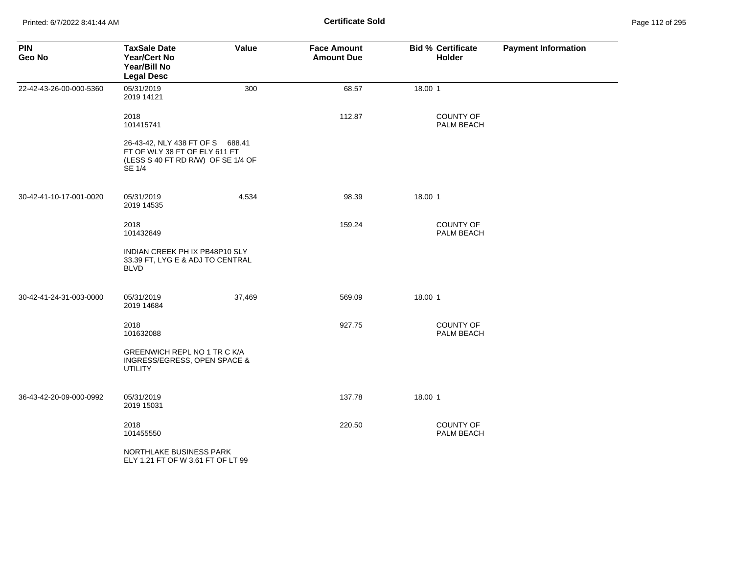| <b>PIN</b><br>Geo No    | <b>TaxSale Date</b><br><b>Year/Cert No</b><br>Year/Bill No<br><b>Legal Desc</b>                                   | Value  | <b>Face Amount</b><br><b>Amount Due</b> | <b>Bid % Certificate</b><br><b>Holder</b> | <b>Payment Information</b> |
|-------------------------|-------------------------------------------------------------------------------------------------------------------|--------|-----------------------------------------|-------------------------------------------|----------------------------|
| 22-42-43-26-00-000-5360 | 05/31/2019<br>2019 14121                                                                                          | 300    | 68.57                                   | 18.00 1                                   |                            |
|                         | 2018<br>101415741                                                                                                 |        | 112.87                                  | <b>COUNTY OF</b><br>PALM BEACH            |                            |
|                         | 26-43-42, NLY 438 FT OF S 688.41<br>FT OF WLY 38 FT OF ELY 611 FT<br>(LESS S 40 FT RD R/W) OF SE 1/4 OF<br>SE 1/4 |        |                                         |                                           |                            |
| 30-42-41-10-17-001-0020 | 05/31/2019<br>2019 14535                                                                                          | 4,534  | 98.39                                   | 18.00 1                                   |                            |
|                         | 2018<br>101432849                                                                                                 |        | 159.24                                  | <b>COUNTY OF</b><br>PALM BEACH            |                            |
|                         | INDIAN CREEK PH IX PB48P10 SLY<br>33.39 FT, LYG E & ADJ TO CENTRAL<br><b>BLVD</b>                                 |        |                                         |                                           |                            |
| 30-42-41-24-31-003-0000 | 05/31/2019<br>2019 14684                                                                                          | 37,469 | 569.09                                  | 18.00 1                                   |                            |
|                         | 2018<br>101632088                                                                                                 |        | 927.75                                  | COUNTY OF<br>PALM BEACH                   |                            |
|                         | GREENWICH REPL NO 1 TR C K/A<br>INGRESS/EGRESS, OPEN SPACE &<br><b>UTILITY</b>                                    |        |                                         |                                           |                            |
| 36-43-42-20-09-000-0992 | 05/31/2019<br>2019 15031                                                                                          |        | 137.78                                  | 18.00 1                                   |                            |
|                         | 2018<br>101455550                                                                                                 |        | 220.50                                  | <b>COUNTY OF</b><br>PALM BEACH            |                            |
|                         | NORTHLAKE BUSINESS PARK<br>ELY 1.21 FT OF W 3.61 FT OF LT 99                                                      |        |                                         |                                           |                            |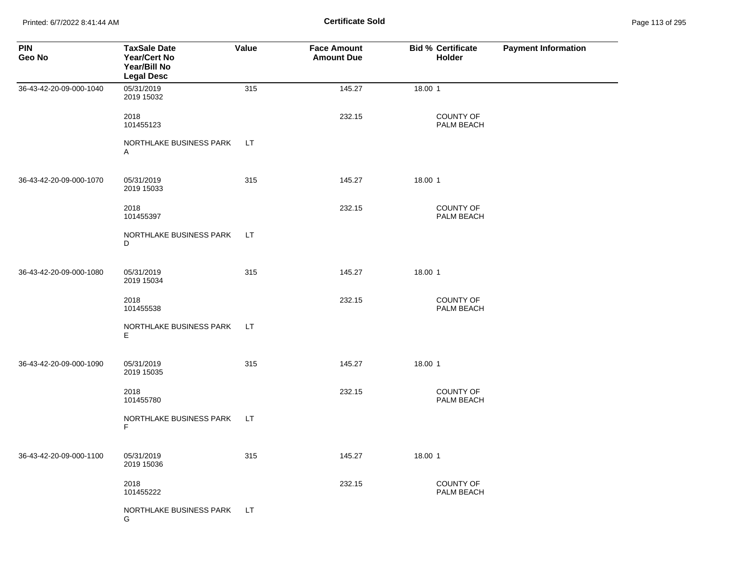Printed: 6/7/2022 8:41:44 AM **Page 113 of 295 Certificate Sold Certificate Sold** 

| <b>PIN</b><br>Geo No    | <b>TaxSale Date</b><br><b>Year/Cert No</b><br>Year/Bill No<br><b>Legal Desc</b> | Value | <b>Face Amount</b><br><b>Amount Due</b> | <b>Bid % Certificate</b><br><b>Holder</b> | <b>Payment Information</b> |
|-------------------------|---------------------------------------------------------------------------------|-------|-----------------------------------------|-------------------------------------------|----------------------------|
| 36-43-42-20-09-000-1040 | 05/31/2019<br>2019 15032                                                        | 315   | 145.27                                  | 18.00 1                                   |                            |
|                         | 2018<br>101455123                                                               |       | 232.15                                  | <b>COUNTY OF</b><br>PALM BEACH            |                            |
|                         | NORTHLAKE BUSINESS PARK<br>A                                                    | LT.   |                                         |                                           |                            |
| 36-43-42-20-09-000-1070 | 05/31/2019<br>2019 15033                                                        | 315   | 145.27                                  | 18.00 1                                   |                            |
|                         | 2018<br>101455397                                                               |       | 232.15                                  | <b>COUNTY OF</b><br>PALM BEACH            |                            |
|                         | NORTHLAKE BUSINESS PARK<br>D                                                    | LT.   |                                         |                                           |                            |
| 36-43-42-20-09-000-1080 | 05/31/2019<br>2019 15034                                                        | 315   | 145.27                                  | 18.00 1                                   |                            |
|                         | 2018<br>101455538                                                               |       | 232.15                                  | COUNTY OF<br>PALM BEACH                   |                            |
|                         | NORTHLAKE BUSINESS PARK<br>Е                                                    | LT    |                                         |                                           |                            |
| 36-43-42-20-09-000-1090 | 05/31/2019<br>2019 15035                                                        | 315   | 145.27                                  | 18.00 1                                   |                            |
|                         | 2018<br>101455780                                                               |       | 232.15                                  | COUNTY OF<br>PALM BEACH                   |                            |
|                         | NORTHLAKE BUSINESS PARK<br>F                                                    | LT.   |                                         |                                           |                            |
| 36-43-42-20-09-000-1100 | 05/31/2019<br>2019 15036                                                        | 315   | 145.27                                  | 18.00 1                                   |                            |
|                         | 2018<br>101455222                                                               |       | 232.15                                  | COUNTY OF<br>PALM BEACH                   |                            |
|                         | NORTHLAKE BUSINESS PARK<br>G                                                    | LT.   |                                         |                                           |                            |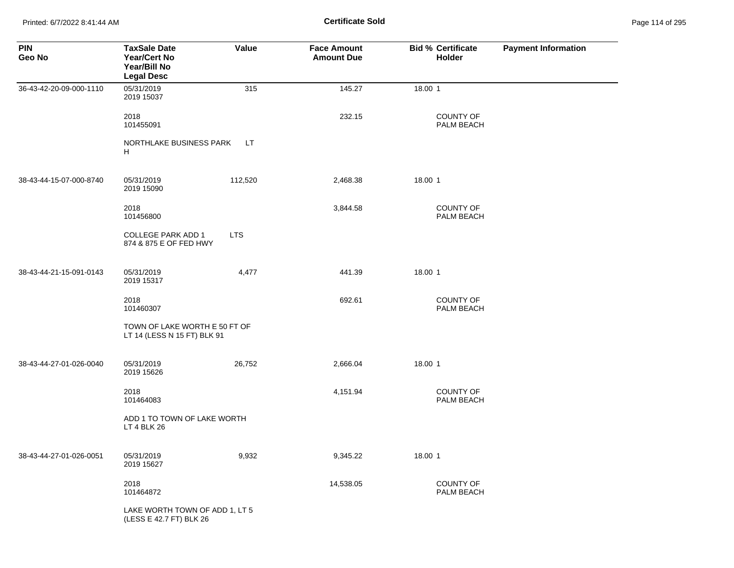Printed: 6/7/2022 8:41:44 AM **Certificate Sold** Page 114 of 295

| <b>PIN</b><br>Geo No    | <b>TaxSale Date</b><br><b>Year/Cert No</b><br>Year/Bill No<br><b>Legal Desc</b> | Value      | <b>Face Amount</b><br><b>Amount Due</b> | <b>Bid % Certificate</b><br><b>Holder</b> | <b>Payment Information</b> |
|-------------------------|---------------------------------------------------------------------------------|------------|-----------------------------------------|-------------------------------------------|----------------------------|
| 36-43-42-20-09-000-1110 | 05/31/2019<br>2019 15037                                                        | 315        | 145.27                                  | 18.00 1                                   |                            |
|                         | 2018<br>101455091                                                               |            | 232.15                                  | <b>COUNTY OF</b><br>PALM BEACH            |                            |
|                         | NORTHLAKE BUSINESS PARK<br>H                                                    | LT.        |                                         |                                           |                            |
| 38-43-44-15-07-000-8740 | 05/31/2019<br>2019 15090                                                        | 112,520    | 2,468.38                                | 18.00 1                                   |                            |
|                         | 2018<br>101456800                                                               |            | 3,844.58                                | <b>COUNTY OF</b><br>PALM BEACH            |                            |
|                         | <b>COLLEGE PARK ADD 1</b><br>874 & 875 E OF FED HWY                             | <b>LTS</b> |                                         |                                           |                            |
| 38-43-44-21-15-091-0143 | 05/31/2019<br>2019 15317                                                        | 4,477      | 441.39                                  | 18.00 1                                   |                            |
|                         | 2018<br>101460307                                                               |            | 692.61                                  | <b>COUNTY OF</b><br>PALM BEACH            |                            |
|                         | TOWN OF LAKE WORTH E 50 FT OF<br>LT 14 (LESS N 15 FT) BLK 91                    |            |                                         |                                           |                            |
| 38-43-44-27-01-026-0040 | 05/31/2019<br>2019 15626                                                        | 26,752     | 2,666.04                                | 18.00 1                                   |                            |
|                         | 2018<br>101464083                                                               |            | 4,151.94                                | <b>COUNTY OF</b><br>PALM BEACH            |                            |
|                         | ADD 1 TO TOWN OF LAKE WORTH<br>LT 4 BLK 26                                      |            |                                         |                                           |                            |
| 38-43-44-27-01-026-0051 | 05/31/2019<br>2019 15627                                                        | 9,932      | 9,345.22                                | 18.00 1                                   |                            |
|                         | 2018<br>101464872                                                               |            | 14,538.05                               | COUNTY OF<br>PALM BEACH                   |                            |
|                         | LAKE WORTH TOWN OF ADD 1, LT 5<br>(LESS E 42.7 FT) BLK 26                       |            |                                         |                                           |                            |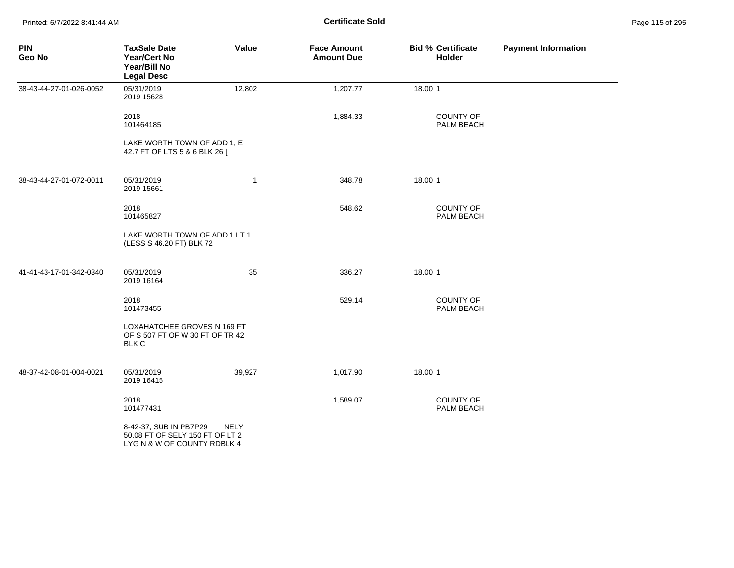Printed: 6/7/2022 8:41:44 AM **Certificate Sold** Page 115 of 295

| <b>PIN</b><br>Geo No    | <b>TaxSale Date</b><br><b>Year/Cert No</b><br>Year/Bill No<br><b>Legal Desc</b>          | Value       | <b>Face Amount</b><br><b>Amount Due</b> | <b>Bid % Certificate</b><br><b>Holder</b> | <b>Payment Information</b> |
|-------------------------|------------------------------------------------------------------------------------------|-------------|-----------------------------------------|-------------------------------------------|----------------------------|
| 38-43-44-27-01-026-0052 | 05/31/2019<br>2019 15628                                                                 | 12,802      | 1,207.77                                | 18.00 1                                   |                            |
|                         | 2018<br>101464185                                                                        |             | 1,884.33                                | <b>COUNTY OF</b><br>PALM BEACH            |                            |
|                         | LAKE WORTH TOWN OF ADD 1, E<br>42.7 FT OF LTS 5 & 6 BLK 26 [                             |             |                                         |                                           |                            |
| 38-43-44-27-01-072-0011 | 05/31/2019<br>2019 15661                                                                 | $\mathbf 1$ | 348.78                                  | 18.00 1                                   |                            |
|                         | 2018<br>101465827                                                                        |             | 548.62                                  | <b>COUNTY OF</b><br>PALM BEACH            |                            |
|                         | LAKE WORTH TOWN OF ADD 1 LT 1<br>(LESS S 46.20 FT) BLK 72                                |             |                                         |                                           |                            |
| 41-41-43-17-01-342-0340 | 05/31/2019<br>2019 16164                                                                 | 35          | 336.27                                  | 18.00 1                                   |                            |
|                         | 2018<br>101473455                                                                        |             | 529.14                                  | <b>COUNTY OF</b><br>PALM BEACH            |                            |
|                         | LOXAHATCHEE GROVES N 169 FT<br>OF S 507 FT OF W 30 FT OF TR 42<br><b>BLK C</b>           |             |                                         |                                           |                            |
| 48-37-42-08-01-004-0021 | 05/31/2019<br>2019 16415                                                                 | 39,927      | 1,017.90                                | 18.00 1                                   |                            |
|                         | 2018<br>101477431                                                                        |             | 1,589.07                                | <b>COUNTY OF</b><br>PALM BEACH            |                            |
|                         | 8-42-37, SUB IN PB7P29<br>50.08 FT OF SELY 150 FT OF LT 2<br>LYG N & W OF COUNTY RDBLK 4 | <b>NELY</b> |                                         |                                           |                            |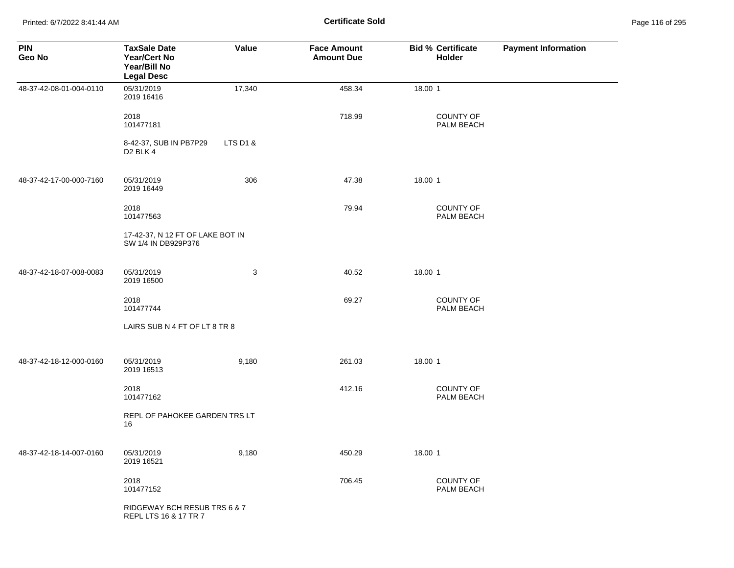Printed: 6/7/2022 8:41:44 AM **Certificate Sold** Page 116 of 295

| <b>PIN</b><br>Geo No    | <b>TaxSale Date</b><br><b>Year/Cert No</b><br>Year/Bill No<br><b>Legal Desc</b> | Value    | <b>Face Amount</b><br><b>Amount Due</b> | <b>Bid % Certificate</b><br><b>Holder</b> | <b>Payment Information</b> |
|-------------------------|---------------------------------------------------------------------------------|----------|-----------------------------------------|-------------------------------------------|----------------------------|
| 48-37-42-08-01-004-0110 | 05/31/2019<br>2019 16416                                                        | 17,340   | 458.34                                  | 18.00 1                                   |                            |
|                         | 2018<br>101477181                                                               |          | 718.99                                  | COUNTY OF<br>PALM BEACH                   |                            |
|                         | 8-42-37, SUB IN PB7P29<br>D <sub>2</sub> BLK 4                                  | LTS D1 & |                                         |                                           |                            |
| 48-37-42-17-00-000-7160 | 05/31/2019<br>2019 16449                                                        | 306      | 47.38                                   | 18.00 1                                   |                            |
|                         | 2018<br>101477563                                                               |          | 79.94                                   | COUNTY OF<br>PALM BEACH                   |                            |
|                         | 17-42-37, N 12 FT OF LAKE BOT IN<br>SW 1/4 IN DB929P376                         |          |                                         |                                           |                            |
| 48-37-42-18-07-008-0083 | 05/31/2019<br>2019 16500                                                        | 3        | 40.52                                   | 18.00 1                                   |                            |
|                         | 2018<br>101477744                                                               |          | 69.27                                   | COUNTY OF<br>PALM BEACH                   |                            |
|                         | LAIRS SUB N 4 FT OF LT 8 TR 8                                                   |          |                                         |                                           |                            |
| 48-37-42-18-12-000-0160 | 05/31/2019<br>2019 16513                                                        | 9,180    | 261.03                                  | 18.00 1                                   |                            |
|                         | 2018<br>101477162                                                               |          | 412.16                                  | COUNTY OF<br>PALM BEACH                   |                            |
|                         | REPL OF PAHOKEE GARDEN TRS LT<br>16                                             |          |                                         |                                           |                            |
| 48-37-42-18-14-007-0160 | 05/31/2019<br>2019 16521                                                        | 9,180    | 450.29                                  | 18.00 1                                   |                            |
|                         | 2018<br>101477152                                                               |          | 706.45                                  | COUNTY OF<br>PALM BEACH                   |                            |
|                         | RIDGEWAY BCH RESUB TRS 6 & 7<br>REPL LTS 16 & 17 TR 7                           |          |                                         |                                           |                            |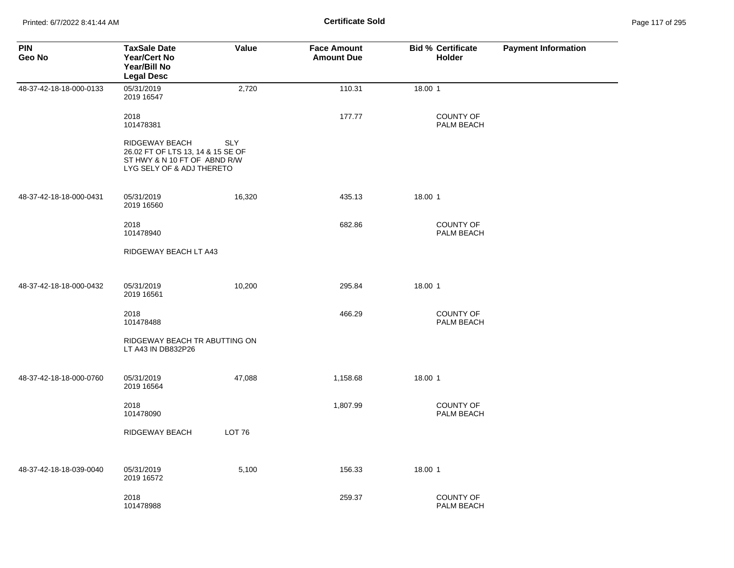| <b>PIN</b><br>Geo No    | <b>TaxSale Date</b><br><b>Year/Cert No</b><br>Year/Bill No<br><b>Legal Desc</b>                                  | Value         | <b>Face Amount</b><br><b>Amount Due</b> | <b>Bid % Certificate</b><br><b>Holder</b> | <b>Payment Information</b> |
|-------------------------|------------------------------------------------------------------------------------------------------------------|---------------|-----------------------------------------|-------------------------------------------|----------------------------|
| 48-37-42-18-18-000-0133 | 05/31/2019<br>2019 16547                                                                                         | 2,720         | 110.31                                  | 18.00 1                                   |                            |
|                         | 2018<br>101478381                                                                                                |               | 177.77                                  | <b>COUNTY OF</b><br>PALM BEACH            |                            |
|                         | RIDGEWAY BEACH<br>26.02 FT OF LTS 13, 14 & 15 SE OF<br>ST HWY & N 10 FT OF ABND R/W<br>LYG SELY OF & ADJ THERETO | <b>SLY</b>    |                                         |                                           |                            |
| 48-37-42-18-18-000-0431 | 05/31/2019<br>2019 16560                                                                                         | 16,320        | 435.13                                  | 18.00 1                                   |                            |
|                         | 2018<br>101478940                                                                                                |               | 682.86                                  | <b>COUNTY OF</b><br>PALM BEACH            |                            |
|                         | RIDGEWAY BEACH LT A43                                                                                            |               |                                         |                                           |                            |
| 48-37-42-18-18-000-0432 | 05/31/2019<br>2019 16561                                                                                         | 10,200        | 295.84                                  | 18.00 1                                   |                            |
|                         | 2018<br>101478488                                                                                                |               | 466.29                                  | <b>COUNTY OF</b><br>PALM BEACH            |                            |
|                         | RIDGEWAY BEACH TR ABUTTING ON<br>LT A43 IN DB832P26                                                              |               |                                         |                                           |                            |
| 48-37-42-18-18-000-0760 | 05/31/2019<br>2019 16564                                                                                         | 47,088        | 1,158.68                                | 18.00 1                                   |                            |
|                         | 2018<br>101478090                                                                                                |               | 1,807.99                                | <b>COUNTY OF</b><br>PALM BEACH            |                            |
|                         | RIDGEWAY BEACH                                                                                                   | <b>LOT 76</b> |                                         |                                           |                            |
| 48-37-42-18-18-039-0040 | 05/31/2019<br>2019 16572                                                                                         | 5,100         | 156.33                                  | 18.00 1                                   |                            |
|                         | 2018<br>101478988                                                                                                |               | 259.37                                  | <b>COUNTY OF</b><br>PALM BEACH            |                            |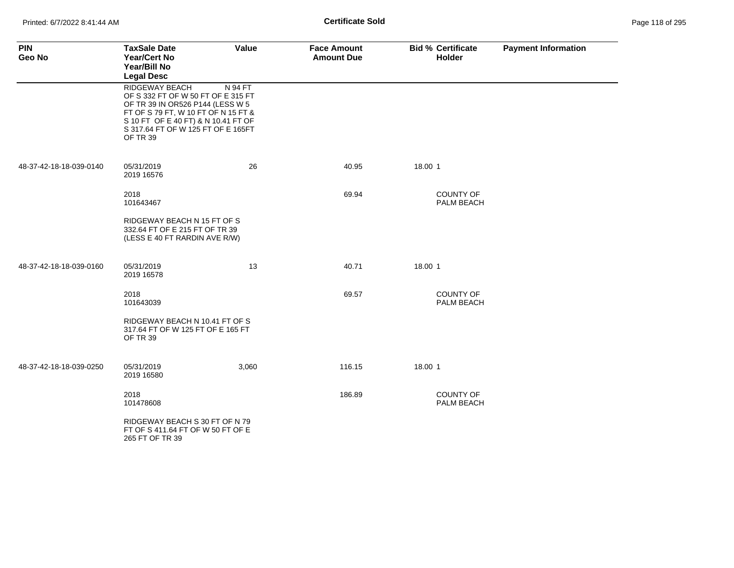| <b>PIN</b><br>Geo No    | <b>TaxSale Date</b><br><b>Year/Cert No</b><br>Year/Bill No<br><b>Legal Desc</b>                                                                                                                                          | Value   | <b>Face Amount</b><br><b>Amount Due</b> | <b>Bid % Certificate</b><br><b>Holder</b> | <b>Payment Information</b> |
|-------------------------|--------------------------------------------------------------------------------------------------------------------------------------------------------------------------------------------------------------------------|---------|-----------------------------------------|-------------------------------------------|----------------------------|
|                         | RIDGEWAY BEACH<br>OF S 332 FT OF W 50 FT OF E 315 FT<br>OF TR 39 IN OR526 P144 (LESS W 5<br>FT OF S 79 FT, W 10 FT OF N 15 FT &<br>S 10 FT OF E 40 FT) & N 10.41 FT OF<br>S 317.64 FT OF W 125 FT OF E 165FT<br>OF TR 39 | N 94 FT |                                         |                                           |                            |
| 48-37-42-18-18-039-0140 | 05/31/2019<br>2019 16576                                                                                                                                                                                                 | 26      | 40.95                                   | 18.00 1                                   |                            |
|                         | 2018<br>101643467                                                                                                                                                                                                        |         | 69.94                                   | <b>COUNTY OF</b><br>PALM BEACH            |                            |
|                         | RIDGEWAY BEACH N 15 FT OF S<br>332.64 FT OF E 215 FT OF TR 39<br>(LESS E 40 FT RARDIN AVE R/W)                                                                                                                           |         |                                         |                                           |                            |
| 48-37-42-18-18-039-0160 | 05/31/2019<br>2019 16578                                                                                                                                                                                                 | 13      | 40.71                                   | 18.00 1                                   |                            |
|                         | 2018<br>101643039                                                                                                                                                                                                        |         | 69.57                                   | <b>COUNTY OF</b><br><b>PALM BEACH</b>     |                            |
|                         | RIDGEWAY BEACH N 10.41 FT OF S<br>317.64 FT OF W 125 FT OF E 165 FT<br>OF TR 39                                                                                                                                          |         |                                         |                                           |                            |
| 48-37-42-18-18-039-0250 | 05/31/2019<br>2019 16580                                                                                                                                                                                                 | 3,060   | 116.15                                  | 18.00 1                                   |                            |
|                         | 2018<br>101478608                                                                                                                                                                                                        |         | 186.89                                  | <b>COUNTY OF</b><br>PALM BEACH            |                            |
|                         | RIDGEWAY BEACH S 30 FT OF N 79<br>FT OF S 411.64 FT OF W 50 FT OF E<br>265 FT OF TR 39                                                                                                                                   |         |                                         |                                           |                            |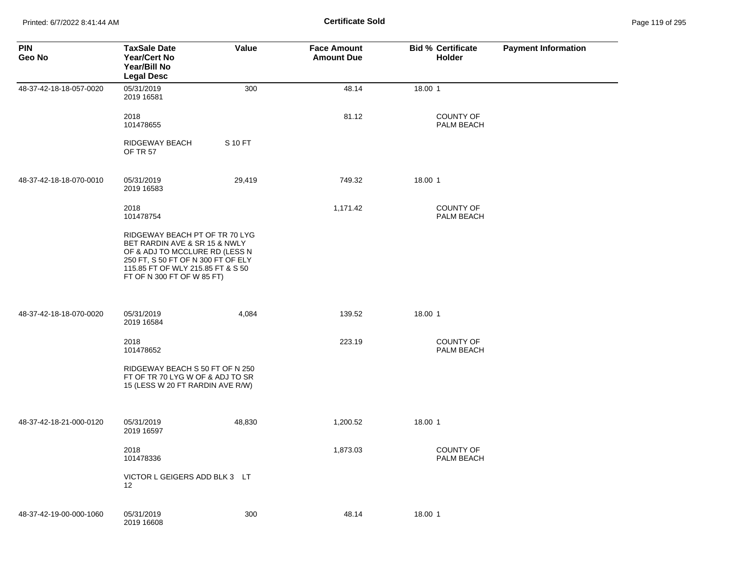Printed: 6/7/2022 8:41:44 AM **Certificate Sold** Page 119 of 295

| <b>PIN</b><br>Geo No    | <b>TaxSale Date</b><br><b>Year/Cert No</b><br>Year/Bill No<br><b>Legal Desc</b>                                                                                                                            | Value   | <b>Face Amount</b><br><b>Amount Due</b> | <b>Bid % Certificate</b><br>Holder | <b>Payment Information</b> |
|-------------------------|------------------------------------------------------------------------------------------------------------------------------------------------------------------------------------------------------------|---------|-----------------------------------------|------------------------------------|----------------------------|
| 48-37-42-18-18-057-0020 | 05/31/2019<br>2019 16581                                                                                                                                                                                   | 300     | 48.14                                   | 18.00 1                            |                            |
|                         | 2018<br>101478655                                                                                                                                                                                          |         | 81.12                                   | <b>COUNTY OF</b><br>PALM BEACH     |                            |
|                         | RIDGEWAY BEACH<br><b>OF TR 57</b>                                                                                                                                                                          | S 10 FT |                                         |                                    |                            |
| 48-37-42-18-18-070-0010 | 05/31/2019<br>2019 16583                                                                                                                                                                                   | 29,419  | 749.32                                  | 18.00 1                            |                            |
|                         | 2018<br>101478754                                                                                                                                                                                          |         | 1,171.42                                | <b>COUNTY OF</b><br>PALM BEACH     |                            |
|                         | RIDGEWAY BEACH PT OF TR 70 LYG<br>BET RARDIN AVE & SR 15 & NWLY<br>OF & ADJ TO MCCLURE RD (LESS N<br>250 FT, S 50 FT OF N 300 FT OF ELY<br>115.85 FT OF WLY 215.85 FT & S 50<br>FT OF N 300 FT OF W 85 FT) |         |                                         |                                    |                            |
| 48-37-42-18-18-070-0020 | 05/31/2019<br>2019 16584                                                                                                                                                                                   | 4,084   | 139.52                                  | 18.00 1                            |                            |
|                         | 2018<br>101478652                                                                                                                                                                                          |         | 223.19                                  | <b>COUNTY OF</b><br>PALM BEACH     |                            |
|                         | RIDGEWAY BEACH S 50 FT OF N 250<br>FT OF TR 70 LYG W OF & ADJ TO SR<br>15 (LESS W 20 FT RARDIN AVE R/W)                                                                                                    |         |                                         |                                    |                            |
| 48-37-42-18-21-000-0120 | 05/31/2019<br>2019 16597                                                                                                                                                                                   | 48,830  | 1,200.52                                | 18.00 1                            |                            |
|                         | 2018<br>101478336                                                                                                                                                                                          |         | 1,873.03                                | <b>COUNTY OF</b><br>PALM BEACH     |                            |
|                         | VICTOR L GEIGERS ADD BLK 3 LT<br>12                                                                                                                                                                        |         |                                         |                                    |                            |
| 48-37-42-19-00-000-1060 | 05/31/2019<br>2019 16608                                                                                                                                                                                   | 300     | 48.14                                   | 18.00 1                            |                            |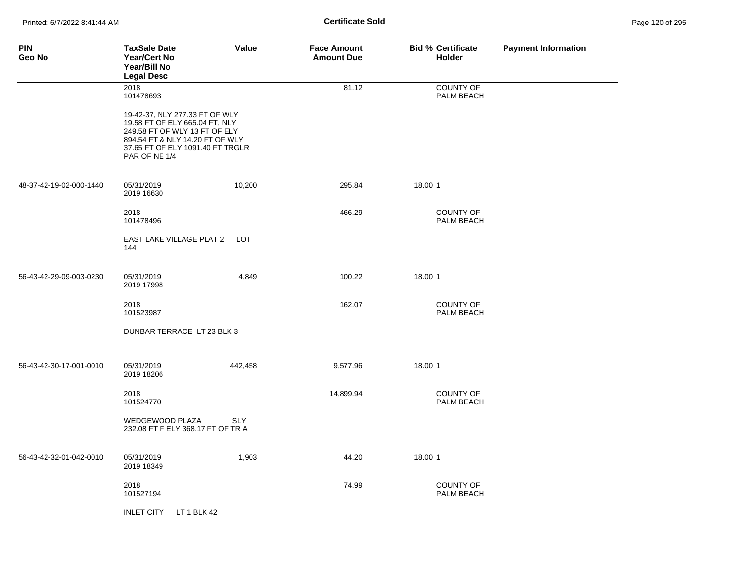| <b>PIN</b><br>Geo No    | <b>TaxSale Date</b><br><b>Year/Cert No</b><br>Year/Bill No<br><b>Legal Desc</b>                                                                                                           | Value      | <b>Face Amount</b><br><b>Amount Due</b> | <b>Bid % Certificate</b><br><b>Holder</b> | <b>Payment Information</b> |
|-------------------------|-------------------------------------------------------------------------------------------------------------------------------------------------------------------------------------------|------------|-----------------------------------------|-------------------------------------------|----------------------------|
|                         | 2018<br>101478693                                                                                                                                                                         |            | 81.12                                   | <b>COUNTY OF</b><br>PALM BEACH            |                            |
|                         | 19-42-37, NLY 277.33 FT OF WLY<br>19.58 FT OF ELY 665.04 FT, NLY<br>249.58 FT OF WLY 13 FT OF ELY<br>894.54 FT & NLY 14.20 FT OF WLY<br>37.65 FT OF ELY 1091.40 FT TRGLR<br>PAR OF NE 1/4 |            |                                         |                                           |                            |
| 48-37-42-19-02-000-1440 | 05/31/2019<br>2019 16630                                                                                                                                                                  | 10,200     | 295.84                                  | 18.00 1                                   |                            |
|                         | 2018<br>101478496                                                                                                                                                                         |            | 466.29                                  | <b>COUNTY OF</b><br><b>PALM BEACH</b>     |                            |
|                         | EAST LAKE VILLAGE PLAT 2 LOT<br>144                                                                                                                                                       |            |                                         |                                           |                            |
| 56-43-42-29-09-003-0230 | 05/31/2019<br>2019 17998                                                                                                                                                                  | 4,849      | 100.22                                  | 18.00 1                                   |                            |
|                         | 2018<br>101523987                                                                                                                                                                         |            | 162.07                                  | <b>COUNTY OF</b><br>PALM BEACH            |                            |
|                         | DUNBAR TERRACE LT 23 BLK 3                                                                                                                                                                |            |                                         |                                           |                            |
| 56-43-42-30-17-001-0010 | 05/31/2019<br>2019 18206                                                                                                                                                                  | 442,458    | 9,577.96                                | 18.00 1                                   |                            |
|                         | 2018<br>101524770                                                                                                                                                                         |            | 14,899.94                               | <b>COUNTY OF</b><br>PALM BEACH            |                            |
|                         | WEDGEWOOD PLAZA<br>232.08 FT F ELY 368.17 FT OF TR A                                                                                                                                      | <b>SLY</b> |                                         |                                           |                            |
| 56-43-42-32-01-042-0010 | 05/31/2019<br>2019 18349                                                                                                                                                                  | 1,903      | 44.20                                   | 18.00 1                                   |                            |
|                         | 2018<br>101527194                                                                                                                                                                         |            | 74.99                                   | <b>COUNTY OF</b><br>PALM BEACH            |                            |
|                         | LT 1 BLK 42<br><b>INLET CITY</b>                                                                                                                                                          |            |                                         |                                           |                            |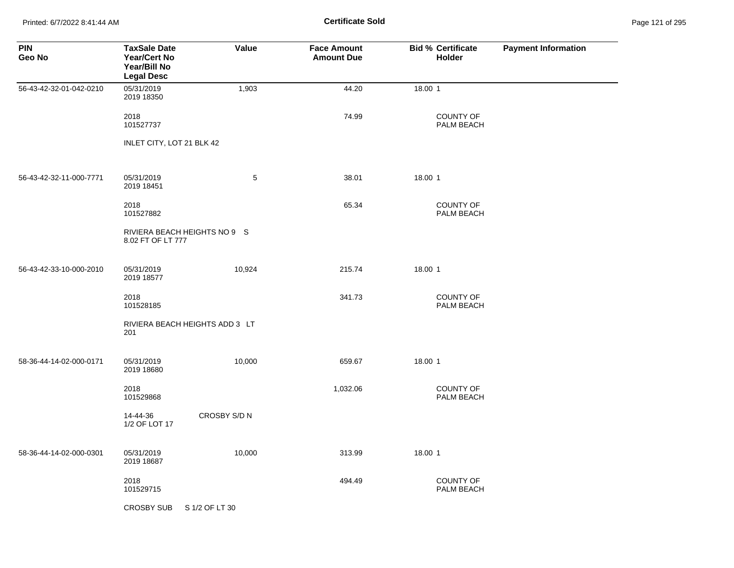Printed: 6/7/2022 8:41:44 AM **Certificate Sold** Page 121 of 295

| <b>PIN</b><br>Geo No    | <b>TaxSale Date</b><br><b>Year/Cert No</b><br>Year/Bill No<br><b>Legal Desc</b> | Value          | <b>Face Amount</b><br><b>Amount Due</b> | <b>Bid % Certificate</b><br><b>Holder</b> | <b>Payment Information</b> |
|-------------------------|---------------------------------------------------------------------------------|----------------|-----------------------------------------|-------------------------------------------|----------------------------|
| 56-43-42-32-01-042-0210 | 05/31/2019<br>2019 18350                                                        | 1,903          | 44.20                                   | 18.00 1                                   |                            |
|                         | 2018<br>101527737                                                               |                | 74.99                                   | <b>COUNTY OF</b><br>PALM BEACH            |                            |
|                         | INLET CITY, LOT 21 BLK 42                                                       |                |                                         |                                           |                            |
| 56-43-42-32-11-000-7771 | 05/31/2019<br>2019 18451                                                        | 5              | 38.01                                   | 18.00 1                                   |                            |
|                         | 2018<br>101527882                                                               |                | 65.34                                   | COUNTY OF<br>PALM BEACH                   |                            |
|                         | RIVIERA BEACH HEIGHTS NO 9 S<br>8.02 FT OF LT 777                               |                |                                         |                                           |                            |
| 56-43-42-33-10-000-2010 | 05/31/2019<br>2019 18577                                                        | 10,924         | 215.74                                  | 18.00 1                                   |                            |
|                         | 2018<br>101528185                                                               |                | 341.73                                  | <b>COUNTY OF</b><br>PALM BEACH            |                            |
|                         | RIVIERA BEACH HEIGHTS ADD 3 LT<br>201                                           |                |                                         |                                           |                            |
| 58-36-44-14-02-000-0171 | 05/31/2019<br>2019 18680                                                        | 10,000         | 659.67                                  | 18.00 1                                   |                            |
|                         | 2018<br>101529868                                                               |                | 1,032.06                                | <b>COUNTY OF</b><br>PALM BEACH            |                            |
|                         | 14-44-36<br>1/2 OF LOT 17                                                       | CROSBY S/D N   |                                         |                                           |                            |
| 58-36-44-14-02-000-0301 | 05/31/2019<br>2019 18687                                                        | 10,000         | 313.99                                  | 18.00 1                                   |                            |
|                         | 2018<br>101529715                                                               |                | 494.49                                  | <b>COUNTY OF</b><br>PALM BEACH            |                            |
|                         | <b>CROSBY SUB</b>                                                               | S 1/2 OF LT 30 |                                         |                                           |                            |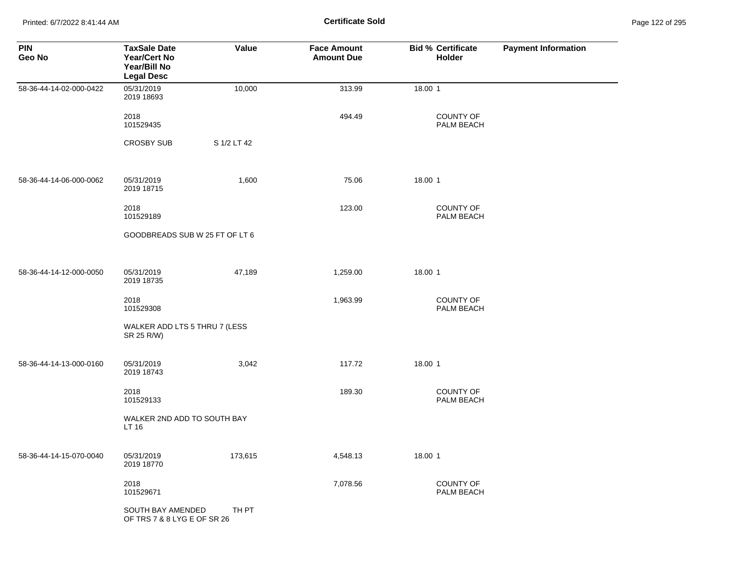Printed: 6/7/2022 8:41:44 AM **Certificate Sold** Page 122 of 295

| <b>PIN</b><br>Geo No    | <b>TaxSale Date</b><br><b>Year/Cert No</b><br>Year/Bill No<br><b>Legal Desc</b> | Value       | <b>Face Amount</b><br><b>Amount Due</b> | <b>Bid % Certificate</b><br><b>Holder</b> | <b>Payment Information</b> |
|-------------------------|---------------------------------------------------------------------------------|-------------|-----------------------------------------|-------------------------------------------|----------------------------|
| 58-36-44-14-02-000-0422 | 05/31/2019<br>2019 18693                                                        | 10,000      | 313.99                                  | 18.00 1                                   |                            |
|                         | 2018<br>101529435                                                               |             | 494.49                                  | <b>COUNTY OF</b><br>PALM BEACH            |                            |
|                         | <b>CROSBY SUB</b>                                                               | S 1/2 LT 42 |                                         |                                           |                            |
| 58-36-44-14-06-000-0062 | 05/31/2019<br>2019 18715                                                        | 1,600       | 75.06                                   | 18.00 1                                   |                            |
|                         | 2018<br>101529189                                                               |             | 123.00                                  | <b>COUNTY OF</b><br>PALM BEACH            |                            |
|                         | GOODBREADS SUB W 25 FT OF LT 6                                                  |             |                                         |                                           |                            |
| 58-36-44-14-12-000-0050 | 05/31/2019<br>2019 18735                                                        | 47,189      | 1,259.00                                | 18.00 1                                   |                            |
|                         | 2018<br>101529308                                                               |             | 1,963.99                                | COUNTY OF<br>PALM BEACH                   |                            |
|                         | WALKER ADD LTS 5 THRU 7 (LESS<br>SR 25 R/W)                                     |             |                                         |                                           |                            |
| 58-36-44-14-13-000-0160 | 05/31/2019<br>2019 18743                                                        | 3,042       | 117.72                                  | 18.00 1                                   |                            |
|                         | 2018<br>101529133                                                               |             | 189.30                                  | COUNTY OF<br>PALM BEACH                   |                            |
|                         | WALKER 2ND ADD TO SOUTH BAY<br>LT 16                                            |             |                                         |                                           |                            |
| 58-36-44-14-15-070-0040 | 05/31/2019<br>2019 18770                                                        | 173,615     | 4,548.13                                | 18.00 1                                   |                            |
|                         | 2018<br>101529671                                                               |             | 7,078.56                                | COUNTY OF<br>PALM BEACH                   |                            |
|                         | SOUTH BAY AMENDED<br>OF TRS 7 & 8 LYG E OF SR 26                                | TH PT       |                                         |                                           |                            |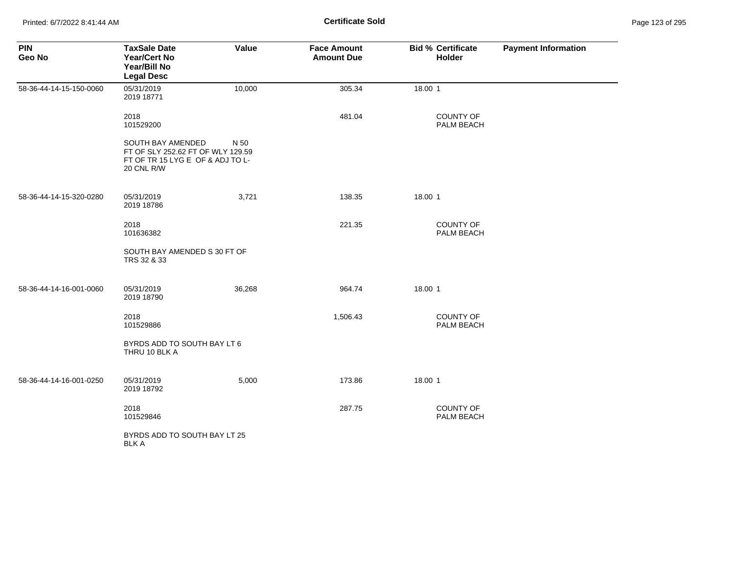| <b>PIN</b><br>Geo No    | <b>TaxSale Date</b><br><b>Year/Cert No</b><br>Year/Bill No<br><b>Legal Desc</b>                          | Value  | <b>Face Amount</b><br><b>Amount Due</b> | <b>Bid % Certificate</b><br>Holder | <b>Payment Information</b> |
|-------------------------|----------------------------------------------------------------------------------------------------------|--------|-----------------------------------------|------------------------------------|----------------------------|
| 58-36-44-14-15-150-0060 | 05/31/2019<br>2019 18771                                                                                 | 10,000 | 305.34                                  | 18.00 1                            |                            |
|                         | 2018<br>101529200                                                                                        |        | 481.04                                  | <b>COUNTY OF</b><br>PALM BEACH     |                            |
|                         | SOUTH BAY AMENDED<br>FT OF SLY 252.62 FT OF WLY 129.59<br>FT OF TR 15 LYG E OF & ADJ TO L-<br>20 CNL R/W | N 50   |                                         |                                    |                            |
| 58-36-44-14-15-320-0280 | 05/31/2019<br>2019 18786                                                                                 | 3,721  | 138.35                                  | 18.00 1                            |                            |
|                         | 2018<br>101636382                                                                                        |        | 221.35                                  | <b>COUNTY OF</b><br>PALM BEACH     |                            |
|                         | SOUTH BAY AMENDED S 30 FT OF<br>TRS 32 & 33                                                              |        |                                         |                                    |                            |
| 58-36-44-14-16-001-0060 | 05/31/2019<br>2019 18790                                                                                 | 36,268 | 964.74                                  | 18.00 1                            |                            |
|                         | 2018<br>101529886                                                                                        |        | 1,506.43                                | <b>COUNTY OF</b><br>PALM BEACH     |                            |
|                         | BYRDS ADD TO SOUTH BAY LT 6<br>THRU 10 BLK A                                                             |        |                                         |                                    |                            |
| 58-36-44-14-16-001-0250 | 05/31/2019<br>2019 18792                                                                                 | 5,000  | 173.86                                  | 18.00 1                            |                            |
|                         | 2018<br>101529846                                                                                        |        | 287.75                                  | <b>COUNTY OF</b><br>PALM BEACH     |                            |
|                         | BYRDS ADD TO SOUTH BAY LT 25<br>BLK A                                                                    |        |                                         |                                    |                            |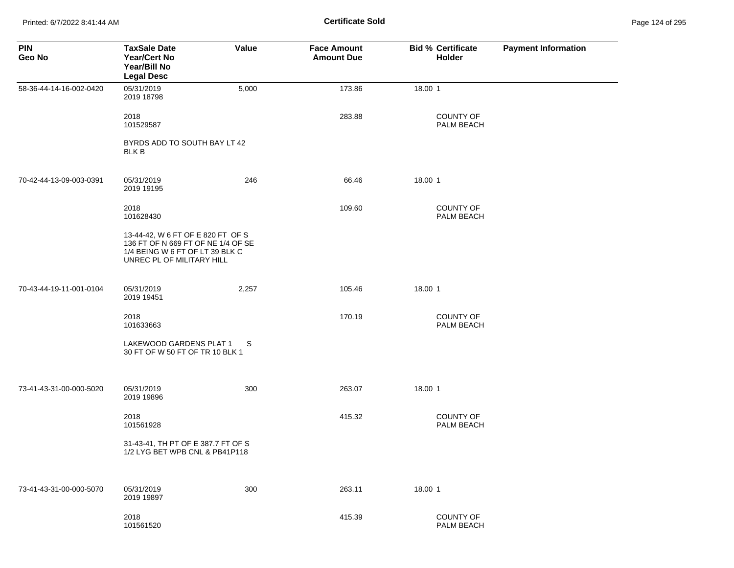Printed: 6/7/2022 8:41:44 AM **Certificate Sold** Page 124 of 295

| <b>PIN</b><br>Geo No    | <b>TaxSale Date</b><br><b>Year/Cert No</b><br>Year/Bill No<br><b>Legal Desc</b>                                                         | Value | <b>Face Amount</b><br><b>Amount Due</b> | <b>Bid % Certificate</b><br>Holder | <b>Payment Information</b> |
|-------------------------|-----------------------------------------------------------------------------------------------------------------------------------------|-------|-----------------------------------------|------------------------------------|----------------------------|
| 58-36-44-14-16-002-0420 | 05/31/2019<br>2019 18798                                                                                                                | 5,000 | 173.86                                  | 18.00 1                            |                            |
|                         | 2018<br>101529587                                                                                                                       |       | 283.88                                  | <b>COUNTY OF</b><br>PALM BEACH     |                            |
|                         | BYRDS ADD TO SOUTH BAY LT 42<br><b>BLK B</b>                                                                                            |       |                                         |                                    |                            |
| 70-42-44-13-09-003-0391 | 05/31/2019<br>2019 19195                                                                                                                | 246   | 66.46                                   | 18.00 1                            |                            |
|                         | 2018<br>101628430                                                                                                                       |       | 109.60                                  | COUNTY OF<br>PALM BEACH            |                            |
|                         | 13-44-42, W 6 FT OF E 820 FT OF S<br>136 FT OF N 669 FT OF NE 1/4 OF SE<br>1/4 BEING W 6 FT OF LT 39 BLK C<br>UNREC PL OF MILITARY HILL |       |                                         |                                    |                            |
| 70-43-44-19-11-001-0104 | 05/31/2019<br>2019 19451                                                                                                                | 2,257 | 105.46                                  | 18.00 1                            |                            |
|                         | 2018<br>101633663                                                                                                                       |       | 170.19                                  | <b>COUNTY OF</b><br>PALM BEACH     |                            |
|                         | LAKEWOOD GARDENS PLAT 1<br>30 FT OF W 50 FT OF TR 10 BLK 1                                                                              | S     |                                         |                                    |                            |
| 73-41-43-31-00-000-5020 | 05/31/2019<br>2019 19896                                                                                                                | 300   | 263.07                                  | 18.00 1                            |                            |
|                         | 2018<br>101561928                                                                                                                       |       | 415.32                                  | COUNTY OF<br>PALM BEACH            |                            |
|                         | 31-43-41, TH PT OF E 387.7 FT OF S<br>1/2 LYG BET WPB CNL & PB41P118                                                                    |       |                                         |                                    |                            |
| 73-41-43-31-00-000-5070 | 05/31/2019<br>2019 19897                                                                                                                | 300   | 263.11                                  | 18.00 1                            |                            |
|                         | 2018<br>101561520                                                                                                                       |       | 415.39                                  | COUNTY OF<br>PALM BEACH            |                            |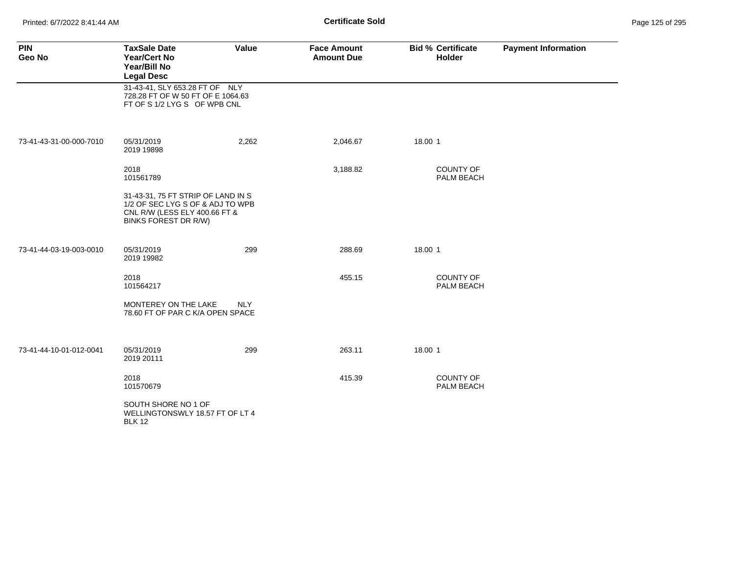Printed: 6/7/2022 8:41:44 AM **Certificate Sold** Page 125 of 295

| <b>PIN</b><br>Geo No    | <b>TaxSale Date</b><br><b>Year/Cert No</b><br>Year/Bill No<br><b>Legal Desc</b>                                                        | Value      | <b>Face Amount</b><br><b>Amount Due</b> |         | <b>Bid % Certificate</b><br>Holder | <b>Payment Information</b> |
|-------------------------|----------------------------------------------------------------------------------------------------------------------------------------|------------|-----------------------------------------|---------|------------------------------------|----------------------------|
|                         | 31-43-41, SLY 653.28 FT OF NLY<br>728.28 FT OF W 50 FT OF E 1064.63<br>FT OF S 1/2 LYG S OF WPB CNL                                    |            |                                         |         |                                    |                            |
| 73-41-43-31-00-000-7010 | 05/31/2019<br>2019 19898                                                                                                               | 2,262      | 2,046.67                                | 18.00 1 |                                    |                            |
|                         | 2018<br>101561789                                                                                                                      |            | 3,188.82                                |         | <b>COUNTY OF</b><br>PALM BEACH     |                            |
|                         | 31-43-31, 75 FT STRIP OF LAND IN S<br>1/2 OF SEC LYG S OF & ADJ TO WPB<br>CNL R/W (LESS ELY 400.66 FT &<br><b>BINKS FOREST DR R/W)</b> |            |                                         |         |                                    |                            |
| 73-41-44-03-19-003-0010 | 05/31/2019<br>2019 19982                                                                                                               | 299        | 288.69                                  | 18.00 1 |                                    |                            |
|                         | 2018<br>101564217                                                                                                                      |            | 455.15                                  |         | <b>COUNTY OF</b><br>PALM BEACH     |                            |
|                         | MONTEREY ON THE LAKE<br>78.60 FT OF PAR C K/A OPEN SPACE                                                                               | <b>NLY</b> |                                         |         |                                    |                            |
| 73-41-44-10-01-012-0041 | 05/31/2019<br>2019 20111                                                                                                               | 299        | 263.11                                  | 18.00 1 |                                    |                            |
|                         | 2018<br>101570679                                                                                                                      |            | 415.39                                  |         | <b>COUNTY OF</b><br>PALM BEACH     |                            |
|                         | SOUTH SHORE NO 1 OF<br>WELLINGTONSWLY 18.57 FT OF LT 4<br><b>BLK 12</b>                                                                |            |                                         |         |                                    |                            |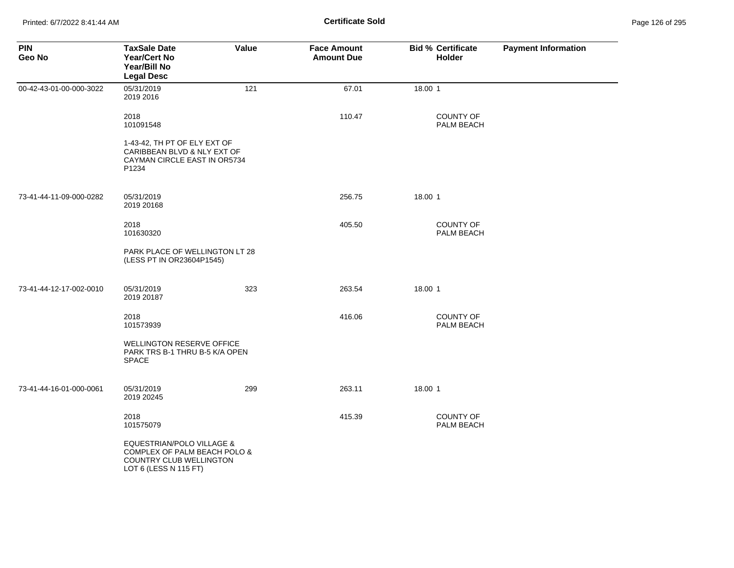| <b>PIN</b><br>Geo No    | <b>TaxSale Date</b><br><b>Year/Cert No</b><br>Year/Bill No<br><b>Legal Desc</b>                               | Value | <b>Face Amount</b><br><b>Amount Due</b> | <b>Bid % Certificate</b><br>Holder | <b>Payment Information</b> |
|-------------------------|---------------------------------------------------------------------------------------------------------------|-------|-----------------------------------------|------------------------------------|----------------------------|
| 00-42-43-01-00-000-3022 | 05/31/2019<br>2019 2016                                                                                       | 121   | 67.01                                   | 18.00 1                            |                            |
|                         | 2018<br>101091548                                                                                             |       | 110.47                                  | COUNTY OF<br>PALM BEACH            |                            |
|                         | 1-43-42, TH PT OF ELY EXT OF<br>CARIBBEAN BLVD & NLY EXT OF<br>CAYMAN CIRCLE EAST IN OR5734<br>P1234          |       |                                         |                                    |                            |
| 73-41-44-11-09-000-0282 | 05/31/2019<br>2019 20168                                                                                      |       | 256.75                                  | 18.00 1                            |                            |
|                         | 2018<br>101630320                                                                                             |       | 405.50                                  | COUNTY OF<br>PALM BEACH            |                            |
|                         | PARK PLACE OF WELLINGTON LT 28<br>(LESS PT IN OR23604P1545)                                                   |       |                                         |                                    |                            |
| 73-41-44-12-17-002-0010 | 05/31/2019<br>2019 20187                                                                                      | 323   | 263.54                                  | 18.00 1                            |                            |
|                         | 2018<br>101573939                                                                                             |       | 416.06                                  | COUNTY OF<br>PALM BEACH            |                            |
|                         | <b>WELLINGTON RESERVE OFFICE</b><br>PARK TRS B-1 THRU B-5 K/A OPEN<br><b>SPACE</b>                            |       |                                         |                                    |                            |
| 73-41-44-16-01-000-0061 | 05/31/2019<br>2019 20245                                                                                      | 299   | 263.11                                  | 18.00 1                            |                            |
|                         | 2018<br>101575079                                                                                             |       | 415.39                                  | COUNTY OF<br>PALM BEACH            |                            |
|                         | EQUESTRIAN/POLO VILLAGE &<br>COMPLEX OF PALM BEACH POLO &<br>COUNTRY CLUB WELLINGTON<br>LOT 6 (LESS N 115 FT) |       |                                         |                                    |                            |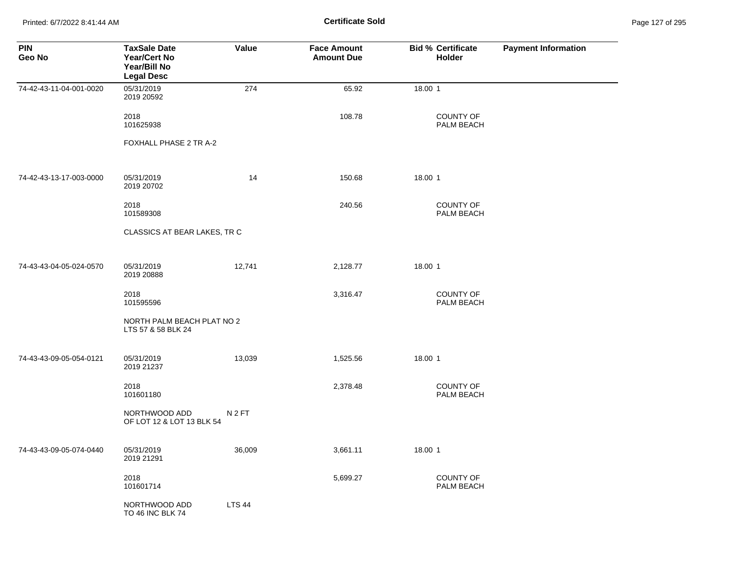Printed: 6/7/2022 8:41:44 AM **Certificate Sold** Page 127 of 295

| <b>PIN</b><br>Geo No    | <b>TaxSale Date</b><br><b>Year/Cert No</b><br>Year/Bill No<br><b>Legal Desc</b> | Value            | <b>Face Amount</b><br><b>Amount Due</b> | <b>Bid % Certificate</b><br>Holder | <b>Payment Information</b> |
|-------------------------|---------------------------------------------------------------------------------|------------------|-----------------------------------------|------------------------------------|----------------------------|
| 74-42-43-11-04-001-0020 | 05/31/2019<br>2019 20592                                                        | 274              | 65.92                                   | 18.00 1                            |                            |
|                         | 2018<br>101625938                                                               |                  | 108.78                                  | <b>COUNTY OF</b><br>PALM BEACH     |                            |
|                         | FOXHALL PHASE 2 TR A-2                                                          |                  |                                         |                                    |                            |
| 74-42-43-13-17-003-0000 | 05/31/2019<br>2019 20702                                                        | 14               | 150.68                                  | 18.00 1                            |                            |
|                         | 2018<br>101589308                                                               |                  | 240.56                                  | <b>COUNTY OF</b><br>PALM BEACH     |                            |
|                         | CLASSICS AT BEAR LAKES, TR C                                                    |                  |                                         |                                    |                            |
| 74-43-43-04-05-024-0570 | 05/31/2019<br>2019 20888                                                        | 12,741           | 2,128.77                                | 18.00 1                            |                            |
|                         | 2018<br>101595596                                                               |                  | 3,316.47                                | <b>COUNTY OF</b><br>PALM BEACH     |                            |
|                         | NORTH PALM BEACH PLAT NO 2<br>LTS 57 & 58 BLK 24                                |                  |                                         |                                    |                            |
| 74-43-43-09-05-054-0121 | 05/31/2019<br>2019 21237                                                        | 13,039           | 1,525.56                                | 18.00 1                            |                            |
|                         | 2018<br>101601180                                                               |                  | 2,378.48                                | <b>COUNTY OF</b><br>PALM BEACH     |                            |
|                         | NORTHWOOD ADD<br>OF LOT 12 & LOT 13 BLK 54                                      | N <sub>2FT</sub> |                                         |                                    |                            |
| 74-43-43-09-05-074-0440 | 05/31/2019<br>2019 21291                                                        | 36,009           | 3,661.11                                | 18.00 1                            |                            |
|                         | 2018<br>101601714                                                               |                  | 5,699.27                                | COUNTY OF<br>PALM BEACH            |                            |
|                         | NORTHWOOD ADD<br>TO 46 INC BLK 74                                               | <b>LTS 44</b>    |                                         |                                    |                            |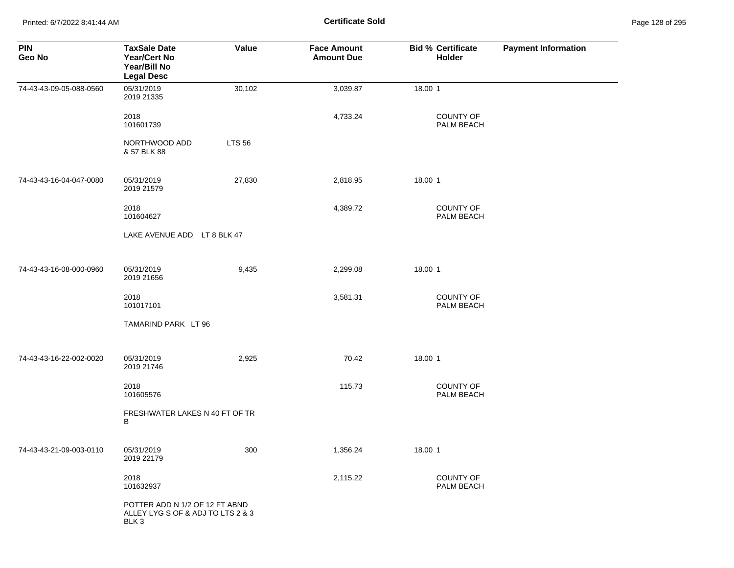Printed: 6/7/2022 8:41:44 AM **Certificate Sold** Page 128 of 295

| <b>PIN</b><br>Geo No    | <b>TaxSale Date</b><br><b>Year/Cert No</b><br>Year/Bill No<br><b>Legal Desc</b> | Value         | <b>Face Amount</b><br><b>Amount Due</b> | <b>Bid % Certificate</b><br>Holder | <b>Payment Information</b> |
|-------------------------|---------------------------------------------------------------------------------|---------------|-----------------------------------------|------------------------------------|----------------------------|
| 74-43-43-09-05-088-0560 | 05/31/2019<br>2019 21335                                                        | 30,102        | 3,039.87                                | 18.00 1                            |                            |
|                         | 2018<br>101601739                                                               |               | 4,733.24                                | COUNTY OF<br>PALM BEACH            |                            |
|                         | NORTHWOOD ADD<br>& 57 BLK 88                                                    | <b>LTS 56</b> |                                         |                                    |                            |
| 74-43-43-16-04-047-0080 | 05/31/2019<br>2019 21579                                                        | 27,830        | 2,818.95                                | 18.00 1                            |                            |
|                         | 2018<br>101604627                                                               |               | 4,389.72                                | COUNTY OF<br>PALM BEACH            |                            |
|                         | LAKE AVENUE ADD LT 8 BLK 47                                                     |               |                                         |                                    |                            |
| 74-43-43-16-08-000-0960 | 05/31/2019<br>2019 21656                                                        | 9,435         | 2,299.08                                | 18.00 1                            |                            |
|                         | 2018<br>101017101                                                               |               | 3,581.31                                | COUNTY OF<br>PALM BEACH            |                            |
|                         | TAMARIND PARK LT 96                                                             |               |                                         |                                    |                            |
| 74-43-43-16-22-002-0020 | 05/31/2019<br>2019 21746                                                        | 2,925         | 70.42                                   | 18.00 1                            |                            |
|                         | 2018<br>101605576                                                               |               | 115.73                                  | COUNTY OF<br>PALM BEACH            |                            |
|                         | FRESHWATER LAKES N 40 FT OF TR<br>B                                             |               |                                         |                                    |                            |
| 74-43-43-21-09-003-0110 | 05/31/2019<br>2019 22179                                                        | 300           | 1,356.24                                | 18.00 1                            |                            |
|                         | 2018<br>101632937                                                               |               | 2,115.22                                | COUNTY OF<br>PALM BEACH            |                            |
|                         | POTTER ADD N 1/2 OF 12 FT ABND<br>ALLEY LYG S OF & ADJ TO LTS 2 & 3<br>BLK 3    |               |                                         |                                    |                            |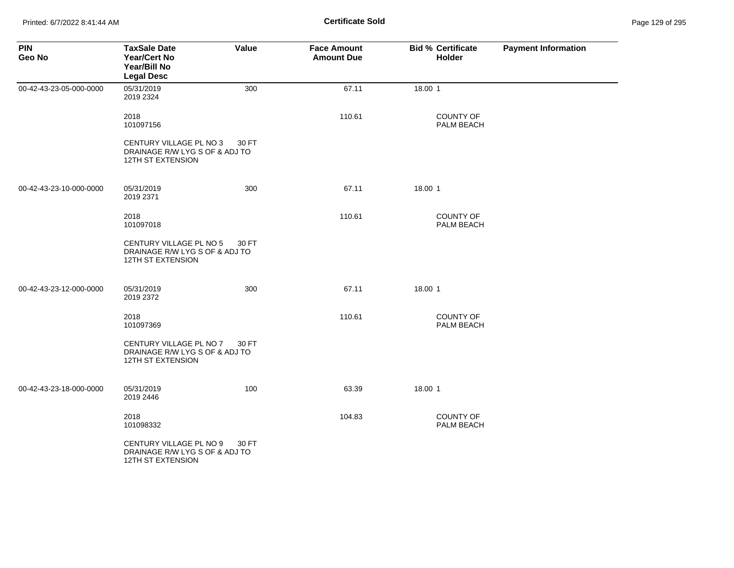| <b>PIN</b><br>Geo No    | <b>TaxSale Date</b><br><b>Year/Cert No</b><br>Year/Bill No<br><b>Legal Desc</b>       | Value | <b>Face Amount</b><br><b>Amount Due</b> | <b>Bid % Certificate</b><br>Holder | <b>Payment Information</b> |
|-------------------------|---------------------------------------------------------------------------------------|-------|-----------------------------------------|------------------------------------|----------------------------|
| 00-42-43-23-05-000-0000 | 05/31/2019<br>2019 2324                                                               | 300   | 67.11                                   | 18.00 1                            |                            |
|                         | 2018<br>101097156                                                                     |       | 110.61                                  | <b>COUNTY OF</b><br>PALM BEACH     |                            |
|                         | CENTURY VILLAGE PL NO 3<br>DRAINAGE R/W LYG S OF & ADJ TO<br><b>12TH ST EXTENSION</b> | 30 FT |                                         |                                    |                            |
| 00-42-43-23-10-000-0000 | 05/31/2019<br>2019 2371                                                               | 300   | 67.11                                   | 18.00 1                            |                            |
|                         | 2018<br>101097018                                                                     |       | 110.61                                  | <b>COUNTY OF</b><br>PALM BEACH     |                            |
|                         | CENTURY VILLAGE PL NO 5<br>DRAINAGE R/W LYG S OF & ADJ TO<br><b>12TH ST EXTENSION</b> | 30 FT |                                         |                                    |                            |
| 00-42-43-23-12-000-0000 | 05/31/2019<br>2019 2372                                                               | 300   | 67.11                                   | 18.00 1                            |                            |
|                         | 2018<br>101097369                                                                     |       | 110.61                                  | <b>COUNTY OF</b><br>PALM BEACH     |                            |
|                         | CENTURY VILLAGE PL NO 7<br>DRAINAGE R/W LYG S OF & ADJ TO<br>12TH ST EXTENSION        | 30 FT |                                         |                                    |                            |
| 00-42-43-23-18-000-0000 | 05/31/2019<br>2019 2446                                                               | 100   | 63.39                                   | 18.00 1                            |                            |
|                         | 2018<br>101098332                                                                     |       | 104.83                                  | COUNTY OF<br>PALM BEACH            |                            |
|                         | CENTURY VILLAGE PL NO 9<br>DRAINAGE R/W LYG S OF & ADJ TO<br>12TH ST EXTENSION        | 30 FT |                                         |                                    |                            |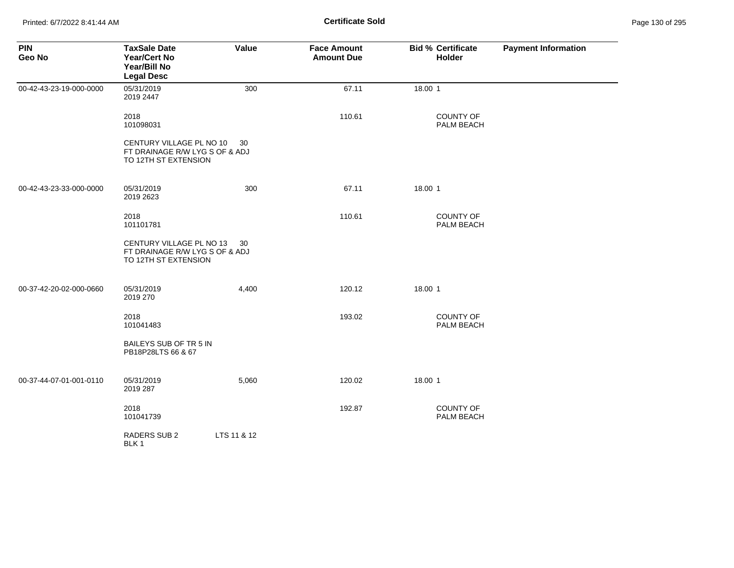| <b>PIN</b><br>Geo No    | <b>TaxSale Date</b><br><b>Year/Cert No</b><br>Year/Bill No<br><b>Legal Desc</b>    | Value       | <b>Face Amount</b><br><b>Amount Due</b> | <b>Bid % Certificate</b><br><b>Holder</b> | <b>Payment Information</b> |
|-------------------------|------------------------------------------------------------------------------------|-------------|-----------------------------------------|-------------------------------------------|----------------------------|
| 00-42-43-23-19-000-0000 | 05/31/2019<br>2019 2447                                                            | 300         | 67.11                                   | 18.00 1                                   |                            |
|                         | 2018<br>101098031                                                                  |             | 110.61                                  | <b>COUNTY OF</b><br>PALM BEACH            |                            |
|                         | CENTURY VILLAGE PL NO 10<br>FT DRAINAGE R/W LYG S OF & ADJ<br>TO 12TH ST EXTENSION | 30          |                                         |                                           |                            |
| 00-42-43-23-33-000-0000 | 05/31/2019<br>2019 2623                                                            | 300         | 67.11                                   | 18.00 1                                   |                            |
|                         | 2018<br>101101781                                                                  |             | 110.61                                  | <b>COUNTY OF</b><br>PALM BEACH            |                            |
|                         | CENTURY VILLAGE PL NO 13<br>FT DRAINAGE R/W LYG S OF & ADJ<br>TO 12TH ST EXTENSION | 30          |                                         |                                           |                            |
| 00-37-42-20-02-000-0660 | 05/31/2019<br>2019 270                                                             | 4,400       | 120.12                                  | 18.00 1                                   |                            |
|                         | 2018<br>101041483                                                                  |             | 193.02                                  | COUNTY OF<br>PALM BEACH                   |                            |
|                         | BAILEYS SUB OF TR 5 IN<br>PB18P28LTS 66 & 67                                       |             |                                         |                                           |                            |
| 00-37-44-07-01-001-0110 | 05/31/2019<br>2019 287                                                             | 5,060       | 120.02                                  | 18.00 1                                   |                            |
|                         | 2018<br>101041739                                                                  |             | 192.87                                  | <b>COUNTY OF</b><br>PALM BEACH            |                            |
|                         | RADERS SUB 2<br>BLK 1                                                              | LTS 11 & 12 |                                         |                                           |                            |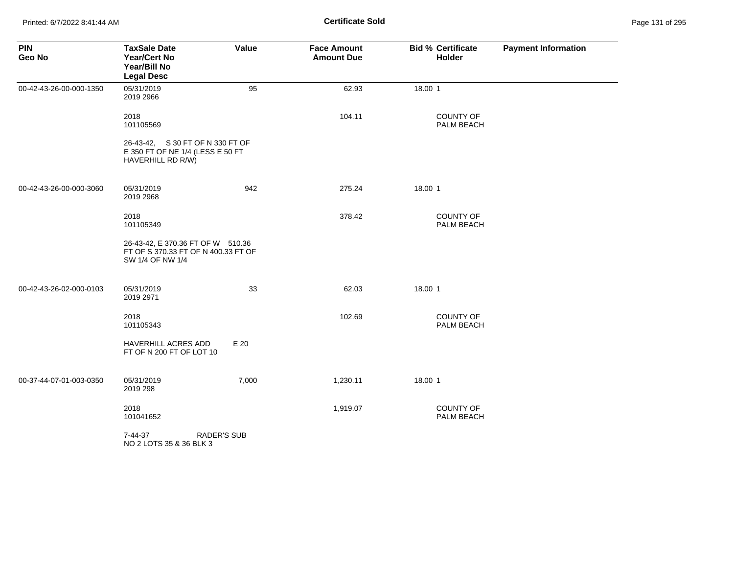Printed: 6/7/2022 8:41:44 AM **Certificate Sold** Page 131 of 295

| <b>PIN</b><br>Geo No    | <b>TaxSale Date</b><br><b>Year/Cert No</b><br>Year/Bill No<br><b>Legal Desc</b>              | Value | <b>Face Amount</b><br><b>Amount Due</b> | <b>Bid % Certificate</b><br>Holder | <b>Payment Information</b> |
|-------------------------|----------------------------------------------------------------------------------------------|-------|-----------------------------------------|------------------------------------|----------------------------|
| 00-42-43-26-00-000-1350 | 05/31/2019<br>2019 2966                                                                      | 95    | 62.93                                   | 18.00 1                            |                            |
|                         | 2018<br>101105569                                                                            |       | 104.11                                  | <b>COUNTY OF</b><br>PALM BEACH     |                            |
|                         | 26-43-42, S 30 FT OF N 330 FT OF<br>E 350 FT OF NE 1/4 (LESS E 50 FT<br>HAVERHILL RD R/W)    |       |                                         |                                    |                            |
| 00-42-43-26-00-000-3060 | 05/31/2019<br>2019 2968                                                                      | 942   | 275.24                                  | 18.00 1                            |                            |
|                         | 2018<br>101105349                                                                            |       | 378.42                                  | COUNTY OF<br>PALM BEACH            |                            |
|                         | 26-43-42, E 370.36 FT OF W 510.36<br>FT OF S 370.33 FT OF N 400.33 FT OF<br>SW 1/4 OF NW 1/4 |       |                                         |                                    |                            |
| 00-42-43-26-02-000-0103 | 05/31/2019<br>2019 2971                                                                      | 33    | 62.03                                   | 18.00 1                            |                            |
|                         | 2018<br>101105343                                                                            |       | 102.69                                  | COUNTY OF<br>PALM BEACH            |                            |
|                         | HAVERHILL ACRES ADD<br>FT OF N 200 FT OF LOT 10                                              | E 20  |                                         |                                    |                            |
| 00-37-44-07-01-003-0350 | 05/31/2019<br>2019 298                                                                       | 7,000 | 1,230.11                                | 18.00 1                            |                            |
|                         | 2018<br>101041652                                                                            |       | 1,919.07                                | <b>COUNTY OF</b><br>PALM BEACH     |                            |
|                         | <b>RADER'S SUB</b><br>7-44-37<br>NO 2 LOTS 35 & 36 BLK 3                                     |       |                                         |                                    |                            |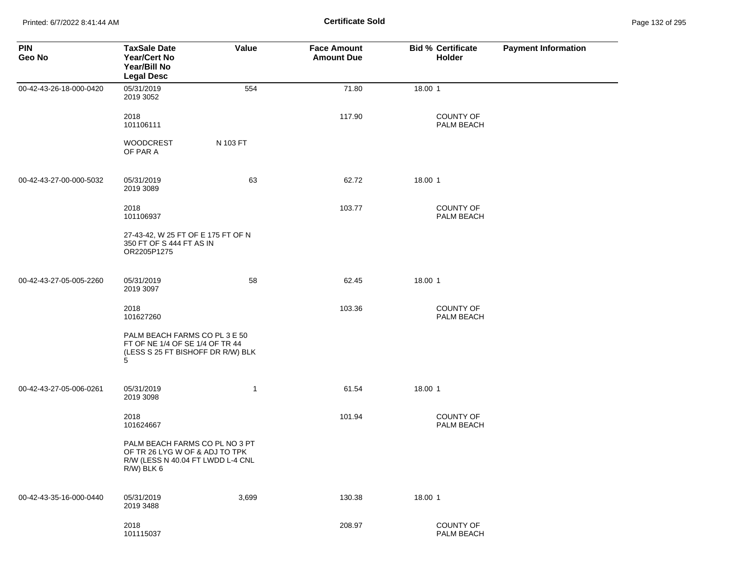Printed: 6/7/2022 8:41:44 AM **Certificate Sold** Page 132 of 295

| <b>PIN</b><br>Geo No    | <b>TaxSale Date</b><br><b>Year/Cert No</b><br>Year/Bill No<br><b>Legal Desc</b>                                     | <b>Value</b> | <b>Face Amount</b><br><b>Amount Due</b> | <b>Bid % Certificate</b><br>Holder | <b>Payment Information</b> |
|-------------------------|---------------------------------------------------------------------------------------------------------------------|--------------|-----------------------------------------|------------------------------------|----------------------------|
| 00-42-43-26-18-000-0420 | 05/31/2019<br>2019 3052                                                                                             | 554          | 71.80                                   | 18.00 1                            |                            |
|                         | 2018<br>101106111                                                                                                   |              | 117.90                                  | <b>COUNTY OF</b><br>PALM BEACH     |                            |
|                         | <b>WOODCREST</b><br>OF PAR A                                                                                        | N 103 FT     |                                         |                                    |                            |
| 00-42-43-27-00-000-5032 | 05/31/2019<br>2019 3089                                                                                             | 63           | 62.72                                   | 18.00 1                            |                            |
|                         | 2018<br>101106937                                                                                                   |              | 103.77                                  | COUNTY OF<br>PALM BEACH            |                            |
|                         | 27-43-42, W 25 FT OF E 175 FT OF N<br>350 FT OF S 444 FT AS IN<br>OR2205P1275                                       |              |                                         |                                    |                            |
| 00-42-43-27-05-005-2260 | 05/31/2019<br>2019 3097                                                                                             | 58           | 62.45                                   | 18.00 1                            |                            |
|                         | 2018<br>101627260                                                                                                   |              | 103.36                                  | <b>COUNTY OF</b><br>PALM BEACH     |                            |
|                         | PALM BEACH FARMS CO PL 3 E 50<br>FT OF NE 1/4 OF SE 1/4 OF TR 44<br>(LESS S 25 FT BISHOFF DR R/W) BLK<br>5          |              |                                         |                                    |                            |
| 00-42-43-27-05-006-0261 | 05/31/2019<br>2019 3098                                                                                             | $\mathbf{1}$ | 61.54                                   | 18.00 1                            |                            |
|                         | 2018<br>101624667                                                                                                   |              | 101.94                                  | <b>COUNTY OF</b><br>PALM BEACH     |                            |
|                         | PALM BEACH FARMS CO PL NO 3 PT<br>OF TR 26 LYG W OF & ADJ TO TPK<br>R/W (LESS N 40.04 FT LWDD L-4 CNL<br>R/W) BLK 6 |              |                                         |                                    |                            |
| 00-42-43-35-16-000-0440 | 05/31/2019<br>2019 3488                                                                                             | 3,699        | 130.38                                  | 18.00 1                            |                            |
|                         | 2018<br>101115037                                                                                                   |              | 208.97                                  | COUNTY OF<br>PALM BEACH            |                            |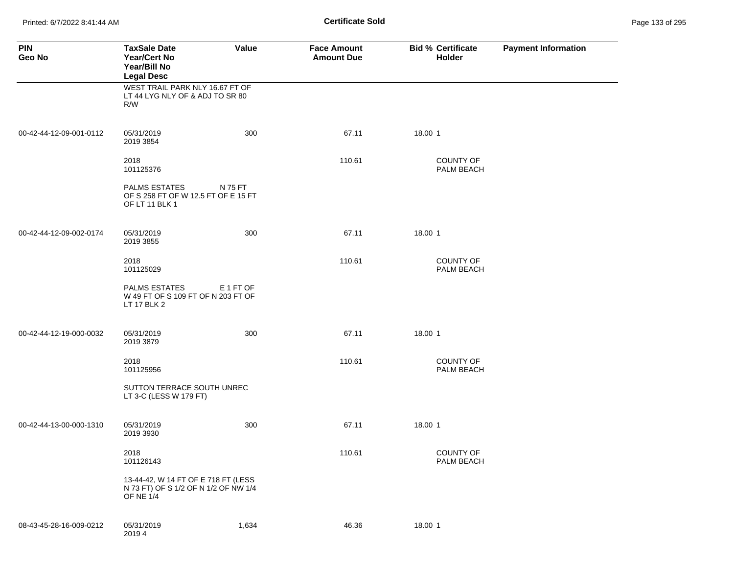Printed: 6/7/2022 8:41:44 AM **Certificate Sold** Page 133 of 295

| <b>PIN</b><br>Geo No    | <b>TaxSale Date</b><br><b>Year/Cert No</b><br>Year/Bill No<br><b>Legal Desc</b>          | Value     | <b>Face Amount</b><br><b>Amount Due</b> | <b>Bid % Certificate</b><br>Holder | <b>Payment Information</b> |
|-------------------------|------------------------------------------------------------------------------------------|-----------|-----------------------------------------|------------------------------------|----------------------------|
|                         | WEST TRAIL PARK NLY 16.67 FT OF<br>LT 44 LYG NLY OF & ADJ TO SR 80<br>R/W                |           |                                         |                                    |                            |
| 00-42-44-12-09-001-0112 | 05/31/2019<br>2019 3854                                                                  | 300       | 67.11                                   | 18.00 1                            |                            |
|                         | 2018<br>101125376                                                                        |           | 110.61                                  | COUNTY OF<br>PALM BEACH            |                            |
|                         | <b>PALMS ESTATES</b><br>OF S 258 FT OF W 12.5 FT OF E 15 FT<br>OF LT 11 BLK 1            | N 75 FT   |                                         |                                    |                            |
| 00-42-44-12-09-002-0174 | 05/31/2019<br>2019 3855                                                                  | 300       | 67.11                                   | 18.00 1                            |                            |
|                         | 2018<br>101125029                                                                        |           | 110.61                                  | <b>COUNTY OF</b><br>PALM BEACH     |                            |
|                         | <b>PALMS ESTATES</b><br>W 49 FT OF S 109 FT OF N 203 FT OF<br>LT 17 BLK 2                | E 1 FT OF |                                         |                                    |                            |
| 00-42-44-12-19-000-0032 | 05/31/2019<br>2019 3879                                                                  | 300       | 67.11                                   | 18.00 1                            |                            |
|                         | 2018<br>101125956                                                                        |           | 110.61                                  | <b>COUNTY OF</b><br>PALM BEACH     |                            |
|                         | SUTTON TERRACE SOUTH UNREC<br>LT 3-C (LESS W 179 FT)                                     |           |                                         |                                    |                            |
| 00-42-44-13-00-000-1310 | 05/31/2019<br>2019 3930                                                                  | 300       | 67.11                                   | 18.00 1                            |                            |
|                         | 2018<br>101126143                                                                        |           | 110.61                                  | <b>COUNTY OF</b><br>PALM BEACH     |                            |
|                         | 13-44-42, W 14 FT OF E 718 FT (LESS<br>N 73 FT) OF S 1/2 OF N 1/2 OF NW 1/4<br>OF NE 1/4 |           |                                         |                                    |                            |
| 08-43-45-28-16-009-0212 | 05/31/2019<br>20194                                                                      | 1,634     | 46.36                                   | 18.00 1                            |                            |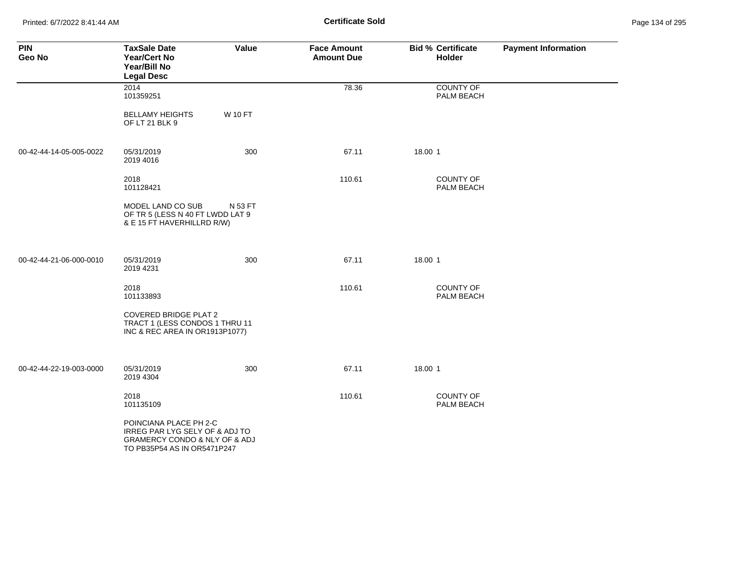Printed: 6/7/2022 8:41:44 AM **Certificate Sold** Page 134 of 295

| <b>PIN</b><br>Geo No    | <b>TaxSale Date</b><br><b>Year/Cert No</b><br>Year/Bill No<br><b>Legal Desc</b>                                                         | Value          | <b>Face Amount</b><br><b>Amount Due</b> | <b>Bid % Certificate</b><br>Holder | <b>Payment Information</b> |
|-------------------------|-----------------------------------------------------------------------------------------------------------------------------------------|----------------|-----------------------------------------|------------------------------------|----------------------------|
|                         | 2014<br>101359251                                                                                                                       |                | 78.36                                   | <b>COUNTY OF</b><br>PALM BEACH     |                            |
|                         | <b>BELLAMY HEIGHTS</b><br>OF LT 21 BLK 9                                                                                                | <b>W 10 FT</b> |                                         |                                    |                            |
| 00-42-44-14-05-005-0022 | 05/31/2019<br>2019 4016                                                                                                                 | 300            | 67.11                                   | 18.00 1                            |                            |
|                         | 2018<br>101128421                                                                                                                       |                | 110.61                                  | <b>COUNTY OF</b><br>PALM BEACH     |                            |
|                         | MODEL LAND CO SUB<br>OF TR 5 (LESS N 40 FT LWDD LAT 9<br>& E 15 FT HAVERHILLRD R/W)                                                     | N 53 FT        |                                         |                                    |                            |
| 00-42-44-21-06-000-0010 | 05/31/2019<br>2019 4231                                                                                                                 | 300            | 67.11                                   | 18.00 1                            |                            |
|                         | 2018<br>101133893                                                                                                                       |                | 110.61                                  | COUNTY OF<br>PALM BEACH            |                            |
|                         | <b>COVERED BRIDGE PLAT 2</b><br>TRACT 1 (LESS CONDOS 1 THRU 11<br>INC & REC AREA IN OR1913P1077)                                        |                |                                         |                                    |                            |
| 00-42-44-22-19-003-0000 | 05/31/2019<br>2019 4304                                                                                                                 | 300            | 67.11                                   | 18.00 1                            |                            |
|                         | 2018<br>101135109                                                                                                                       |                | 110.61                                  | <b>COUNTY OF</b><br>PALM BEACH     |                            |
|                         | POINCIANA PLACE PH 2-C<br>IRREG PAR LYG SELY OF & ADJ TO<br><b>GRAMERCY CONDO &amp; NLY OF &amp; ADJ</b><br>TO PB35P54 AS IN OR5471P247 |                |                                         |                                    |                            |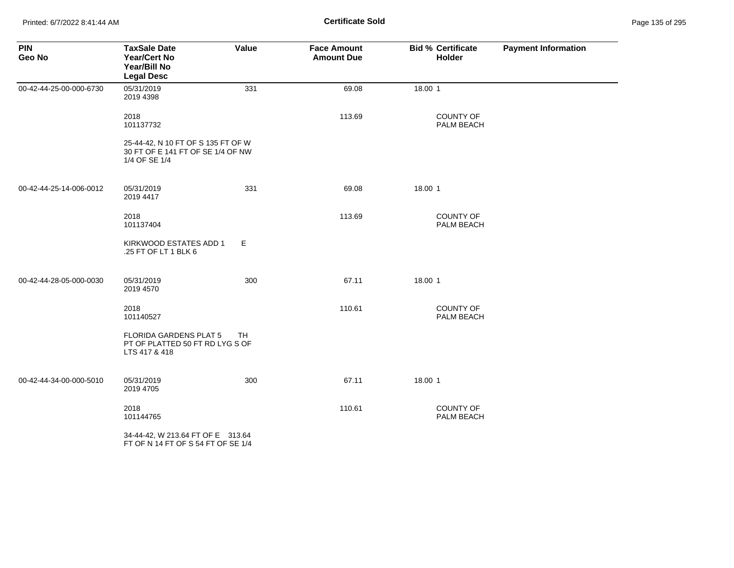Printed: 6/7/2022 8:41:44 AM **Certificate Sold** Page 135 of 295

| <b>PIN</b><br>Geo No    | <b>TaxSale Date</b><br><b>Year/Cert No</b><br>Year/Bill No<br><b>Legal Desc</b>          | Value     | <b>Face Amount</b><br><b>Amount Due</b> | <b>Bid % Certificate</b><br>Holder | <b>Payment Information</b> |
|-------------------------|------------------------------------------------------------------------------------------|-----------|-----------------------------------------|------------------------------------|----------------------------|
| 00-42-44-25-00-000-6730 | 05/31/2019<br>2019 4398                                                                  | 331       | 69.08                                   | 18.00 1                            |                            |
|                         | 2018<br>101137732                                                                        |           | 113.69                                  | <b>COUNTY OF</b><br>PALM BEACH     |                            |
|                         | 25-44-42, N 10 FT OF S 135 FT OF W<br>30 FT OF E 141 FT OF SE 1/4 OF NW<br>1/4 OF SE 1/4 |           |                                         |                                    |                            |
| 00-42-44-25-14-006-0012 | 05/31/2019<br>2019 4417                                                                  | 331       | 69.08                                   | 18.00 1                            |                            |
|                         | 2018<br>101137404                                                                        |           | 113.69                                  | COUNTY OF<br>PALM BEACH            |                            |
|                         | KIRKWOOD ESTATES ADD 1<br>.25 FT OF LT 1 BLK 6                                           | Е         |                                         |                                    |                            |
| 00-42-44-28-05-000-0030 | 05/31/2019<br>2019 4570                                                                  | 300       | 67.11                                   | 18.00 1                            |                            |
|                         | 2018<br>101140527                                                                        |           | 110.61                                  | COUNTY OF<br>PALM BEACH            |                            |
|                         | FLORIDA GARDENS PLAT 5<br>PT OF PLATTED 50 FT RD LYG S OF<br>LTS 417 & 418               | <b>TH</b> |                                         |                                    |                            |
| 00-42-44-34-00-000-5010 | 05/31/2019<br>2019 4705                                                                  | 300       | 67.11                                   | 18.00 1                            |                            |
|                         | 2018<br>101144765                                                                        |           | 110.61                                  | <b>COUNTY OF</b><br>PALM BEACH     |                            |
|                         | 34-44-42, W 213.64 FT OF E 313.64<br>FT OF N 14 FT OF S 54 FT OF SE 1/4                  |           |                                         |                                    |                            |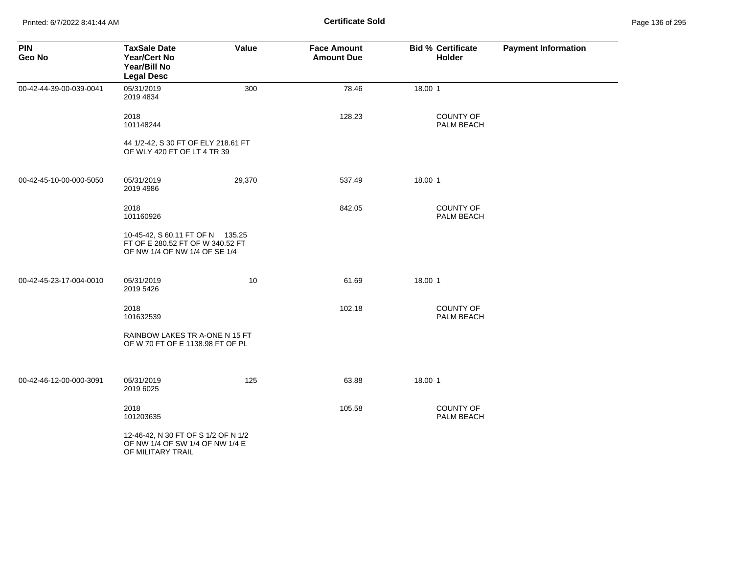Printed: 6/7/2022 8:41:44 AM **Page 136 of 295 Certificate Sold Certificate Sold** 

| <b>PIN</b><br>Geo No    | <b>TaxSale Date</b><br><b>Year/Cert No</b><br>Year/Bill No<br><b>Legal Desc</b>                       | Value  | <b>Face Amount</b><br><b>Amount Due</b> | <b>Bid % Certificate</b><br><b>Holder</b> | <b>Payment Information</b> |
|-------------------------|-------------------------------------------------------------------------------------------------------|--------|-----------------------------------------|-------------------------------------------|----------------------------|
| 00-42-44-39-00-039-0041 | 05/31/2019<br>2019 4834                                                                               | 300    | 78.46                                   | 18.00 1                                   |                            |
|                         | 2018<br>101148244                                                                                     |        | 128.23                                  | <b>COUNTY OF</b><br>PALM BEACH            |                            |
|                         | 44 1/2-42, S 30 FT OF ELY 218.61 FT<br>OF WLY 420 FT OF LT 4 TR 39                                    |        |                                         |                                           |                            |
| 00-42-45-10-00-000-5050 | 05/31/2019<br>2019 4986                                                                               | 29,370 | 537.49                                  | 18.00 1                                   |                            |
|                         | 2018<br>101160926                                                                                     |        | 842.05                                  | <b>COUNTY OF</b><br>PALM BEACH            |                            |
|                         | 10-45-42, S 60.11 FT OF N 135.25<br>FT OF E 280.52 FT OF W 340.52 FT<br>OF NW 1/4 OF NW 1/4 OF SE 1/4 |        |                                         |                                           |                            |
| 00-42-45-23-17-004-0010 | 05/31/2019<br>2019 5426                                                                               | 10     | 61.69                                   | 18.00 1                                   |                            |
|                         | 2018<br>101632539                                                                                     |        | 102.18                                  | <b>COUNTY OF</b><br>PALM BEACH            |                            |
|                         | RAINBOW LAKES TR A-ONE N 15 FT<br>OF W 70 FT OF E 1138.98 FT OF PL                                    |        |                                         |                                           |                            |
| 00-42-46-12-00-000-3091 | 05/31/2019<br>2019 6025                                                                               | 125    | 63.88                                   | 18.00 1                                   |                            |
|                         | 2018<br>101203635                                                                                     |        | 105.58                                  | <b>COUNTY OF</b><br>PALM BEACH            |                            |
|                         | 12-46-42, N 30 FT OF S 1/2 OF N 1/2<br>OF NW 1/4 OF SW 1/4 OF NW 1/4 E<br>OF MILITARY TRAIL           |        |                                         |                                           |                            |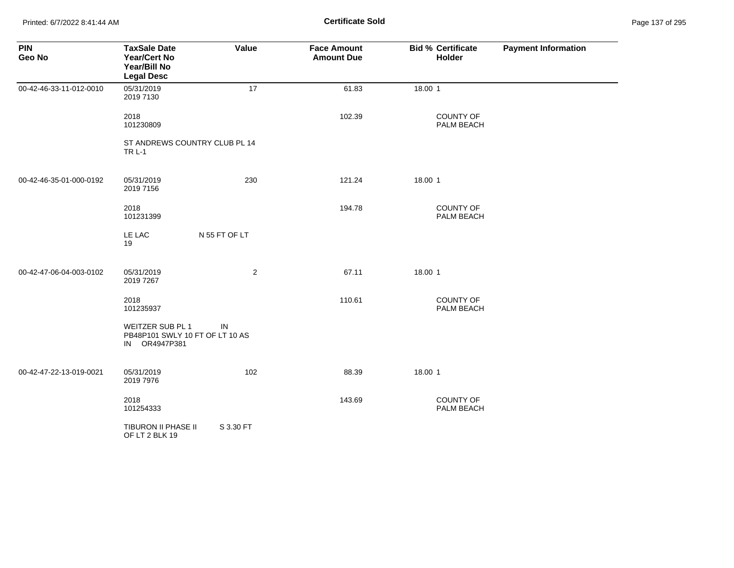Printed: 6/7/2022 8:41:44 AM **Certificate Sold** Page 137 of 295

| <b>PIN</b><br>Geo No    | <b>TaxSale Date</b><br><b>Year/Cert No</b><br>Year/Bill No<br><b>Legal Desc</b> | Value          | <b>Face Amount</b><br><b>Amount Due</b> | <b>Bid % Certificate</b><br>Holder | <b>Payment Information</b> |
|-------------------------|---------------------------------------------------------------------------------|----------------|-----------------------------------------|------------------------------------|----------------------------|
| 00-42-46-33-11-012-0010 | 05/31/2019<br>2019 7130                                                         | 17             | 61.83                                   | 18.00 1                            |                            |
|                         | 2018<br>101230809                                                               |                | 102.39                                  | COUNTY OF<br>PALM BEACH            |                            |
|                         | ST ANDREWS COUNTRY CLUB PL 14<br><b>TR L-1</b>                                  |                |                                         |                                    |                            |
| 00-42-46-35-01-000-0192 | 05/31/2019<br>2019 7156                                                         | 230            | 121.24                                  | 18.00 1                            |                            |
|                         | 2018<br>101231399                                                               |                | 194.78                                  | <b>COUNTY OF</b><br>PALM BEACH     |                            |
|                         | LE LAC<br>19                                                                    | N 55 FT OF LT  |                                         |                                    |                            |
| 00-42-47-06-04-003-0102 | 05/31/2019<br>2019 7267                                                         | $\overline{c}$ | 67.11                                   | 18.00 1                            |                            |
|                         | 2018<br>101235937                                                               |                | 110.61                                  | COUNTY OF<br>PALM BEACH            |                            |
|                         | WEITZER SUB PL 1<br>PB48P101 SWLY 10 FT OF LT 10 AS<br>IN OR4947P381            | IN             |                                         |                                    |                            |
| 00-42-47-22-13-019-0021 | 05/31/2019<br>2019 7976                                                         | 102            | 88.39                                   | 18.00 1                            |                            |
|                         | 2018<br>101254333                                                               |                | 143.69                                  | COUNTY OF<br>PALM BEACH            |                            |
|                         | TIBURON II PHASE II<br>OF LT 2 BLK 19                                           | S 3.30 FT      |                                         |                                    |                            |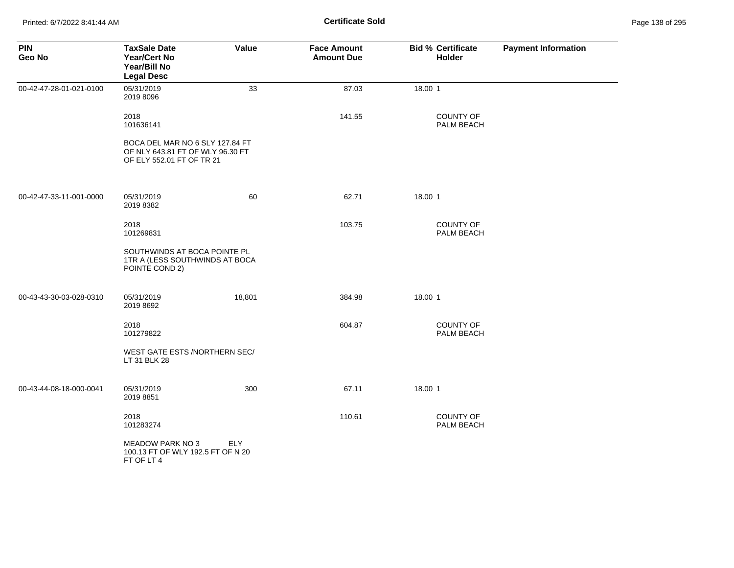| <b>PIN</b><br>Geo No    | <b>TaxSale Date</b><br><b>Year/Cert No</b><br>Year/Bill No<br><b>Legal Desc</b>                  | Value      | <b>Face Amount</b><br><b>Amount Due</b> | <b>Bid % Certificate</b><br>Holder | <b>Payment Information</b> |
|-------------------------|--------------------------------------------------------------------------------------------------|------------|-----------------------------------------|------------------------------------|----------------------------|
| 00-42-47-28-01-021-0100 | 05/31/2019<br>2019 8096                                                                          | 33         | 87.03                                   | 18.00 1                            |                            |
|                         | 2018<br>101636141                                                                                |            | 141.55                                  | COUNTY OF<br>PALM BEACH            |                            |
|                         | BOCA DEL MAR NO 6 SLY 127.84 FT<br>OF NLY 643.81 FT OF WLY 96.30 FT<br>OF ELY 552.01 FT OF TR 21 |            |                                         |                                    |                            |
| 00-42-47-33-11-001-0000 | 05/31/2019<br>2019 8382                                                                          | 60         | 62.71                                   | 18.00 1                            |                            |
|                         | 2018<br>101269831                                                                                |            | 103.75                                  | COUNTY OF<br>PALM BEACH            |                            |
|                         | SOUTHWINDS AT BOCA POINTE PL<br>1TR A (LESS SOUTHWINDS AT BOCA<br>POINTE COND 2)                 |            |                                         |                                    |                            |
| 00-43-43-30-03-028-0310 | 05/31/2019<br>2019 8692                                                                          | 18,801     | 384.98                                  | 18.00 1                            |                            |
|                         | 2018<br>101279822                                                                                |            | 604.87                                  | COUNTY OF<br>PALM BEACH            |                            |
|                         | WEST GATE ESTS /NORTHERN SEC/<br>LT 31 BLK 28                                                    |            |                                         |                                    |                            |
| 00-43-44-08-18-000-0041 | 05/31/2019<br>2019 8851                                                                          | 300        | 67.11                                   | 18.00 1                            |                            |
|                         | 2018<br>101283274                                                                                |            | 110.61                                  | COUNTY OF<br>PALM BEACH            |                            |
|                         | <b>MEADOW PARK NO 3</b><br>100.13 FT OF WLY 192.5 FT OF N 20<br>FT OF LT 4                       | <b>ELY</b> |                                         |                                    |                            |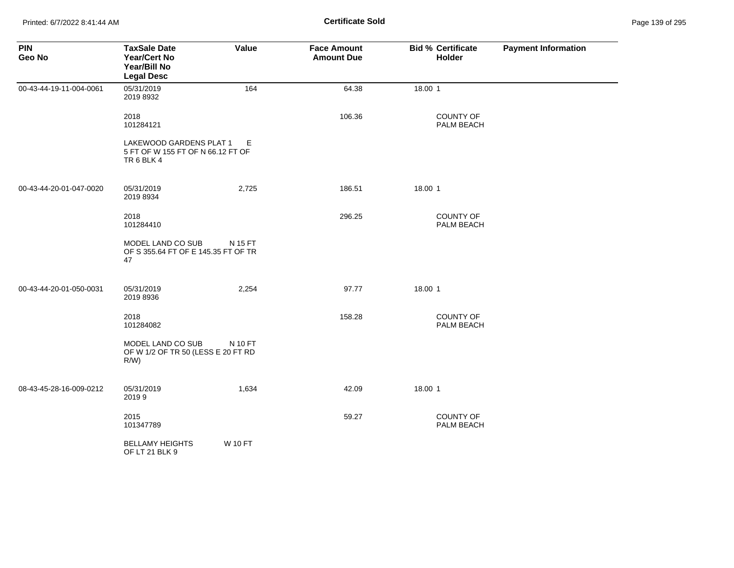Printed: 6/7/2022 8:41:44 AM **Certificate Sold** Page 139 of 295

| <b>PIN</b><br>Geo No    | <b>TaxSale Date</b><br><b>Year/Cert No</b><br>Year/Bill No<br><b>Legal Desc</b> | Value          | <b>Face Amount</b><br><b>Amount Due</b> | <b>Bid % Certificate</b><br>Holder | <b>Payment Information</b> |
|-------------------------|---------------------------------------------------------------------------------|----------------|-----------------------------------------|------------------------------------|----------------------------|
| 00-43-44-19-11-004-0061 | 05/31/2019<br>2019 8932                                                         | 164            | 64.38                                   | 18.00 1                            |                            |
|                         | 2018<br>101284121                                                               |                | 106.36                                  | <b>COUNTY OF</b><br>PALM BEACH     |                            |
|                         | LAKEWOOD GARDENS PLAT 1<br>5 FT OF W 155 FT OF N 66.12 FT OF<br>TR 6 BLK 4      | Е              |                                         |                                    |                            |
| 00-43-44-20-01-047-0020 | 05/31/2019<br>2019 8934                                                         | 2,725          | 186.51                                  | 18.00 1                            |                            |
|                         | 2018<br>101284410                                                               |                | 296.25                                  | COUNTY OF<br>PALM BEACH            |                            |
|                         | MODEL LAND CO SUB<br>OF S 355.64 FT OF E 145.35 FT OF TR<br>47                  | N 15 FT        |                                         |                                    |                            |
| 00-43-44-20-01-050-0031 | 05/31/2019<br>2019 8936                                                         | 2,254          | 97.77                                   | 18.00 1                            |                            |
|                         | 2018<br>101284082                                                               |                | 158.28                                  | COUNTY OF<br>PALM BEACH            |                            |
|                         | MODEL LAND CO SUB<br>OF W 1/2 OF TR 50 (LESS E 20 FT RD<br>$R/W$ )              | N 10 FT        |                                         |                                    |                            |
| 08-43-45-28-16-009-0212 | 05/31/2019<br>20199                                                             | 1,634          | 42.09                                   | 18.00 1                            |                            |
|                         | 2015<br>101347789                                                               |                | 59.27                                   | <b>COUNTY OF</b><br>PALM BEACH     |                            |
|                         | <b>BELLAMY HEIGHTS</b><br>OF LT 21 BLK 9                                        | <b>W 10 FT</b> |                                         |                                    |                            |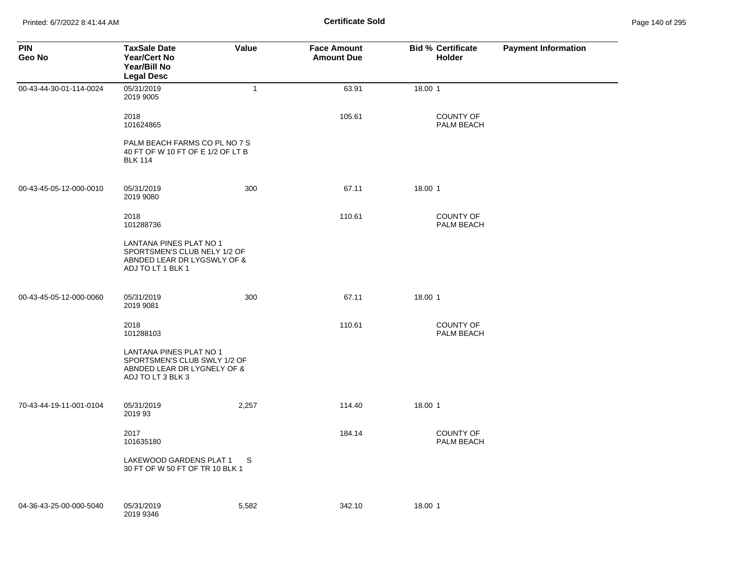Printed: 6/7/2022 8:41:44 AM **Certificate Sold** Page 140 of 295

| <b>PIN</b><br>Geo No    | <b>TaxSale Date</b><br><b>Year/Cert No</b><br>Year/Bill No<br><b>Legal Desc</b>                             | Value        | <b>Face Amount</b><br><b>Amount Due</b> | <b>Bid % Certificate</b><br><b>Holder</b> | <b>Payment Information</b> |
|-------------------------|-------------------------------------------------------------------------------------------------------------|--------------|-----------------------------------------|-------------------------------------------|----------------------------|
| 00-43-44-30-01-114-0024 | 05/31/2019<br>2019 9005                                                                                     | $\mathbf{1}$ | 63.91                                   | 18.00 1                                   |                            |
|                         | 2018<br>101624865                                                                                           |              | 105.61                                  | <b>COUNTY OF</b><br>PALM BEACH            |                            |
|                         | PALM BEACH FARMS CO PL NO 7 S<br>40 FT OF W 10 FT OF E 1/2 OF LT B<br><b>BLK 114</b>                        |              |                                         |                                           |                            |
| 00-43-45-05-12-000-0010 | 05/31/2019<br>2019 9080                                                                                     | 300          | 67.11                                   | 18.00 1                                   |                            |
|                         | 2018<br>101288736                                                                                           |              | 110.61                                  | <b>COUNTY OF</b><br>PALM BEACH            |                            |
|                         | LANTANA PINES PLAT NO 1<br>SPORTSMEN'S CLUB NELY 1/2 OF<br>ABNDED LEAR DR LYGSWLY OF &<br>ADJ TO LT 1 BLK 1 |              |                                         |                                           |                            |
| 00-43-45-05-12-000-0060 | 05/31/2019<br>2019 9081                                                                                     | 300          | 67.11                                   | 18.00 1                                   |                            |
|                         | 2018<br>101288103                                                                                           |              | 110.61                                  | <b>COUNTY OF</b><br>PALM BEACH            |                            |
|                         | LANTANA PINES PLAT NO 1<br>SPORTSMEN'S CLUB SWLY 1/2 OF<br>ABNDED LEAR DR LYGNELY OF &<br>ADJ TO LT 3 BLK 3 |              |                                         |                                           |                            |
| 70-43-44-19-11-001-0104 | 05/31/2019<br>2019 93                                                                                       | 2,257        | 114.40                                  | 18.00 1                                   |                            |
|                         | 2017<br>101635180                                                                                           |              | 184.14                                  | <b>COUNTY OF</b><br>PALM BEACH            |                            |
|                         | LAKEWOOD GARDENS PLAT 1<br>30 FT OF W 50 FT OF TR 10 BLK 1                                                  | <sub>S</sub> |                                         |                                           |                            |
| 04-36-43-25-00-000-5040 | 05/31/2019<br>2019 9346                                                                                     | 5,582        | 342.10                                  | 18.00 1                                   |                            |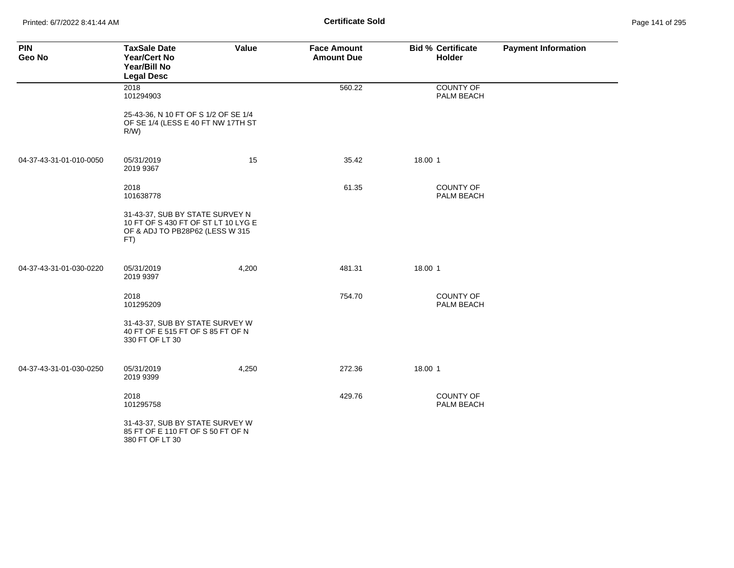Printed: 6/7/2022 8:41:44 AM **Certificate Sold** Page 141 of 295

| <b>PIN</b><br>Geo No    | <b>TaxSale Date</b><br>Year/Cert No<br>Year/Bill No<br><b>Legal Desc</b>                                         | Value | <b>Face Amount</b><br><b>Amount Due</b> |         | <b>Bid % Certificate</b><br>Holder | <b>Payment Information</b> |
|-------------------------|------------------------------------------------------------------------------------------------------------------|-------|-----------------------------------------|---------|------------------------------------|----------------------------|
|                         | 2018<br>101294903                                                                                                |       | 560.22                                  |         | COUNTY OF<br>PALM BEACH            |                            |
|                         | 25-43-36, N 10 FT OF S 1/2 OF SE 1/4<br>OF SE 1/4 (LESS E 40 FT NW 17TH ST<br>$R/W$ )                            |       |                                         |         |                                    |                            |
| 04-37-43-31-01-010-0050 | 05/31/2019<br>2019 9367                                                                                          | 15    | 35.42                                   | 18.00 1 |                                    |                            |
|                         | 2018<br>101638778                                                                                                |       | 61.35                                   |         | COUNTY OF<br>PALM BEACH            |                            |
|                         | 31-43-37, SUB BY STATE SURVEY N<br>10 FT OF S 430 FT OF ST LT 10 LYG E<br>OF & ADJ TO PB28P62 (LESS W 315<br>FT) |       |                                         |         |                                    |                            |
| 04-37-43-31-01-030-0220 | 05/31/2019<br>2019 9397                                                                                          | 4,200 | 481.31                                  | 18.00 1 |                                    |                            |
|                         | 2018<br>101295209                                                                                                |       | 754.70                                  |         | <b>COUNTY OF</b><br>PALM BEACH     |                            |
|                         | 31-43-37, SUB BY STATE SURVEY W<br>40 FT OF E 515 FT OF S 85 FT OF N<br>330 FT OF LT 30                          |       |                                         |         |                                    |                            |
| 04-37-43-31-01-030-0250 | 05/31/2019<br>2019 9399                                                                                          | 4,250 | 272.36                                  | 18.00 1 |                                    |                            |
|                         | 2018<br>101295758                                                                                                |       | 429.76                                  |         | <b>COUNTY OF</b><br>PALM BEACH     |                            |
|                         | 31-43-37, SUB BY STATE SURVEY W<br>85 FT OF E 110 FT OF S 50 FT OF N<br>380 FT OF LT 30                          |       |                                         |         |                                    |                            |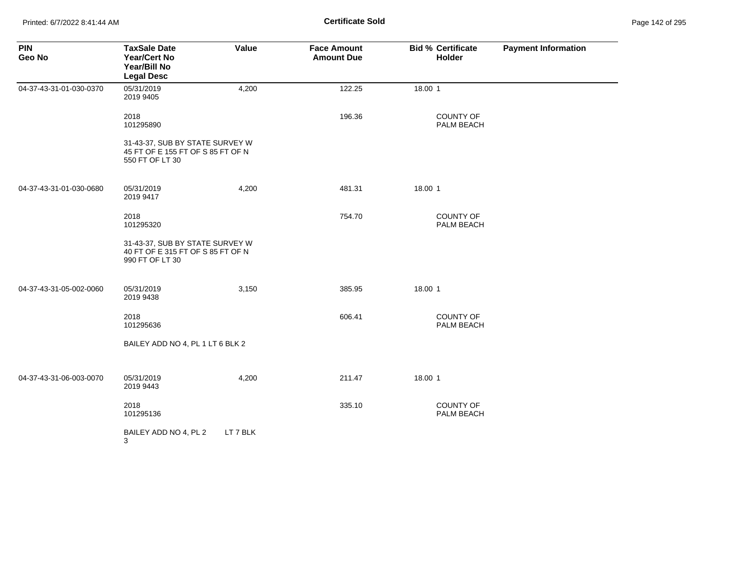| <b>PIN</b><br>Geo No    | <b>TaxSale Date</b><br><b>Year/Cert No</b><br>Year/Bill No<br><b>Legal Desc</b>         | Value    | <b>Face Amount</b><br><b>Amount Due</b> | <b>Bid % Certificate</b><br>Holder | <b>Payment Information</b> |
|-------------------------|-----------------------------------------------------------------------------------------|----------|-----------------------------------------|------------------------------------|----------------------------|
| 04-37-43-31-01-030-0370 | 05/31/2019<br>2019 9405                                                                 | 4,200    | 122.25                                  | 18.00 1                            |                            |
|                         | 2018<br>101295890                                                                       |          | 196.36                                  | COUNTY OF<br>PALM BEACH            |                            |
|                         | 31-43-37, SUB BY STATE SURVEY W<br>45 FT OF E 155 FT OF S 85 FT OF N<br>550 FT OF LT 30 |          |                                         |                                    |                            |
| 04-37-43-31-01-030-0680 | 05/31/2019<br>2019 9417                                                                 | 4,200    | 481.31                                  | 18.00 1                            |                            |
|                         | 2018<br>101295320                                                                       |          | 754.70                                  | COUNTY OF<br>PALM BEACH            |                            |
|                         | 31-43-37, SUB BY STATE SURVEY W<br>40 FT OF E 315 FT OF S 85 FT OF N<br>990 FT OF LT 30 |          |                                         |                                    |                            |
| 04-37-43-31-05-002-0060 | 05/31/2019<br>2019 9438                                                                 | 3,150    | 385.95                                  | 18.00 1                            |                            |
|                         | 2018<br>101295636                                                                       |          | 606.41                                  | <b>COUNTY OF</b><br>PALM BEACH     |                            |
|                         | BAILEY ADD NO 4, PL 1 LT 6 BLK 2                                                        |          |                                         |                                    |                            |
| 04-37-43-31-06-003-0070 | 05/31/2019<br>2019 9443                                                                 | 4,200    | 211.47                                  | 18.00 1                            |                            |
|                         | 2018<br>101295136                                                                       |          | 335.10                                  | COUNTY OF<br>PALM BEACH            |                            |
|                         | BAILEY ADD NO 4, PL 2<br>3                                                              | LT 7 BLK |                                         |                                    |                            |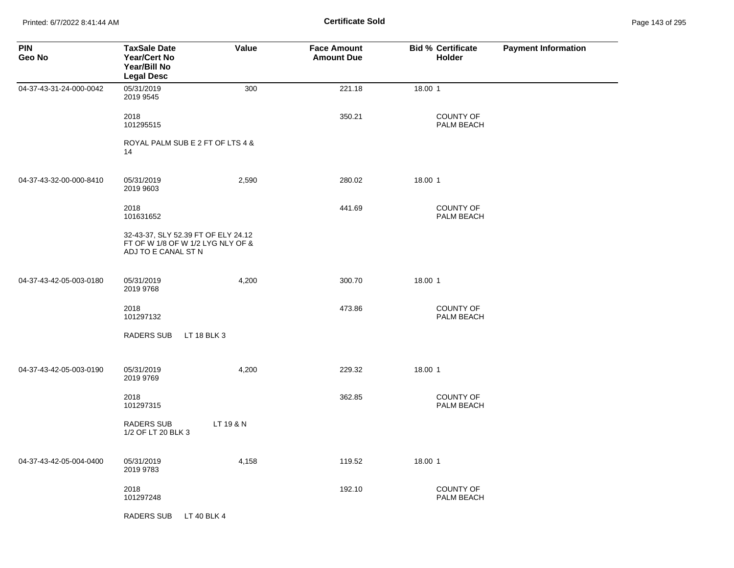Printed: 6/7/2022 8:41:44 AM **Certificate Sold** Page 143 of 295

| <b>PIN</b><br>Geo No    | <b>TaxSale Date</b><br><b>Year/Cert No</b><br>Year/Bill No<br><b>Legal Desc</b>                 | Value     | <b>Face Amount</b><br><b>Amount Due</b> | <b>Bid % Certificate</b><br>Holder | <b>Payment Information</b> |
|-------------------------|-------------------------------------------------------------------------------------------------|-----------|-----------------------------------------|------------------------------------|----------------------------|
| 04-37-43-31-24-000-0042 | 05/31/2019<br>2019 9545                                                                         | 300       | 221.18                                  | 18.00 1                            |                            |
|                         | 2018<br>101295515                                                                               |           | 350.21                                  | <b>COUNTY OF</b><br>PALM BEACH     |                            |
|                         | ROYAL PALM SUB E 2 FT OF LTS 4 &<br>14                                                          |           |                                         |                                    |                            |
| 04-37-43-32-00-000-8410 | 05/31/2019<br>2019 9603                                                                         | 2,590     | 280.02                                  | 18.00 1                            |                            |
|                         | 2018<br>101631652                                                                               |           | 441.69                                  | <b>COUNTY OF</b><br>PALM BEACH     |                            |
|                         | 32-43-37, SLY 52.39 FT OF ELY 24.12<br>FT OF W 1/8 OF W 1/2 LYG NLY OF &<br>ADJ TO E CANAL ST N |           |                                         |                                    |                            |
| 04-37-43-42-05-003-0180 | 05/31/2019<br>2019 9768                                                                         | 4,200     | 300.70                                  | 18.00 1                            |                            |
|                         | 2018<br>101297132                                                                               |           | 473.86                                  | COUNTY OF<br>PALM BEACH            |                            |
|                         | <b>RADERS SUB</b><br>LT 18 BLK 3                                                                |           |                                         |                                    |                            |
| 04-37-43-42-05-003-0190 | 05/31/2019<br>2019 9769                                                                         | 4,200     | 229.32                                  | 18.00 1                            |                            |
|                         | 2018<br>101297315                                                                               |           | 362.85                                  | <b>COUNTY OF</b><br>PALM BEACH     |                            |
|                         | <b>RADERS SUB</b><br>1/2 OF LT 20 BLK 3                                                         | LT 19 & N |                                         |                                    |                            |
| 04-37-43-42-05-004-0400 | 05/31/2019<br>2019 9783                                                                         | 4,158     | 119.52                                  | 18.00 1                            |                            |
|                         | 2018<br>101297248                                                                               |           | 192.10                                  | <b>COUNTY OF</b><br>PALM BEACH     |                            |
|                         | <b>RADERS SUB</b><br>LT 40 BLK 4                                                                |           |                                         |                                    |                            |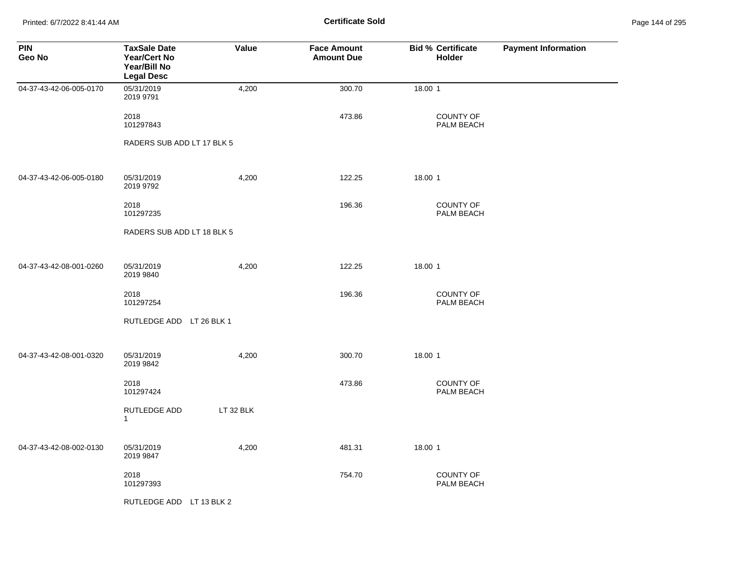Printed: 6/7/2022 8:41:44 AM **Certificate Sold** Page 144 of 295

| <b>PIN</b><br>Geo No    | <b>TaxSale Date</b><br>Year/Cert No<br>Year/Bill No<br><b>Legal Desc</b> | Value     | <b>Face Amount</b><br><b>Amount Due</b> | <b>Bid % Certificate</b><br>Holder | <b>Payment Information</b> |
|-------------------------|--------------------------------------------------------------------------|-----------|-----------------------------------------|------------------------------------|----------------------------|
| 04-37-43-42-06-005-0170 | 05/31/2019<br>2019 9791                                                  | 4,200     | 300.70                                  | 18.00 1                            |                            |
|                         | 2018<br>101297843                                                        |           | 473.86                                  | <b>COUNTY OF</b><br>PALM BEACH     |                            |
|                         | RADERS SUB ADD LT 17 BLK 5                                               |           |                                         |                                    |                            |
| 04-37-43-42-06-005-0180 | 05/31/2019<br>2019 9792                                                  | 4,200     | 122.25                                  | 18.00 1                            |                            |
|                         | 2018<br>101297235                                                        |           | 196.36                                  | COUNTY OF<br>PALM BEACH            |                            |
|                         | RADERS SUB ADD LT 18 BLK 5                                               |           |                                         |                                    |                            |
| 04-37-43-42-08-001-0260 | 05/31/2019<br>2019 9840                                                  | 4,200     | 122.25                                  | 18.00 1                            |                            |
|                         | 2018<br>101297254                                                        |           | 196.36                                  | <b>COUNTY OF</b><br>PALM BEACH     |                            |
|                         | RUTLEDGE ADD LT 26 BLK 1                                                 |           |                                         |                                    |                            |
| 04-37-43-42-08-001-0320 | 05/31/2019<br>2019 9842                                                  | 4,200     | 300.70                                  | 18.00 1                            |                            |
|                         | 2018<br>101297424                                                        |           | 473.86                                  | COUNTY OF<br>PALM BEACH            |                            |
|                         | RUTLEDGE ADD<br>$\mathbf{1}$                                             | LT 32 BLK |                                         |                                    |                            |
| 04-37-43-42-08-002-0130 | 05/31/2019<br>2019 9847                                                  | 4,200     | 481.31                                  | 18.00 1                            |                            |
|                         | 2018<br>101297393                                                        |           | 754.70                                  | <b>COUNTY OF</b><br>PALM BEACH     |                            |
|                         | RUTLEDGE ADD LT 13 BLK 2                                                 |           |                                         |                                    |                            |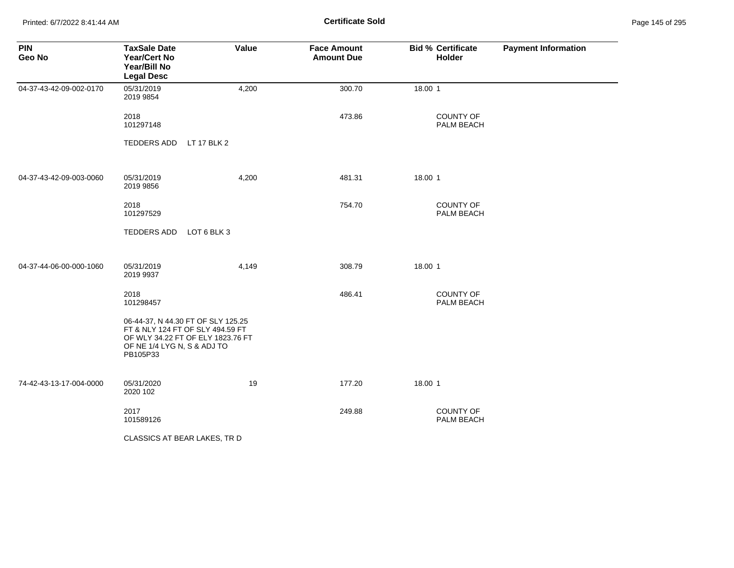Printed: 6/7/2022 8:41:44 AM **Certificate Sold** Page 145 of 295

| <b>PIN</b><br>Geo No    | <b>TaxSale Date</b><br>Year/Cert No<br>Year/Bill No<br><b>Legal Desc</b>                                                                               | Value | <b>Face Amount</b><br><b>Amount Due</b> | <b>Bid % Certificate</b><br>Holder | <b>Payment Information</b> |
|-------------------------|--------------------------------------------------------------------------------------------------------------------------------------------------------|-------|-----------------------------------------|------------------------------------|----------------------------|
| 04-37-43-42-09-002-0170 | 05/31/2019<br>2019 9854                                                                                                                                | 4,200 | 300.70                                  | 18.00 1                            |                            |
|                         | 2018<br>101297148                                                                                                                                      |       | 473.86                                  | COUNTY OF<br>PALM BEACH            |                            |
|                         | TEDDERS ADD LT 17 BLK 2                                                                                                                                |       |                                         |                                    |                            |
| 04-37-43-42-09-003-0060 | 05/31/2019<br>2019 9856                                                                                                                                | 4,200 | 481.31                                  | 18.00 1                            |                            |
|                         | 2018<br>101297529                                                                                                                                      |       | 754.70                                  | <b>COUNTY OF</b><br>PALM BEACH     |                            |
|                         | TEDDERS ADD LOT 6 BLK 3                                                                                                                                |       |                                         |                                    |                            |
| 04-37-44-06-00-000-1060 | 05/31/2019<br>2019 9937                                                                                                                                | 4,149 | 308.79                                  | 18.00 1                            |                            |
|                         | 2018<br>101298457                                                                                                                                      |       | 486.41                                  | COUNTY OF<br>PALM BEACH            |                            |
|                         | 06-44-37, N 44.30 FT OF SLY 125.25<br>FT & NLY 124 FT OF SLY 494.59 FT<br>OF WLY 34.22 FT OF ELY 1823.76 FT<br>OF NE 1/4 LYG N, S & ADJ TO<br>PB105P33 |       |                                         |                                    |                            |
| 74-42-43-13-17-004-0000 | 05/31/2020<br>2020 102                                                                                                                                 | 19    | 177.20                                  | 18.00 1                            |                            |
|                         | 2017<br>101589126                                                                                                                                      |       | 249.88                                  | COUNTY OF<br>PALM BEACH            |                            |
|                         | CLASSICS AT BEAR LAKES, TR D                                                                                                                           |       |                                         |                                    |                            |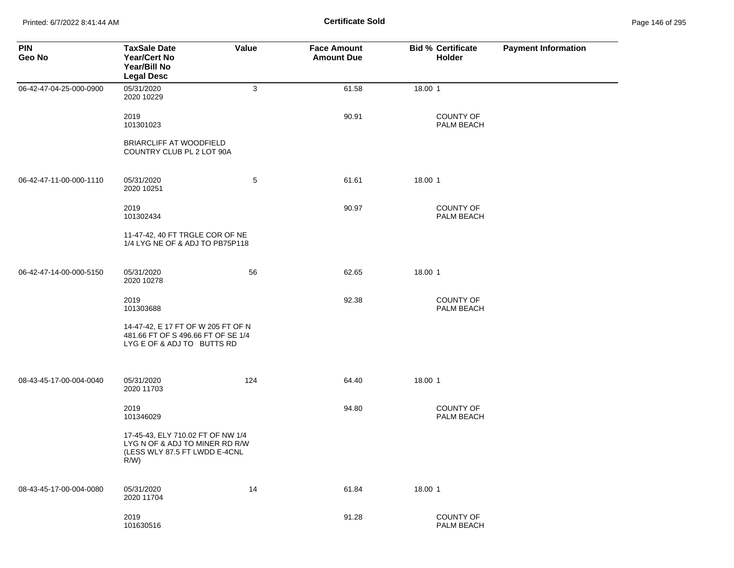Printed: 6/7/2022 8:41:44 AM **Certificate Sold** Page 146 of 295

| <b>PIN</b><br>Geo No    | <b>TaxSale Date</b><br><b>Year/Cert No</b><br>Year/Bill No<br><b>Legal Desc</b>                                 | Value | <b>Face Amount</b><br><b>Amount Due</b> | <b>Bid % Certificate</b><br>Holder | <b>Payment Information</b> |
|-------------------------|-----------------------------------------------------------------------------------------------------------------|-------|-----------------------------------------|------------------------------------|----------------------------|
| 06-42-47-04-25-000-0900 | 05/31/2020<br>2020 10229                                                                                        | 3     | 61.58                                   | 18.00 1                            |                            |
|                         | 2019<br>101301023                                                                                               |       | 90.91                                   | <b>COUNTY OF</b><br>PALM BEACH     |                            |
|                         | <b>BRIARCLIFF AT WOODFIELD</b><br>COUNTRY CLUB PL 2 LOT 90A                                                     |       |                                         |                                    |                            |
| 06-42-47-11-00-000-1110 | 05/31/2020<br>2020 10251                                                                                        | 5     | 61.61                                   | 18.00 1                            |                            |
|                         | 2019<br>101302434                                                                                               |       | 90.97                                   | <b>COUNTY OF</b><br>PALM BEACH     |                            |
|                         | 11-47-42, 40 FT TRGLE COR OF NE<br>1/4 LYG NE OF & ADJ TO PB75P118                                              |       |                                         |                                    |                            |
| 06-42-47-14-00-000-5150 | 05/31/2020<br>2020 10278                                                                                        | 56    | 62.65                                   | 18.00 1                            |                            |
|                         | 2019<br>101303688                                                                                               |       | 92.38                                   | <b>COUNTY OF</b><br>PALM BEACH     |                            |
|                         | 14-47-42, E 17 FT OF W 205 FT OF N<br>481.66 FT OF S 496.66 FT OF SE 1/4<br>LYG E OF & ADJ TO BUTTS RD          |       |                                         |                                    |                            |
| 08-43-45-17-00-004-0040 | 05/31/2020<br>2020 11703                                                                                        | 124   | 64.40                                   | 18.00 1                            |                            |
|                         | 2019<br>101346029                                                                                               |       | 94.80                                   | <b>COUNTY OF</b><br>PALM BEACH     |                            |
|                         | 17-45-43, ELY 710.02 FT OF NW 1/4<br>LYG N OF & ADJ TO MINER RD R/W<br>(LESS WLY 87.5 FT LWDD E-4CNL<br>$R/W$ ) |       |                                         |                                    |                            |
| 08-43-45-17-00-004-0080 | 05/31/2020<br>2020 11704                                                                                        | 14    | 61.84                                   | 18.00 1                            |                            |
|                         | 2019<br>101630516                                                                                               |       | 91.28                                   | COUNTY OF<br>PALM BEACH            |                            |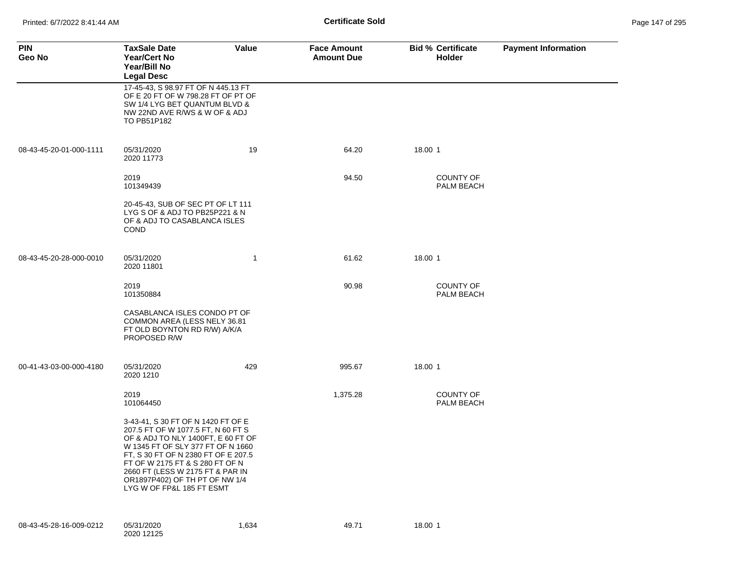| <b>PIN</b><br>Geo No    | <b>TaxSale Date</b><br><b>Year/Cert No</b><br>Year/Bill No<br><b>Legal Desc</b>                                                                                                                                                                                                                                                  | Value | <b>Face Amount</b><br><b>Amount Due</b> | <b>Bid % Certificate</b><br>Holder    | <b>Payment Information</b> |
|-------------------------|----------------------------------------------------------------------------------------------------------------------------------------------------------------------------------------------------------------------------------------------------------------------------------------------------------------------------------|-------|-----------------------------------------|---------------------------------------|----------------------------|
|                         | 17-45-43, S 98.97 FT OF N 445.13 FT<br>OF E 20 FT OF W 798.28 FT OF PT OF<br>SW 1/4 LYG BET QUANTUM BLVD &<br>NW 22ND AVE R/WS & W OF & ADJ<br>TO PB51P182                                                                                                                                                                       |       |                                         |                                       |                            |
| 08-43-45-20-01-000-1111 | 05/31/2020<br>2020 11773                                                                                                                                                                                                                                                                                                         | 19    | 64.20                                   | 18.00 1                               |                            |
|                         | 2019<br>101349439                                                                                                                                                                                                                                                                                                                |       | 94.50                                   | <b>COUNTY OF</b><br>PALM BEACH        |                            |
|                         | 20-45-43, SUB OF SEC PT OF LT 111<br>LYG S OF & ADJ TO PB25P221 & N<br>OF & ADJ TO CASABLANCA ISLES<br><b>COND</b>                                                                                                                                                                                                               |       |                                         |                                       |                            |
| 08-43-45-20-28-000-0010 | 05/31/2020<br>2020 11801                                                                                                                                                                                                                                                                                                         | 1     | 61.62                                   | 18.00 1                               |                            |
|                         | 2019<br>101350884                                                                                                                                                                                                                                                                                                                |       | 90.98                                   | <b>COUNTY OF</b><br><b>PALM BEACH</b> |                            |
|                         | CASABLANCA ISLES CONDO PT OF<br>COMMON AREA (LESS NELY 36.81<br>FT OLD BOYNTON RD R/W) A/K/A<br>PROPOSED R/W                                                                                                                                                                                                                     |       |                                         |                                       |                            |
| 00-41-43-03-00-000-4180 | 05/31/2020<br>2020 1210                                                                                                                                                                                                                                                                                                          | 429   | 995.67                                  | 18.00 1                               |                            |
|                         | 2019<br>101064450                                                                                                                                                                                                                                                                                                                |       | 1,375.28                                | <b>COUNTY OF</b><br><b>PALM BEACH</b> |                            |
|                         | 3-43-41, S 30 FT OF N 1420 FT OF E<br>207.5 FT OF W 1077.5 FT, N 60 FT S<br>OF & ADJ TO NLY 1400FT, E 60 FT OF<br>W 1345 FT OF SLY 377 FT OF N 1660<br>FT, S 30 FT OF N 2380 FT OF E 207.5<br>FT OF W 2175 FT & S 280 FT OF N<br>2660 FT (LESS W 2175 FT & PAR IN<br>OR1897P402) OF TH PT OF NW 1/4<br>LYG W OF FP&L 185 FT ESMT |       |                                         |                                       |                            |
| 08-43-45-28-16-009-0212 | 05/31/2020<br>2020 12125                                                                                                                                                                                                                                                                                                         | 1,634 | 49.71                                   | 18.00 1                               |                            |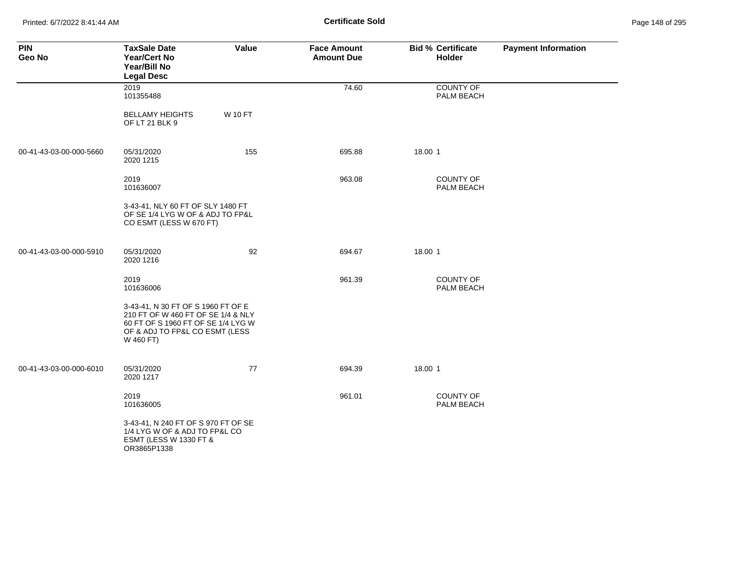Printed: 6/7/2022 8:41:44 AM **Certificate Sold** Page 148 of 295

| <b>PIN</b><br>Geo No    | <b>TaxSale Date</b><br><b>Year/Cert No</b><br>Year/Bill No<br><b>Legal Desc</b>                                                                               | Value          | <b>Face Amount</b><br><b>Amount Due</b> | <b>Bid % Certificate</b><br>Holder | <b>Payment Information</b> |
|-------------------------|---------------------------------------------------------------------------------------------------------------------------------------------------------------|----------------|-----------------------------------------|------------------------------------|----------------------------|
|                         | 2019<br>101355488                                                                                                                                             |                | 74.60                                   | <b>COUNTY OF</b><br>PALM BEACH     |                            |
|                         | <b>BELLAMY HEIGHTS</b><br>OF LT 21 BLK 9                                                                                                                      | <b>W 10 FT</b> |                                         |                                    |                            |
| 00-41-43-03-00-000-5660 | 05/31/2020<br>2020 1215                                                                                                                                       | 155            | 695.88                                  | 18.00 1                            |                            |
|                         | 2019<br>101636007                                                                                                                                             |                | 963.08                                  | <b>COUNTY OF</b><br>PALM BEACH     |                            |
|                         | 3-43-41, NLY 60 FT OF SLY 1480 FT<br>OF SE 1/4 LYG W OF & ADJ TO FP&L<br>CO ESMT (LESS W 670 FT)                                                              |                |                                         |                                    |                            |
| 00-41-43-03-00-000-5910 | 05/31/2020<br>2020 1216                                                                                                                                       | 92             | 694.67                                  | 18.00 1                            |                            |
|                         | 2019<br>101636006                                                                                                                                             |                | 961.39                                  | <b>COUNTY OF</b><br>PALM BEACH     |                            |
|                         | 3-43-41, N 30 FT OF S 1960 FT OF E<br>210 FT OF W 460 FT OF SE 1/4 & NLY<br>60 FT OF S 1960 FT OF SE 1/4 LYG W<br>OF & ADJ TO FP&L CO ESMT (LESS<br>W 460 FT) |                |                                         |                                    |                            |
| 00-41-43-03-00-000-6010 | 05/31/2020<br>2020 1217                                                                                                                                       | 77             | 694.39                                  | 18.00 1                            |                            |
|                         | 2019<br>101636005                                                                                                                                             |                | 961.01                                  | <b>COUNTY OF</b><br>PALM BEACH     |                            |
|                         | 3-43-41, N 240 FT OF S 970 FT OF SE<br>1/4 LYG W OF & ADJ TO FP&L CO<br>ESMT (LESS W 1330 FT &<br>OR3865P1338                                                 |                |                                         |                                    |                            |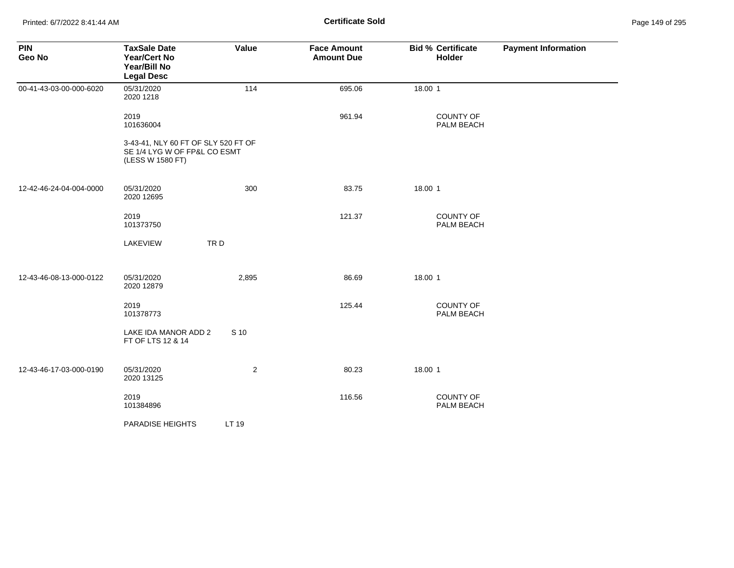| <b>PIN</b><br>Geo No    | <b>TaxSale Date</b><br>Year/Cert No<br>Year/Bill No<br><b>Legal Desc</b>                | Value          | <b>Face Amount</b><br><b>Amount Due</b> | <b>Bid % Certificate</b><br>Holder | <b>Payment Information</b> |
|-------------------------|-----------------------------------------------------------------------------------------|----------------|-----------------------------------------|------------------------------------|----------------------------|
| 00-41-43-03-00-000-6020 | 05/31/2020<br>2020 1218                                                                 | 114            | 695.06                                  | 18.00 1                            |                            |
|                         | 2019<br>101636004                                                                       |                | 961.94                                  | COUNTY OF<br>PALM BEACH            |                            |
|                         | 3-43-41, NLY 60 FT OF SLY 520 FT OF<br>SE 1/4 LYG W OF FP&L CO ESMT<br>(LESS W 1580 FT) |                |                                         |                                    |                            |
| 12-42-46-24-04-004-0000 | 05/31/2020<br>2020 12695                                                                | 300            | 83.75                                   | 18.00 1                            |                            |
|                         | 2019<br>101373750                                                                       |                | 121.37                                  | COUNTY OF<br>PALM BEACH            |                            |
|                         | <b>LAKEVIEW</b>                                                                         | TRD            |                                         |                                    |                            |
| 12-43-46-08-13-000-0122 | 05/31/2020<br>2020 12879                                                                | 2,895          | 86.69                                   | 18.00 1                            |                            |
|                         | 2019<br>101378773                                                                       |                | 125.44                                  | COUNTY OF<br>PALM BEACH            |                            |
|                         | LAKE IDA MANOR ADD 2<br>FT OF LTS 12 & 14                                               | S 10           |                                         |                                    |                            |
| 12-43-46-17-03-000-0190 | 05/31/2020<br>2020 13125                                                                | $\overline{2}$ | 80.23                                   | 18.00 1                            |                            |
|                         | 2019<br>101384896                                                                       |                | 116.56                                  | <b>COUNTY OF</b><br>PALM BEACH     |                            |
|                         | PARADISE HEIGHTS                                                                        | LT 19          |                                         |                                    |                            |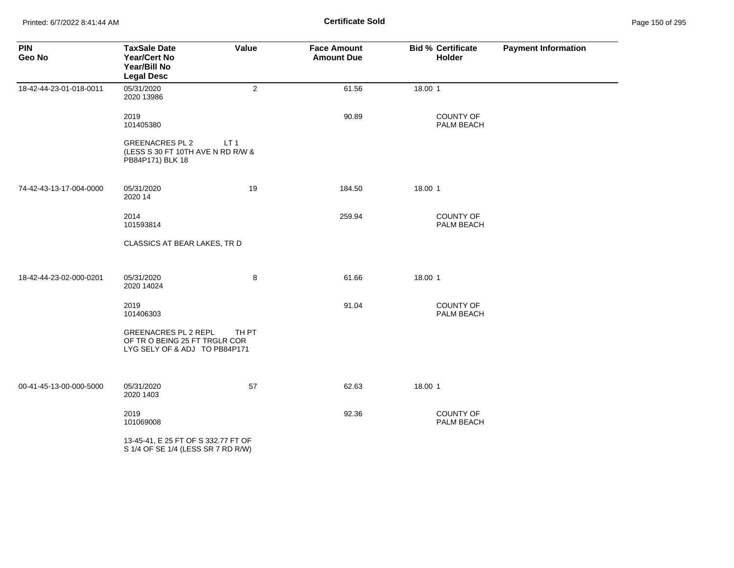Printed: 6/7/2022 8:41:44 AM **Page 150 of 295 Certificate Sold Certificate Sold** 

| <b>PIN</b><br>Geo No    | <b>TaxSale Date</b><br><b>Year/Cert No</b><br>Year/Bill No<br><b>Legal Desc</b>              | Value           | <b>Face Amount</b><br><b>Amount Due</b> | <b>Bid % Certificate</b><br>Holder | <b>Payment Information</b> |
|-------------------------|----------------------------------------------------------------------------------------------|-----------------|-----------------------------------------|------------------------------------|----------------------------|
| 18-42-44-23-01-018-0011 | 05/31/2020<br>2020 13986                                                                     | $\overline{2}$  | 61.56                                   | 18.00 1                            |                            |
|                         | 2019<br>101405380                                                                            |                 | 90.89                                   | COUNTY OF<br>PALM BEACH            |                            |
|                         | <b>GREENACRES PL 2</b><br>(LESS S 30 FT 10TH AVE N RD R/W &<br>PB84P171) BLK 18              | LT <sub>1</sub> |                                         |                                    |                            |
| 74-42-43-13-17-004-0000 | 05/31/2020<br>2020 14                                                                        | 19              | 184.50                                  | 18.00 1                            |                            |
|                         | 2014<br>101593814                                                                            |                 | 259.94                                  | <b>COUNTY OF</b><br>PALM BEACH     |                            |
|                         | CLASSICS AT BEAR LAKES, TR D                                                                 |                 |                                         |                                    |                            |
| 18-42-44-23-02-000-0201 | 05/31/2020<br>2020 14024                                                                     | 8               | 61.66                                   | 18.00 1                            |                            |
|                         | 2019<br>101406303                                                                            |                 | 91.04                                   | COUNTY OF<br>PALM BEACH            |                            |
|                         | <b>GREENACRES PL 2 REPL</b><br>OF TRO BEING 25 FT TRGLR COR<br>LYG SELY OF & ADJ TO PB84P171 | TH PT           |                                         |                                    |                            |
| 00-41-45-13-00-000-5000 | 05/31/2020<br>2020 1403                                                                      | 57              | 62.63                                   | 18.00 1                            |                            |
|                         | 2019<br>101069008                                                                            |                 | 92.36                                   | COUNTY OF<br>PALM BEACH            |                            |
|                         | 13-45-41, E 25 FT OF S 332.77 FT OF<br>S 1/4 OF SE 1/4 (LESS SR 7 RD R/W)                    |                 |                                         |                                    |                            |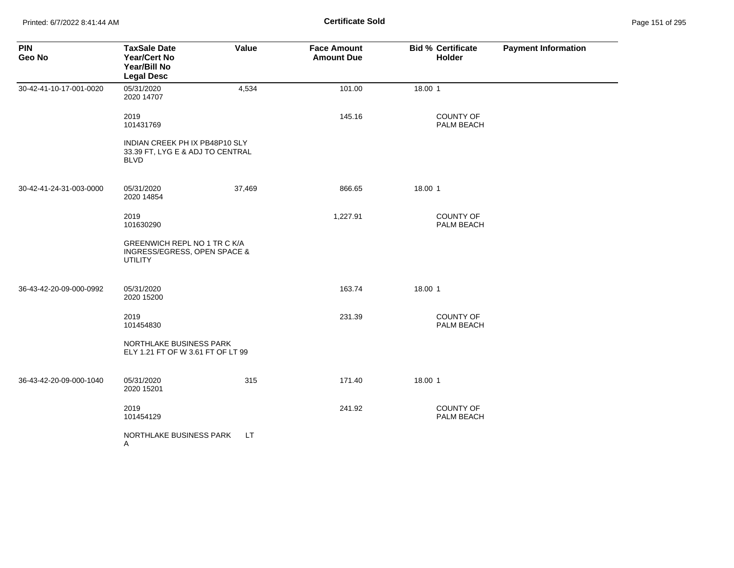| <b>PIN</b><br>Geo No    | <b>TaxSale Date</b><br><b>Year/Cert No</b><br>Year/Bill No<br><b>Legal Desc</b>   | Value     | <b>Face Amount</b><br><b>Amount Due</b> | <b>Bid % Certificate</b><br>Holder | <b>Payment Information</b> |
|-------------------------|-----------------------------------------------------------------------------------|-----------|-----------------------------------------|------------------------------------|----------------------------|
| 30-42-41-10-17-001-0020 | 05/31/2020<br>2020 14707                                                          | 4,534     | 101.00                                  | 18.00 1                            |                            |
|                         | 2019<br>101431769                                                                 |           | 145.16                                  | <b>COUNTY OF</b><br>PALM BEACH     |                            |
|                         | INDIAN CREEK PH IX PB48P10 SLY<br>33.39 FT, LYG E & ADJ TO CENTRAL<br><b>BLVD</b> |           |                                         |                                    |                            |
| 30-42-41-24-31-003-0000 | 05/31/2020<br>2020 14854                                                          | 37,469    | 866.65                                  | 18.00 1                            |                            |
|                         | 2019<br>101630290                                                                 |           | 1,227.91                                | COUNTY OF<br>PALM BEACH            |                            |
|                         | GREENWICH REPL NO 1 TR C K/A<br>INGRESS/EGRESS, OPEN SPACE &<br><b>UTILITY</b>    |           |                                         |                                    |                            |
| 36-43-42-20-09-000-0992 | 05/31/2020<br>2020 15200                                                          |           | 163.74                                  | 18.00 1                            |                            |
|                         | 2019<br>101454830                                                                 |           | 231.39                                  | <b>COUNTY OF</b><br>PALM BEACH     |                            |
|                         | NORTHLAKE BUSINESS PARK<br>ELY 1.21 FT OF W 3.61 FT OF LT 99                      |           |                                         |                                    |                            |
| 36-43-42-20-09-000-1040 | 05/31/2020<br>2020 15201                                                          | 315       | 171.40                                  | 18.00 1                            |                            |
|                         | 2019<br>101454129                                                                 |           | 241.92                                  | <b>COUNTY OF</b><br>PALM BEACH     |                            |
|                         | NORTHLAKE BUSINESS PARK<br>A                                                      | <b>LT</b> |                                         |                                    |                            |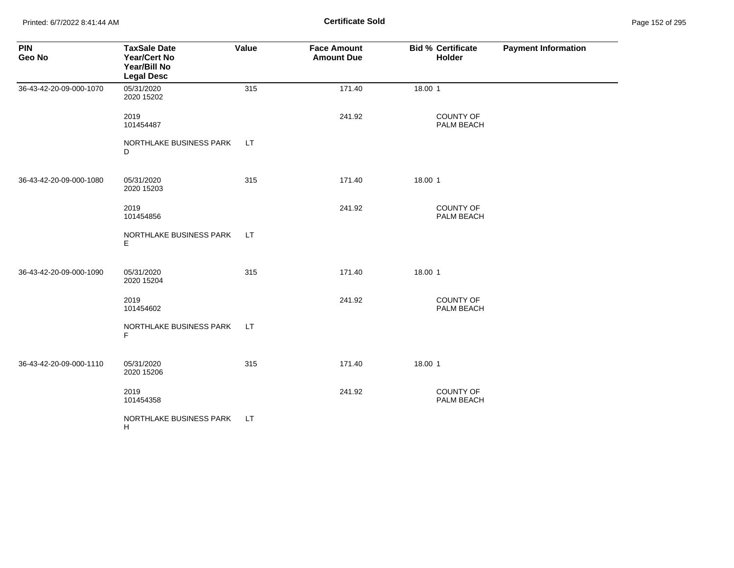Printed: 6/7/2022 8:41:44 AM **Certificate Sold** Page 152 of 295

| <b>PIN</b><br>Geo No    | <b>TaxSale Date</b><br>Year/Cert No<br>Year/Bill No<br><b>Legal Desc</b> | Value | <b>Face Amount</b><br><b>Amount Due</b> | <b>Bid % Certificate</b><br>Holder | <b>Payment Information</b> |
|-------------------------|--------------------------------------------------------------------------|-------|-----------------------------------------|------------------------------------|----------------------------|
| 36-43-42-20-09-000-1070 | 05/31/2020<br>2020 15202                                                 | 315   | 171.40                                  | 18.00 1                            |                            |
|                         | 2019<br>101454487                                                        |       | 241.92                                  | COUNTY OF<br>PALM BEACH            |                            |
|                         | NORTHLAKE BUSINESS PARK<br>D                                             | LT.   |                                         |                                    |                            |
| 36-43-42-20-09-000-1080 | 05/31/2020<br>2020 15203                                                 | 315   | 171.40                                  | 18.00 1                            |                            |
|                         | 2019<br>101454856                                                        |       | 241.92                                  | COUNTY OF<br>PALM BEACH            |                            |
|                         | NORTHLAKE BUSINESS PARK<br>E.                                            | LT.   |                                         |                                    |                            |
| 36-43-42-20-09-000-1090 | 05/31/2020<br>2020 15204                                                 | 315   | 171.40                                  | 18.00 1                            |                            |
|                         | 2019<br>101454602                                                        |       | 241.92                                  | <b>COUNTY OF</b><br>PALM BEACH     |                            |
|                         | NORTHLAKE BUSINESS PARK<br>F                                             | LT.   |                                         |                                    |                            |
| 36-43-42-20-09-000-1110 | 05/31/2020<br>2020 15206                                                 | 315   | 171.40                                  | 18.00 1                            |                            |
|                         | 2019<br>101454358                                                        |       | 241.92                                  | <b>COUNTY OF</b><br>PALM BEACH     |                            |
|                         | NORTHLAKE BUSINESS PARK<br>H                                             | LT.   |                                         |                                    |                            |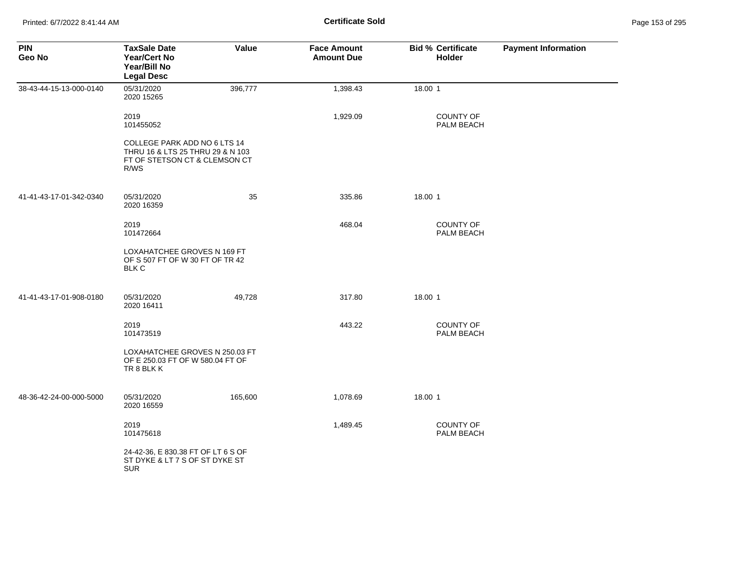| <b>PIN</b><br>Geo No    | <b>TaxSale Date</b><br><b>Year/Cert No</b><br>Year/Bill No<br><b>Legal Desc</b>                           | Value   | <b>Face Amount</b><br><b>Amount Due</b> | <b>Bid % Certificate</b><br>Holder | <b>Payment Information</b> |
|-------------------------|-----------------------------------------------------------------------------------------------------------|---------|-----------------------------------------|------------------------------------|----------------------------|
| 38-43-44-15-13-000-0140 | 05/31/2020<br>2020 15265                                                                                  | 396,777 | 1,398.43                                | 18.00 1                            |                            |
|                         | 2019<br>101455052                                                                                         |         | 1,929.09                                | <b>COUNTY OF</b><br>PALM BEACH     |                            |
|                         | COLLEGE PARK ADD NO 6 LTS 14<br>THRU 16 & LTS 25 THRU 29 & N 103<br>FT OF STETSON CT & CLEMSON CT<br>R/WS |         |                                         |                                    |                            |
| 41-41-43-17-01-342-0340 | 05/31/2020<br>2020 16359                                                                                  | 35      | 335.86                                  | 18.00 1                            |                            |
|                         | 2019<br>101472664                                                                                         |         | 468.04                                  | <b>COUNTY OF</b><br>PALM BEACH     |                            |
|                         | LOXAHATCHEE GROVES N 169 FT<br>OF S 507 FT OF W 30 FT OF TR 42<br><b>BLK C</b>                            |         |                                         |                                    |                            |
| 41-41-43-17-01-908-0180 | 05/31/2020<br>2020 16411                                                                                  | 49,728  | 317.80                                  | 18.00 1                            |                            |
|                         | 2019<br>101473519                                                                                         |         | 443.22                                  | COUNTY OF<br>PALM BEACH            |                            |
|                         | LOXAHATCHEE GROVES N 250.03 FT<br>OF E 250.03 FT OF W 580.04 FT OF<br>TR 8 BLK K                          |         |                                         |                                    |                            |
| 48-36-42-24-00-000-5000 | 05/31/2020<br>2020 16559                                                                                  | 165,600 | 1,078.69                                | 18.00 1                            |                            |
|                         | 2019<br>101475618                                                                                         |         | 1,489.45                                | COUNTY OF<br>PALM BEACH            |                            |
|                         | 24-42-36, E 830.38 FT OF LT 6 S OF<br>ST DYKE & LT 7 S OF ST DYKE ST<br><b>SUR</b>                        |         |                                         |                                    |                            |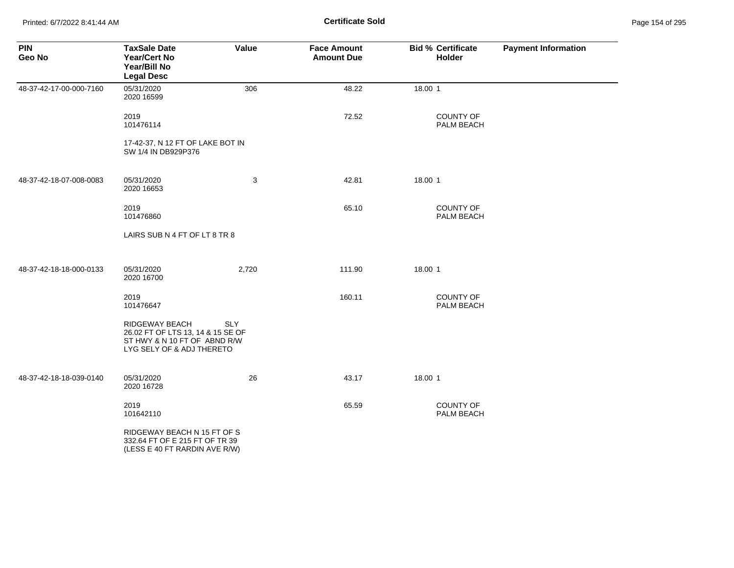Printed: 6/7/2022 8:41:44 AM **Certificate Sold** Page 154 of 295

| <b>PIN</b><br>Geo No    | <b>TaxSale Date</b><br><b>Year/Cert No</b><br>Year/Bill No<br><b>Legal Desc</b>                                  | Value      | <b>Face Amount</b><br><b>Amount Due</b> | <b>Bid % Certificate</b><br><b>Holder</b> | <b>Payment Information</b> |
|-------------------------|------------------------------------------------------------------------------------------------------------------|------------|-----------------------------------------|-------------------------------------------|----------------------------|
| 48-37-42-17-00-000-7160 | 05/31/2020<br>2020 16599                                                                                         | 306        | 48.22                                   | 18.00 1                                   |                            |
|                         | 2019<br>101476114                                                                                                |            | 72.52                                   | <b>COUNTY OF</b><br>PALM BEACH            |                            |
|                         | 17-42-37, N 12 FT OF LAKE BOT IN<br>SW 1/4 IN DB929P376                                                          |            |                                         |                                           |                            |
| 48-37-42-18-07-008-0083 | 05/31/2020<br>2020 16653                                                                                         | 3          | 42.81                                   | 18.00 1                                   |                            |
|                         | 2019<br>101476860                                                                                                |            | 65.10                                   | <b>COUNTY OF</b><br>PALM BEACH            |                            |
|                         | LAIRS SUB N 4 FT OF LT 8 TR 8                                                                                    |            |                                         |                                           |                            |
| 48-37-42-18-18-000-0133 | 05/31/2020<br>2020 16700                                                                                         | 2,720      | 111.90                                  | 18.00 1                                   |                            |
|                         | 2019<br>101476647                                                                                                |            | 160.11                                  | <b>COUNTY OF</b><br>PALM BEACH            |                            |
|                         | RIDGEWAY BEACH<br>26.02 FT OF LTS 13, 14 & 15 SE OF<br>ST HWY & N 10 FT OF ABND R/W<br>LYG SELY OF & ADJ THERETO | <b>SLY</b> |                                         |                                           |                            |
| 48-37-42-18-18-039-0140 | 05/31/2020<br>2020 16728                                                                                         | 26         | 43.17                                   | 18.00 1                                   |                            |
|                         | 2019<br>101642110                                                                                                |            | 65.59                                   | <b>COUNTY OF</b><br>PALM BEACH            |                            |
|                         | RIDGEWAY BEACH N 15 FT OF S<br>332.64 FT OF E 215 FT OF TR 39<br>(LESS E 40 FT RARDIN AVE R/W)                   |            |                                         |                                           |                            |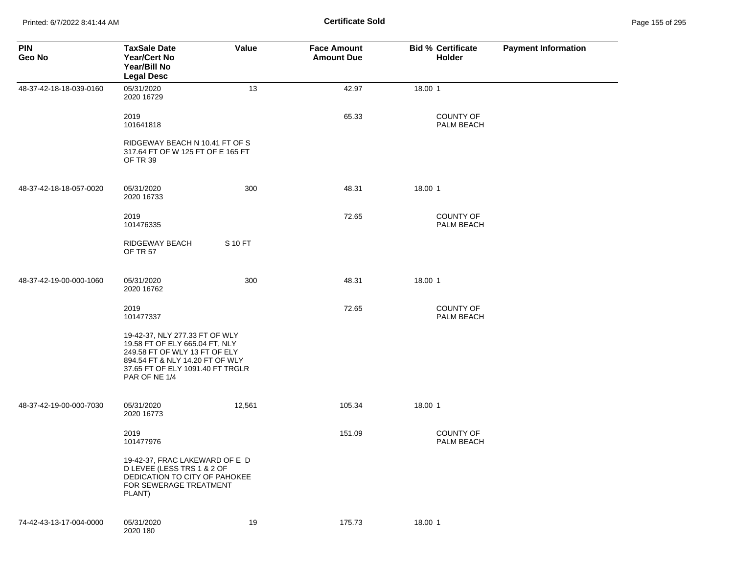Printed: 6/7/2022 8:41:44 AM **Certificate Sold** Page 155 of 295

| <b>PIN</b><br>Geo No    | <b>TaxSale Date</b><br><b>Year/Cert No</b><br>Year/Bill No<br><b>Legal Desc</b>                                                                                                           | Value   | <b>Face Amount</b><br><b>Amount Due</b> | <b>Bid % Certificate</b><br>Holder | <b>Payment Information</b> |
|-------------------------|-------------------------------------------------------------------------------------------------------------------------------------------------------------------------------------------|---------|-----------------------------------------|------------------------------------|----------------------------|
| 48-37-42-18-18-039-0160 | 05/31/2020<br>2020 16729                                                                                                                                                                  | 13      | 42.97                                   | 18.00 1                            |                            |
|                         | 2019<br>101641818                                                                                                                                                                         |         | 65.33                                   | <b>COUNTY OF</b><br>PALM BEACH     |                            |
|                         | RIDGEWAY BEACH N 10.41 FT OF S<br>317.64 FT OF W 125 FT OF E 165 FT<br>OF TR 39                                                                                                           |         |                                         |                                    |                            |
| 48-37-42-18-18-057-0020 | 05/31/2020<br>2020 16733                                                                                                                                                                  | 300     | 48.31                                   | 18.00 1                            |                            |
|                         | 2019<br>101476335                                                                                                                                                                         |         | 72.65                                   | <b>COUNTY OF</b><br>PALM BEACH     |                            |
|                         | RIDGEWAY BEACH<br><b>OF TR 57</b>                                                                                                                                                         | S 10 FT |                                         |                                    |                            |
| 48-37-42-19-00-000-1060 | 05/31/2020<br>2020 16762                                                                                                                                                                  | 300     | 48.31                                   | 18.00 1                            |                            |
|                         | 2019<br>101477337                                                                                                                                                                         |         | 72.65                                   | <b>COUNTY OF</b><br>PALM BEACH     |                            |
|                         | 19-42-37, NLY 277.33 FT OF WLY<br>19.58 FT OF ELY 665.04 FT, NLY<br>249.58 FT OF WLY 13 FT OF ELY<br>894.54 FT & NLY 14.20 FT OF WLY<br>37.65 FT OF ELY 1091.40 FT TRGLR<br>PAR OF NE 1/4 |         |                                         |                                    |                            |
| 48-37-42-19-00-000-7030 | 05/31/2020<br>2020 16773                                                                                                                                                                  | 12,561  | 105.34                                  | 18.00 1                            |                            |
|                         | 2019<br>101477976                                                                                                                                                                         |         | 151.09                                  | <b>COUNTY OF</b><br>PALM BEACH     |                            |
|                         | 19-42-37, FRAC LAKEWARD OF E D<br>D LEVEE (LESS TRS 1 & 2 OF<br>DEDICATION TO CITY OF PAHOKEE<br>FOR SEWERAGE TREATMENT<br>PLANT)                                                         |         |                                         |                                    |                            |
| 74-42-43-13-17-004-0000 | 05/31/2020<br>2020 180                                                                                                                                                                    | 19      | 175.73                                  | 18.00 1                            |                            |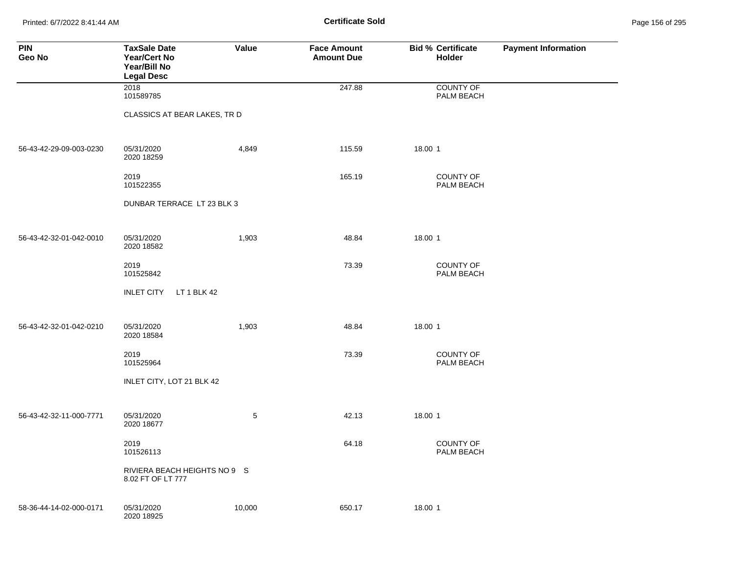Printed: 6/7/2022 8:41:44 AM **Page 156 of 295 Certificate Sold Certificate Sold** 

| <b>PIN</b><br>Geo No    | <b>TaxSale Date</b><br><b>Year/Cert No</b><br>Year/Bill No<br><b>Legal Desc</b> | Value  | <b>Face Amount</b><br><b>Amount Due</b> | <b>Bid % Certificate</b><br><b>Holder</b> | <b>Payment Information</b> |
|-------------------------|---------------------------------------------------------------------------------|--------|-----------------------------------------|-------------------------------------------|----------------------------|
|                         | 2018<br>101589785                                                               |        | 247.88                                  | <b>COUNTY OF</b><br>PALM BEACH            |                            |
|                         | CLASSICS AT BEAR LAKES, TR D                                                    |        |                                         |                                           |                            |
| 56-43-42-29-09-003-0230 | 05/31/2020<br>2020 18259                                                        | 4,849  | 115.59                                  | 18.00 1                                   |                            |
|                         | 2019<br>101522355                                                               |        | 165.19                                  | <b>COUNTY OF</b><br>PALM BEACH            |                            |
|                         | DUNBAR TERRACE LT 23 BLK 3                                                      |        |                                         |                                           |                            |
| 56-43-42-32-01-042-0010 | 05/31/2020<br>2020 18582                                                        | 1,903  | 48.84                                   | 18.00 1                                   |                            |
|                         | 2019<br>101525842                                                               |        | 73.39                                   | <b>COUNTY OF</b><br>PALM BEACH            |                            |
|                         | <b>INLET CITY</b><br>LT 1 BLK 42                                                |        |                                         |                                           |                            |
| 56-43-42-32-01-042-0210 | 05/31/2020<br>2020 18584                                                        | 1,903  | 48.84                                   | 18.00 1                                   |                            |
|                         | 2019<br>101525964                                                               |        | 73.39                                   | COUNTY OF<br>PALM BEACH                   |                            |
|                         | INLET CITY, LOT 21 BLK 42                                                       |        |                                         |                                           |                            |
| 56-43-42-32-11-000-7771 | 05/31/2020<br>2020 18677                                                        | 5      | 42.13                                   | 18.00 1                                   |                            |
|                         | 2019<br>101526113                                                               |        | 64.18                                   | <b>COUNTY OF</b><br>PALM BEACH            |                            |
|                         | RIVIERA BEACH HEIGHTS NO 9 S<br>8.02 FT OF LT 777                               |        |                                         |                                           |                            |
| 58-36-44-14-02-000-0171 | 05/31/2020<br>2020 18925                                                        | 10,000 | 650.17                                  | 18.00 1                                   |                            |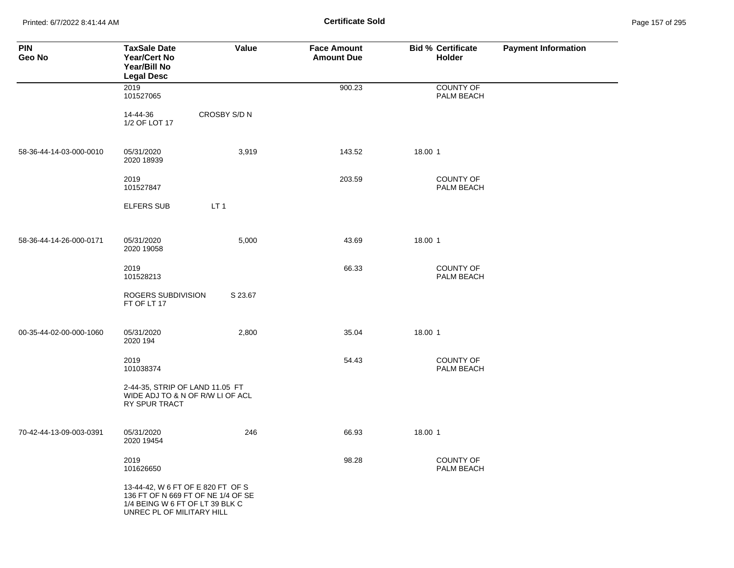Printed: 6/7/2022 8:41:44 AM **Certificate Sold** Page 157 of 295

| <b>PIN</b><br>Geo No    | <b>TaxSale Date</b><br><b>Year/Cert No</b><br>Year/Bill No<br><b>Legal Desc</b>                                                         | Value           | <b>Face Amount</b><br><b>Amount Due</b> | <b>Bid % Certificate</b><br><b>Holder</b> | <b>Payment Information</b> |
|-------------------------|-----------------------------------------------------------------------------------------------------------------------------------------|-----------------|-----------------------------------------|-------------------------------------------|----------------------------|
|                         | 2019<br>101527065                                                                                                                       |                 | 900.23                                  | <b>COUNTY OF</b><br>PALM BEACH            |                            |
|                         | 14-44-36<br>1/2 OF LOT 17                                                                                                               | CROSBY S/D N    |                                         |                                           |                            |
| 58-36-44-14-03-000-0010 | 05/31/2020<br>2020 18939                                                                                                                | 3,919           | 143.52                                  | 18.00 1                                   |                            |
|                         | 2019<br>101527847                                                                                                                       |                 | 203.59                                  | <b>COUNTY OF</b><br>PALM BEACH            |                            |
|                         | <b>ELFERS SUB</b>                                                                                                                       | LT <sub>1</sub> |                                         |                                           |                            |
| 58-36-44-14-26-000-0171 | 05/31/2020<br>2020 19058                                                                                                                | 5,000           | 43.69                                   | 18.00 1                                   |                            |
|                         | 2019<br>101528213                                                                                                                       |                 | 66.33                                   | <b>COUNTY OF</b><br>PALM BEACH            |                            |
|                         | ROGERS SUBDIVISION<br>FT OF LT 17                                                                                                       | S 23.67         |                                         |                                           |                            |
| 00-35-44-02-00-000-1060 | 05/31/2020<br>2020 194                                                                                                                  | 2,800           | 35.04                                   | 18.00 1                                   |                            |
|                         | 2019<br>101038374                                                                                                                       |                 | 54.43                                   | <b>COUNTY OF</b><br><b>PALM BEACH</b>     |                            |
|                         | 2-44-35, STRIP OF LAND 11.05 FT<br>WIDE ADJ TO & N OF R/W LI OF ACL<br>RY SPUR TRACT                                                    |                 |                                         |                                           |                            |
| 70-42-44-13-09-003-0391 | 05/31/2020<br>2020 19454                                                                                                                | 246             | 66.93                                   | 18.00 1                                   |                            |
|                         | 2019<br>101626650                                                                                                                       |                 | 98.28                                   | <b>COUNTY OF</b><br>PALM BEACH            |                            |
|                         | 13-44-42, W 6 FT OF E 820 FT OF S<br>136 FT OF N 669 FT OF NE 1/4 OF SE<br>1/4 BEING W 6 FT OF LT 39 BLK C<br>UNREC PL OF MILITARY HILL |                 |                                         |                                           |                            |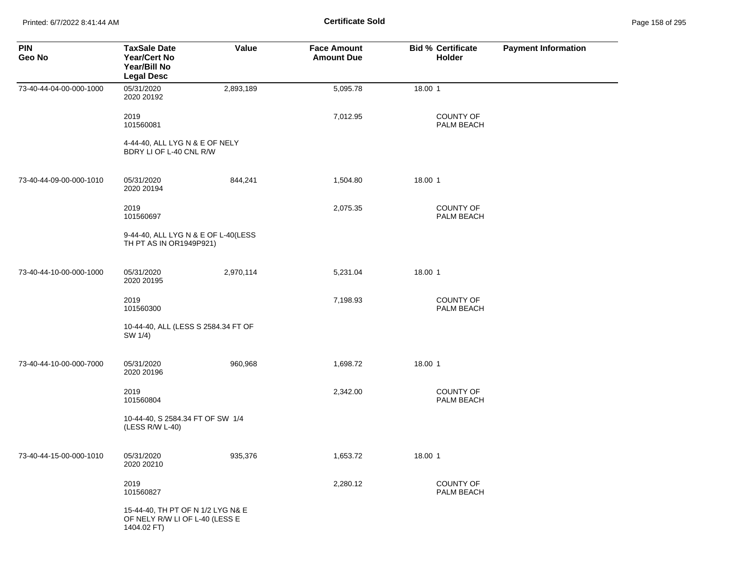Printed: 6/7/2022 8:41:44 AM **Page 158 of 295 Certificate Sold Certificate Sold** 

| <b>PIN</b><br>Geo No    | <b>TaxSale Date</b><br>Year/Cert No<br>Year/Bill No<br><b>Legal Desc</b>           | Value     | <b>Face Amount</b><br><b>Amount Due</b> | <b>Bid % Certificate</b><br><b>Holder</b> | <b>Payment Information</b> |
|-------------------------|------------------------------------------------------------------------------------|-----------|-----------------------------------------|-------------------------------------------|----------------------------|
| 73-40-44-04-00-000-1000 | 05/31/2020<br>2020 20192                                                           | 2,893,189 | 5,095.78                                | 18.00 1                                   |                            |
|                         | 2019<br>101560081                                                                  |           | 7,012.95                                | <b>COUNTY OF</b><br><b>PALM BEACH</b>     |                            |
|                         | 4-44-40, ALL LYG N & E OF NELY<br>BDRY LI OF L-40 CNL R/W                          |           |                                         |                                           |                            |
| 73-40-44-09-00-000-1010 | 05/31/2020<br>2020 20194                                                           | 844,241   | 1,504.80                                | 18.00 1                                   |                            |
|                         | 2019<br>101560697                                                                  |           | 2,075.35                                | <b>COUNTY OF</b><br>PALM BEACH            |                            |
|                         | 9-44-40, ALL LYG N & E OF L-40(LESS<br>TH PT AS IN OR1949P921)                     |           |                                         |                                           |                            |
| 73-40-44-10-00-000-1000 | 05/31/2020<br>2020 20195                                                           | 2,970,114 | 5,231.04                                | 18.00 1                                   |                            |
|                         | 2019<br>101560300                                                                  |           | 7,198.93                                | <b>COUNTY OF</b><br><b>PALM BEACH</b>     |                            |
|                         | 10-44-40, ALL (LESS S 2584.34 FT OF<br>SW 1/4)                                     |           |                                         |                                           |                            |
| 73-40-44-10-00-000-7000 | 05/31/2020<br>2020 20196                                                           | 960,968   | 1,698.72                                | 18.00 1                                   |                            |
|                         | 2019<br>101560804                                                                  |           | 2,342.00                                | <b>COUNTY OF</b><br>PALM BEACH            |                            |
|                         | 10-44-40, S 2584.34 FT OF SW 1/4<br>(LESS R/W L-40)                                |           |                                         |                                           |                            |
| 73-40-44-15-00-000-1010 | 05/31/2020<br>2020 20210                                                           | 935,376   | 1,653.72                                | 18.00 1                                   |                            |
|                         | 2019<br>101560827                                                                  |           | 2,280.12                                | COUNTY OF<br>PALM BEACH                   |                            |
|                         | 15-44-40, TH PT OF N 1/2 LYG N& E<br>OF NELY R/W LI OF L-40 (LESS E<br>1404.02 FT) |           |                                         |                                           |                            |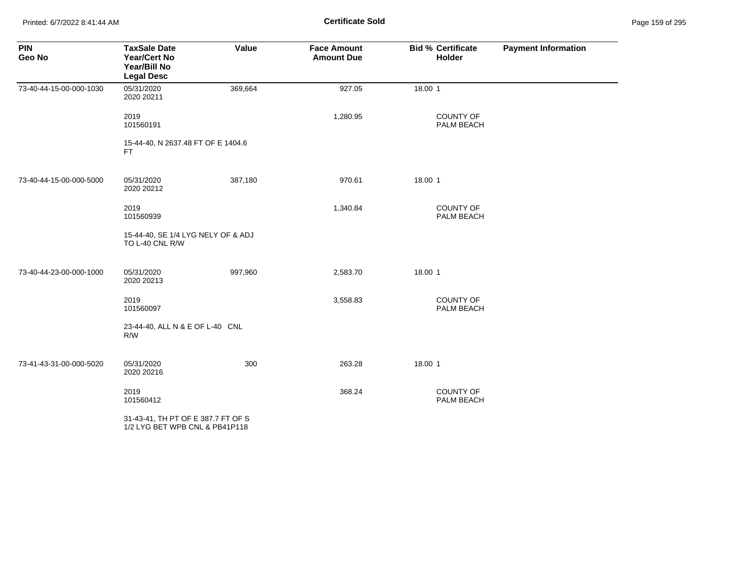Printed: 6/7/2022 8:41:44 AM **Certificate Sold** Page 159 of 295

| <b>PIN</b><br>Geo No    | <b>TaxSale Date</b><br><b>Year/Cert No</b><br>Year/Bill No<br><b>Legal Desc</b> | Value   | <b>Face Amount</b><br><b>Amount Due</b> | <b>Bid % Certificate</b><br>Holder | <b>Payment Information</b> |
|-------------------------|---------------------------------------------------------------------------------|---------|-----------------------------------------|------------------------------------|----------------------------|
| 73-40-44-15-00-000-1030 | 05/31/2020<br>2020 20211                                                        | 369,664 | 927.05                                  | 18.00 1                            |                            |
|                         | 2019<br>101560191                                                               |         | 1,280.95                                | COUNTY OF<br>PALM BEACH            |                            |
|                         | 15-44-40, N 2637.48 FT OF E 1404.6<br>FT.                                       |         |                                         |                                    |                            |
| 73-40-44-15-00-000-5000 | 05/31/2020<br>2020 20212                                                        | 387,180 | 970.61                                  | 18.00 1                            |                            |
|                         | 2019<br>101560939                                                               |         | 1,340.84                                | <b>COUNTY OF</b><br>PALM BEACH     |                            |
|                         | 15-44-40, SE 1/4 LYG NELY OF & ADJ<br>TO L-40 CNL R/W                           |         |                                         |                                    |                            |
| 73-40-44-23-00-000-1000 | 05/31/2020<br>2020 20213                                                        | 997,960 | 2,583.70                                | 18.00 1                            |                            |
|                         | 2019<br>101560097                                                               |         | 3,558.83                                | COUNTY OF<br>PALM BEACH            |                            |
|                         | 23-44-40, ALL N & E OF L-40 CNL<br>R/W                                          |         |                                         |                                    |                            |
| 73-41-43-31-00-000-5020 | 05/31/2020<br>2020 20216                                                        | 300     | 263.28                                  | 18.00 1                            |                            |
|                         | 2019<br>101560412                                                               |         | 368.24                                  | COUNTY OF<br>PALM BEACH            |                            |
|                         | 31-43-41, TH PT OF E 387.7 FT OF S<br>1/2 LYG BET WPB CNL & PB41P118            |         |                                         |                                    |                            |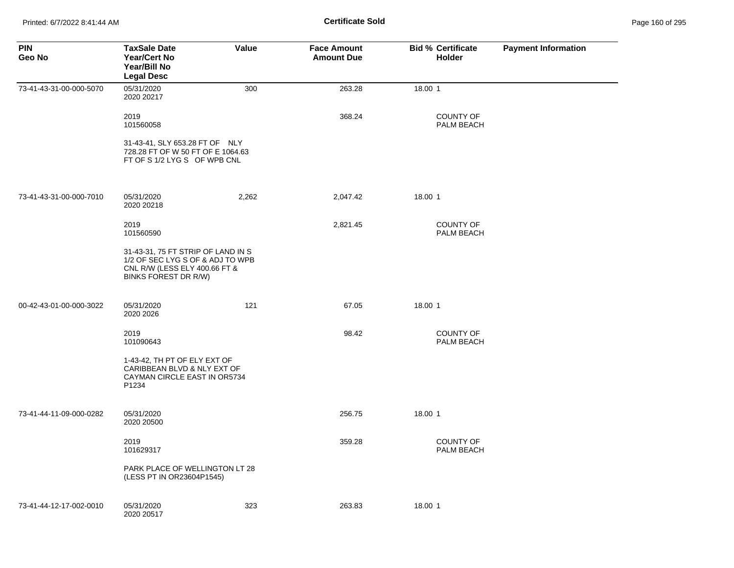| <b>PIN</b><br>Geo No    | <b>TaxSale Date</b><br>Year/Cert No<br>Year/Bill No<br><b>Legal Desc</b>                                                        | Value | <b>Face Amount</b><br><b>Amount Due</b> | <b>Bid % Certificate</b><br>Holder | <b>Payment Information</b> |
|-------------------------|---------------------------------------------------------------------------------------------------------------------------------|-------|-----------------------------------------|------------------------------------|----------------------------|
| 73-41-43-31-00-000-5070 | 05/31/2020<br>2020 20217                                                                                                        | 300   | 263.28                                  | 18.00 1                            |                            |
|                         | 2019<br>101560058                                                                                                               |       | 368.24                                  | <b>COUNTY OF</b><br>PALM BEACH     |                            |
|                         | 31-43-41, SLY 653.28 FT OF NLY<br>728.28 FT OF W 50 FT OF E 1064.63<br>FT OF S 1/2 LYG S OF WPB CNL                             |       |                                         |                                    |                            |
| 73-41-43-31-00-000-7010 | 05/31/2020<br>2020 20218                                                                                                        | 2,262 | 2,047.42                                | 18.00 1                            |                            |
|                         | 2019<br>101560590                                                                                                               |       | 2,821.45                                | <b>COUNTY OF</b><br>PALM BEACH     |                            |
|                         | 31-43-31, 75 FT STRIP OF LAND IN S<br>1/2 OF SEC LYG S OF & ADJ TO WPB<br>CNL R/W (LESS ELY 400.66 FT &<br>BINKS FOREST DR R/W) |       |                                         |                                    |                            |
| 00-42-43-01-00-000-3022 | 05/31/2020<br>2020 2026                                                                                                         | 121   | 67.05                                   | 18.00 1                            |                            |
|                         | 2019<br>101090643                                                                                                               |       | 98.42                                   | <b>COUNTY OF</b><br>PALM BEACH     |                            |
|                         | 1-43-42, TH PT OF ELY EXT OF<br>CARIBBEAN BLVD & NLY EXT OF<br>CAYMAN CIRCLE EAST IN OR5734<br>P1234                            |       |                                         |                                    |                            |
| 73-41-44-11-09-000-0282 | 05/31/2020<br>2020 20500                                                                                                        |       | 256.75                                  | 18.00 1                            |                            |
|                         | 2019<br>101629317                                                                                                               |       | 359.28                                  | <b>COUNTY OF</b><br>PALM BEACH     |                            |
|                         | PARK PLACE OF WELLINGTON LT 28<br>(LESS PT IN OR23604P1545)                                                                     |       |                                         |                                    |                            |
| 73-41-44-12-17-002-0010 | 05/31/2020<br>2020 20517                                                                                                        | 323   | 263.83                                  | 18.00 1                            |                            |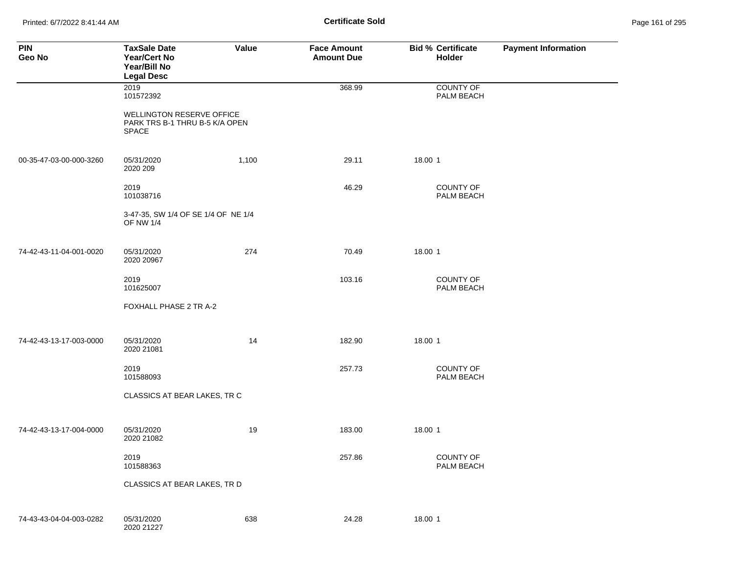Printed: 6/7/2022 8:41:44 AM **Certificate Sold** Page 161 of 295

| <b>PIN</b><br>Geo No    | <b>TaxSale Date</b><br><b>Year/Cert No</b><br>Year/Bill No<br><b>Legal Desc</b>    | Value | <b>Face Amount</b><br><b>Amount Due</b> | <b>Bid % Certificate</b><br>Holder | <b>Payment Information</b> |
|-------------------------|------------------------------------------------------------------------------------|-------|-----------------------------------------|------------------------------------|----------------------------|
|                         | 2019<br>101572392                                                                  |       | 368.99                                  | <b>COUNTY OF</b><br>PALM BEACH     |                            |
|                         | <b>WELLINGTON RESERVE OFFICE</b><br>PARK TRS B-1 THRU B-5 K/A OPEN<br><b>SPACE</b> |       |                                         |                                    |                            |
| 00-35-47-03-00-000-3260 | 05/31/2020<br>2020 209                                                             | 1,100 | 29.11                                   | 18.00 1                            |                            |
|                         | 2019<br>101038716                                                                  |       | 46.29                                   | COUNTY OF<br>PALM BEACH            |                            |
|                         | 3-47-35, SW 1/4 OF SE 1/4 OF NE 1/4<br><b>OF NW 1/4</b>                            |       |                                         |                                    |                            |
| 74-42-43-11-04-001-0020 | 05/31/2020<br>2020 20967                                                           | 274   | 70.49                                   | 18.00 1                            |                            |
|                         | 2019<br>101625007                                                                  |       | 103.16                                  | <b>COUNTY OF</b><br>PALM BEACH     |                            |
|                         | FOXHALL PHASE 2 TR A-2                                                             |       |                                         |                                    |                            |
| 74-42-43-13-17-003-0000 | 05/31/2020<br>2020 21081                                                           | 14    | 182.90                                  | 18.00 1                            |                            |
|                         | 2019<br>101588093                                                                  |       | 257.73                                  | <b>COUNTY OF</b><br>PALM BEACH     |                            |
|                         | CLASSICS AT BEAR LAKES, TR C                                                       |       |                                         |                                    |                            |
| 74-42-43-13-17-004-0000 | 05/31/2020<br>2020 21082                                                           | 19    | 183.00                                  | 18.00 1                            |                            |
|                         | 2019<br>101588363                                                                  |       | 257.86                                  | <b>COUNTY OF</b><br>PALM BEACH     |                            |
|                         | CLASSICS AT BEAR LAKES, TR D                                                       |       |                                         |                                    |                            |
| 74-43-43-04-04-003-0282 | 05/31/2020<br>2020 21227                                                           | 638   | 24.28                                   | 18.00 1                            |                            |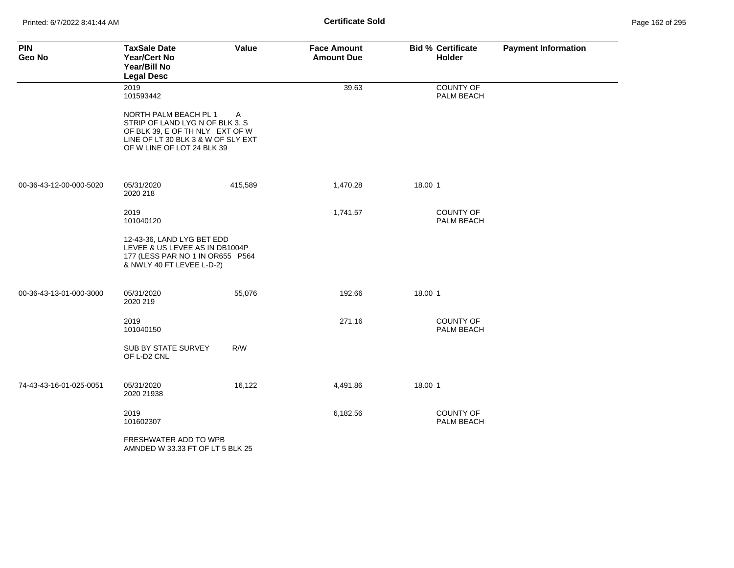| <b>PIN</b><br>Geo No    | <b>TaxSale Date</b><br>Year/Cert No<br>Year/Bill No<br><b>Legal Desc</b>                                                                                        | Value   | <b>Face Amount</b><br><b>Amount Due</b> | <b>Bid % Certificate</b><br><b>Holder</b> | <b>Payment Information</b> |
|-------------------------|-----------------------------------------------------------------------------------------------------------------------------------------------------------------|---------|-----------------------------------------|-------------------------------------------|----------------------------|
|                         | 2019<br>101593442                                                                                                                                               |         | 39.63                                   | COUNTY OF<br>PALM BEACH                   |                            |
|                         | NORTH PALM BEACH PL 1<br>STRIP OF LAND LYG N OF BLK 3, S<br>OF BLK 39, E OF TH NLY EXT OF W<br>LINE OF LT 30 BLK 3 & W OF SLY EXT<br>OF W LINE OF LOT 24 BLK 39 | A       |                                         |                                           |                            |
| 00-36-43-12-00-000-5020 | 05/31/2020<br>2020 218                                                                                                                                          | 415,589 | 1,470.28                                | 18.00 1                                   |                            |
|                         | 2019<br>101040120                                                                                                                                               |         | 1,741.57                                | <b>COUNTY OF</b><br>PALM BEACH            |                            |
|                         | 12-43-36, LAND LYG BET EDD<br>LEVEE & US LEVEE AS IN DB1004P<br>177 (LESS PAR NO 1 IN OR655 P564<br>& NWLY 40 FT LEVEE L-D-2)                                   |         |                                         |                                           |                            |
| 00-36-43-13-01-000-3000 | 05/31/2020<br>2020 219                                                                                                                                          | 55,076  | 192.66                                  | 18.00 1                                   |                            |
|                         | 2019<br>101040150                                                                                                                                               |         | 271.16                                  | COUNTY OF<br>PALM BEACH                   |                            |
|                         | SUB BY STATE SURVEY<br>OF L-D2 CNL                                                                                                                              | R/W     |                                         |                                           |                            |
| 74-43-43-16-01-025-0051 | 05/31/2020<br>2020 21938                                                                                                                                        | 16,122  | 4,491.86                                | 18.00 1                                   |                            |
|                         | 2019<br>101602307                                                                                                                                               |         | 6,182.56                                | <b>COUNTY OF</b><br>PALM BEACH            |                            |
|                         | FRESHWATER ADD TO WPB<br>AMNDED W 33.33 FT OF LT 5 BLK 25                                                                                                       |         |                                         |                                           |                            |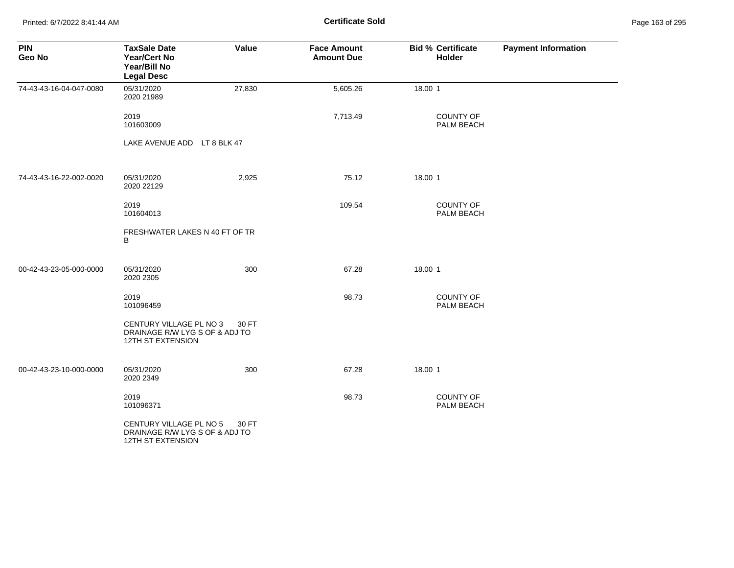Printed: 6/7/2022 8:41:44 AM **Certificate Sold** Page 163 of 295

| <b>PIN</b><br>Geo No    | <b>TaxSale Date</b><br><b>Year/Cert No</b><br>Year/Bill No<br><b>Legal Desc</b> | Value  | <b>Face Amount</b><br><b>Amount Due</b> | <b>Bid % Certificate</b><br>Holder | <b>Payment Information</b> |
|-------------------------|---------------------------------------------------------------------------------|--------|-----------------------------------------|------------------------------------|----------------------------|
| 74-43-43-16-04-047-0080 | 05/31/2020<br>2020 21989                                                        | 27,830 | 5,605.26                                | 18.00 1                            |                            |
|                         | 2019<br>101603009                                                               |        | 7,713.49                                | COUNTY OF<br>PALM BEACH            |                            |
|                         | LAKE AVENUE ADD LT 8 BLK 47                                                     |        |                                         |                                    |                            |
| 74-43-43-16-22-002-0020 | 05/31/2020<br>2020 22129                                                        | 2,925  | 75.12                                   | 18.00 1                            |                            |
|                         | 2019<br>101604013                                                               |        | 109.54                                  | <b>COUNTY OF</b><br>PALM BEACH     |                            |
|                         | FRESHWATER LAKES N 40 FT OF TR<br>B                                             |        |                                         |                                    |                            |
| 00-42-43-23-05-000-0000 | 05/31/2020<br>2020 2305                                                         | 300    | 67.28                                   | 18.00 1                            |                            |
|                         | 2019<br>101096459                                                               |        | 98.73                                   | <b>COUNTY OF</b><br>PALM BEACH     |                            |
|                         | CENTURY VILLAGE PL NO 3<br>DRAINAGE R/W LYG S OF & ADJ TO<br>12TH ST EXTENSION  | 30 FT  |                                         |                                    |                            |
| 00-42-43-23-10-000-0000 | 05/31/2020<br>2020 2349                                                         | 300    | 67.28                                   | 18.00 1                            |                            |
|                         | 2019<br>101096371                                                               |        | 98.73                                   | COUNTY OF<br>PALM BEACH            |                            |
|                         | CENTURY VILLAGE PL NO 5<br>DRAINAGE R/W LYG S OF & ADJ TO<br>12TH ST EXTENSION  | 30 FT  |                                         |                                    |                            |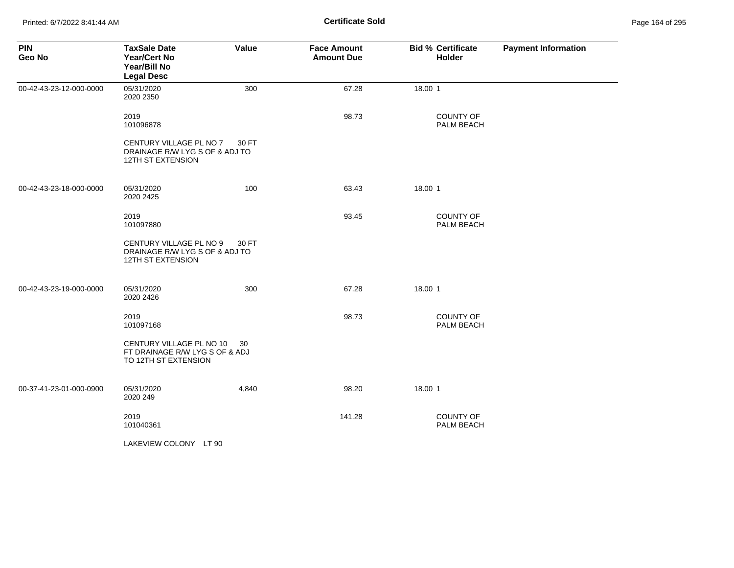| <b>PIN</b><br>Geo No    | <b>TaxSale Date</b><br><b>Year/Cert No</b><br>Year/Bill No<br><b>Legal Desc</b>       | Value | <b>Face Amount</b><br><b>Amount Due</b> | <b>Bid % Certificate</b><br><b>Holder</b> | <b>Payment Information</b> |
|-------------------------|---------------------------------------------------------------------------------------|-------|-----------------------------------------|-------------------------------------------|----------------------------|
| 00-42-43-23-12-000-0000 | 05/31/2020<br>2020 2350                                                               | 300   | 67.28                                   | 18.00 1                                   |                            |
|                         | 2019<br>101096878                                                                     |       | 98.73                                   | <b>COUNTY OF</b><br>PALM BEACH            |                            |
|                         | CENTURY VILLAGE PL NO 7<br>DRAINAGE R/W LYG S OF & ADJ TO<br>12TH ST EXTENSION        | 30 FT |                                         |                                           |                            |
| 00-42-43-23-18-000-0000 | 05/31/2020<br>2020 2425                                                               | 100   | 63.43                                   | 18.00 1                                   |                            |
|                         | 2019<br>101097880                                                                     |       | 93.45                                   | <b>COUNTY OF</b><br>PALM BEACH            |                            |
|                         | CENTURY VILLAGE PL NO 9<br>DRAINAGE R/W LYG S OF & ADJ TO<br><b>12TH ST EXTENSION</b> | 30 FT |                                         |                                           |                            |
| 00-42-43-23-19-000-0000 | 05/31/2020<br>2020 2426                                                               | 300   | 67.28                                   | 18.00 1                                   |                            |
|                         | 2019<br>101097168                                                                     |       | 98.73                                   | COUNTY OF<br>PALM BEACH                   |                            |
|                         | CENTURY VILLAGE PL NO 10<br>FT DRAINAGE R/W LYG S OF & ADJ<br>TO 12TH ST EXTENSION    | -30   |                                         |                                           |                            |
| 00-37-41-23-01-000-0900 | 05/31/2020<br>2020 249                                                                | 4,840 | 98.20                                   | 18.00 1                                   |                            |
|                         | 2019<br>101040361                                                                     |       | 141.28                                  | COUNTY OF<br>PALM BEACH                   |                            |
|                         | LAKEVIEW COLONY LT 90                                                                 |       |                                         |                                           |                            |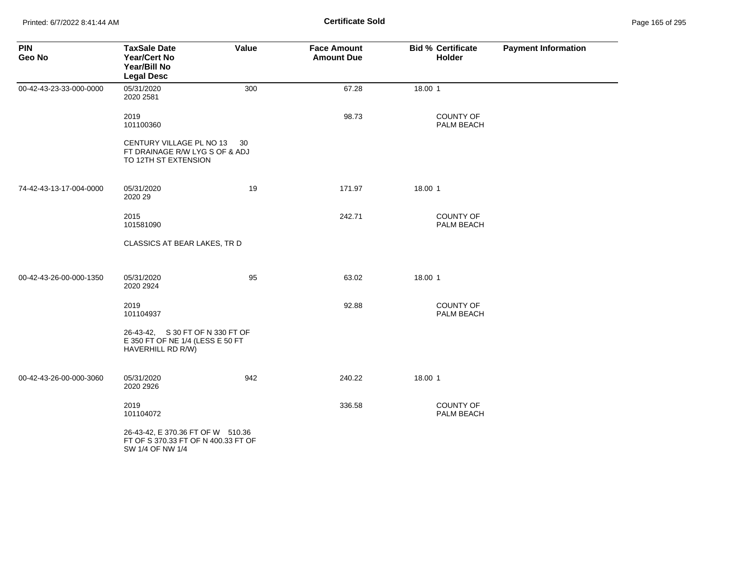Printed: 6/7/2022 8:41:44 AM **Certificate Sold** Page 165 of 295

| <b>PIN</b><br>Geo No    | <b>TaxSale Date</b><br><b>Year/Cert No</b><br>Year/Bill No<br><b>Legal Desc</b>              | Value | <b>Face Amount</b><br><b>Amount Due</b> | <b>Bid % Certificate</b><br>Holder | <b>Payment Information</b> |
|-------------------------|----------------------------------------------------------------------------------------------|-------|-----------------------------------------|------------------------------------|----------------------------|
| 00-42-43-23-33-000-0000 | 05/31/2020<br>2020 2581                                                                      | 300   | 67.28                                   | 18.00 1                            |                            |
|                         | 2019<br>101100360                                                                            |       | 98.73                                   | <b>COUNTY OF</b><br>PALM BEACH     |                            |
|                         | CENTURY VILLAGE PL NO 13<br>FT DRAINAGE R/W LYG S OF & ADJ<br>TO 12TH ST EXTENSION           | -30   |                                         |                                    |                            |
| 74-42-43-13-17-004-0000 | 05/31/2020<br>2020 29                                                                        | 19    | 171.97                                  | 18.00 1                            |                            |
|                         | 2015<br>101581090                                                                            |       | 242.71                                  | <b>COUNTY OF</b><br>PALM BEACH     |                            |
|                         | CLASSICS AT BEAR LAKES, TR D                                                                 |       |                                         |                                    |                            |
| 00-42-43-26-00-000-1350 | 05/31/2020<br>2020 2924                                                                      | 95    | 63.02                                   | 18.00 1                            |                            |
|                         | 2019<br>101104937                                                                            |       | 92.88                                   | <b>COUNTY OF</b><br>PALM BEACH     |                            |
|                         | 26-43-42, S 30 FT OF N 330 FT OF<br>E 350 FT OF NE 1/4 (LESS E 50 FT<br>HAVERHILL RD R/W)    |       |                                         |                                    |                            |
| 00-42-43-26-00-000-3060 | 05/31/2020<br>2020 2926                                                                      | 942   | 240.22                                  | 18.00 1                            |                            |
|                         | 2019<br>101104072                                                                            |       | 336.58                                  | <b>COUNTY OF</b><br>PALM BEACH     |                            |
|                         | 26-43-42, E 370.36 FT OF W 510.36<br>FT OF S 370.33 FT OF N 400.33 FT OF<br>SW 1/4 OF NW 1/4 |       |                                         |                                    |                            |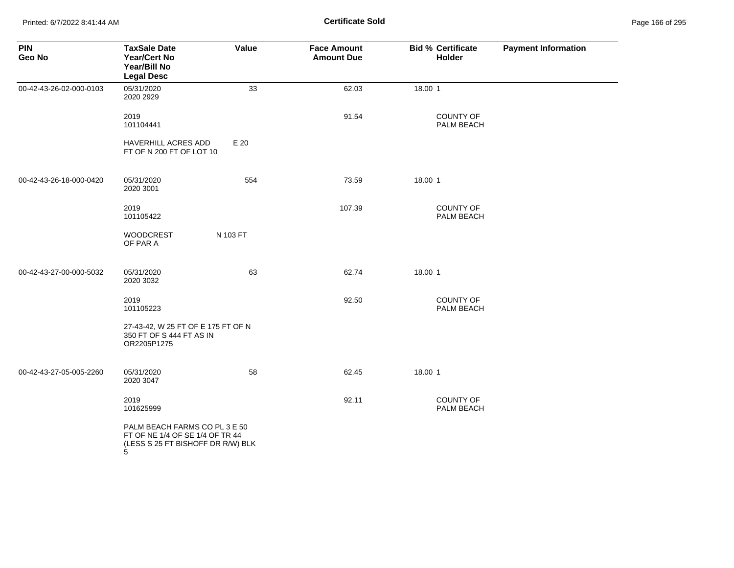Printed: 6/7/2022 8:41:44 AM **Page 166 of 295 Certificate Sold Certificate Sold** 

| <b>PIN</b><br>Geo No    | <b>TaxSale Date</b><br><b>Year/Cert No</b><br>Year/Bill No<br><b>Legal Desc</b>                            | Value    | <b>Face Amount</b><br><b>Amount Due</b> | <b>Bid % Certificate</b><br>Holder | <b>Payment Information</b> |
|-------------------------|------------------------------------------------------------------------------------------------------------|----------|-----------------------------------------|------------------------------------|----------------------------|
| 00-42-43-26-02-000-0103 | 05/31/2020<br>2020 2929                                                                                    | 33       | 62.03                                   | 18.00 1                            |                            |
|                         | 2019<br>101104441                                                                                          |          | 91.54                                   | <b>COUNTY OF</b><br>PALM BEACH     |                            |
|                         | HAVERHILL ACRES ADD<br>FT OF N 200 FT OF LOT 10                                                            | E 20     |                                         |                                    |                            |
| 00-42-43-26-18-000-0420 | 05/31/2020<br>2020 3001                                                                                    | 554      | 73.59                                   | 18.00 1                            |                            |
|                         | 2019<br>101105422                                                                                          |          | 107.39                                  | <b>COUNTY OF</b><br>PALM BEACH     |                            |
|                         | <b>WOODCREST</b><br>OF PAR A                                                                               | N 103 FT |                                         |                                    |                            |
| 00-42-43-27-00-000-5032 | 05/31/2020<br>2020 3032                                                                                    | 63       | 62.74                                   | 18.00 1                            |                            |
|                         | 2019<br>101105223                                                                                          |          | 92.50                                   | COUNTY OF<br>PALM BEACH            |                            |
|                         | 27-43-42, W 25 FT OF E 175 FT OF N<br>350 FT OF S 444 FT AS IN<br>OR2205P1275                              |          |                                         |                                    |                            |
| 00-42-43-27-05-005-2260 | 05/31/2020<br>2020 3047                                                                                    | 58       | 62.45                                   | 18.00 1                            |                            |
|                         | 2019<br>101625999                                                                                          |          | 92.11                                   | COUNTY OF<br>PALM BEACH            |                            |
|                         | PALM BEACH FARMS CO PL 3 E 50<br>FT OF NE 1/4 OF SE 1/4 OF TR 44<br>(LESS S 25 FT BISHOFF DR R/W) BLK<br>5 |          |                                         |                                    |                            |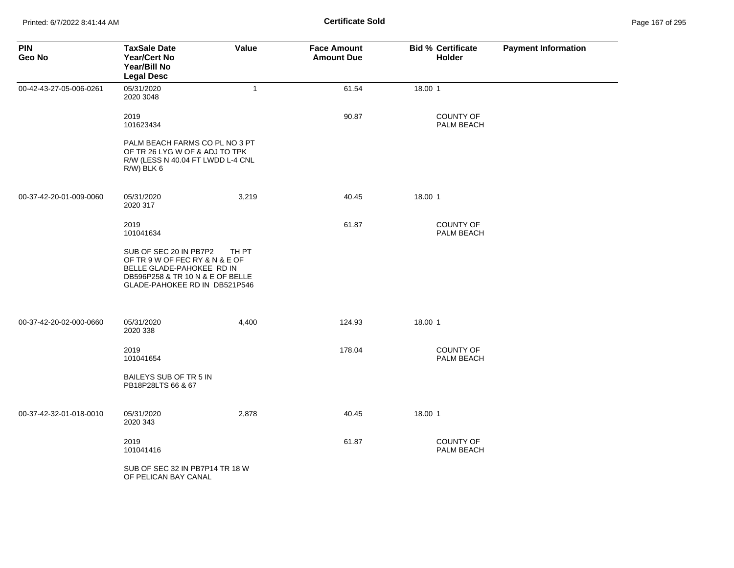| <b>PIN</b><br>Geo No    | <b>TaxSale Date</b><br>Year/Cert No<br>Year/Bill No<br><b>Legal Desc</b>                                                                                   | Value        | <b>Face Amount</b><br><b>Amount Due</b> | <b>Bid % Certificate</b><br><b>Holder</b> | <b>Payment Information</b> |
|-------------------------|------------------------------------------------------------------------------------------------------------------------------------------------------------|--------------|-----------------------------------------|-------------------------------------------|----------------------------|
| 00-42-43-27-05-006-0261 | 05/31/2020<br>2020 3048                                                                                                                                    | $\mathbf{1}$ | 61.54                                   | 18.00 1                                   |                            |
|                         | 2019<br>101623434                                                                                                                                          |              | 90.87                                   | <b>COUNTY OF</b><br>PALM BEACH            |                            |
|                         | PALM BEACH FARMS CO PL NO 3 PT<br>OF TR 26 LYG W OF & ADJ TO TPK<br>R/W (LESS N 40.04 FT LWDD L-4 CNL<br>R/W) BLK 6                                        |              |                                         |                                           |                            |
| 00-37-42-20-01-009-0060 | 05/31/2020<br>2020 317                                                                                                                                     | 3,219        | 40.45                                   | 18.00 1                                   |                            |
|                         | 2019<br>101041634                                                                                                                                          |              | 61.87                                   | <b>COUNTY OF</b><br>PALM BEACH            |                            |
|                         | SUB OF SEC 20 IN PB7P2<br>OF TR 9 W OF FEC RY & N & E OF<br>BELLE GLADE-PAHOKEE RD IN<br>DB596P258 & TR 10 N & E OF BELLE<br>GLADE-PAHOKEE RD IN DB521P546 | TH PT        |                                         |                                           |                            |
| 00-37-42-20-02-000-0660 | 05/31/2020<br>2020 338                                                                                                                                     | 4,400        | 124.93                                  | 18.00 1                                   |                            |
|                         | 2019<br>101041654                                                                                                                                          |              | 178.04                                  | <b>COUNTY OF</b><br>PALM BEACH            |                            |
|                         | BAILEYS SUB OF TR 5 IN<br>PB18P28LTS 66 & 67                                                                                                               |              |                                         |                                           |                            |
| 00-37-42-32-01-018-0010 | 05/31/2020<br>2020 343                                                                                                                                     | 2,878        | 40.45                                   | 18.00 1                                   |                            |
|                         | 2019<br>101041416                                                                                                                                          |              | 61.87                                   | COUNTY OF<br>PALM BEACH                   |                            |
|                         | SUB OF SEC 32 IN PB7P14 TR 18 W<br>OF PELICAN BAY CANAL                                                                                                    |              |                                         |                                           |                            |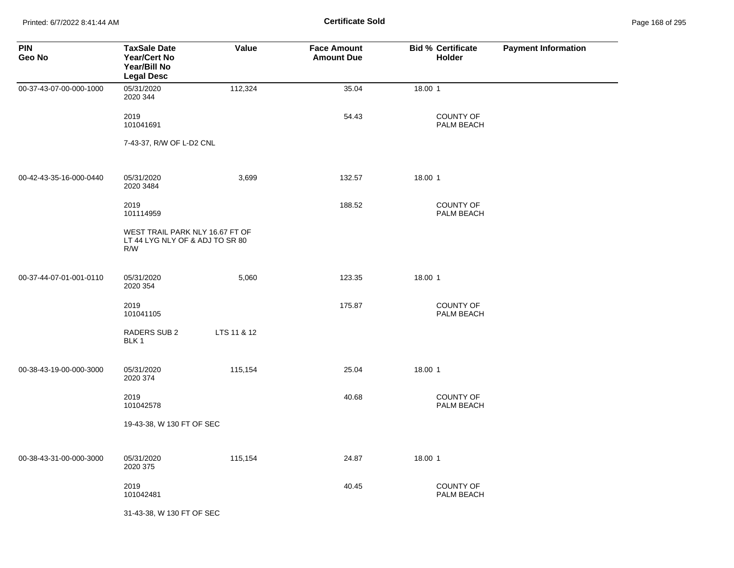Printed: 6/7/2022 8:41:44 AM **Page 168 of 295 Certificate Sold Certificate Sold** 

| <b>PIN</b><br>Geo No    | <b>TaxSale Date</b><br><b>Year/Cert No</b><br>Year/Bill No<br><b>Legal Desc</b> | Value       | <b>Face Amount</b><br><b>Amount Due</b> | <b>Bid % Certificate</b><br>Holder | <b>Payment Information</b> |
|-------------------------|---------------------------------------------------------------------------------|-------------|-----------------------------------------|------------------------------------|----------------------------|
| 00-37-43-07-00-000-1000 | 05/31/2020<br>2020 344                                                          | 112,324     | 35.04                                   | 18.00 1                            |                            |
|                         | 2019<br>101041691                                                               |             | 54.43                                   | COUNTY OF<br>PALM BEACH            |                            |
|                         | 7-43-37, R/W OF L-D2 CNL                                                        |             |                                         |                                    |                            |
| 00-42-43-35-16-000-0440 | 05/31/2020<br>2020 3484                                                         | 3,699       | 132.57                                  | 18.00 1                            |                            |
|                         | 2019<br>101114959                                                               |             | 188.52                                  | COUNTY OF<br>PALM BEACH            |                            |
|                         | WEST TRAIL PARK NLY 16.67 FT OF<br>LT 44 LYG NLY OF & ADJ TO SR 80<br>R/W       |             |                                         |                                    |                            |
| 00-37-44-07-01-001-0110 | 05/31/2020<br>2020 354                                                          | 5,060       | 123.35                                  | 18.00 1                            |                            |
|                         | 2019<br>101041105                                                               |             | 175.87                                  | <b>COUNTY OF</b><br>PALM BEACH     |                            |
|                         | RADERS SUB 2<br>BLK 1                                                           | LTS 11 & 12 |                                         |                                    |                            |
| 00-38-43-19-00-000-3000 | 05/31/2020<br>2020 374                                                          | 115,154     | 25.04                                   | 18.00 1                            |                            |
|                         | 2019<br>101042578                                                               |             | 40.68                                   | <b>COUNTY OF</b><br>PALM BEACH     |                            |
|                         | 19-43-38, W 130 FT OF SEC                                                       |             |                                         |                                    |                            |
| 00-38-43-31-00-000-3000 | 05/31/2020<br>2020 375                                                          | 115,154     | 24.87                                   | 18.00 1                            |                            |
|                         | 2019<br>101042481                                                               |             | 40.45                                   | <b>COUNTY OF</b><br>PALM BEACH     |                            |
|                         | 31-43-38, W 130 FT OF SEC                                                       |             |                                         |                                    |                            |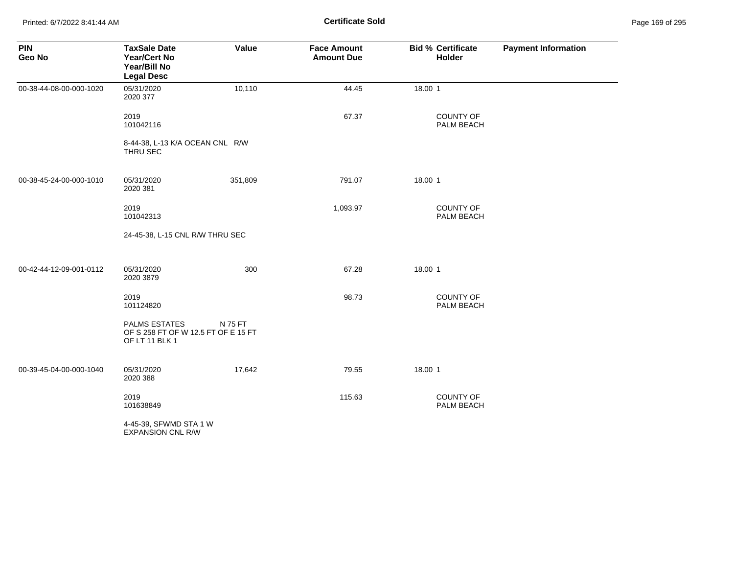Printed: 6/7/2022 8:41:44 AM **Certificate Sold** Page 169 of 295

| <b>PIN</b><br>Geo No    | <b>TaxSale Date</b><br>Year/Cert No<br>Year/Bill No<br><b>Legal Desc</b>      | Value   | <b>Face Amount</b><br><b>Amount Due</b> | <b>Bid % Certificate</b><br>Holder | <b>Payment Information</b> |
|-------------------------|-------------------------------------------------------------------------------|---------|-----------------------------------------|------------------------------------|----------------------------|
| 00-38-44-08-00-000-1020 | 05/31/2020<br>2020 377                                                        | 10,110  | 44.45                                   | 18.00 1                            |                            |
|                         | 2019<br>101042116                                                             |         | 67.37                                   | COUNTY OF<br>PALM BEACH            |                            |
|                         | 8-44-38, L-13 K/A OCEAN CNL R/W<br>THRU SEC                                   |         |                                         |                                    |                            |
| 00-38-45-24-00-000-1010 | 05/31/2020<br>2020 381                                                        | 351,809 | 791.07                                  | 18.00 1                            |                            |
|                         | 2019<br>101042313                                                             |         | 1,093.97                                | <b>COUNTY OF</b><br>PALM BEACH     |                            |
|                         | 24-45-38, L-15 CNL R/W THRU SEC                                               |         |                                         |                                    |                            |
| 00-42-44-12-09-001-0112 | 05/31/2020<br>2020 3879                                                       | 300     | 67.28                                   | 18.00 1                            |                            |
|                         | 2019<br>101124820                                                             |         | 98.73                                   | COUNTY OF<br>PALM BEACH            |                            |
|                         | <b>PALMS ESTATES</b><br>OF S 258 FT OF W 12.5 FT OF E 15 FT<br>OF LT 11 BLK 1 | N 75 FT |                                         |                                    |                            |
| 00-39-45-04-00-000-1040 | 05/31/2020<br>2020 388                                                        | 17,642  | 79.55                                   | 18.00 1                            |                            |
|                         | 2019<br>101638849                                                             |         | 115.63                                  | <b>COUNTY OF</b><br>PALM BEACH     |                            |
|                         | 4-45-39, SFWMD STA 1 W<br><b>EXPANSION CNL R/W</b>                            |         |                                         |                                    |                            |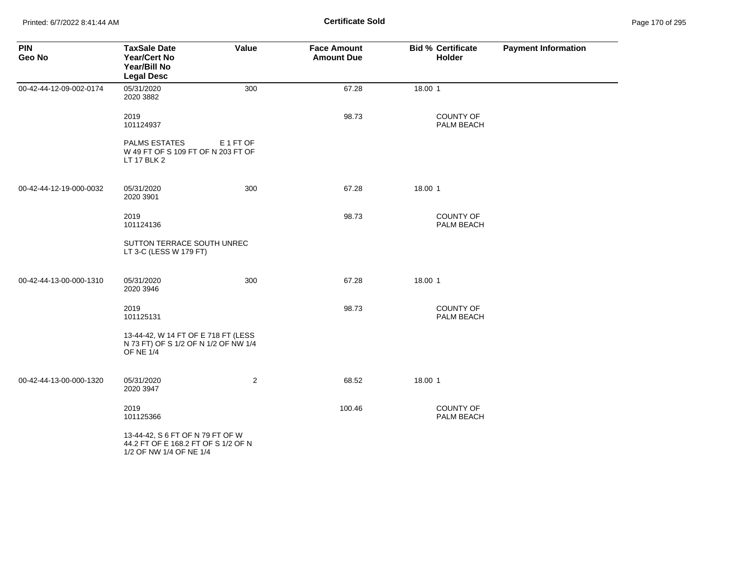Printed: 6/7/2022 8:41:44 AM **Certificate Sold** Page 170 of 295

| <b>PIN</b><br>Geo No    | <b>TaxSale Date</b><br>Year/Cert No<br>Year/Bill No<br><b>Legal Desc</b>                           | Value          | <b>Face Amount</b><br><b>Amount Due</b> | <b>Bid % Certificate</b><br>Holder | <b>Payment Information</b> |
|-------------------------|----------------------------------------------------------------------------------------------------|----------------|-----------------------------------------|------------------------------------|----------------------------|
| 00-42-44-12-09-002-0174 | 05/31/2020<br>2020 3882                                                                            | 300            | 67.28                                   | 18.00 1                            |                            |
|                         | 2019<br>101124937                                                                                  |                | 98.73                                   | COUNTY OF<br>PALM BEACH            |                            |
|                         | <b>PALMS ESTATES</b><br>W 49 FT OF S 109 FT OF N 203 FT OF<br>LT 17 BLK 2                          | E 1 FT OF      |                                         |                                    |                            |
| 00-42-44-12-19-000-0032 | 05/31/2020<br>2020 3901                                                                            | 300            | 67.28                                   | 18.00 1                            |                            |
|                         | 2019<br>101124136                                                                                  |                | 98.73                                   | <b>COUNTY OF</b><br>PALM BEACH     |                            |
|                         | SUTTON TERRACE SOUTH UNREC<br>LT 3-C (LESS W 179 FT)                                               |                |                                         |                                    |                            |
| 00-42-44-13-00-000-1310 | 05/31/2020<br>2020 3946                                                                            | 300            | 67.28                                   | 18.00 1                            |                            |
|                         | 2019<br>101125131                                                                                  |                | 98.73                                   | <b>COUNTY OF</b><br>PALM BEACH     |                            |
|                         | 13-44-42, W 14 FT OF E 718 FT (LESS<br>N 73 FT) OF S 1/2 OF N 1/2 OF NW 1/4<br><b>OF NE 1/4</b>    |                |                                         |                                    |                            |
| 00-42-44-13-00-000-1320 | 05/31/2020<br>2020 3947                                                                            | $\overline{2}$ | 68.52                                   | 18.00 1                            |                            |
|                         | 2019<br>101125366                                                                                  |                | 100.46                                  | <b>COUNTY OF</b><br>PALM BEACH     |                            |
|                         | 13-44-42, S 6 FT OF N 79 FT OF W<br>44.2 FT OF E 168.2 FT OF S 1/2 OF N<br>1/2 OF NW 1/4 OF NE 1/4 |                |                                         |                                    |                            |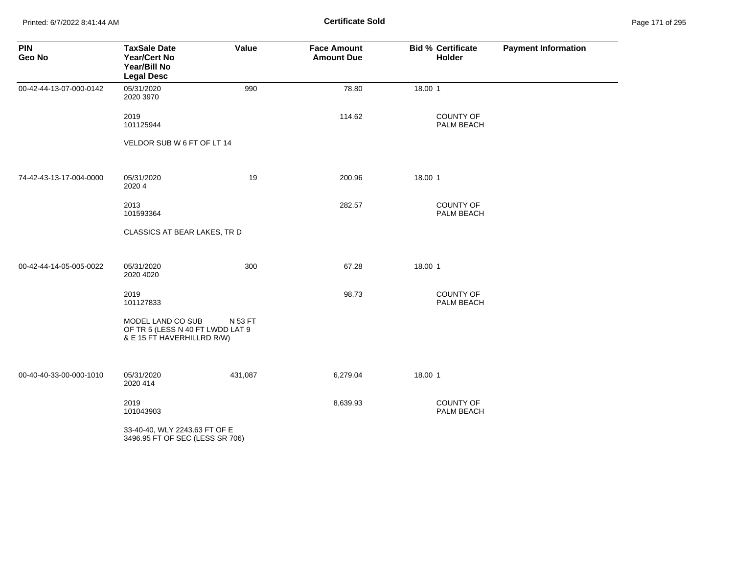Printed: 6/7/2022 8:41:44 AM **Certificate Sold** Page 171 of 295

| <b>PIN</b><br>Geo No    | <b>TaxSale Date</b><br><b>Year/Cert No</b><br>Year/Bill No<br><b>Legal Desc</b>     | Value   | <b>Face Amount</b><br><b>Amount Due</b> | <b>Bid % Certificate</b><br><b>Holder</b> | <b>Payment Information</b> |
|-------------------------|-------------------------------------------------------------------------------------|---------|-----------------------------------------|-------------------------------------------|----------------------------|
| 00-42-44-13-07-000-0142 | 05/31/2020<br>2020 3970                                                             | 990     | 78.80                                   | 18.00 1                                   |                            |
|                         | 2019<br>101125944                                                                   |         | 114.62                                  | <b>COUNTY OF</b><br>PALM BEACH            |                            |
|                         | VELDOR SUB W 6 FT OF LT 14                                                          |         |                                         |                                           |                            |
| 74-42-43-13-17-004-0000 | 05/31/2020<br>2020 4                                                                | 19      | 200.96                                  | 18.00 1                                   |                            |
|                         | 2013<br>101593364                                                                   |         | 282.57                                  | COUNTY OF<br>PALM BEACH                   |                            |
|                         | CLASSICS AT BEAR LAKES, TR D                                                        |         |                                         |                                           |                            |
| 00-42-44-14-05-005-0022 | 05/31/2020<br>2020 4020                                                             | 300     | 67.28                                   | 18.00 1                                   |                            |
|                         | 2019<br>101127833                                                                   |         | 98.73                                   | <b>COUNTY OF</b><br>PALM BEACH            |                            |
|                         | MODEL LAND CO SUB<br>OF TR 5 (LESS N 40 FT LWDD LAT 9<br>& E 15 FT HAVERHILLRD R/W) | N 53 FT |                                         |                                           |                            |
| 00-40-40-33-00-000-1010 | 05/31/2020<br>2020 414                                                              | 431,087 | 6,279.04                                | 18.00 1                                   |                            |
|                         | 2019<br>101043903                                                                   |         | 8,639.93                                | <b>COUNTY OF</b><br>PALM BEACH            |                            |
|                         | 33-40-40, WLY 2243.63 FT OF E<br>3496.95 FT OF SEC (LESS SR 706)                    |         |                                         |                                           |                            |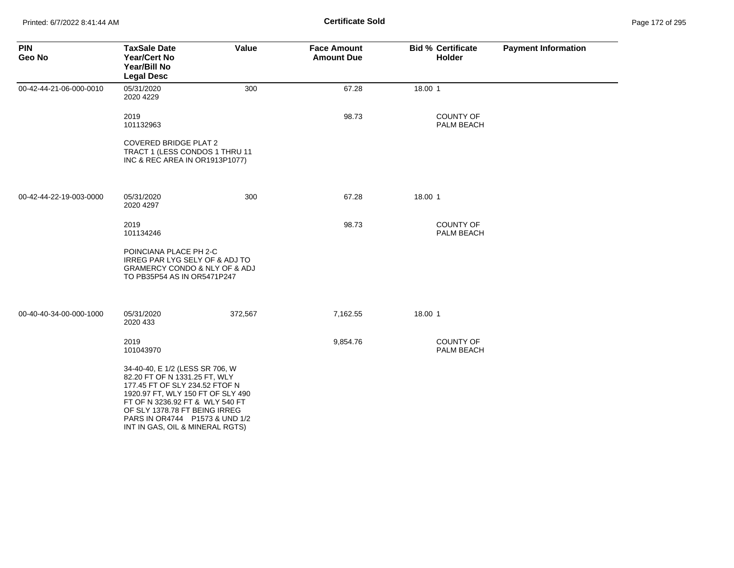| <b>PIN</b><br>Geo No    | <b>TaxSale Date</b><br><b>Year/Cert No</b><br>Year/Bill No<br><b>Legal Desc</b>                                                                                                                                                                                                     | Value   | <b>Face Amount</b><br><b>Amount Due</b> | <b>Bid % Certificate</b><br><b>Holder</b> | <b>Payment Information</b> |
|-------------------------|-------------------------------------------------------------------------------------------------------------------------------------------------------------------------------------------------------------------------------------------------------------------------------------|---------|-----------------------------------------|-------------------------------------------|----------------------------|
| 00-42-44-21-06-000-0010 | 05/31/2020<br>2020 4229                                                                                                                                                                                                                                                             | 300     | 67.28                                   | 18.00 1                                   |                            |
|                         | 2019<br>101132963                                                                                                                                                                                                                                                                   |         | 98.73                                   | <b>COUNTY OF</b><br>PALM BEACH            |                            |
|                         | <b>COVERED BRIDGE PLAT 2</b><br>TRACT 1 (LESS CONDOS 1 THRU 11<br>INC & REC AREA IN OR1913P1077)                                                                                                                                                                                    |         |                                         |                                           |                            |
| 00-42-44-22-19-003-0000 | 05/31/2020<br>2020 4297                                                                                                                                                                                                                                                             | 300     | 67.28                                   | 18.00 1                                   |                            |
|                         | 2019<br>101134246                                                                                                                                                                                                                                                                   |         | 98.73                                   | <b>COUNTY OF</b><br>PALM BEACH            |                            |
|                         | POINCIANA PLACE PH 2-C<br>IRREG PAR LYG SELY OF & ADJ TO<br><b>GRAMERCY CONDO &amp; NLY OF &amp; ADJ</b><br>TO PB35P54 AS IN OR5471P247                                                                                                                                             |         |                                         |                                           |                            |
| 00-40-40-34-00-000-1000 | 05/31/2020<br>2020 433                                                                                                                                                                                                                                                              | 372,567 | 7,162.55                                | 18.00 1                                   |                            |
|                         | 2019<br>101043970                                                                                                                                                                                                                                                                   |         | 9,854.76                                | <b>COUNTY OF</b><br>PALM BEACH            |                            |
|                         | 34-40-40, E 1/2 (LESS SR 706, W<br>82.20 FT OF N 1331.25 FT, WLY<br>177.45 FT OF SLY 234.52 FTOF N<br>1920.97 FT, WLY 150 FT OF SLY 490<br>FT OF N 3236.92 FT & WLY 540 FT<br>OF SLY 1378.78 FT BEING IRREG<br>PARS IN OR4744    P1573 & UND 1/2<br>INT IN GAS, OIL & MINERAL RGTS) |         |                                         |                                           |                            |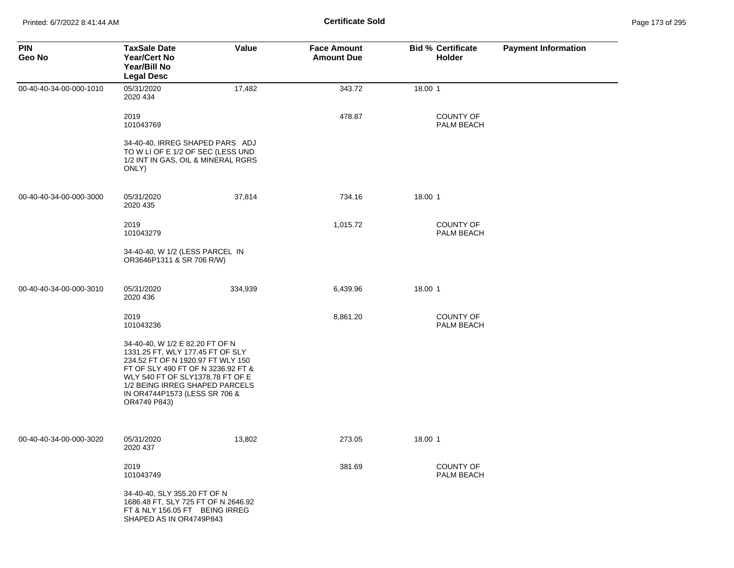| <b>PIN</b><br>Geo No    | <b>TaxSale Date</b><br><b>Year/Cert No</b><br>Year/Bill No<br><b>Legal Desc</b>                                                                                                                                                                                       | Value   | <b>Face Amount</b><br><b>Amount Due</b> | <b>Bid % Certificate</b><br><b>Holder</b> | <b>Payment Information</b> |
|-------------------------|-----------------------------------------------------------------------------------------------------------------------------------------------------------------------------------------------------------------------------------------------------------------------|---------|-----------------------------------------|-------------------------------------------|----------------------------|
| 00-40-40-34-00-000-1010 | 05/31/2020<br>2020 434                                                                                                                                                                                                                                                | 17,482  | 343.72                                  | 18.00 1                                   |                            |
|                         | 2019<br>101043769                                                                                                                                                                                                                                                     |         | 478.87                                  | <b>COUNTY OF</b><br>PALM BEACH            |                            |
|                         | 34-40-40, IRREG SHAPED PARS ADJ<br>TO W LI OF E 1/2 OF SEC (LESS UND<br>1/2 INT IN GAS, OIL & MINERAL RGRS<br>ONLY)                                                                                                                                                   |         |                                         |                                           |                            |
| 00-40-40-34-00-000-3000 | 05/31/2020<br>2020 435                                                                                                                                                                                                                                                | 37,814  | 734.16                                  | 18.00 1                                   |                            |
|                         | 2019<br>101043279                                                                                                                                                                                                                                                     |         | 1,015.72                                | <b>COUNTY OF</b><br>PALM BEACH            |                            |
|                         | 34-40-40, W 1/2 (LESS PARCEL IN<br>OR3646P1311 & SR 706 R/W)                                                                                                                                                                                                          |         |                                         |                                           |                            |
| 00-40-40-34-00-000-3010 | 05/31/2020<br>2020 436                                                                                                                                                                                                                                                | 334,939 | 6,439.96                                | 18.00 1                                   |                            |
|                         | 2019<br>101043236                                                                                                                                                                                                                                                     |         | 8,861.20                                | <b>COUNTY OF</b><br>PALM BEACH            |                            |
|                         | 34-40-40, W 1/2 E 82.20 FT OF N<br>1331.25 FT, WLY 177.45 FT OF SLY<br>234.52 FT OF N 1920.97 FT WLY 150<br>FT OF SLY 490 FT OF N 3236.92 FT &<br>WLY 540 FT OF SLY1378.78 FT OF E<br>1/2 BEING IRREG SHAPED PARCELS<br>IN OR4744P1573 (LESS SR 706 &<br>OR4749 P843) |         |                                         |                                           |                            |
| 00-40-40-34-00-000-3020 | 05/31/2020<br>2020 437                                                                                                                                                                                                                                                | 13,802  | 273.05                                  | 18.00 1                                   |                            |
|                         | 2019<br>101043749                                                                                                                                                                                                                                                     |         | 381.69                                  | <b>COUNTY OF</b><br>PALM BEACH            |                            |
|                         | 34-40-40, SLY 355.20 FT OF N<br>1686.48 FT, SLY 725 FT OF N 2646.92<br>FT & NLY 156.05 FT BEING IRREG<br>SHAPED AS IN OR4749P843                                                                                                                                      |         |                                         |                                           |                            |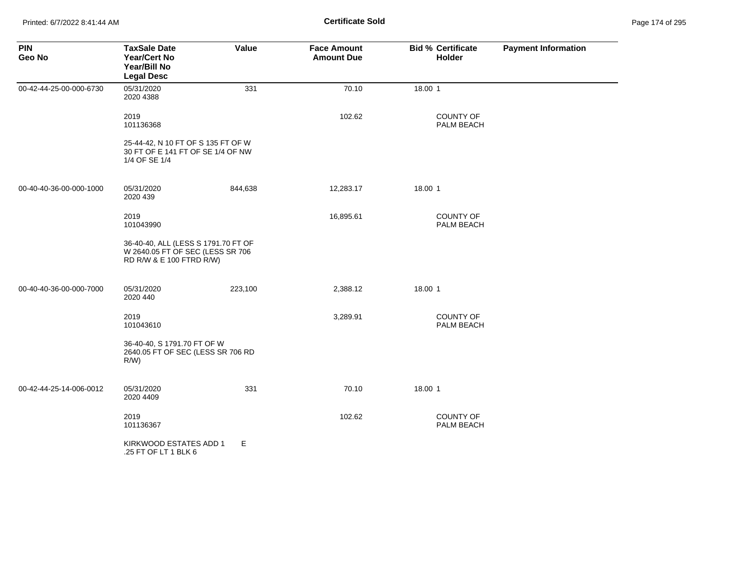| <b>PIN</b><br>Geo No    | <b>TaxSale Date</b><br><b>Year/Cert No</b><br>Year/Bill No<br><b>Legal Desc</b>                     | Value   | <b>Face Amount</b><br><b>Amount Due</b> | <b>Bid % Certificate</b><br>Holder | <b>Payment Information</b> |
|-------------------------|-----------------------------------------------------------------------------------------------------|---------|-----------------------------------------|------------------------------------|----------------------------|
| 00-42-44-25-00-000-6730 | 05/31/2020<br>2020 4388                                                                             | 331     | 70.10                                   | 18.00 1                            |                            |
|                         | 2019<br>101136368                                                                                   |         | 102.62                                  | <b>COUNTY OF</b><br>PALM BEACH     |                            |
|                         | 25-44-42, N 10 FT OF S 135 FT OF W<br>30 FT OF E 141 FT OF SE 1/4 OF NW<br>1/4 OF SE 1/4            |         |                                         |                                    |                            |
| 00-40-40-36-00-000-1000 | 05/31/2020<br>2020 439                                                                              | 844,638 | 12,283.17                               | 18.00 1                            |                            |
|                         | 2019<br>101043990                                                                                   |         | 16,895.61                               | COUNTY OF<br>PALM BEACH            |                            |
|                         | 36-40-40, ALL (LESS S 1791.70 FT OF<br>W 2640.05 FT OF SEC (LESS SR 706<br>RD R/W & E 100 FTRD R/W) |         |                                         |                                    |                            |
| 00-40-40-36-00-000-7000 | 05/31/2020<br>2020 440                                                                              | 223,100 | 2,388.12                                | 18.00 1                            |                            |
|                         | 2019<br>101043610                                                                                   |         | 3,289.91                                | <b>COUNTY OF</b><br>PALM BEACH     |                            |
|                         | 36-40-40, S 1791.70 FT OF W<br>2640.05 FT OF SEC (LESS SR 706 RD<br>$R/W$ )                         |         |                                         |                                    |                            |
| 00-42-44-25-14-006-0012 | 05/31/2020<br>2020 4409                                                                             | 331     | 70.10                                   | 18.00 1                            |                            |
|                         | 2019<br>101136367                                                                                   |         | 102.62                                  | <b>COUNTY OF</b><br>PALM BEACH     |                            |
|                         | KIRKWOOD ESTATES ADD 1<br>.25 FT OF LT 1 BLK 6                                                      | Е       |                                         |                                    |                            |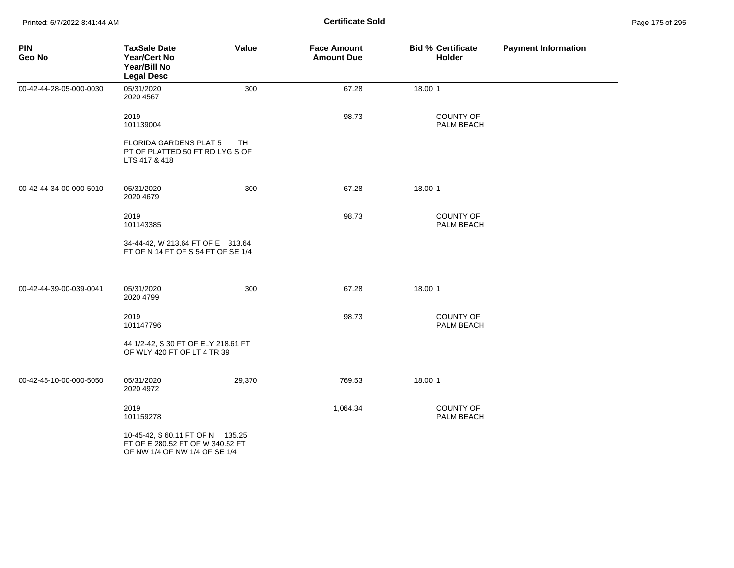Printed: 6/7/2022 8:41:44 AM **Certificate Sold** Page 175 of 295

| <b>PIN</b><br>Geo No    | <b>TaxSale Date</b><br><b>Year/Cert No</b><br>Year/Bill No<br><b>Legal Desc</b>                       | Value     | <b>Face Amount</b><br><b>Amount Due</b> | <b>Bid % Certificate</b><br><b>Holder</b> | <b>Payment Information</b> |
|-------------------------|-------------------------------------------------------------------------------------------------------|-----------|-----------------------------------------|-------------------------------------------|----------------------------|
| 00-42-44-28-05-000-0030 | 05/31/2020<br>2020 4567                                                                               | 300       | 67.28                                   | 18.00 1                                   |                            |
|                         | 2019<br>101139004                                                                                     |           | 98.73                                   | <b>COUNTY OF</b><br>PALM BEACH            |                            |
|                         | FLORIDA GARDENS PLAT 5<br>PT OF PLATTED 50 FT RD LYG S OF<br>LTS 417 & 418                            | <b>TH</b> |                                         |                                           |                            |
| 00-42-44-34-00-000-5010 | 05/31/2020<br>2020 4679                                                                               | 300       | 67.28                                   | 18.00 1                                   |                            |
|                         | 2019<br>101143385                                                                                     |           | 98.73                                   | <b>COUNTY OF</b><br>PALM BEACH            |                            |
|                         | 34-44-42, W 213.64 FT OF E 313.64<br>FT OF N 14 FT OF S 54 FT OF SE 1/4                               |           |                                         |                                           |                            |
| 00-42-44-39-00-039-0041 | 05/31/2020<br>2020 4799                                                                               | 300       | 67.28                                   | 18.00 1                                   |                            |
|                         | 2019<br>101147796                                                                                     |           | 98.73                                   | COUNTY OF<br>PALM BEACH                   |                            |
|                         | 44 1/2-42, S 30 FT OF ELY 218.61 FT<br>OF WLY 420 FT OF LT 4 TR 39                                    |           |                                         |                                           |                            |
| 00-42-45-10-00-000-5050 | 05/31/2020<br>2020 4972                                                                               | 29,370    | 769.53                                  | 18.00 1                                   |                            |
|                         | 2019<br>101159278                                                                                     |           | 1,064.34                                | <b>COUNTY OF</b><br>PALM BEACH            |                            |
|                         | 10-45-42, S 60.11 FT OF N 135.25<br>FT OF E 280.52 FT OF W 340.52 FT<br>OF NW 1/4 OF NW 1/4 OF SE 1/4 |           |                                         |                                           |                            |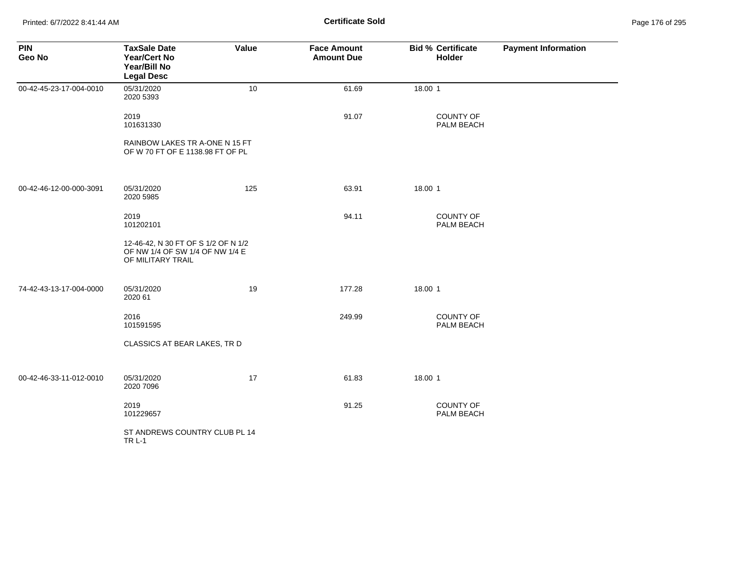Printed: 6/7/2022 8:41:44 AM **Certificate Sold** Page 176 of 295

| <b>PIN</b><br>Geo No    | <b>TaxSale Date</b><br><b>Year/Cert No</b><br>Year/Bill No<br><b>Legal Desc</b>             | Value | <b>Face Amount</b><br><b>Amount Due</b> | <b>Bid % Certificate</b><br>Holder | <b>Payment Information</b> |
|-------------------------|---------------------------------------------------------------------------------------------|-------|-----------------------------------------|------------------------------------|----------------------------|
| 00-42-45-23-17-004-0010 | 05/31/2020<br>2020 5393                                                                     | 10    | 61.69                                   | 18.00 1                            |                            |
|                         | 2019<br>101631330                                                                           |       | 91.07                                   | COUNTY OF<br>PALM BEACH            |                            |
|                         | RAINBOW LAKES TR A-ONE N 15 FT<br>OF W 70 FT OF E 1138.98 FT OF PL                          |       |                                         |                                    |                            |
| 00-42-46-12-00-000-3091 | 05/31/2020<br>2020 5985                                                                     | 125   | 63.91                                   | 18.00 1                            |                            |
|                         | 2019<br>101202101                                                                           |       | 94.11                                   | COUNTY OF<br>PALM BEACH            |                            |
|                         | 12-46-42, N 30 FT OF S 1/2 OF N 1/2<br>OF NW 1/4 OF SW 1/4 OF NW 1/4 E<br>OF MILITARY TRAIL |       |                                         |                                    |                            |
| 74-42-43-13-17-004-0000 | 05/31/2020<br>2020 61                                                                       | 19    | 177.28                                  | 18.00 1                            |                            |
|                         | 2016<br>101591595                                                                           |       | 249.99                                  | <b>COUNTY OF</b><br>PALM BEACH     |                            |
|                         | CLASSICS AT BEAR LAKES, TR D                                                                |       |                                         |                                    |                            |
| 00-42-46-33-11-012-0010 | 05/31/2020<br>2020 7096                                                                     | 17    | 61.83                                   | 18.00 1                            |                            |
|                         | 2019<br>101229657                                                                           |       | 91.25                                   | COUNTY OF<br>PALM BEACH            |                            |
|                         | ST ANDREWS COUNTRY CLUB PL 14<br><b>TR L-1</b>                                              |       |                                         |                                    |                            |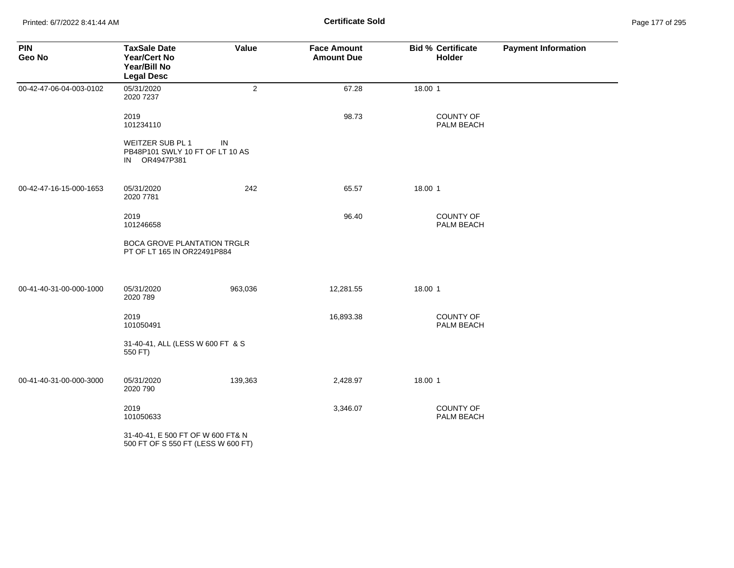Printed: 6/7/2022 8:41:44 AM **Certificate Sold** Page 177 of 295

| <b>PIN</b><br>Geo No    | <b>TaxSale Date</b><br><b>Year/Cert No</b><br>Year/Bill No<br><b>Legal Desc</b> | Value          | <b>Face Amount</b><br><b>Amount Due</b> | <b>Bid % Certificate</b><br>Holder | <b>Payment Information</b> |
|-------------------------|---------------------------------------------------------------------------------|----------------|-----------------------------------------|------------------------------------|----------------------------|
| 00-42-47-06-04-003-0102 | 05/31/2020<br>2020 7237                                                         | $\overline{2}$ | 67.28                                   | 18.00 1                            |                            |
|                         | 2019<br>101234110                                                               |                | 98.73                                   | COUNTY OF<br>PALM BEACH            |                            |
|                         | WEITZER SUB PL 1<br>PB48P101 SWLY 10 FT OF LT 10 AS<br>IN OR4947P381            | IN             |                                         |                                    |                            |
| 00-42-47-16-15-000-1653 | 05/31/2020<br>2020 7781                                                         | 242            | 65.57                                   | 18.00 1                            |                            |
|                         | 2019<br>101246658                                                               |                | 96.40                                   | COUNTY OF<br>PALM BEACH            |                            |
|                         | <b>BOCA GROVE PLANTATION TRGLR</b><br>PT OF LT 165 IN OR22491P884               |                |                                         |                                    |                            |
| 00-41-40-31-00-000-1000 | 05/31/2020<br>2020 789                                                          | 963,036        | 12,281.55                               | 18.00 1                            |                            |
|                         | 2019<br>101050491                                                               |                | 16,893.38                               | <b>COUNTY OF</b><br>PALM BEACH     |                            |
|                         | 31-40-41, ALL (LESS W 600 FT & S<br>550 FT)                                     |                |                                         |                                    |                            |
| 00-41-40-31-00-000-3000 | 05/31/2020<br>2020 790                                                          | 139,363        | 2,428.97                                | 18.00 1                            |                            |
|                         | 2019<br>101050633                                                               |                | 3,346.07                                | <b>COUNTY OF</b><br>PALM BEACH     |                            |
|                         | 31-40-41, E 500 FT OF W 600 FT& N<br>500 FT OF S 550 FT (LESS W 600 FT)         |                |                                         |                                    |                            |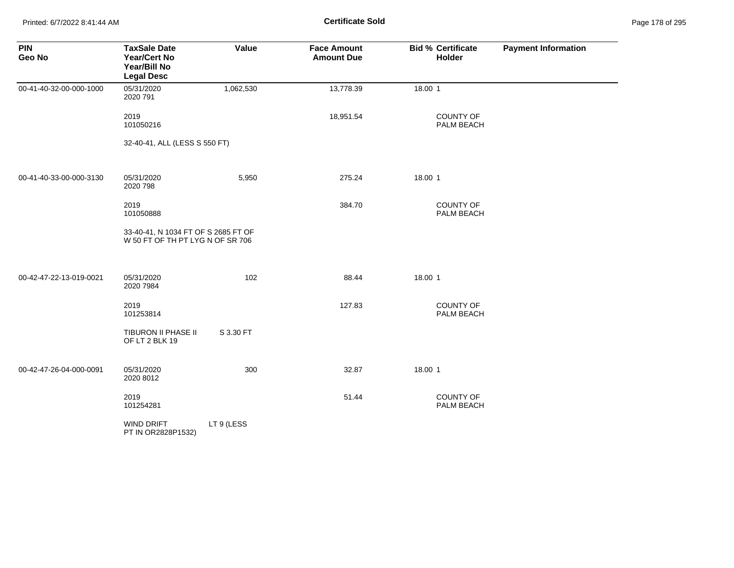Printed: 6/7/2022 8:41:44 AM **Certificate Sold** Page 178 of 295

| <b>PIN</b><br>Geo No    | <b>TaxSale Date</b><br><b>Year/Cert No</b><br>Year/Bill No<br><b>Legal Desc</b> | Value      | <b>Face Amount</b><br><b>Amount Due</b> | <b>Bid % Certificate</b><br>Holder | <b>Payment Information</b> |
|-------------------------|---------------------------------------------------------------------------------|------------|-----------------------------------------|------------------------------------|----------------------------|
| 00-41-40-32-00-000-1000 | 05/31/2020<br>2020 791                                                          | 1,062,530  | 13,778.39                               | 18.00 1                            |                            |
|                         | 2019<br>101050216                                                               |            | 18,951.54                               | <b>COUNTY OF</b><br>PALM BEACH     |                            |
|                         | 32-40-41, ALL (LESS S 550 FT)                                                   |            |                                         |                                    |                            |
| 00-41-40-33-00-000-3130 | 05/31/2020<br>2020 798                                                          | 5,950      | 275.24                                  | 18.00 1                            |                            |
|                         | 2019<br>101050888                                                               |            | 384.70                                  | <b>COUNTY OF</b><br>PALM BEACH     |                            |
|                         | 33-40-41, N 1034 FT OF S 2685 FT OF<br>W 50 FT OF TH PT LYG N OF SR 706         |            |                                         |                                    |                            |
| 00-42-47-22-13-019-0021 | 05/31/2020<br>2020 7984                                                         | 102        | 88.44                                   | 18.00 1                            |                            |
|                         | 2019<br>101253814                                                               |            | 127.83                                  | <b>COUNTY OF</b><br>PALM BEACH     |                            |
|                         | TIBURON II PHASE II<br>OF LT 2 BLK 19                                           | S 3.30 FT  |                                         |                                    |                            |
| 00-42-47-26-04-000-0091 | 05/31/2020<br>2020 8012                                                         | 300        | 32.87                                   | 18.00 1                            |                            |
|                         | 2019<br>101254281                                                               |            | 51.44                                   | <b>COUNTY OF</b><br>PALM BEACH     |                            |
|                         | <b>WIND DRIFT</b><br>PT IN OR2828P1532)                                         | LT 9 (LESS |                                         |                                    |                            |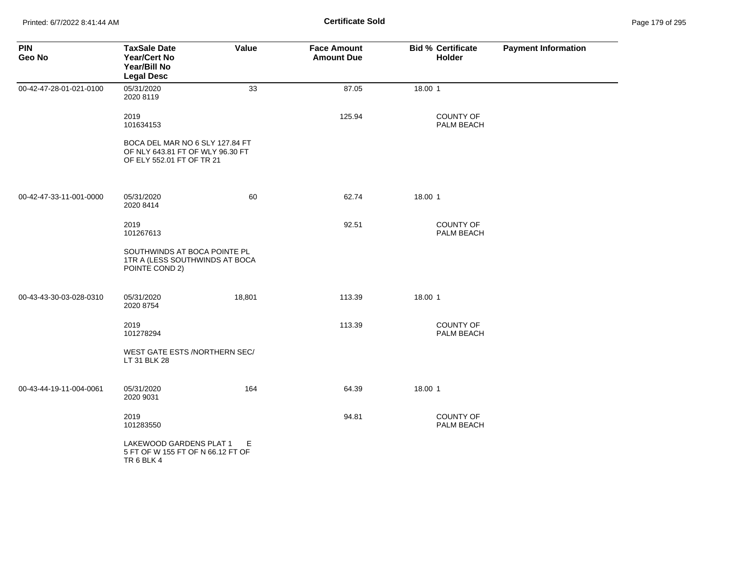| <b>PIN</b><br>Geo No    | <b>TaxSale Date</b><br><b>Year/Cert No</b><br>Year/Bill No<br><b>Legal Desc</b>                  | Value  | <b>Face Amount</b><br><b>Amount Due</b> | <b>Bid % Certificate</b><br>Holder | <b>Payment Information</b> |
|-------------------------|--------------------------------------------------------------------------------------------------|--------|-----------------------------------------|------------------------------------|----------------------------|
| 00-42-47-28-01-021-0100 | 05/31/2020<br>2020 8119                                                                          | 33     | 87.05                                   | 18.00 1                            |                            |
|                         | 2019<br>101634153                                                                                |        | 125.94                                  | <b>COUNTY OF</b><br>PALM BEACH     |                            |
|                         | BOCA DEL MAR NO 6 SLY 127.84 FT<br>OF NLY 643.81 FT OF WLY 96.30 FT<br>OF ELY 552.01 FT OF TR 21 |        |                                         |                                    |                            |
| 00-42-47-33-11-001-0000 | 05/31/2020<br>2020 8414                                                                          | 60     | 62.74                                   | 18.00 1                            |                            |
|                         | 2019<br>101267613                                                                                |        | 92.51                                   | COUNTY OF<br>PALM BEACH            |                            |
|                         | SOUTHWINDS AT BOCA POINTE PL<br>1TR A (LESS SOUTHWINDS AT BOCA<br>POINTE COND 2)                 |        |                                         |                                    |                            |
| 00-43-43-30-03-028-0310 | 05/31/2020<br>2020 8754                                                                          | 18,801 | 113.39                                  | 18.00 1                            |                            |
|                         | 2019<br>101278294                                                                                |        | 113.39                                  | <b>COUNTY OF</b><br>PALM BEACH     |                            |
|                         | WEST GATE ESTS /NORTHERN SEC/<br>LT 31 BLK 28                                                    |        |                                         |                                    |                            |
| 00-43-44-19-11-004-0061 | 05/31/2020<br>2020 9031                                                                          | 164    | 64.39                                   | 18.00 1                            |                            |
|                         | 2019<br>101283550                                                                                |        | 94.81                                   | COUNTY OF<br>PALM BEACH            |                            |
|                         | LAKEWOOD GARDENS PLAT 1<br>5 FT OF W 155 FT OF N 66.12 FT OF<br>TR 6 BLK 4                       | Е      |                                         |                                    |                            |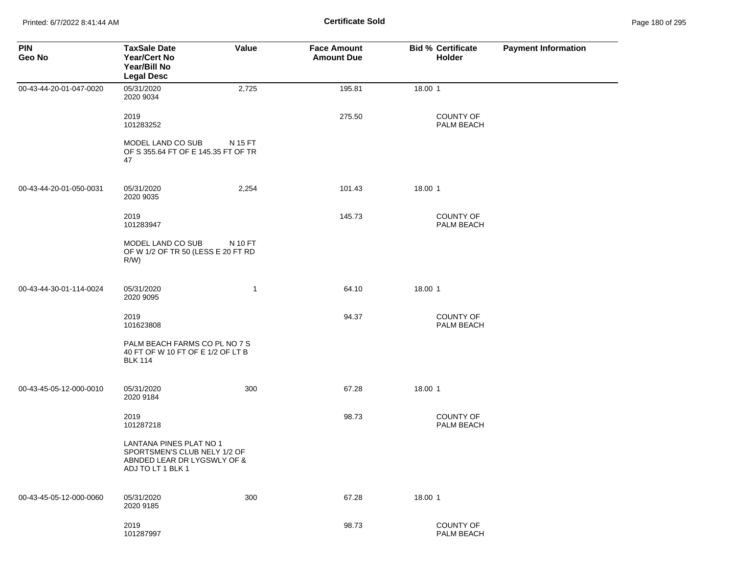| <b>PIN</b><br>Geo No    | <b>TaxSale Date</b><br><b>Year/Cert No</b><br>Year/Bill No<br><b>Legal Desc</b>                             | Value   | <b>Face Amount</b><br><b>Amount Due</b> | <b>Bid % Certificate</b><br>Holder | <b>Payment Information</b> |
|-------------------------|-------------------------------------------------------------------------------------------------------------|---------|-----------------------------------------|------------------------------------|----------------------------|
| 00-43-44-20-01-047-0020 | 05/31/2020<br>2020 9034                                                                                     | 2,725   | 195.81                                  | 18.00 1                            |                            |
|                         | 2019<br>101283252                                                                                           |         | 275.50                                  | <b>COUNTY OF</b><br>PALM BEACH     |                            |
|                         | MODEL LAND CO SUB<br>OF S 355.64 FT OF E 145.35 FT OF TR<br>47                                              | N 15 FT |                                         |                                    |                            |
| 00-43-44-20-01-050-0031 | 05/31/2020<br>2020 9035                                                                                     | 2,254   | 101.43                                  | 18.00 1                            |                            |
|                         | 2019<br>101283947                                                                                           |         | 145.73                                  | <b>COUNTY OF</b><br>PALM BEACH     |                            |
|                         | MODEL LAND CO SUB<br>OF W 1/2 OF TR 50 (LESS E 20 FT RD<br>R/W                                              | N 10 FT |                                         |                                    |                            |
| 00-43-44-30-01-114-0024 | 05/31/2020<br>2020 9095                                                                                     | 1       | 64.10                                   | 18.00 1                            |                            |
|                         | 2019<br>101623808                                                                                           |         | 94.37                                   | <b>COUNTY OF</b><br>PALM BEACH     |                            |
|                         | PALM BEACH FARMS CO PL NO 7 S<br>40 FT OF W 10 FT OF E 1/2 OF LT B<br><b>BLK 114</b>                        |         |                                         |                                    |                            |
| 00-43-45-05-12-000-0010 | 05/31/2020<br>2020 9184                                                                                     | 300     | 67.28                                   | 18.00 1                            |                            |
|                         | 2019<br>101287218                                                                                           |         | 98.73                                   | <b>COUNTY OF</b><br>PALM BEACH     |                            |
|                         | LANTANA PINES PLAT NO 1<br>SPORTSMEN'S CLUB NELY 1/2 OF<br>ABNDED LEAR DR LYGSWLY OF &<br>ADJ TO LT 1 BLK 1 |         |                                         |                                    |                            |
| 00-43-45-05-12-000-0060 | 05/31/2020<br>2020 9185                                                                                     | 300     | 67.28                                   | 18.00 1                            |                            |
|                         | 2019<br>101287997                                                                                           |         | 98.73                                   | COUNTY OF<br>PALM BEACH            |                            |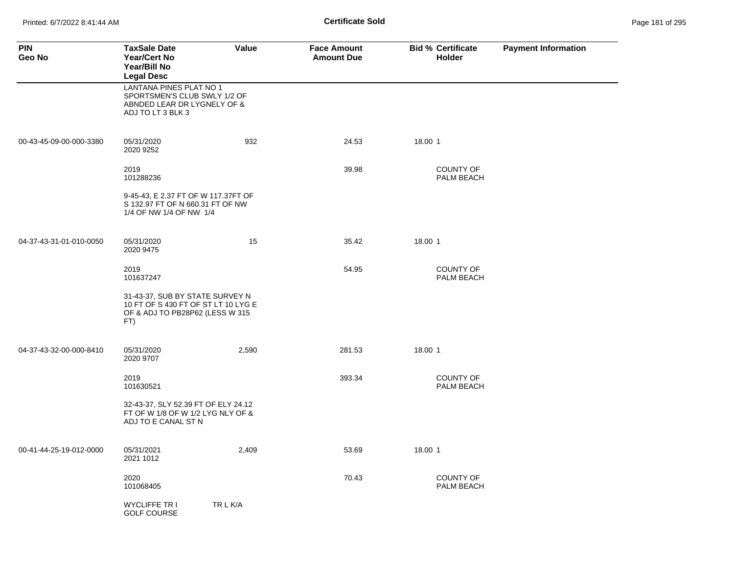Printed: 6/7/2022 8:41:44 AM **Page 181 of 295 Certificate Sold Certificate Sold** 

| <b>PIN</b><br>Geo No    | <b>TaxSale Date</b><br><b>Year/Cert No</b><br>Year/Bill No<br><b>Legal Desc</b>                                    | Value    | <b>Face Amount</b><br><b>Amount Due</b> | <b>Bid % Certificate</b><br><b>Holder</b> | <b>Payment Information</b> |
|-------------------------|--------------------------------------------------------------------------------------------------------------------|----------|-----------------------------------------|-------------------------------------------|----------------------------|
|                         | <b>LANTANA PINES PLAT NO 1</b><br>SPORTSMEN'S CLUB SWLY 1/2 OF<br>ABNDED LEAR DR LYGNELY OF &<br>ADJ TO LT 3 BLK 3 |          |                                         |                                           |                            |
| 00-43-45-09-00-000-3380 | 05/31/2020<br>2020 9252                                                                                            | 932      | 24.53                                   | 18.00 1                                   |                            |
|                         | 2019<br>101288236                                                                                                  |          | 39.98                                   | <b>COUNTY OF</b><br>PALM BEACH            |                            |
|                         | 9-45-43, E 2.37 FT OF W 117.37FT OF<br>S 132.97 FT OF N 660.31 FT OF NW<br>1/4 OF NW 1/4 OF NW 1/4                 |          |                                         |                                           |                            |
| 04-37-43-31-01-010-0050 | 05/31/2020<br>2020 9475                                                                                            | 15       | 35.42                                   | 18.00 1                                   |                            |
|                         | 2019<br>101637247                                                                                                  |          | 54.95                                   | <b>COUNTY OF</b><br>PALM BEACH            |                            |
|                         | 31-43-37, SUB BY STATE SURVEY N<br>10 FT OF S 430 FT OF ST LT 10 LYG E<br>OF & ADJ TO PB28P62 (LESS W 315<br>FT)   |          |                                         |                                           |                            |
| 04-37-43-32-00-000-8410 | 05/31/2020<br>2020 9707                                                                                            | 2,590    | 281.53                                  | 18.00 1                                   |                            |
|                         | 2019<br>101630521                                                                                                  |          | 393.34                                  | <b>COUNTY OF</b><br>PALM BEACH            |                            |
|                         | 32-43-37, SLY 52.39 FT OF ELY 24.12<br>FT OF W 1/8 OF W 1/2 LYG NLY OF &<br>ADJ TO E CANAL ST N                    |          |                                         |                                           |                            |
| 00-41-44-25-19-012-0000 | 05/31/2021<br>2021 1012                                                                                            | 2,409    | 53.69                                   | 18.00 1                                   |                            |
|                         | 2020<br>101068405                                                                                                  |          | 70.43                                   | <b>COUNTY OF</b><br>PALM BEACH            |                            |
|                         | <b>WYCLIFFE TR I</b><br><b>GOLF COURSE</b>                                                                         | TR L K/A |                                         |                                           |                            |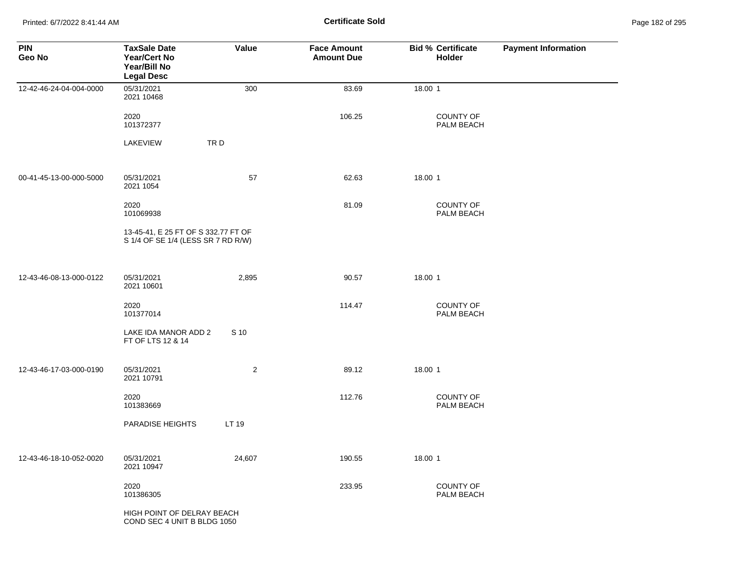Printed: 6/7/2022 8:41:44 AM **Certificate Sold** Page 182 of 295

| <b>PIN</b><br>Geo No    | <b>TaxSale Date</b><br><b>Year/Cert No</b><br>Year/Bill No<br><b>Legal Desc</b> | Value          | <b>Face Amount</b><br><b>Amount Due</b> | <b>Bid % Certificate</b><br>Holder | <b>Payment Information</b> |
|-------------------------|---------------------------------------------------------------------------------|----------------|-----------------------------------------|------------------------------------|----------------------------|
| 12-42-46-24-04-004-0000 | 05/31/2021<br>2021 10468                                                        | 300            | 83.69                                   | 18.00 1                            |                            |
|                         | 2020<br>101372377                                                               |                | 106.25                                  | COUNTY OF<br>PALM BEACH            |                            |
|                         | LAKEVIEW                                                                        | TRD            |                                         |                                    |                            |
| 00-41-45-13-00-000-5000 | 05/31/2021<br>2021 1054                                                         | 57             | 62.63                                   | 18.00 1                            |                            |
|                         | 2020<br>101069938                                                               |                | 81.09                                   | COUNTY OF<br>PALM BEACH            |                            |
|                         | 13-45-41, E 25 FT OF S 332.77 FT OF<br>S 1/4 OF SE 1/4 (LESS SR 7 RD R/W)       |                |                                         |                                    |                            |
| 12-43-46-08-13-000-0122 | 05/31/2021<br>2021 10601                                                        | 2,895          | 90.57                                   | 18.00 1                            |                            |
|                         | 2020<br>101377014                                                               |                | 114.47                                  | <b>COUNTY OF</b><br>PALM BEACH     |                            |
|                         | LAKE IDA MANOR ADD 2<br>FT OF LTS 12 & 14                                       | S 10           |                                         |                                    |                            |
| 12-43-46-17-03-000-0190 | 05/31/2021<br>2021 10791                                                        | $\overline{2}$ | 89.12                                   | 18.00 1                            |                            |
|                         | 2020<br>101383669                                                               |                | 112.76                                  | COUNTY OF<br>PALM BEACH            |                            |
|                         | PARADISE HEIGHTS                                                                | LT 19          |                                         |                                    |                            |
| 12-43-46-18-10-052-0020 | 05/31/2021<br>2021 10947                                                        | 24,607         | 190.55                                  | 18.00 1                            |                            |
|                         | 2020<br>101386305                                                               |                | 233.95                                  | <b>COUNTY OF</b><br>PALM BEACH     |                            |
|                         | HIGH POINT OF DELRAY BEACH<br>COND SEC 4 UNIT B BLDG 1050                       |                |                                         |                                    |                            |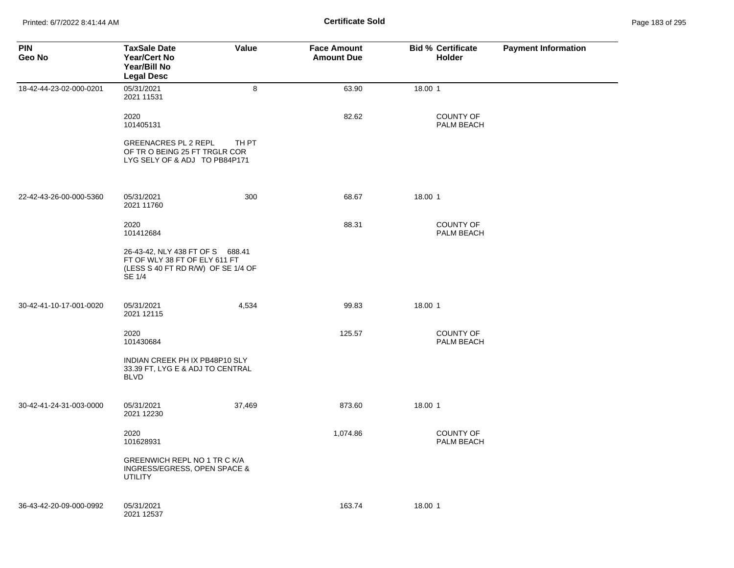Printed: 6/7/2022 8:41:44 AM **Certificate Sold** Page 183 of 295

| <b>PIN</b><br>Geo No    | <b>TaxSale Date</b><br><b>Year/Cert No</b><br>Year/Bill No<br><b>Legal Desc</b>                                   | Value  | <b>Face Amount</b><br><b>Amount Due</b> | <b>Bid % Certificate</b><br><b>Holder</b> | <b>Payment Information</b> |
|-------------------------|-------------------------------------------------------------------------------------------------------------------|--------|-----------------------------------------|-------------------------------------------|----------------------------|
| 18-42-44-23-02-000-0201 | 05/31/2021<br>2021 11531                                                                                          | 8      | 63.90                                   | 18.00 1                                   |                            |
|                         | 2020<br>101405131                                                                                                 |        | 82.62                                   | <b>COUNTY OF</b><br>PALM BEACH            |                            |
|                         | <b>GREENACRES PL 2 REPL</b><br>OF TRO BEING 25 FT TRGLR COR<br>LYG SELY OF & ADJ TO PB84P171                      | TH PT  |                                         |                                           |                            |
| 22-42-43-26-00-000-5360 | 05/31/2021<br>2021 11760                                                                                          | 300    | 68.67                                   | 18.00 1                                   |                            |
|                         | 2020<br>101412684                                                                                                 |        | 88.31                                   | COUNTY OF<br>PALM BEACH                   |                            |
|                         | 26-43-42, NLY 438 FT OF S 688.41<br>FT OF WLY 38 FT OF ELY 611 FT<br>(LESS S 40 FT RD R/W) OF SE 1/4 OF<br>SE 1/4 |        |                                         |                                           |                            |
| 30-42-41-10-17-001-0020 | 05/31/2021<br>2021 12115                                                                                          | 4,534  | 99.83                                   | 18.00 1                                   |                            |
|                         | 2020<br>101430684                                                                                                 |        | 125.57                                  | <b>COUNTY OF</b><br>PALM BEACH            |                            |
|                         | INDIAN CREEK PH IX PB48P10 SLY<br>33.39 FT, LYG E & ADJ TO CENTRAL<br><b>BLVD</b>                                 |        |                                         |                                           |                            |
| 30-42-41-24-31-003-0000 | 05/31/2021<br>2021 12230                                                                                          | 37,469 | 873.60                                  | 18.00 1                                   |                            |
|                         | 2020<br>101628931                                                                                                 |        | 1,074.86                                | <b>COUNTY OF</b><br>PALM BEACH            |                            |
|                         | GREENWICH REPL NO 1 TR C K/A<br>INGRESS/EGRESS, OPEN SPACE &<br><b>UTILITY</b>                                    |        |                                         |                                           |                            |
| 36-43-42-20-09-000-0992 | 05/31/2021<br>2021 12537                                                                                          |        | 163.74                                  | 18.00 1                                   |                            |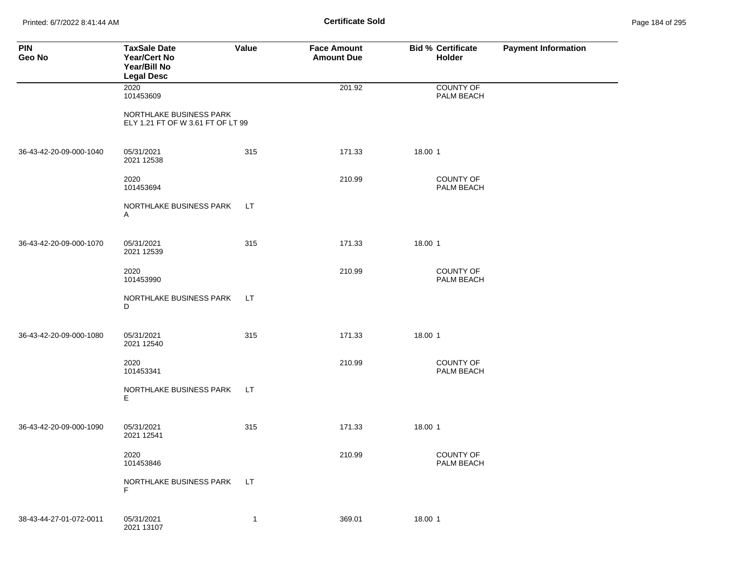Printed: 6/7/2022 8:41:44 AM **Certificate Sold** Page 184 of 295

| <b>PIN</b><br>Geo No    | <b>TaxSale Date</b><br>Year/Cert No<br>Year/Bill No<br><b>Legal Desc</b> | Value        | <b>Face Amount</b><br><b>Amount Due</b> | <b>Bid % Certificate</b><br>Holder | <b>Payment Information</b> |
|-------------------------|--------------------------------------------------------------------------|--------------|-----------------------------------------|------------------------------------|----------------------------|
|                         | 2020<br>101453609                                                        |              | 201.92                                  | COUNTY OF<br>PALM BEACH            |                            |
|                         | NORTHLAKE BUSINESS PARK<br>ELY 1.21 FT OF W 3.61 FT OF LT 99             |              |                                         |                                    |                            |
| 36-43-42-20-09-000-1040 | 05/31/2021<br>2021 12538                                                 | 315          | 171.33                                  | 18.00 1                            |                            |
|                         | 2020<br>101453694                                                        |              | 210.99                                  | COUNTY OF<br>PALM BEACH            |                            |
|                         | NORTHLAKE BUSINESS PARK<br>A                                             | LT.          |                                         |                                    |                            |
| 36-43-42-20-09-000-1070 | 05/31/2021<br>2021 12539                                                 | 315          | 171.33                                  | 18.00 1                            |                            |
|                         | 2020<br>101453990                                                        |              | 210.99                                  | COUNTY OF<br>PALM BEACH            |                            |
|                         | NORTHLAKE BUSINESS PARK<br>D                                             | LT.          |                                         |                                    |                            |
| 36-43-42-20-09-000-1080 | 05/31/2021<br>2021 12540                                                 | 315          | 171.33                                  | 18.00 1                            |                            |
|                         | 2020<br>101453341                                                        |              | 210.99                                  | COUNTY OF<br>PALM BEACH            |                            |
|                         | NORTHLAKE BUSINESS PARK<br>Е                                             | LT.          |                                         |                                    |                            |
| 36-43-42-20-09-000-1090 | 05/31/2021<br>2021 12541                                                 | 315          | 171.33                                  | 18.00 1                            |                            |
|                         | 2020<br>101453846                                                        |              | 210.99                                  | COUNTY OF<br>PALM BEACH            |                            |
|                         | NORTHLAKE BUSINESS PARK<br>F                                             | LT.          |                                         |                                    |                            |
| 38-43-44-27-01-072-0011 | 05/31/2021<br>2021 13107                                                 | $\mathbf{1}$ | 369.01                                  | 18.00 1                            |                            |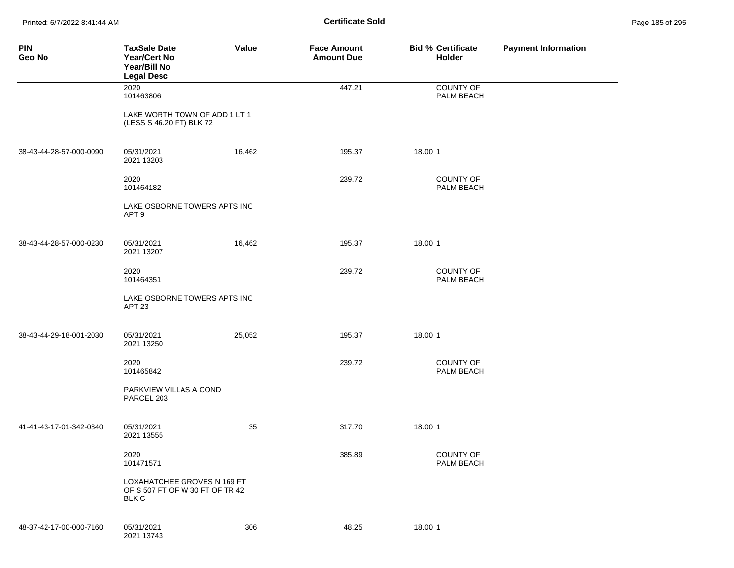Printed: 6/7/2022 8:41:44 AM **Certificate Sold** Page 185 of 295

| <b>PIN</b><br>Geo No    | <b>TaxSale Date</b><br><b>Year/Cert No</b><br>Year/Bill No<br><b>Legal Desc</b> | Value  | <b>Face Amount</b><br><b>Amount Due</b> | <b>Bid % Certificate</b><br>Holder | <b>Payment Information</b> |
|-------------------------|---------------------------------------------------------------------------------|--------|-----------------------------------------|------------------------------------|----------------------------|
|                         | 2020<br>101463806                                                               |        | 447.21                                  | COUNTY OF<br>PALM BEACH            |                            |
|                         | LAKE WORTH TOWN OF ADD 1 LT 1<br>(LESS S 46.20 FT) BLK 72                       |        |                                         |                                    |                            |
| 38-43-44-28-57-000-0090 | 05/31/2021<br>2021 13203                                                        | 16,462 | 195.37                                  | 18.00 1                            |                            |
|                         | 2020<br>101464182                                                               |        | 239.72                                  | <b>COUNTY OF</b><br>PALM BEACH     |                            |
|                         | LAKE OSBORNE TOWERS APTS INC<br>APT <sub>9</sub>                                |        |                                         |                                    |                            |
| 38-43-44-28-57-000-0230 | 05/31/2021<br>2021 13207                                                        | 16,462 | 195.37                                  | 18.00 1                            |                            |
|                         | 2020<br>101464351                                                               |        | 239.72                                  | <b>COUNTY OF</b><br>PALM BEACH     |                            |
|                         | LAKE OSBORNE TOWERS APTS INC<br>APT <sub>23</sub>                               |        |                                         |                                    |                            |
| 38-43-44-29-18-001-2030 | 05/31/2021<br>2021 13250                                                        | 25,052 | 195.37                                  | 18.00 1                            |                            |
|                         | 2020<br>101465842                                                               |        | 239.72                                  | <b>COUNTY OF</b><br>PALM BEACH     |                            |
|                         | PARKVIEW VILLAS A COND<br>PARCEL 203                                            |        |                                         |                                    |                            |
| 41-41-43-17-01-342-0340 | 05/31/2021<br>2021 13555                                                        | 35     | 317.70                                  | 18.00 1                            |                            |
|                         | 2020<br>101471571                                                               |        | 385.89                                  | COUNTY OF<br>PALM BEACH            |                            |
|                         | LOXAHATCHEE GROVES N 169 FT<br>OF S 507 FT OF W 30 FT OF TR 42<br><b>BLK C</b>  |        |                                         |                                    |                            |
| 48-37-42-17-00-000-7160 | 05/31/2021<br>2021 13743                                                        | 306    | 48.25                                   | 18.00 1                            |                            |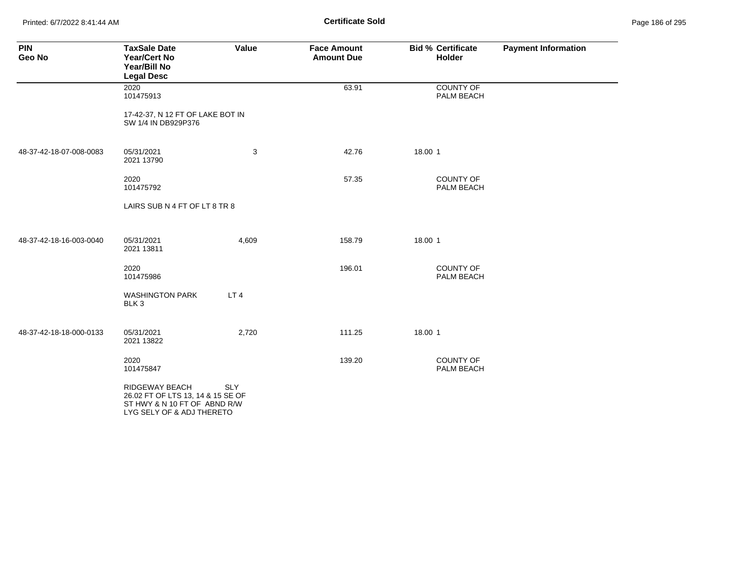Printed: 6/7/2022 8:41:44 AM **Certificate Sold** Page 186 of 295

| <b>PIN</b><br>Geo No    | <b>TaxSale Date</b><br>Year/Cert No<br>Year/Bill No<br><b>Legal Desc</b>                                         | Value           | <b>Face Amount</b><br><b>Amount Due</b> | <b>Bid % Certificate</b><br><b>Holder</b> | <b>Payment Information</b> |
|-------------------------|------------------------------------------------------------------------------------------------------------------|-----------------|-----------------------------------------|-------------------------------------------|----------------------------|
|                         | 2020<br>101475913                                                                                                |                 | 63.91                                   | <b>COUNTY OF</b><br>PALM BEACH            |                            |
|                         | 17-42-37, N 12 FT OF LAKE BOT IN<br>SW 1/4 IN DB929P376                                                          |                 |                                         |                                           |                            |
| 48-37-42-18-07-008-0083 | 05/31/2021<br>2021 13790                                                                                         | 3               | 42.76                                   | 18.00 1                                   |                            |
|                         | 2020<br>101475792                                                                                                |                 | 57.35                                   | <b>COUNTY OF</b><br>PALM BEACH            |                            |
|                         | LAIRS SUB N 4 FT OF LT 8 TR 8                                                                                    |                 |                                         |                                           |                            |
| 48-37-42-18-16-003-0040 | 05/31/2021<br>2021 13811                                                                                         | 4,609           | 158.79                                  | 18.00 1                                   |                            |
|                         | 2020<br>101475986                                                                                                |                 | 196.01                                  | <b>COUNTY OF</b><br>PALM BEACH            |                            |
|                         | <b>WASHINGTON PARK</b><br>BLK <sub>3</sub>                                                                       | LT <sub>4</sub> |                                         |                                           |                            |
| 48-37-42-18-18-000-0133 | 05/31/2021<br>2021 13822                                                                                         | 2,720           | 111.25                                  | 18.00 1                                   |                            |
|                         | 2020<br>101475847                                                                                                |                 | 139.20                                  | <b>COUNTY OF</b><br>PALM BEACH            |                            |
|                         | RIDGEWAY BEACH<br>26.02 FT OF LTS 13, 14 & 15 SE OF<br>ST HWY & N 10 FT OF ABND R/W<br>LYG SELY OF & ADJ THERETO | SLY             |                                         |                                           |                            |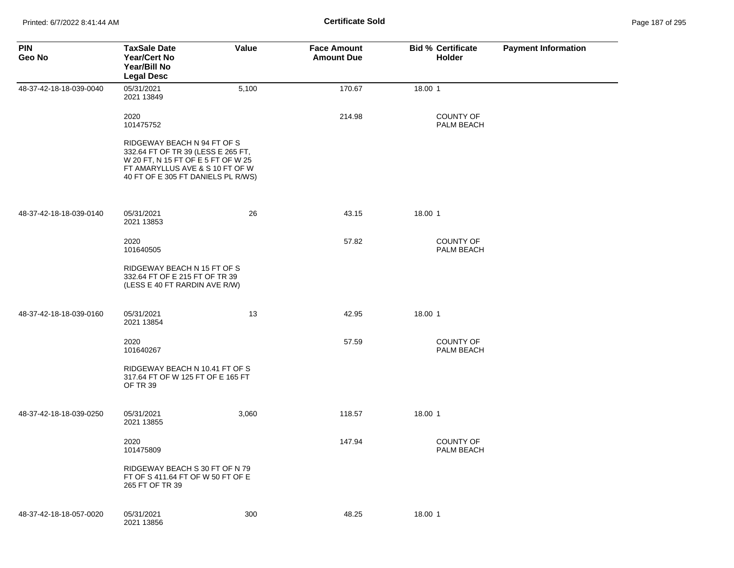| <b>PIN</b><br>Geo No    | <b>TaxSale Date</b><br><b>Year/Cert No</b><br>Year/Bill No<br><b>Legal Desc</b>                                                                                                  | Value | <b>Face Amount</b><br><b>Amount Due</b> | <b>Bid % Certificate</b><br><b>Holder</b> | <b>Payment Information</b> |
|-------------------------|----------------------------------------------------------------------------------------------------------------------------------------------------------------------------------|-------|-----------------------------------------|-------------------------------------------|----------------------------|
| 48-37-42-18-18-039-0040 | 05/31/2021<br>2021 13849                                                                                                                                                         | 5,100 | 170.67                                  | 18.00 1                                   |                            |
|                         | 2020<br>101475752                                                                                                                                                                |       | 214.98                                  | <b>COUNTY OF</b><br>PALM BEACH            |                            |
|                         | RIDGEWAY BEACH N 94 FT OF S<br>332.64 FT OF TR 39 (LESS E 265 FT,<br>W 20 FT, N 15 FT OF E 5 FT OF W 25<br>FT AMARYLLUS AVE & S 10 FT OF W<br>40 FT OF E 305 FT DANIELS PL R/WS) |       |                                         |                                           |                            |
| 48-37-42-18-18-039-0140 | 05/31/2021<br>2021 13853                                                                                                                                                         | 26    | 43.15                                   | 18.00 1                                   |                            |
|                         | 2020<br>101640505                                                                                                                                                                |       | 57.82                                   | <b>COUNTY OF</b><br>PALM BEACH            |                            |
|                         | RIDGEWAY BEACH N 15 FT OF S<br>332.64 FT OF E 215 FT OF TR 39<br>(LESS E 40 FT RARDIN AVE R/W)                                                                                   |       |                                         |                                           |                            |
| 48-37-42-18-18-039-0160 | 05/31/2021<br>2021 13854                                                                                                                                                         | 13    | 42.95                                   | 18.00 1                                   |                            |
|                         | 2020<br>101640267                                                                                                                                                                |       | 57.59                                   | <b>COUNTY OF</b><br>PALM BEACH            |                            |
|                         | RIDGEWAY BEACH N 10.41 FT OF S<br>317.64 FT OF W 125 FT OF E 165 FT<br>OF TR 39                                                                                                  |       |                                         |                                           |                            |
| 48-37-42-18-18-039-0250 | 05/31/2021<br>2021 13855                                                                                                                                                         | 3,060 | 118.57                                  | 18.00 1                                   |                            |
|                         | 2020<br>101475809                                                                                                                                                                |       | 147.94                                  | <b>COUNTY OF</b><br>PALM BEACH            |                            |
|                         | RIDGEWAY BEACH S 30 FT OF N 79<br>FT OF S 411.64 FT OF W 50 FT OF E<br>265 FT OF TR 39                                                                                           |       |                                         |                                           |                            |
| 48-37-42-18-18-057-0020 | 05/31/2021<br>2021 13856                                                                                                                                                         | 300   | 48.25                                   | 18.00 1                                   |                            |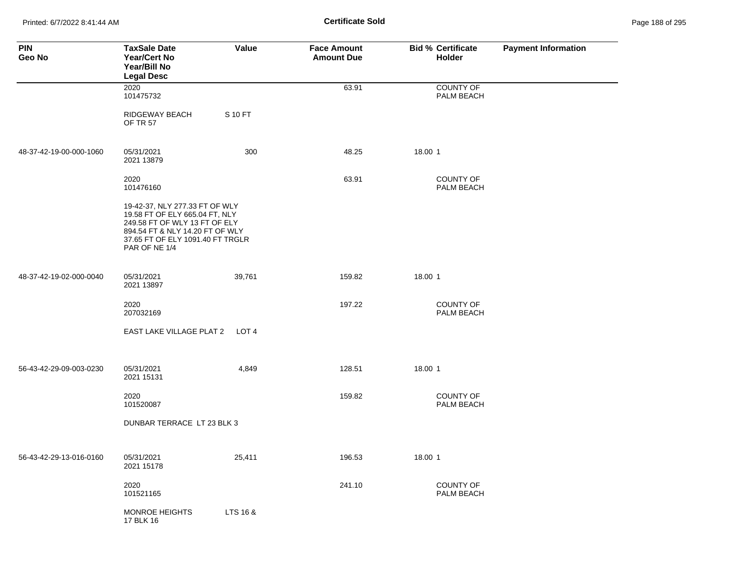Printed: 6/7/2022 8:41:44 AM **Page 188 of 295 Certificate Sold Certificate Sold** 

| <b>PIN</b><br>Geo No    | <b>TaxSale Date</b><br><b>Year/Cert No</b><br>Year/Bill No<br><b>Legal Desc</b>                                                                                                           | Value    | <b>Face Amount</b><br><b>Amount Due</b> | <b>Bid % Certificate</b><br>Holder | <b>Payment Information</b> |
|-------------------------|-------------------------------------------------------------------------------------------------------------------------------------------------------------------------------------------|----------|-----------------------------------------|------------------------------------|----------------------------|
|                         | 2020<br>101475732                                                                                                                                                                         |          | 63.91                                   | <b>COUNTY OF</b><br>PALM BEACH     |                            |
|                         | RIDGEWAY BEACH<br><b>OF TR 57</b>                                                                                                                                                         | S 10 FT  |                                         |                                    |                            |
| 48-37-42-19-00-000-1060 | 05/31/2021<br>2021 13879                                                                                                                                                                  | 300      | 48.25                                   | 18.00 1                            |                            |
|                         | 2020<br>101476160                                                                                                                                                                         |          | 63.91                                   | <b>COUNTY OF</b><br>PALM BEACH     |                            |
|                         | 19-42-37, NLY 277.33 FT OF WLY<br>19.58 FT OF ELY 665.04 FT, NLY<br>249.58 FT OF WLY 13 FT OF ELY<br>894.54 FT & NLY 14.20 FT OF WLY<br>37.65 FT OF ELY 1091.40 FT TRGLR<br>PAR OF NE 1/4 |          |                                         |                                    |                            |
| 48-37-42-19-02-000-0040 | 05/31/2021<br>2021 13897                                                                                                                                                                  | 39,761   | 159.82                                  | 18.00 1                            |                            |
|                         | 2020<br>207032169                                                                                                                                                                         |          | 197.22                                  | <b>COUNTY OF</b><br>PALM BEACH     |                            |
|                         | EAST LAKE VILLAGE PLAT 2                                                                                                                                                                  | LOT 4    |                                         |                                    |                            |
| 56-43-42-29-09-003-0230 | 05/31/2021<br>2021 15131                                                                                                                                                                  | 4,849    | 128.51                                  | 18.00 1                            |                            |
|                         | 2020<br>101520087                                                                                                                                                                         |          | 159.82                                  | <b>COUNTY OF</b><br>PALM BEACH     |                            |
|                         | DUNBAR TERRACE LT 23 BLK 3                                                                                                                                                                |          |                                         |                                    |                            |
| 56-43-42-29-13-016-0160 | 05/31/2021<br>2021 15178                                                                                                                                                                  | 25,411   | 196.53                                  | 18.00 1                            |                            |
|                         | 2020<br>101521165                                                                                                                                                                         |          | 241.10                                  | COUNTY OF<br>PALM BEACH            |                            |
|                         | MONROE HEIGHTS<br>17 BLK 16                                                                                                                                                               | LTS 16 & |                                         |                                    |                            |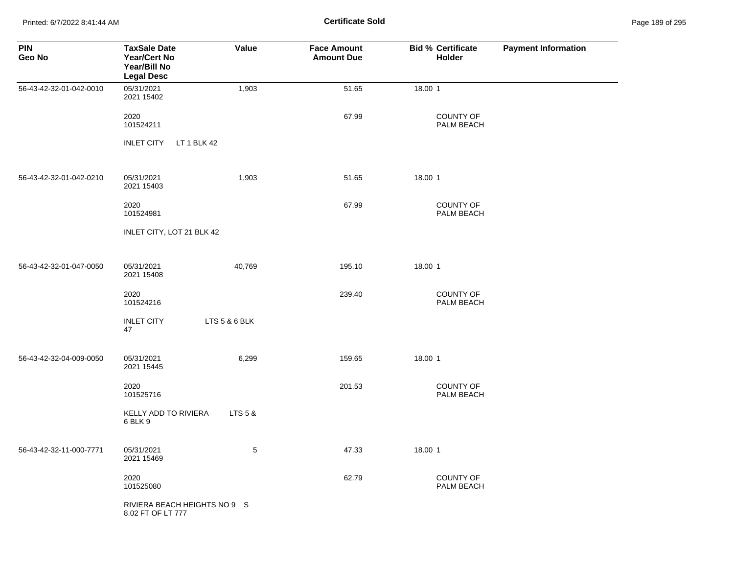Printed: 6/7/2022 8:41:44 AM **Certificate Sold** Page 189 of 295

| <b>PIN</b><br>Geo No    | <b>TaxSale Date</b><br><b>Year/Cert No</b><br>Year/Bill No<br><b>Legal Desc</b> | Value         | <b>Face Amount</b><br><b>Amount Due</b> | <b>Bid % Certificate</b><br>Holder | <b>Payment Information</b> |
|-------------------------|---------------------------------------------------------------------------------|---------------|-----------------------------------------|------------------------------------|----------------------------|
| 56-43-42-32-01-042-0010 | 05/31/2021<br>2021 15402                                                        | 1,903         | 51.65                                   | 18.00 1                            |                            |
|                         | 2020<br>101524211                                                               |               | 67.99                                   | COUNTY OF<br>PALM BEACH            |                            |
|                         | <b>INLET CITY</b><br>LT 1 BLK 42                                                |               |                                         |                                    |                            |
| 56-43-42-32-01-042-0210 | 05/31/2021<br>2021 15403                                                        | 1,903         | 51.65                                   | 18.00 1                            |                            |
|                         | 2020<br>101524981                                                               |               | 67.99                                   | <b>COUNTY OF</b><br>PALM BEACH     |                            |
|                         | INLET CITY, LOT 21 BLK 42                                                       |               |                                         |                                    |                            |
| 56-43-42-32-01-047-0050 | 05/31/2021<br>2021 15408                                                        | 40,769        | 195.10                                  | 18.00 1                            |                            |
|                         | 2020<br>101524216                                                               |               | 239.40                                  | COUNTY OF<br>PALM BEACH            |                            |
|                         | <b>INLET CITY</b><br>47                                                         | LTS 5 & 6 BLK |                                         |                                    |                            |
| 56-43-42-32-04-009-0050 | 05/31/2021<br>2021 15445                                                        | 6,299         | 159.65                                  | 18.00 1                            |                            |
|                         | 2020<br>101525716                                                               |               | 201.53                                  | <b>COUNTY OF</b><br>PALM BEACH     |                            |
|                         | KELLY ADD TO RIVIERA<br>6 BLK 9                                                 | LTS 5 &       |                                         |                                    |                            |
| 56-43-42-32-11-000-7771 | 05/31/2021<br>2021 15469                                                        | 5             | 47.33                                   | 18.00 1                            |                            |
|                         | 2020<br>101525080                                                               |               | 62.79                                   | COUNTY OF<br>PALM BEACH            |                            |
|                         | RIVIERA BEACH HEIGHTS NO 9 S<br>8.02 FT OF LT 777                               |               |                                         |                                    |                            |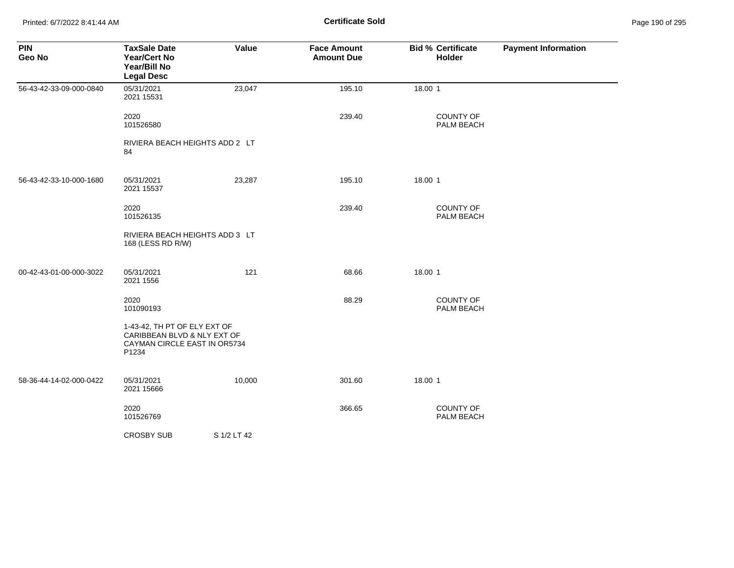Printed: 6/7/2022 8:41:44 AM **Certificate Sold** Page 190 of 295

| <b>PIN</b><br>Geo No    | <b>TaxSale Date</b><br>Year/Cert No<br>Year/Bill No<br><b>Legal Desc</b>                             | Value       | <b>Face Amount</b><br><b>Amount Due</b> | <b>Bid % Certificate</b><br>Holder | <b>Payment Information</b> |
|-------------------------|------------------------------------------------------------------------------------------------------|-------------|-----------------------------------------|------------------------------------|----------------------------|
| 56-43-42-33-09-000-0840 | 05/31/2021<br>2021 15531                                                                             | 23,047      | 195.10                                  | 18.00 1                            |                            |
|                         | 2020<br>101526580                                                                                    |             | 239.40                                  | COUNTY OF<br>PALM BEACH            |                            |
|                         | RIVIERA BEACH HEIGHTS ADD 2 LT<br>84                                                                 |             |                                         |                                    |                            |
| 56-43-42-33-10-000-1680 | 05/31/2021<br>2021 15537                                                                             | 23,287      | 195.10                                  | 18.00 1                            |                            |
|                         | 2020<br>101526135                                                                                    |             | 239.40                                  | <b>COUNTY OF</b><br>PALM BEACH     |                            |
|                         | RIVIERA BEACH HEIGHTS ADD 3 LT<br>168 (LESS RD R/W)                                                  |             |                                         |                                    |                            |
| 00-42-43-01-00-000-3022 | 05/31/2021<br>2021 1556                                                                              | 121         | 68.66                                   | 18.00 1                            |                            |
|                         | 2020<br>101090193                                                                                    |             | 88.29                                   | COUNTY OF<br>PALM BEACH            |                            |
|                         | 1-43-42, TH PT OF ELY EXT OF<br>CARIBBEAN BLVD & NLY EXT OF<br>CAYMAN CIRCLE EAST IN OR5734<br>P1234 |             |                                         |                                    |                            |
| 58-36-44-14-02-000-0422 | 05/31/2021<br>2021 15666                                                                             | 10,000      | 301.60                                  | 18.00 1                            |                            |
|                         | 2020<br>101526769                                                                                    |             | 366.65                                  | <b>COUNTY OF</b><br>PALM BEACH     |                            |
|                         | <b>CROSBY SUB</b>                                                                                    | S 1/2 LT 42 |                                         |                                    |                            |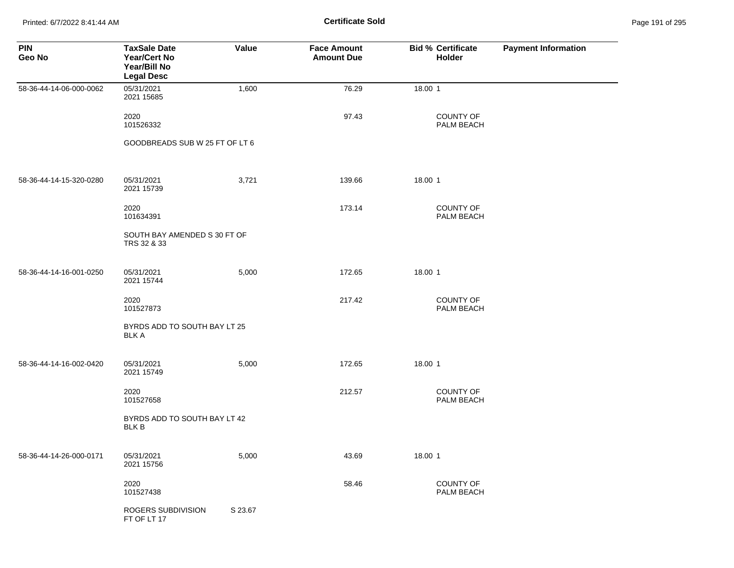Printed: 6/7/2022 8:41:44 AM **Certificate Sold** Page 191 of 295

| <b>PIN</b><br>Geo No    | <b>TaxSale Date</b><br>Year/Cert No<br>Year/Bill No<br><b>Legal Desc</b> | Value   | <b>Face Amount</b><br><b>Amount Due</b> | <b>Bid % Certificate</b><br>Holder | <b>Payment Information</b> |
|-------------------------|--------------------------------------------------------------------------|---------|-----------------------------------------|------------------------------------|----------------------------|
| 58-36-44-14-06-000-0062 | 05/31/2021<br>2021 15685                                                 | 1,600   | 76.29                                   | 18.00 1                            |                            |
|                         | 2020<br>101526332                                                        |         | 97.43                                   | COUNTY OF<br>PALM BEACH            |                            |
|                         | GOODBREADS SUB W 25 FT OF LT 6                                           |         |                                         |                                    |                            |
| 58-36-44-14-15-320-0280 | 05/31/2021<br>2021 15739                                                 | 3,721   | 139.66                                  | 18.00 1                            |                            |
|                         | 2020<br>101634391                                                        |         | 173.14                                  | <b>COUNTY OF</b><br>PALM BEACH     |                            |
|                         | SOUTH BAY AMENDED S 30 FT OF<br>TRS 32 & 33                              |         |                                         |                                    |                            |
| 58-36-44-14-16-001-0250 | 05/31/2021<br>2021 15744                                                 | 5,000   | 172.65                                  | 18.00 1                            |                            |
|                         | 2020<br>101527873                                                        |         | 217.42                                  | <b>COUNTY OF</b><br>PALM BEACH     |                            |
|                         | BYRDS ADD TO SOUTH BAY LT 25<br><b>BLK A</b>                             |         |                                         |                                    |                            |
| 58-36-44-14-16-002-0420 | 05/31/2021<br>2021 15749                                                 | 5,000   | 172.65                                  | 18.00 1                            |                            |
|                         | 2020<br>101527658                                                        |         | 212.57                                  | <b>COUNTY OF</b><br>PALM BEACH     |                            |
|                         | BYRDS ADD TO SOUTH BAY LT 42<br><b>BLK B</b>                             |         |                                         |                                    |                            |
| 58-36-44-14-26-000-0171 | 05/31/2021<br>2021 15756                                                 | 5,000   | 43.69                                   | 18.00 1                            |                            |
|                         | 2020<br>101527438                                                        |         | 58.46                                   | COUNTY OF<br>PALM BEACH            |                            |
|                         | ROGERS SUBDIVISION<br>FT OF LT 17                                        | S 23.67 |                                         |                                    |                            |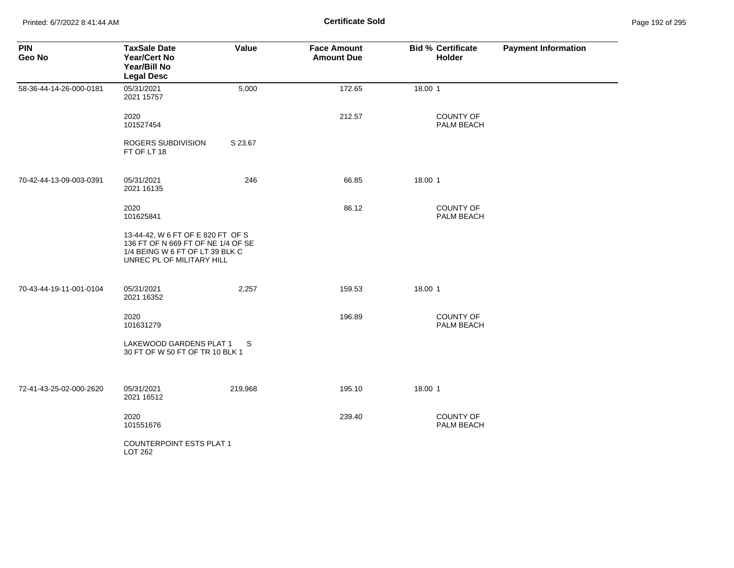Printed: 6/7/2022 8:41:44 AM **Certificate Sold** Page 192 of 295

| <b>PIN</b><br>Geo No    | <b>TaxSale Date</b><br><b>Year/Cert No</b><br>Year/Bill No<br><b>Legal Desc</b>                                                         | Value   | <b>Face Amount</b><br><b>Amount Due</b> | <b>Bid % Certificate</b><br><b>Holder</b> | <b>Payment Information</b> |
|-------------------------|-----------------------------------------------------------------------------------------------------------------------------------------|---------|-----------------------------------------|-------------------------------------------|----------------------------|
| 58-36-44-14-26-000-0181 | 05/31/2021<br>2021 15757                                                                                                                | 5,000   | 172.65                                  | 18.00 1                                   |                            |
|                         | 2020<br>101527454                                                                                                                       |         | 212.57                                  | <b>COUNTY OF</b><br>PALM BEACH            |                            |
|                         | ROGERS SUBDIVISION<br>FT OF LT 18                                                                                                       | S 23.67 |                                         |                                           |                            |
| 70-42-44-13-09-003-0391 | 05/31/2021<br>2021 16135                                                                                                                | 246     | 66.85                                   | 18.00 1                                   |                            |
|                         | 2020<br>101625841                                                                                                                       |         | 86.12                                   | <b>COUNTY OF</b><br>PALM BEACH            |                            |
|                         | 13-44-42, W 6 FT OF E 820 FT OF S<br>136 FT OF N 669 FT OF NE 1/4 OF SE<br>1/4 BEING W 6 FT OF LT 39 BLK C<br>UNREC PL OF MILITARY HILL |         |                                         |                                           |                            |
| 70-43-44-19-11-001-0104 | 05/31/2021<br>2021 16352                                                                                                                | 2,257   | 159.53                                  | 18.00 1                                   |                            |
|                         | 2020<br>101631279                                                                                                                       |         | 196.89                                  | <b>COUNTY OF</b><br>PALM BEACH            |                            |
|                         | LAKEWOOD GARDENS PLAT 1<br>30 FT OF W 50 FT OF TR 10 BLK 1                                                                              | S       |                                         |                                           |                            |
| 72-41-43-25-02-000-2620 | 05/31/2021<br>2021 16512                                                                                                                | 219,968 | 195.10                                  | 18.00 1                                   |                            |
|                         | 2020<br>101551676                                                                                                                       |         | 239.40                                  | <b>COUNTY OF</b><br>PALM BEACH            |                            |
|                         | <b>COUNTERPOINT ESTS PLAT 1</b><br>LOT 262                                                                                              |         |                                         |                                           |                            |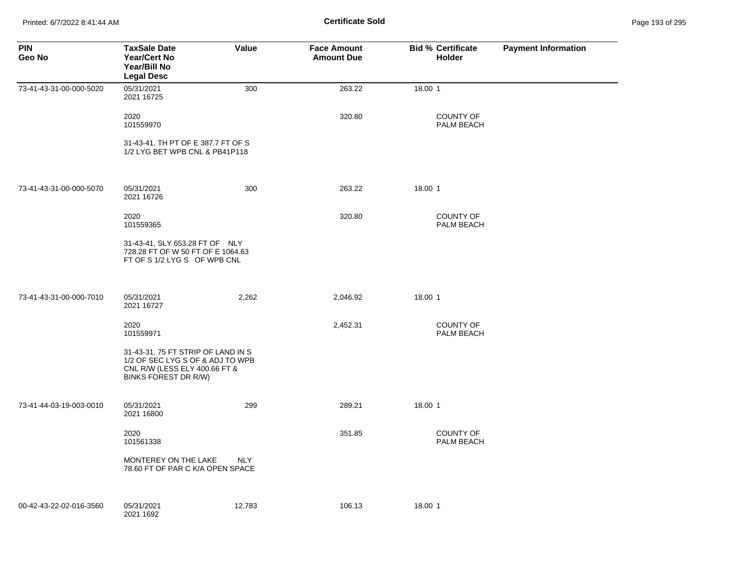Printed: 6/7/2022 8:41:44 AM **Certificate Sold** Page 193 of 295

| <b>PIN</b><br>Geo No    | <b>TaxSale Date</b><br>Year/Cert No<br>Year/Bill No<br><b>Legal Desc</b>                                                        | Value      | <b>Face Amount</b><br><b>Amount Due</b> | <b>Bid % Certificate</b><br>Holder | <b>Payment Information</b> |
|-------------------------|---------------------------------------------------------------------------------------------------------------------------------|------------|-----------------------------------------|------------------------------------|----------------------------|
| 73-41-43-31-00-000-5020 | 05/31/2021<br>2021 16725                                                                                                        | 300        | 263.22                                  | 18.00 1                            |                            |
|                         | 2020<br>101559970                                                                                                               |            | 320.80                                  | <b>COUNTY OF</b><br>PALM BEACH     |                            |
|                         | 31-43-41, TH PT OF E 387.7 FT OF S<br>1/2 LYG BET WPB CNL & PB41P118                                                            |            |                                         |                                    |                            |
| 73-41-43-31-00-000-5070 | 05/31/2021<br>2021 16726                                                                                                        | 300        | 263.22                                  | 18.00 1                            |                            |
|                         | 2020<br>101559365                                                                                                               |            | 320.80                                  | <b>COUNTY OF</b><br>PALM BEACH     |                            |
|                         | 31-43-41, SLY 653.28 FT OF NLY<br>728.28 FT OF W 50 FT OF E 1064.63<br>FT OF S 1/2 LYG S OF WPB CNL                             |            |                                         |                                    |                            |
| 73-41-43-31-00-000-7010 | 05/31/2021<br>2021 16727                                                                                                        | 2,262      | 2,046.92                                | 18.00 1                            |                            |
|                         | 2020<br>101559971                                                                                                               |            | 2,452.31                                | <b>COUNTY OF</b><br>PALM BEACH     |                            |
|                         | 31-43-31, 75 FT STRIP OF LAND IN S<br>1/2 OF SEC LYG S OF & ADJ TO WPB<br>CNL R/W (LESS ELY 400.66 FT &<br>BINKS FOREST DR R/W) |            |                                         |                                    |                            |
| 73-41-44-03-19-003-0010 | 05/31/2021<br>2021 16800                                                                                                        | 299        | 289.21                                  | 18.00 1                            |                            |
|                         | 2020<br>101561338                                                                                                               |            | 351.85                                  | <b>COUNTY OF</b><br>PALM BEACH     |                            |
|                         | MONTEREY ON THE LAKE<br>78.60 FT OF PAR C K/A OPEN SPACE                                                                        | <b>NLY</b> |                                         |                                    |                            |
| 00-42-43-22-02-016-3560 | 05/31/2021<br>2021 1692                                                                                                         | 12,783     | 106.13                                  | 18.00 1                            |                            |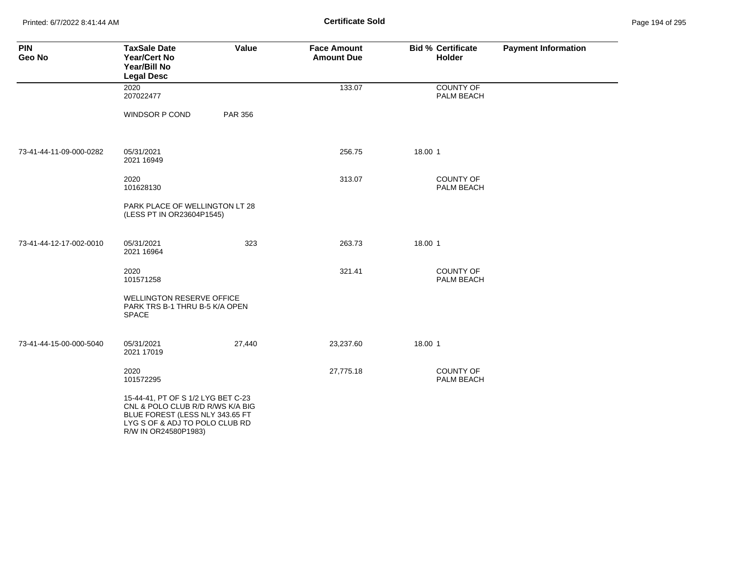Printed: 6/7/2022 8:41:44 AM **Certificate Sold** Page 194 of 295

| <b>PIN</b><br>Geo No    | <b>TaxSale Date</b><br><b>Year/Cert No</b><br>Year/Bill No<br><b>Legal Desc</b>                                                                                     | Value          | <b>Face Amount</b><br><b>Amount Due</b> | <b>Bid % Certificate</b><br>Holder | <b>Payment Information</b> |
|-------------------------|---------------------------------------------------------------------------------------------------------------------------------------------------------------------|----------------|-----------------------------------------|------------------------------------|----------------------------|
|                         | 2020<br>207022477                                                                                                                                                   |                | 133.07                                  | <b>COUNTY OF</b><br>PALM BEACH     |                            |
|                         | <b>WINDSOR P COND</b>                                                                                                                                               | <b>PAR 356</b> |                                         |                                    |                            |
| 73-41-44-11-09-000-0282 | 05/31/2021<br>2021 16949                                                                                                                                            |                | 256.75                                  | 18.00 1                            |                            |
|                         | 2020<br>101628130                                                                                                                                                   |                | 313.07                                  | <b>COUNTY OF</b><br>PALM BEACH     |                            |
|                         | PARK PLACE OF WELLINGTON LT 28<br>(LESS PT IN OR23604P1545)                                                                                                         |                |                                         |                                    |                            |
| 73-41-44-12-17-002-0010 | 05/31/2021<br>2021 16964                                                                                                                                            | 323            | 263.73                                  | 18.00 1                            |                            |
|                         | 2020<br>101571258                                                                                                                                                   |                | 321.41                                  | <b>COUNTY OF</b><br>PALM BEACH     |                            |
|                         | <b>WELLINGTON RESERVE OFFICE</b><br>PARK TRS B-1 THRU B-5 K/A OPEN<br><b>SPACE</b>                                                                                  |                |                                         |                                    |                            |
| 73-41-44-15-00-000-5040 | 05/31/2021<br>2021 17019                                                                                                                                            | 27,440         | 23,237.60                               | 18.00 1                            |                            |
|                         | 2020<br>101572295                                                                                                                                                   |                | 27,775.18                               | <b>COUNTY OF</b><br>PALM BEACH     |                            |
|                         | 15-44-41, PT OF S 1/2 LYG BET C-23<br>CNL & POLO CLUB R/D R/WS K/A BIG<br>BLUE FOREST (LESS NLY 343.65 FT<br>LYG S OF & ADJ TO POLO CLUB RD<br>R/W IN OR24580P1983) |                |                                         |                                    |                            |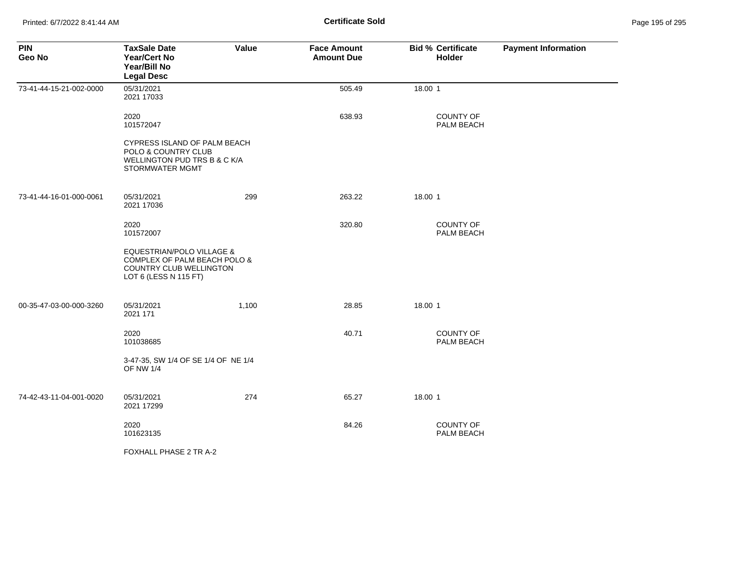| <b>PIN</b><br>Geo No    | <b>TaxSale Date</b><br><b>Year/Cert No</b><br>Year/Bill No<br><b>Legal Desc</b>                                          | Value | <b>Face Amount</b><br><b>Amount Due</b> | <b>Bid % Certificate</b><br><b>Holder</b> | <b>Payment Information</b> |
|-------------------------|--------------------------------------------------------------------------------------------------------------------------|-------|-----------------------------------------|-------------------------------------------|----------------------------|
| 73-41-44-15-21-002-0000 | 05/31/2021<br>2021 17033                                                                                                 |       | 505.49                                  | 18.00 1                                   |                            |
|                         | 2020<br>101572047                                                                                                        |       | 638.93                                  | <b>COUNTY OF</b><br>PALM BEACH            |                            |
|                         | CYPRESS ISLAND OF PALM BEACH<br>POLO & COUNTRY CLUB<br>WELLINGTON PUD TRS B & C K/A<br><b>STORMWATER MGMT</b>            |       |                                         |                                           |                            |
| 73-41-44-16-01-000-0061 | 05/31/2021<br>2021 17036                                                                                                 | 299   | 263.22                                  | 18.00 1                                   |                            |
|                         | 2020<br>101572007                                                                                                        |       | 320.80                                  | <b>COUNTY OF</b><br>PALM BEACH            |                            |
|                         | <b>EQUESTRIAN/POLO VILLAGE &amp;</b><br>COMPLEX OF PALM BEACH POLO &<br>COUNTRY CLUB WELLINGTON<br>LOT 6 (LESS N 115 FT) |       |                                         |                                           |                            |
| 00-35-47-03-00-000-3260 | 05/31/2021<br>2021 171                                                                                                   | 1,100 | 28.85                                   | 18.00 1                                   |                            |
|                         | 2020<br>101038685                                                                                                        |       | 40.71                                   | <b>COUNTY OF</b><br>PALM BEACH            |                            |
|                         | 3-47-35, SW 1/4 OF SE 1/4 OF NE 1/4<br><b>OF NW 1/4</b>                                                                  |       |                                         |                                           |                            |
| 74-42-43-11-04-001-0020 | 05/31/2021<br>2021 17299                                                                                                 | 274   | 65.27                                   | 18.00 1                                   |                            |
|                         | 2020<br>101623135                                                                                                        |       | 84.26                                   | <b>COUNTY OF</b><br>PALM BEACH            |                            |
|                         | FOXHALL PHASE 2 TR A-2                                                                                                   |       |                                         |                                           |                            |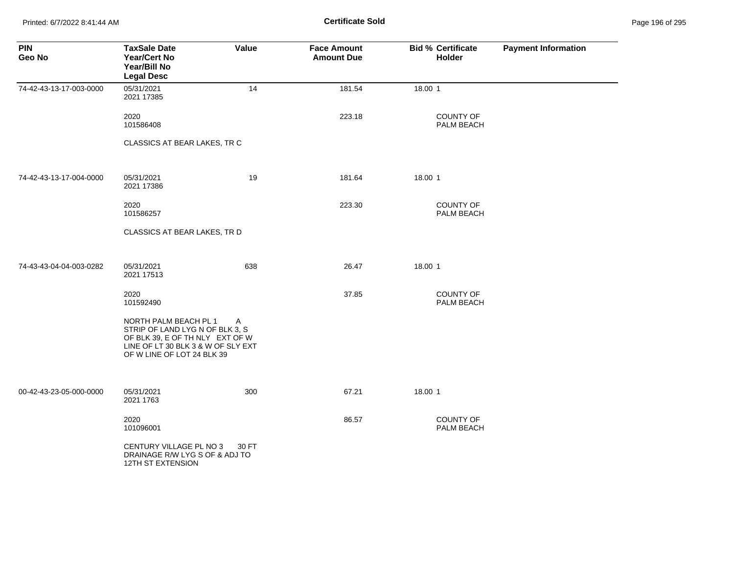Printed: 6/7/2022 8:41:44 AM **Certificate Sold** Page 196 of 295

| <b>PIN</b><br>Geo No    | <b>TaxSale Date</b><br><b>Year/Cert No</b><br>Year/Bill No<br><b>Legal Desc</b>                                                                                 | Value | <b>Face Amount</b><br><b>Amount Due</b> | <b>Bid % Certificate</b><br>Holder | <b>Payment Information</b> |
|-------------------------|-----------------------------------------------------------------------------------------------------------------------------------------------------------------|-------|-----------------------------------------|------------------------------------|----------------------------|
| 74-42-43-13-17-003-0000 | 05/31/2021<br>2021 17385                                                                                                                                        | 14    | 181.54                                  | 18.00 1                            |                            |
|                         | 2020<br>101586408                                                                                                                                               |       | 223.18                                  | COUNTY OF<br>PALM BEACH            |                            |
|                         | CLASSICS AT BEAR LAKES, TR C                                                                                                                                    |       |                                         |                                    |                            |
| 74-42-43-13-17-004-0000 | 05/31/2021<br>2021 17386                                                                                                                                        | 19    | 181.64                                  | 18.00 1                            |                            |
|                         | 2020<br>101586257                                                                                                                                               |       | 223.30                                  | COUNTY OF<br>PALM BEACH            |                            |
|                         | CLASSICS AT BEAR LAKES, TR D                                                                                                                                    |       |                                         |                                    |                            |
| 74-43-43-04-04-003-0282 | 05/31/2021<br>2021 17513                                                                                                                                        | 638   | 26.47                                   | 18.00 1                            |                            |
|                         | 2020<br>101592490                                                                                                                                               |       | 37.85                                   | <b>COUNTY OF</b><br>PALM BEACH     |                            |
|                         | NORTH PALM BEACH PL 1<br>STRIP OF LAND LYG N OF BLK 3, S<br>OF BLK 39, E OF TH NLY EXT OF W<br>LINE OF LT 30 BLK 3 & W OF SLY EXT<br>OF W LINE OF LOT 24 BLK 39 | A     |                                         |                                    |                            |
| 00-42-43-23-05-000-0000 | 05/31/2021<br>2021 1763                                                                                                                                         | 300   | 67.21                                   | 18.00 1                            |                            |
|                         | 2020<br>101096001                                                                                                                                               |       | 86.57                                   | <b>COUNTY OF</b><br>PALM BEACH     |                            |
|                         | CENTURY VILLAGE PL NO 3<br>DRAINAGE R/W LYG S OF & ADJ TO<br>12TH ST EXTENSION                                                                                  | 30 FT |                                         |                                    |                            |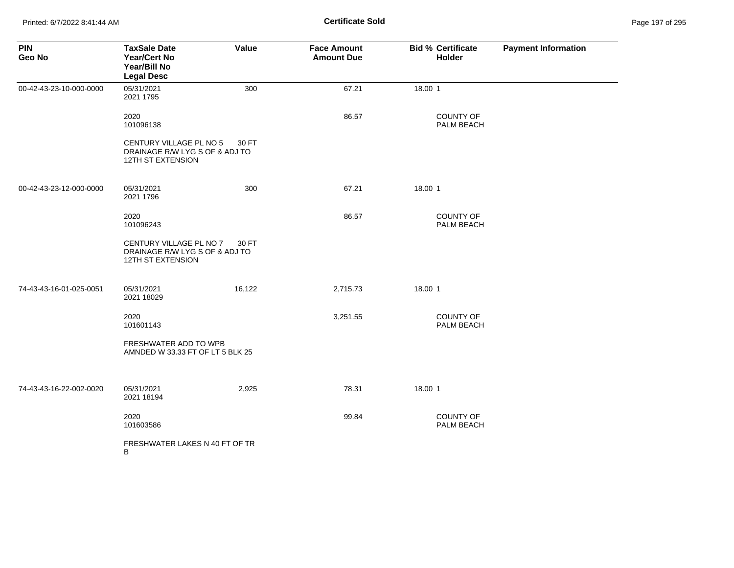| <b>PIN</b><br>Geo No    | <b>TaxSale Date</b><br><b>Year/Cert No</b><br>Year/Bill No<br><b>Legal Desc</b> | Value  | <b>Face Amount</b><br><b>Amount Due</b> | <b>Bid % Certificate</b><br><b>Holder</b> | <b>Payment Information</b> |
|-------------------------|---------------------------------------------------------------------------------|--------|-----------------------------------------|-------------------------------------------|----------------------------|
| 00-42-43-23-10-000-0000 | 05/31/2021<br>2021 1795                                                         | 300    | 67.21                                   | 18.00 1                                   |                            |
|                         | 2020<br>101096138                                                               |        | 86.57                                   | <b>COUNTY OF</b><br>PALM BEACH            |                            |
|                         | CENTURY VILLAGE PL NO 5<br>DRAINAGE R/W LYG S OF & ADJ TO<br>12TH ST EXTENSION  | 30 FT  |                                         |                                           |                            |
| 00-42-43-23-12-000-0000 | 05/31/2021<br>2021 1796                                                         | 300    | 67.21                                   | 18.00 1                                   |                            |
|                         | 2020<br>101096243                                                               |        | 86.57                                   | <b>COUNTY OF</b><br>PALM BEACH            |                            |
|                         | CENTURY VILLAGE PL NO 7<br>DRAINAGE R/W LYG S OF & ADJ TO<br>12TH ST EXTENSION  | 30 FT  |                                         |                                           |                            |
| 74-43-43-16-01-025-0051 | 05/31/2021<br>2021 18029                                                        | 16,122 | 2,715.73                                | 18.00 1                                   |                            |
|                         | 2020<br>101601143                                                               |        | 3,251.55                                | COUNTY OF<br>PALM BEACH                   |                            |
|                         | FRESHWATER ADD TO WPB<br>AMNDED W 33.33 FT OF LT 5 BLK 25                       |        |                                         |                                           |                            |
| 74-43-43-16-22-002-0020 | 05/31/2021<br>2021 18194                                                        | 2,925  | 78.31                                   | 18.00 1                                   |                            |
|                         | 2020<br>101603586                                                               |        | 99.84                                   | <b>COUNTY OF</b><br>PALM BEACH            |                            |
|                         | FRESHWATER LAKES N 40 FT OF TR<br>В                                             |        |                                         |                                           |                            |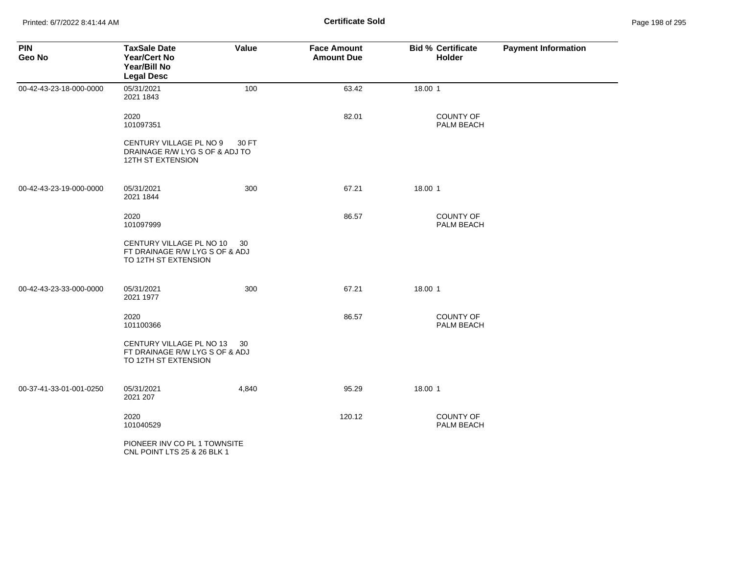| <b>PIN</b><br>Geo No    | <b>TaxSale Date</b><br><b>Year/Cert No</b><br>Year/Bill No<br><b>Legal Desc</b>       | Value | <b>Face Amount</b><br><b>Amount Due</b> | <b>Bid % Certificate</b><br><b>Holder</b> | <b>Payment Information</b> |
|-------------------------|---------------------------------------------------------------------------------------|-------|-----------------------------------------|-------------------------------------------|----------------------------|
| 00-42-43-23-18-000-0000 | 05/31/2021<br>2021 1843                                                               | 100   | 63.42                                   | 18.00 1                                   |                            |
|                         | 2020<br>101097351                                                                     |       | 82.01                                   | <b>COUNTY OF</b><br>PALM BEACH            |                            |
|                         | CENTURY VILLAGE PL NO 9<br>DRAINAGE R/W LYG S OF & ADJ TO<br><b>12TH ST EXTENSION</b> | 30 FT |                                         |                                           |                            |
| 00-42-43-23-19-000-0000 | 05/31/2021<br>2021 1844                                                               | 300   | 67.21                                   | 18.00 1                                   |                            |
|                         | 2020<br>101097999                                                                     |       | 86.57                                   | <b>COUNTY OF</b><br>PALM BEACH            |                            |
|                         | CENTURY VILLAGE PL NO 10<br>FT DRAINAGE R/W LYG S OF & ADJ<br>TO 12TH ST EXTENSION    | 30    |                                         |                                           |                            |
| 00-42-43-23-33-000-0000 | 05/31/2021<br>2021 1977                                                               | 300   | 67.21                                   | 18.00 1                                   |                            |
|                         | 2020<br>101100366                                                                     |       | 86.57                                   | COUNTY OF<br>PALM BEACH                   |                            |
|                         | CENTURY VILLAGE PL NO 13<br>FT DRAINAGE R/W LYG S OF & ADJ<br>TO 12TH ST EXTENSION    | -30   |                                         |                                           |                            |
| 00-37-41-33-01-001-0250 | 05/31/2021<br>2021 207                                                                | 4,840 | 95.29                                   | 18.00 1                                   |                            |
|                         | 2020<br>101040529                                                                     |       | 120.12                                  | <b>COUNTY OF</b><br>PALM BEACH            |                            |
|                         | PIONEER INV CO PL 1 TOWNSITE<br>CNL POINT LTS 25 & 26 BLK 1                           |       |                                         |                                           |                            |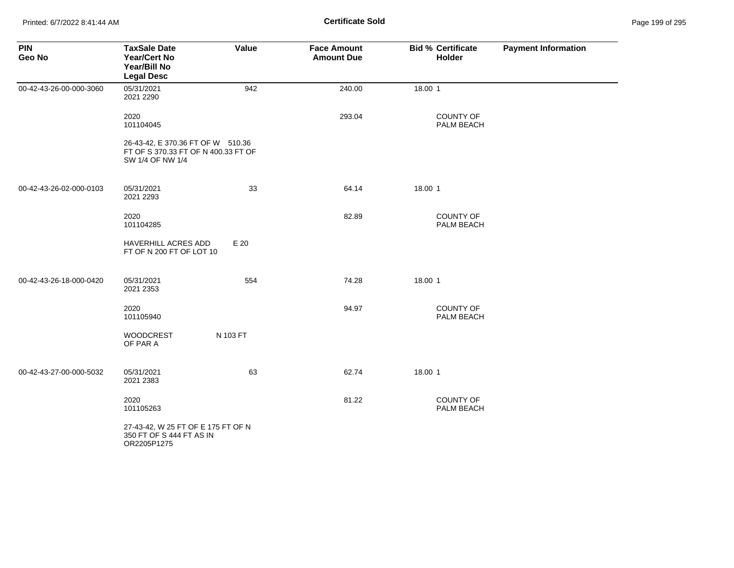| <b>PIN</b><br>Geo No    | <b>TaxSale Date</b><br>Year/Cert No<br>Year/Bill No<br><b>Legal Desc</b>                     | Value    | <b>Face Amount</b><br><b>Amount Due</b> | <b>Bid % Certificate</b><br>Holder | <b>Payment Information</b> |
|-------------------------|----------------------------------------------------------------------------------------------|----------|-----------------------------------------|------------------------------------|----------------------------|
| 00-42-43-26-00-000-3060 | 05/31/2021<br>2021 2290                                                                      | 942      | 240.00                                  | 18.00 1                            |                            |
|                         | 2020<br>101104045                                                                            |          | 293.04                                  | COUNTY OF<br>PALM BEACH            |                            |
|                         | 26-43-42, E 370.36 FT OF W 510.36<br>FT OF S 370.33 FT OF N 400.33 FT OF<br>SW 1/4 OF NW 1/4 |          |                                         |                                    |                            |
| 00-42-43-26-02-000-0103 | 05/31/2021<br>2021 2293                                                                      | 33       | 64.14                                   | 18.00 1                            |                            |
|                         | 2020<br>101104285                                                                            |          | 82.89                                   | COUNTY OF<br>PALM BEACH            |                            |
|                         | HAVERHILL ACRES ADD<br>FT OF N 200 FT OF LOT 10                                              | E 20     |                                         |                                    |                            |
| 00-42-43-26-18-000-0420 | 05/31/2021<br>2021 2353                                                                      | 554      | 74.28                                   | 18.00 1                            |                            |
|                         | 2020<br>101105940                                                                            |          | 94.97                                   | COUNTY OF<br>PALM BEACH            |                            |
|                         | WOODCREST<br>OF PAR A                                                                        | N 103 FT |                                         |                                    |                            |
| 00-42-43-27-00-000-5032 | 05/31/2021<br>2021 2383                                                                      | 63       | 62.74                                   | 18.00 1                            |                            |
|                         | 2020<br>101105263                                                                            |          | 81.22                                   | COUNTY OF<br>PALM BEACH            |                            |
|                         | 27-43-42, W 25 FT OF E 175 FT OF N<br>350 FT OF S 444 FT AS IN<br>OR2205P1275                |          |                                         |                                    |                            |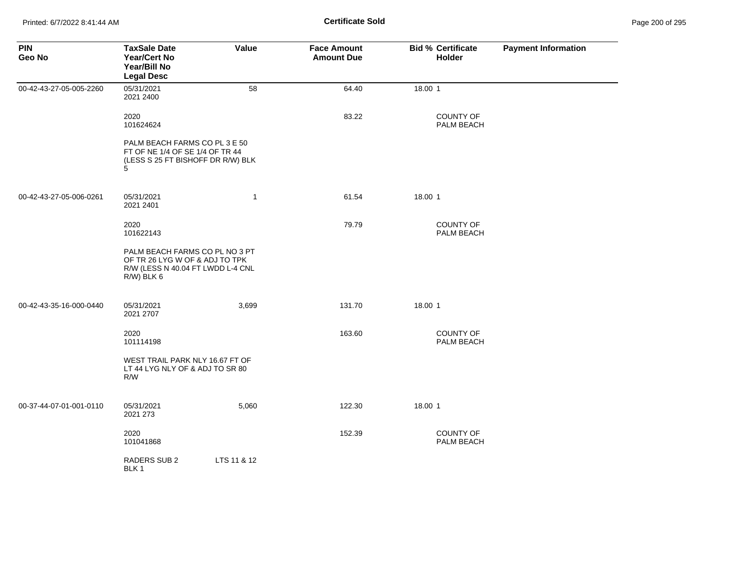| <b>PIN</b><br>Geo No    | <b>TaxSale Date</b><br><b>Year/Cert No</b><br>Year/Bill No<br><b>Legal Desc</b>                                     | Value        | <b>Face Amount</b><br><b>Amount Due</b> | <b>Bid % Certificate</b><br>Holder | <b>Payment Information</b> |
|-------------------------|---------------------------------------------------------------------------------------------------------------------|--------------|-----------------------------------------|------------------------------------|----------------------------|
| 00-42-43-27-05-005-2260 | 05/31/2021<br>2021 2400                                                                                             | 58           | 64.40                                   | 18.00 1                            |                            |
|                         | 2020<br>101624624                                                                                                   |              | 83.22                                   | COUNTY OF<br>PALM BEACH            |                            |
|                         | PALM BEACH FARMS CO PL 3 E 50<br>FT OF NE 1/4 OF SE 1/4 OF TR 44<br>(LESS S 25 FT BISHOFF DR R/W) BLK<br>5          |              |                                         |                                    |                            |
| 00-42-43-27-05-006-0261 | 05/31/2021<br>2021 2401                                                                                             | $\mathbf{1}$ | 61.54                                   | 18.00 1                            |                            |
|                         | 2020<br>101622143                                                                                                   |              | 79.79                                   | COUNTY OF<br>PALM BEACH            |                            |
|                         | PALM BEACH FARMS CO PL NO 3 PT<br>OF TR 26 LYG W OF & ADJ TO TPK<br>R/W (LESS N 40.04 FT LWDD L-4 CNL<br>R/W) BLK 6 |              |                                         |                                    |                            |
| 00-42-43-35-16-000-0440 | 05/31/2021<br>2021 2707                                                                                             | 3,699        | 131.70                                  | 18.00 1                            |                            |
|                         | 2020<br>101114198                                                                                                   |              | 163.60                                  | COUNTY OF<br>PALM BEACH            |                            |
|                         | WEST TRAIL PARK NLY 16.67 FT OF<br>LT 44 LYG NLY OF & ADJ TO SR 80<br>R/W                                           |              |                                         |                                    |                            |
| 00-37-44-07-01-001-0110 | 05/31/2021<br>2021 273                                                                                              | 5,060        | 122.30                                  | 18.00 1                            |                            |
|                         | 2020<br>101041868                                                                                                   |              | 152.39                                  | COUNTY OF<br>PALM BEACH            |                            |
|                         | <b>RADERS SUB 2</b><br>BLK 1                                                                                        | LTS 11 & 12  |                                         |                                    |                            |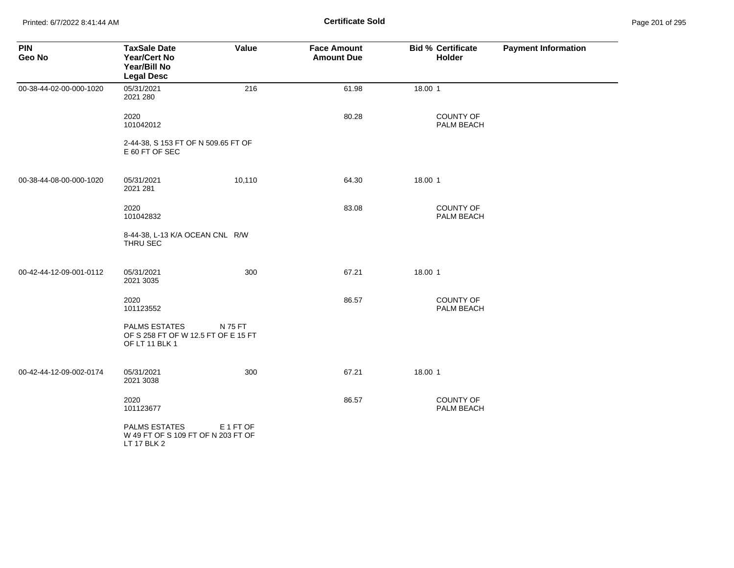Printed: 6/7/2022 8:41:44 AM **Certificate Sold** Page 201 of 295

| <b>PIN</b><br>Geo No    | <b>TaxSale Date</b><br>Year/Cert No<br>Year/Bill No<br><b>Legal Desc</b>      | Value     | <b>Face Amount</b><br><b>Amount Due</b> | <b>Bid % Certificate</b><br>Holder | <b>Payment Information</b> |
|-------------------------|-------------------------------------------------------------------------------|-----------|-----------------------------------------|------------------------------------|----------------------------|
| 00-38-44-02-00-000-1020 | 05/31/2021<br>2021 280                                                        | 216       | 61.98                                   | 18.00 1                            |                            |
|                         | 2020<br>101042012                                                             |           | 80.28                                   | COUNTY OF<br>PALM BEACH            |                            |
|                         | 2-44-38, S 153 FT OF N 509.65 FT OF<br>E 60 FT OF SEC                         |           |                                         |                                    |                            |
| 00-38-44-08-00-000-1020 | 05/31/2021<br>2021 281                                                        | 10,110    | 64.30                                   | 18.00 1                            |                            |
|                         | 2020<br>101042832                                                             |           | 83.08                                   | <b>COUNTY OF</b><br>PALM BEACH     |                            |
|                         | 8-44-38, L-13 K/A OCEAN CNL R/W<br>THRU SEC                                   |           |                                         |                                    |                            |
| 00-42-44-12-09-001-0112 | 05/31/2021<br>2021 3035                                                       | 300       | 67.21                                   | 18.00 1                            |                            |
|                         | 2020<br>101123552                                                             |           | 86.57                                   | <b>COUNTY OF</b><br>PALM BEACH     |                            |
|                         | <b>PALMS ESTATES</b><br>OF S 258 FT OF W 12.5 FT OF E 15 FT<br>OF LT 11 BLK 1 | N 75 FT   |                                         |                                    |                            |
| 00-42-44-12-09-002-0174 | 05/31/2021<br>2021 3038                                                       | 300       | 67.21                                   | 18.00 1                            |                            |
|                         | 2020<br>101123677                                                             |           | 86.57                                   | <b>COUNTY OF</b><br>PALM BEACH     |                            |
|                         | <b>PALMS ESTATES</b><br>W 49 FT OF S 109 FT OF N 203 FT OF<br>LT 17 BLK 2     | E 1 FT OF |                                         |                                    |                            |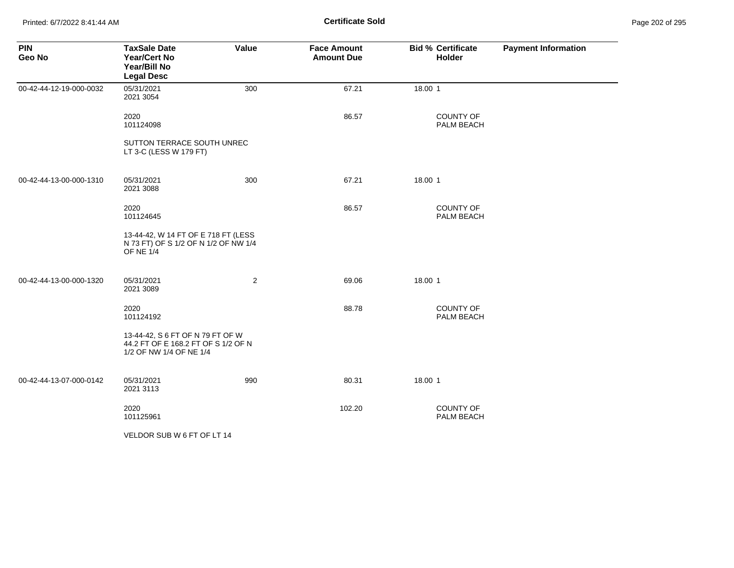Printed: 6/7/2022 8:41:44 AM **Certificate Sold** Page 202 of 295

| <b>PIN</b><br>Geo No    | <b>TaxSale Date</b><br><b>Year/Cert No</b><br>Year/Bill No<br><b>Legal Desc</b>                    | Value          | <b>Face Amount</b><br><b>Amount Due</b> | <b>Bid % Certificate</b><br>Holder | <b>Payment Information</b> |
|-------------------------|----------------------------------------------------------------------------------------------------|----------------|-----------------------------------------|------------------------------------|----------------------------|
| 00-42-44-12-19-000-0032 | 05/31/2021<br>2021 3054                                                                            | 300            | 67.21                                   | 18.00 1                            |                            |
|                         | 2020<br>101124098                                                                                  |                | 86.57                                   | COUNTY OF<br>PALM BEACH            |                            |
|                         | SUTTON TERRACE SOUTH UNREC<br>LT 3-C (LESS W 179 FT)                                               |                |                                         |                                    |                            |
| 00-42-44-13-00-000-1310 | 05/31/2021<br>2021 3088                                                                            | 300            | 67.21                                   | 18.00 1                            |                            |
|                         | 2020<br>101124645                                                                                  |                | 86.57                                   | <b>COUNTY OF</b><br>PALM BEACH     |                            |
|                         | 13-44-42, W 14 FT OF E 718 FT (LESS<br>N 73 FT) OF S 1/2 OF N 1/2 OF NW 1/4<br><b>OF NE 1/4</b>    |                |                                         |                                    |                            |
| 00-42-44-13-00-000-1320 | 05/31/2021<br>2021 3089                                                                            | $\overline{2}$ | 69.06                                   | 18.00 1                            |                            |
|                         | 2020<br>101124192                                                                                  |                | 88.78                                   | COUNTY OF<br>PALM BEACH            |                            |
|                         | 13-44-42, S 6 FT OF N 79 FT OF W<br>44.2 FT OF E 168.2 FT OF S 1/2 OF N<br>1/2 OF NW 1/4 OF NE 1/4 |                |                                         |                                    |                            |
| 00-42-44-13-07-000-0142 | 05/31/2021<br>2021 3113                                                                            | 990            | 80.31                                   | 18.00 1                            |                            |
|                         | 2020<br>101125961                                                                                  |                | 102.20                                  | COUNTY OF<br>PALM BEACH            |                            |
|                         | VELDOR SUB W 6 FT OF LT 14                                                                         |                |                                         |                                    |                            |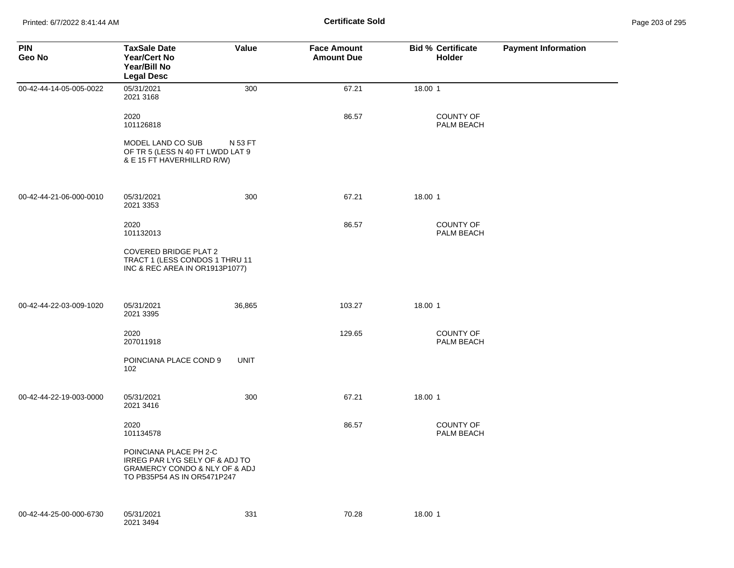Printed: 6/7/2022 8:41:44 AM **Certificate Sold** Page 203 of 295

| <b>PIN</b><br>Geo No    | <b>TaxSale Date</b><br><b>Year/Cert No</b><br>Year/Bill No<br><b>Legal Desc</b>                                          | Value       | <b>Face Amount</b><br><b>Amount Due</b> | <b>Bid % Certificate</b><br>Holder    | <b>Payment Information</b> |
|-------------------------|--------------------------------------------------------------------------------------------------------------------------|-------------|-----------------------------------------|---------------------------------------|----------------------------|
| 00-42-44-14-05-005-0022 | 05/31/2021<br>2021 3168                                                                                                  | 300         | 67.21                                   | 18.00 1                               |                            |
|                         | 2020<br>101126818                                                                                                        |             | 86.57                                   | <b>COUNTY OF</b><br>PALM BEACH        |                            |
|                         | MODEL LAND CO SUB<br>OF TR 5 (LESS N 40 FT LWDD LAT 9<br>& E 15 FT HAVERHILLRD R/W)                                      | N 53 FT     |                                         |                                       |                            |
| 00-42-44-21-06-000-0010 | 05/31/2021<br>2021 3353                                                                                                  | 300         | 67.21                                   | 18.00 1                               |                            |
|                         | 2020<br>101132013                                                                                                        |             | 86.57                                   | <b>COUNTY OF</b><br>PALM BEACH        |                            |
|                         | COVERED BRIDGE PLAT 2<br>TRACT 1 (LESS CONDOS 1 THRU 11<br>INC & REC AREA IN OR1913P1077)                                |             |                                         |                                       |                            |
| 00-42-44-22-03-009-1020 | 05/31/2021<br>2021 3395                                                                                                  | 36,865      | 103.27                                  | 18.00 1                               |                            |
|                         | 2020<br>207011918                                                                                                        |             | 129.65                                  | <b>COUNTY OF</b><br>PALM BEACH        |                            |
|                         | POINCIANA PLACE COND 9<br>102                                                                                            | <b>UNIT</b> |                                         |                                       |                            |
| 00-42-44-22-19-003-0000 | 05/31/2021<br>2021 3416                                                                                                  | 300         | 67.21                                   | 18.00 1                               |                            |
|                         | 2020<br>101134578                                                                                                        |             | 86.57                                   | <b>COUNTY OF</b><br><b>PALM BEACH</b> |                            |
|                         | POINCIANA PLACE PH 2-C<br>IRREG PAR LYG SELY OF & ADJ TO<br>GRAMERCY CONDO & NLY OF & ADJ<br>TO PB35P54 AS IN OR5471P247 |             |                                         |                                       |                            |
| 00-42-44-25-00-000-6730 | 05/31/2021<br>2021 3494                                                                                                  | 331         | 70.28                                   | 18.00 1                               |                            |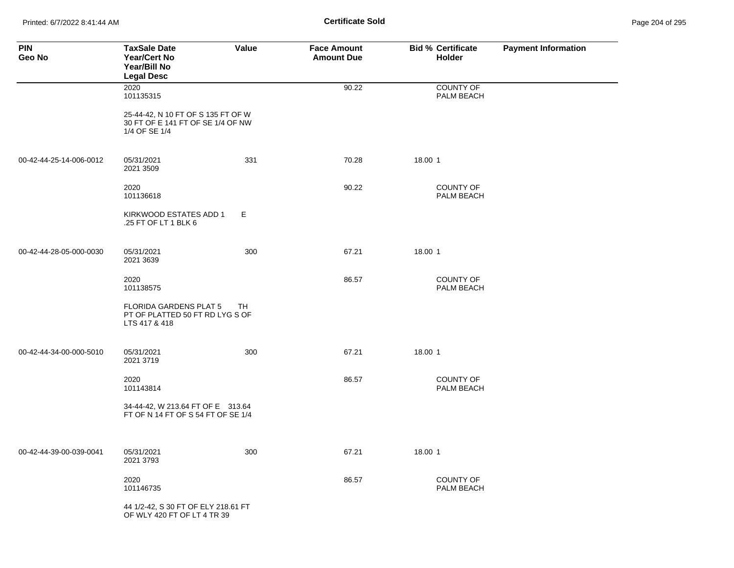Printed: 6/7/2022 8:41:44 AM **Certificate Sold** Page 204 of 295

| <b>PIN</b><br>Geo No    | <b>TaxSale Date</b><br><b>Year/Cert No</b><br>Year/Bill No<br><b>Legal Desc</b>          | Value | <b>Face Amount</b><br><b>Amount Due</b> | <b>Bid % Certificate</b><br><b>Holder</b> | <b>Payment Information</b> |
|-------------------------|------------------------------------------------------------------------------------------|-------|-----------------------------------------|-------------------------------------------|----------------------------|
|                         | 2020<br>101135315                                                                        |       | 90.22                                   | <b>COUNTY OF</b><br>PALM BEACH            |                            |
|                         | 25-44-42, N 10 FT OF S 135 FT OF W<br>30 FT OF E 141 FT OF SE 1/4 OF NW<br>1/4 OF SE 1/4 |       |                                         |                                           |                            |
| 00-42-44-25-14-006-0012 | 05/31/2021<br>2021 3509                                                                  | 331   | 70.28                                   | 18.00 1                                   |                            |
|                         | 2020<br>101136618                                                                        |       | 90.22                                   | COUNTY OF<br>PALM BEACH                   |                            |
|                         | KIRKWOOD ESTATES ADD 1<br>.25 FT OF LT 1 BLK 6                                           | E     |                                         |                                           |                            |
| 00-42-44-28-05-000-0030 | 05/31/2021<br>2021 3639                                                                  | 300   | 67.21                                   | 18.00 1                                   |                            |
|                         | 2020<br>101138575                                                                        |       | 86.57                                   | <b>COUNTY OF</b><br>PALM BEACH            |                            |
|                         | <b>FLORIDA GARDENS PLAT 5</b><br>PT OF PLATTED 50 FT RD LYG S OF<br>LTS 417 & 418        | TH.   |                                         |                                           |                            |
| 00-42-44-34-00-000-5010 | 05/31/2021<br>2021 3719                                                                  | 300   | 67.21                                   | 18.00 1                                   |                            |
|                         | 2020<br>101143814                                                                        |       | 86.57                                   | <b>COUNTY OF</b><br>PALM BEACH            |                            |
|                         | 34-44-42, W 213.64 FT OF E 313.64<br>FT OF N 14 FT OF S 54 FT OF SE 1/4                  |       |                                         |                                           |                            |
| 00-42-44-39-00-039-0041 | 05/31/2021<br>2021 3793                                                                  | 300   | 67.21                                   | 18.00 1                                   |                            |
|                         | 2020<br>101146735                                                                        |       | 86.57                                   | COUNTY OF<br>PALM BEACH                   |                            |
|                         | 44 1/2-42, S 30 FT OF ELY 218.61 FT<br>OF WLY 420 FT OF LT 4 TR 39                       |       |                                         |                                           |                            |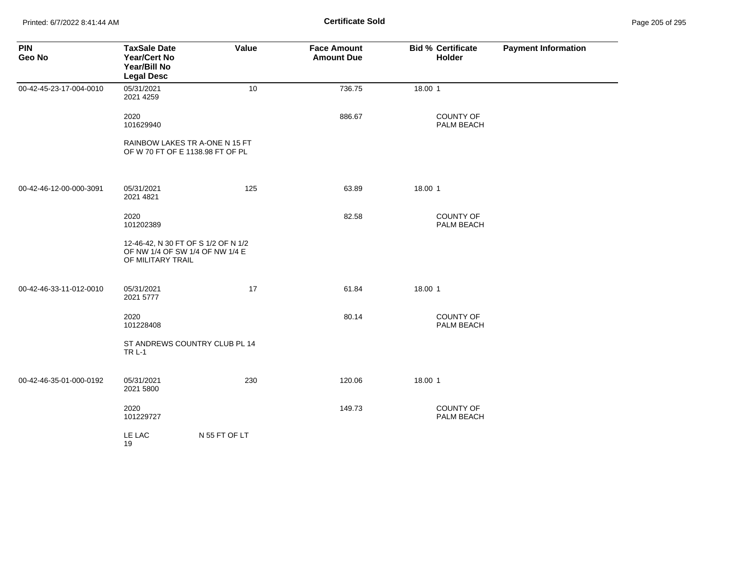Printed: 6/7/2022 8:41:44 AM **Certificate Sold** Page 205 of 295

| <b>PIN</b><br>Geo No    | <b>TaxSale Date</b><br>Year/Cert No<br>Year/Bill No<br><b>Legal Desc</b>                    | Value                          | <b>Face Amount</b><br><b>Amount Due</b> | <b>Bid % Certificate</b><br>Holder | <b>Payment Information</b> |
|-------------------------|---------------------------------------------------------------------------------------------|--------------------------------|-----------------------------------------|------------------------------------|----------------------------|
| 00-42-45-23-17-004-0010 | 05/31/2021<br>2021 4259                                                                     | 10                             | 736.75                                  | 18.00 1                            |                            |
|                         | 2020<br>101629940                                                                           |                                | 886.67                                  | <b>COUNTY OF</b><br>PALM BEACH     |                            |
|                         | OF W 70 FT OF E 1138.98 FT OF PL                                                            | RAINBOW LAKES TR A-ONE N 15 FT |                                         |                                    |                            |
| 00-42-46-12-00-000-3091 | 05/31/2021<br>2021 4821                                                                     | 125                            | 63.89                                   | 18.00 1                            |                            |
|                         | 2020<br>101202389                                                                           |                                | 82.58                                   | <b>COUNTY OF</b><br>PALM BEACH     |                            |
|                         | 12-46-42, N 30 FT OF S 1/2 OF N 1/2<br>OF NW 1/4 OF SW 1/4 OF NW 1/4 E<br>OF MILITARY TRAIL |                                |                                         |                                    |                            |
| 00-42-46-33-11-012-0010 | 05/31/2021<br>2021 5777                                                                     | 17                             | 61.84                                   | 18.00 1                            |                            |
|                         | 2020<br>101228408                                                                           |                                | 80.14                                   | COUNTY OF<br>PALM BEACH            |                            |
|                         | <b>TRL-1</b>                                                                                | ST ANDREWS COUNTRY CLUB PL 14  |                                         |                                    |                            |
| 00-42-46-35-01-000-0192 | 05/31/2021<br>2021 5800                                                                     | 230                            | 120.06                                  | 18.00 1                            |                            |
|                         | 2020<br>101229727                                                                           |                                | 149.73                                  | <b>COUNTY OF</b><br>PALM BEACH     |                            |
|                         | LE LAC<br>19                                                                                | N 55 FT OF LT                  |                                         |                                    |                            |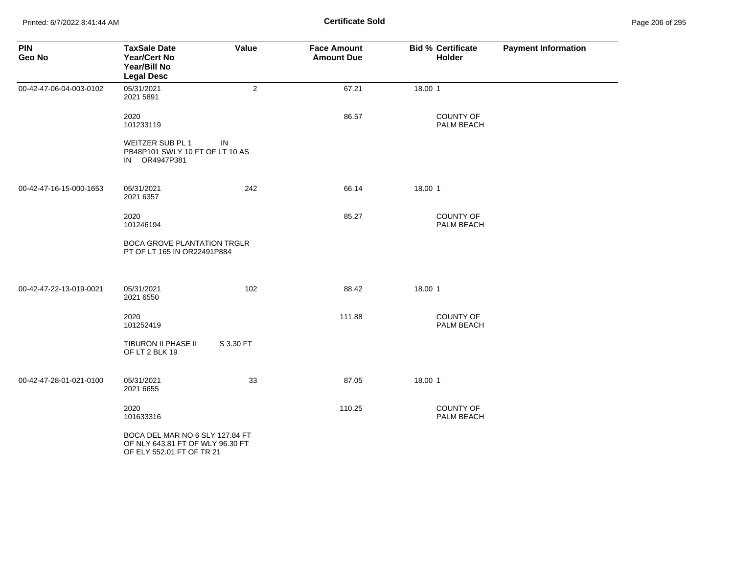Printed: 6/7/2022 8:41:44 AM **Certificate Sold** Page 206 of 295

| <b>PIN</b><br>Geo No    | <b>TaxSale Date</b><br><b>Year/Cert No</b><br>Year/Bill No<br><b>Legal Desc</b>                  | Value          | <b>Face Amount</b><br><b>Amount Due</b> | <b>Bid % Certificate</b><br>Holder | <b>Payment Information</b> |
|-------------------------|--------------------------------------------------------------------------------------------------|----------------|-----------------------------------------|------------------------------------|----------------------------|
| 00-42-47-06-04-003-0102 | 05/31/2021<br>2021 5891                                                                          | $\overline{2}$ | 67.21                                   | 18.00 1                            |                            |
|                         | 2020<br>101233119                                                                                |                | 86.57                                   | <b>COUNTY OF</b><br>PALM BEACH     |                            |
|                         | WEITZER SUB PL 1<br>PB48P101 SWLY 10 FT OF LT 10 AS<br>IN OR4947P381                             | IN             |                                         |                                    |                            |
| 00-42-47-16-15-000-1653 | 05/31/2021<br>2021 6357                                                                          | 242            | 66.14                                   | 18.00 1                            |                            |
|                         | 2020<br>101246194                                                                                |                | 85.27                                   | <b>COUNTY OF</b><br>PALM BEACH     |                            |
|                         | <b>BOCA GROVE PLANTATION TRGLR</b><br>PT OF LT 165 IN OR22491P884                                |                |                                         |                                    |                            |
| 00-42-47-22-13-019-0021 | 05/31/2021<br>2021 6550                                                                          | 102            | 88.42                                   | 18.00 1                            |                            |
|                         | 2020<br>101252419                                                                                |                | 111.88                                  | <b>COUNTY OF</b><br>PALM BEACH     |                            |
|                         | <b>TIBURON II PHASE II</b><br>OF LT 2 BLK 19                                                     | S 3.30 FT      |                                         |                                    |                            |
| 00-42-47-28-01-021-0100 | 05/31/2021<br>2021 6655                                                                          | 33             | 87.05                                   | 18.00 1                            |                            |
|                         | 2020<br>101633316                                                                                |                | 110.25                                  | COUNTY OF<br>PALM BEACH            |                            |
|                         | BOCA DEL MAR NO 6 SLY 127.84 FT<br>OF NLY 643.81 FT OF WLY 96.30 FT<br>OF ELY 552.01 FT OF TR 21 |                |                                         |                                    |                            |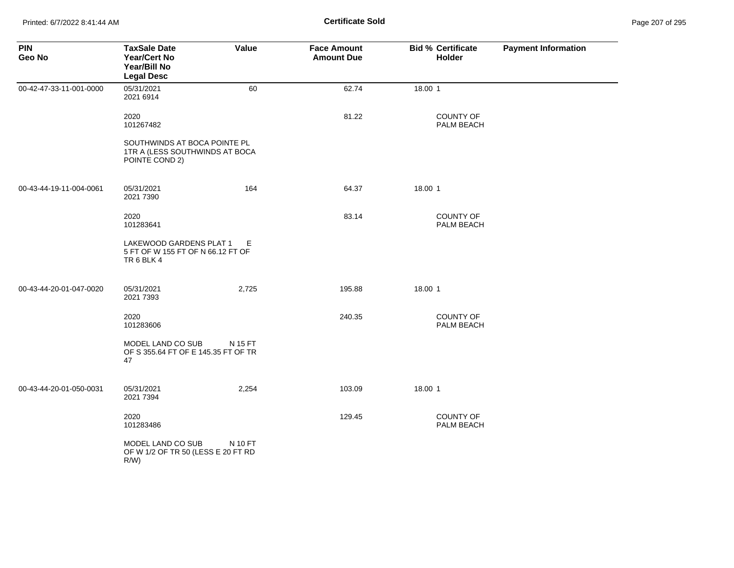| <b>PIN</b><br>Geo No    | <b>TaxSale Date</b><br><b>Year/Cert No</b><br>Year/Bill No<br><b>Legal Desc</b>  | Value   | <b>Face Amount</b><br><b>Amount Due</b> | <b>Bid % Certificate</b><br><b>Holder</b> | <b>Payment Information</b> |
|-------------------------|----------------------------------------------------------------------------------|---------|-----------------------------------------|-------------------------------------------|----------------------------|
| 00-42-47-33-11-001-0000 | 05/31/2021<br>2021 6914                                                          | 60      | 62.74                                   | 18.00 1                                   |                            |
|                         | 2020<br>101267482                                                                |         | 81.22                                   | COUNTY OF<br>PALM BEACH                   |                            |
|                         | SOUTHWINDS AT BOCA POINTE PL<br>1TR A (LESS SOUTHWINDS AT BOCA<br>POINTE COND 2) |         |                                         |                                           |                            |
| 00-43-44-19-11-004-0061 | 05/31/2021<br>2021 7390                                                          | 164     | 64.37                                   | 18.00 1                                   |                            |
|                         | 2020<br>101283641                                                                |         | 83.14                                   | <b>COUNTY OF</b><br>PALM BEACH            |                            |
|                         | LAKEWOOD GARDENS PLAT 1<br>5 FT OF W 155 FT OF N 66.12 FT OF<br>TR6BLK4          | Е       |                                         |                                           |                            |
| 00-43-44-20-01-047-0020 | 05/31/2021<br>2021 7393                                                          | 2,725   | 195.88                                  | 18.00 1                                   |                            |
|                         | 2020<br>101283606                                                                |         | 240.35                                  | COUNTY OF<br>PALM BEACH                   |                            |
|                         | MODEL LAND CO SUB<br>OF S 355.64 FT OF E 145.35 FT OF TR<br>47                   | N 15 FT |                                         |                                           |                            |
| 00-43-44-20-01-050-0031 | 05/31/2021<br>2021 7394                                                          | 2,254   | 103.09                                  | 18.00 1                                   |                            |
|                         | 2020<br>101283486                                                                |         | 129.45                                  | <b>COUNTY OF</b><br>PALM BEACH            |                            |
|                         | MODEL LAND CO SUB<br>OF W 1/2 OF TR 50 (LESS E 20 FT RD<br>$R/W$ )               | N 10 FT |                                         |                                           |                            |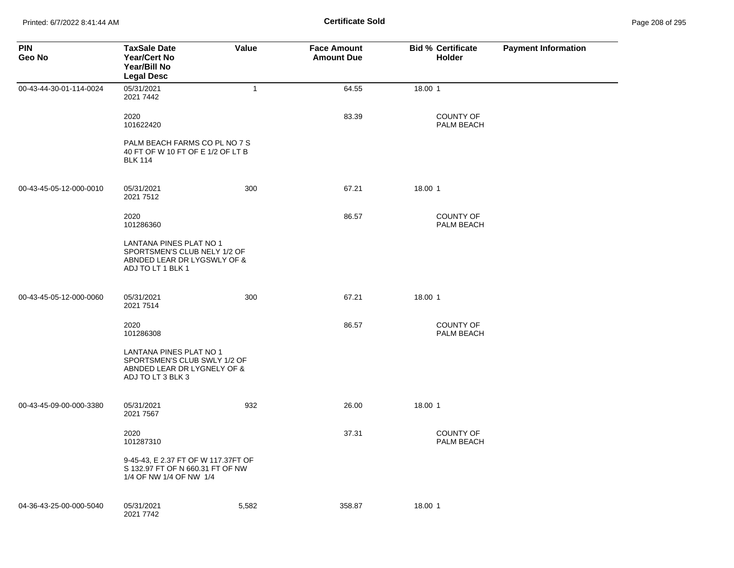Printed: 6/7/2022 8:41:44 AM **Certificate Sold** Page 208 of 295

| <b>PIN</b><br>Geo No    | <b>TaxSale Date</b><br><b>Year/Cert No</b><br>Year/Bill No<br><b>Legal Desc</b>                             | <b>Value</b> | <b>Face Amount</b><br><b>Amount Due</b> | <b>Bid % Certificate</b><br><b>Holder</b> | <b>Payment Information</b> |
|-------------------------|-------------------------------------------------------------------------------------------------------------|--------------|-----------------------------------------|-------------------------------------------|----------------------------|
| 00-43-44-30-01-114-0024 | 05/31/2021<br>2021 7442                                                                                     | $\mathbf{1}$ | 64.55                                   | 18.00 1                                   |                            |
|                         | 2020<br>101622420                                                                                           |              | 83.39                                   | <b>COUNTY OF</b><br>PALM BEACH            |                            |
|                         | PALM BEACH FARMS CO PL NO 7 S<br>40 FT OF W 10 FT OF E 1/2 OF LT B<br><b>BLK 114</b>                        |              |                                         |                                           |                            |
| 00-43-45-05-12-000-0010 | 05/31/2021<br>2021 7512                                                                                     | 300          | 67.21                                   | 18.00 1                                   |                            |
|                         | 2020<br>101286360                                                                                           |              | 86.57                                   | <b>COUNTY OF</b><br>PALM BEACH            |                            |
|                         | LANTANA PINES PLAT NO 1<br>SPORTSMEN'S CLUB NELY 1/2 OF<br>ABNDED LEAR DR LYGSWLY OF &<br>ADJ TO LT 1 BLK 1 |              |                                         |                                           |                            |
| 00-43-45-05-12-000-0060 | 05/31/2021<br>2021 7514                                                                                     | 300          | 67.21                                   | 18.00 1                                   |                            |
|                         | 2020<br>101286308                                                                                           |              | 86.57                                   | <b>COUNTY OF</b><br>PALM BEACH            |                            |
|                         | LANTANA PINES PLAT NO 1<br>SPORTSMEN'S CLUB SWLY 1/2 OF<br>ABNDED LEAR DR LYGNELY OF &<br>ADJ TO LT 3 BLK 3 |              |                                         |                                           |                            |
| 00-43-45-09-00-000-3380 | 05/31/2021<br>2021 7567                                                                                     | 932          | 26.00                                   | 18.00 1                                   |                            |
|                         | 2020<br>101287310                                                                                           |              | 37.31                                   | <b>COUNTY OF</b><br>PALM BEACH            |                            |
|                         | 9-45-43, E 2.37 FT OF W 117.37FT OF<br>S 132.97 FT OF N 660.31 FT OF NW<br>1/4 OF NW 1/4 OF NW 1/4          |              |                                         |                                           |                            |
| 04-36-43-25-00-000-5040 | 05/31/2021<br>2021 7742                                                                                     | 5,582        | 358.87                                  | 18.00 1                                   |                            |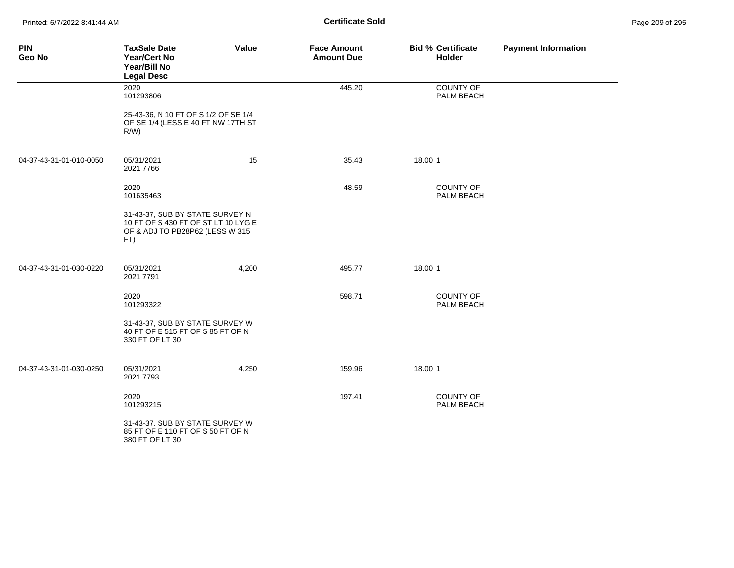Printed: 6/7/2022 8:41:44 AM **Certificate Sold** Page 209 of 295

| <b>PIN</b><br>Geo No    | <b>TaxSale Date</b><br><b>Year/Cert No</b><br>Year/Bill No<br><b>Legal Desc</b>                                  | Value | <b>Face Amount</b><br><b>Amount Due</b> | <b>Bid % Certificate</b><br>Holder | <b>Payment Information</b> |
|-------------------------|------------------------------------------------------------------------------------------------------------------|-------|-----------------------------------------|------------------------------------|----------------------------|
|                         | 2020<br>101293806                                                                                                |       | 445.20                                  | COUNTY OF<br>PALM BEACH            |                            |
|                         | 25-43-36, N 10 FT OF S 1/2 OF SE 1/4<br>OF SE 1/4 (LESS E 40 FT NW 17TH ST<br>R/W                                |       |                                         |                                    |                            |
| 04-37-43-31-01-010-0050 | 05/31/2021<br>2021 7766                                                                                          | 15    | 35.43                                   | 18.00 1                            |                            |
|                         | 2020<br>101635463                                                                                                |       | 48.59                                   | <b>COUNTY OF</b><br>PALM BEACH     |                            |
|                         | 31-43-37, SUB BY STATE SURVEY N<br>10 FT OF S 430 FT OF ST LT 10 LYG E<br>OF & ADJ TO PB28P62 (LESS W 315<br>FT) |       |                                         |                                    |                            |
| 04-37-43-31-01-030-0220 | 05/31/2021<br>2021 7791                                                                                          | 4,200 | 495.77                                  | 18.00 1                            |                            |
|                         | 2020<br>101293322                                                                                                |       | 598.71                                  | <b>COUNTY OF</b><br>PALM BEACH     |                            |
|                         | 31-43-37, SUB BY STATE SURVEY W<br>40 FT OF E 515 FT OF S 85 FT OF N<br>330 FT OF LT 30                          |       |                                         |                                    |                            |
| 04-37-43-31-01-030-0250 | 05/31/2021<br>2021 7793                                                                                          | 4,250 | 159.96                                  | 18.00 1                            |                            |
|                         | 2020<br>101293215                                                                                                |       | 197.41                                  | <b>COUNTY OF</b><br>PALM BEACH     |                            |
|                         | 31-43-37, SUB BY STATE SURVEY W<br>85 FT OF E 110 FT OF S 50 FT OF N<br>380 FT OF LT 30                          |       |                                         |                                    |                            |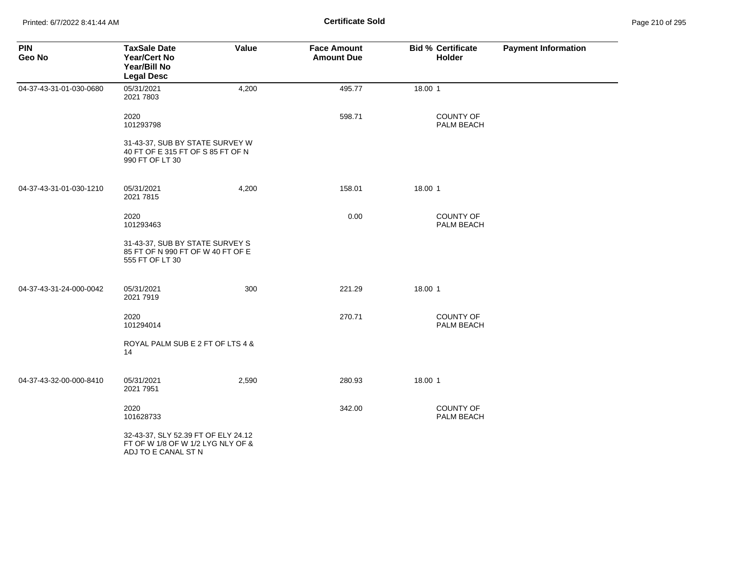| <b>PIN</b><br>Geo No    | <b>TaxSale Date</b><br><b>Year/Cert No</b><br>Year/Bill No<br><b>Legal Desc</b>                 | Value | <b>Face Amount</b><br><b>Amount Due</b> |         | <b>Bid % Certificate</b><br><b>Holder</b> | <b>Payment Information</b> |
|-------------------------|-------------------------------------------------------------------------------------------------|-------|-----------------------------------------|---------|-------------------------------------------|----------------------------|
| 04-37-43-31-01-030-0680 | 05/31/2021<br>2021 7803                                                                         | 4,200 | 495.77                                  | 18.00 1 |                                           |                            |
|                         | 2020<br>101293798                                                                               |       | 598.71                                  |         | <b>COUNTY OF</b><br>PALM BEACH            |                            |
|                         | 31-43-37, SUB BY STATE SURVEY W<br>40 FT OF E 315 FT OF S 85 FT OF N<br>990 FT OF LT 30         |       |                                         |         |                                           |                            |
| 04-37-43-31-01-030-1210 | 05/31/2021<br>2021 7815                                                                         | 4,200 | 158.01                                  | 18.00 1 |                                           |                            |
|                         | 2020<br>101293463                                                                               |       | 0.00                                    |         | <b>COUNTY OF</b><br>PALM BEACH            |                            |
|                         | 31-43-37, SUB BY STATE SURVEY S<br>85 FT OF N 990 FT OF W 40 FT OF E<br>555 FT OF LT 30         |       |                                         |         |                                           |                            |
| 04-37-43-31-24-000-0042 | 05/31/2021<br>2021 7919                                                                         | 300   | 221.29                                  | 18.00 1 |                                           |                            |
|                         | 2020<br>101294014                                                                               |       | 270.71                                  |         | <b>COUNTY OF</b><br>PALM BEACH            |                            |
|                         | ROYAL PALM SUB E 2 FT OF LTS 4 &<br>14                                                          |       |                                         |         |                                           |                            |
| 04-37-43-32-00-000-8410 | 05/31/2021<br>2021 7951                                                                         | 2,590 | 280.93                                  | 18.00 1 |                                           |                            |
|                         | 2020<br>101628733                                                                               |       | 342.00                                  |         | <b>COUNTY OF</b><br>PALM BEACH            |                            |
|                         | 32-43-37, SLY 52.39 FT OF ELY 24.12<br>FT OF W 1/8 OF W 1/2 LYG NLY OF &<br>ADJ TO E CANAL ST N |       |                                         |         |                                           |                            |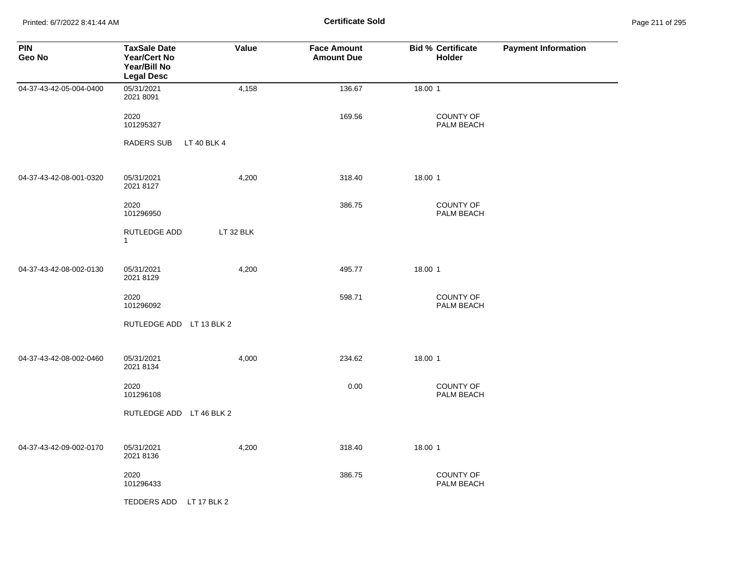Printed: 6/7/2022 8:41:44 AM **Certificate Sold** Page 211 of 295

| <b>PIN</b><br>Geo No    | <b>TaxSale Date</b><br><b>Year/Cert No</b><br>Year/Bill No<br><b>Legal Desc</b> | Value       | <b>Face Amount</b><br><b>Amount Due</b> | <b>Bid % Certificate</b><br><b>Holder</b> | <b>Payment Information</b> |
|-------------------------|---------------------------------------------------------------------------------|-------------|-----------------------------------------|-------------------------------------------|----------------------------|
| 04-37-43-42-05-004-0400 | 05/31/2021<br>2021 8091                                                         | 4,158       | 136.67                                  | 18.00 1                                   |                            |
|                         | 2020<br>101295327                                                               |             | 169.56                                  | COUNTY OF<br>PALM BEACH                   |                            |
|                         | <b>RADERS SUB</b>                                                               | LT 40 BLK 4 |                                         |                                           |                            |
| 04-37-43-42-08-001-0320 | 05/31/2021<br>2021 8127                                                         | 4,200       | 318.40                                  | 18.00 1                                   |                            |
|                         | 2020<br>101296950                                                               |             | 386.75                                  | COUNTY OF<br>PALM BEACH                   |                            |
|                         | RUTLEDGE ADD<br>$\mathbf{1}$                                                    | LT 32 BLK   |                                         |                                           |                            |
| 04-37-43-42-08-002-0130 | 05/31/2021<br>2021 8129                                                         | 4,200       | 495.77                                  | 18.00 1                                   |                            |
|                         | 2020<br>101296092                                                               |             | 598.71                                  | <b>COUNTY OF</b><br>PALM BEACH            |                            |
|                         | RUTLEDGE ADD LT 13 BLK 2                                                        |             |                                         |                                           |                            |
| 04-37-43-42-08-002-0460 | 05/31/2021<br>2021 8134                                                         | 4,000       | 234.62                                  | 18.00 1                                   |                            |
|                         | 2020<br>101296108                                                               |             | 0.00                                    | COUNTY OF<br>PALM BEACH                   |                            |
|                         | RUTLEDGE ADD LT 46 BLK 2                                                        |             |                                         |                                           |                            |
| 04-37-43-42-09-002-0170 | 05/31/2021<br>2021 8136                                                         | 4,200       | 318.40                                  | 18.00 1                                   |                            |
|                         | 2020<br>101296433                                                               |             | 386.75                                  | COUNTY OF<br>PALM BEACH                   |                            |
|                         | TEDDERS ADD LT 17 BLK 2                                                         |             |                                         |                                           |                            |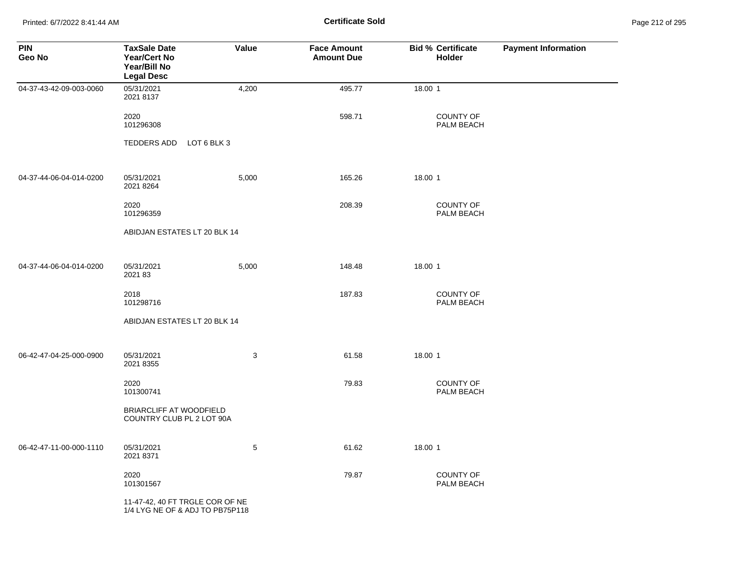Printed: 6/7/2022 8:41:44 AM **Certificate Sold** Page 212 of 295

| <b>PIN</b><br>Geo No    | <b>TaxSale Date</b><br><b>Year/Cert No</b><br>Year/Bill No<br><b>Legal Desc</b> | Value       | <b>Face Amount</b><br><b>Amount Due</b> | <b>Bid % Certificate</b><br><b>Holder</b> | <b>Payment Information</b> |
|-------------------------|---------------------------------------------------------------------------------|-------------|-----------------------------------------|-------------------------------------------|----------------------------|
| 04-37-43-42-09-003-0060 | 05/31/2021<br>2021 8137                                                         | 4,200       | 495.77                                  | 18.00 1                                   |                            |
|                         | 2020<br>101296308                                                               |             | 598.71                                  | <b>COUNTY OF</b><br>PALM BEACH            |                            |
|                         | TEDDERS ADD                                                                     | LOT 6 BLK 3 |                                         |                                           |                            |
| 04-37-44-06-04-014-0200 | 05/31/2021<br>2021 8264                                                         | 5,000       | 165.26                                  | 18.00 1                                   |                            |
|                         | 2020<br>101296359                                                               |             | 208.39                                  | <b>COUNTY OF</b><br>PALM BEACH            |                            |
|                         | ABIDJAN ESTATES LT 20 BLK 14                                                    |             |                                         |                                           |                            |
| 04-37-44-06-04-014-0200 | 05/31/2021<br>2021 83                                                           | 5,000       | 148.48                                  | 18.00 1                                   |                            |
|                         | 2018<br>101298716                                                               |             | 187.83                                  | COUNTY OF<br>PALM BEACH                   |                            |
|                         | ABIDJAN ESTATES LT 20 BLK 14                                                    |             |                                         |                                           |                            |
| 06-42-47-04-25-000-0900 | 05/31/2021<br>2021 8355                                                         | 3           | 61.58                                   | 18.00 1                                   |                            |
|                         | 2020<br>101300741                                                               |             | 79.83                                   | <b>COUNTY OF</b><br>PALM BEACH            |                            |
|                         | BRIARCLIFF AT WOODFIELD<br>COUNTRY CLUB PL 2 LOT 90A                            |             |                                         |                                           |                            |
| 06-42-47-11-00-000-1110 | 05/31/2021<br>2021 8371                                                         | 5           | 61.62                                   | 18.00 1                                   |                            |
|                         | 2020<br>101301567                                                               |             | 79.87                                   | COUNTY OF<br>PALM BEACH                   |                            |
|                         | 11-47-42, 40 FT TRGLE COR OF NE<br>1/4 LYG NE OF & ADJ TO PB75P118              |             |                                         |                                           |                            |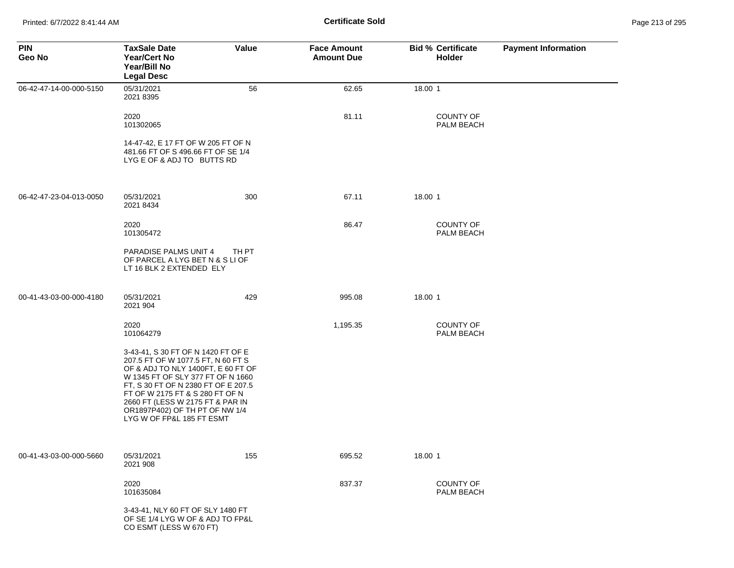| <b>PIN</b><br>Geo No    | <b>TaxSale Date</b><br><b>Year/Cert No</b><br>Year/Bill No<br><b>Legal Desc</b>                                                                                                                                                                                                                                                  | Value | <b>Face Amount</b><br><b>Amount Due</b> | <b>Bid % Certificate</b><br>Holder | <b>Payment Information</b> |
|-------------------------|----------------------------------------------------------------------------------------------------------------------------------------------------------------------------------------------------------------------------------------------------------------------------------------------------------------------------------|-------|-----------------------------------------|------------------------------------|----------------------------|
| 06-42-47-14-00-000-5150 | 05/31/2021<br>2021 8395                                                                                                                                                                                                                                                                                                          | 56    | 62.65                                   | 18.00 1                            |                            |
|                         | 2020<br>101302065                                                                                                                                                                                                                                                                                                                |       | 81.11                                   | <b>COUNTY OF</b><br>PALM BEACH     |                            |
|                         | 14-47-42, E 17 FT OF W 205 FT OF N<br>481.66 FT OF S 496.66 FT OF SE 1/4<br>LYG E OF & ADJ TO BUTTS RD                                                                                                                                                                                                                           |       |                                         |                                    |                            |
| 06-42-47-23-04-013-0050 | 05/31/2021<br>2021 8434                                                                                                                                                                                                                                                                                                          | 300   | 67.11                                   | 18.00 1                            |                            |
|                         | 2020<br>101305472                                                                                                                                                                                                                                                                                                                |       | 86.47                                   | <b>COUNTY OF</b><br>PALM BEACH     |                            |
|                         | PARADISE PALMS UNIT 4<br>OF PARCEL A LYG BET N & S LI OF<br>LT 16 BLK 2 EXTENDED ELY                                                                                                                                                                                                                                             | TH PT |                                         |                                    |                            |
| 00-41-43-03-00-000-4180 | 05/31/2021<br>2021 904                                                                                                                                                                                                                                                                                                           | 429   | 995.08                                  | 18.00 1                            |                            |
|                         | 2020<br>101064279                                                                                                                                                                                                                                                                                                                |       | 1,195.35                                | <b>COUNTY OF</b><br>PALM BEACH     |                            |
|                         | 3-43-41, S 30 FT OF N 1420 FT OF E<br>207.5 FT OF W 1077.5 FT, N 60 FT S<br>OF & ADJ TO NLY 1400FT, E 60 FT OF<br>W 1345 FT OF SLY 377 FT OF N 1660<br>FT, S 30 FT OF N 2380 FT OF E 207.5<br>FT OF W 2175 FT & S 280 FT OF N<br>2660 FT (LESS W 2175 FT & PAR IN<br>OR1897P402) OF TH PT OF NW 1/4<br>LYG W OF FP&L 185 FT ESMT |       |                                         |                                    |                            |
| 00-41-43-03-00-000-5660 | 05/31/2021<br>2021 908                                                                                                                                                                                                                                                                                                           | 155   | 695.52                                  | 18.00 1                            |                            |
|                         | 2020<br>101635084                                                                                                                                                                                                                                                                                                                |       | 837.37                                  | <b>COUNTY OF</b><br>PALM BEACH     |                            |
|                         | 3-43-41, NLY 60 FT OF SLY 1480 FT<br>OF SE 1/4 LYG W OF & ADJ TO FP&L<br>CO ESMT (LESS W 670 FT)                                                                                                                                                                                                                                 |       |                                         |                                    |                            |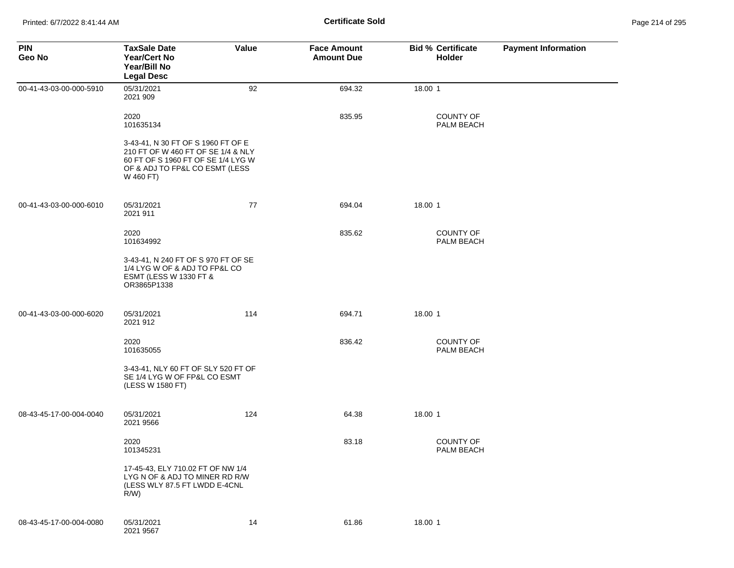| <b>PIN</b><br>Geo No    | <b>TaxSale Date</b><br><b>Year/Cert No</b><br>Year/Bill No<br><b>Legal Desc</b>                                                                               | Value | <b>Face Amount</b><br><b>Amount Due</b> | <b>Bid % Certificate</b><br>Holder | <b>Payment Information</b> |
|-------------------------|---------------------------------------------------------------------------------------------------------------------------------------------------------------|-------|-----------------------------------------|------------------------------------|----------------------------|
| 00-41-43-03-00-000-5910 | 05/31/2021<br>2021 909                                                                                                                                        | 92    | 694.32                                  | 18.00 1                            |                            |
|                         | 2020<br>101635134                                                                                                                                             |       | 835.95                                  | <b>COUNTY OF</b><br>PALM BEACH     |                            |
|                         | 3-43-41, N 30 FT OF S 1960 FT OF E<br>210 FT OF W 460 FT OF SE 1/4 & NLY<br>60 FT OF S 1960 FT OF SE 1/4 LYG W<br>OF & ADJ TO FP&L CO ESMT (LESS<br>W 460 FT) |       |                                         |                                    |                            |
| 00-41-43-03-00-000-6010 | 05/31/2021<br>2021 911                                                                                                                                        | 77    | 694.04                                  | 18.00 1                            |                            |
|                         | 2020<br>101634992                                                                                                                                             |       | 835.62                                  | <b>COUNTY OF</b><br>PALM BEACH     |                            |
|                         | 3-43-41, N 240 FT OF S 970 FT OF SE<br>1/4 LYG W OF & ADJ TO FP&L CO<br><b>ESMT (LESS W 1330 FT &amp;</b><br>OR3865P1338                                      |       |                                         |                                    |                            |
| 00-41-43-03-00-000-6020 | 05/31/2021<br>2021 912                                                                                                                                        | 114   | 694.71                                  | 18.00 1                            |                            |
|                         | 2020<br>101635055                                                                                                                                             |       | 836.42                                  | COUNTY OF<br>PALM BEACH            |                            |
|                         | 3-43-41, NLY 60 FT OF SLY 520 FT OF<br>SE 1/4 LYG W OF FP&L CO ESMT<br>(LESS W 1580 FT)                                                                       |       |                                         |                                    |                            |
| 08-43-45-17-00-004-0040 | 05/31/2021<br>2021 9566                                                                                                                                       | 124   | 64.38                                   | 18.00 1                            |                            |
|                         | 2020<br>101345231                                                                                                                                             |       | 83.18                                   | <b>COUNTY OF</b><br>PALM BEACH     |                            |
|                         | 17-45-43, ELY 710.02 FT OF NW 1/4<br>LYG N OF & ADJ TO MINER RD R/W<br>(LESS WLY 87.5 FT LWDD E-4CNL<br>$R/W$ )                                               |       |                                         |                                    |                            |
| 08-43-45-17-00-004-0080 | 05/31/2021<br>2021 9567                                                                                                                                       | 14    | 61.86                                   | 18.00 1                            |                            |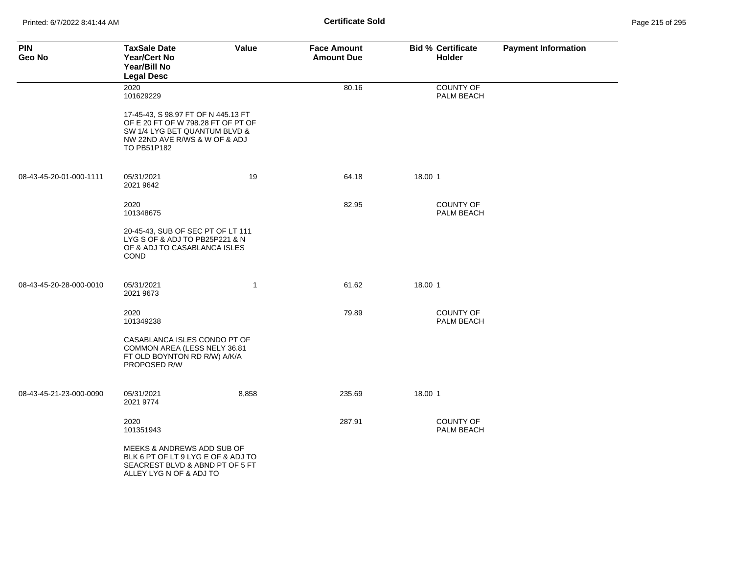| <b>PIN</b><br>Geo No    | <b>TaxSale Date</b><br><b>Year/Cert No</b><br>Year/Bill No<br><b>Legal Desc</b>                                                                            | Value        | <b>Face Amount</b><br><b>Amount Due</b> | <b>Bid % Certificate</b><br><b>Holder</b> | <b>Payment Information</b> |
|-------------------------|------------------------------------------------------------------------------------------------------------------------------------------------------------|--------------|-----------------------------------------|-------------------------------------------|----------------------------|
|                         | 2020<br>101629229                                                                                                                                          |              | 80.16                                   | COUNTY OF<br>PALM BEACH                   |                            |
|                         | 17-45-43, S 98.97 FT OF N 445.13 FT<br>OF E 20 FT OF W 798.28 FT OF PT OF<br>SW 1/4 LYG BET QUANTUM BLVD &<br>NW 22ND AVE R/WS & W OF & ADJ<br>TO PB51P182 |              |                                         |                                           |                            |
| 08-43-45-20-01-000-1111 | 05/31/2021<br>2021 9642                                                                                                                                    | 19           | 64.18                                   | 18.00 1                                   |                            |
|                         | 2020<br>101348675                                                                                                                                          |              | 82.95                                   | COUNTY OF<br>PALM BEACH                   |                            |
|                         | 20-45-43, SUB OF SEC PT OF LT 111<br>LYG S OF & ADJ TO PB25P221 & N<br>OF & ADJ TO CASABLANCA ISLES<br><b>COND</b>                                         |              |                                         |                                           |                            |
| 08-43-45-20-28-000-0010 | 05/31/2021<br>2021 9673                                                                                                                                    | $\mathbf{1}$ | 61.62                                   | 18.00 1                                   |                            |
|                         | 2020<br>101349238                                                                                                                                          |              | 79.89                                   | COUNTY OF<br>PALM BEACH                   |                            |
|                         | CASABLANCA ISLES CONDO PT OF<br>COMMON AREA (LESS NELY 36.81<br>FT OLD BOYNTON RD R/W) A/K/A<br>PROPOSED R/W                                               |              |                                         |                                           |                            |
| 08-43-45-21-23-000-0090 | 05/31/2021<br>2021 9774                                                                                                                                    | 8,858        | 235.69                                  | 18.00 1                                   |                            |
|                         | 2020<br>101351943                                                                                                                                          |              | 287.91                                  | COUNTY OF<br>PALM BEACH                   |                            |
|                         | MEEKS & ANDREWS ADD SUB OF<br>BLK 6 PT OF LT 9 LYG E OF & ADJ TO<br>SEACREST BLVD & ABND PT OF 5 FT<br>ALLEY LYG N OF & ADJ TO                             |              |                                         |                                           |                            |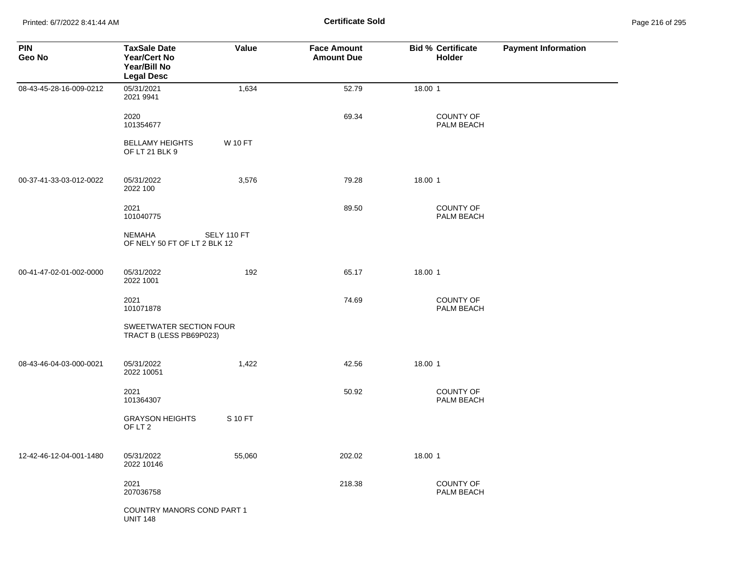Printed: 6/7/2022 8:41:44 AM **Certificate Sold** Page 216 of 295

| <b>PIN</b><br>Geo No    | <b>TaxSale Date</b><br><b>Year/Cert No</b><br>Year/Bill No<br><b>Legal Desc</b> | Value          | <b>Face Amount</b><br><b>Amount Due</b> | <b>Bid % Certificate</b><br><b>Holder</b> | <b>Payment Information</b> |
|-------------------------|---------------------------------------------------------------------------------|----------------|-----------------------------------------|-------------------------------------------|----------------------------|
| 08-43-45-28-16-009-0212 | 05/31/2021<br>2021 9941                                                         | 1,634          | 52.79                                   | 18.00 1                                   |                            |
|                         | 2020<br>101354677                                                               |                | 69.34                                   | COUNTY OF<br>PALM BEACH                   |                            |
|                         | <b>BELLAMY HEIGHTS</b><br>OF LT 21 BLK 9                                        | <b>W 10 FT</b> |                                         |                                           |                            |
| 00-37-41-33-03-012-0022 | 05/31/2022<br>2022 100                                                          | 3,576          | 79.28                                   | 18.00 1                                   |                            |
|                         | 2021<br>101040775                                                               |                | 89.50                                   | <b>COUNTY OF</b><br>PALM BEACH            |                            |
|                         | NEMAHA<br>OF NELY 50 FT OF LT 2 BLK 12                                          | SELY 110 FT    |                                         |                                           |                            |
| 00-41-47-02-01-002-0000 | 05/31/2022<br>2022 1001                                                         | 192            | 65.17                                   | 18.00 1                                   |                            |
|                         | 2021<br>101071878                                                               |                | 74.69                                   | COUNTY OF<br>PALM BEACH                   |                            |
|                         | SWEETWATER SECTION FOUR<br>TRACT B (LESS PB69P023)                              |                |                                         |                                           |                            |
| 08-43-46-04-03-000-0021 | 05/31/2022<br>2022 10051                                                        | 1,422          | 42.56                                   | 18.00 1                                   |                            |
|                         | 2021<br>101364307                                                               |                | 50.92                                   | <b>COUNTY OF</b><br>PALM BEACH            |                            |
|                         | <b>GRAYSON HEIGHTS</b><br>OF LT 2                                               | S 10 FT        |                                         |                                           |                            |
| 12-42-46-12-04-001-1480 | 05/31/2022<br>2022 10146                                                        | 55,060         | 202.02                                  | 18.00 1                                   |                            |
|                         | 2021<br>207036758                                                               |                | 218.38                                  | COUNTY OF<br>PALM BEACH                   |                            |
|                         | COUNTRY MANORS COND PART 1<br><b>UNIT 148</b>                                   |                |                                         |                                           |                            |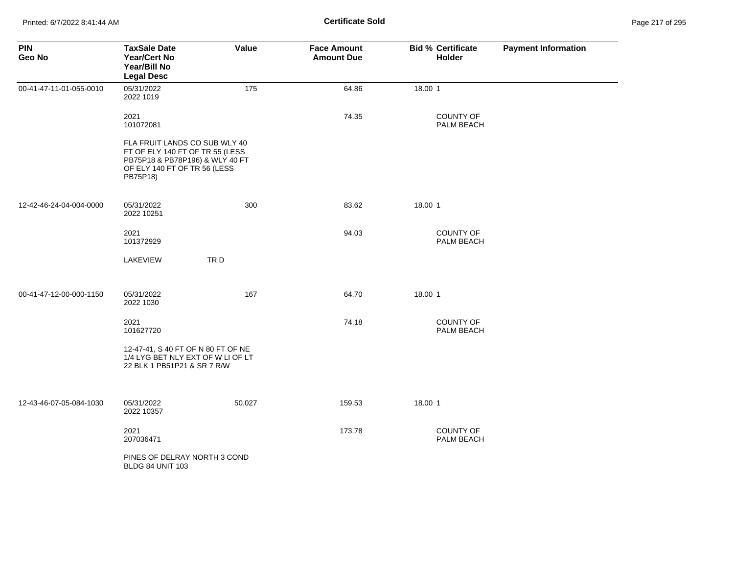| <b>PIN</b><br>Geo No    | <b>TaxSale Date</b><br>Year/Cert No<br>Year/Bill No<br><b>Legal Desc</b>                                                                        | Value  | <b>Face Amount</b><br><b>Amount Due</b> | <b>Bid % Certificate</b><br>Holder | <b>Payment Information</b> |
|-------------------------|-------------------------------------------------------------------------------------------------------------------------------------------------|--------|-----------------------------------------|------------------------------------|----------------------------|
| 00-41-47-11-01-055-0010 | 05/31/2022<br>2022 1019                                                                                                                         | 175    | 64.86                                   | 18.00 1                            |                            |
|                         | 2021<br>101072081                                                                                                                               |        | 74.35                                   | COUNTY OF<br>PALM BEACH            |                            |
|                         | FLA FRUIT LANDS CO SUB WLY 40<br>FT OF ELY 140 FT OF TR 55 (LESS<br>PB75P18 & PB78P196) & WLY 40 FT<br>OF ELY 140 FT OF TR 56 (LESS<br>PB75P18) |        |                                         |                                    |                            |
| 12-42-46-24-04-004-0000 | 05/31/2022<br>2022 10251                                                                                                                        | 300    | 83.62                                   | 18.00 1                            |                            |
|                         | 2021<br>101372929                                                                                                                               |        | 94.03                                   | COUNTY OF<br>PALM BEACH            |                            |
|                         | LAKEVIEW                                                                                                                                        | TRD    |                                         |                                    |                            |
| 00-41-47-12-00-000-1150 | 05/31/2022<br>2022 1030                                                                                                                         | 167    | 64.70                                   | 18.00 1                            |                            |
|                         | 2021<br>101627720                                                                                                                               |        | 74.18                                   | <b>COUNTY OF</b><br>PALM BEACH     |                            |
|                         | 12-47-41, S 40 FT OF N 80 FT OF NE<br>1/4 LYG BET NLY EXT OF W LI OF LT<br>22 BLK 1 PB51P21 & SR 7 R/W                                          |        |                                         |                                    |                            |
| 12-43-46-07-05-084-1030 | 05/31/2022<br>2022 10357                                                                                                                        | 50,027 | 159.53                                  | 18.00 1                            |                            |
|                         | 2021<br>207036471                                                                                                                               |        | 173.78                                  | <b>COUNTY OF</b><br>PALM BEACH     |                            |
|                         | PINES OF DELRAY NORTH 3 COND<br><b>BLDG 84 UNIT 103</b>                                                                                         |        |                                         |                                    |                            |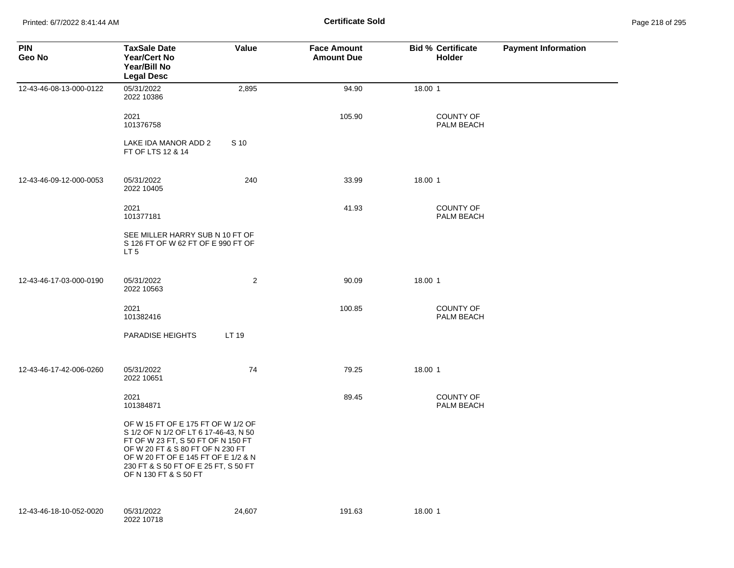Printed: 6/7/2022 8:41:44 AM **Certificate Sold** Page 218 of 295

| <b>PIN</b><br>Geo No    | <b>TaxSale Date</b><br><b>Year/Cert No</b><br>Year/Bill No<br><b>Legal Desc</b>                                                                                                                                                                               | Value          | <b>Face Amount</b><br><b>Amount Due</b> | <b>Bid % Certificate</b><br>Holder | <b>Payment Information</b> |
|-------------------------|---------------------------------------------------------------------------------------------------------------------------------------------------------------------------------------------------------------------------------------------------------------|----------------|-----------------------------------------|------------------------------------|----------------------------|
| 12-43-46-08-13-000-0122 | 05/31/2022<br>2022 10386                                                                                                                                                                                                                                      | 2,895          | 94.90                                   | 18.00 1                            |                            |
|                         | 2021<br>101376758                                                                                                                                                                                                                                             |                | 105.90                                  | <b>COUNTY OF</b><br>PALM BEACH     |                            |
|                         | LAKE IDA MANOR ADD 2<br>FT OF LTS 12 & 14                                                                                                                                                                                                                     | S 10           |                                         |                                    |                            |
| 12-43-46-09-12-000-0053 | 05/31/2022<br>2022 10405                                                                                                                                                                                                                                      | 240            | 33.99                                   | 18.00 1                            |                            |
|                         | 2021<br>101377181                                                                                                                                                                                                                                             |                | 41.93                                   | <b>COUNTY OF</b><br>PALM BEACH     |                            |
|                         | SEE MILLER HARRY SUB N 10 FT OF<br>S 126 FT OF W 62 FT OF E 990 FT OF<br>LT <sub>5</sub>                                                                                                                                                                      |                |                                         |                                    |                            |
| 12-43-46-17-03-000-0190 | 05/31/2022<br>2022 10563                                                                                                                                                                                                                                      | $\overline{c}$ | 90.09                                   | 18.00 1                            |                            |
|                         | 2021<br>101382416                                                                                                                                                                                                                                             |                | 100.85                                  | <b>COUNTY OF</b><br>PALM BEACH     |                            |
|                         | PARADISE HEIGHTS                                                                                                                                                                                                                                              | LT 19          |                                         |                                    |                            |
| 12-43-46-17-42-006-0260 | 05/31/2022<br>2022 10651                                                                                                                                                                                                                                      | 74             | 79.25                                   | 18.00 1                            |                            |
|                         | 2021<br>101384871                                                                                                                                                                                                                                             |                | 89.45                                   | <b>COUNTY OF</b><br>PALM BEACH     |                            |
|                         | OF W 15 FT OF E 175 FT OF W 1/2 OF<br>S 1/2 OF N 1/2 OF LT 6 17-46-43, N 50<br>FT OF W 23 FT, S 50 FT OF N 150 FT<br>OF W 20 FT & S 80 FT OF N 230 FT<br>OF W 20 FT OF E 145 FT OF E 1/2 & N<br>230 FT & S 50 FT OF E 25 FT, S 50 FT<br>OF N 130 FT & S 50 FT |                |                                         |                                    |                            |
| 12-43-46-18-10-052-0020 | 05/31/2022<br>2022 10718                                                                                                                                                                                                                                      | 24,607         | 191.63                                  | 18.00 1                            |                            |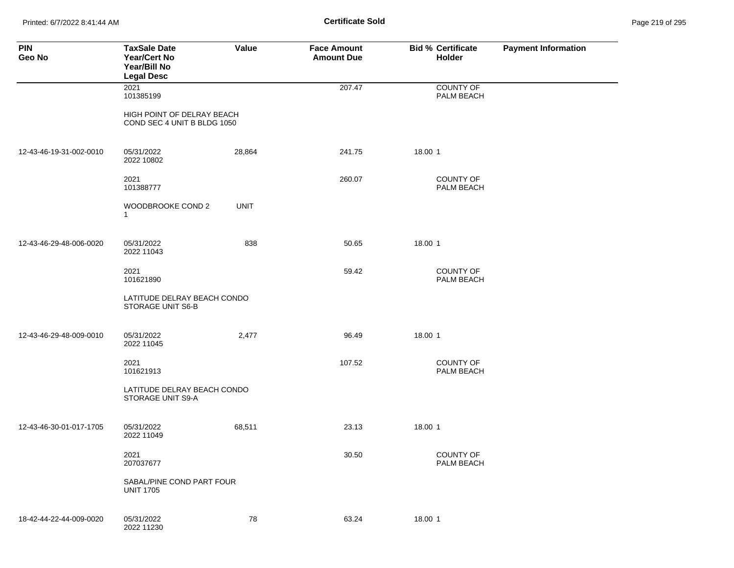Printed: 6/7/2022 8:41:44 AM **Certificate Sold** Page 219 of 295

| <b>PIN</b><br>Geo No    | <b>TaxSale Date</b><br>Year/Cert No<br>Year/Bill No<br><b>Legal Desc</b> | Value       | <b>Face Amount</b><br><b>Amount Due</b> | <b>Bid % Certificate</b><br>Holder | <b>Payment Information</b> |
|-------------------------|--------------------------------------------------------------------------|-------------|-----------------------------------------|------------------------------------|----------------------------|
|                         | 2021<br>101385199                                                        |             | 207.47                                  | COUNTY OF<br>PALM BEACH            |                            |
|                         | HIGH POINT OF DELRAY BEACH<br>COND SEC 4 UNIT B BLDG 1050                |             |                                         |                                    |                            |
| 12-43-46-19-31-002-0010 | 05/31/2022<br>2022 10802                                                 | 28,864      | 241.75                                  | 18.00 1                            |                            |
|                         | 2021<br>101388777                                                        |             | 260.07                                  | <b>COUNTY OF</b><br>PALM BEACH     |                            |
|                         | WOODBROOKE COND 2<br>$\mathbf{1}$                                        | <b>UNIT</b> |                                         |                                    |                            |
| 12-43-46-29-48-006-0020 | 05/31/2022<br>2022 11043                                                 | 838         | 50.65                                   | 18.00 1                            |                            |
|                         | 2021<br>101621890                                                        |             | 59.42                                   | <b>COUNTY OF</b><br>PALM BEACH     |                            |
|                         | LATITUDE DELRAY BEACH CONDO<br>STORAGE UNIT S6-B                         |             |                                         |                                    |                            |
| 12-43-46-29-48-009-0010 | 05/31/2022<br>2022 11045                                                 | 2,477       | 96.49                                   | 18.00 1                            |                            |
|                         | 2021<br>101621913                                                        |             | 107.52                                  | <b>COUNTY OF</b><br>PALM BEACH     |                            |
|                         | LATITUDE DELRAY BEACH CONDO<br>STORAGE UNIT S9-A                         |             |                                         |                                    |                            |
| 12-43-46-30-01-017-1705 | 05/31/2022<br>2022 11049                                                 | 68,511      | 23.13                                   | 18.00 1                            |                            |
|                         | 2021<br>207037677                                                        |             | 30.50                                   | COUNTY OF<br>PALM BEACH            |                            |
|                         | SABAL/PINE COND PART FOUR<br><b>UNIT 1705</b>                            |             |                                         |                                    |                            |
| 18-42-44-22-44-009-0020 | 05/31/2022<br>2022 11230                                                 | 78          | 63.24                                   | 18.00 1                            |                            |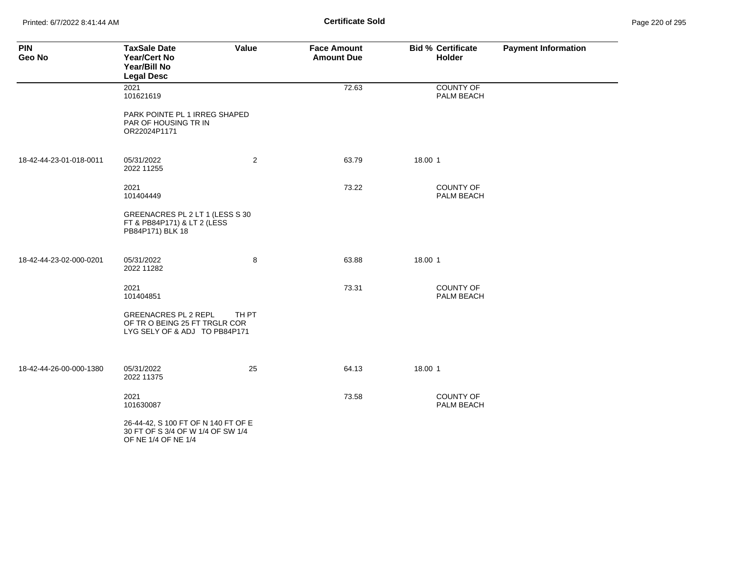Printed: 6/7/2022 8:41:44 AM **Certificate Sold** Page 220 of 295

| <b>PIN</b><br>Geo No    | <b>TaxSale Date</b><br><b>Year/Cert No</b><br>Year/Bill No<br><b>Legal Desc</b>                 | Value          | <b>Face Amount</b><br><b>Amount Due</b> | <b>Bid % Certificate</b><br><b>Holder</b> | <b>Payment Information</b> |
|-------------------------|-------------------------------------------------------------------------------------------------|----------------|-----------------------------------------|-------------------------------------------|----------------------------|
|                         | 2021<br>101621619                                                                               |                | 72.63                                   | <b>COUNTY OF</b><br>PALM BEACH            |                            |
|                         | PARK POINTE PL 1 IRREG SHAPED<br>PAR OF HOUSING TR IN<br>OR22024P1171                           |                |                                         |                                           |                            |
| 18-42-44-23-01-018-0011 | 05/31/2022<br>2022 11255                                                                        | $\overline{a}$ | 63.79                                   | 18.00 1                                   |                            |
|                         | 2021<br>101404449                                                                               |                | 73.22                                   | <b>COUNTY OF</b><br>PALM BEACH            |                            |
|                         | GREENACRES PL 2 LT 1 (LESS S 30<br>FT & PB84P171) & LT 2 (LESS<br>PB84P171) BLK 18              |                |                                         |                                           |                            |
| 18-42-44-23-02-000-0201 | 05/31/2022<br>2022 11282                                                                        | 8              | 63.88                                   | 18.00 1                                   |                            |
|                         | 2021<br>101404851                                                                               |                | 73.31                                   | <b>COUNTY OF</b><br>PALM BEACH            |                            |
|                         | <b>GREENACRES PL 2 REPL</b><br>OF TRO BEING 25 FT TRGLR COR<br>LYG SELY OF & ADJ TO PB84P171    | TH PT          |                                         |                                           |                            |
| 18-42-44-26-00-000-1380 | 05/31/2022<br>2022 11375                                                                        | 25             | 64.13                                   | 18.00 1                                   |                            |
|                         | 2021<br>101630087                                                                               |                | 73.58                                   | <b>COUNTY OF</b><br>PALM BEACH            |                            |
|                         | 26-44-42, S 100 FT OF N 140 FT OF E<br>30 FT OF S 3/4 OF W 1/4 OF SW 1/4<br>OF NE 1/4 OF NE 1/4 |                |                                         |                                           |                            |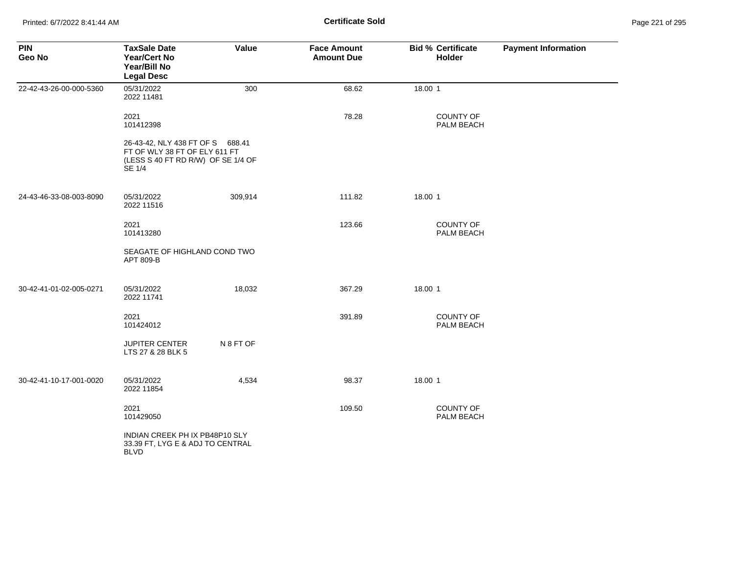| <b>PIN</b><br>Geo No    | <b>TaxSale Date</b><br><b>Year/Cert No</b><br>Year/Bill No<br><b>Legal Desc</b>                                   | Value     | <b>Face Amount</b><br><b>Amount Due</b> | <b>Bid % Certificate</b><br><b>Holder</b> | <b>Payment Information</b> |
|-------------------------|-------------------------------------------------------------------------------------------------------------------|-----------|-----------------------------------------|-------------------------------------------|----------------------------|
| 22-42-43-26-00-000-5360 | 05/31/2022<br>2022 11481                                                                                          | 300       | 68.62                                   | 18.00 1                                   |                            |
|                         | 2021<br>101412398                                                                                                 |           | 78.28                                   | <b>COUNTY OF</b><br>PALM BEACH            |                            |
|                         | 26-43-42, NLY 438 FT OF S 688.41<br>FT OF WLY 38 FT OF ELY 611 FT<br>(LESS S 40 FT RD R/W) OF SE 1/4 OF<br>SE 1/4 |           |                                         |                                           |                            |
| 24-43-46-33-08-003-8090 | 05/31/2022<br>2022 11516                                                                                          | 309,914   | 111.82                                  | 18.00 1                                   |                            |
|                         | 2021<br>101413280                                                                                                 |           | 123.66                                  | <b>COUNTY OF</b><br>PALM BEACH            |                            |
|                         | SEAGATE OF HIGHLAND COND TWO<br>APT 809-B                                                                         |           |                                         |                                           |                            |
| 30-42-41-01-02-005-0271 | 05/31/2022<br>2022 11741                                                                                          | 18,032    | 367.29                                  | 18.00 1                                   |                            |
|                         | 2021<br>101424012                                                                                                 |           | 391.89                                  | <b>COUNTY OF</b><br>PALM BEACH            |                            |
|                         | <b>JUPITER CENTER</b><br>LTS 27 & 28 BLK 5                                                                        | N 8 FT OF |                                         |                                           |                            |
| 30-42-41-10-17-001-0020 | 05/31/2022<br>2022 11854                                                                                          | 4,534     | 98.37                                   | 18.00 1                                   |                            |
|                         | 2021<br>101429050                                                                                                 |           | 109.50                                  | <b>COUNTY OF</b><br>PALM BEACH            |                            |
|                         | INDIAN CREEK PH IX PB48P10 SLY<br>33.39 FT, LYG E & ADJ TO CENTRAL<br><b>BLVD</b>                                 |           |                                         |                                           |                            |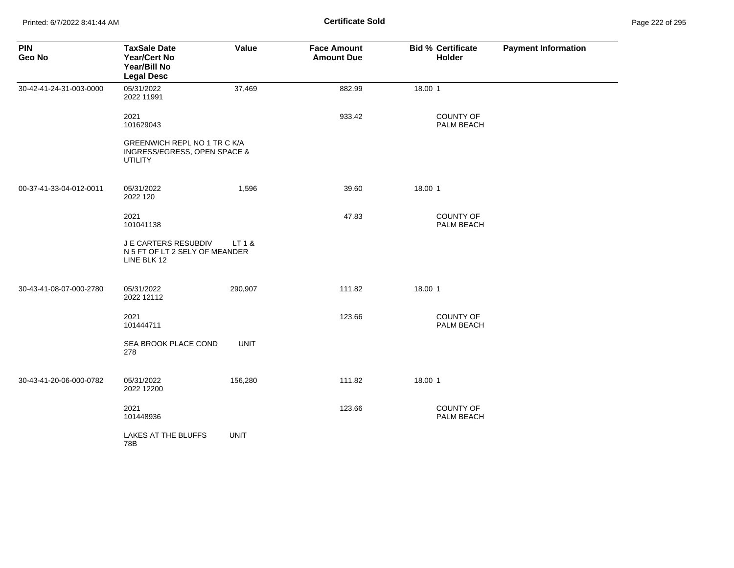| <b>PIN</b><br>Geo No    | <b>TaxSale Date</b><br>Year/Cert No<br>Year/Bill No<br><b>Legal Desc</b>       | Value       | <b>Face Amount</b><br><b>Amount Due</b> | <b>Bid % Certificate</b><br>Holder | <b>Payment Information</b> |
|-------------------------|--------------------------------------------------------------------------------|-------------|-----------------------------------------|------------------------------------|----------------------------|
| 30-42-41-24-31-003-0000 | 05/31/2022<br>2022 11991                                                       | 37,469      | 882.99                                  | 18.00 1                            |                            |
|                         | 2021<br>101629043                                                              |             | 933.42                                  | <b>COUNTY OF</b><br>PALM BEACH     |                            |
|                         | GREENWICH REPL NO 1 TR C K/A<br>INGRESS/EGRESS, OPEN SPACE &<br><b>UTILITY</b> |             |                                         |                                    |                            |
| 00-37-41-33-04-012-0011 | 05/31/2022<br>2022 120                                                         | 1,596       | 39.60                                   | 18.00 1                            |                            |
|                         | 2021<br>101041138                                                              |             | 47.83                                   | <b>COUNTY OF</b><br>PALM BEACH     |                            |
|                         | J E CARTERS RESUBDIV<br>N 5 FT OF LT 2 SELY OF MEANDER<br>LINE BLK 12          | LT 1 &      |                                         |                                    |                            |
| 30-43-41-08-07-000-2780 | 05/31/2022<br>2022 12112                                                       | 290,907     | 111.82                                  | 18.00 1                            |                            |
|                         | 2021<br>101444711                                                              |             | 123.66                                  | COUNTY OF<br>PALM BEACH            |                            |
|                         | SEA BROOK PLACE COND<br>278                                                    | <b>UNIT</b> |                                         |                                    |                            |
| 30-43-41-20-06-000-0782 | 05/31/2022<br>2022 12200                                                       | 156,280     | 111.82                                  | 18.00 1                            |                            |
|                         | 2021<br>101448936                                                              |             | 123.66                                  | <b>COUNTY OF</b><br>PALM BEACH     |                            |
|                         | LAKES AT THE BLUFFS<br>78B                                                     | <b>UNIT</b> |                                         |                                    |                            |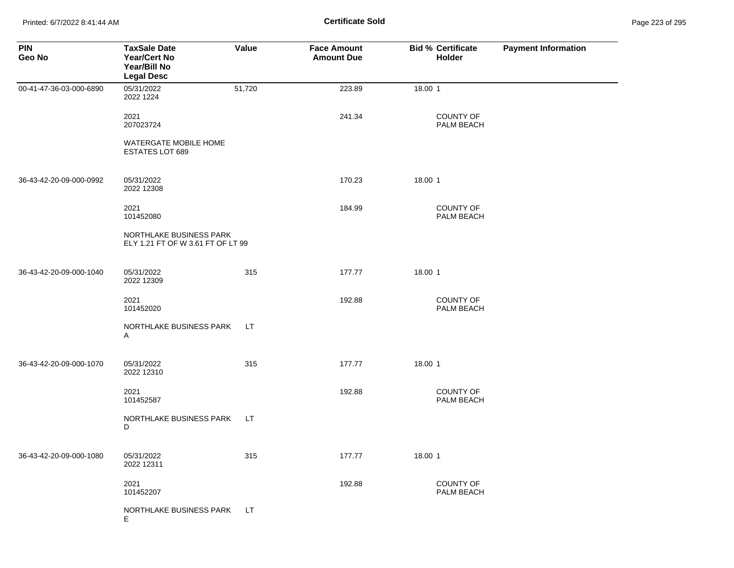Printed: 6/7/2022 8:41:44 AM **Certificate Sold** Page 223 of 295

| <b>PIN</b><br>Geo No    | <b>TaxSale Date</b><br><b>Year/Cert No</b><br>Year/Bill No<br><b>Legal Desc</b> | Value     | <b>Face Amount</b><br><b>Amount Due</b> | <b>Bid % Certificate</b><br><b>Holder</b> | <b>Payment Information</b> |
|-------------------------|---------------------------------------------------------------------------------|-----------|-----------------------------------------|-------------------------------------------|----------------------------|
| 00-41-47-36-03-000-6890 | 05/31/2022<br>2022 1224                                                         | 51,720    | 223.89                                  | 18.00 1                                   |                            |
|                         | 2021<br>207023724                                                               |           | 241.34                                  | <b>COUNTY OF</b><br>PALM BEACH            |                            |
|                         | WATERGATE MOBILE HOME<br><b>ESTATES LOT 689</b>                                 |           |                                         |                                           |                            |
| 36-43-42-20-09-000-0992 | 05/31/2022<br>2022 12308                                                        |           | 170.23                                  | 18.00 1                                   |                            |
|                         | 2021<br>101452080                                                               |           | 184.99                                  | <b>COUNTY OF</b><br>PALM BEACH            |                            |
|                         | NORTHLAKE BUSINESS PARK<br>ELY 1.21 FT OF W 3.61 FT OF LT 99                    |           |                                         |                                           |                            |
| 36-43-42-20-09-000-1040 | 05/31/2022<br>2022 12309                                                        | 315       | 177.77                                  | 18.00 1                                   |                            |
|                         | 2021<br>101452020                                                               |           | 192.88                                  | <b>COUNTY OF</b><br>PALM BEACH            |                            |
|                         | NORTHLAKE BUSINESS PARK<br>Α                                                    | <b>LT</b> |                                         |                                           |                            |
| 36-43-42-20-09-000-1070 | 05/31/2022<br>2022 12310                                                        | 315       | 177.77                                  | 18.00 1                                   |                            |
|                         | 2021<br>101452587                                                               |           | 192.88                                  | <b>COUNTY OF</b><br>PALM BEACH            |                            |
|                         | NORTHLAKE BUSINESS PARK<br>D                                                    | LT.       |                                         |                                           |                            |
| 36-43-42-20-09-000-1080 | 05/31/2022<br>2022 12311                                                        | 315       | 177.77                                  | 18.00 1                                   |                            |
|                         | 2021<br>101452207                                                               |           | 192.88                                  | <b>COUNTY OF</b><br>PALM BEACH            |                            |
|                         | NORTHLAKE BUSINESS PARK<br>Е                                                    | LТ        |                                         |                                           |                            |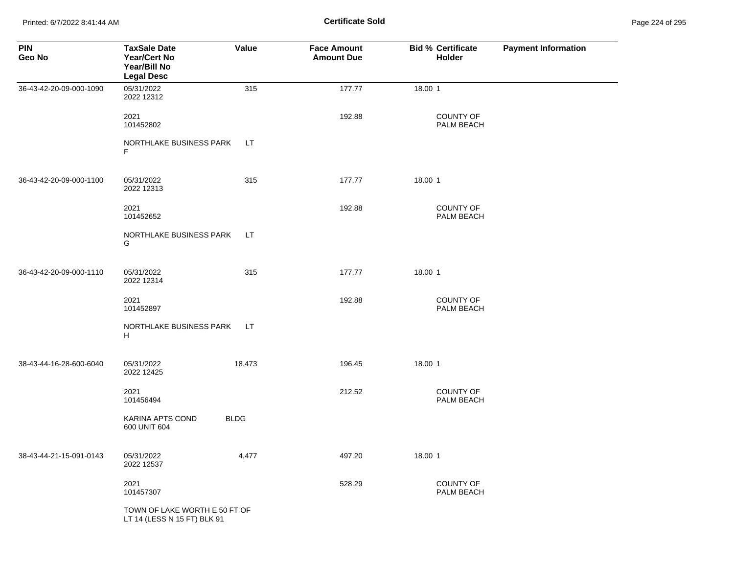Printed: 6/7/2022 8:41:44 AM **Certificate Sold** Page 224 of 295

| <b>PIN</b><br>Geo No    | <b>TaxSale Date</b><br><b>Year/Cert No</b><br>Year/Bill No<br><b>Legal Desc</b> | Value       | <b>Face Amount</b><br><b>Amount Due</b> | <b>Bid % Certificate</b><br><b>Holder</b> | <b>Payment Information</b> |
|-------------------------|---------------------------------------------------------------------------------|-------------|-----------------------------------------|-------------------------------------------|----------------------------|
| 36-43-42-20-09-000-1090 | 05/31/2022<br>2022 12312                                                        | 315         | 177.77                                  | 18.00 1                                   |                            |
|                         | 2021<br>101452802                                                               |             | 192.88                                  | <b>COUNTY OF</b><br>PALM BEACH            |                            |
|                         | NORTHLAKE BUSINESS PARK<br>F                                                    | LT.         |                                         |                                           |                            |
| 36-43-42-20-09-000-1100 | 05/31/2022<br>2022 12313                                                        | 315         | 177.77                                  | 18.00 1                                   |                            |
|                         | 2021<br>101452652                                                               |             | 192.88                                  | <b>COUNTY OF</b><br>PALM BEACH            |                            |
|                         | NORTHLAKE BUSINESS PARK<br>G                                                    | LT.         |                                         |                                           |                            |
| 36-43-42-20-09-000-1110 | 05/31/2022<br>2022 12314                                                        | 315         | 177.77                                  | 18.00 1                                   |                            |
|                         | 2021<br>101452897                                                               |             | 192.88                                  | COUNTY OF<br>PALM BEACH                   |                            |
|                         | NORTHLAKE BUSINESS PARK<br>H                                                    | LT.         |                                         |                                           |                            |
| 38-43-44-16-28-600-6040 | 05/31/2022<br>2022 12425                                                        | 18,473      | 196.45                                  | 18.00 1                                   |                            |
|                         | 2021<br>101456494                                                               |             | 212.52                                  | COUNTY OF<br>PALM BEACH                   |                            |
|                         | KARINA APTS COND<br>600 UNIT 604                                                | <b>BLDG</b> |                                         |                                           |                            |
| 38-43-44-21-15-091-0143 | 05/31/2022<br>2022 12537                                                        | 4,477       | 497.20                                  | 18.00 1                                   |                            |
|                         | 2021<br>101457307                                                               |             | 528.29                                  | <b>COUNTY OF</b><br>PALM BEACH            |                            |
|                         | TOWN OF LAKE WORTH E 50 FT OF<br>LT 14 (LESS N 15 FT) BLK 91                    |             |                                         |                                           |                            |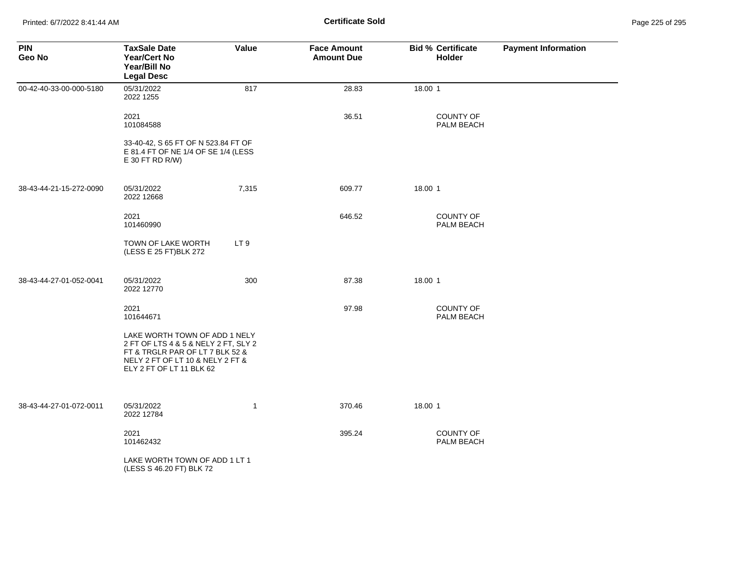| <b>PIN</b><br>Geo No    | <b>TaxSale Date</b><br><b>Year/Cert No</b><br>Year/Bill No<br><b>Legal Desc</b>                                                                                          | Value           | <b>Face Amount</b><br><b>Amount Due</b> | <b>Bid % Certificate</b><br><b>Holder</b> | <b>Payment Information</b> |
|-------------------------|--------------------------------------------------------------------------------------------------------------------------------------------------------------------------|-----------------|-----------------------------------------|-------------------------------------------|----------------------------|
| 00-42-40-33-00-000-5180 | 05/31/2022<br>2022 1255                                                                                                                                                  | 817             | 28.83                                   | 18.00 1                                   |                            |
|                         | 2021<br>101084588                                                                                                                                                        |                 | 36.51                                   | COUNTY OF<br>PALM BEACH                   |                            |
|                         | 33-40-42, S 65 FT OF N 523.84 FT OF<br>E 81.4 FT OF NE 1/4 OF SE 1/4 (LESS<br>$E$ 30 FT RD R/W)                                                                          |                 |                                         |                                           |                            |
| 38-43-44-21-15-272-0090 | 05/31/2022<br>2022 12668                                                                                                                                                 | 7,315           | 609.77                                  | 18.00 1                                   |                            |
|                         | 2021<br>101460990                                                                                                                                                        |                 | 646.52                                  | <b>COUNTY OF</b><br>PALM BEACH            |                            |
|                         | TOWN OF LAKE WORTH<br>(LESS E 25 FT)BLK 272                                                                                                                              | LT <sub>9</sub> |                                         |                                           |                            |
| 38-43-44-27-01-052-0041 | 05/31/2022<br>2022 12770                                                                                                                                                 | 300             | 87.38                                   | 18.00 1                                   |                            |
|                         | 2021<br>101644671                                                                                                                                                        |                 | 97.98                                   | COUNTY OF<br>PALM BEACH                   |                            |
|                         | LAKE WORTH TOWN OF ADD 1 NELY<br>2 FT OF LTS 4 & 5 & NELY 2 FT, SLY 2<br>FT & TRGLR PAR OF LT 7 BLK 52 &<br>NELY 2 FT OF LT 10 & NELY 2 FT &<br>ELY 2 FT OF LT 11 BLK 62 |                 |                                         |                                           |                            |
| 38-43-44-27-01-072-0011 | 05/31/2022<br>2022 12784                                                                                                                                                 | $\mathbf{1}$    | 370.46                                  | 18.00 1                                   |                            |
|                         | 2021<br>101462432                                                                                                                                                        |                 | 395.24                                  | COUNTY OF<br>PALM BEACH                   |                            |
|                         | LAKE WORTH TOWN OF ADD 1 LT 1<br>(LESS S 46.20 FT) BLK 72                                                                                                                |                 |                                         |                                           |                            |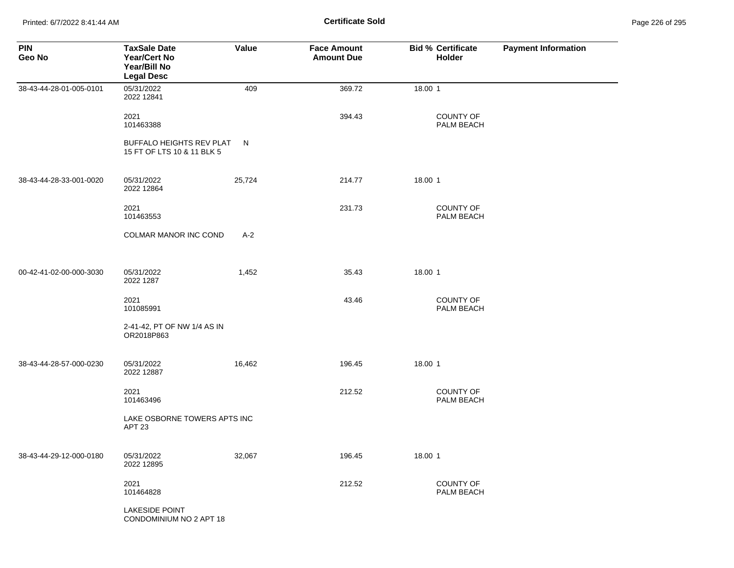Printed: 6/7/2022 8:41:44 AM **Certificate Sold** Page 226 of 295

| <b>PIN</b><br>Geo No    | <b>TaxSale Date</b><br><b>Year/Cert No</b><br>Year/Bill No<br><b>Legal Desc</b> | Value  | <b>Face Amount</b><br><b>Amount Due</b> | <b>Bid % Certificate</b><br>Holder | <b>Payment Information</b> |
|-------------------------|---------------------------------------------------------------------------------|--------|-----------------------------------------|------------------------------------|----------------------------|
| 38-43-44-28-01-005-0101 | 05/31/2022<br>2022 12841                                                        | 409    | 369.72                                  | 18.00 1                            |                            |
|                         | 2021<br>101463388                                                               |        | 394.43                                  | <b>COUNTY OF</b><br>PALM BEACH     |                            |
|                         | BUFFALO HEIGHTS REV PLAT<br>15 FT OF LTS 10 & 11 BLK 5                          | N      |                                         |                                    |                            |
| 38-43-44-28-33-001-0020 | 05/31/2022<br>2022 12864                                                        | 25,724 | 214.77                                  | 18.00 1                            |                            |
|                         | 2021<br>101463553                                                               |        | 231.73                                  | <b>COUNTY OF</b><br>PALM BEACH     |                            |
|                         | <b>COLMAR MANOR INC COND</b>                                                    | $A-2$  |                                         |                                    |                            |
| 00-42-41-02-00-000-3030 | 05/31/2022<br>2022 1287                                                         | 1,452  | 35.43                                   | 18.00 1                            |                            |
|                         | 2021<br>101085991                                                               |        | 43.46                                   | COUNTY OF<br>PALM BEACH            |                            |
|                         | 2-41-42, PT OF NW 1/4 AS IN<br>OR2018P863                                       |        |                                         |                                    |                            |
| 38-43-44-28-57-000-0230 | 05/31/2022<br>2022 12887                                                        | 16,462 | 196.45                                  | 18.00 1                            |                            |
|                         | 2021<br>101463496                                                               |        | 212.52                                  | <b>COUNTY OF</b><br>PALM BEACH     |                            |
|                         | LAKE OSBORNE TOWERS APTS INC<br>APT <sub>23</sub>                               |        |                                         |                                    |                            |
| 38-43-44-29-12-000-0180 | 05/31/2022<br>2022 12895                                                        | 32,067 | 196.45                                  | 18.00 1                            |                            |
|                         | 2021<br>101464828                                                               |        | 212.52                                  | <b>COUNTY OF</b><br>PALM BEACH     |                            |
|                         | <b>LAKESIDE POINT</b><br>CONDOMINIUM NO 2 APT 18                                |        |                                         |                                    |                            |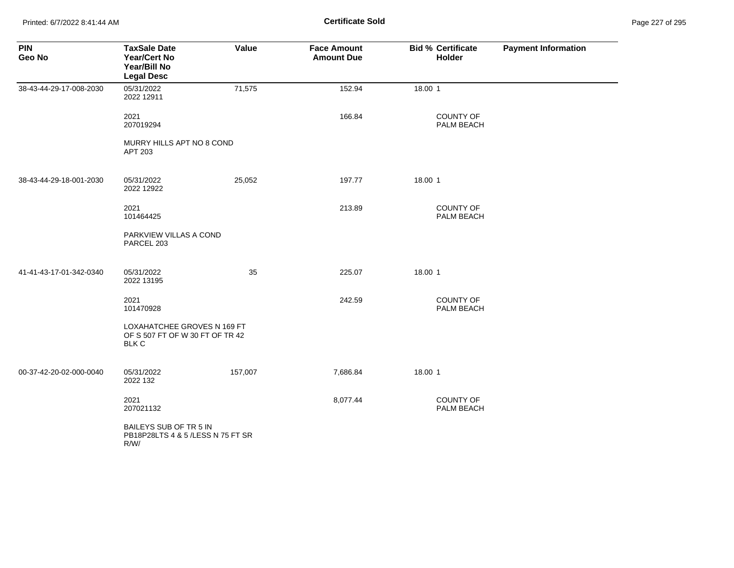Printed: 6/7/2022 8:41:44 AM **Certificate Sold** Page 227 of 295

| <b>PIN</b><br>Geo No    | <b>TaxSale Date</b><br><b>Year/Cert No</b><br>Year/Bill No<br><b>Legal Desc</b>       | Value   | <b>Face Amount</b><br><b>Amount Due</b> | <b>Bid % Certificate</b><br>Holder | <b>Payment Information</b> |
|-------------------------|---------------------------------------------------------------------------------------|---------|-----------------------------------------|------------------------------------|----------------------------|
| 38-43-44-29-17-008-2030 | 05/31/2022<br>2022 12911                                                              | 71,575  | 152.94                                  | 18.00 1                            |                            |
|                         | 2021<br>207019294                                                                     |         | 166.84                                  | <b>COUNTY OF</b><br>PALM BEACH     |                            |
|                         | MURRY HILLS APT NO 8 COND<br>APT 203                                                  |         |                                         |                                    |                            |
| 38-43-44-29-18-001-2030 | 05/31/2022<br>2022 12922                                                              | 25,052  | 197.77                                  | 18.00 1                            |                            |
|                         | 2021<br>101464425                                                                     |         | 213.89                                  | <b>COUNTY OF</b><br>PALM BEACH     |                            |
|                         | PARKVIEW VILLAS A COND<br>PARCEL 203                                                  |         |                                         |                                    |                            |
| 41-41-43-17-01-342-0340 | 05/31/2022<br>2022 13195                                                              | 35      | 225.07                                  | 18.00 1                            |                            |
|                         | 2021<br>101470928                                                                     |         | 242.59                                  | <b>COUNTY OF</b><br>PALM BEACH     |                            |
|                         | <b>LOXAHATCHEE GROVES N 169 FT</b><br>OF S 507 FT OF W 30 FT OF TR 42<br><b>BLK C</b> |         |                                         |                                    |                            |
| 00-37-42-20-02-000-0040 | 05/31/2022<br>2022 132                                                                | 157,007 | 7,686.84                                | 18.00 1                            |                            |
|                         | 2021<br>207021132                                                                     |         | 8,077.44                                | COUNTY OF<br>PALM BEACH            |                            |
|                         | BAILEYS SUB OF TR 5 IN<br>PB18P28LTS 4 & 5 /LESS N 75 FT SR<br>R/W/                   |         |                                         |                                    |                            |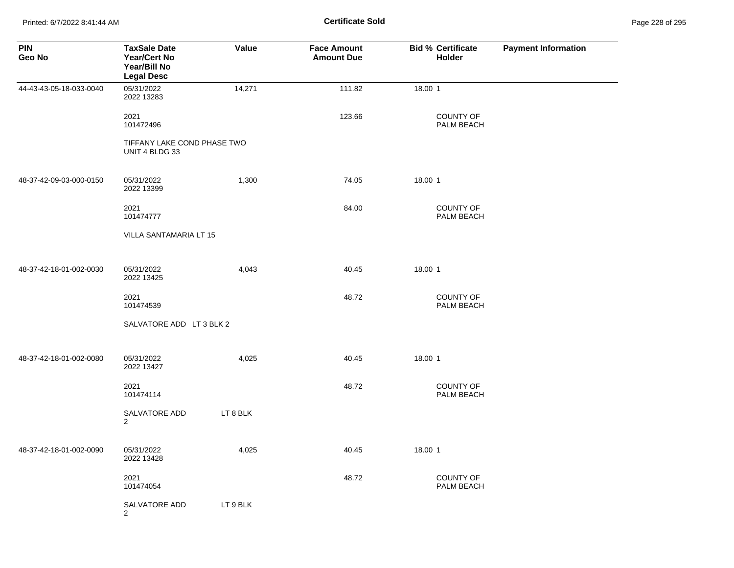Printed: 6/7/2022 8:41:44 AM **Certificate Sold** Page 228 of 295

| <b>PIN</b><br>Geo No    | <b>TaxSale Date</b><br><b>Year/Cert No</b><br>Year/Bill No<br><b>Legal Desc</b> | Value    | <b>Face Amount</b><br><b>Amount Due</b> | <b>Bid % Certificate</b><br><b>Holder</b> | <b>Payment Information</b> |
|-------------------------|---------------------------------------------------------------------------------|----------|-----------------------------------------|-------------------------------------------|----------------------------|
| 44-43-43-05-18-033-0040 | 05/31/2022<br>2022 13283                                                        | 14,271   | 111.82                                  | 18.00 1                                   |                            |
|                         | 2021<br>101472496                                                               |          | 123.66                                  | <b>COUNTY OF</b><br>PALM BEACH            |                            |
|                         | TIFFANY LAKE COND PHASE TWO<br>UNIT 4 BLDG 33                                   |          |                                         |                                           |                            |
| 48-37-42-09-03-000-0150 | 05/31/2022<br>2022 13399                                                        | 1,300    | 74.05                                   | 18.00 1                                   |                            |
|                         | 2021<br>101474777                                                               |          | 84.00                                   | <b>COUNTY OF</b><br>PALM BEACH            |                            |
|                         | VILLA SANTAMARIA LT 15                                                          |          |                                         |                                           |                            |
| 48-37-42-18-01-002-0030 | 05/31/2022<br>2022 13425                                                        | 4,043    | 40.45                                   | 18.00 1                                   |                            |
|                         | 2021<br>101474539                                                               |          | 48.72                                   | COUNTY OF<br>PALM BEACH                   |                            |
|                         | SALVATORE ADD LT 3 BLK 2                                                        |          |                                         |                                           |                            |
| 48-37-42-18-01-002-0080 | 05/31/2022<br>2022 13427                                                        | 4,025    | 40.45                                   | 18.00 1                                   |                            |
|                         | 2021<br>101474114                                                               |          | 48.72                                   | COUNTY OF<br>PALM BEACH                   |                            |
|                         | <b>SALVATORE ADD</b><br>$\overline{2}$                                          | LT 8 BLK |                                         |                                           |                            |
| 48-37-42-18-01-002-0090 | 05/31/2022<br>2022 13428                                                        | 4,025    | 40.45                                   | 18.00 1                                   |                            |
|                         | 2021<br>101474054                                                               |          | 48.72                                   | <b>COUNTY OF</b><br>PALM BEACH            |                            |
|                         | SALVATORE ADD<br>2                                                              | LT 9 BLK |                                         |                                           |                            |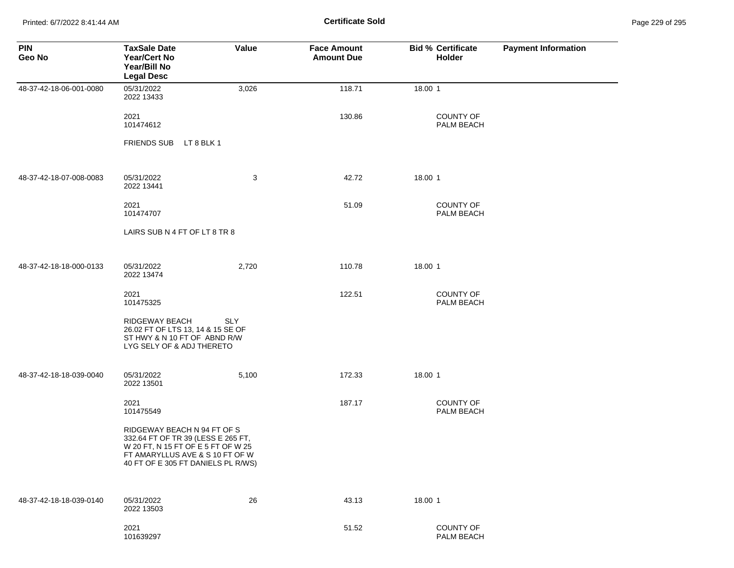Printed: 6/7/2022 8:41:44 AM **Certificate Sold** Page 229 of 295

| <b>PIN</b><br>Geo No    | <b>TaxSale Date</b><br><b>Year/Cert No</b><br>Year/Bill No<br><b>Legal Desc</b>                                                                                                  | Value      | <b>Face Amount</b><br><b>Amount Due</b> | <b>Bid % Certificate</b><br><b>Holder</b> | <b>Payment Information</b> |
|-------------------------|----------------------------------------------------------------------------------------------------------------------------------------------------------------------------------|------------|-----------------------------------------|-------------------------------------------|----------------------------|
| 48-37-42-18-06-001-0080 | 05/31/2022<br>2022 13433                                                                                                                                                         | 3,026      | 118.71                                  | 18.00 1                                   |                            |
|                         | 2021<br>101474612                                                                                                                                                                |            | 130.86                                  | <b>COUNTY OF</b><br>PALM BEACH            |                            |
|                         | LT 8 BLK 1<br><b>FRIENDS SUB</b>                                                                                                                                                 |            |                                         |                                           |                            |
| 48-37-42-18-07-008-0083 | 05/31/2022<br>2022 13441                                                                                                                                                         | 3          | 42.72                                   | 18.00 1                                   |                            |
|                         | 2021<br>101474707                                                                                                                                                                |            | 51.09                                   | <b>COUNTY OF</b><br>PALM BEACH            |                            |
|                         | LAIRS SUB N 4 FT OF LT 8 TR 8                                                                                                                                                    |            |                                         |                                           |                            |
| 48-37-42-18-18-000-0133 | 05/31/2022<br>2022 13474                                                                                                                                                         | 2,720      | 110.78                                  | 18.00 1                                   |                            |
|                         | 2021<br>101475325                                                                                                                                                                |            | 122.51                                  | <b>COUNTY OF</b><br>PALM BEACH            |                            |
|                         | RIDGEWAY BEACH<br>26.02 FT OF LTS 13, 14 & 15 SE OF<br>ST HWY & N 10 FT OF ABND R/W<br>LYG SELY OF & ADJ THERETO                                                                 | <b>SLY</b> |                                         |                                           |                            |
| 48-37-42-18-18-039-0040 | 05/31/2022<br>2022 13501                                                                                                                                                         | 5,100      | 172.33                                  | 18.00 1                                   |                            |
|                         | 2021<br>101475549                                                                                                                                                                |            | 187.17                                  | <b>COUNTY OF</b><br>PALM BEACH            |                            |
|                         | RIDGEWAY BEACH N 94 FT OF S<br>332.64 FT OF TR 39 (LESS E 265 FT,<br>W 20 FT, N 15 FT OF E 5 FT OF W 25<br>FT AMARYLLUS AVE & S 10 FT OF W<br>40 FT OF E 305 FT DANIELS PL R/WS) |            |                                         |                                           |                            |
| 48-37-42-18-18-039-0140 | 05/31/2022<br>2022 13503                                                                                                                                                         | 26         | 43.13                                   | 18.00 1                                   |                            |
|                         | 2021<br>101639297                                                                                                                                                                |            | 51.52                                   | COUNTY OF<br>PALM BEACH                   |                            |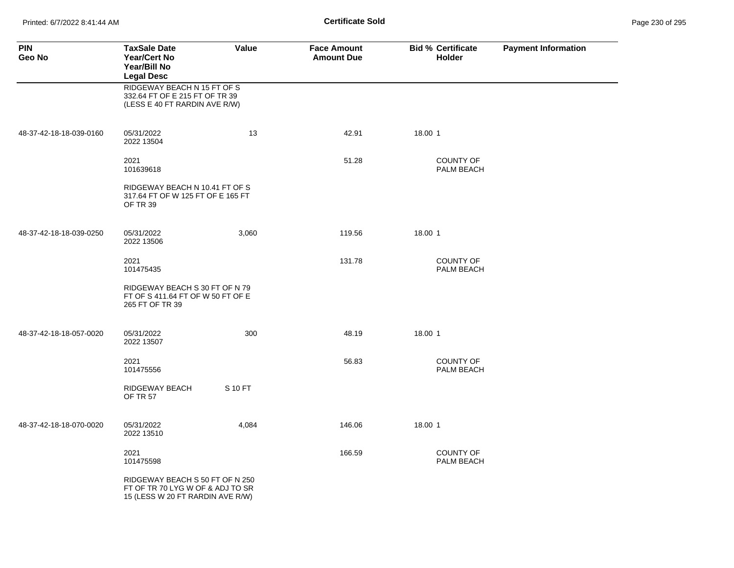Printed: 6/7/2022 8:41:44 AM **Certificate Sold** Page 230 of 295

| <b>PIN</b><br>Geo No    | <b>TaxSale Date</b><br><b>Year/Cert No</b><br>Year/Bill No<br><b>Legal Desc</b>                         | Value   | <b>Face Amount</b><br><b>Amount Due</b> | <b>Bid % Certificate</b><br><b>Holder</b> | <b>Payment Information</b> |
|-------------------------|---------------------------------------------------------------------------------------------------------|---------|-----------------------------------------|-------------------------------------------|----------------------------|
|                         | RIDGEWAY BEACH N 15 FT OF S<br>332.64 FT OF E 215 FT OF TR 39<br>(LESS E 40 FT RARDIN AVE R/W)          |         |                                         |                                           |                            |
| 48-37-42-18-18-039-0160 | 05/31/2022<br>2022 13504                                                                                | 13      | 42.91                                   | 18.00 1                                   |                            |
|                         | 2021<br>101639618                                                                                       |         | 51.28                                   | <b>COUNTY OF</b><br>PALM BEACH            |                            |
|                         | RIDGEWAY BEACH N 10.41 FT OF S<br>317.64 FT OF W 125 FT OF E 165 FT<br>OF TR 39                         |         |                                         |                                           |                            |
| 48-37-42-18-18-039-0250 | 05/31/2022<br>2022 13506                                                                                | 3,060   | 119.56                                  | 18.00 1                                   |                            |
|                         | 2021<br>101475435                                                                                       |         | 131.78                                  | <b>COUNTY OF</b><br>PALM BEACH            |                            |
|                         | RIDGEWAY BEACH S 30 FT OF N 79<br>FT OF S 411.64 FT OF W 50 FT OF E<br>265 FT OF TR 39                  |         |                                         |                                           |                            |
| 48-37-42-18-18-057-0020 | 05/31/2022<br>2022 13507                                                                                | 300     | 48.19                                   | 18.00 1                                   |                            |
|                         | 2021<br>101475556                                                                                       |         | 56.83                                   | <b>COUNTY OF</b><br>PALM BEACH            |                            |
|                         | RIDGEWAY BEACH<br><b>OF TR 57</b>                                                                       | S 10 FT |                                         |                                           |                            |
| 48-37-42-18-18-070-0020 | 05/31/2022<br>2022 13510                                                                                | 4,084   | 146.06                                  | 18.00 1                                   |                            |
|                         | 2021<br>101475598                                                                                       |         | 166.59                                  | <b>COUNTY OF</b><br><b>PALM BEACH</b>     |                            |
|                         | RIDGEWAY BEACH S 50 FT OF N 250<br>FT OF TR 70 LYG W OF & ADJ TO SR<br>15 (LESS W 20 FT RARDIN AVE R/W) |         |                                         |                                           |                            |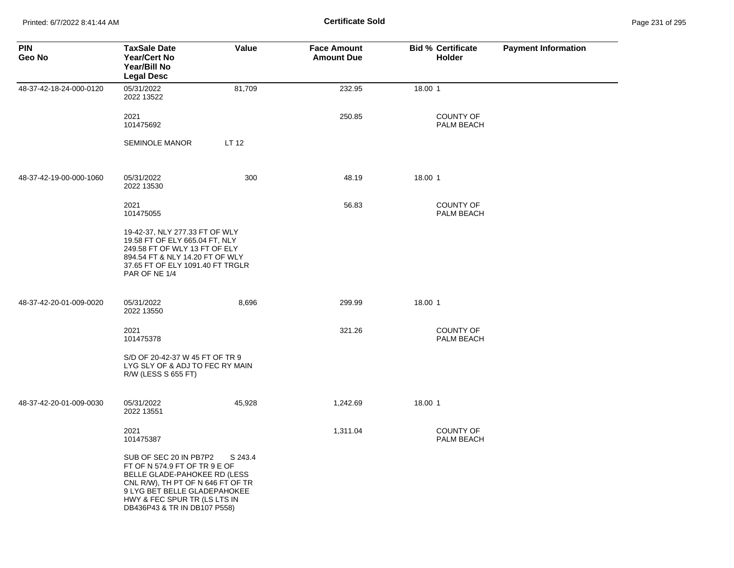Printed: 6/7/2022 8:41:44 AM **Certificate Sold** Page 231 of 295

| <b>PIN</b><br>Geo No    | <b>TaxSale Date</b><br><b>Year/Cert No</b><br>Year/Bill No<br><b>Legal Desc</b>                                                                                                                                              | Value   | <b>Face Amount</b><br><b>Amount Due</b> | <b>Bid % Certificate</b><br><b>Holder</b> | <b>Payment Information</b> |
|-------------------------|------------------------------------------------------------------------------------------------------------------------------------------------------------------------------------------------------------------------------|---------|-----------------------------------------|-------------------------------------------|----------------------------|
| 48-37-42-18-24-000-0120 | 05/31/2022<br>2022 13522                                                                                                                                                                                                     | 81,709  | 232.95                                  | 18.00 1                                   |                            |
|                         | 2021<br>101475692                                                                                                                                                                                                            |         | 250.85                                  | <b>COUNTY OF</b><br>PALM BEACH            |                            |
|                         | <b>SEMINOLE MANOR</b>                                                                                                                                                                                                        | LT 12   |                                         |                                           |                            |
| 48-37-42-19-00-000-1060 | 05/31/2022<br>2022 13530                                                                                                                                                                                                     | 300     | 48.19                                   | 18.00 1                                   |                            |
|                         | 2021<br>101475055                                                                                                                                                                                                            |         | 56.83                                   | <b>COUNTY OF</b><br>PALM BEACH            |                            |
|                         | 19-42-37, NLY 277.33 FT OF WLY<br>19.58 FT OF ELY 665.04 FT, NLY<br>249.58 FT OF WLY 13 FT OF ELY<br>894.54 FT & NLY 14.20 FT OF WLY<br>37.65 FT OF ELY 1091.40 FT TRGLR<br>PAR OF NE 1/4                                    |         |                                         |                                           |                            |
| 48-37-42-20-01-009-0020 | 05/31/2022<br>2022 13550                                                                                                                                                                                                     | 8,696   | 299.99                                  | 18.00 1                                   |                            |
|                         | 2021<br>101475378                                                                                                                                                                                                            |         | 321.26                                  | <b>COUNTY OF</b><br>PALM BEACH            |                            |
|                         | S/D OF 20-42-37 W 45 FT OF TR 9<br>LYG SLY OF & ADJ TO FEC RY MAIN<br>R/W (LESS S 655 FT)                                                                                                                                    |         |                                         |                                           |                            |
| 48-37-42-20-01-009-0030 | 05/31/2022<br>2022 13551                                                                                                                                                                                                     | 45,928  | 1,242.69                                | 18.00 1                                   |                            |
|                         | 2021<br>101475387                                                                                                                                                                                                            |         | 1,311.04                                | <b>COUNTY OF</b><br>PALM BEACH            |                            |
|                         | SUB OF SEC 20 IN PB7P2<br>FT OF N 574.9 FT OF TR 9 E OF<br>BELLE GLADE-PAHOKEE RD (LESS<br>CNL R/W), TH PT OF N 646 FT OF TR<br>9 LYG BET BELLE GLADEPAHOKEE<br>HWY & FEC SPUR TR (LS LTS IN<br>DB436P43 & TR IN DB107 P558) | S 243.4 |                                         |                                           |                            |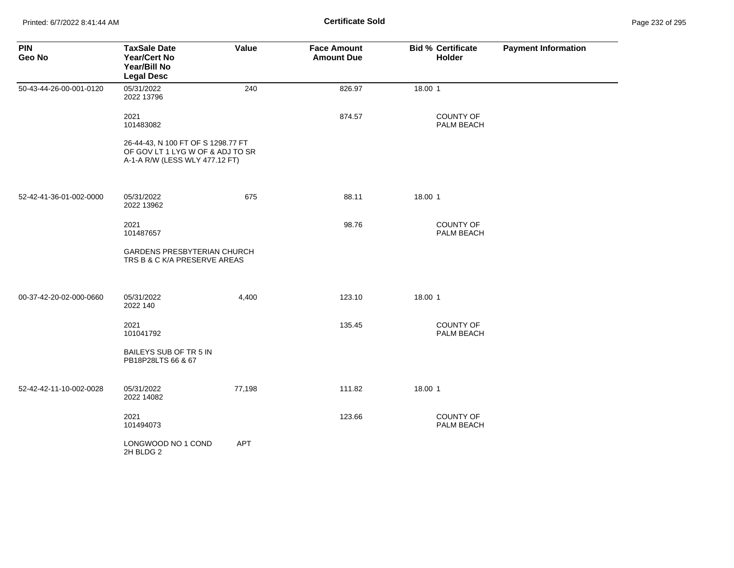| <b>PIN</b><br>Geo No    | <b>TaxSale Date</b><br><b>Year/Cert No</b><br>Year/Bill No<br><b>Legal Desc</b>                          | Value      | <b>Face Amount</b><br><b>Amount Due</b> | <b>Bid % Certificate</b><br>Holder | <b>Payment Information</b> |
|-------------------------|----------------------------------------------------------------------------------------------------------|------------|-----------------------------------------|------------------------------------|----------------------------|
| 50-43-44-26-00-001-0120 | 05/31/2022<br>2022 13796                                                                                 | 240        | 826.97                                  | 18.00 1                            |                            |
|                         | 2021<br>101483082                                                                                        |            | 874.57                                  | <b>COUNTY OF</b><br>PALM BEACH     |                            |
|                         | 26-44-43, N 100 FT OF S 1298.77 FT<br>OF GOV LT 1 LYG W OF & ADJ TO SR<br>A-1-A R/W (LESS WLY 477.12 FT) |            |                                         |                                    |                            |
| 52-42-41-36-01-002-0000 | 05/31/2022<br>2022 13962                                                                                 | 675        | 88.11                                   | 18.00 1                            |                            |
|                         | 2021<br>101487657                                                                                        |            | 98.76                                   | <b>COUNTY OF</b><br>PALM BEACH     |                            |
|                         | GARDENS PRESBYTERIAN CHURCH<br>TRS B & C K/A PRESERVE AREAS                                              |            |                                         |                                    |                            |
| 00-37-42-20-02-000-0660 | 05/31/2022<br>2022 140                                                                                   | 4,400      | 123.10                                  | 18.00 1                            |                            |
|                         | 2021<br>101041792                                                                                        |            | 135.45                                  | <b>COUNTY OF</b><br>PALM BEACH     |                            |
|                         | BAILEYS SUB OF TR 5 IN<br>PB18P28LTS 66 & 67                                                             |            |                                         |                                    |                            |
| 52-42-42-11-10-002-0028 | 05/31/2022<br>2022 14082                                                                                 | 77,198     | 111.82                                  | 18.00 1                            |                            |
|                         | 2021<br>101494073                                                                                        |            | 123.66                                  | <b>COUNTY OF</b><br>PALM BEACH     |                            |
|                         | LONGWOOD NO 1 COND<br>2H BLDG 2                                                                          | <b>APT</b> |                                         |                                    |                            |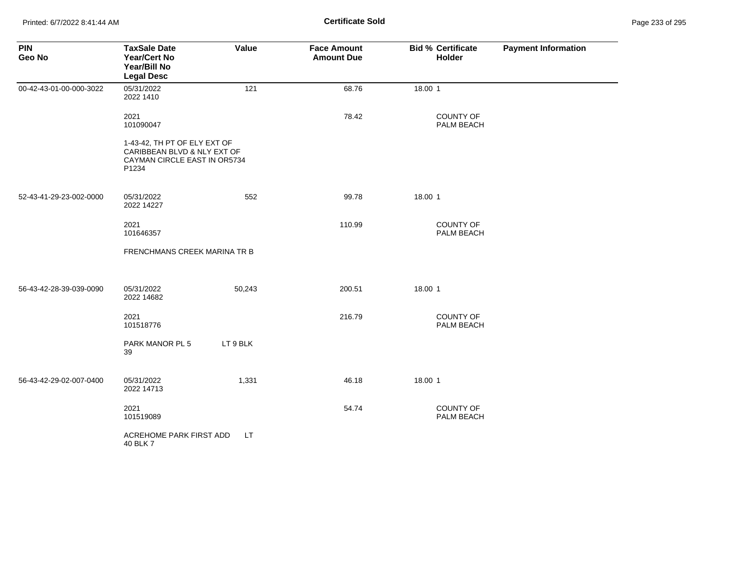| <b>PIN</b><br>Geo No    | <b>TaxSale Date</b><br><b>Year/Cert No</b><br>Year/Bill No<br><b>Legal Desc</b>                      | Value     | <b>Face Amount</b><br><b>Amount Due</b> | <b>Bid % Certificate</b><br>Holder | <b>Payment Information</b> |
|-------------------------|------------------------------------------------------------------------------------------------------|-----------|-----------------------------------------|------------------------------------|----------------------------|
| 00-42-43-01-00-000-3022 | 05/31/2022<br>2022 1410                                                                              | 121       | 68.76                                   | 18.00 1                            |                            |
|                         | 2021<br>101090047                                                                                    |           | 78.42                                   | <b>COUNTY OF</b><br>PALM BEACH     |                            |
|                         | 1-43-42, TH PT OF ELY EXT OF<br>CARIBBEAN BLVD & NLY EXT OF<br>CAYMAN CIRCLE EAST IN OR5734<br>P1234 |           |                                         |                                    |                            |
| 52-43-41-29-23-002-0000 | 05/31/2022<br>2022 14227                                                                             | 552       | 99.78                                   | 18.00 1                            |                            |
|                         | 2021<br>101646357                                                                                    |           | 110.99                                  | <b>COUNTY OF</b><br>PALM BEACH     |                            |
|                         | FRENCHMANS CREEK MARINA TR B                                                                         |           |                                         |                                    |                            |
| 56-43-42-28-39-039-0090 | 05/31/2022<br>2022 14682                                                                             | 50,243    | 200.51                                  | 18.00 1                            |                            |
|                         | 2021<br>101518776                                                                                    |           | 216.79                                  | COUNTY OF<br>PALM BEACH            |                            |
|                         | PARK MANOR PL 5<br>39                                                                                | LT 9 BLK  |                                         |                                    |                            |
| 56-43-42-29-02-007-0400 | 05/31/2022<br>2022 14713                                                                             | 1,331     | 46.18                                   | 18.00 1                            |                            |
|                         | 2021<br>101519089                                                                                    |           | 54.74                                   | <b>COUNTY OF</b><br>PALM BEACH     |                            |
|                         | ACREHOME PARK FIRST ADD<br>40 BLK 7                                                                  | <b>LT</b> |                                         |                                    |                            |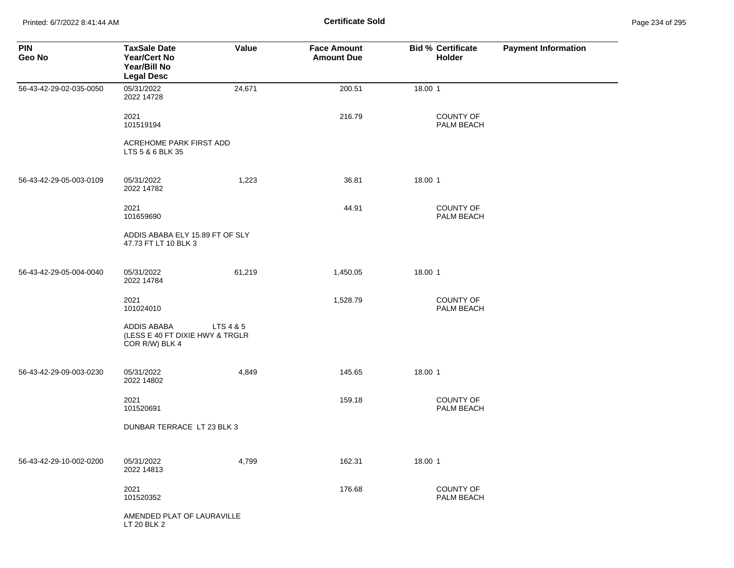Printed: 6/7/2022 8:41:44 AM **Certificate Sold** Page 234 of 295

| <b>PIN</b><br>Geo No    | <b>TaxSale Date</b><br><b>Year/Cert No</b><br>Year/Bill No<br><b>Legal Desc</b> | Value     | <b>Face Amount</b><br><b>Amount Due</b> | <b>Bid % Certificate</b><br>Holder | <b>Payment Information</b> |
|-------------------------|---------------------------------------------------------------------------------|-----------|-----------------------------------------|------------------------------------|----------------------------|
| 56-43-42-29-02-035-0050 | 05/31/2022<br>2022 14728                                                        | 24,671    | 200.51                                  | 18.00 1                            |                            |
|                         | 2021<br>101519194                                                               |           | 216.79                                  | COUNTY OF<br>PALM BEACH            |                            |
|                         | ACREHOME PARK FIRST ADD<br>LTS 5 & 6 BLK 35                                     |           |                                         |                                    |                            |
| 56-43-42-29-05-003-0109 | 05/31/2022<br>2022 14782                                                        | 1,223     | 36.81                                   | 18.00 1                            |                            |
|                         | 2021<br>101659690                                                               |           | 44.91                                   | <b>COUNTY OF</b><br>PALM BEACH     |                            |
|                         | ADDIS ABABA ELY 15.89 FT OF SLY<br>47.73 FT LT 10 BLK 3                         |           |                                         |                                    |                            |
| 56-43-42-29-05-004-0040 | 05/31/2022<br>2022 14784                                                        | 61,219    | 1,450.05                                | 18.00 1                            |                            |
|                         | 2021<br>101024010                                                               |           | 1,528.79                                | COUNTY OF<br>PALM BEACH            |                            |
|                         | ADDIS ABABA<br>(LESS E 40 FT DIXIE HWY & TRGLR<br>COR R/W) BLK 4                | LTS 4 & 5 |                                         |                                    |                            |
| 56-43-42-29-09-003-0230 | 05/31/2022<br>2022 14802                                                        | 4,849     | 145.65                                  | 18.00 1                            |                            |
|                         | 2021<br>101520691                                                               |           | 159.18                                  | <b>COUNTY OF</b><br>PALM BEACH     |                            |
|                         | DUNBAR TERRACE LT 23 BLK 3                                                      |           |                                         |                                    |                            |
| 56-43-42-29-10-002-0200 | 05/31/2022<br>2022 14813                                                        | 4,799     | 162.31                                  | 18.00 1                            |                            |
|                         | 2021<br>101520352                                                               |           | 176.68                                  | COUNTY OF<br>PALM BEACH            |                            |
|                         | AMENDED PLAT OF LAURAVILLE<br>LT 20 BLK 2                                       |           |                                         |                                    |                            |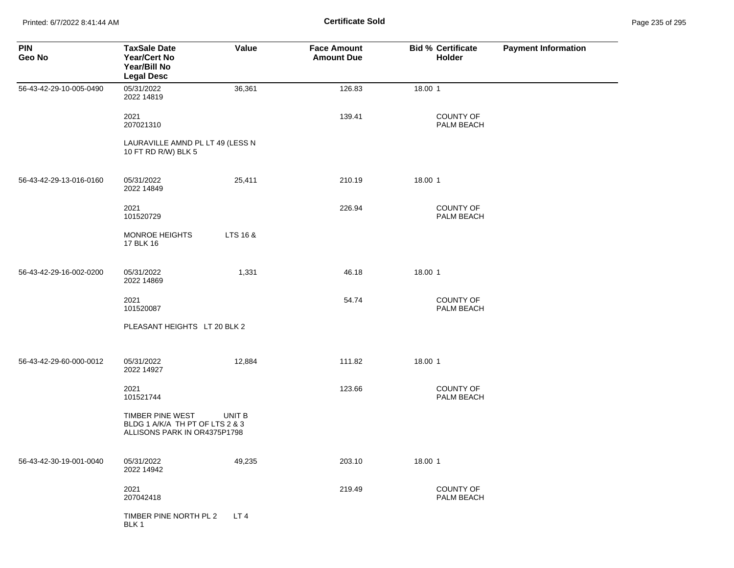Printed: 6/7/2022 8:41:44 AM **Certificate Sold** Page 235 of 295

| <b>PIN</b><br>Geo No    | <b>TaxSale Date</b><br><b>Year/Cert No</b><br>Year/Bill No<br><b>Legal Desc</b>     | Value    | <b>Face Amount</b><br><b>Amount Due</b> | <b>Bid % Certificate</b><br>Holder | <b>Payment Information</b> |
|-------------------------|-------------------------------------------------------------------------------------|----------|-----------------------------------------|------------------------------------|----------------------------|
| 56-43-42-29-10-005-0490 | 05/31/2022<br>2022 14819                                                            | 36,361   | 126.83                                  | 18.00 1                            |                            |
|                         | 2021<br>207021310                                                                   |          | 139.41                                  | <b>COUNTY OF</b><br>PALM BEACH     |                            |
|                         | LAURAVILLE AMND PL LT 49 (LESS N<br>10 FT RD R/W) BLK 5                             |          |                                         |                                    |                            |
| 56-43-42-29-13-016-0160 | 05/31/2022<br>2022 14849                                                            | 25,411   | 210.19                                  | 18.00 1                            |                            |
|                         | 2021<br>101520729                                                                   |          | 226.94                                  | COUNTY OF<br>PALM BEACH            |                            |
|                         | <b>MONROE HEIGHTS</b><br>17 BLK 16                                                  | LTS 16 & |                                         |                                    |                            |
| 56-43-42-29-16-002-0200 | 05/31/2022<br>2022 14869                                                            | 1,331    | 46.18                                   | 18.00 1                            |                            |
|                         | 2021<br>101520087                                                                   |          | 54.74                                   | <b>COUNTY OF</b><br>PALM BEACH     |                            |
|                         | PLEASANT HEIGHTS LT 20 BLK 2                                                        |          |                                         |                                    |                            |
| 56-43-42-29-60-000-0012 | 05/31/2022<br>2022 14927                                                            | 12,884   | 111.82                                  | 18.00 1                            |                            |
|                         | 2021<br>101521744                                                                   |          | 123.66                                  | <b>COUNTY OF</b><br>PALM BEACH     |                            |
|                         | TIMBER PINE WEST<br>BLDG 1 A/K/A TH PT OF LTS 2 & 3<br>ALLISONS PARK IN OR4375P1798 | UNIT B   |                                         |                                    |                            |
| 56-43-42-30-19-001-0040 | 05/31/2022<br>2022 14942                                                            | 49,235   | 203.10                                  | 18.00 1                            |                            |
|                         | 2021<br>207042418                                                                   |          | 219.49                                  | COUNTY OF<br>PALM BEACH            |                            |
|                         | TIMBER PINE NORTH PL 2<br>BLK 1                                                     | LT4      |                                         |                                    |                            |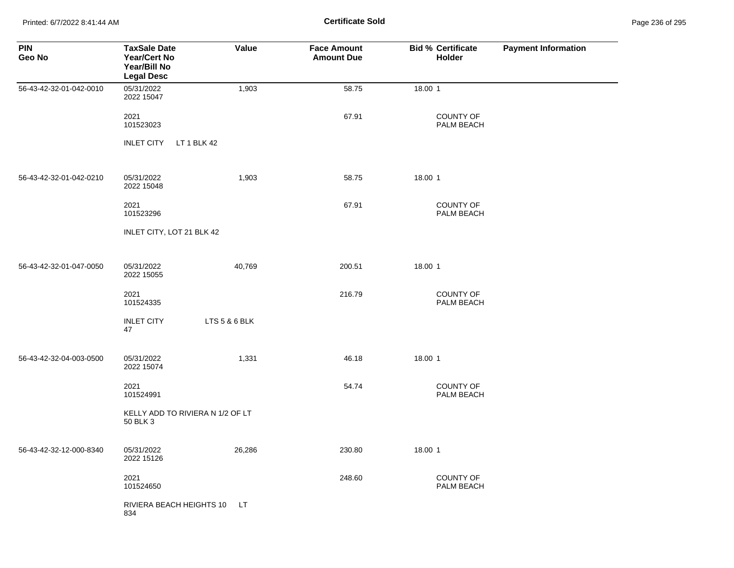Printed: 6/7/2022 8:41:44 AM **Certificate Sold** Page 236 of 295

| <b>PIN</b><br>Geo No    | <b>TaxSale Date</b><br><b>Year/Cert No</b><br>Year/Bill No<br><b>Legal Desc</b> | Value         | <b>Face Amount</b><br><b>Amount Due</b> | <b>Bid % Certificate</b><br>Holder | <b>Payment Information</b> |
|-------------------------|---------------------------------------------------------------------------------|---------------|-----------------------------------------|------------------------------------|----------------------------|
| 56-43-42-32-01-042-0010 | 05/31/2022<br>2022 15047                                                        | 1,903         | 58.75                                   | 18.00 1                            |                            |
|                         | 2021<br>101523023                                                               |               | 67.91                                   | COUNTY OF<br>PALM BEACH            |                            |
|                         | LT 1 BLK 42<br><b>INLET CITY</b>                                                |               |                                         |                                    |                            |
| 56-43-42-32-01-042-0210 | 05/31/2022<br>2022 15048                                                        | 1,903         | 58.75                                   | 18.00 1                            |                            |
|                         | 2021<br>101523296                                                               |               | 67.91                                   | <b>COUNTY OF</b><br>PALM BEACH     |                            |
|                         | INLET CITY, LOT 21 BLK 42                                                       |               |                                         |                                    |                            |
| 56-43-42-32-01-047-0050 | 05/31/2022<br>2022 15055                                                        | 40,769        | 200.51                                  | 18.00 1                            |                            |
|                         | 2021<br>101524335                                                               |               | 216.79                                  | COUNTY OF<br>PALM BEACH            |                            |
|                         | <b>INLET CITY</b><br>47                                                         | LTS 5 & 6 BLK |                                         |                                    |                            |
| 56-43-42-32-04-003-0500 | 05/31/2022<br>2022 15074                                                        | 1,331         | 46.18                                   | 18.00 1                            |                            |
|                         | 2021<br>101524991                                                               |               | 54.74                                   | <b>COUNTY OF</b><br>PALM BEACH     |                            |
|                         | KELLY ADD TO RIVIERA N 1/2 OF LT<br>50 BLK 3                                    |               |                                         |                                    |                            |
| 56-43-42-32-12-000-8340 | 05/31/2022<br>2022 15126                                                        | 26,286        | 230.80                                  | 18.00 1                            |                            |
|                         | 2021<br>101524650                                                               |               | 248.60                                  | COUNTY OF<br>PALM BEACH            |                            |
|                         | RIVIERA BEACH HEIGHTS 10<br>834                                                 | LT.           |                                         |                                    |                            |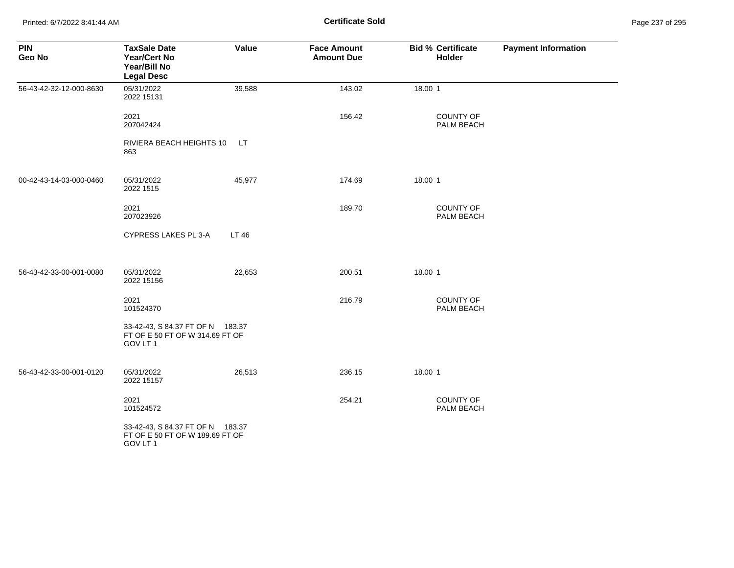Printed: 6/7/2022 8:41:44 AM **Certificate Sold** Page 237 of 295

| <b>PIN</b><br>Geo No    | <b>TaxSale Date</b><br><b>Year/Cert No</b><br>Year/Bill No<br><b>Legal Desc</b> | Value  | <b>Face Amount</b><br><b>Amount Due</b> | <b>Bid % Certificate</b><br>Holder | <b>Payment Information</b> |
|-------------------------|---------------------------------------------------------------------------------|--------|-----------------------------------------|------------------------------------|----------------------------|
| 56-43-42-32-12-000-8630 | 05/31/2022<br>2022 15131                                                        | 39,588 | 143.02                                  | 18.00 1                            |                            |
|                         | 2021<br>207042424                                                               |        | 156.42                                  | COUNTY OF<br>PALM BEACH            |                            |
|                         | RIVIERA BEACH HEIGHTS 10<br>863                                                 | LT.    |                                         |                                    |                            |
| 00-42-43-14-03-000-0460 | 05/31/2022<br>2022 1515                                                         | 45,977 | 174.69                                  | 18.00 1                            |                            |
|                         | 2021<br>207023926                                                               |        | 189.70                                  | <b>COUNTY OF</b><br>PALM BEACH     |                            |
|                         | CYPRESS LAKES PL 3-A                                                            | LT 46  |                                         |                                    |                            |
| 56-43-42-33-00-001-0080 | 05/31/2022<br>2022 15156                                                        | 22,653 | 200.51                                  | 18.00 1                            |                            |
|                         | 2021<br>101524370                                                               |        | 216.79                                  | <b>COUNTY OF</b><br>PALM BEACH     |                            |
|                         | 33-42-43, S 84.37 FT OF N 183.37<br>FT OF E 50 FT OF W 314.69 FT OF<br>GOV LT 1 |        |                                         |                                    |                            |
| 56-43-42-33-00-001-0120 | 05/31/2022<br>2022 15157                                                        | 26,513 | 236.15                                  | 18.00 1                            |                            |
|                         | 2021<br>101524572                                                               |        | 254.21                                  | <b>COUNTY OF</b><br>PALM BEACH     |                            |
|                         | 33-42-43, S 84.37 FT OF N 183.37<br>FT OF E 50 FT OF W 189.69 FT OF<br>GOV LT 1 |        |                                         |                                    |                            |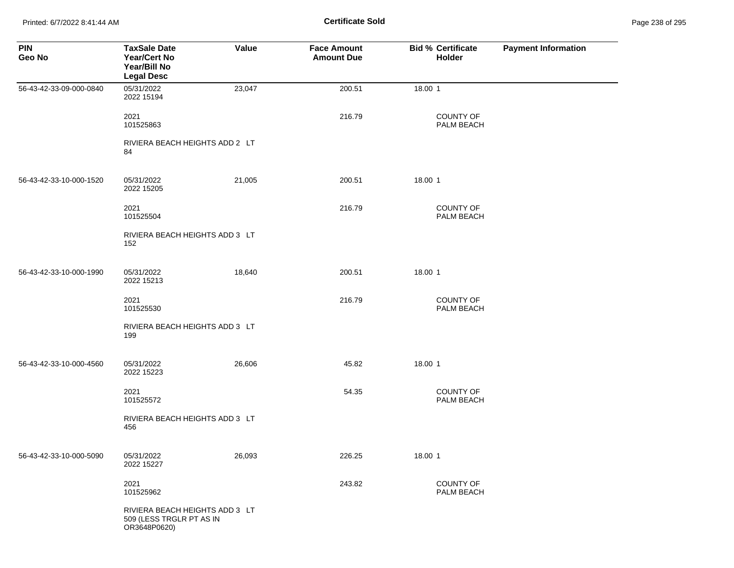Printed: 6/7/2022 8:41:44 AM **Certificate Sold** Page 238 of 295

| <b>PIN</b><br>Geo No    | <b>TaxSale Date</b><br>Year/Cert No<br>Year/Bill No<br><b>Legal Desc</b>   | <b>Value</b> | <b>Face Amount</b><br><b>Amount Due</b> | <b>Bid % Certificate</b><br>Holder | <b>Payment Information</b> |
|-------------------------|----------------------------------------------------------------------------|--------------|-----------------------------------------|------------------------------------|----------------------------|
| 56-43-42-33-09-000-0840 | 05/31/2022<br>2022 15194                                                   | 23,047       | 200.51                                  | 18.00 1                            |                            |
|                         | 2021<br>101525863                                                          |              | 216.79                                  | <b>COUNTY OF</b><br>PALM BEACH     |                            |
|                         | RIVIERA BEACH HEIGHTS ADD 2 LT<br>84                                       |              |                                         |                                    |                            |
| 56-43-42-33-10-000-1520 | 05/31/2022<br>2022 15205                                                   | 21,005       | 200.51                                  | 18.00 1                            |                            |
|                         | 2021<br>101525504                                                          |              | 216.79                                  | <b>COUNTY OF</b><br>PALM BEACH     |                            |
|                         | RIVIERA BEACH HEIGHTS ADD 3 LT<br>152                                      |              |                                         |                                    |                            |
| 56-43-42-33-10-000-1990 | 05/31/2022<br>2022 15213                                                   | 18,640       | 200.51                                  | 18.00 1                            |                            |
|                         | 2021<br>101525530                                                          |              | 216.79                                  | <b>COUNTY OF</b><br>PALM BEACH     |                            |
|                         | RIVIERA BEACH HEIGHTS ADD 3 LT<br>199                                      |              |                                         |                                    |                            |
| 56-43-42-33-10-000-4560 | 05/31/2022<br>2022 15223                                                   | 26,606       | 45.82                                   | 18.00 1                            |                            |
|                         | 2021<br>101525572                                                          |              | 54.35                                   | <b>COUNTY OF</b><br>PALM BEACH     |                            |
|                         | RIVIERA BEACH HEIGHTS ADD 3 LT<br>456                                      |              |                                         |                                    |                            |
| 56-43-42-33-10-000-5090 | 05/31/2022<br>2022 15227                                                   | 26,093       | 226.25                                  | 18.00 1                            |                            |
|                         | 2021<br>101525962                                                          |              | 243.82                                  | COUNTY OF<br>PALM BEACH            |                            |
|                         | RIVIERA BEACH HEIGHTS ADD 3 LT<br>509 (LESS TRGLR PT AS IN<br>OR3648P0620) |              |                                         |                                    |                            |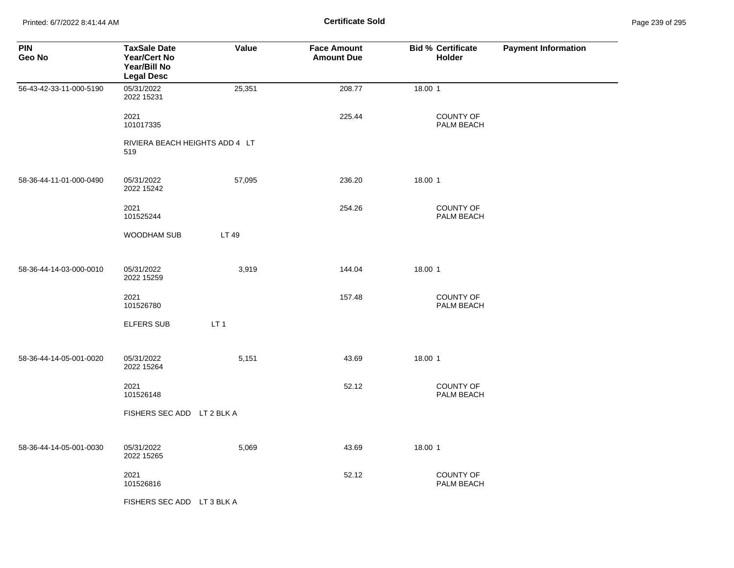Printed: 6/7/2022 8:41:44 AM **Certificate Sold** Page 239 of 295

| <b>PIN</b><br>Geo No    | <b>TaxSale Date</b><br><b>Year/Cert No</b><br>Year/Bill No<br><b>Legal Desc</b> | Value           | <b>Face Amount</b><br><b>Amount Due</b> | <b>Bid % Certificate</b><br>Holder | <b>Payment Information</b> |
|-------------------------|---------------------------------------------------------------------------------|-----------------|-----------------------------------------|------------------------------------|----------------------------|
| 56-43-42-33-11-000-5190 | 05/31/2022<br>2022 15231                                                        | 25,351          | 208.77                                  | 18.00 1                            |                            |
|                         | 2021<br>101017335                                                               |                 | 225.44                                  | <b>COUNTY OF</b><br>PALM BEACH     |                            |
|                         | RIVIERA BEACH HEIGHTS ADD 4 LT<br>519                                           |                 |                                         |                                    |                            |
| 58-36-44-11-01-000-0490 | 05/31/2022<br>2022 15242                                                        | 57,095          | 236.20                                  | 18.00 1                            |                            |
|                         | 2021<br>101525244                                                               |                 | 254.26                                  | <b>COUNTY OF</b><br>PALM BEACH     |                            |
|                         | WOODHAM SUB                                                                     | LT 49           |                                         |                                    |                            |
| 58-36-44-14-03-000-0010 | 05/31/2022<br>2022 15259                                                        | 3,919           | 144.04                                  | 18.00 1                            |                            |
|                         | 2021<br>101526780                                                               |                 | 157.48                                  | COUNTY OF<br>PALM BEACH            |                            |
|                         | <b>ELFERS SUB</b>                                                               | LT <sub>1</sub> |                                         |                                    |                            |
| 58-36-44-14-05-001-0020 | 05/31/2022<br>2022 15264                                                        | 5,151           | 43.69                                   | 18.00 1                            |                            |
|                         | 2021<br>101526148                                                               |                 | 52.12                                   | <b>COUNTY OF</b><br>PALM BEACH     |                            |
|                         | FISHERS SEC ADD LT 2 BLK A                                                      |                 |                                         |                                    |                            |
| 58-36-44-14-05-001-0030 | 05/31/2022<br>2022 15265                                                        | 5,069           | 43.69                                   | 18.00 1                            |                            |
|                         | 2021<br>101526816                                                               |                 | 52.12                                   | COUNTY OF<br>PALM BEACH            |                            |
|                         | FISHERS SEC ADD LT 3 BLK A                                                      |                 |                                         |                                    |                            |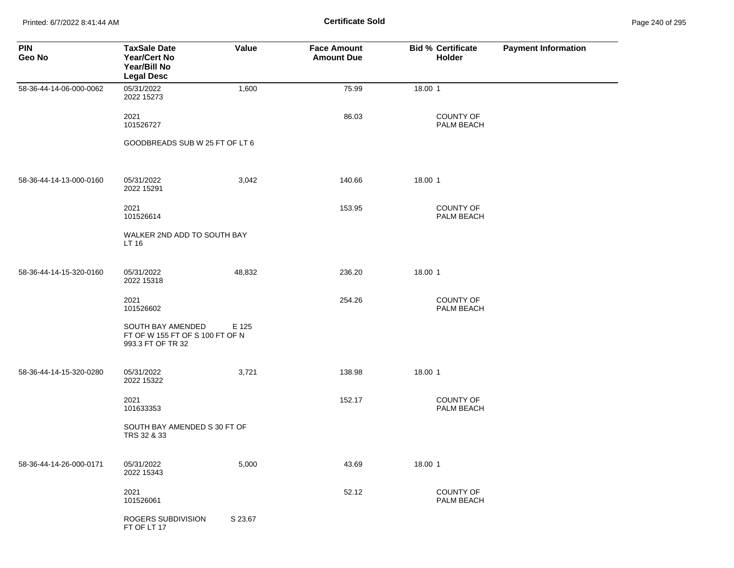Printed: 6/7/2022 8:41:44 AM **Certificate Sold** Page 240 of 295

| <b>PIN</b><br>Geo No    | <b>TaxSale Date</b><br>Year/Cert No<br>Year/Bill No<br><b>Legal Desc</b>  | Value   | <b>Face Amount</b><br><b>Amount Due</b> | <b>Bid % Certificate</b><br><b>Holder</b> | <b>Payment Information</b> |
|-------------------------|---------------------------------------------------------------------------|---------|-----------------------------------------|-------------------------------------------|----------------------------|
| 58-36-44-14-06-000-0062 | 05/31/2022<br>2022 15273                                                  | 1,600   | 75.99                                   | 18.00 1                                   |                            |
|                         | 2021<br>101526727                                                         |         | 86.03                                   | COUNTY OF<br>PALM BEACH                   |                            |
|                         | GOODBREADS SUB W 25 FT OF LT 6                                            |         |                                         |                                           |                            |
| 58-36-44-14-13-000-0160 | 05/31/2022<br>2022 15291                                                  | 3,042   | 140.66                                  | 18.00 1                                   |                            |
|                         | 2021<br>101526614                                                         |         | 153.95                                  | <b>COUNTY OF</b><br>PALM BEACH            |                            |
|                         | WALKER 2ND ADD TO SOUTH BAY<br>LT 16                                      |         |                                         |                                           |                            |
| 58-36-44-14-15-320-0160 | 05/31/2022<br>2022 15318                                                  | 48,832  | 236.20                                  | 18.00 1                                   |                            |
|                         | 2021<br>101526602                                                         |         | 254.26                                  | <b>COUNTY OF</b><br>PALM BEACH            |                            |
|                         | SOUTH BAY AMENDED<br>FT OF W 155 FT OF S 100 FT OF N<br>993.3 FT OF TR 32 | E 125   |                                         |                                           |                            |
| 58-36-44-14-15-320-0280 | 05/31/2022<br>2022 15322                                                  | 3,721   | 138.98                                  | 18.00 1                                   |                            |
|                         | 2021<br>101633353                                                         |         | 152.17                                  | <b>COUNTY OF</b><br>PALM BEACH            |                            |
|                         | SOUTH BAY AMENDED S 30 FT OF<br>TRS 32 & 33                               |         |                                         |                                           |                            |
| 58-36-44-14-26-000-0171 | 05/31/2022<br>2022 15343                                                  | 5,000   | 43.69                                   | 18.00 1                                   |                            |
|                         | 2021<br>101526061                                                         |         | 52.12                                   | COUNTY OF<br>PALM BEACH                   |                            |
|                         | ROGERS SUBDIVISION<br>FT OF LT 17                                         | S 23.67 |                                         |                                           |                            |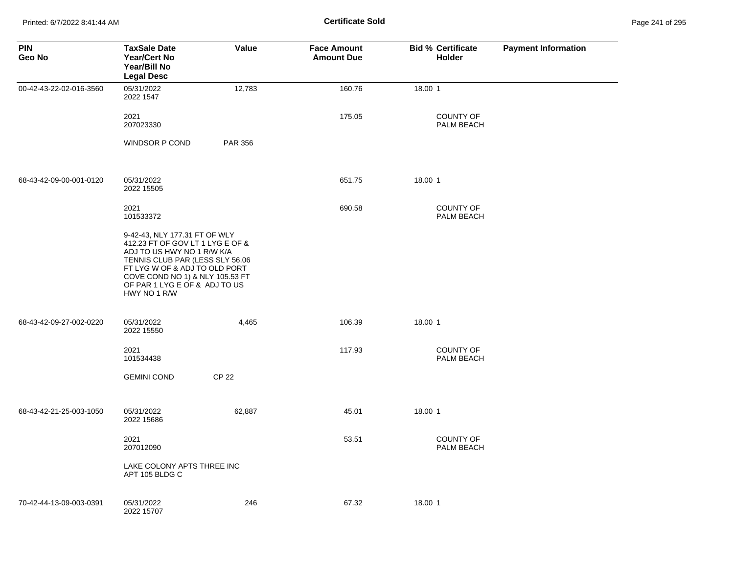Printed: 6/7/2022 8:41:44 AM **Certificate Sold** Page 241 of 295

| <b>PIN</b><br>Geo No    | <b>TaxSale Date</b><br><b>Year/Cert No</b><br>Year/Bill No<br><b>Legal Desc</b>                                                                                                                                                                         | Value          | <b>Face Amount</b><br><b>Amount Due</b> | <b>Bid % Certificate</b><br><b>Holder</b> | <b>Payment Information</b> |
|-------------------------|---------------------------------------------------------------------------------------------------------------------------------------------------------------------------------------------------------------------------------------------------------|----------------|-----------------------------------------|-------------------------------------------|----------------------------|
| 00-42-43-22-02-016-3560 | 05/31/2022<br>2022 1547                                                                                                                                                                                                                                 | 12,783         | 160.76                                  | 18.00 1                                   |                            |
|                         | 2021<br>207023330                                                                                                                                                                                                                                       |                | 175.05                                  | <b>COUNTY OF</b><br>PALM BEACH            |                            |
|                         | <b>WINDSOR P COND</b>                                                                                                                                                                                                                                   | <b>PAR 356</b> |                                         |                                           |                            |
| 68-43-42-09-00-001-0120 | 05/31/2022<br>2022 15505                                                                                                                                                                                                                                |                | 651.75                                  | 18.00 1                                   |                            |
|                         | 2021<br>101533372                                                                                                                                                                                                                                       |                | 690.58                                  | <b>COUNTY OF</b><br>PALM BEACH            |                            |
|                         | 9-42-43, NLY 177.31 FT OF WLY<br>412.23 FT OF GOV LT 1 LYG E OF &<br>ADJ TO US HWY NO 1 R/W K/A<br>TENNIS CLUB PAR (LESS SLY 56.06<br>FT LYG W OF & ADJ TO OLD PORT<br>COVE COND NO 1) & NLY 105.53 FT<br>OF PAR 1 LYG E OF & ADJ TO US<br>HWY NO 1 R/W |                |                                         |                                           |                            |
| 68-43-42-09-27-002-0220 | 05/31/2022<br>2022 15550                                                                                                                                                                                                                                | 4,465          | 106.39                                  | 18.00 1                                   |                            |
|                         | 2021<br>101534438                                                                                                                                                                                                                                       |                | 117.93                                  | <b>COUNTY OF</b><br>PALM BEACH            |                            |
|                         | <b>GEMINI COND</b>                                                                                                                                                                                                                                      | <b>CP 22</b>   |                                         |                                           |                            |
| 68-43-42-21-25-003-1050 | 05/31/2022<br>2022 15686                                                                                                                                                                                                                                | 62,887         | 45.01                                   | 18.00 1                                   |                            |
|                         | 2021<br>207012090                                                                                                                                                                                                                                       |                | 53.51                                   | <b>COUNTY OF</b><br>PALM BEACH            |                            |
|                         | LAKE COLONY APTS THREE INC<br>APT 105 BLDG C                                                                                                                                                                                                            |                |                                         |                                           |                            |
| 70-42-44-13-09-003-0391 | 05/31/2022<br>2022 15707                                                                                                                                                                                                                                | 246            | 67.32                                   | 18.00 1                                   |                            |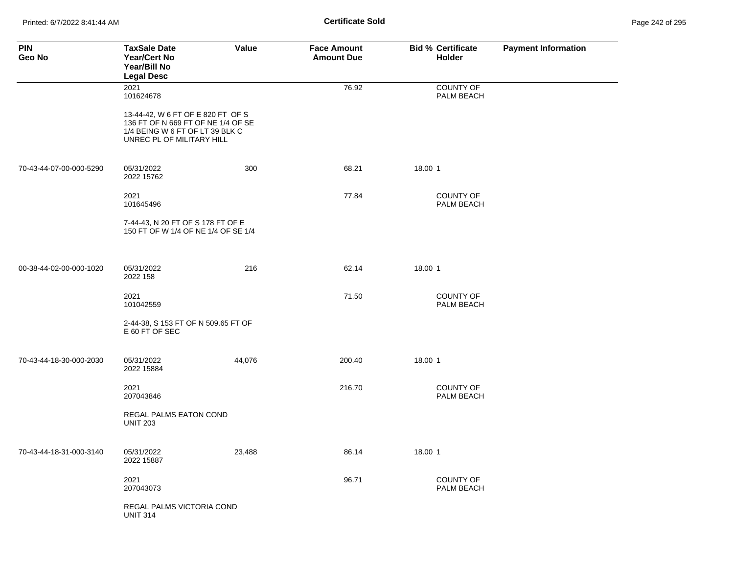| <b>PIN</b><br>Geo No    | <b>TaxSale Date</b><br><b>Year/Cert No</b><br>Year/Bill No<br><b>Legal Desc</b>                                                         | Value  | <b>Face Amount</b><br><b>Amount Due</b> | <b>Bid % Certificate</b><br><b>Holder</b> | <b>Payment Information</b> |
|-------------------------|-----------------------------------------------------------------------------------------------------------------------------------------|--------|-----------------------------------------|-------------------------------------------|----------------------------|
|                         | 2021<br>101624678                                                                                                                       |        | 76.92                                   | <b>COUNTY OF</b><br>PALM BEACH            |                            |
|                         | 13-44-42, W 6 FT OF E 820 FT OF S<br>136 FT OF N 669 FT OF NE 1/4 OF SE<br>1/4 BEING W 6 FT OF LT 39 BLK C<br>UNREC PL OF MILITARY HILL |        |                                         |                                           |                            |
| 70-43-44-07-00-000-5290 | 05/31/2022<br>2022 15762                                                                                                                | 300    | 68.21                                   | 18.00 1                                   |                            |
|                         | 2021<br>101645496                                                                                                                       |        | 77.84                                   | <b>COUNTY OF</b><br>PALM BEACH            |                            |
|                         | 7-44-43, N 20 FT OF S 178 FT OF E<br>150 FT OF W 1/4 OF NE 1/4 OF SE 1/4                                                                |        |                                         |                                           |                            |
| 00-38-44-02-00-000-1020 | 05/31/2022<br>2022 158                                                                                                                  | 216    | 62.14                                   | 18.00 1                                   |                            |
|                         | 2021<br>101042559                                                                                                                       |        | 71.50                                   | <b>COUNTY OF</b><br>PALM BEACH            |                            |
|                         | 2-44-38, S 153 FT OF N 509.65 FT OF<br>E 60 FT OF SEC                                                                                   |        |                                         |                                           |                            |
| 70-43-44-18-30-000-2030 | 05/31/2022<br>2022 15884                                                                                                                | 44,076 | 200.40                                  | 18.00 1                                   |                            |
|                         | 2021<br>207043846                                                                                                                       |        | 216.70                                  | <b>COUNTY OF</b><br>PALM BEACH            |                            |
|                         | REGAL PALMS EATON COND<br><b>UNIT 203</b>                                                                                               |        |                                         |                                           |                            |
| 70-43-44-18-31-000-3140 | 05/31/2022<br>2022 15887                                                                                                                | 23,488 | 86.14                                   | 18.00 1                                   |                            |
|                         | 2021<br>207043073                                                                                                                       |        | 96.71                                   | <b>COUNTY OF</b><br>PALM BEACH            |                            |
|                         | REGAL PALMS VICTORIA COND<br><b>UNIT 314</b>                                                                                            |        |                                         |                                           |                            |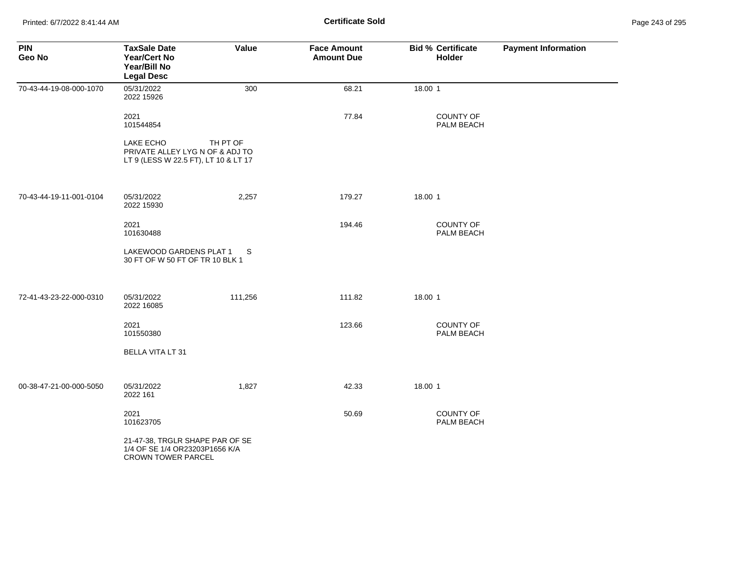Printed: 6/7/2022 8:41:44 AM **Certificate Sold** Page 243 of 295

| <b>PIN</b><br>Geo No    | <b>TaxSale Date</b><br><b>Year/Cert No</b><br>Year/Bill No<br><b>Legal Desc</b>                | Value    | <b>Face Amount</b><br><b>Amount Due</b> | <b>Bid % Certificate</b><br><b>Holder</b> | <b>Payment Information</b> |
|-------------------------|------------------------------------------------------------------------------------------------|----------|-----------------------------------------|-------------------------------------------|----------------------------|
| 70-43-44-19-08-000-1070 | 05/31/2022<br>2022 15926                                                                       | 300      | 68.21                                   | 18.00 1                                   |                            |
|                         | 2021<br>101544854                                                                              |          | 77.84                                   | COUNTY OF<br>PALM BEACH                   |                            |
|                         | LAKE ECHO<br>PRIVATE ALLEY LYG N OF & ADJ TO<br>LT 9 (LESS W 22.5 FT), LT 10 & LT 17           | TH PT OF |                                         |                                           |                            |
| 70-43-44-19-11-001-0104 | 05/31/2022<br>2022 15930                                                                       | 2,257    | 179.27                                  | 18.00 1                                   |                            |
|                         | 2021<br>101630488                                                                              |          | 194.46                                  | COUNTY OF<br>PALM BEACH                   |                            |
|                         | LAKEWOOD GARDENS PLAT 1<br>30 FT OF W 50 FT OF TR 10 BLK 1                                     | S.       |                                         |                                           |                            |
| 72-41-43-23-22-000-0310 | 05/31/2022<br>2022 16085                                                                       | 111,256  | 111.82                                  | 18.00 1                                   |                            |
|                         | 2021<br>101550380                                                                              |          | 123.66                                  | <b>COUNTY OF</b><br>PALM BEACH            |                            |
|                         | <b>BELLA VITA LT 31</b>                                                                        |          |                                         |                                           |                            |
| 00-38-47-21-00-000-5050 | 05/31/2022<br>2022 161                                                                         | 1,827    | 42.33                                   | 18.00 1                                   |                            |
|                         | 2021<br>101623705                                                                              |          | 50.69                                   | <b>COUNTY OF</b><br>PALM BEACH            |                            |
|                         | 21-47-38, TRGLR SHAPE PAR OF SE<br>1/4 OF SE 1/4 OR23203P1656 K/A<br><b>CROWN TOWER PARCEL</b> |          |                                         |                                           |                            |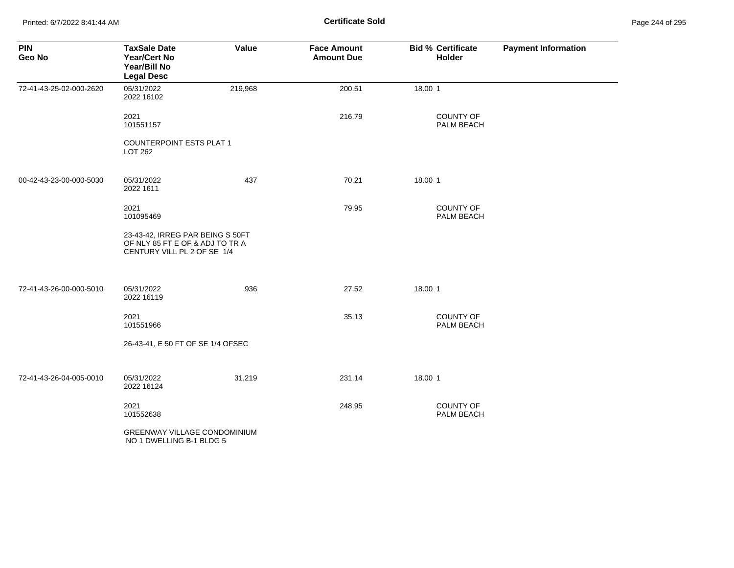Printed: 6/7/2022 8:41:44 AM **Certificate Sold** Page 244 of 295

| <b>PIN</b><br>Geo No    | <b>TaxSale Date</b><br><b>Year/Cert No</b><br>Year/Bill No<br><b>Legal Desc</b>                    | Value   | <b>Face Amount</b><br><b>Amount Due</b> | <b>Bid % Certificate</b><br>Holder | <b>Payment Information</b> |
|-------------------------|----------------------------------------------------------------------------------------------------|---------|-----------------------------------------|------------------------------------|----------------------------|
| 72-41-43-25-02-000-2620 | 05/31/2022<br>2022 16102                                                                           | 219,968 | 200.51                                  | 18.00 1                            |                            |
|                         | 2021<br>101551157                                                                                  |         | 216.79                                  | <b>COUNTY OF</b><br>PALM BEACH     |                            |
|                         | <b>COUNTERPOINT ESTS PLAT 1</b><br>LOT 262                                                         |         |                                         |                                    |                            |
| 00-42-43-23-00-000-5030 | 05/31/2022<br>2022 1611                                                                            | 437     | 70.21                                   | 18.00 1                            |                            |
|                         | 2021<br>101095469                                                                                  |         | 79.95                                   | <b>COUNTY OF</b><br>PALM BEACH     |                            |
|                         | 23-43-42, IRREG PAR BEING S 50FT<br>OF NLY 85 FT E OF & ADJ TO TR A<br>CENTURY VILL PL 2 OF SE 1/4 |         |                                         |                                    |                            |
| 72-41-43-26-00-000-5010 | 05/31/2022<br>2022 16119                                                                           | 936     | 27.52                                   | 18.00 1                            |                            |
|                         | 2021<br>101551966                                                                                  |         | 35.13                                   | COUNTY OF<br>PALM BEACH            |                            |
|                         | 26-43-41, E 50 FT OF SE 1/4 OFSEC                                                                  |         |                                         |                                    |                            |
| 72-41-43-26-04-005-0010 | 05/31/2022<br>2022 16124                                                                           | 31,219  | 231.14                                  | 18.00 1                            |                            |
|                         | 2021<br>101552638                                                                                  |         | 248.95                                  | COUNTY OF<br>PALM BEACH            |                            |
|                         | <b>GREENWAY VILLAGE CONDOMINIUM</b><br>NO 1 DWELLING B-1 BLDG 5                                    |         |                                         |                                    |                            |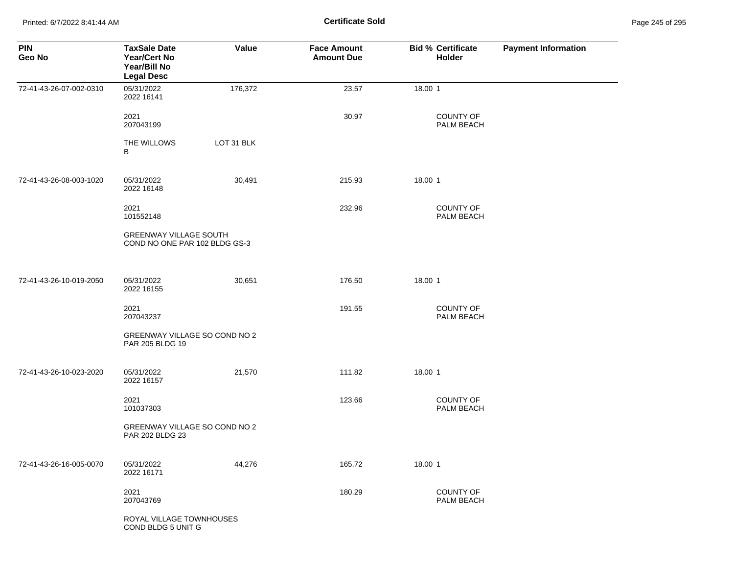Printed: 6/7/2022 8:41:44 AM **Certificate Sold** Page 245 of 295

| <b>PIN</b><br>Geo No    | <b>TaxSale Date</b><br>Year/Cert No<br>Year/Bill No<br><b>Legal Desc</b> | Value      | <b>Face Amount</b><br><b>Amount Due</b> | <b>Bid % Certificate</b><br>Holder | <b>Payment Information</b> |
|-------------------------|--------------------------------------------------------------------------|------------|-----------------------------------------|------------------------------------|----------------------------|
| 72-41-43-26-07-002-0310 | 05/31/2022<br>2022 16141                                                 | 176,372    | 23.57                                   | 18.00 1                            |                            |
|                         | 2021<br>207043199                                                        |            | 30.97                                   | <b>COUNTY OF</b><br>PALM BEACH     |                            |
|                         | THE WILLOWS<br>В                                                         | LOT 31 BLK |                                         |                                    |                            |
| 72-41-43-26-08-003-1020 | 05/31/2022<br>2022 16148                                                 | 30,491     | 215.93                                  | 18.00 1                            |                            |
|                         | 2021<br>101552148                                                        |            | 232.96                                  | <b>COUNTY OF</b><br>PALM BEACH     |                            |
|                         | <b>GREENWAY VILLAGE SOUTH</b><br>COND NO ONE PAR 102 BLDG GS-3           |            |                                         |                                    |                            |
| 72-41-43-26-10-019-2050 | 05/31/2022<br>2022 16155                                                 | 30,651     | 176.50                                  | 18.00 1                            |                            |
|                         | 2021<br>207043237                                                        |            | 191.55                                  | <b>COUNTY OF</b><br>PALM BEACH     |                            |
|                         | GREENWAY VILLAGE SO COND NO 2<br>PAR 205 BLDG 19                         |            |                                         |                                    |                            |
| 72-41-43-26-10-023-2020 | 05/31/2022<br>2022 16157                                                 | 21,570     | 111.82                                  | 18.00 1                            |                            |
|                         | 2021<br>101037303                                                        |            | 123.66                                  | COUNTY OF<br>PALM BEACH            |                            |
|                         | GREENWAY VILLAGE SO COND NO 2<br>PAR 202 BLDG 23                         |            |                                         |                                    |                            |
| 72-41-43-26-16-005-0070 | 05/31/2022<br>2022 16171                                                 | 44,276     | 165.72                                  | 18.00 1                            |                            |
|                         | 2021<br>207043769                                                        |            | 180.29                                  | <b>COUNTY OF</b><br>PALM BEACH     |                            |
|                         | ROYAL VILLAGE TOWNHOUSES<br>COND BLDG 5 UNIT G                           |            |                                         |                                    |                            |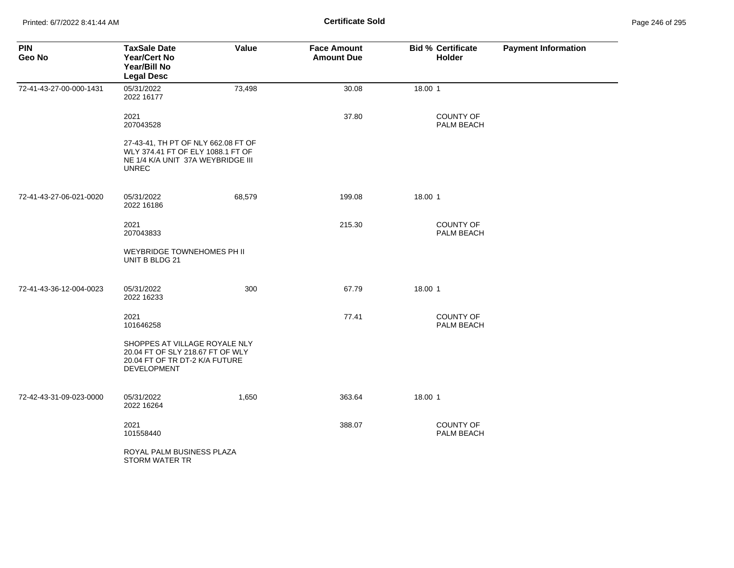| <b>PIN</b><br>Geo No    | <b>TaxSale Date</b><br><b>Year/Cert No</b><br>Year/Bill No<br><b>Legal Desc</b>                                               | Value  | <b>Face Amount</b><br><b>Amount Due</b> | <b>Bid % Certificate</b><br><b>Holder</b> | <b>Payment Information</b> |
|-------------------------|-------------------------------------------------------------------------------------------------------------------------------|--------|-----------------------------------------|-------------------------------------------|----------------------------|
| 72-41-43-27-00-000-1431 | 05/31/2022<br>2022 16177                                                                                                      | 73,498 | 30.08                                   | 18.00 1                                   |                            |
|                         | 2021<br>207043528                                                                                                             |        | 37.80                                   | <b>COUNTY OF</b><br>PALM BEACH            |                            |
|                         | 27-43-41, TH PT OF NLY 662.08 FT OF<br>WLY 374.41 FT OF ELY 1088.1 FT OF<br>NE 1/4 K/A UNIT 37A WEYBRIDGE III<br><b>UNREC</b> |        |                                         |                                           |                            |
| 72-41-43-27-06-021-0020 | 05/31/2022<br>2022 16186                                                                                                      | 68,579 | 199.08                                  | 18.00 1                                   |                            |
|                         | 2021<br>207043833                                                                                                             |        | 215.30                                  | COUNTY OF<br>PALM BEACH                   |                            |
|                         | WEYBRIDGE TOWNEHOMES PH II<br>UNIT B BLDG 21                                                                                  |        |                                         |                                           |                            |
| 72-41-43-36-12-004-0023 | 05/31/2022<br>2022 16233                                                                                                      | 300    | 67.79                                   | 18.00 1                                   |                            |
|                         | 2021<br>101646258                                                                                                             |        | 77.41                                   | <b>COUNTY OF</b><br>PALM BEACH            |                            |
|                         | SHOPPES AT VILLAGE ROYALE NLY<br>20.04 FT OF SLY 218.67 FT OF WLY<br>20.04 FT OF TR DT-2 K/A FUTURE<br><b>DEVELOPMENT</b>     |        |                                         |                                           |                            |
| 72-42-43-31-09-023-0000 | 05/31/2022<br>2022 16264                                                                                                      | 1,650  | 363.64                                  | 18.00 1                                   |                            |
|                         | 2021<br>101558440                                                                                                             |        | 388.07                                  | <b>COUNTY OF</b><br>PALM BEACH            |                            |
|                         | ROYAL PALM BUSINESS PLAZA<br>STORM WATER TR                                                                                   |        |                                         |                                           |                            |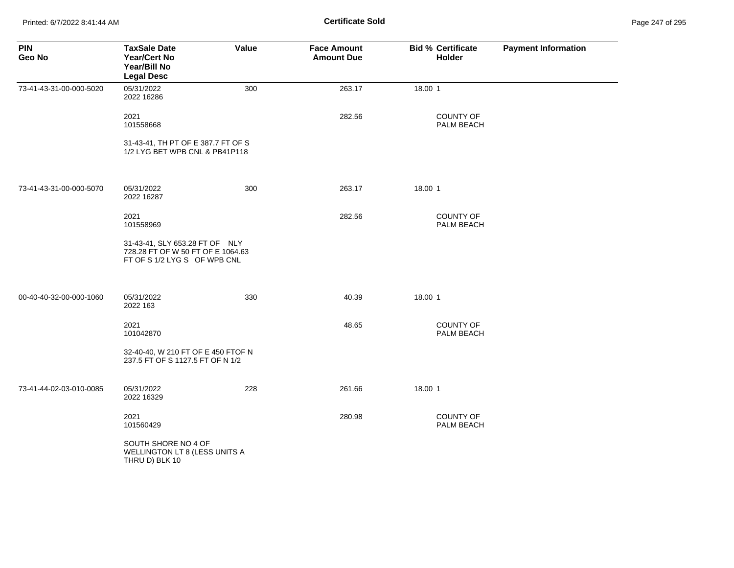Printed: 6/7/2022 8:41:44 AM **Certificate Sold** Page 247 of 295

| <b>PIN</b><br>Geo No    | <b>TaxSale Date</b><br>Year/Cert No<br>Year/Bill No<br><b>Legal Desc</b>                            | Value | <b>Face Amount</b><br><b>Amount Due</b> | <b>Bid % Certificate</b><br>Holder | <b>Payment Information</b> |
|-------------------------|-----------------------------------------------------------------------------------------------------|-------|-----------------------------------------|------------------------------------|----------------------------|
| 73-41-43-31-00-000-5020 | 05/31/2022<br>2022 16286                                                                            | 300   | 263.17                                  | 18.00 1                            |                            |
|                         | 2021<br>101558668                                                                                   |       | 282.56                                  | <b>COUNTY OF</b><br>PALM BEACH     |                            |
|                         | 31-43-41, TH PT OF E 387.7 FT OF S<br>1/2 LYG BET WPB CNL & PB41P118                                |       |                                         |                                    |                            |
| 73-41-43-31-00-000-5070 | 05/31/2022<br>2022 16287                                                                            | 300   | 263.17                                  | 18.00 1                            |                            |
|                         | 2021<br>101558969                                                                                   |       | 282.56                                  | <b>COUNTY OF</b><br>PALM BEACH     |                            |
|                         | 31-43-41, SLY 653.28 FT OF NLY<br>728.28 FT OF W 50 FT OF E 1064.63<br>FT OF S 1/2 LYG S OF WPB CNL |       |                                         |                                    |                            |
| 00-40-40-32-00-000-1060 | 05/31/2022<br>2022 163                                                                              | 330   | 40.39                                   | 18.00 1                            |                            |
|                         | 2021<br>101042870                                                                                   |       | 48.65                                   | <b>COUNTY OF</b><br>PALM BEACH     |                            |
|                         | 32-40-40, W 210 FT OF E 450 FTOF N<br>237.5 FT OF S 1127.5 FT OF N 1/2                              |       |                                         |                                    |                            |
| 73-41-44-02-03-010-0085 | 05/31/2022<br>2022 16329                                                                            | 228   | 261.66                                  | 18.00 1                            |                            |
|                         | 2021<br>101560429                                                                                   |       | 280.98                                  | <b>COUNTY OF</b><br>PALM BEACH     |                            |
|                         | SOUTH SHORE NO 4 OF<br>WELLINGTON LT 8 (LESS UNITS A<br>THRU D) BLK 10                              |       |                                         |                                    |                            |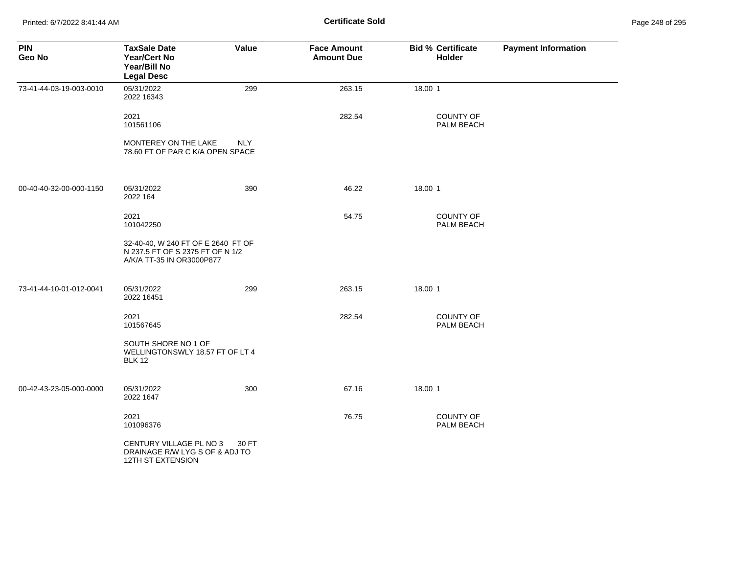Printed: 6/7/2022 8:41:44 AM **Certificate Sold** Page 248 of 295

| <b>PIN</b><br>Geo No    | <b>TaxSale Date</b><br><b>Year/Cert No</b><br>Year/Bill No<br><b>Legal Desc</b>                     | Value | <b>Face Amount</b><br><b>Amount Due</b> | <b>Bid % Certificate</b><br><b>Holder</b> | <b>Payment Information</b> |
|-------------------------|-----------------------------------------------------------------------------------------------------|-------|-----------------------------------------|-------------------------------------------|----------------------------|
| 73-41-44-03-19-003-0010 | 05/31/2022<br>2022 16343                                                                            | 299   | 263.15                                  | 18.00 1                                   |                            |
|                         | 2021<br>101561106                                                                                   |       | 282.54                                  | COUNTY OF<br>PALM BEACH                   |                            |
|                         | MONTEREY ON THE LAKE<br>78.60 FT OF PAR C K/A OPEN SPACE                                            | NLY.  |                                         |                                           |                            |
| 00-40-40-32-00-000-1150 | 05/31/2022<br>2022 164                                                                              | 390   | 46.22                                   | 18.00 1                                   |                            |
|                         | 2021<br>101042250                                                                                   |       | 54.75                                   | <b>COUNTY OF</b><br>PALM BEACH            |                            |
|                         | 32-40-40, W 240 FT OF E 2640 FT OF<br>N 237.5 FT OF S 2375 FT OF N 1/2<br>A/K/A TT-35 IN OR3000P877 |       |                                         |                                           |                            |
| 73-41-44-10-01-012-0041 | 05/31/2022<br>2022 16451                                                                            | 299   | 263.15                                  | 18.00 1                                   |                            |
|                         | 2021<br>101567645                                                                                   |       | 282.54                                  | COUNTY OF<br>PALM BEACH                   |                            |
|                         | SOUTH SHORE NO 1 OF<br>WELLINGTONSWLY 18.57 FT OF LT 4<br><b>BLK 12</b>                             |       |                                         |                                           |                            |
| 00-42-43-23-05-000-0000 | 05/31/2022<br>2022 1647                                                                             | 300   | 67.16                                   | 18.00 1                                   |                            |
|                         | 2021<br>101096376                                                                                   |       | 76.75                                   | <b>COUNTY OF</b><br>PALM BEACH            |                            |
|                         | CENTURY VILLAGE PL NO 3<br>DRAINAGE R/W LYG S OF & ADJ TO<br><b>12TH ST EXTENSION</b>               | 30 FT |                                         |                                           |                            |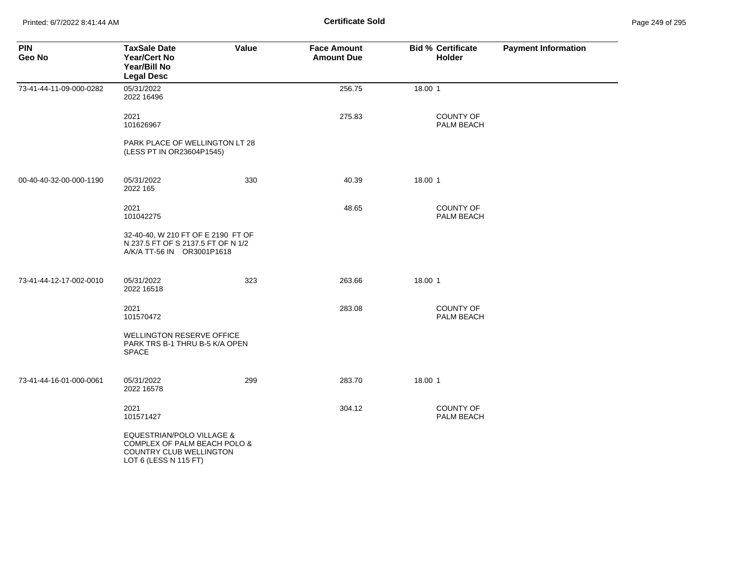Printed: 6/7/2022 8:41:44 AM **Certificate Sold** Page 249 of 295

| <b>PIN</b><br>Geo No    | <b>TaxSale Date</b><br><b>Year/Cert No</b><br>Year/Bill No<br><b>Legal Desc</b>                               | Value | <b>Face Amount</b><br><b>Amount Due</b> | <b>Bid % Certificate</b><br><b>Holder</b> | <b>Payment Information</b> |
|-------------------------|---------------------------------------------------------------------------------------------------------------|-------|-----------------------------------------|-------------------------------------------|----------------------------|
| 73-41-44-11-09-000-0282 | 05/31/2022<br>2022 16496                                                                                      |       | 256.75                                  | 18.00 1                                   |                            |
|                         | 2021<br>101626967                                                                                             |       | 275.83                                  | COUNTY OF<br>PALM BEACH                   |                            |
|                         | PARK PLACE OF WELLINGTON LT 28<br>(LESS PT IN OR23604P1545)                                                   |       |                                         |                                           |                            |
| 00-40-40-32-00-000-1190 | 05/31/2022<br>2022 165                                                                                        | 330   | 40.39                                   | 18.00 1                                   |                            |
|                         | 2021<br>101042275                                                                                             |       | 48.65                                   | <b>COUNTY OF</b><br>PALM BEACH            |                            |
|                         | 32-40-40, W 210 FT OF E 2190 FT OF<br>N 237.5 FT OF S 2137.5 FT OF N 1/2<br>A/K/A TT-56 IN OR3001P1618        |       |                                         |                                           |                            |
| 73-41-44-12-17-002-0010 | 05/31/2022<br>2022 16518                                                                                      | 323   | 263.66                                  | 18.00 1                                   |                            |
|                         | 2021<br>101570472                                                                                             |       | 283.08                                  | <b>COUNTY OF</b><br>PALM BEACH            |                            |
|                         | <b>WELLINGTON RESERVE OFFICE</b><br>PARK TRS B-1 THRU B-5 K/A OPEN<br><b>SPACE</b>                            |       |                                         |                                           |                            |
| 73-41-44-16-01-000-0061 | 05/31/2022<br>2022 16578                                                                                      | 299   | 283.70                                  | 18.00 1                                   |                            |
|                         | 2021<br>101571427                                                                                             |       | 304.12                                  | <b>COUNTY OF</b><br>PALM BEACH            |                            |
|                         | EQUESTRIAN/POLO VILLAGE &<br>COMPLEX OF PALM BEACH POLO &<br>COUNTRY CLUB WELLINGTON<br>LOT 6 (LESS N 115 FT) |       |                                         |                                           |                            |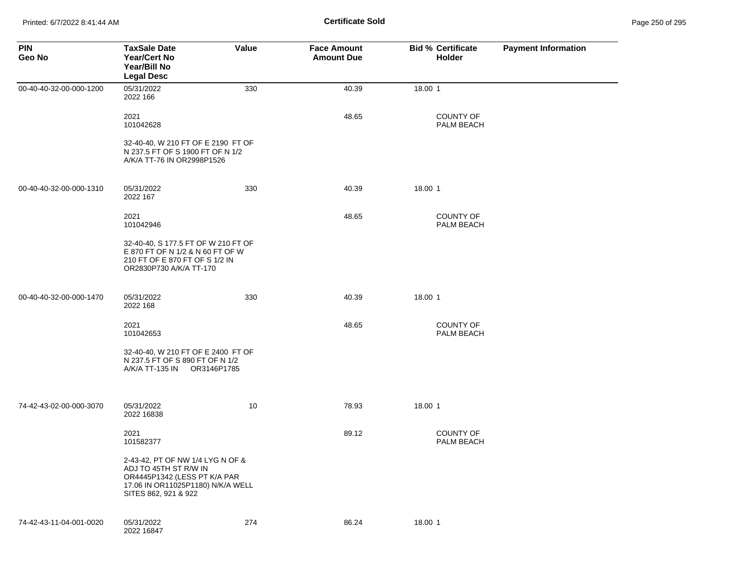| <b>PIN</b><br>Geo No    | <b>TaxSale Date</b><br><b>Year/Cert No</b><br>Year/Bill No<br><b>Legal Desc</b>                                                                        | Value | <b>Face Amount</b><br><b>Amount Due</b> | <b>Bid % Certificate</b><br><b>Holder</b> | <b>Payment Information</b> |
|-------------------------|--------------------------------------------------------------------------------------------------------------------------------------------------------|-------|-----------------------------------------|-------------------------------------------|----------------------------|
| 00-40-40-32-00-000-1200 | 05/31/2022<br>2022 166                                                                                                                                 | 330   | 40.39                                   | 18.00 1                                   |                            |
|                         | 2021<br>101042628                                                                                                                                      |       | 48.65                                   | <b>COUNTY OF</b><br>PALM BEACH            |                            |
|                         | 32-40-40, W 210 FT OF E 2190 FT OF<br>N 237.5 FT OF S 1900 FT OF N 1/2<br>A/K/A TT-76 IN OR2998P1526                                                   |       |                                         |                                           |                            |
| 00-40-40-32-00-000-1310 | 05/31/2022<br>2022 167                                                                                                                                 | 330   | 40.39                                   | 18.00 1                                   |                            |
|                         | 2021<br>101042946                                                                                                                                      |       | 48.65                                   | <b>COUNTY OF</b><br>PALM BEACH            |                            |
|                         | 32-40-40, S 177.5 FT OF W 210 FT OF<br>E 870 FT OF N 1/2 & N 60 FT OF W<br>210 FT OF E 870 FT OF S 1/2 IN<br>OR2830P730 A/K/A TT-170                   |       |                                         |                                           |                            |
| 00-40-40-32-00-000-1470 | 05/31/2022<br>2022 168                                                                                                                                 | 330   | 40.39                                   | 18.00 1                                   |                            |
|                         | 2021<br>101042653                                                                                                                                      |       | 48.65                                   | <b>COUNTY OF</b><br>PALM BEACH            |                            |
|                         | 32-40-40, W 210 FT OF E 2400 FT OF<br>N 237.5 FT OF S 890 FT OF N 1/2                                                                                  |       |                                         |                                           |                            |
| 74-42-43-02-00-000-3070 | 05/31/2022<br>2022 16838                                                                                                                               | 10    | 78.93                                   | 18.00 1                                   |                            |
|                         | 2021<br>101582377                                                                                                                                      |       | 89.12                                   | <b>COUNTY OF</b><br>PALM BEACH            |                            |
|                         | 2-43-42, PT OF NW 1/4 LYG N OF &<br>ADJ TO 45TH ST R/W IN<br>OR4445P1342 (LESS PT K/A PAR<br>17.06 IN OR11025P1180) N/K/A WELL<br>SITES 862, 921 & 922 |       |                                         |                                           |                            |
| 74-42-43-11-04-001-0020 | 05/31/2022<br>2022 16847                                                                                                                               | 274   | 86.24                                   | 18.00 1                                   |                            |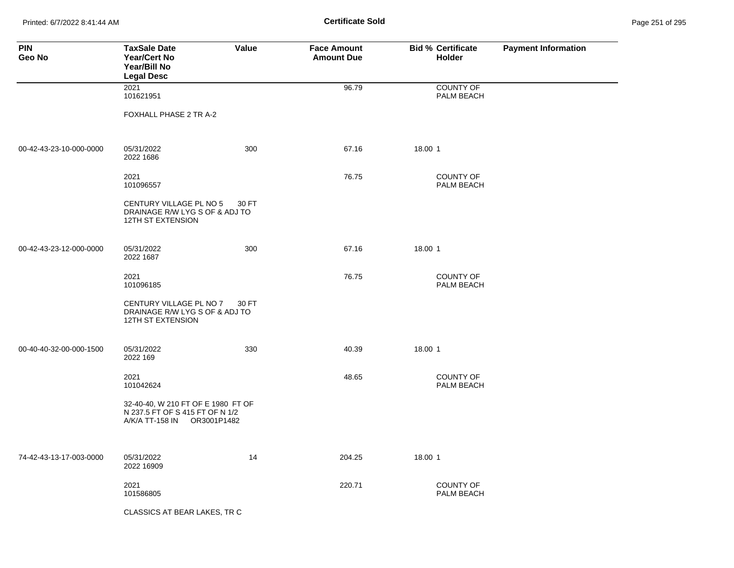Printed: 6/7/2022 8:41:44 AM **Certificate Sold** Page 251 of 295

| <b>PIN</b><br>Geo No    | <b>TaxSale Date</b><br><b>Year/Cert No</b><br><b>Year/Bill No</b><br><b>Legal Desc</b>                  | Value | <b>Face Amount</b><br><b>Amount Due</b> | <b>Bid % Certificate</b><br><b>Holder</b> | <b>Payment Information</b> |
|-------------------------|---------------------------------------------------------------------------------------------------------|-------|-----------------------------------------|-------------------------------------------|----------------------------|
|                         | 2021<br>101621951                                                                                       |       | 96.79                                   | <b>COUNTY OF</b><br>PALM BEACH            |                            |
|                         | FOXHALL PHASE 2 TR A-2                                                                                  |       |                                         |                                           |                            |
| 00-42-43-23-10-000-0000 | 05/31/2022<br>2022 1686                                                                                 | 300   | 67.16                                   | 18.00 1                                   |                            |
|                         | 2021<br>101096557                                                                                       |       | 76.75                                   | <b>COUNTY OF</b><br>PALM BEACH            |                            |
|                         | CENTURY VILLAGE PL NO 5<br>DRAINAGE R/W LYG S OF & ADJ TO<br>12TH ST EXTENSION                          | 30 FT |                                         |                                           |                            |
| 00-42-43-23-12-000-0000 | 05/31/2022<br>2022 1687                                                                                 | 300   | 67.16                                   | 18.00 1                                   |                            |
|                         | 2021<br>101096185                                                                                       |       | 76.75                                   | <b>COUNTY OF</b><br>PALM BEACH            |                            |
|                         | CENTURY VILLAGE PL NO 7<br>DRAINAGE R/W LYG S OF & ADJ TO<br>12TH ST EXTENSION                          | 30 FT |                                         |                                           |                            |
| 00-40-40-32-00-000-1500 | 05/31/2022<br>2022 169                                                                                  | 330   | 40.39                                   | 18.00 1                                   |                            |
|                         | 2021<br>101042624                                                                                       |       | 48.65                                   | <b>COUNTY OF</b><br>PALM BEACH            |                            |
|                         | 32-40-40, W 210 FT OF E 1980 FT OF<br>N 237.5 FT OF S 415 FT OF N 1/2<br>A/K/A TT-158 IN<br>OR3001P1482 |       |                                         |                                           |                            |
| 74-42-43-13-17-003-0000 | 05/31/2022<br>2022 16909                                                                                | 14    | 204.25                                  | 18.00 1                                   |                            |
|                         | 2021<br>101586805                                                                                       |       | 220.71                                  | <b>COUNTY OF</b><br>PALM BEACH            |                            |
|                         | CLASSICS AT BEAR LAKES, TR C                                                                            |       |                                         |                                           |                            |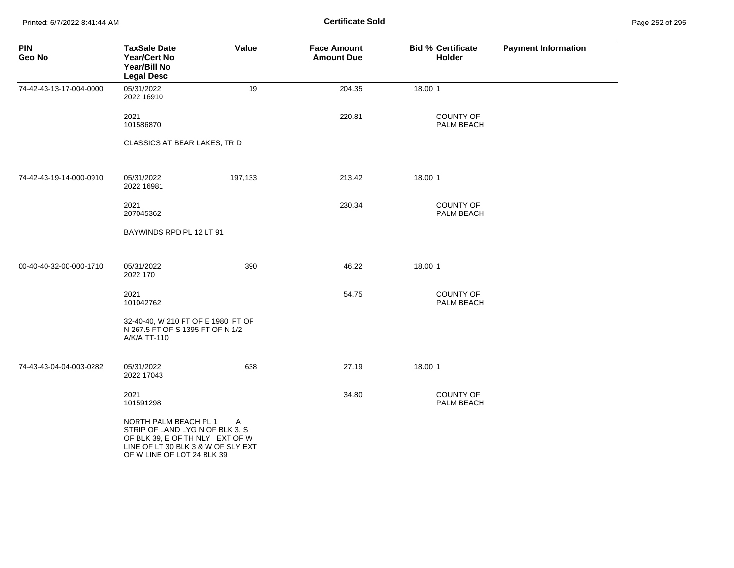Printed: 6/7/2022 8:41:44 AM **Certificate Sold** Page 252 of 295

| <b>PIN</b><br>Geo No    | <b>TaxSale Date</b><br><b>Year/Cert No</b><br>Year/Bill No<br><b>Legal Desc</b>                                                                                 | Value   | <b>Face Amount</b><br><b>Amount Due</b> | <b>Bid % Certificate</b><br>Holder | <b>Payment Information</b> |
|-------------------------|-----------------------------------------------------------------------------------------------------------------------------------------------------------------|---------|-----------------------------------------|------------------------------------|----------------------------|
| 74-42-43-13-17-004-0000 | 05/31/2022<br>2022 16910                                                                                                                                        | 19      | 204.35                                  | 18.00 1                            |                            |
|                         | 2021<br>101586870                                                                                                                                               |         | 220.81                                  | <b>COUNTY OF</b><br>PALM BEACH     |                            |
|                         | CLASSICS AT BEAR LAKES, TR D                                                                                                                                    |         |                                         |                                    |                            |
| 74-42-43-19-14-000-0910 | 05/31/2022<br>2022 16981                                                                                                                                        | 197,133 | 213.42                                  | 18.00 1                            |                            |
|                         | 2021<br>207045362                                                                                                                                               |         | 230.34                                  | <b>COUNTY OF</b><br>PALM BEACH     |                            |
|                         | BAYWINDS RPD PL 12 LT 91                                                                                                                                        |         |                                         |                                    |                            |
| 00-40-40-32-00-000-1710 | 05/31/2022<br>2022 170                                                                                                                                          | 390     | 46.22                                   | 18.00 1                            |                            |
|                         | 2021<br>101042762                                                                                                                                               |         | 54.75                                   | <b>COUNTY OF</b><br>PALM BEACH     |                            |
|                         | 32-40-40, W 210 FT OF E 1980 FT OF<br>N 267.5 FT OF S 1395 FT OF N 1/2<br>A/K/A TT-110                                                                          |         |                                         |                                    |                            |
| 74-43-43-04-04-003-0282 | 05/31/2022<br>2022 17043                                                                                                                                        | 638     | 27.19                                   | 18.00 1                            |                            |
|                         | 2021<br>101591298                                                                                                                                               |         | 34.80                                   | <b>COUNTY OF</b><br>PALM BEACH     |                            |
|                         | NORTH PALM BEACH PL 1<br>STRIP OF LAND LYG N OF BLK 3, S<br>OF BLK 39, E OF TH NLY EXT OF W<br>LINE OF LT 30 BLK 3 & W OF SLY EXT<br>OF W LINE OF LOT 24 BLK 39 | A       |                                         |                                    |                            |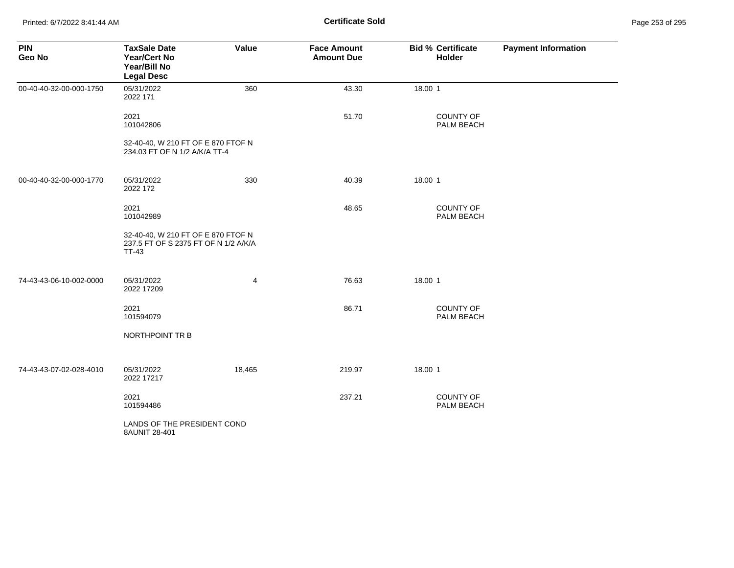Printed: 6/7/2022 8:41:44 AM **Certificate Sold** Page 253 of 295

| <b>PIN</b><br>Geo No    | <b>TaxSale Date</b><br><b>Year/Cert No</b><br>Year/Bill No<br><b>Legal Desc</b>            | Value  | <b>Face Amount</b><br><b>Amount Due</b> | <b>Bid % Certificate</b><br>Holder | <b>Payment Information</b> |
|-------------------------|--------------------------------------------------------------------------------------------|--------|-----------------------------------------|------------------------------------|----------------------------|
| 00-40-40-32-00-000-1750 | 05/31/2022<br>2022 171                                                                     | 360    | 43.30                                   | 18.00 1                            |                            |
|                         | 2021<br>101042806                                                                          |        | 51.70                                   | <b>COUNTY OF</b><br>PALM BEACH     |                            |
|                         | 32-40-40, W 210 FT OF E 870 FTOF N<br>234.03 FT OF N 1/2 A/K/A TT-4                        |        |                                         |                                    |                            |
| 00-40-40-32-00-000-1770 | 05/31/2022<br>2022 172                                                                     | 330    | 40.39                                   | 18.00 1                            |                            |
|                         | 2021<br>101042989                                                                          |        | 48.65                                   | COUNTY OF<br>PALM BEACH            |                            |
|                         | 32-40-40, W 210 FT OF E 870 FTOF N<br>237.5 FT OF S 2375 FT OF N 1/2 A/K/A<br><b>TT-43</b> |        |                                         |                                    |                            |
| 74-43-43-06-10-002-0000 | 05/31/2022<br>2022 17209                                                                   | 4      | 76.63                                   | 18.00 1                            |                            |
|                         | 2021<br>101594079                                                                          |        | 86.71                                   | COUNTY OF<br>PALM BEACH            |                            |
|                         | NORTHPOINT TR B                                                                            |        |                                         |                                    |                            |
| 74-43-43-07-02-028-4010 | 05/31/2022<br>2022 17217                                                                   | 18,465 | 219.97                                  | 18.00 1                            |                            |
|                         | 2021<br>101594486                                                                          |        | 237.21                                  | COUNTY OF<br>PALM BEACH            |                            |
|                         | LANDS OF THE PRESIDENT COND<br>8AUNIT 28-401                                               |        |                                         |                                    |                            |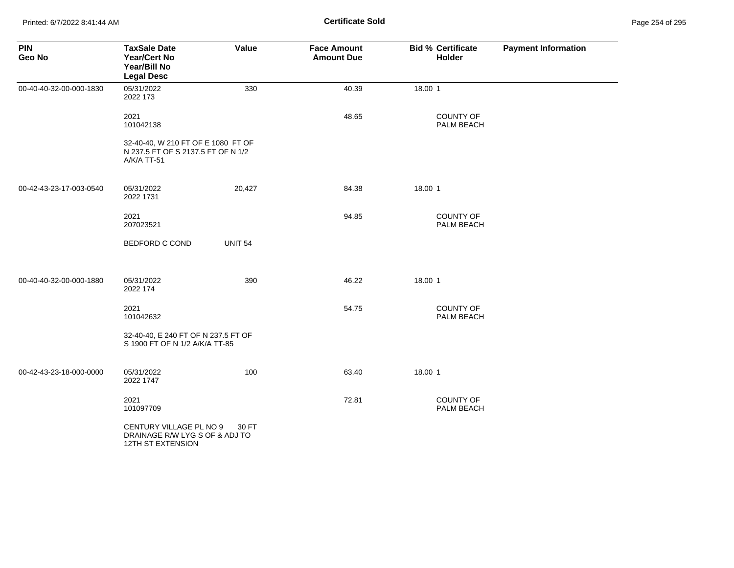Printed: 6/7/2022 8:41:44 AM **Certificate Sold** Page 254 of 295

| <b>PIN</b><br>Geo No    | <b>TaxSale Date</b><br><b>Year/Cert No</b><br>Year/Bill No<br><b>Legal Desc</b>         | Value          | <b>Face Amount</b><br><b>Amount Due</b> | <b>Bid % Certificate</b><br>Holder | <b>Payment Information</b> |
|-------------------------|-----------------------------------------------------------------------------------------|----------------|-----------------------------------------|------------------------------------|----------------------------|
| 00-40-40-32-00-000-1830 | 05/31/2022<br>2022 173                                                                  | 330            | 40.39                                   | 18.00 1                            |                            |
|                         | 2021<br>101042138                                                                       |                | 48.65                                   | <b>COUNTY OF</b><br>PALM BEACH     |                            |
|                         | 32-40-40, W 210 FT OF E 1080 FT OF<br>N 237.5 FT OF S 2137.5 FT OF N 1/2<br>A/K/A TT-51 |                |                                         |                                    |                            |
| 00-42-43-23-17-003-0540 | 05/31/2022<br>2022 1731                                                                 | 20,427         | 84.38                                   | 18.00 1                            |                            |
|                         | 2021<br>207023521                                                                       |                | 94.85                                   | COUNTY OF<br>PALM BEACH            |                            |
|                         | <b>BEDFORD C COND</b>                                                                   | <b>UNIT 54</b> |                                         |                                    |                            |
| 00-40-40-32-00-000-1880 | 05/31/2022<br>2022 174                                                                  | 390            | 46.22                                   | 18.00 1                            |                            |
|                         | 2021<br>101042632                                                                       |                | 54.75                                   | <b>COUNTY OF</b><br>PALM BEACH     |                            |
|                         | 32-40-40, E 240 FT OF N 237.5 FT OF<br>S 1900 FT OF N 1/2 A/K/A TT-85                   |                |                                         |                                    |                            |
| 00-42-43-23-18-000-0000 | 05/31/2022<br>2022 1747                                                                 | 100            | 63.40                                   | 18.00 1                            |                            |
|                         | 2021<br>101097709                                                                       |                | 72.81                                   | <b>COUNTY OF</b><br>PALM BEACH     |                            |
|                         | CENTURY VILLAGE PL NO 9<br>DRAINAGE R/W LYG S OF & ADJ TO<br>12TH ST EXTENSION          | 30 FT          |                                         |                                    |                            |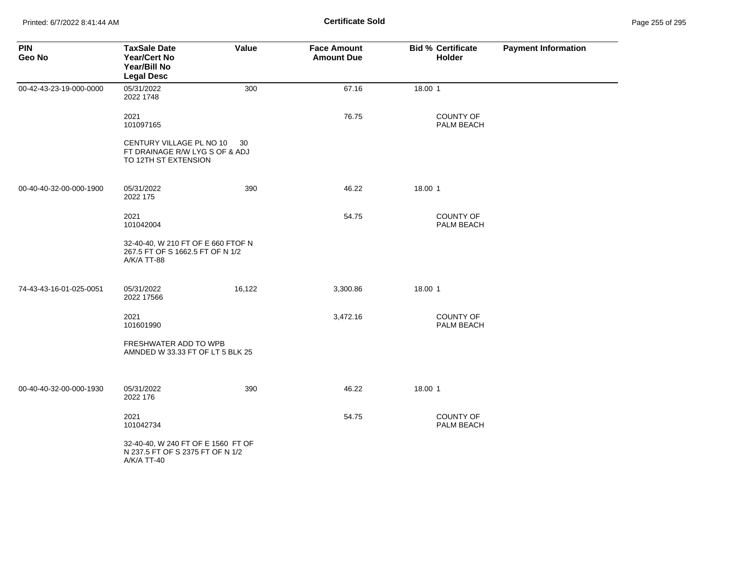| <b>PIN</b><br>Geo No    | <b>TaxSale Date</b><br>Year/Cert No<br>Year/Bill No<br><b>Legal Desc</b>              | Value  | <b>Face Amount</b><br><b>Amount Due</b> | <b>Bid % Certificate</b><br>Holder | <b>Payment Information</b> |
|-------------------------|---------------------------------------------------------------------------------------|--------|-----------------------------------------|------------------------------------|----------------------------|
| 00-42-43-23-19-000-0000 | 05/31/2022<br>2022 1748                                                               | 300    | 67.16                                   | 18.00 1                            |                            |
|                         | 2021<br>101097165                                                                     |        | 76.75                                   | COUNTY OF<br>PALM BEACH            |                            |
|                         | CENTURY VILLAGE PL NO 10<br>FT DRAINAGE R/W LYG S OF & ADJ<br>TO 12TH ST EXTENSION    | 30     |                                         |                                    |                            |
| 00-40-40-32-00-000-1900 | 05/31/2022<br>2022 175                                                                | 390    | 46.22                                   | 18.00 1                            |                            |
|                         | 2021<br>101042004                                                                     |        | 54.75                                   | <b>COUNTY OF</b><br>PALM BEACH     |                            |
|                         | 32-40-40, W 210 FT OF E 660 FTOF N<br>267.5 FT OF S 1662.5 FT OF N 1/2<br>A/K/A TT-88 |        |                                         |                                    |                            |
| 74-43-43-16-01-025-0051 | 05/31/2022<br>2022 17566                                                              | 16,122 | 3,300.86                                | 18.00 1                            |                            |
|                         | 2021<br>101601990                                                                     |        | 3,472.16                                | COUNTY OF<br>PALM BEACH            |                            |
|                         | FRESHWATER ADD TO WPB<br>AMNDED W 33.33 FT OF LT 5 BLK 25                             |        |                                         |                                    |                            |
| 00-40-40-32-00-000-1930 | 05/31/2022<br>2022 176                                                                | 390    | 46.22                                   | 18.00 1                            |                            |
|                         | 2021<br>101042734                                                                     |        | 54.75                                   | COUNTY OF<br>PALM BEACH            |                            |
|                         | 32-40-40, W 240 FT OF E 1560 FT OF<br>N 237.5 FT OF S 2375 FT OF N 1/2<br>A/K/A TT-40 |        |                                         |                                    |                            |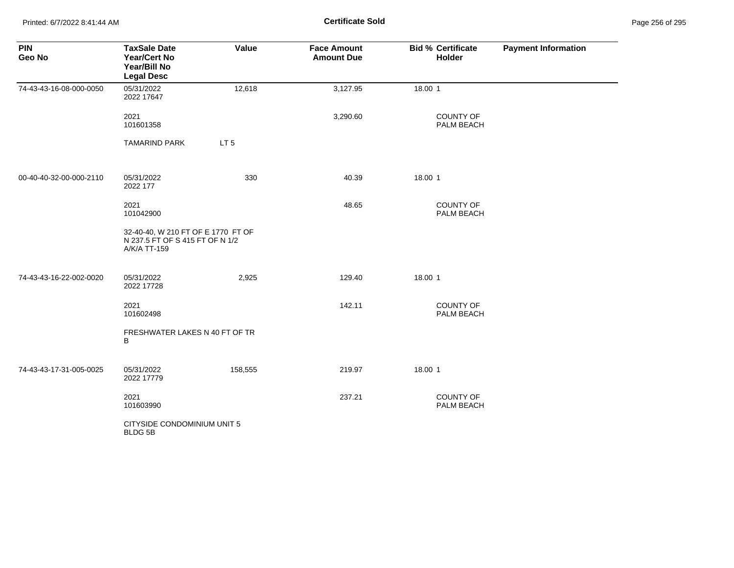Printed: 6/7/2022 8:41:44 AM **Certificate Sold** Page 256 of 295

| <b>PIN</b><br>Geo No    | <b>TaxSale Date</b><br>Year/Cert No<br>Year/Bill No<br><b>Legal Desc</b>              | Value           | <b>Face Amount</b><br><b>Amount Due</b> | <b>Bid % Certificate</b><br>Holder | <b>Payment Information</b> |
|-------------------------|---------------------------------------------------------------------------------------|-----------------|-----------------------------------------|------------------------------------|----------------------------|
| 74-43-43-16-08-000-0050 | 05/31/2022<br>2022 17647                                                              | 12,618          | 3,127.95                                | 18.00 1                            |                            |
|                         | 2021<br>101601358                                                                     |                 | 3,290.60                                | COUNTY OF<br>PALM BEACH            |                            |
|                         | <b>TAMARIND PARK</b>                                                                  | LT <sub>5</sub> |                                         |                                    |                            |
| 00-40-40-32-00-000-2110 | 05/31/2022<br>2022 177                                                                | 330             | 40.39                                   | 18.00 1                            |                            |
|                         | 2021<br>101042900                                                                     |                 | 48.65                                   | <b>COUNTY OF</b><br>PALM BEACH     |                            |
|                         | 32-40-40, W 210 FT OF E 1770 FT OF<br>N 237.5 FT OF S 415 FT OF N 1/2<br>A/K/A TT-159 |                 |                                         |                                    |                            |
| 74-43-43-16-22-002-0020 | 05/31/2022<br>2022 17728                                                              | 2,925           | 129.40                                  | 18.00 1                            |                            |
|                         | 2021<br>101602498                                                                     |                 | 142.11                                  | <b>COUNTY OF</b><br>PALM BEACH     |                            |
|                         | FRESHWATER LAKES N 40 FT OF TR<br>В                                                   |                 |                                         |                                    |                            |
| 74-43-43-17-31-005-0025 | 05/31/2022<br>2022 17779                                                              | 158,555         | 219.97                                  | 18.00 1                            |                            |
|                         | 2021<br>101603990                                                                     |                 | 237.21                                  | COUNTY OF<br>PALM BEACH            |                            |
|                         | CITYSIDE CONDOMINIUM UNIT 5<br><b>BLDG 5B</b>                                         |                 |                                         |                                    |                            |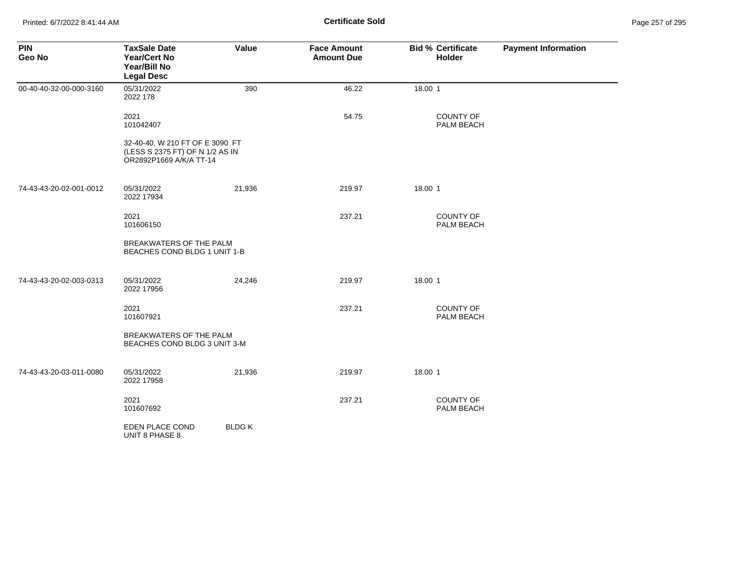| <b>PIN</b><br>Geo No    | <b>TaxSale Date</b><br><b>Year/Cert No</b><br>Year/Bill No<br><b>Legal Desc</b>               | Value        | <b>Face Amount</b><br><b>Amount Due</b> | <b>Bid % Certificate</b><br>Holder | <b>Payment Information</b> |
|-------------------------|-----------------------------------------------------------------------------------------------|--------------|-----------------------------------------|------------------------------------|----------------------------|
| 00-40-40-32-00-000-3160 | 05/31/2022<br>2022 178                                                                        | 390          | 46.22                                   | 18.00 1                            |                            |
|                         | 2021<br>101042407                                                                             |              | 54.75                                   | COUNTY OF<br>PALM BEACH            |                            |
|                         | 32-40-40, W 210 FT OF E 3090 FT<br>(LESS S 2375 FT) OF N 1/2 AS IN<br>OR2892P1669 A/K/A TT-14 |              |                                         |                                    |                            |
| 74-43-43-20-02-001-0012 | 05/31/2022<br>2022 17934                                                                      | 21,936       | 219.97                                  | 18.00 1                            |                            |
|                         | 2021<br>101606150                                                                             |              | 237.21                                  | <b>COUNTY OF</b><br>PALM BEACH     |                            |
|                         | BREAKWATERS OF THE PALM<br>BEACHES COND BLDG 1 UNIT 1-B                                       |              |                                         |                                    |                            |
| 74-43-43-20-02-003-0313 | 05/31/2022<br>2022 17956                                                                      | 24,246       | 219.97                                  | 18.00 1                            |                            |
|                         | 2021<br>101607921                                                                             |              | 237.21                                  | <b>COUNTY OF</b><br>PALM BEACH     |                            |
|                         | <b>BREAKWATERS OF THE PALM</b><br>BEACHES COND BLDG 3 UNIT 3-M                                |              |                                         |                                    |                            |
| 74-43-43-20-03-011-0080 | 05/31/2022<br>2022 17958                                                                      | 21,936       | 219.97                                  | 18.00 1                            |                            |
|                         | 2021<br>101607692                                                                             |              | 237.21                                  | <b>COUNTY OF</b><br>PALM BEACH     |                            |
|                         | EDEN PLACE COND<br>UNIT 8 PHASE 8                                                             | <b>BLDGK</b> |                                         |                                    |                            |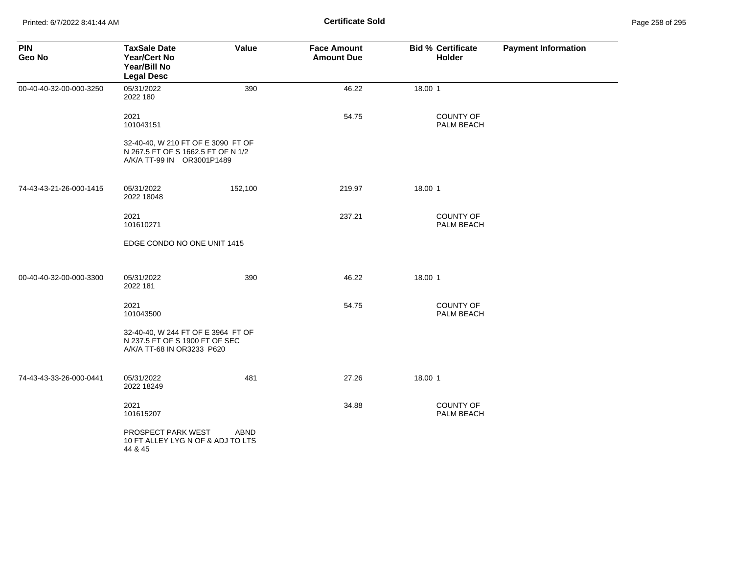| <b>PIN</b><br>Geo No    | <b>TaxSale Date</b><br><b>Year/Cert No</b><br>Year/Bill No<br><b>Legal Desc</b>                        | Value   | <b>Face Amount</b><br><b>Amount Due</b> | <b>Bid % Certificate</b><br>Holder | <b>Payment Information</b> |
|-------------------------|--------------------------------------------------------------------------------------------------------|---------|-----------------------------------------|------------------------------------|----------------------------|
| 00-40-40-32-00-000-3250 | 05/31/2022<br>2022 180                                                                                 | 390     | 46.22                                   | 18.00 1                            |                            |
|                         | 2021<br>101043151                                                                                      |         | 54.75                                   | <b>COUNTY OF</b><br>PALM BEACH     |                            |
|                         | 32-40-40, W 210 FT OF E 3090 FT OF<br>N 267.5 FT OF S 1662.5 FT OF N 1/2<br>A/K/A TT-99 IN OR3001P1489 |         |                                         |                                    |                            |
| 74-43-43-21-26-000-1415 | 05/31/2022<br>2022 18048                                                                               | 152,100 | 219.97                                  | 18.00 1                            |                            |
|                         | 2021<br>101610271                                                                                      |         | 237.21                                  | <b>COUNTY OF</b><br>PALM BEACH     |                            |
|                         | EDGE CONDO NO ONE UNIT 1415                                                                            |         |                                         |                                    |                            |
| 00-40-40-32-00-000-3300 | 05/31/2022<br>2022 181                                                                                 | 390     | 46.22                                   | 18.00 1                            |                            |
|                         | 2021<br>101043500                                                                                      |         | 54.75                                   | <b>COUNTY OF</b><br>PALM BEACH     |                            |
|                         | 32-40-40, W 244 FT OF E 3964 FT OF<br>N 237.5 FT OF S 1900 FT OF SEC<br>A/K/A TT-68 IN OR3233 P620     |         |                                         |                                    |                            |
| 74-43-43-33-26-000-0441 | 05/31/2022<br>2022 18249                                                                               | 481     | 27.26                                   | 18.00 1                            |                            |
|                         | 2021<br>101615207                                                                                      |         | 34.88                                   | <b>COUNTY OF</b><br>PALM BEACH     |                            |
|                         | PROSPECT PARK WEST<br>10 FT ALLEY LYG N OF & ADJ TO LTS<br>44 & 45                                     | ABND    |                                         |                                    |                            |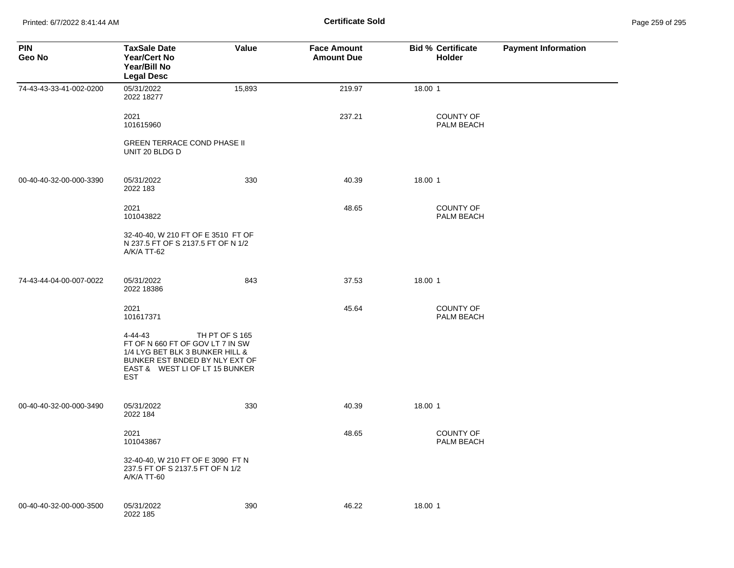Printed: 6/7/2022 8:41:44 AM **Certificate Sold** Page 259 of 295

| <b>PIN</b><br>Geo No    | <b>TaxSale Date</b><br><b>Year/Cert No</b><br>Year/Bill No<br><b>Legal Desc</b>                                                                           | Value          | <b>Face Amount</b><br><b>Amount Due</b> | <b>Bid % Certificate</b><br><b>Holder</b> | <b>Payment Information</b> |
|-------------------------|-----------------------------------------------------------------------------------------------------------------------------------------------------------|----------------|-----------------------------------------|-------------------------------------------|----------------------------|
| 74-43-43-33-41-002-0200 | 05/31/2022<br>2022 18277                                                                                                                                  | 15,893         | 219.97                                  | 18.00 1                                   |                            |
|                         | 2021<br>101615960                                                                                                                                         |                | 237.21                                  | <b>COUNTY OF</b><br>PALM BEACH            |                            |
|                         | <b>GREEN TERRACE COND PHASE II</b><br>UNIT 20 BLDG D                                                                                                      |                |                                         |                                           |                            |
| 00-40-40-32-00-000-3390 | 05/31/2022<br>2022 183                                                                                                                                    | 330            | 40.39                                   | 18.00 1                                   |                            |
|                         | 2021<br>101043822                                                                                                                                         |                | 48.65                                   | COUNTY OF<br>PALM BEACH                   |                            |
|                         | 32-40-40, W 210 FT OF E 3510 FT OF<br>N 237.5 FT OF S 2137.5 FT OF N 1/2<br>A/K/A TT-62                                                                   |                |                                         |                                           |                            |
| 74-43-44-04-00-007-0022 | 05/31/2022<br>2022 18386                                                                                                                                  | 843            | 37.53                                   | 18.00 1                                   |                            |
|                         | 2021<br>101617371                                                                                                                                         |                | 45.64                                   | <b>COUNTY OF</b><br>PALM BEACH            |                            |
|                         | 4-44-43<br>FT OF N 660 FT OF GOV LT 7 IN SW<br>1/4 LYG BET BLK 3 BUNKER HILL &<br>BUNKER EST BNDED BY NLY EXT OF<br>EAST & WEST LI OF LT 15 BUNKER<br>EST | TH PT OF S 165 |                                         |                                           |                            |
| 00-40-40-32-00-000-3490 | 05/31/2022<br>2022 184                                                                                                                                    | 330            | 40.39                                   | 18.00 1                                   |                            |
|                         | 2021<br>101043867                                                                                                                                         |                | 48.65                                   | <b>COUNTY OF</b><br>PALM BEACH            |                            |
|                         | 32-40-40, W 210 FT OF E 3090 FT N<br>237.5 FT OF S 2137.5 FT OF N 1/2<br>A/K/A TT-60                                                                      |                |                                         |                                           |                            |
| 00-40-40-32-00-000-3500 | 05/31/2022<br>2022 185                                                                                                                                    | 390            | 46.22                                   | 18.00 1                                   |                            |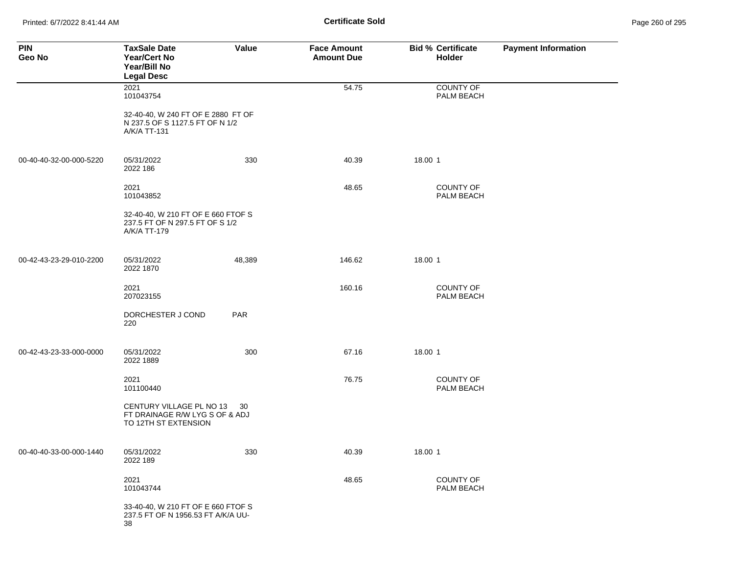Printed: 6/7/2022 8:41:44 AM **Certificate Sold** Page 260 of 295

| <b>PIN</b><br>Geo No    | <b>TaxSale Date</b><br><b>Year/Cert No</b><br>Year/Bill No<br><b>Legal Desc</b>       | Value  | <b>Face Amount</b><br><b>Amount Due</b> | <b>Bid % Certificate</b><br>Holder | <b>Payment Information</b> |
|-------------------------|---------------------------------------------------------------------------------------|--------|-----------------------------------------|------------------------------------|----------------------------|
|                         | 2021<br>101043754                                                                     |        | 54.75                                   | <b>COUNTY OF</b><br>PALM BEACH     |                            |
|                         | 32-40-40, W 240 FT OF E 2880 FT OF<br>N 237.5 OF S 1127.5 FT OF N 1/2<br>A/K/A TT-131 |        |                                         |                                    |                            |
| 00-40-40-32-00-000-5220 | 05/31/2022<br>2022 186                                                                | 330    | 40.39                                   | 18.00 1                            |                            |
|                         | 2021<br>101043852                                                                     |        | 48.65                                   | <b>COUNTY OF</b><br>PALM BEACH     |                            |
|                         | 32-40-40, W 210 FT OF E 660 FTOF S<br>237.5 FT OF N 297.5 FT OF S 1/2<br>A/K/A TT-179 |        |                                         |                                    |                            |
| 00-42-43-23-29-010-2200 | 05/31/2022<br>2022 1870                                                               | 48,389 | 146.62                                  | 18.00 1                            |                            |
|                         | 2021<br>207023155                                                                     |        | 160.16                                  | <b>COUNTY OF</b><br>PALM BEACH     |                            |
|                         | DORCHESTER J COND<br>220                                                              | PAR    |                                         |                                    |                            |
| 00-42-43-23-33-000-0000 | 05/31/2022<br>2022 1889                                                               | 300    | 67.16                                   | 18.00 1                            |                            |
|                         | 2021<br>101100440                                                                     |        | 76.75                                   | <b>COUNTY OF</b><br>PALM BEACH     |                            |
|                         | CENTURY VILLAGE PL NO 13 30<br>FT DRAINAGE R/W LYG S OF & ADJ<br>TO 12TH ST EXTENSION |        |                                         |                                    |                            |
| 00-40-40-33-00-000-1440 | 05/31/2022<br>2022 189                                                                | 330    | 40.39                                   | 18.00 1                            |                            |
|                         | 2021<br>101043744                                                                     |        | 48.65                                   | <b>COUNTY OF</b><br>PALM BEACH     |                            |
|                         | 33-40-40, W 210 FT OF E 660 FTOF S<br>237.5 FT OF N 1956.53 FT A/K/A UU-<br>38        |        |                                         |                                    |                            |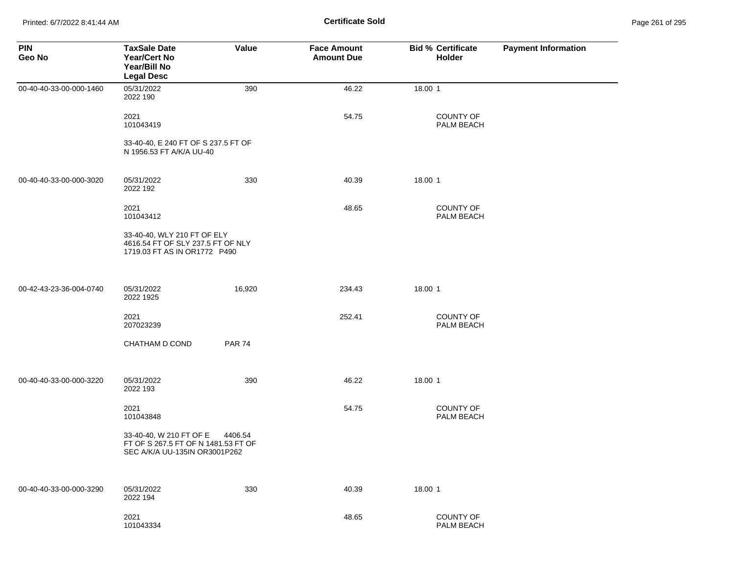Printed: 6/7/2022 8:41:44 AM **Certificate Sold** Page 261 of 295

| <b>PIN</b><br>Geo No    | <b>TaxSale Date</b><br><b>Year/Cert No</b><br>Year/Bill No<br><b>Legal Desc</b>                  | Value         | <b>Face Amount</b><br><b>Amount Due</b> | <b>Bid % Certificate</b><br>Holder | <b>Payment Information</b> |
|-------------------------|--------------------------------------------------------------------------------------------------|---------------|-----------------------------------------|------------------------------------|----------------------------|
| 00-40-40-33-00-000-1460 | 05/31/2022<br>2022 190                                                                           | 390           | 46.22                                   | 18.00 1                            |                            |
|                         | 2021<br>101043419                                                                                |               | 54.75                                   | <b>COUNTY OF</b><br>PALM BEACH     |                            |
|                         | 33-40-40, E 240 FT OF S 237.5 FT OF<br>N 1956.53 FT A/K/A UU-40                                  |               |                                         |                                    |                            |
| 00-40-40-33-00-000-3020 | 05/31/2022<br>2022 192                                                                           | 330           | 40.39                                   | 18.00 1                            |                            |
|                         | 2021<br>101043412                                                                                |               | 48.65                                   | COUNTY OF<br>PALM BEACH            |                            |
|                         | 33-40-40, WLY 210 FT OF ELY<br>4616.54 FT OF SLY 237.5 FT OF NLY<br>1719.03 FT AS IN OR1772 P490 |               |                                         |                                    |                            |
| 00-42-43-23-36-004-0740 | 05/31/2022<br>2022 1925                                                                          | 16,920        | 234.43                                  | 18.00 1                            |                            |
|                         | 2021<br>207023239                                                                                |               | 252.41                                  | COUNTY OF<br>PALM BEACH            |                            |
|                         | CHATHAM D COND                                                                                   | <b>PAR 74</b> |                                         |                                    |                            |
| 00-40-40-33-00-000-3220 | 05/31/2022<br>2022 193                                                                           | 390           | 46.22                                   | 18.00 1                            |                            |
|                         | 2021<br>101043848                                                                                |               | 54.75                                   | COUNTY OF<br>PALM BEACH            |                            |
|                         | 33-40-40, W 210 FT OF E<br>FT OF S 267.5 FT OF N 1481.53 FT OF<br>SEC A/K/A UU-135IN OR3001P262  | 4406.54       |                                         |                                    |                            |
| 00-40-40-33-00-000-3290 | 05/31/2022<br>2022 194                                                                           | 330           | 40.39                                   | 18.00 1                            |                            |
|                         | 2021<br>101043334                                                                                |               | 48.65                                   | COUNTY OF<br>PALM BEACH            |                            |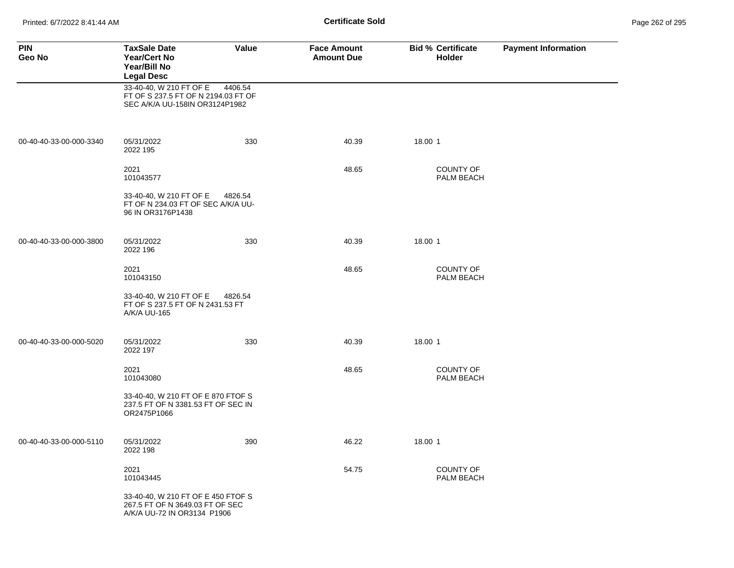Printed: 6/7/2022 8:41:44 AM **Certificate Sold** Page 262 of 295

| <b>PIN</b><br>Geo No    | <b>TaxSale Date</b><br><b>Year/Cert No</b><br>Year/Bill No<br><b>Legal Desc</b>                      | Value   | <b>Face Amount</b><br><b>Amount Due</b> | <b>Bid % Certificate</b><br><b>Holder</b> | <b>Payment Information</b> |
|-------------------------|------------------------------------------------------------------------------------------------------|---------|-----------------------------------------|-------------------------------------------|----------------------------|
|                         | 33-40-40, W 210 FT OF E<br>FT OF S 237.5 FT OF N 2194.03 FT OF<br>SEC A/K/A UU-158IN OR3124P1982     | 4406.54 |                                         |                                           |                            |
| 00-40-40-33-00-000-3340 | 05/31/2022<br>2022 195                                                                               | 330     | 40.39                                   | 18.00 1                                   |                            |
|                         | 2021<br>101043577                                                                                    |         | 48.65                                   | <b>COUNTY OF</b><br>PALM BEACH            |                            |
|                         | 33-40-40, W 210 FT OF E<br>FT OF N 234.03 FT OF SEC A/K/A UU-<br>96 IN OR3176P1438                   | 4826.54 |                                         |                                           |                            |
| 00-40-40-33-00-000-3800 | 05/31/2022<br>2022 196                                                                               | 330     | 40.39                                   | 18.00 1                                   |                            |
|                         | 2021<br>101043150                                                                                    |         | 48.65                                   | <b>COUNTY OF</b><br>PALM BEACH            |                            |
|                         | 33-40-40, W 210 FT OF E<br>FT OF S 237.5 FT OF N 2431.53 FT<br>A/K/A UU-165                          | 4826.54 |                                         |                                           |                            |
| 00-40-40-33-00-000-5020 | 05/31/2022<br>2022 197                                                                               | 330     | 40.39                                   | 18.00 1                                   |                            |
|                         | 2021<br>101043080                                                                                    |         | 48.65                                   | <b>COUNTY OF</b><br>PALM BEACH            |                            |
|                         | 33-40-40, W 210 FT OF E 870 FTOF S<br>237.5 FT OF N 3381.53 FT OF SEC IN<br>OR2475P1066              |         |                                         |                                           |                            |
| 00-40-40-33-00-000-5110 | 05/31/2022<br>2022 198                                                                               | 390     | 46.22                                   | 18.00 1                                   |                            |
|                         | 2021<br>101043445                                                                                    |         | 54.75                                   | <b>COUNTY OF</b><br>PALM BEACH            |                            |
|                         | 33-40-40, W 210 FT OF E 450 FTOF S<br>267.5 FT OF N 3649.03 FT OF SEC<br>A/K/A UU-72 IN OR3134 P1906 |         |                                         |                                           |                            |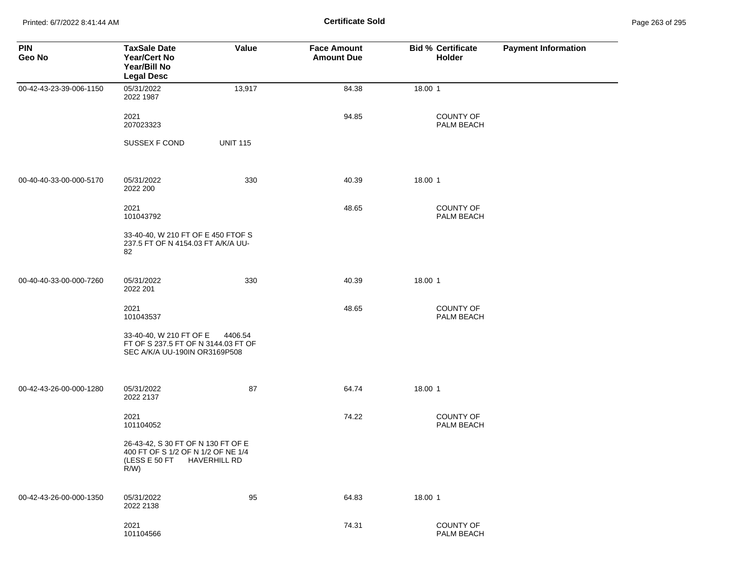Printed: 6/7/2022 8:41:44 AM **Certificate Sold** Page 263 of 295

| <b>PIN</b><br>Geo No    | <b>TaxSale Date</b><br><b>Year/Cert No</b><br>Year/Bill No<br><b>Legal Desc</b>                      | Value           | <b>Face Amount</b><br><b>Amount Due</b> | <b>Bid % Certificate</b><br>Holder | <b>Payment Information</b> |
|-------------------------|------------------------------------------------------------------------------------------------------|-----------------|-----------------------------------------|------------------------------------|----------------------------|
| 00-42-43-23-39-006-1150 | 05/31/2022<br>2022 1987                                                                              | 13,917          | 84.38                                   | 18.00 1                            |                            |
|                         | 2021<br>207023323                                                                                    |                 | 94.85                                   | COUNTY OF<br>PALM BEACH            |                            |
|                         | SUSSEX F COND                                                                                        | <b>UNIT 115</b> |                                         |                                    |                            |
| 00-40-40-33-00-000-5170 | 05/31/2022<br>2022 200                                                                               | 330             | 40.39                                   | 18.00 1                            |                            |
|                         | 2021<br>101043792                                                                                    |                 | 48.65                                   | <b>COUNTY OF</b><br>PALM BEACH     |                            |
|                         | 33-40-40, W 210 FT OF E 450 FTOF S<br>237.5 FT OF N 4154.03 FT A/K/A UU-<br>82                       |                 |                                         |                                    |                            |
| 00-40-40-33-00-000-7260 | 05/31/2022<br>2022 201                                                                               | 330             | 40.39                                   | 18.00 1                            |                            |
|                         | 2021<br>101043537                                                                                    |                 | 48.65                                   | <b>COUNTY OF</b><br>PALM BEACH     |                            |
|                         | 33-40-40, W 210 FT OF E<br>FT OF S 237.5 FT OF N 3144.03 FT OF<br>SEC A/K/A UU-190IN OR3169P508      | 4406.54         |                                         |                                    |                            |
| 00-42-43-26-00-000-1280 | 05/31/2022<br>2022 2137                                                                              | 87              | 64.74                                   | 18.00 1                            |                            |
|                         | 2021<br>101104052                                                                                    |                 | 74.22                                   | <b>COUNTY OF</b><br>PALM BEACH     |                            |
|                         | 26-43-42, S 30 FT OF N 130 FT OF E<br>400 FT OF S 1/2 OF N 1/2 OF NE 1/4<br>(LESS E 50 FT<br>$R/W$ ) | HAVERHILL RD    |                                         |                                    |                            |
| 00-42-43-26-00-000-1350 | 05/31/2022<br>2022 2138                                                                              | 95              | 64.83                                   | 18.00 1                            |                            |
|                         | 2021<br>101104566                                                                                    |                 | 74.31                                   | COUNTY OF<br>PALM BEACH            |                            |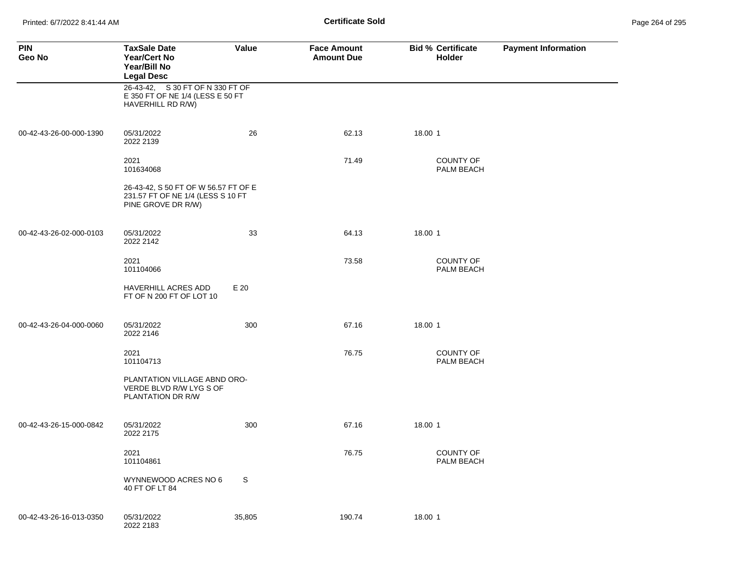Printed: 6/7/2022 8:41:44 AM **Page 26-11 Certificate Sold Certificate Sold** 

| Page 264 of 295 |  |  |  |
|-----------------|--|--|--|
|-----------------|--|--|--|

| <b>PIN</b><br>Geo No    | <b>TaxSale Date</b><br><b>Year/Cert No</b><br>Year/Bill No<br><b>Legal Desc</b>                 | Value  | <b>Face Amount</b><br><b>Amount Due</b> | <b>Bid % Certificate</b><br>Holder | <b>Payment Information</b> |
|-------------------------|-------------------------------------------------------------------------------------------------|--------|-----------------------------------------|------------------------------------|----------------------------|
|                         | 26-43-42, S 30 FT OF N 330 FT OF<br>E 350 FT OF NE 1/4 (LESS E 50 FT<br>HAVERHILL RD R/W)       |        |                                         |                                    |                            |
| 00-42-43-26-00-000-1390 | 05/31/2022<br>2022 2139                                                                         | 26     | 62.13                                   | 18.00 1                            |                            |
|                         | 2021<br>101634068                                                                               |        | 71.49                                   | <b>COUNTY OF</b><br>PALM BEACH     |                            |
|                         | 26-43-42, S 50 FT OF W 56.57 FT OF E<br>231.57 FT OF NE 1/4 (LESS S 10 FT<br>PINE GROVE DR R/W) |        |                                         |                                    |                            |
| 00-42-43-26-02-000-0103 | 05/31/2022<br>2022 2142                                                                         | 33     | 64.13                                   | 18.00 1                            |                            |
|                         | 2021<br>101104066                                                                               |        | 73.58                                   | <b>COUNTY OF</b><br>PALM BEACH     |                            |
|                         | HAVERHILL ACRES ADD<br>FT OF N 200 FT OF LOT 10                                                 | E 20   |                                         |                                    |                            |
| 00-42-43-26-04-000-0060 | 05/31/2022<br>2022 2146                                                                         | 300    | 67.16                                   | 18.00 1                            |                            |
|                         | 2021<br>101104713                                                                               |        | 76.75                                   | <b>COUNTY OF</b><br>PALM BEACH     |                            |
|                         | PLANTATION VILLAGE ABND ORO-<br>VERDE BLVD R/W LYG S OF<br>PLANTATION DR R/W                    |        |                                         |                                    |                            |
| 00-42-43-26-15-000-0842 | 05/31/2022<br>2022 2175                                                                         | 300    | 67.16                                   | 18.00 1                            |                            |
|                         | 2021<br>101104861                                                                               |        | 76.75                                   | <b>COUNTY OF</b><br>PALM BEACH     |                            |
|                         | WYNNEWOOD ACRES NO 6<br>40 FT OF LT 84                                                          | S      |                                         |                                    |                            |
| 00-42-43-26-16-013-0350 | 05/31/2022<br>2022 2183                                                                         | 35,805 | 190.74                                  | 18.00 1                            |                            |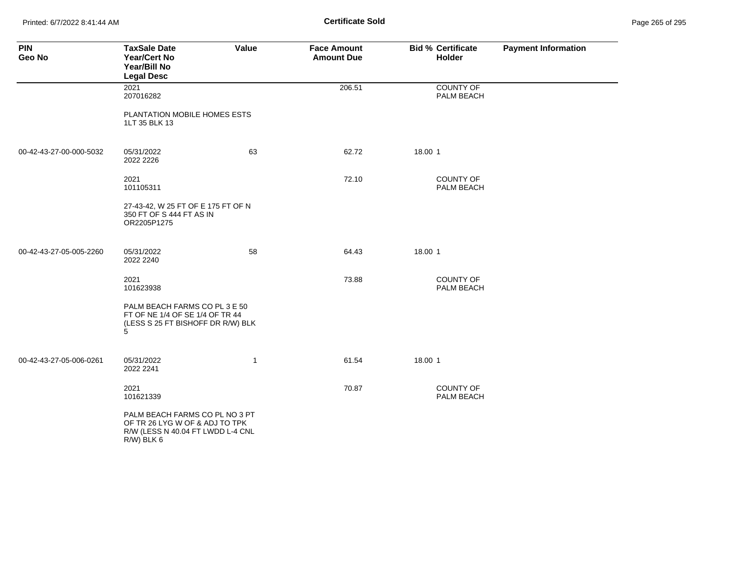Printed: 6/7/2022 8:41:44 AM **Certificate Sold** Page 265 of 295

| <b>PIN</b><br>Geo No    | <b>TaxSale Date</b><br><b>Year/Cert No</b><br>Year/Bill No<br><b>Legal Desc</b>                                     | Value        | <b>Face Amount</b><br><b>Amount Due</b> | <b>Bid % Certificate</b><br><b>Holder</b> | <b>Payment Information</b> |
|-------------------------|---------------------------------------------------------------------------------------------------------------------|--------------|-----------------------------------------|-------------------------------------------|----------------------------|
|                         | 2021<br>207016282                                                                                                   |              | 206.51                                  | COUNTY OF<br>PALM BEACH                   |                            |
|                         | PLANTATION MOBILE HOMES ESTS<br>1LT 35 BLK 13                                                                       |              |                                         |                                           |                            |
| 00-42-43-27-00-000-5032 | 05/31/2022<br>2022 2226                                                                                             | 63           | 62.72                                   | 18.00 1                                   |                            |
|                         | 2021<br>101105311                                                                                                   |              | 72.10                                   | <b>COUNTY OF</b><br>PALM BEACH            |                            |
|                         | 27-43-42, W 25 FT OF E 175 FT OF N<br>350 FT OF S 444 FT AS IN<br>OR2205P1275                                       |              |                                         |                                           |                            |
| 00-42-43-27-05-005-2260 | 05/31/2022<br>2022 2240                                                                                             | 58           | 64.43                                   | 18.00 1                                   |                            |
|                         | 2021<br>101623938                                                                                                   |              | 73.88                                   | COUNTY OF<br>PALM BEACH                   |                            |
|                         | PALM BEACH FARMS CO PL 3 E 50<br>FT OF NE 1/4 OF SE 1/4 OF TR 44<br>(LESS S 25 FT BISHOFF DR R/W) BLK<br>5          |              |                                         |                                           |                            |
| 00-42-43-27-05-006-0261 | 05/31/2022<br>2022 2241                                                                                             | $\mathbf{1}$ | 61.54                                   | 18.00 1                                   |                            |
|                         | 2021<br>101621339                                                                                                   |              | 70.87                                   | <b>COUNTY OF</b><br>PALM BEACH            |                            |
|                         | PALM BEACH FARMS CO PL NO 3 PT<br>OF TR 26 LYG W OF & ADJ TO TPK<br>R/W (LESS N 40.04 FT LWDD L-4 CNL<br>R/W) BLK 6 |              |                                         |                                           |                            |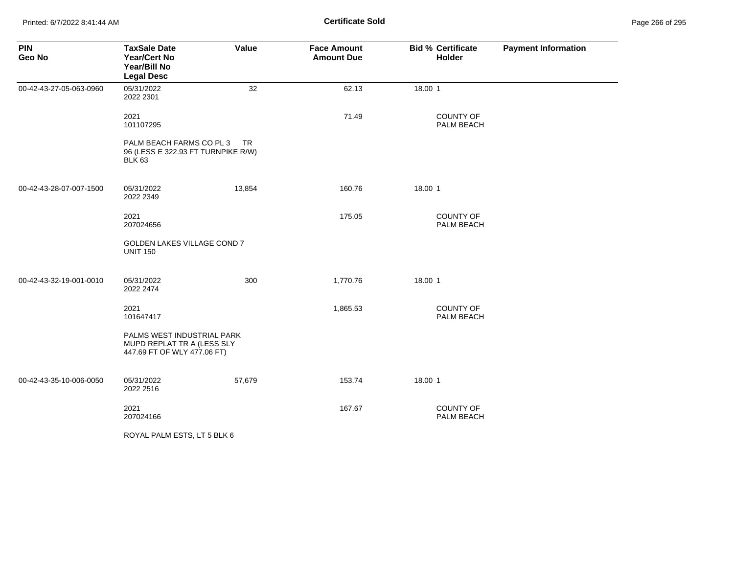Printed: 6/7/2022 8:41:44 AM **Certificate Sold** Page 266 of 295

| <b>PIN</b><br>Geo No    | <b>TaxSale Date</b><br><b>Year/Cert No</b><br>Year/Bill No<br><b>Legal Desc</b>         | Value  | <b>Face Amount</b><br><b>Amount Due</b> | <b>Bid % Certificate</b><br>Holder | <b>Payment Information</b> |
|-------------------------|-----------------------------------------------------------------------------------------|--------|-----------------------------------------|------------------------------------|----------------------------|
| 00-42-43-27-05-063-0960 | 05/31/2022<br>2022 2301                                                                 | 32     | 62.13                                   | 18.00 1                            |                            |
|                         | 2021<br>101107295                                                                       |        | 71.49                                   | COUNTY OF<br>PALM BEACH            |                            |
|                         | PALM BEACH FARMS CO PL 3<br>96 (LESS E 322.93 FT TURNPIKE R/W)<br><b>BLK 63</b>         | TR.    |                                         |                                    |                            |
| 00-42-43-28-07-007-1500 | 05/31/2022<br>2022 2349                                                                 | 13,854 | 160.76                                  | 18.00 1                            |                            |
|                         | 2021<br>207024656                                                                       |        | 175.05                                  | <b>COUNTY OF</b><br>PALM BEACH     |                            |
|                         | GOLDEN LAKES VILLAGE COND 7<br><b>UNIT 150</b>                                          |        |                                         |                                    |                            |
| 00-42-43-32-19-001-0010 | 05/31/2022<br>2022 2474                                                                 | 300    | 1,770.76                                | 18.00 1                            |                            |
|                         | 2021<br>101647417                                                                       |        | 1,865.53                                | COUNTY OF<br>PALM BEACH            |                            |
|                         | PALMS WEST INDUSTRIAL PARK<br>MUPD REPLAT TR A (LESS SLY<br>447.69 FT OF WLY 477.06 FT) |        |                                         |                                    |                            |
| 00-42-43-35-10-006-0050 | 05/31/2022<br>2022 2516                                                                 | 57,679 | 153.74                                  | 18.00 1                            |                            |
|                         | 2021<br>207024166                                                                       |        | 167.67                                  | COUNTY OF<br>PALM BEACH            |                            |
|                         | ROYAL PALM ESTS, LT 5 BLK 6                                                             |        |                                         |                                    |                            |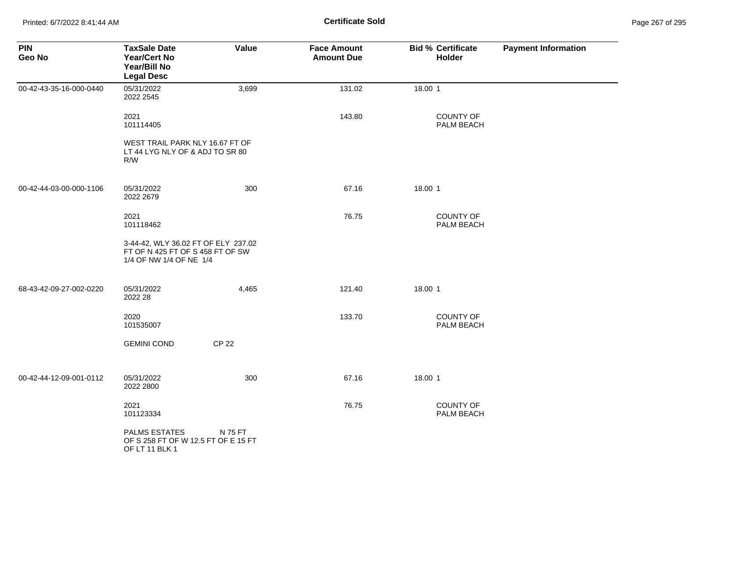| <b>PIN</b><br>Geo No    | <b>TaxSale Date</b><br><b>Year/Cert No</b><br>Year/Bill No<br><b>Legal Desc</b>                    | Value        | <b>Face Amount</b><br><b>Amount Due</b> | <b>Bid % Certificate</b><br>Holder | <b>Payment Information</b> |
|-------------------------|----------------------------------------------------------------------------------------------------|--------------|-----------------------------------------|------------------------------------|----------------------------|
| 00-42-43-35-16-000-0440 | 05/31/2022<br>2022 2545                                                                            | 3,699        | 131.02                                  | 18.00 1                            |                            |
|                         | 2021<br>101114405                                                                                  |              | 143.80                                  | <b>COUNTY OF</b><br>PALM BEACH     |                            |
|                         | WEST TRAIL PARK NLY 16.67 FT OF<br>LT 44 LYG NLY OF & ADJ TO SR 80<br>R/W                          |              |                                         |                                    |                            |
| 00-42-44-03-00-000-1106 | 05/31/2022<br>2022 2679                                                                            | 300          | 67.16                                   | 18.00 1                            |                            |
|                         | 2021<br>101118462                                                                                  |              | 76.75                                   | <b>COUNTY OF</b><br>PALM BEACH     |                            |
|                         | 3-44-42, WLY 36.02 FT OF ELY 237.02<br>FT OF N 425 FT OF S 458 FT OF SW<br>1/4 OF NW 1/4 OF NE 1/4 |              |                                         |                                    |                            |
| 68-43-42-09-27-002-0220 | 05/31/2022<br>2022 28                                                                              | 4,465        | 121.40                                  | 18.00 1                            |                            |
|                         | 2020<br>101535007                                                                                  |              | 133.70                                  | <b>COUNTY OF</b><br>PALM BEACH     |                            |
|                         | <b>GEMINI COND</b>                                                                                 | <b>CP 22</b> |                                         |                                    |                            |
| 00-42-44-12-09-001-0112 | 05/31/2022<br>2022 2800                                                                            | 300          | 67.16                                   | 18.00 1                            |                            |
|                         | 2021<br>101123334                                                                                  |              | 76.75                                   | <b>COUNTY OF</b><br>PALM BEACH     |                            |
|                         | <b>PALMS ESTATES</b><br>OF S 258 FT OF W 12.5 FT OF E 15 FT<br>OF LT 11 BLK 1                      | N 75 FT      |                                         |                                    |                            |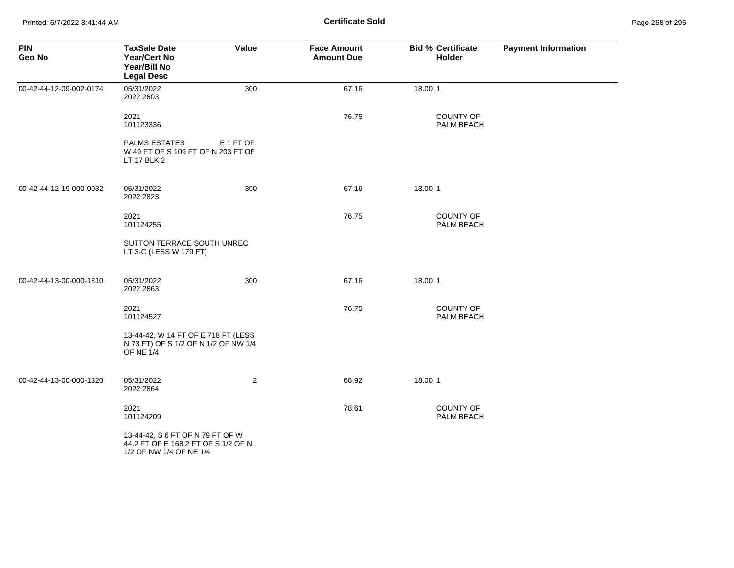Printed: 6/7/2022 8:41:44 AM **Certificate Sold** Page 268 of 295

| <b>PIN</b><br>Geo No    | <b>TaxSale Date</b><br><b>Year/Cert No</b><br>Year/Bill No<br><b>Legal Desc</b>                    | Value          | <b>Face Amount</b><br><b>Amount Due</b> | <b>Bid % Certificate</b><br>Holder | <b>Payment Information</b> |
|-------------------------|----------------------------------------------------------------------------------------------------|----------------|-----------------------------------------|------------------------------------|----------------------------|
| 00-42-44-12-09-002-0174 | 05/31/2022<br>2022 2803                                                                            | 300            | 67.16                                   | 18.00 1                            |                            |
|                         | 2021<br>101123336                                                                                  |                | 76.75                                   | <b>COUNTY OF</b><br>PALM BEACH     |                            |
|                         | <b>PALMS ESTATES</b><br>W 49 FT OF S 109 FT OF N 203 FT OF<br>LT 17 BLK 2                          | E 1 FT OF      |                                         |                                    |                            |
| 00-42-44-12-19-000-0032 | 05/31/2022<br>2022 2823                                                                            | 300            | 67.16                                   | 18.00 1                            |                            |
|                         | 2021<br>101124255                                                                                  |                | 76.75                                   | <b>COUNTY OF</b><br>PALM BEACH     |                            |
|                         | SUTTON TERRACE SOUTH UNREC<br>LT 3-C (LESS W 179 FT)                                               |                |                                         |                                    |                            |
| 00-42-44-13-00-000-1310 | 05/31/2022<br>2022 2863                                                                            | 300            | 67.16                                   | 18.00 1                            |                            |
|                         | 2021<br>101124527                                                                                  |                | 76.75                                   | <b>COUNTY OF</b><br>PALM BEACH     |                            |
|                         | 13-44-42, W 14 FT OF E 718 FT (LESS<br>N 73 FT) OF S 1/2 OF N 1/2 OF NW 1/4<br><b>OF NE 1/4</b>    |                |                                         |                                    |                            |
| 00-42-44-13-00-000-1320 | 05/31/2022<br>2022 2864                                                                            | $\overline{2}$ | 68.92                                   | 18.00 1                            |                            |
|                         | 2021<br>101124209                                                                                  |                | 78.61                                   | <b>COUNTY OF</b><br>PALM BEACH     |                            |
|                         | 13-44-42, S 6 FT OF N 79 FT OF W<br>44.2 FT OF E 168.2 FT OF S 1/2 OF N<br>1/2 OF NW 1/4 OF NE 1/4 |                |                                         |                                    |                            |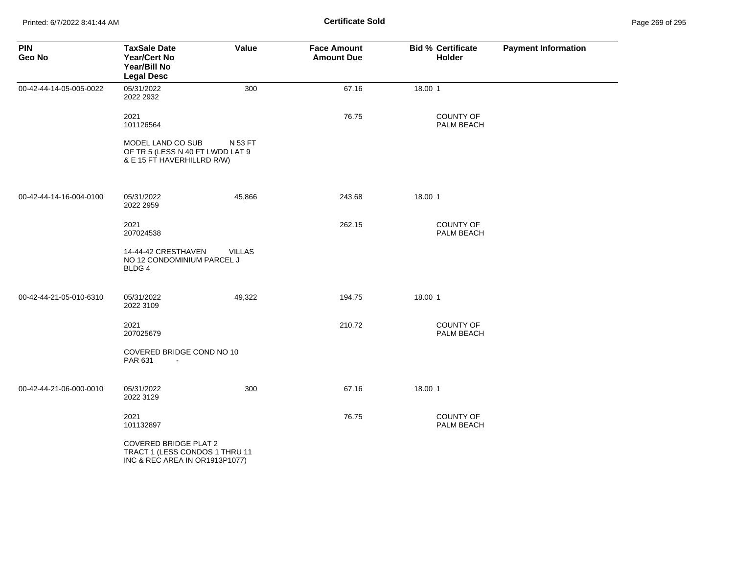| <b>PIN</b><br>Geo No    | <b>TaxSale Date</b><br>Year/Cert No<br>Year/Bill No<br><b>Legal Desc</b>                         | Value         | <b>Face Amount</b><br><b>Amount Due</b> | <b>Bid % Certificate</b><br>Holder | <b>Payment Information</b> |
|-------------------------|--------------------------------------------------------------------------------------------------|---------------|-----------------------------------------|------------------------------------|----------------------------|
| 00-42-44-14-05-005-0022 | 05/31/2022<br>2022 2932                                                                          | 300           | 67.16                                   | 18.00 1                            |                            |
|                         | 2021<br>101126564                                                                                |               | 76.75                                   | COUNTY OF<br>PALM BEACH            |                            |
|                         | MODEL LAND CO SUB<br>OF TR 5 (LESS N 40 FT LWDD LAT 9<br>& E 15 FT HAVERHILLRD R/W)              | N 53 FT       |                                         |                                    |                            |
| 00-42-44-14-16-004-0100 | 05/31/2022<br>2022 2959                                                                          | 45,866        | 243.68                                  | 18.00 1                            |                            |
|                         | 2021<br>207024538                                                                                |               | 262.15                                  | COUNTY OF<br>PALM BEACH            |                            |
|                         | 14-44-42 CRESTHAVEN<br>NO 12 CONDOMINIUM PARCEL J<br>BLDG 4                                      | <b>VILLAS</b> |                                         |                                    |                            |
| 00-42-44-21-05-010-6310 | 05/31/2022<br>2022 3109                                                                          | 49,322        | 194.75                                  | 18.00 1                            |                            |
|                         | 2021<br>207025679                                                                                |               | 210.72                                  | COUNTY OF<br>PALM BEACH            |                            |
|                         | COVERED BRIDGE COND NO 10<br>PAR 631                                                             |               |                                         |                                    |                            |
| 00-42-44-21-06-000-0010 | 05/31/2022<br>2022 3129                                                                          | 300           | 67.16                                   | 18.00 1                            |                            |
|                         | 2021<br>101132897                                                                                |               | 76.75                                   | COUNTY OF<br>PALM BEACH            |                            |
|                         | <b>COVERED BRIDGE PLAT 2</b><br>TRACT 1 (LESS CONDOS 1 THRU 11<br>INC & REC AREA IN OR1913P1077) |               |                                         |                                    |                            |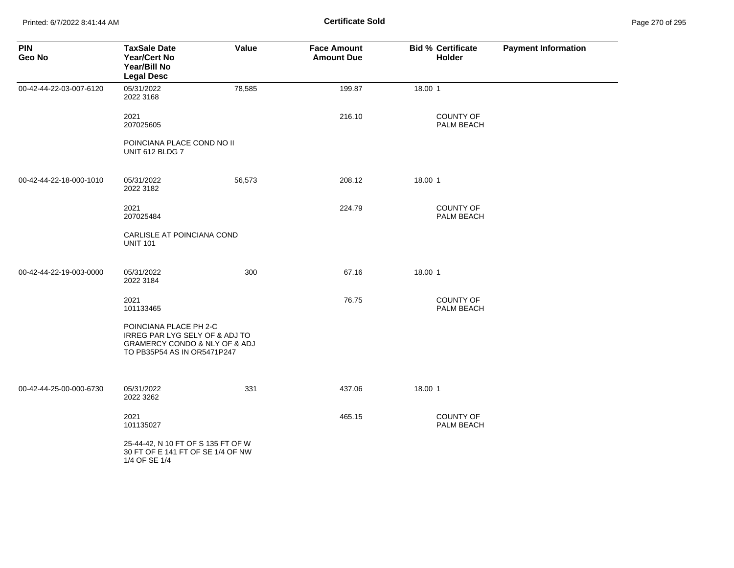Printed: 6/7/2022 8:41:44 AM **Certificate Sold** Page 270 of 295

| <b>PIN</b><br>Geo No    | <b>TaxSale Date</b><br><b>Year/Cert No</b><br>Year/Bill No<br><b>Legal Desc</b>                                                         | Value  | <b>Face Amount</b><br><b>Amount Due</b> | <b>Bid % Certificate</b><br><b>Holder</b> | <b>Payment Information</b> |
|-------------------------|-----------------------------------------------------------------------------------------------------------------------------------------|--------|-----------------------------------------|-------------------------------------------|----------------------------|
| 00-42-44-22-03-007-6120 | 05/31/2022<br>2022 3168                                                                                                                 | 78,585 | 199.87                                  | 18.00 1                                   |                            |
|                         | 2021<br>207025605                                                                                                                       |        | 216.10                                  | <b>COUNTY OF</b><br>PALM BEACH            |                            |
|                         | POINCIANA PLACE COND NO II<br>UNIT 612 BLDG 7                                                                                           |        |                                         |                                           |                            |
| 00-42-44-22-18-000-1010 | 05/31/2022<br>2022 3182                                                                                                                 | 56,573 | 208.12                                  | 18.00 1                                   |                            |
|                         | 2021<br>207025484                                                                                                                       |        | 224.79                                  | <b>COUNTY OF</b><br>PALM BEACH            |                            |
|                         | CARLISLE AT POINCIANA COND<br><b>UNIT 101</b>                                                                                           |        |                                         |                                           |                            |
| 00-42-44-22-19-003-0000 | 05/31/2022<br>2022 3184                                                                                                                 | 300    | 67.16                                   | 18.00 1                                   |                            |
|                         | 2021<br>101133465                                                                                                                       |        | 76.75                                   | COUNTY OF<br>PALM BEACH                   |                            |
|                         | POINCIANA PLACE PH 2-C<br>IRREG PAR LYG SELY OF & ADJ TO<br><b>GRAMERCY CONDO &amp; NLY OF &amp; ADJ</b><br>TO PB35P54 AS IN OR5471P247 |        |                                         |                                           |                            |
| 00-42-44-25-00-000-6730 | 05/31/2022<br>2022 3262                                                                                                                 | 331    | 437.06                                  | 18.00 1                                   |                            |
|                         | 2021<br>101135027                                                                                                                       |        | 465.15                                  | <b>COUNTY OF</b><br>PALM BEACH            |                            |
|                         | 25-44-42, N 10 FT OF S 135 FT OF W<br>30 FT OF E 141 FT OF SE 1/4 OF NW<br>1/4 OF SE 1/4                                                |        |                                         |                                           |                            |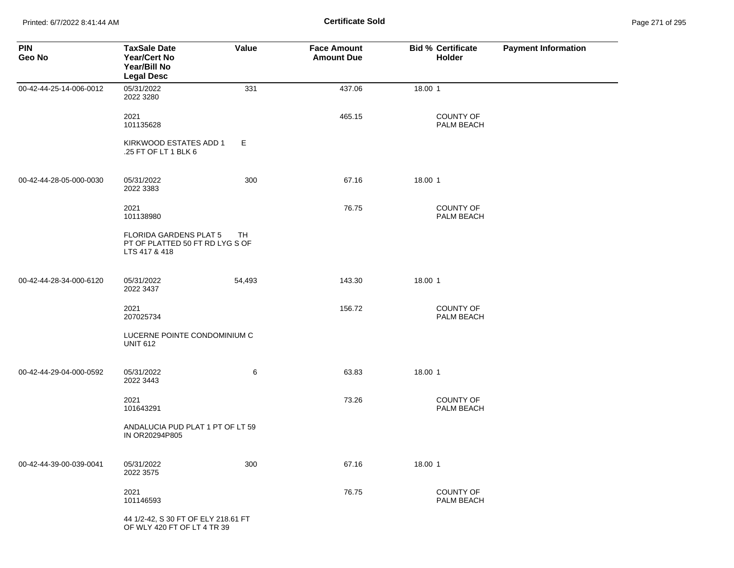Printed: 6/7/2022 8:41:44 AM **Certificate Sold** Page 271 of 295

| <b>PIN</b><br>Geo No    | <b>TaxSale Date</b><br><b>Year/Cert No</b><br>Year/Bill No<br><b>Legal Desc</b>   | <b>Value</b> | <b>Face Amount</b><br><b>Amount Due</b> | <b>Bid % Certificate</b><br>Holder | <b>Payment Information</b> |
|-------------------------|-----------------------------------------------------------------------------------|--------------|-----------------------------------------|------------------------------------|----------------------------|
| 00-42-44-25-14-006-0012 | 05/31/2022<br>2022 3280                                                           | 331          | 437.06                                  | 18.00 1                            |                            |
|                         | 2021<br>101135628                                                                 |              | 465.15                                  | <b>COUNTY OF</b><br>PALM BEACH     |                            |
|                         | KIRKWOOD ESTATES ADD 1<br>.25 FT OF LT 1 BLK 6                                    | Е            |                                         |                                    |                            |
| 00-42-44-28-05-000-0030 | 05/31/2022<br>2022 3383                                                           | 300          | 67.16                                   | 18.00 1                            |                            |
|                         | 2021<br>101138980                                                                 |              | 76.75                                   | <b>COUNTY OF</b><br>PALM BEACH     |                            |
|                         | <b>FLORIDA GARDENS PLAT 5</b><br>PT OF PLATTED 50 FT RD LYG S OF<br>LTS 417 & 418 | TH           |                                         |                                    |                            |
| 00-42-44-28-34-000-6120 | 05/31/2022<br>2022 3437                                                           | 54,493       | 143.30                                  | 18.00 1                            |                            |
|                         | 2021<br>207025734                                                                 |              | 156.72                                  | <b>COUNTY OF</b><br>PALM BEACH     |                            |
|                         | LUCERNE POINTE CONDOMINIUM C<br><b>UNIT 612</b>                                   |              |                                         |                                    |                            |
| 00-42-44-29-04-000-0592 | 05/31/2022<br>2022 3443                                                           | 6            | 63.83                                   | 18.00 1                            |                            |
|                         | 2021<br>101643291                                                                 |              | 73.26                                   | <b>COUNTY OF</b><br>PALM BEACH     |                            |
|                         | ANDALUCIA PUD PLAT 1 PT OF LT 59<br>IN OR20294P805                                |              |                                         |                                    |                            |
| 00-42-44-39-00-039-0041 | 05/31/2022<br>2022 3575                                                           | 300          | 67.16                                   | 18.00 1                            |                            |
|                         | 2021<br>101146593                                                                 |              | 76.75                                   | COUNTY OF<br>PALM BEACH            |                            |
|                         | 44 1/2-42, S 30 FT OF ELY 218.61 FT<br>OF WLY 420 FT OF LT 4 TR 39                |              |                                         |                                    |                            |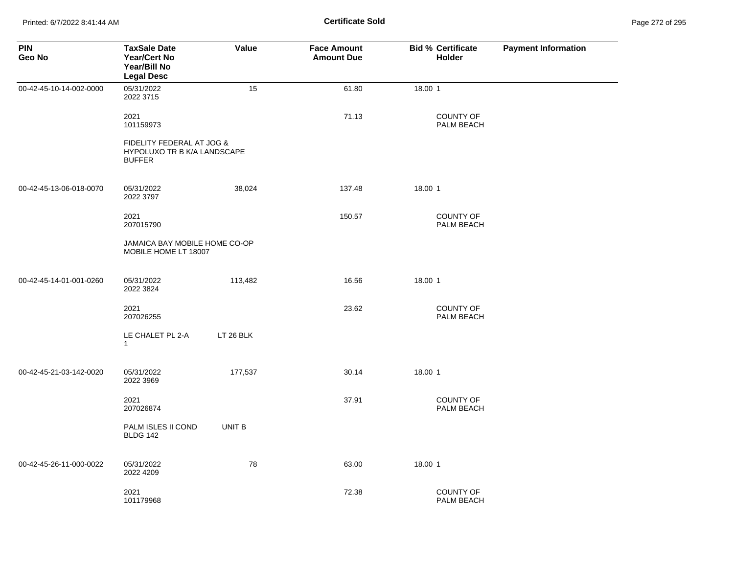| <b>PIN</b><br>Geo No    | <b>TaxSale Date</b><br><b>Year/Cert No</b><br>Year/Bill No<br><b>Legal Desc</b>  | Value     | <b>Face Amount</b><br><b>Amount Due</b> | <b>Bid % Certificate</b><br>Holder | <b>Payment Information</b> |
|-------------------------|----------------------------------------------------------------------------------|-----------|-----------------------------------------|------------------------------------|----------------------------|
| 00-42-45-10-14-002-0000 | 05/31/2022<br>2022 3715                                                          | 15        | 61.80                                   | 18.00 1                            |                            |
|                         | 2021<br>101159973                                                                |           | 71.13                                   | COUNTY OF<br>PALM BEACH            |                            |
|                         | FIDELITY FEDERAL AT JOG &<br><b>HYPOLUXO TR B K/A LANDSCAPE</b><br><b>BUFFER</b> |           |                                         |                                    |                            |
| 00-42-45-13-06-018-0070 | 05/31/2022<br>2022 3797                                                          | 38,024    | 137.48                                  | 18.00 1                            |                            |
|                         | 2021<br>207015790                                                                |           | 150.57                                  | <b>COUNTY OF</b><br>PALM BEACH     |                            |
|                         | JAMAICA BAY MOBILE HOME CO-OP<br>MOBILE HOME LT 18007                            |           |                                         |                                    |                            |
| 00-42-45-14-01-001-0260 | 05/31/2022<br>2022 3824                                                          | 113,482   | 16.56                                   | 18.00 1                            |                            |
|                         | 2021<br>207026255                                                                |           | 23.62                                   | <b>COUNTY OF</b><br>PALM BEACH     |                            |
|                         | LE CHALET PL 2-A<br>$\mathbf{1}$                                                 | LT 26 BLK |                                         |                                    |                            |
| 00-42-45-21-03-142-0020 | 05/31/2022<br>2022 3969                                                          | 177,537   | 30.14                                   | 18.00 1                            |                            |
|                         | 2021<br>207026874                                                                |           | 37.91                                   | <b>COUNTY OF</b><br>PALM BEACH     |                            |
|                         | PALM ISLES II COND<br><b>BLDG 142</b>                                            | UNIT B    |                                         |                                    |                            |
| 00-42-45-26-11-000-0022 | 05/31/2022<br>2022 4209                                                          | 78        | 63.00                                   | 18.00 1                            |                            |
|                         | 2021<br>101179968                                                                |           | 72.38                                   | <b>COUNTY OF</b><br>PALM BEACH     |                            |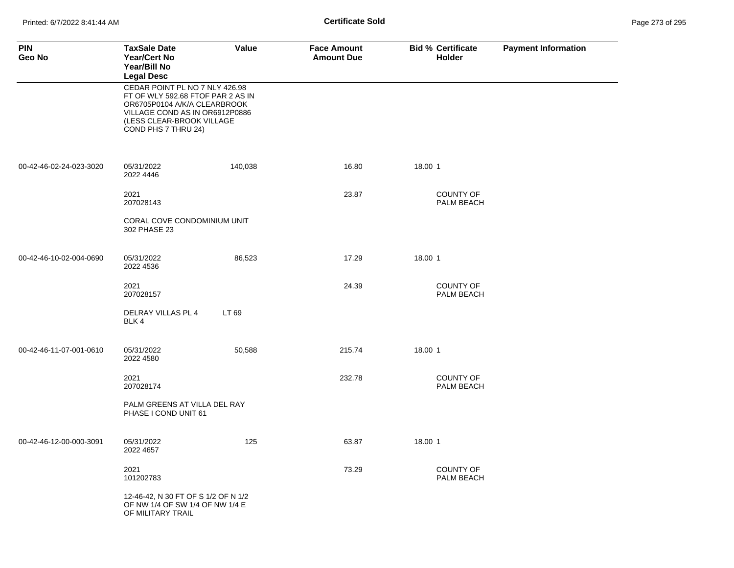| <b>PIN</b><br>Geo No    | <b>TaxSale Date</b><br><b>Year/Cert No</b><br>Year/Bill No<br><b>Legal Desc</b>                                                                                                           | Value   | <b>Face Amount</b><br><b>Amount Due</b> | <b>Bid % Certificate</b><br>Holder | <b>Payment Information</b> |
|-------------------------|-------------------------------------------------------------------------------------------------------------------------------------------------------------------------------------------|---------|-----------------------------------------|------------------------------------|----------------------------|
|                         | CEDAR POINT PL NO 7 NLY 426.98<br>FT OF WLY 592.68 FTOF PAR 2 AS IN<br>OR6705P0104 A/K/A CLEARBROOK<br>VILLAGE COND AS IN OR6912P0886<br>(LESS CLEAR-BROOK VILLAGE<br>COND PHS 7 THRU 24) |         |                                         |                                    |                            |
| 00-42-46-02-24-023-3020 | 05/31/2022<br>2022 4446                                                                                                                                                                   | 140,038 | 16.80                                   | 18.00 1                            |                            |
|                         | 2021<br>207028143                                                                                                                                                                         |         | 23.87                                   | <b>COUNTY OF</b><br>PALM BEACH     |                            |
|                         | CORAL COVE CONDOMINIUM UNIT<br>302 PHASE 23                                                                                                                                               |         |                                         |                                    |                            |
| 00-42-46-10-02-004-0690 | 05/31/2022<br>2022 4536                                                                                                                                                                   | 86,523  | 17.29                                   | 18.00 1                            |                            |
|                         | 2021<br>207028157                                                                                                                                                                         |         | 24.39                                   | COUNTY OF<br>PALM BEACH            |                            |
|                         | DELRAY VILLAS PL 4<br>BLK 4                                                                                                                                                               | LT 69   |                                         |                                    |                            |
| 00-42-46-11-07-001-0610 | 05/31/2022<br>2022 4580                                                                                                                                                                   | 50,588  | 215.74                                  | 18.00 1                            |                            |
|                         | 2021<br>207028174                                                                                                                                                                         |         | 232.78                                  | COUNTY OF<br>PALM BEACH            |                            |
|                         | PALM GREENS AT VILLA DEL RAY<br>PHASE I COND UNIT 61                                                                                                                                      |         |                                         |                                    |                            |
| 00-42-46-12-00-000-3091 | 05/31/2022<br>2022 4657                                                                                                                                                                   | 125     | 63.87                                   | 18.00 1                            |                            |
|                         | 2021<br>101202783                                                                                                                                                                         |         | 73.29                                   | <b>COUNTY OF</b><br>PALM BEACH     |                            |
|                         | 12-46-42, N 30 FT OF S 1/2 OF N 1/2<br>OF NW 1/4 OF SW 1/4 OF NW 1/4 E<br>OF MILITARY TRAIL                                                                                               |         |                                         |                                    |                            |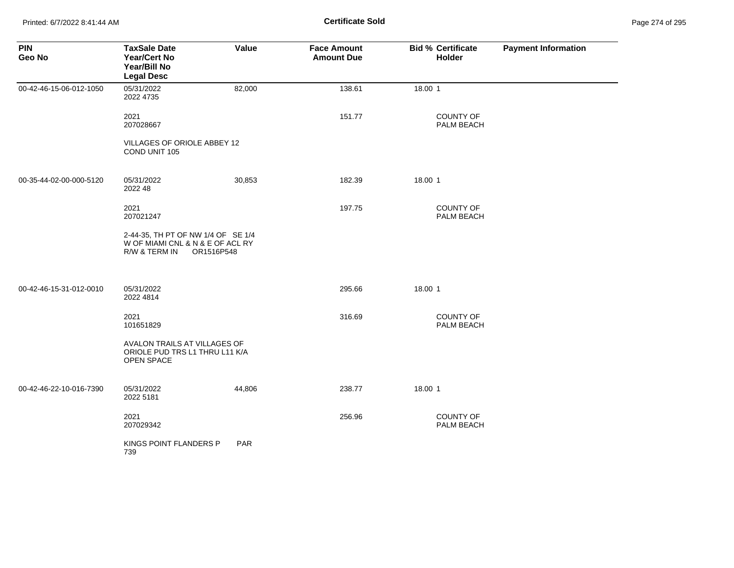| <b>PIN</b><br>Geo No    | <b>TaxSale Date</b><br><b>Year/Cert No</b><br>Year/Bill No<br><b>Legal Desc</b>                       | <b>Value</b> | <b>Face Amount</b><br><b>Amount Due</b> | <b>Bid % Certificate</b><br><b>Holder</b> | <b>Payment Information</b> |
|-------------------------|-------------------------------------------------------------------------------------------------------|--------------|-----------------------------------------|-------------------------------------------|----------------------------|
| 00-42-46-15-06-012-1050 | 05/31/2022<br>2022 4735                                                                               | 82,000       | 138.61                                  | 18.00 1                                   |                            |
|                         | 2021<br>207028667                                                                                     |              | 151.77                                  | <b>COUNTY OF</b><br>PALM BEACH            |                            |
|                         | VILLAGES OF ORIOLE ABBEY 12<br>COND UNIT 105                                                          |              |                                         |                                           |                            |
| 00-35-44-02-00-000-5120 | 05/31/2022<br>2022 48                                                                                 | 30,853       | 182.39                                  | 18.00 1                                   |                            |
|                         | 2021<br>207021247                                                                                     |              | 197.75                                  | <b>COUNTY OF</b><br>PALM BEACH            |                            |
|                         | 2-44-35, TH PT OF NW 1/4 OF SE 1/4<br>W OF MIAMI CNL & N & E OF ACL RY<br>R/W & TERM IN<br>OR1516P548 |              |                                         |                                           |                            |
| 00-42-46-15-31-012-0010 | 05/31/2022<br>2022 4814                                                                               |              | 295.66                                  | 18.00 1                                   |                            |
|                         | 2021<br>101651829                                                                                     |              | 316.69                                  | <b>COUNTY OF</b><br>PALM BEACH            |                            |
|                         | AVALON TRAILS AT VILLAGES OF<br>ORIOLE PUD TRS L1 THRU L11 K/A<br>OPEN SPACE                          |              |                                         |                                           |                            |
| 00-42-46-22-10-016-7390 | 05/31/2022<br>2022 5181                                                                               | 44,806       | 238.77                                  | 18.00 1                                   |                            |
|                         | 2021<br>207029342                                                                                     |              | 256.96                                  | <b>COUNTY OF</b><br>PALM BEACH            |                            |
|                         | KINGS POINT FLANDERS P<br>739                                                                         | PAR          |                                         |                                           |                            |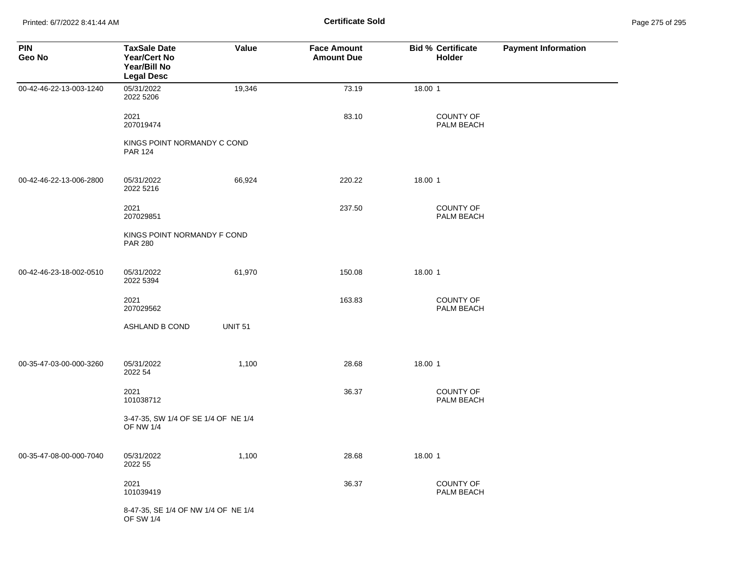Printed: 6/7/2022 8:41:44 AM **Certificate Sold** Page 275 of 295

| <b>PIN</b><br>Geo No    | <b>TaxSale Date</b><br><b>Year/Cert No</b><br>Year/Bill No<br><b>Legal Desc</b> | Value          | <b>Face Amount</b><br><b>Amount Due</b> | <b>Bid % Certificate</b><br>Holder | <b>Payment Information</b> |
|-------------------------|---------------------------------------------------------------------------------|----------------|-----------------------------------------|------------------------------------|----------------------------|
| 00-42-46-22-13-003-1240 | 05/31/2022<br>2022 5206                                                         | 19,346         | 73.19                                   | 18.00 1                            |                            |
|                         | 2021<br>207019474                                                               |                | 83.10                                   | <b>COUNTY OF</b><br>PALM BEACH     |                            |
|                         | KINGS POINT NORMANDY C COND<br><b>PAR 124</b>                                   |                |                                         |                                    |                            |
| 00-42-46-22-13-006-2800 | 05/31/2022<br>2022 5216                                                         | 66,924         | 220.22                                  | 18.00 1                            |                            |
|                         | 2021<br>207029851                                                               |                | 237.50                                  | <b>COUNTY OF</b><br>PALM BEACH     |                            |
|                         | KINGS POINT NORMANDY F COND<br><b>PAR 280</b>                                   |                |                                         |                                    |                            |
| 00-42-46-23-18-002-0510 | 05/31/2022<br>2022 5394                                                         | 61,970         | 150.08                                  | 18.00 1                            |                            |
|                         | 2021<br>207029562                                                               |                | 163.83                                  | COUNTY OF<br>PALM BEACH            |                            |
|                         | ASHLAND B COND                                                                  | <b>UNIT 51</b> |                                         |                                    |                            |
| 00-35-47-03-00-000-3260 | 05/31/2022<br>2022 54                                                           | 1,100          | 28.68                                   | 18.00 1                            |                            |
|                         | 2021<br>101038712                                                               |                | 36.37                                   | <b>COUNTY OF</b><br>PALM BEACH     |                            |
|                         | 3-47-35, SW 1/4 OF SE 1/4 OF NE 1/4<br><b>OF NW 1/4</b>                         |                |                                         |                                    |                            |
| 00-35-47-08-00-000-7040 | 05/31/2022<br>2022 55                                                           | 1,100          | 28.68                                   | 18.00 1                            |                            |
|                         | 2021<br>101039419                                                               |                | 36.37                                   | <b>COUNTY OF</b><br>PALM BEACH     |                            |
|                         | 8-47-35, SE 1/4 OF NW 1/4 OF NE 1/4<br><b>OF SW 1/4</b>                         |                |                                         |                                    |                            |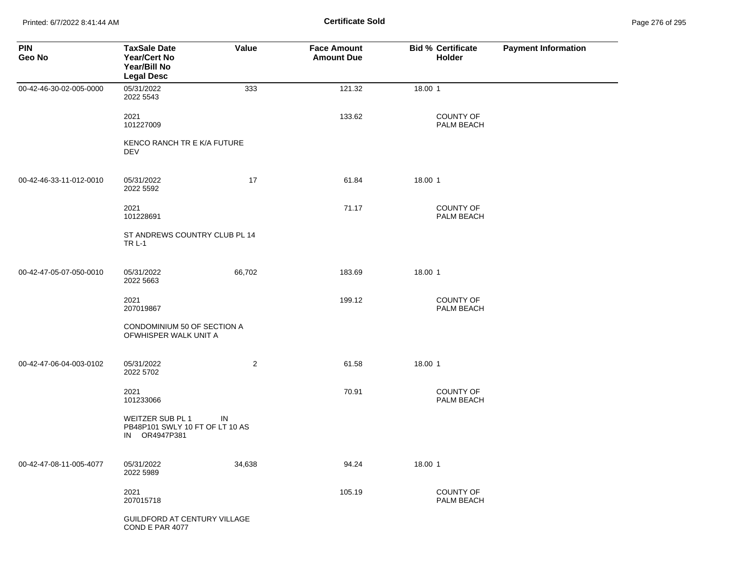Printed: 6/7/2022 8:41:44 AM **Certificate Sold** Page 276 of 295

| <b>PIN</b><br>Geo No    | <b>TaxSale Date</b><br>Year/Cert No<br>Year/Bill No<br><b>Legal Desc</b> | Value          | <b>Face Amount</b><br><b>Amount Due</b> | <b>Bid % Certificate</b><br>Holder | <b>Payment Information</b> |
|-------------------------|--------------------------------------------------------------------------|----------------|-----------------------------------------|------------------------------------|----------------------------|
| 00-42-46-30-02-005-0000 | 05/31/2022<br>2022 5543                                                  | 333            | 121.32                                  | 18.00 1                            |                            |
|                         | 2021<br>101227009                                                        |                | 133.62                                  | COUNTY OF<br>PALM BEACH            |                            |
|                         | KENCO RANCH TR E K/A FUTURE<br>DEV                                       |                |                                         |                                    |                            |
| 00-42-46-33-11-012-0010 | 05/31/2022<br>2022 5592                                                  | 17             | 61.84                                   | 18.00 1                            |                            |
|                         | 2021<br>101228691                                                        |                | 71.17                                   | COUNTY OF<br>PALM BEACH            |                            |
|                         | ST ANDREWS COUNTRY CLUB PL 14<br><b>TR L-1</b>                           |                |                                         |                                    |                            |
| 00-42-47-05-07-050-0010 | 05/31/2022<br>2022 5663                                                  | 66,702         | 183.69                                  | 18.00 1                            |                            |
|                         | 2021<br>207019867                                                        |                | 199.12                                  | COUNTY OF<br>PALM BEACH            |                            |
|                         | CONDOMINIUM 50 OF SECTION A<br>OFWHISPER WALK UNIT A                     |                |                                         |                                    |                            |
| 00-42-47-06-04-003-0102 | 05/31/2022<br>2022 5702                                                  | $\overline{2}$ | 61.58                                   | 18.00 1                            |                            |
|                         | 2021<br>101233066                                                        |                | 70.91                                   | COUNTY OF<br>PALM BEACH            |                            |
|                         | WEITZER SUB PL 1<br>PB48P101 SWLY 10 FT OF LT 10 AS<br>IN OR4947P381     | IN             |                                         |                                    |                            |
| 00-42-47-08-11-005-4077 | 05/31/2022<br>2022 5989                                                  | 34,638         | 94.24                                   | 18.00 1                            |                            |
|                         | 2021<br>207015718                                                        |                | 105.19                                  | COUNTY OF<br>PALM BEACH            |                            |
|                         | GUILDFORD AT CENTURY VILLAGE<br>COND E PAR 4077                          |                |                                         |                                    |                            |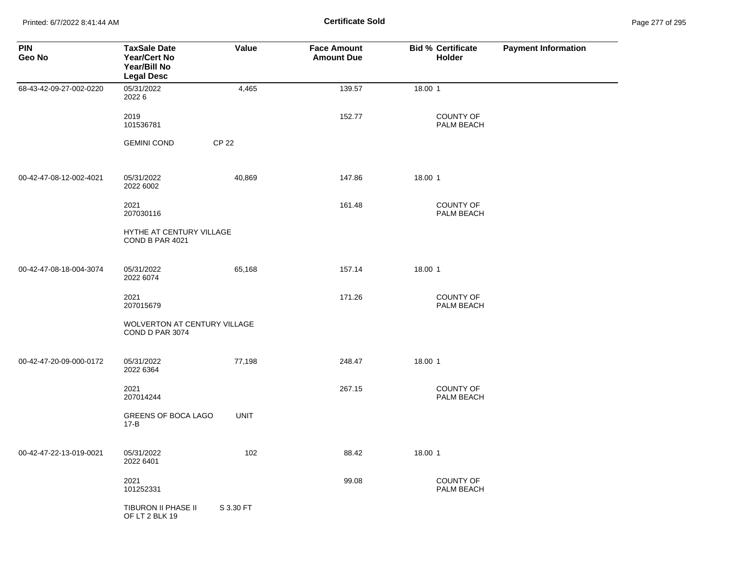Printed: 6/7/2022 8:41:44 AM **Certificate Sold** Page 277 of 295

| <b>PIN</b><br>Geo No    | <b>TaxSale Date</b><br><b>Year/Cert No</b><br>Year/Bill No<br><b>Legal Desc</b> | Value        | <b>Face Amount</b><br><b>Amount Due</b> | <b>Bid % Certificate</b><br>Holder | <b>Payment Information</b> |
|-------------------------|---------------------------------------------------------------------------------|--------------|-----------------------------------------|------------------------------------|----------------------------|
| 68-43-42-09-27-002-0220 | 05/31/2022<br>20226                                                             | 4,465        | 139.57                                  | 18.00 1                            |                            |
|                         | 2019<br>101536781                                                               |              | 152.77                                  | <b>COUNTY OF</b><br>PALM BEACH     |                            |
|                         | <b>GEMINI COND</b>                                                              | <b>CP 22</b> |                                         |                                    |                            |
| 00-42-47-08-12-002-4021 | 05/31/2022<br>2022 6002                                                         | 40,869       | 147.86                                  | 18.00 1                            |                            |
|                         | 2021<br>207030116                                                               |              | 161.48                                  | <b>COUNTY OF</b><br>PALM BEACH     |                            |
|                         | HYTHE AT CENTURY VILLAGE<br>COND B PAR 4021                                     |              |                                         |                                    |                            |
| 00-42-47-08-18-004-3074 | 05/31/2022<br>2022 6074                                                         | 65,168       | 157.14                                  | 18.00 1                            |                            |
|                         | 2021<br>207015679                                                               |              | 171.26                                  | <b>COUNTY OF</b><br>PALM BEACH     |                            |
|                         | <b>WOLVERTON AT CENTURY VILLAGE</b><br>COND D PAR 3074                          |              |                                         |                                    |                            |
| 00-42-47-20-09-000-0172 | 05/31/2022<br>2022 6364                                                         | 77,198       | 248.47                                  | 18.00 1                            |                            |
|                         | 2021<br>207014244                                                               |              | 267.15                                  | COUNTY OF<br>PALM BEACH            |                            |
|                         | GREENS OF BOCA LAGO<br>$17 - B$                                                 | <b>UNIT</b>  |                                         |                                    |                            |
| 00-42-47-22-13-019-0021 | 05/31/2022<br>2022 6401                                                         | 102          | 88.42                                   | 18.00 1                            |                            |
|                         | 2021<br>101252331                                                               |              | 99.08                                   | COUNTY OF<br>PALM BEACH            |                            |
|                         | TIBURON II PHASE II<br>OF LT 2 BLK 19                                           | S 3.30 FT    |                                         |                                    |                            |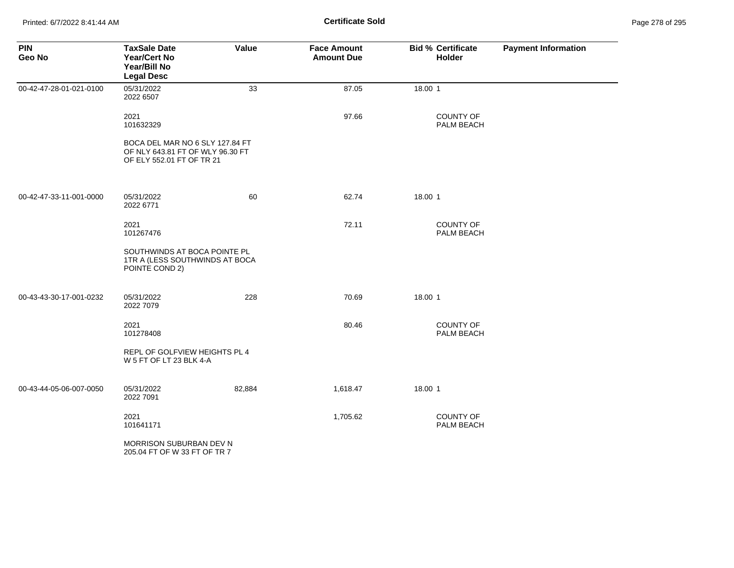| <b>PIN</b><br>Geo No    | <b>TaxSale Date</b><br><b>Year/Cert No</b><br>Year/Bill No<br><b>Legal Desc</b>                  | Value  | <b>Face Amount</b><br><b>Amount Due</b> | <b>Bid % Certificate</b><br>Holder | <b>Payment Information</b> |
|-------------------------|--------------------------------------------------------------------------------------------------|--------|-----------------------------------------|------------------------------------|----------------------------|
| 00-42-47-28-01-021-0100 | 05/31/2022<br>2022 6507                                                                          | 33     | 87.05                                   | 18.00 1                            |                            |
|                         | 2021<br>101632329                                                                                |        | 97.66                                   | <b>COUNTY OF</b><br>PALM BEACH     |                            |
|                         | BOCA DEL MAR NO 6 SLY 127.84 FT<br>OF NLY 643.81 FT OF WLY 96.30 FT<br>OF ELY 552.01 FT OF TR 21 |        |                                         |                                    |                            |
| 00-42-47-33-11-001-0000 | 05/31/2022<br>2022 6771                                                                          | 60     | 62.74                                   | 18.00 1                            |                            |
|                         | 2021<br>101267476                                                                                |        | 72.11                                   | <b>COUNTY OF</b><br>PALM BEACH     |                            |
|                         | SOUTHWINDS AT BOCA POINTE PL<br>1TR A (LESS SOUTHWINDS AT BOCA<br>POINTE COND 2)                 |        |                                         |                                    |                            |
| 00-43-43-30-17-001-0232 | 05/31/2022<br>2022 7079                                                                          | 228    | 70.69                                   | 18.00 1                            |                            |
|                         | 2021<br>101278408                                                                                |        | 80.46                                   | <b>COUNTY OF</b><br>PALM BEACH     |                            |
|                         | REPL OF GOLFVIEW HEIGHTS PL 4<br>W 5 FT OF LT 23 BLK 4-A                                         |        |                                         |                                    |                            |
| 00-43-44-05-06-007-0050 | 05/31/2022<br>2022 7091                                                                          | 82,884 | 1,618.47                                | 18.00 1                            |                            |
|                         | 2021<br>101641171                                                                                |        | 1,705.62                                | COUNTY OF<br>PALM BEACH            |                            |
|                         | MORRISON SUBURBAN DEV N<br>205.04 FT OF W 33 FT OF TR 7                                          |        |                                         |                                    |                            |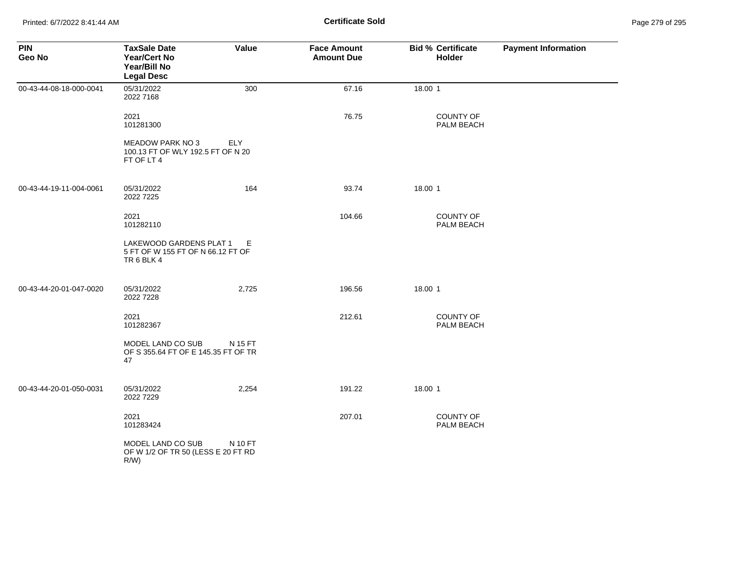Printed: 6/7/2022 8:41:44 AM **Certificate Sold** Page 279 of 295

| <b>PIN</b><br>Geo No    | <b>TaxSale Date</b><br><b>Year/Cert No</b><br>Year/Bill No<br><b>Legal Desc</b> | Value   | <b>Face Amount</b><br><b>Amount Due</b> | <b>Bid % Certificate</b><br>Holder | <b>Payment Information</b> |
|-------------------------|---------------------------------------------------------------------------------|---------|-----------------------------------------|------------------------------------|----------------------------|
| 00-43-44-08-18-000-0041 | 05/31/2022<br>2022 7168                                                         | 300     | 67.16                                   | 18.00 1                            |                            |
|                         | 2021<br>101281300                                                               |         | 76.75                                   | COUNTY OF<br>PALM BEACH            |                            |
|                         | <b>MEADOW PARK NO 3</b><br>100.13 FT OF WLY 192.5 FT OF N 20<br>FT OF LT 4      | ELY     |                                         |                                    |                            |
| 00-43-44-19-11-004-0061 | 05/31/2022<br>2022 7225                                                         | 164     | 93.74                                   | 18.00 1                            |                            |
|                         | 2021<br>101282110                                                               |         | 104.66                                  | <b>COUNTY OF</b><br>PALM BEACH     |                            |
|                         | LAKEWOOD GARDENS PLAT 1<br>5 FT OF W 155 FT OF N 66.12 FT OF<br>TR6BLK4         | Е       |                                         |                                    |                            |
| 00-43-44-20-01-047-0020 | 05/31/2022<br>2022 7228                                                         | 2,725   | 196.56                                  | 18.00 1                            |                            |
|                         | 2021<br>101282367                                                               |         | 212.61                                  | COUNTY OF<br>PALM BEACH            |                            |
|                         | MODEL LAND CO SUB<br>OF S 355.64 FT OF E 145.35 FT OF TR<br>47                  | N 15 FT |                                         |                                    |                            |
| 00-43-44-20-01-050-0031 | 05/31/2022<br>2022 7229                                                         | 2,254   | 191.22                                  | 18.00 1                            |                            |
|                         | 2021<br>101283424                                                               |         | 207.01                                  | COUNTY OF<br>PALM BEACH            |                            |
|                         | MODEL LAND CO SUB<br>OF W 1/2 OF TR 50 (LESS E 20 FT RD<br>R/W                  | N 10 FT |                                         |                                    |                            |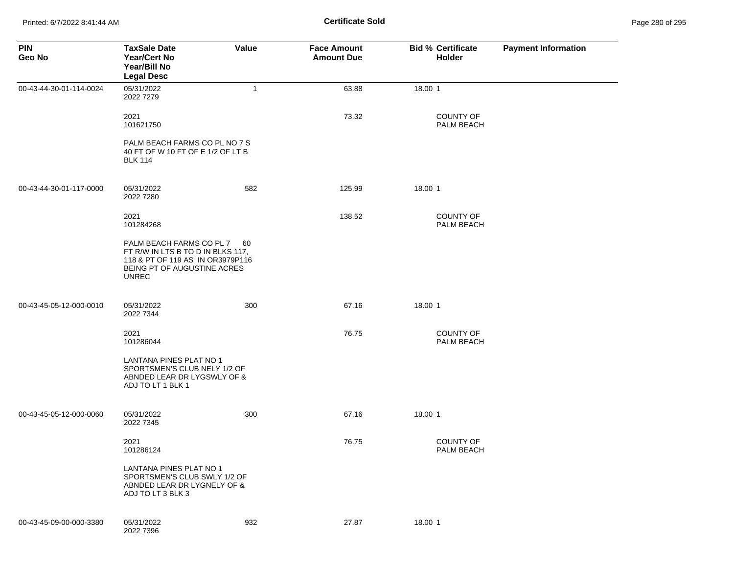| <b>PIN</b><br>Geo No    | <b>TaxSale Date</b><br><b>Year/Cert No</b><br>Year/Bill No<br><b>Legal Desc</b>                                                                  | Value        | <b>Face Amount</b><br><b>Amount Due</b> | <b>Bid % Certificate</b><br><b>Holder</b> | <b>Payment Information</b> |
|-------------------------|--------------------------------------------------------------------------------------------------------------------------------------------------|--------------|-----------------------------------------|-------------------------------------------|----------------------------|
| 00-43-44-30-01-114-0024 | 05/31/2022<br>2022 7279                                                                                                                          | $\mathbf{1}$ | 63.88                                   | 18.00 1                                   |                            |
|                         | 2021<br>101621750                                                                                                                                |              | 73.32                                   | <b>COUNTY OF</b><br>PALM BEACH            |                            |
|                         | PALM BEACH FARMS CO PL NO 7 S<br>40 FT OF W 10 FT OF E 1/2 OF LT B<br><b>BLK 114</b>                                                             |              |                                         |                                           |                            |
| 00-43-44-30-01-117-0000 | 05/31/2022<br>2022 7280                                                                                                                          | 582          | 125.99                                  | 18.00 1                                   |                            |
|                         | 2021<br>101284268                                                                                                                                |              | 138.52                                  | <b>COUNTY OF</b><br>PALM BEACH            |                            |
|                         | PALM BEACH FARMS CO PL 7<br>FT R/W IN LTS B TO D IN BLKS 117,<br>118 & PT OF 119 AS IN OR3979P116<br>BEING PT OF AUGUSTINE ACRES<br><b>UNREC</b> | 60           |                                         |                                           |                            |
| 00-43-45-05-12-000-0010 | 05/31/2022<br>2022 7344                                                                                                                          | 300          | 67.16                                   | 18.00 1                                   |                            |
|                         | 2021<br>101286044                                                                                                                                |              | 76.75                                   | <b>COUNTY OF</b><br>PALM BEACH            |                            |
|                         | LANTANA PINES PLAT NO 1<br>SPORTSMEN'S CLUB NELY 1/2 OF<br>ABNDED LEAR DR LYGSWLY OF &<br>ADJ TO LT 1 BLK 1                                      |              |                                         |                                           |                            |
| 00-43-45-05-12-000-0060 | 05/31/2022<br>2022 7345                                                                                                                          | 300          | 67.16                                   | 18.00 1                                   |                            |
|                         | 2021<br>101286124                                                                                                                                |              | 76.75                                   | <b>COUNTY OF</b><br>PALM BEACH            |                            |
|                         | LANTANA PINES PLAT NO 1<br>SPORTSMEN'S CLUB SWLY 1/2 OF<br>ABNDED LEAR DR LYGNELY OF &<br>ADJ TO LT 3 BLK 3                                      |              |                                         |                                           |                            |
| 00-43-45-09-00-000-3380 | 05/31/2022<br>2022 7396                                                                                                                          | 932          | 27.87                                   | 18.00 1                                   |                            |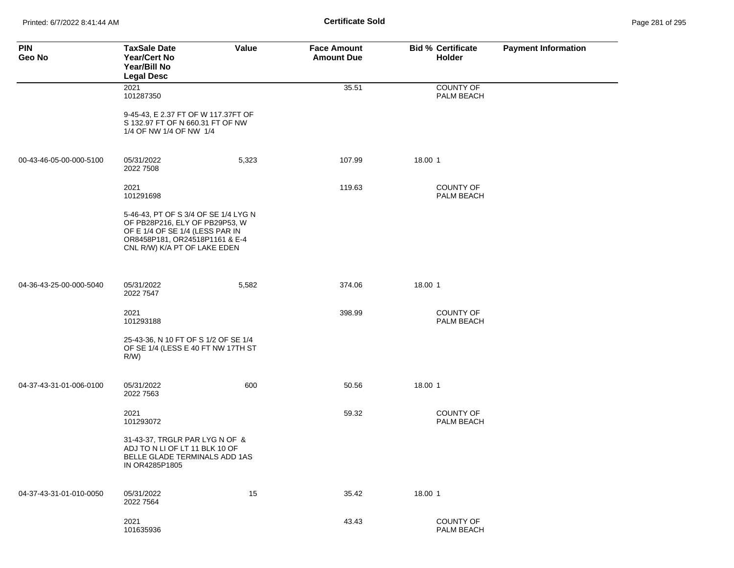Printed: 6/7/2022 8:41:44 AM **Certificate Sold** Page 281 of 295

| <b>PIN</b><br>Geo No    | <b>TaxSale Date</b><br><b>Year/Cert No</b><br>Year/Bill No<br><b>Legal Desc</b>                                                                                             | Value | <b>Face Amount</b><br><b>Amount Due</b> | <b>Bid % Certificate</b><br>Holder | <b>Payment Information</b> |
|-------------------------|-----------------------------------------------------------------------------------------------------------------------------------------------------------------------------|-------|-----------------------------------------|------------------------------------|----------------------------|
|                         | 2021<br>101287350                                                                                                                                                           |       | 35.51                                   | <b>COUNTY OF</b><br>PALM BEACH     |                            |
|                         | 9-45-43, E 2.37 FT OF W 117.37FT OF<br>S 132.97 FT OF N 660.31 FT OF NW<br>1/4 OF NW 1/4 OF NW 1/4                                                                          |       |                                         |                                    |                            |
| 00-43-46-05-00-000-5100 | 05/31/2022<br>2022 7508                                                                                                                                                     | 5,323 | 107.99                                  | 18.00 1                            |                            |
|                         | 2021<br>101291698                                                                                                                                                           |       | 119.63                                  | <b>COUNTY OF</b><br>PALM BEACH     |                            |
|                         | 5-46-43, PT OF S 3/4 OF SE 1/4 LYG N<br>OF PB28P216, ELY OF PB29P53, W<br>OF E 1/4 OF SE 1/4 (LESS PAR IN<br>OR8458P181, OR24518P1161 & E-4<br>CNL R/W) K/A PT OF LAKE EDEN |       |                                         |                                    |                            |
| 04-36-43-25-00-000-5040 | 05/31/2022<br>2022 7547                                                                                                                                                     | 5,582 | 374.06                                  | 18.00 1                            |                            |
|                         | 2021<br>101293188                                                                                                                                                           |       | 398.99                                  | <b>COUNTY OF</b><br>PALM BEACH     |                            |
|                         | 25-43-36, N 10 FT OF S 1/2 OF SE 1/4<br>OF SE 1/4 (LESS E 40 FT NW 17TH ST<br>$R/W$ )                                                                                       |       |                                         |                                    |                            |
| 04-37-43-31-01-006-0100 | 05/31/2022<br>2022 7563                                                                                                                                                     | 600   | 50.56                                   | 18.00 1                            |                            |
|                         | 2021<br>101293072                                                                                                                                                           |       | 59.32                                   | <b>COUNTY OF</b><br>PALM BEACH     |                            |
|                         | 31-43-37, TRGLR PAR LYG N OF &<br>ADJ TO N LI OF LT 11 BLK 10 OF<br>BELLE GLADE TERMINALS ADD 1AS<br>IN OR4285P1805                                                         |       |                                         |                                    |                            |
| 04-37-43-31-01-010-0050 | 05/31/2022<br>2022 7564                                                                                                                                                     | 15    | 35.42                                   | 18.00 1                            |                            |
|                         | 2021<br>101635936                                                                                                                                                           |       | 43.43                                   | <b>COUNTY OF</b><br>PALM BEACH     |                            |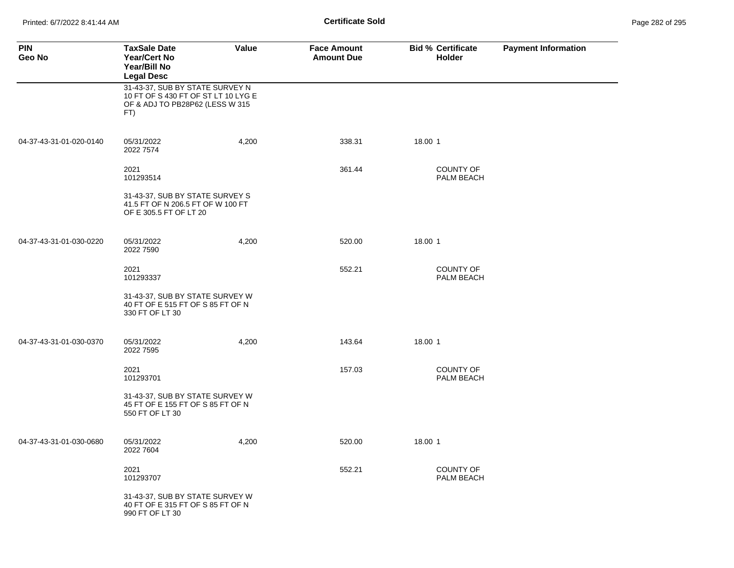Printed: 6/7/2022 8:41:44 AM **Certificate Sold** Page 282 of 295

| <b>PIN</b><br>Geo No    | <b>TaxSale Date</b><br><b>Year/Cert No</b><br>Year/Bill No<br><b>Legal Desc</b>                                  | Value | <b>Face Amount</b><br><b>Amount Due</b> | <b>Bid % Certificate</b><br><b>Holder</b> | <b>Payment Information</b> |
|-------------------------|------------------------------------------------------------------------------------------------------------------|-------|-----------------------------------------|-------------------------------------------|----------------------------|
|                         | 31-43-37, SUB BY STATE SURVEY N<br>10 FT OF S 430 FT OF ST LT 10 LYG E<br>OF & ADJ TO PB28P62 (LESS W 315<br>FT) |       |                                         |                                           |                            |
| 04-37-43-31-01-020-0140 | 05/31/2022<br>2022 7574                                                                                          | 4,200 | 338.31                                  | 18.00 1                                   |                            |
|                         | 2021<br>101293514                                                                                                |       | 361.44                                  | <b>COUNTY OF</b><br>PALM BEACH            |                            |
|                         | 31-43-37, SUB BY STATE SURVEY S<br>41.5 FT OF N 206.5 FT OF W 100 FT<br>OF E 305.5 FT OF LT 20                   |       |                                         |                                           |                            |
| 04-37-43-31-01-030-0220 | 05/31/2022<br>2022 7590                                                                                          | 4,200 | 520.00                                  | 18.00 1                                   |                            |
|                         | 2021<br>101293337                                                                                                |       | 552.21                                  | <b>COUNTY OF</b><br>PALM BEACH            |                            |
|                         | 31-43-37, SUB BY STATE SURVEY W<br>40 FT OF E 515 FT OF S 85 FT OF N<br>330 FT OF LT 30                          |       |                                         |                                           |                            |
| 04-37-43-31-01-030-0370 | 05/31/2022<br>2022 7595                                                                                          | 4,200 | 143.64                                  | 18.00 1                                   |                            |
|                         | 2021<br>101293701                                                                                                |       | 157.03                                  | <b>COUNTY OF</b><br>PALM BEACH            |                            |
|                         | 31-43-37, SUB BY STATE SURVEY W<br>45 FT OF E 155 FT OF S 85 FT OF N<br>550 FT OF LT 30                          |       |                                         |                                           |                            |
| 04-37-43-31-01-030-0680 | 05/31/2022<br>2022 7604                                                                                          | 4,200 | 520.00                                  | 18.00 1                                   |                            |
|                         | 2021<br>101293707                                                                                                |       | 552.21                                  | <b>COUNTY OF</b><br>PALM BEACH            |                            |
|                         | 31-43-37, SUB BY STATE SURVEY W<br>40 FT OF E 315 FT OF S 85 FT OF N<br>990 FT OF LT 30                          |       |                                         |                                           |                            |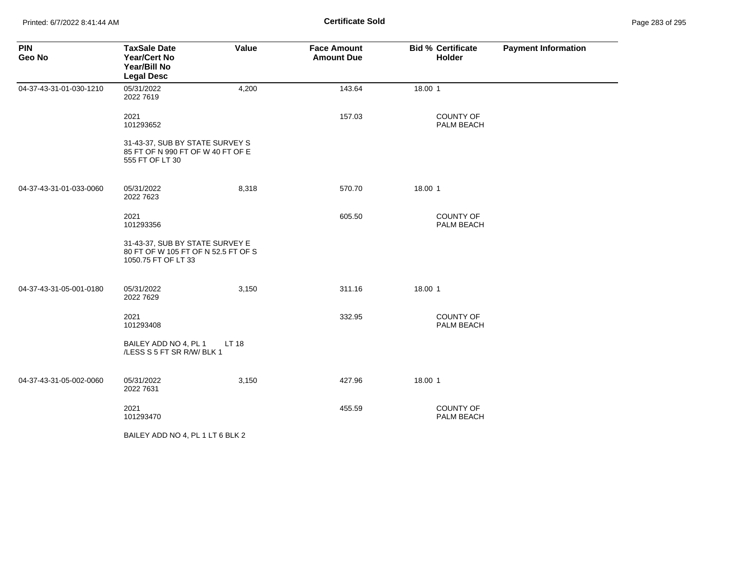| <b>PIN</b><br>Geo No    | <b>TaxSale Date</b><br><b>Year/Cert No</b><br>Year/Bill No<br><b>Legal Desc</b>               | Value | <b>Face Amount</b><br><b>Amount Due</b> | <b>Bid % Certificate</b><br><b>Holder</b> | <b>Payment Information</b> |
|-------------------------|-----------------------------------------------------------------------------------------------|-------|-----------------------------------------|-------------------------------------------|----------------------------|
| 04-37-43-31-01-030-1210 | 05/31/2022<br>2022 7619                                                                       | 4,200 | 143.64                                  | 18.00 1                                   |                            |
|                         | 2021<br>101293652                                                                             |       | 157.03                                  | <b>COUNTY OF</b><br>PALM BEACH            |                            |
|                         | 31-43-37, SUB BY STATE SURVEY S<br>85 FT OF N 990 FT OF W 40 FT OF E<br>555 FT OF LT 30       |       |                                         |                                           |                            |
| 04-37-43-31-01-033-0060 | 05/31/2022<br>2022 7623                                                                       | 8,318 | 570.70                                  | 18.00 1                                   |                            |
|                         | 2021<br>101293356                                                                             |       | 605.50                                  | <b>COUNTY OF</b><br>PALM BEACH            |                            |
|                         | 31-43-37, SUB BY STATE SURVEY E<br>80 FT OF W 105 FT OF N 52.5 FT OF S<br>1050.75 FT OF LT 33 |       |                                         |                                           |                            |
| 04-37-43-31-05-001-0180 | 05/31/2022<br>2022 7629                                                                       | 3,150 | 311.16                                  | 18.00 1                                   |                            |
|                         | 2021<br>101293408                                                                             |       | 332.95                                  | <b>COUNTY OF</b><br>PALM BEACH            |                            |
|                         | BAILEY ADD NO 4, PL 1<br>/LESS S 5 FT SR R/W/ BLK 1                                           | LT 18 |                                         |                                           |                            |
| 04-37-43-31-05-002-0060 | 05/31/2022<br>2022 7631                                                                       | 3,150 | 427.96                                  | 18.00 1                                   |                            |
|                         | 2021<br>101293470                                                                             |       | 455.59                                  | <b>COUNTY OF</b><br>PALM BEACH            |                            |
|                         | BAILEY ADD NO 4, PL 1 LT 6 BLK 2                                                              |       |                                         |                                           |                            |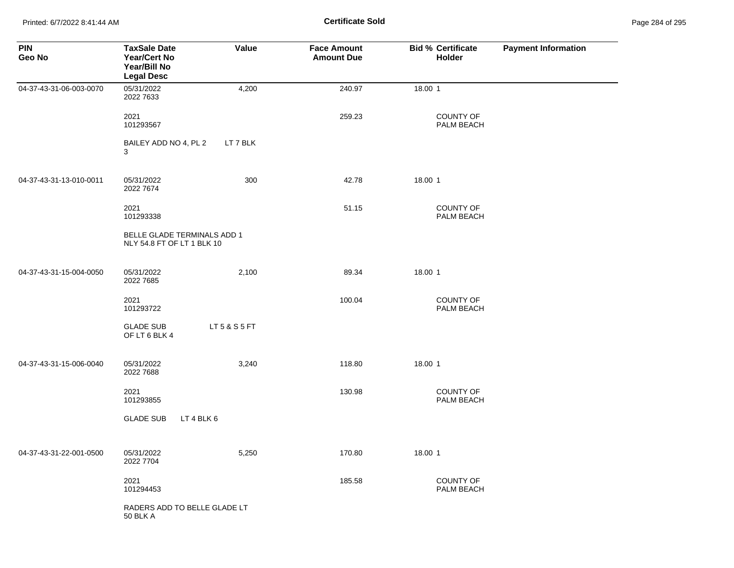Printed: 6/7/2022 8:41:44 AM **Certificate Sold** Page 284 of 295

| <b>PIN</b><br>Geo No    | <b>TaxSale Date</b><br><b>Year/Cert No</b><br>Year/Bill No<br><b>Legal Desc</b> | Value         | <b>Face Amount</b><br><b>Amount Due</b> | <b>Bid % Certificate</b><br><b>Holder</b> | <b>Payment Information</b> |
|-------------------------|---------------------------------------------------------------------------------|---------------|-----------------------------------------|-------------------------------------------|----------------------------|
| 04-37-43-31-06-003-0070 | 05/31/2022<br>2022 7633                                                         | 4,200         | 240.97                                  | 18.00 1                                   |                            |
|                         | 2021<br>101293567                                                               |               | 259.23                                  | COUNTY OF<br>PALM BEACH                   |                            |
|                         | BAILEY ADD NO 4, PL 2<br>3                                                      | LT 7 BLK      |                                         |                                           |                            |
| 04-37-43-31-13-010-0011 | 05/31/2022<br>2022 7674                                                         | 300           | 42.78                                   | 18.00 1                                   |                            |
|                         | 2021<br>101293338                                                               |               | 51.15                                   | COUNTY OF<br>PALM BEACH                   |                            |
|                         | BELLE GLADE TERMINALS ADD 1<br>NLY 54.8 FT OF LT 1 BLK 10                       |               |                                         |                                           |                            |
| 04-37-43-31-15-004-0050 | 05/31/2022<br>2022 7685                                                         | 2,100         | 89.34                                   | 18.00 1                                   |                            |
|                         | 2021<br>101293722                                                               |               | 100.04                                  | COUNTY OF<br>PALM BEACH                   |                            |
|                         | <b>GLADE SUB</b><br>OF LT 6 BLK 4                                               | LT 5 & S 5 FT |                                         |                                           |                            |
| 04-37-43-31-15-006-0040 | 05/31/2022<br>2022 7688                                                         | 3,240         | 118.80                                  | 18.00 1                                   |                            |
|                         | 2021<br>101293855                                                               |               | 130.98                                  | COUNTY OF<br>PALM BEACH                   |                            |
|                         | LT 4 BLK 6<br><b>GLADE SUB</b>                                                  |               |                                         |                                           |                            |
| 04-37-43-31-22-001-0500 | 05/31/2022<br>2022 7704                                                         | 5,250         | 170.80                                  | 18.00 1                                   |                            |
|                         | 2021<br>101294453                                                               |               | 185.58                                  | COUNTY OF<br>PALM BEACH                   |                            |
|                         | RADERS ADD TO BELLE GLADE LT<br><b>50 BLK A</b>                                 |               |                                         |                                           |                            |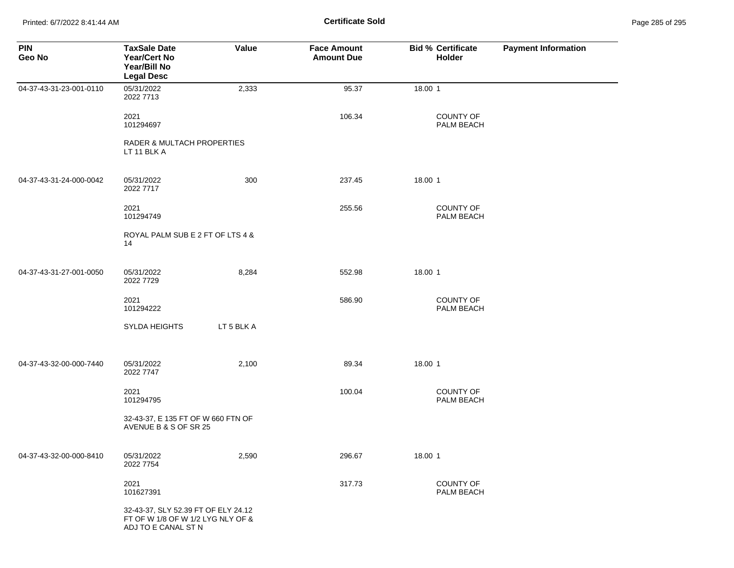Printed: 6/7/2022 8:41:44 AM **Certificate Sold** Page 285 of 295

| <b>PIN</b><br>Geo No    | <b>TaxSale Date</b><br><b>Year/Cert No</b><br>Year/Bill No<br><b>Legal Desc</b>                 | Value      | <b>Face Amount</b><br><b>Amount Due</b> | <b>Bid % Certificate</b><br>Holder | <b>Payment Information</b> |
|-------------------------|-------------------------------------------------------------------------------------------------|------------|-----------------------------------------|------------------------------------|----------------------------|
| 04-37-43-31-23-001-0110 | 05/31/2022<br>2022 7713                                                                         | 2,333      | 95.37                                   | 18.00 1                            |                            |
|                         | 2021<br>101294697                                                                               |            | 106.34                                  | <b>COUNTY OF</b><br>PALM BEACH     |                            |
|                         | RADER & MULTACH PROPERTIES<br>LT 11 BLK A                                                       |            |                                         |                                    |                            |
| 04-37-43-31-24-000-0042 | 05/31/2022<br>2022 7717                                                                         | 300        | 237.45                                  | 18.00 1                            |                            |
|                         | 2021<br>101294749                                                                               |            | 255.56                                  | <b>COUNTY OF</b><br>PALM BEACH     |                            |
|                         | ROYAL PALM SUB E 2 FT OF LTS 4 &<br>14                                                          |            |                                         |                                    |                            |
| 04-37-43-31-27-001-0050 | 05/31/2022<br>2022 7729                                                                         | 8,284      | 552.98                                  | 18.00 1                            |                            |
|                         | 2021<br>101294222                                                                               |            | 586.90                                  | <b>COUNTY OF</b><br>PALM BEACH     |                            |
|                         | SYLDA HEIGHTS                                                                                   | LT 5 BLK A |                                         |                                    |                            |
| 04-37-43-32-00-000-7440 | 05/31/2022<br>2022 7747                                                                         | 2,100      | 89.34                                   | 18.00 1                            |                            |
|                         | 2021<br>101294795                                                                               |            | 100.04                                  | <b>COUNTY OF</b><br>PALM BEACH     |                            |
|                         | 32-43-37, E 135 FT OF W 660 FTN OF<br>AVENUE B & S OF SR 25                                     |            |                                         |                                    |                            |
| 04-37-43-32-00-000-8410 | 05/31/2022<br>2022 7754                                                                         | 2,590      | 296.67                                  | 18.00 1                            |                            |
|                         | 2021<br>101627391                                                                               |            | 317.73                                  | <b>COUNTY OF</b><br>PALM BEACH     |                            |
|                         | 32-43-37, SLY 52.39 FT OF ELY 24.12<br>FT OF W 1/8 OF W 1/2 LYG NLY OF &<br>ADJ TO E CANAL ST N |            |                                         |                                    |                            |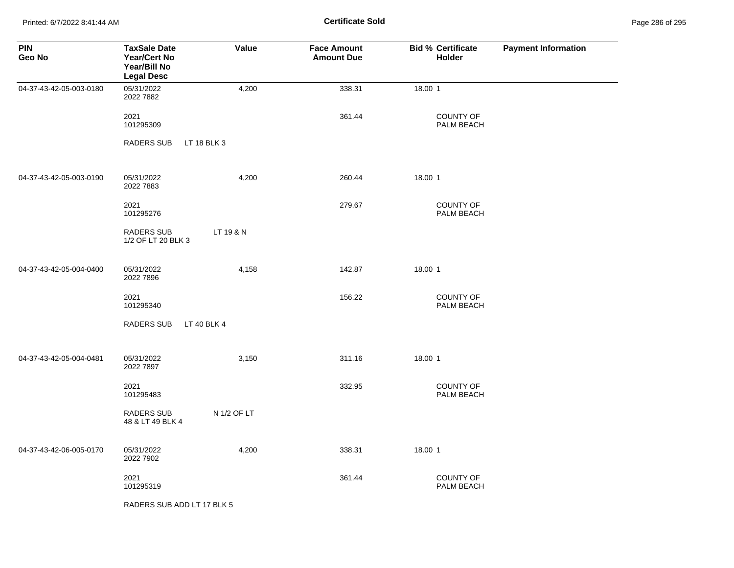Printed: 6/7/2022 8:41:44 AM **Certificate Sold** Page 286 of 295

| <b>PIN</b><br>Geo No    | <b>TaxSale Date</b><br><b>Year/Cert No</b><br>Year/Bill No<br><b>Legal Desc</b> | Value       | <b>Face Amount</b><br><b>Amount Due</b> | <b>Bid % Certificate</b><br><b>Holder</b> | <b>Payment Information</b> |
|-------------------------|---------------------------------------------------------------------------------|-------------|-----------------------------------------|-------------------------------------------|----------------------------|
| 04-37-43-42-05-003-0180 | 05/31/2022<br>2022 7882                                                         | 4,200       | 338.31                                  | 18.00 1                                   |                            |
|                         | 2021<br>101295309                                                               |             | 361.44                                  | <b>COUNTY OF</b><br>PALM BEACH            |                            |
|                         | <b>RADERS SUB</b>                                                               | LT 18 BLK 3 |                                         |                                           |                            |
| 04-37-43-42-05-003-0190 | 05/31/2022<br>2022 7883                                                         | 4,200       | 260.44                                  | 18.00 1                                   |                            |
|                         | 2021<br>101295276                                                               |             | 279.67                                  | COUNTY OF<br>PALM BEACH                   |                            |
|                         | RADERS SUB<br>1/2 OF LT 20 BLK 3                                                | LT 19 & N   |                                         |                                           |                            |
| 04-37-43-42-05-004-0400 | 05/31/2022<br>2022 7896                                                         | 4,158       | 142.87                                  | 18.00 1                                   |                            |
|                         | 2021<br>101295340                                                               |             | 156.22                                  | COUNTY OF<br>PALM BEACH                   |                            |
|                         | <b>RADERS SUB</b>                                                               | LT 40 BLK 4 |                                         |                                           |                            |
| 04-37-43-42-05-004-0481 | 05/31/2022<br>2022 7897                                                         | 3,150       | 311.16                                  | 18.00 1                                   |                            |
|                         | 2021<br>101295483                                                               |             | 332.95                                  | <b>COUNTY OF</b><br>PALM BEACH            |                            |
|                         | <b>RADERS SUB</b><br>48 & LT 49 BLK 4                                           | N 1/2 OF LT |                                         |                                           |                            |
| 04-37-43-42-06-005-0170 | 05/31/2022<br>2022 7902                                                         | 4,200       | 338.31                                  | 18.00 1                                   |                            |
|                         | 2021<br>101295319                                                               |             | 361.44                                  | <b>COUNTY OF</b><br>PALM BEACH            |                            |
|                         | RADERS SUB ADD LT 17 BLK 5                                                      |             |                                         |                                           |                            |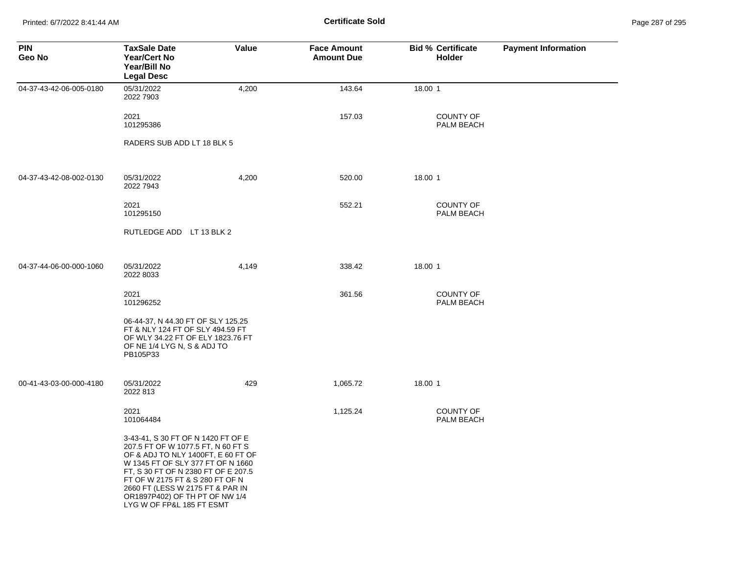Printed: 6/7/2022 8:41:44 AM **Certificate Sold** Page 287 of 295

| <b>PIN</b><br>Geo No    | <b>TaxSale Date</b><br><b>Year/Cert No</b><br>Year/Bill No<br><b>Legal Desc</b>                                                                                                                                                                                                                                                  | Value | <b>Face Amount</b><br><b>Amount Due</b> | <b>Bid % Certificate</b><br><b>Holder</b> | <b>Payment Information</b> |
|-------------------------|----------------------------------------------------------------------------------------------------------------------------------------------------------------------------------------------------------------------------------------------------------------------------------------------------------------------------------|-------|-----------------------------------------|-------------------------------------------|----------------------------|
| 04-37-43-42-06-005-0180 | 05/31/2022<br>2022 7903                                                                                                                                                                                                                                                                                                          | 4,200 | 143.64                                  | 18.00 1                                   |                            |
|                         | 2021<br>101295386                                                                                                                                                                                                                                                                                                                |       | 157.03                                  | <b>COUNTY OF</b><br>PALM BEACH            |                            |
|                         | RADERS SUB ADD LT 18 BLK 5                                                                                                                                                                                                                                                                                                       |       |                                         |                                           |                            |
| 04-37-43-42-08-002-0130 | 05/31/2022<br>2022 7943                                                                                                                                                                                                                                                                                                          | 4,200 | 520.00                                  | 18.00 1                                   |                            |
|                         | 2021<br>101295150                                                                                                                                                                                                                                                                                                                |       | 552.21                                  | <b>COUNTY OF</b><br>PALM BEACH            |                            |
|                         | RUTLEDGE ADD LT 13 BLK 2                                                                                                                                                                                                                                                                                                         |       |                                         |                                           |                            |
| 04-37-44-06-00-000-1060 | 05/31/2022<br>2022 8033                                                                                                                                                                                                                                                                                                          | 4,149 | 338.42                                  | 18.00 1                                   |                            |
|                         | 2021<br>101296252                                                                                                                                                                                                                                                                                                                |       | 361.56                                  | <b>COUNTY OF</b><br>PALM BEACH            |                            |
|                         | 06-44-37, N 44.30 FT OF SLY 125.25<br>FT & NLY 124 FT OF SLY 494.59 FT<br>OF WLY 34.22 FT OF ELY 1823.76 FT<br>OF NE 1/4 LYG N, S & ADJ TO<br>PB105P33                                                                                                                                                                           |       |                                         |                                           |                            |
| 00-41-43-03-00-000-4180 | 05/31/2022<br>2022 813                                                                                                                                                                                                                                                                                                           | 429   | 1,065.72                                | 18.00 1                                   |                            |
|                         | 2021<br>101064484                                                                                                                                                                                                                                                                                                                |       | 1,125.24                                | COUNTY OF<br>PALM BEACH                   |                            |
|                         | 3-43-41, S 30 FT OF N 1420 FT OF E<br>207.5 FT OF W 1077.5 FT, N 60 FT S<br>OF & ADJ TO NLY 1400FT, E 60 FT OF<br>W 1345 FT OF SLY 377 FT OF N 1660<br>FT, S 30 FT OF N 2380 FT OF E 207.5<br>FT OF W 2175 FT & S 280 FT OF N<br>2660 FT (LESS W 2175 FT & PAR IN<br>OR1897P402) OF TH PT OF NW 1/4<br>LYG W OF FP&L 185 FT ESMT |       |                                         |                                           |                            |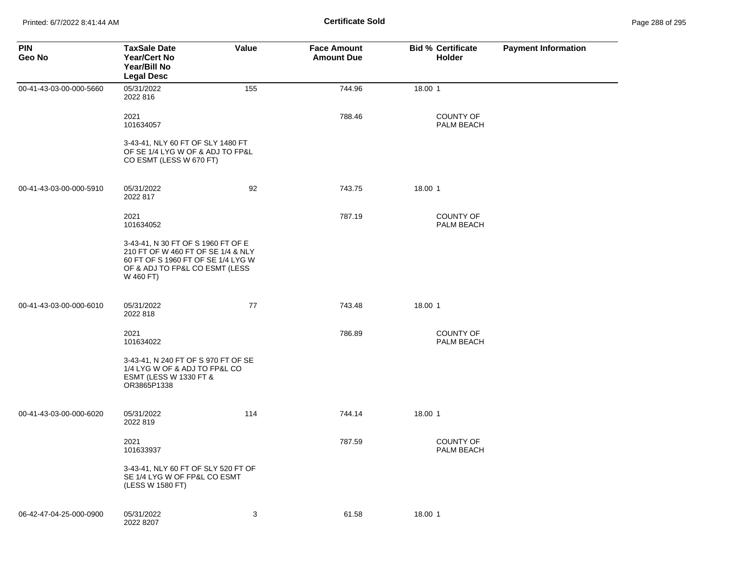| <b>PIN</b><br>Geo No    | <b>TaxSale Date</b><br><b>Year/Cert No</b><br>Year/Bill No<br><b>Legal Desc</b>                                                                               | Value | <b>Face Amount</b><br><b>Amount Due</b> | <b>Bid % Certificate</b><br>Holder | <b>Payment Information</b> |
|-------------------------|---------------------------------------------------------------------------------------------------------------------------------------------------------------|-------|-----------------------------------------|------------------------------------|----------------------------|
| 00-41-43-03-00-000-5660 | 05/31/2022<br>2022 816                                                                                                                                        | 155   | 744.96                                  | 18.00 1                            |                            |
|                         | 2021<br>101634057                                                                                                                                             |       | 788.46                                  | <b>COUNTY OF</b><br>PALM BEACH     |                            |
|                         | 3-43-41, NLY 60 FT OF SLY 1480 FT<br>OF SE 1/4 LYG W OF & ADJ TO FP&L<br>CO ESMT (LESS W 670 FT)                                                              |       |                                         |                                    |                            |
| 00-41-43-03-00-000-5910 | 05/31/2022<br>2022 817                                                                                                                                        | 92    | 743.75                                  | 18.00 1                            |                            |
|                         | 2021<br>101634052                                                                                                                                             |       | 787.19                                  | <b>COUNTY OF</b><br>PALM BEACH     |                            |
|                         | 3-43-41, N 30 FT OF S 1960 FT OF E<br>210 FT OF W 460 FT OF SE 1/4 & NLY<br>60 FT OF S 1960 FT OF SE 1/4 LYG W<br>OF & ADJ TO FP&L CO ESMT (LESS<br>W 460 FT) |       |                                         |                                    |                            |
| 00-41-43-03-00-000-6010 | 05/31/2022<br>2022 818                                                                                                                                        | 77    | 743.48                                  | 18.00 1                            |                            |
|                         | 2021<br>101634022                                                                                                                                             |       | 786.89                                  | <b>COUNTY OF</b><br>PALM BEACH     |                            |
|                         | 3-43-41, N 240 FT OF S 970 FT OF SE<br>1/4 LYG W OF & ADJ TO FP&L CO<br><b>ESMT (LESS W 1330 FT &amp;</b><br>OR3865P1338                                      |       |                                         |                                    |                            |
| 00-41-43-03-00-000-6020 | 05/31/2022<br>2022 819                                                                                                                                        | 114   | 744.14                                  | 18.00 1                            |                            |
|                         | 2021<br>101633937                                                                                                                                             |       | 787.59                                  | <b>COUNTY OF</b><br>PALM BEACH     |                            |
|                         | 3-43-41, NLY 60 FT OF SLY 520 FT OF<br>SE 1/4 LYG W OF FP&L CO ESMT<br>(LESS W 1580 FT)                                                                       |       |                                         |                                    |                            |
| 06-42-47-04-25-000-0900 | 05/31/2022<br>2022 8207                                                                                                                                       | 3     | 61.58                                   | 18.00 1                            |                            |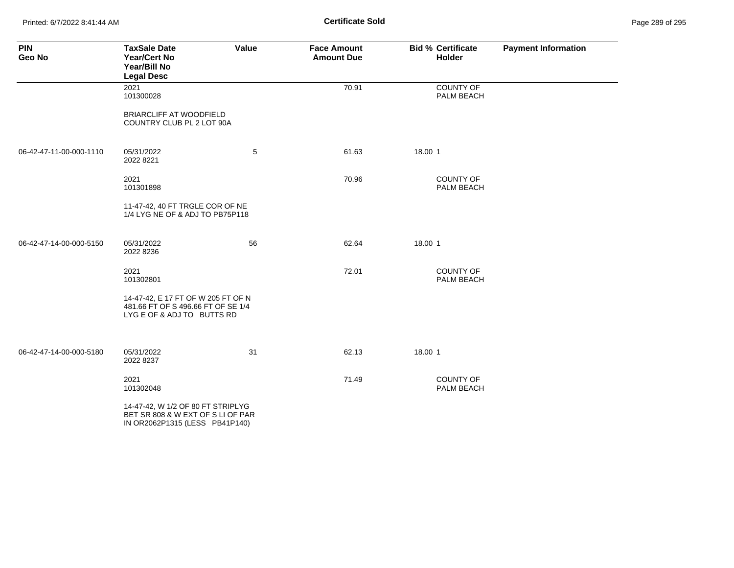Printed: 6/7/2022 8:41:44 AM **Certificate Sold** Page 289 of 295

| <b>PIN</b><br>Geo No    | <b>TaxSale Date</b><br><b>Year/Cert No</b><br>Year/Bill No<br><b>Legal Desc</b>                          | Value | <b>Face Amount</b><br><b>Amount Due</b> | <b>Bid % Certificate</b><br>Holder | <b>Payment Information</b> |
|-------------------------|----------------------------------------------------------------------------------------------------------|-------|-----------------------------------------|------------------------------------|----------------------------|
|                         | 2021<br>101300028                                                                                        |       | 70.91                                   | COUNTY OF<br>PALM BEACH            |                            |
|                         | <b>BRIARCLIFF AT WOODFIELD</b><br>COUNTRY CLUB PL 2 LOT 90A                                              |       |                                         |                                    |                            |
| 06-42-47-11-00-000-1110 | 05/31/2022<br>2022 8221                                                                                  | 5     | 61.63                                   | 18.00 1                            |                            |
|                         | 2021<br>101301898                                                                                        |       | 70.96                                   | <b>COUNTY OF</b><br>PALM BEACH     |                            |
|                         | 11-47-42, 40 FT TRGLE COR OF NE<br>1/4 LYG NE OF & ADJ TO PB75P118                                       |       |                                         |                                    |                            |
| 06-42-47-14-00-000-5150 | 05/31/2022<br>2022 8236                                                                                  | 56    | 62.64                                   | 18.00 1                            |                            |
|                         | 2021<br>101302801                                                                                        |       | 72.01                                   | <b>COUNTY OF</b><br>PALM BEACH     |                            |
|                         | 14-47-42, E 17 FT OF W 205 FT OF N<br>481.66 FT OF S 496.66 FT OF SE 1/4<br>LYG E OF & ADJ TO BUTTS RD   |       |                                         |                                    |                            |
| 06-42-47-14-00-000-5180 | 05/31/2022<br>2022 8237                                                                                  | 31    | 62.13                                   | 18.00 1                            |                            |
|                         | 2021<br>101302048                                                                                        |       | 71.49                                   | <b>COUNTY OF</b><br>PALM BEACH     |                            |
|                         | 14-47-42, W 1/2 OF 80 FT STRIPLYG<br>BET SR 808 & W EXT OF S LI OF PAR<br>IN OR2062P1315 (LESS PB41P140) |       |                                         |                                    |                            |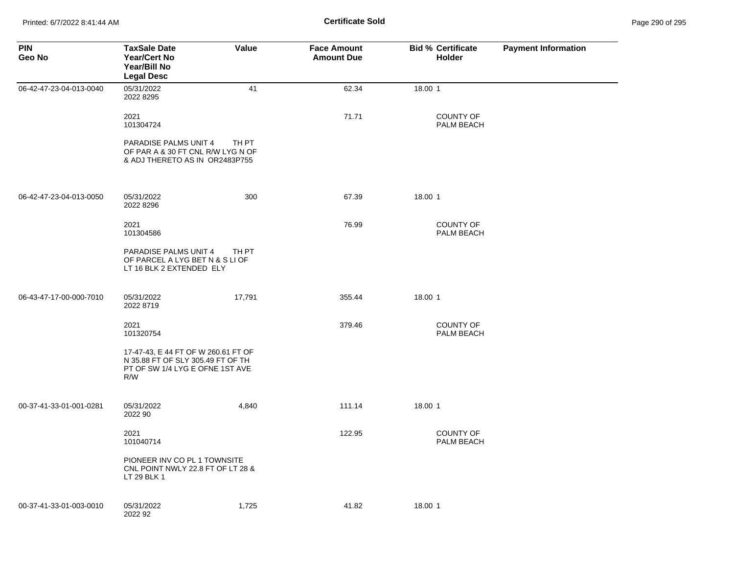| <b>PIN</b><br>Geo No    | <b>TaxSale Date</b><br><b>Year/Cert No</b><br>Year/Bill No<br><b>Legal Desc</b>                                    | Value  | <b>Face Amount</b><br><b>Amount Due</b> | <b>Bid % Certificate</b><br><b>Holder</b> | <b>Payment Information</b> |
|-------------------------|--------------------------------------------------------------------------------------------------------------------|--------|-----------------------------------------|-------------------------------------------|----------------------------|
| 06-42-47-23-04-013-0040 | 05/31/2022<br>2022 8295                                                                                            | 41     | 62.34                                   | 18.00 1                                   |                            |
|                         | 2021<br>101304724                                                                                                  |        | 71.71                                   | <b>COUNTY OF</b><br>PALM BEACH            |                            |
|                         | PARADISE PALMS UNIT 4<br>OF PAR A & 30 FT CNL R/W LYG N OF<br>& ADJ THERETO AS IN OR2483P755                       | TH PT  |                                         |                                           |                            |
| 06-42-47-23-04-013-0050 | 05/31/2022<br>2022 8296                                                                                            | 300    | 67.39                                   | 18.00 1                                   |                            |
|                         | 2021<br>101304586                                                                                                  |        | 76.99                                   | <b>COUNTY OF</b><br>PALM BEACH            |                            |
|                         | PARADISE PALMS UNIT 4<br>OF PARCEL A LYG BET N & S LI OF<br>LT 16 BLK 2 EXTENDED ELY                               | TH PT  |                                         |                                           |                            |
| 06-43-47-17-00-000-7010 | 05/31/2022<br>2022 8719                                                                                            | 17,791 | 355.44                                  | 18.00 1                                   |                            |
|                         | 2021<br>101320754                                                                                                  |        | 379.46                                  | <b>COUNTY OF</b><br>PALM BEACH            |                            |
|                         | 17-47-43, E 44 FT OF W 260.61 FT OF<br>N 35.88 FT OF SLY 305.49 FT OF TH<br>PT OF SW 1/4 LYG E OFNE 1ST AVE<br>R/W |        |                                         |                                           |                            |
| 00-37-41-33-01-001-0281 | 05/31/2022<br>2022 90                                                                                              | 4,840  | 111.14                                  | 18.00 1                                   |                            |
|                         | 2021<br>101040714                                                                                                  |        | 122.95                                  | <b>COUNTY OF</b><br>PALM BEACH            |                            |
|                         | PIONEER INV CO PL 1 TOWNSITE<br>CNL POINT NWLY 22.8 FT OF LT 28 &<br>LT 29 BLK 1                                   |        |                                         |                                           |                            |
| 00-37-41-33-01-003-0010 | 05/31/2022<br>2022 92                                                                                              | 1,725  | 41.82                                   | 18.00 1                                   |                            |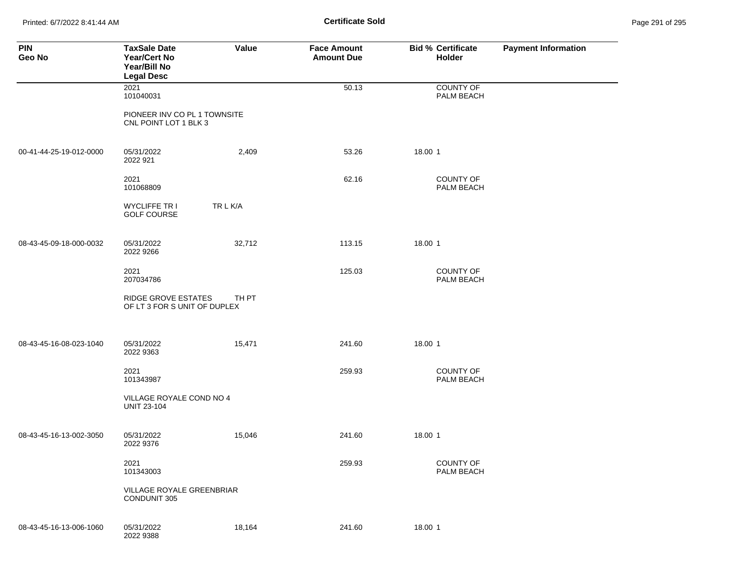Printed: 6/7/2022 8:41:44 AM **Certificate Sold** Page 291 of 295

| <b>PIN</b><br>Geo No    | <b>TaxSale Date</b><br><b>Year/Cert No</b><br>Year/Bill No<br><b>Legal Desc</b> | Value    | <b>Face Amount</b><br><b>Amount Due</b> | <b>Bid % Certificate</b><br>Holder | <b>Payment Information</b> |
|-------------------------|---------------------------------------------------------------------------------|----------|-----------------------------------------|------------------------------------|----------------------------|
|                         | 2021<br>101040031                                                               |          | 50.13                                   | <b>COUNTY OF</b><br>PALM BEACH     |                            |
|                         | PIONEER INV CO PL 1 TOWNSITE<br>CNL POINT LOT 1 BLK 3                           |          |                                         |                                    |                            |
| 00-41-44-25-19-012-0000 | 05/31/2022<br>2022 921                                                          | 2,409    | 53.26                                   | 18.00 1                            |                            |
|                         | 2021<br>101068809                                                               |          | 62.16                                   | COUNTY OF<br>PALM BEACH            |                            |
|                         | <b>WYCLIFFE TR I</b><br><b>GOLF COURSE</b>                                      | TR L K/A |                                         |                                    |                            |
| 08-43-45-09-18-000-0032 | 05/31/2022<br>2022 9266                                                         | 32,712   | 113.15                                  | 18.00 1                            |                            |
|                         | 2021<br>207034786                                                               |          | 125.03                                  | COUNTY OF<br>PALM BEACH            |                            |
|                         | <b>RIDGE GROVE ESTATES</b><br>OF LT 3 FOR S UNIT OF DUPLEX                      | TH PT    |                                         |                                    |                            |
| 08-43-45-16-08-023-1040 | 05/31/2022                                                                      | 15,471   | 241.60                                  | 18.00 1                            |                            |
|                         | 2022 9363                                                                       |          |                                         |                                    |                            |
|                         | 2021<br>101343987                                                               |          | 259.93                                  | COUNTY OF<br>PALM BEACH            |                            |
|                         | VILLAGE ROYALE COND NO 4<br><b>UNIT 23-104</b>                                  |          |                                         |                                    |                            |
| 08-43-45-16-13-002-3050 | 05/31/2022<br>2022 9376                                                         | 15,046   | 241.60                                  | 18.00 1                            |                            |
|                         | 2021<br>101343003                                                               |          | 259.93                                  | COUNTY OF<br>PALM BEACH            |                            |
|                         | VILLAGE ROYALE GREENBRIAR<br><b>CONDUNIT 305</b>                                |          |                                         |                                    |                            |
| 08-43-45-16-13-006-1060 | 05/31/2022<br>2022 9388                                                         | 18,164   | 241.60                                  | 18.00 1                            |                            |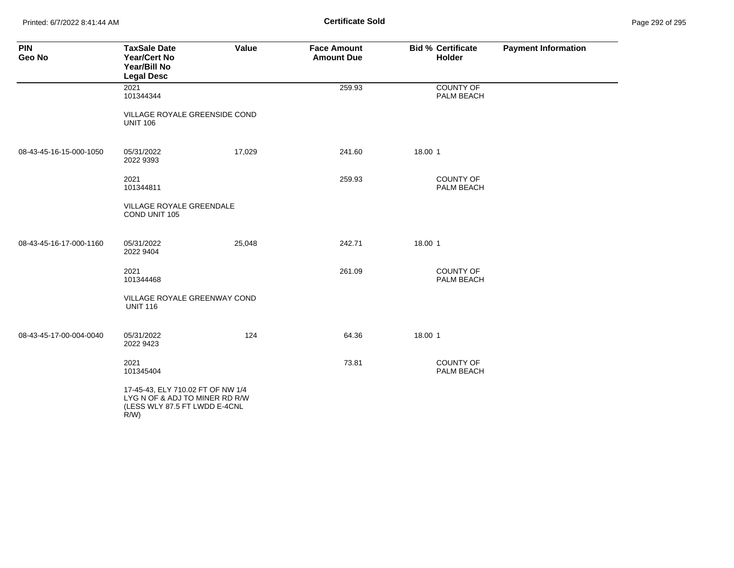Printed: 6/7/2022 8:41:44 AM **Certificate Sold** Page 292 of 295

| <b>PIN</b><br>Geo No    | <b>TaxSale Date</b><br><b>Year/Cert No</b><br>Year/Bill No<br><b>Legal Desc</b>                                 | Value  | <b>Face Amount</b><br><b>Amount Due</b> | <b>Bid % Certificate</b><br><b>Holder</b> | <b>Payment Information</b> |
|-------------------------|-----------------------------------------------------------------------------------------------------------------|--------|-----------------------------------------|-------------------------------------------|----------------------------|
|                         | 2021<br>101344344                                                                                               |        | 259.93                                  | COUNTY OF<br>PALM BEACH                   |                            |
|                         | VILLAGE ROYALE GREENSIDE COND<br><b>UNIT 106</b>                                                                |        |                                         |                                           |                            |
| 08-43-45-16-15-000-1050 | 05/31/2022<br>2022 9393                                                                                         | 17,029 | 241.60                                  | 18.00 1                                   |                            |
|                         | 2021<br>101344811                                                                                               |        | 259.93                                  | <b>COUNTY OF</b><br>PALM BEACH            |                            |
|                         | VILLAGE ROYALE GREENDALE<br>COND UNIT 105                                                                       |        |                                         |                                           |                            |
| 08-43-45-16-17-000-1160 | 05/31/2022<br>2022 9404                                                                                         | 25,048 | 242.71                                  | 18.00 1                                   |                            |
|                         | 2021<br>101344468                                                                                               |        | 261.09                                  | COUNTY OF<br>PALM BEACH                   |                            |
|                         | VILLAGE ROYALE GREENWAY COND<br><b>UNIT 116</b>                                                                 |        |                                         |                                           |                            |
| 08-43-45-17-00-004-0040 | 05/31/2022<br>2022 9423                                                                                         | 124    | 64.36                                   | 18.00 1                                   |                            |
|                         | 2021<br>101345404                                                                                               |        | 73.81                                   | <b>COUNTY OF</b><br>PALM BEACH            |                            |
|                         | 17-45-43, ELY 710.02 FT OF NW 1/4<br>LYG N OF & ADJ TO MINER RD R/W<br>(LESS WLY 87.5 FT LWDD E-4CNL<br>$R/W$ ) |        |                                         |                                           |                            |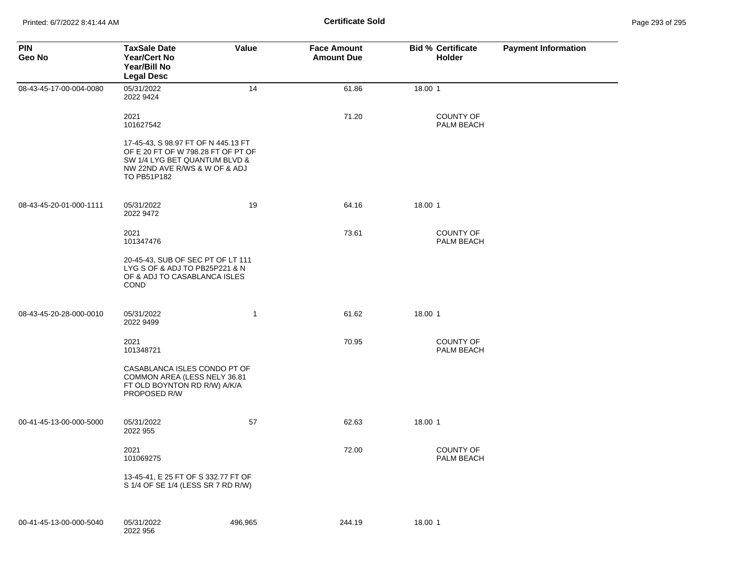| <b>PIN</b><br>Geo No    | <b>TaxSale Date</b><br><b>Year/Cert No</b><br>Year/Bill No<br><b>Legal Desc</b>                                                                            | Value        | <b>Face Amount</b><br><b>Amount Due</b> | <b>Bid % Certificate</b><br><b>Holder</b> | <b>Payment Information</b> |
|-------------------------|------------------------------------------------------------------------------------------------------------------------------------------------------------|--------------|-----------------------------------------|-------------------------------------------|----------------------------|
| 08-43-45-17-00-004-0080 | 05/31/2022<br>2022 9424                                                                                                                                    | 14           | 61.86                                   | 18.00 1                                   |                            |
|                         | 2021<br>101627542                                                                                                                                          |              | 71.20                                   | <b>COUNTY OF</b><br>PALM BEACH            |                            |
|                         | 17-45-43, S 98.97 FT OF N 445.13 FT<br>OF E 20 FT OF W 798.28 FT OF PT OF<br>SW 1/4 LYG BET QUANTUM BLVD &<br>NW 22ND AVE R/WS & W OF & ADJ<br>TO PB51P182 |              |                                         |                                           |                            |
| 08-43-45-20-01-000-1111 | 05/31/2022<br>2022 9472                                                                                                                                    | 19           | 64.16                                   | 18.00 1                                   |                            |
|                         | 2021<br>101347476                                                                                                                                          |              | 73.61                                   | <b>COUNTY OF</b><br>PALM BEACH            |                            |
|                         | 20-45-43, SUB OF SEC PT OF LT 111<br>LYG S OF & ADJ TO PB25P221 & N<br>OF & ADJ TO CASABLANCA ISLES<br>COND                                                |              |                                         |                                           |                            |
| 08-43-45-20-28-000-0010 | 05/31/2022<br>2022 9499                                                                                                                                    | $\mathbf{1}$ | 61.62                                   | 18.00 1                                   |                            |
|                         | 2021<br>101348721                                                                                                                                          |              | 70.95                                   | <b>COUNTY OF</b><br>PALM BEACH            |                            |
|                         | CASABLANCA ISLES CONDO PT OF<br>COMMON AREA (LESS NELY 36.81<br>FT OLD BOYNTON RD R/W) A/K/A<br>PROPOSED R/W                                               |              |                                         |                                           |                            |
| 00-41-45-13-00-000-5000 | 05/31/2022<br>2022 955                                                                                                                                     | 57           | 62.63                                   | 18.00 1                                   |                            |
|                         | 2021<br>101069275                                                                                                                                          |              | 72.00                                   | <b>COUNTY OF</b><br>PALM BEACH            |                            |
|                         | 13-45-41, E 25 FT OF S 332.77 FT OF<br>S 1/4 OF SE 1/4 (LESS SR 7 RD R/W)                                                                                  |              |                                         |                                           |                            |
| 00-41-45-13-00-000-5040 | 05/31/2022<br>2022 956                                                                                                                                     | 496,965      | 244.19                                  | 18.00 1                                   |                            |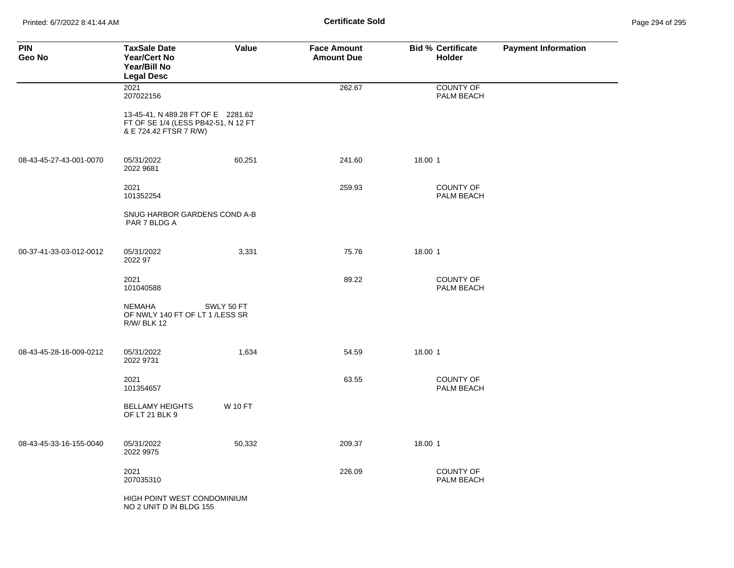Printed: 6/7/2022 8:41:44 AM **Certificate Sold** Page 294 of 295

| <b>PIN</b><br>Geo No    | <b>TaxSale Date</b><br><b>Year/Cert No</b><br>Year/Bill No<br><b>Legal Desc</b>                     | Value          | <b>Face Amount</b><br><b>Amount Due</b> | <b>Bid % Certificate</b><br>Holder | <b>Payment Information</b> |
|-------------------------|-----------------------------------------------------------------------------------------------------|----------------|-----------------------------------------|------------------------------------|----------------------------|
|                         | 2021<br>207022156                                                                                   |                | 262.67                                  | <b>COUNTY OF</b><br>PALM BEACH     |                            |
|                         | 13-45-41, N 489.28 FT OF E 2281.62<br>FT OF SE 1/4 (LESS PB42-51, N 12 FT<br>& E 724.42 FTSR 7 R/W) |                |                                         |                                    |                            |
| 08-43-45-27-43-001-0070 | 05/31/2022<br>2022 9681                                                                             | 60,251         | 241.60                                  | 18.00 1                            |                            |
|                         | 2021<br>101352254                                                                                   |                | 259.93                                  | <b>COUNTY OF</b><br>PALM BEACH     |                            |
|                         | SNUG HARBOR GARDENS COND A-B<br>PAR 7 BLDG A                                                        |                |                                         |                                    |                            |
| 00-37-41-33-03-012-0012 | 05/31/2022<br>2022 97                                                                               | 3,331          | 75.76                                   | 18.00 1                            |                            |
|                         | 2021<br>101040588                                                                                   |                | 89.22                                   | <b>COUNTY OF</b><br>PALM BEACH     |                            |
|                         | <b>NEMAHA</b><br>OF NWLY 140 FT OF LT 1 /LESS SR<br><b>R/W/ BLK 12</b>                              | SWLY 50 FT     |                                         |                                    |                            |
| 08-43-45-28-16-009-0212 | 05/31/2022<br>2022 9731                                                                             | 1,634          | 54.59                                   | 18.00 1                            |                            |
|                         | 2021<br>101354657                                                                                   |                | 63.55                                   | <b>COUNTY OF</b><br>PALM BEACH     |                            |
|                         | <b>BELLAMY HEIGHTS</b><br>OF LT 21 BLK 9                                                            | <b>W 10 FT</b> |                                         |                                    |                            |
| 08-43-45-33-16-155-0040 | 05/31/2022<br>2022 9975                                                                             | 50,332         | 209.37                                  | 18.00 1                            |                            |
|                         | 2021<br>207035310                                                                                   |                | 226.09                                  | <b>COUNTY OF</b><br>PALM BEACH     |                            |
|                         | HIGH POINT WEST CONDOMINIUM<br>NO 2 UNIT D IN BLDG 155                                              |                |                                         |                                    |                            |